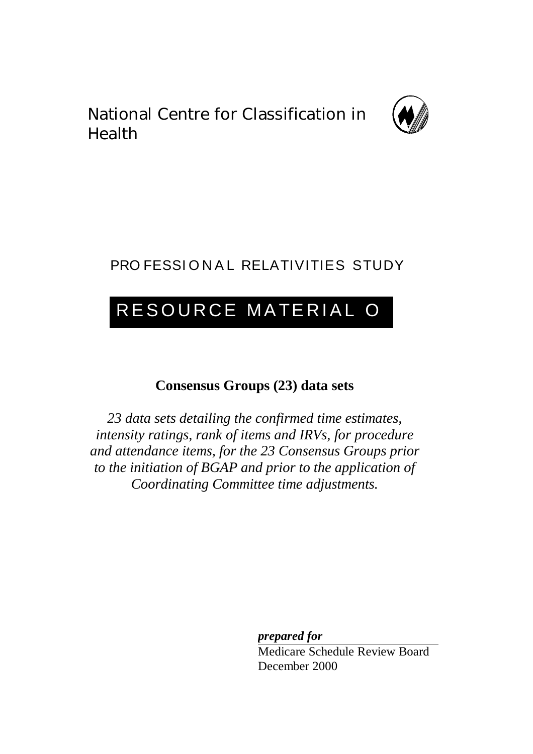National Centre for Classification in Health



## PRO FESSIONAL RELATIVITIES STUDY

# RESOURCE MATERIAL O

## **Consensus Groups (23) data sets**

*23 data sets detailing the confirmed time estimates, intensity ratings, rank of items and IRVs, for procedure and attendance items, for the 23 Consensus Groups prior to the initiation of BGAP and prior to the application of Coordinating Committee time adjustments.*

> *prepared for* Medicare Schedule Review Board December 2000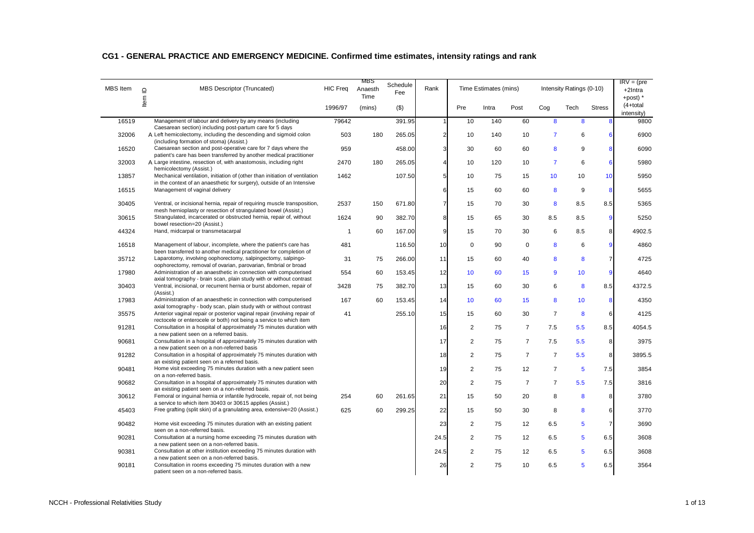|  |  |  | CG1 - GENERAL PRACTICE AND EMERGENCY MEDICINE. Confirmed time estimates, intensity ratings and rank |  |  |
|--|--|--|-----------------------------------------------------------------------------------------------------|--|--|
|  |  |  |                                                                                                     |  |  |

| <b>MBS</b> Item | $\overline{a}$ | MBS Descriptor (Truncated)                                                                                                                             | <b>HIC Freg</b> | MBS<br>Anaesth<br>Time | Schedule<br>Fee | Rank                    |                | Time Estimates (mins) |                |                 | Intensity Ratings (0-10) |                | $IRV = (pre$<br>$+2$ Intra<br>+post) $*$ |
|-----------------|----------------|--------------------------------------------------------------------------------------------------------------------------------------------------------|-----------------|------------------------|-----------------|-------------------------|----------------|-----------------------|----------------|-----------------|--------------------------|----------------|------------------------------------------|
|                 | Item           |                                                                                                                                                        | 1996/97         | (mins)                 | $($ \$)         |                         | Pre            | Intra                 | Post           | Cog             | Tech                     | <b>Stress</b>  | $(4+total)$<br>intensity)                |
| 16519           |                | Management of labour and delivery by any means (including<br>Caesarean section) including post-partum care for 5 days                                  | 79642           |                        | 391.95          | $\mathbf{1}$            | 10             | 140                   | 60             | 8               | 8                        | 8              | 9800                                     |
| 32006           |                | A Left hemicolectomy, including the descending and sigmoid colon                                                                                       | 503             | 180                    | 265.05          | $\overline{\mathbf{c}}$ | 10             | 140                   | 10             | $\overline{7}$  | 6                        | 6              | 6900                                     |
| 16520           |                | (including formation of stoma) (Assist.)<br>Caesarean section and post-operative care for 7 days where the                                             | 959             |                        | 458.00          | 3                       | 30             | 60                    | 60             | 8               | 9                        | 8              | 6090                                     |
| 32003           |                | patient's care has been transferred by another medical practitioner<br>A Large intestine, resection of, with anastomosis, including right              | 2470            | 180                    | 265.05          | $\overline{4}$          | 10             | 120                   | 10             | $\overline{7}$  | 6                        | 6              | 5980                                     |
| 13857           |                | hemicolectomy (Assist.)<br>Mechanical ventilation, initiation of (other than initiation of ventilation                                                 | 1462            |                        | 107.50          | 5                       | 10             | 75                    | 15             | 10 <sup>1</sup> | 10                       | 10             | 5950                                     |
| 16515           |                | in the context of an anaesthetic for surgery), outside of an Intensive<br>Management of vaginal delivery                                               |                 |                        |                 | 6                       | 15             | 60                    | 60             | 8               | 9                        | 8              | 5655                                     |
| 30405           |                | Ventral, or incisional hernia, repair of requiring muscle transposition,                                                                               | 2537            | 150                    | 671.80          | $\overline{7}$          | 15             | 70                    | 30             | 8               | 8.5                      | 8.5            | 5365                                     |
| 30615           |                | mesh hernioplasty or resection of strangulated bowel (Assist.)<br>Strangulated, incarcerated or obstructed hernia, repair of, without                  | 1624            | 90                     | 382.70          | 8                       | 15             | 65                    | 30             | 8.5             | 8.5                      | 9              | 5250                                     |
|                 |                | bowel resection=20 (Assist.)                                                                                                                           |                 |                        |                 |                         |                |                       |                |                 |                          |                |                                          |
| 44324           |                | Hand, midcarpal or transmetacarpal                                                                                                                     | $\overline{1}$  | 60                     | 167.00          | 9                       | 15             | 70                    | 30             | 6               | 8.5                      | 8              | 4902.5                                   |
| 16518           |                | Management of labour, incomplete, where the patient's care has<br>been transferred to another medical practitioner for completion of                   | 481             |                        | 116.50          | 10                      | $\mathbf 0$    | 90                    | $\mathbf 0$    | 8               | 6                        | 9              | 4860                                     |
| 35712           |                | Laparotomy, involving oophorectomy, salpingectomy, salpingo-<br>oophorectomy, removal of ovarian, parovarian, fimbrial or broad                        | 31              | 75                     | 266.00          | 11                      | 15             | 60                    | 40             | 8               | 8                        | $\overline{7}$ | 4725                                     |
| 17980           |                | Administration of an anaesthetic in connection with computerised                                                                                       | 554             | 60                     | 153.45          | 12                      | 10             | 60                    | 15             | 9               | 10 <sub>1</sub>          | 9              | 4640                                     |
| 30403           |                | axial tomography - brain scan, plain study with or without contrast<br>Ventral, incisional, or recurrent hernia or burst abdomen, repair of            | 3428            | 75                     | 382.70          | 13                      | 15             | 60                    | 30             | 6               | 8                        | 8.5            | 4372.5                                   |
| 17983           |                | (Assist.)<br>Administration of an anaesthetic in connection with computerised                                                                          | 167             | 60                     | 153.45          | 14                      | 10             | 60                    | 15             | 8               | 10                       | 8              | 4350                                     |
| 35575           |                | axial tomography - body scan, plain study with or without contrast<br>Anterior vaginal repair or posterior vaginal repair (involving repair of         | 41              |                        | 255.10          | 15                      | 15             | 60                    | 30             | $\overline{7}$  | 8                        | 6              | 4125                                     |
| 91281           |                | rectocele or enterocele or both) not being a service to which item<br>Consultation in a hospital of approximately 75 minutes duration with             |                 |                        |                 | 16                      | 2              | 75                    | $\overline{7}$ | 7.5             | 5.5                      | 8.5            | 4054.5                                   |
| 90681           |                | a new patient seen on a referred basis.<br>Consultation in a hospital of approximately 75 minutes duration with                                        |                 |                        |                 | 17                      | $\overline{c}$ | 75                    | $\overline{7}$ | 7.5             | 5.5                      | 8              | 3975                                     |
|                 |                | a new patient seen on a non-referred basis                                                                                                             |                 |                        |                 |                         |                |                       |                |                 |                          |                |                                          |
| 91282           |                | Consultation in a hospital of approximately 75 minutes duration with<br>an existing patient seen on a referred basis.                                  |                 |                        |                 | 18                      | $\overline{2}$ | 75                    | $\overline{7}$ | $\overline{7}$  | 5.5                      | 8              | 3895.5                                   |
| 90481           |                | Home visit exceeding 75 minutes duration with a new patient seen<br>on a non-referred basis.                                                           |                 |                        |                 | 19                      | 2              | 75                    | 12             | $\overline{7}$  | $5\phantom{1}$           | 7.5            | 3854                                     |
| 90682           |                | Consultation in a hospital of approximately 75 minutes duration with<br>an existing patient seen on a non-referred basis.                              |                 |                        |                 | 20                      | $\overline{2}$ | 75                    | $\overline{7}$ | $\overline{7}$  | 5.5                      | 7.5            | 3816                                     |
| 30612           |                | Femoral or inguinal hernia or infantile hydrocele, repair of, not being<br>a service to which item 30403 or 30615 applies (Assist.)                    | 254             | 60                     | 261.65          | 21                      | 15             | 50                    | 20             | 8               | 8                        | 8              | 3780                                     |
| 45403           |                | Free grafting (split skin) of a granulating area, extensive=20 (Assist.)                                                                               | 625             | 60                     | 299.25          | 22                      | 15             | 50                    | 30             | 8               | 8                        | 6              | 3770                                     |
| 90482           |                | Home visit exceeding 75 minutes duration with an existing patient<br>seen on a non-referred basis.                                                     |                 |                        |                 | 23                      | 2              | 75                    | 12             | 6.5             | 5                        | $\overline{7}$ | 3690                                     |
| 90281           |                | Consultation at a nursing home exceeding 75 minutes duration with<br>a new patient seen on a non-referred basis.                                       |                 |                        |                 | 24.5                    | $\overline{c}$ | 75                    | 12             | 6.5             | 5                        | 6.5            | 3608                                     |
| 90381           |                | Consultation at other institution exceeding 75 minutes duration with                                                                                   |                 |                        |                 | 24.5                    | $\overline{c}$ | 75                    | 12             | 6.5             | 5                        | 6.5            | 3608                                     |
| 90181           |                | a new patient seen on a non-referred basis.<br>Consultation in rooms exceeding 75 minutes duration with a new<br>patient seen on a non-referred basis. |                 |                        |                 | 26                      | 2              | 75                    | 10             | 6.5             | 5                        | 6.5            | 3564                                     |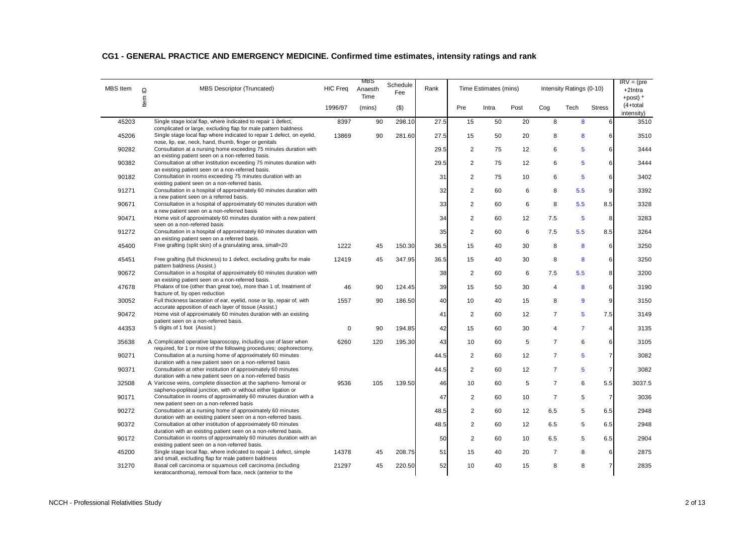| <b>MBS</b> Item | $\Box$ | <b>MBS Descriptor (Truncated)</b>                                                                                                                                                                 | <b>HIC Freq</b> | MBS<br>Anaesth<br>Time | Schedule<br>Fee | Rank |                | Time Estimates (mins) |      |                | Intensity Ratings (0-10) |                | $IRV = (pre$<br>+2Intra<br>+post) $*$ |
|-----------------|--------|---------------------------------------------------------------------------------------------------------------------------------------------------------------------------------------------------|-----------------|------------------------|-----------------|------|----------------|-----------------------|------|----------------|--------------------------|----------------|---------------------------------------|
|                 | ltem   |                                                                                                                                                                                                   | 1996/97         | (mins)                 | $($ \$)         |      | Pre            | Intra                 | Post | Cog            | Tech                     | <b>Stress</b>  | $(4+total)$<br>intensity)             |
| 45203           |        | Single stage local flap, where indicated to repair 1 defect,                                                                                                                                      | 8397            | 90                     | 298.10          | 27.5 | 15             | 50                    | 20   | 8              | 8                        | 6              | 3510                                  |
| 45206           |        | complicated or large, excluding flap for male pattern baldness<br>Single stage local flap where indicated to repair 1 defect, on eyelid,<br>nose, lip, ear, neck, hand, thumb, finger or genitals | 13869           | 90                     | 281.60          | 27.5 | 15             | 50                    | 20   | 8              | 8                        | 6              | 3510                                  |
| 90282           |        | Consultation at a nursing home exceeding 75 minutes duration with                                                                                                                                 |                 |                        |                 | 29.5 | $\overline{2}$ | 75                    | 12   | 6              | 5                        | 6              | 3444                                  |
| 90382           |        | an existing patient seen on a non-referred basis.<br>Consultation at other institution exceeding 75 minutes duration with<br>an existing patient seen on a non-referred basis.                    |                 |                        |                 | 29.5 | $\overline{2}$ | 75                    | 12   | 6              | 5                        | 6              | 3444                                  |
| 90182           |        | Consultation in rooms exceeding 75 minutes duration with an                                                                                                                                       |                 |                        |                 | 31   | $\overline{2}$ | 75                    | 10   | 6              | 5                        | 6              | 3402                                  |
| 91271           |        | existing patient seen on a non-referred basis.<br>Consultation in a hospital of approximately 60 minutes duration with<br>a new patient seen on a referred basis.                                 |                 |                        |                 | 32   | $\overline{2}$ | 60                    | 6    | 8              | 5.5                      | 9              | 3392                                  |
| 90671           |        | Consultation in a hospital of approximately 60 minutes duration with                                                                                                                              |                 |                        |                 | 33   | $\overline{2}$ | 60                    | 6    | 8              | 5.5                      | 8.5            | 3328                                  |
| 90471           |        | a new patient seen on a non-referred basis<br>Home visit of approximately 60 minutes duration with a new patient                                                                                  |                 |                        |                 | 34   | $\overline{2}$ | 60                    | 12   | 7.5            | 5                        | 8              | 3283                                  |
| 91272           |        | seen on a non-referred basis<br>Consultation in a hospital of approximately 60 minutes duration with                                                                                              |                 |                        |                 | 35   | 2              | 60                    | 6    | 7.5            | 5.5                      | 8.5            | 3264                                  |
| 45400           |        | an existing patient seen on a referred basis.<br>Free grafting (split skin) of a granulating area, small=20                                                                                       | 1222            | 45                     | 150.30          | 36.5 | 15             | 40                    | 30   | 8              | 8                        | 6              | 3250                                  |
| 45451           |        | Free grafting (full thickness) to 1 defect, excluding grafts for male<br>pattern baldness (Assist.)                                                                                               | 12419           | 45                     | 347.95          | 36.5 | 15             | 40                    | 30   | 8              | 8                        | 6              | 3250                                  |
| 90672           |        | Consultation in a hospital of approximately 60 minutes duration with                                                                                                                              |                 |                        |                 | 38   | 2              | 60                    | 6    | 7.5            | 5.5                      | 8              | 3200                                  |
| 47678           |        | an existing patient seen on a non-referred basis.<br>Phalanx of toe (other than great toe), more than 1 of, treatment of                                                                          | 46              | 90                     | 124.45          | 39   | 15             | 50                    | 30   | $\overline{4}$ | 8                        | 6              | 3190                                  |
| 30052           |        | fracture of, by open reduction<br>Full thickness laceration of ear, eyelid, nose or lip, repair of, with                                                                                          | 1557            | 90                     | 186.50          | 40   | 10             | 40                    | 15   | 8              | 9                        | 9              | 3150                                  |
| 90472           |        | accurate apposition of each layer of tissue (Assist.)<br>Home visit of approximately 60 minutes duration with an existing                                                                         |                 |                        |                 | 41   | $\overline{2}$ | 60                    | 12   | $\overline{7}$ | 5                        | 7.5            | 3149                                  |
| 44353           |        | patient seen on a non-referred basis.<br>5 digits of 1 foot (Assist.)                                                                                                                             | $\mathbf 0$     | 90                     | 194.85          | 42   | 15             | 60                    | 30   | $\overline{4}$ | $\overline{7}$           | 4              | 3135                                  |
| 35638           |        | A Complicated operative laparoscopy, including use of laser when                                                                                                                                  | 6260            | 120                    | 195.30          | 43   | 10             | 60                    | 5    | $\overline{7}$ | 6                        | 6              | 3105                                  |
| 90271           |        | required, for 1 or more of the following procedures; oophorectomy,<br>Consultation at a nursing home of approximately 60 minutes                                                                  |                 |                        |                 | 44.5 | $\overline{2}$ | 60                    | 12   | $\overline{7}$ | 5                        | 7              | 3082                                  |
| 90371           |        | duration with a new patient seen on a non-referred basis<br>Consultation at other institution of approximately 60 minutes                                                                         |                 |                        |                 | 44.5 | $\overline{2}$ | 60                    | 12   | $\overline{7}$ | 5                        | $\overline{7}$ | 3082                                  |
| 32508           |        | duration with a new patient seen on a non-referred basis<br>A Varicose veins, complete dissection at the sapheno-femoral or                                                                       | 9536            | 105                    | 139.50          | 46   | 10             | 60                    | 5    | $\overline{7}$ | 6                        | 5.5            | 3037.5                                |
| 90171           |        | sapheno-popliteal junction, with or without either ligation or<br>Consultation in rooms of approximately 60 minutes duration with a                                                               |                 |                        |                 | 47   | 2              | 60                    | 10   | $\overline{7}$ | 5                        | $\overline{7}$ | 3036                                  |
| 90272           |        | new patient seen on a non-referred basis<br>Consultation at a nursing home of approximately 60 minutes                                                                                            |                 |                        |                 | 48.5 | 2              | 60                    | 12   | 6.5            | 5                        | 6.5            | 2948                                  |
| 90372           |        | duration with an existing patient seen on a non-referred basis.<br>Consultation at other institution of approximately 60 minutes                                                                  |                 |                        |                 | 48.5 | 2              | 60                    | 12   | 6.5            | 5                        | 6.5            | 2948                                  |
| 90172           |        | duration with an existing patient seen on a non-referred basis.<br>Consultation in rooms of approximately 60 minutes duration with an                                                             |                 |                        |                 | 50   | 2              | 60                    | 10   | 6.5            | 5                        | 6.5            | 2904                                  |
| 45200           |        | existing patient seen on a non-referred basis.<br>Single stage local flap, where indicated to repair 1 defect, simple                                                                             | 14378           | 45                     | 208.75          | 51   | 15             | 40                    | 20   | $\overline{7}$ | 8                        | 6              | 2875                                  |
| 31270           |        | and small, excluding flap for male pattern baldness<br>Basal cell carcinoma or squamous cell carcinoma (including                                                                                 | 21297           | 45                     | 220.50          | 52   | 10             | 40                    | 15   | 8              | 8                        | $\overline{7}$ | 2835                                  |
|                 |        | keratocanthoma), removal from face, neck (anterior to the                                                                                                                                         |                 |                        |                 |      |                |                       |      |                |                          |                |                                       |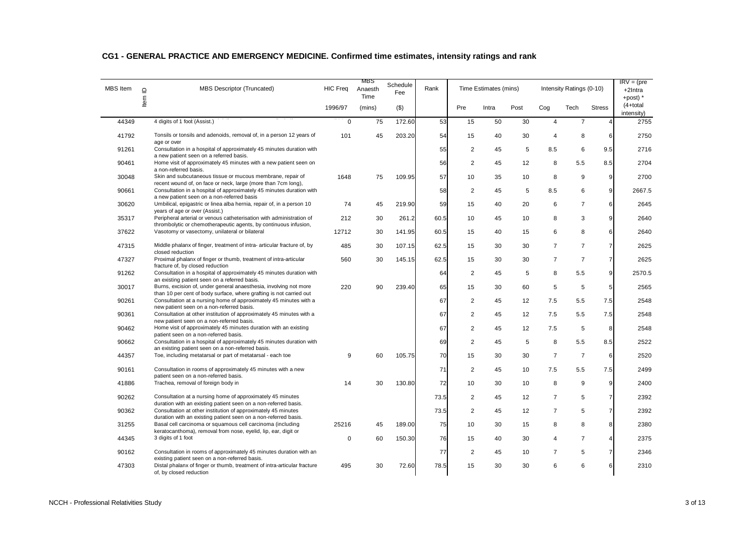| <b>MBS</b> Item | $\Box$ | <b>MBS Descriptor (Truncated)</b>                                                                                                        | <b>HIC Freq</b> | MBS<br>Anaesth<br>Time | Schedule<br>Fee | Rank |                | Time Estimates (mins) |      |                | Intensity Ratings (0-10) |                | $IRV = (pre$<br>+2Intra<br>+post) $*$ |
|-----------------|--------|------------------------------------------------------------------------------------------------------------------------------------------|-----------------|------------------------|-----------------|------|----------------|-----------------------|------|----------------|--------------------------|----------------|---------------------------------------|
|                 | ltem   |                                                                                                                                          | 1996/97         | (mins)                 | $($ \$)         |      | Pre            | Intra                 | Post | Cog            | Tech                     | <b>Stress</b>  | $(4+total)$<br>intensity)             |
| 44349           |        | 4 digits of 1 foot (Assist.)                                                                                                             | $\mathbf 0$     | 75                     | 172.60          | 53   | 15             | 50                    | 30   | $\overline{4}$ | $\overline{7}$           |                | 2755                                  |
| 41792           |        | Tonsils or tonsils and adenoids, removal of, in a person 12 years of<br>age or over                                                      | 101             | 45                     | 203.20          | 54   | 15             | 40                    | 30   | $\overline{4}$ | 8                        | 6              | 2750                                  |
| 91261           |        | Consultation in a hospital of approximately 45 minutes duration with<br>a new patient seen on a referred basis.                          |                 |                        |                 | 55   | $\overline{2}$ | 45                    | 5    | 8.5            | 6                        | 9.5            | 2716                                  |
| 90461           |        | Home visit of approximately 45 minutes with a new patient seen on<br>a non-referred basis.                                               |                 |                        |                 | 56   | $\overline{2}$ | 45                    | 12   | 8              | 5.5                      | 8.5            | 2704                                  |
| 30048           |        | Skin and subcutaneous tissue or mucous membrane, repair of<br>recent wound of, on face or neck, large (more than 7cm long),              | 1648            | 75                     | 109.95          | 57   | 10             | 35                    | 10   | 8              | 9                        | $\overline{9}$ | 2700                                  |
| 90661           |        | Consultation in a hospital of approximately 45 minutes duration with<br>a new patient seen on a non-referred basis                       |                 |                        |                 | 58   | 2              | 45                    | 5    | 8.5            | 6                        | 9              | 2667.5                                |
| 30620           |        | Umbilical, epigastric or linea alba hernia, repair of, in a person 10<br>years of age or over (Assist.)                                  | 74              | 45                     | 219.90          | 59   | 15             | 40                    | 20   | 6              | $\overline{7}$           | 6              | 2645                                  |
| 35317           |        | Peripheral arterial or venous catheterisation with administration of<br>thrombolytic or chemotherapeutic agents, by continuous infusion, | 212             | 30                     | 261.2           | 60.5 | 10             | 45                    | 10   | 8              | 3                        | 9              | 2640                                  |
| 37622           |        | Vasotomy or vasectomy, unilateral or bilateral                                                                                           | 12712           | 30                     | 141.95          | 60.5 | 15             | 40                    | 15   | 6              | 8                        | 6              | 2640                                  |
| 47315           |        | Middle phalanx of finger, treatment of intra- articular fracture of, by<br>closed reduction                                              | 485             | 30                     | 107.15          | 62.5 | 15             | 30                    | 30   | $\overline{7}$ | $\overline{7}$           | $\overline{7}$ | 2625                                  |
| 47327           |        | Proximal phalanx of finger or thumb, treatment of intra-articular<br>fracture of, by closed reduction                                    | 560             | 30                     | 145.15          | 62.5 | 15             | 30                    | 30   | $\overline{7}$ | $\overline{7}$           | $\overline{7}$ | 2625                                  |
| 91262           |        | Consultation in a hospital of approximately 45 minutes duration with<br>an existing patient seen on a referred basis.                    |                 |                        |                 | 64   | 2              | 45                    | 5    | 8              | 5.5                      | $\overline{9}$ | 2570.5                                |
| 30017           |        | Burns, excision of, under general anaesthesia, involving not more                                                                        | 220             | 90                     | 239.40          | 65   | 15             | 30                    | 60   | 5              | 5                        | 5              | 2565                                  |
| 90261           |        | than 10 per cent of body surface, where grafting is not carried out<br>Consultation at a nursing home of approximately 45 minutes with a |                 |                        |                 | 67   | 2              | 45                    | 12   | 7.5            | 5.5                      | 7.5            | 2548                                  |
| 90361           |        | new patient seen on a non-referred basis.<br>Consultation at other institution of approximately 45 minutes with a                        |                 |                        |                 | 67   | 2              | 45                    | 12   | 7.5            | 5.5                      | 7.5            | 2548                                  |
| 90462           |        | new patient seen on a non-referred basis.<br>Home visit of approximately 45 minutes duration with an existing                            |                 |                        |                 | 67   | 2              | 45                    | 12   | 7.5            | 5                        | 8              | 2548                                  |
| 90662           |        | patient seen on a non-referred basis.<br>Consultation in a hospital of approximately 45 minutes duration with                            |                 |                        |                 | 69   | 2              | 45                    | 5    | 8              | 5.5                      | 8.5            | 2522                                  |
| 44357           |        | an existing patient seen on a non-referred basis.<br>Toe, including metatarsal or part of metatarsal - each toe                          | 9               | 60                     | 105.75          | 70   | 15             | 30                    | 30   | $\overline{7}$ | $\overline{7}$           | 6              | 2520                                  |
| 90161           |        | Consultation in rooms of approximately 45 minutes with a new<br>patient seen on a non-referred basis.                                    |                 |                        |                 | 71   | 2              | 45                    | 10   | 7.5            | 5.5                      | 7.5            | 2499                                  |
| 41886           |        | Trachea, removal of foreign body in                                                                                                      | 14              | 30                     | 130.80          | 72   | 10             | 30                    | 10   | 8              | 9                        | 9              | 2400                                  |
| 90262           |        | Consultation at a nursing home of approximately 45 minutes<br>duration with an existing patient seen on a non-referred basis.            |                 |                        |                 | 73.5 | 2              | 45                    | 12   | $\overline{7}$ | 5                        | $\overline{7}$ | 2392                                  |
| 90362           |        | Consultation at other institution of approximately 45 minutes<br>duration with an existing patient seen on a non-referred basis.         |                 |                        |                 | 73.5 | 2              | 45                    | 12   | $\overline{7}$ | 5                        | $\overline{7}$ | 2392                                  |
| 31255           |        | Basal cell carcinoma or squamous cell carcinoma (including<br>keratocanthoma), removal from nose, eyelid, lip, ear, digit or             | 25216           | 45                     | 189.00          | 75   | 10             | 30                    | 15   | 8              | 8                        | 8              | 2380                                  |
| 44345           |        | 3 digits of 1 foot                                                                                                                       | $\Omega$        | 60                     | 150.30          | 76   | 15             | 40                    | 30   | $\overline{4}$ | $\overline{7}$           | 4              | 2375                                  |
| 90162           |        | Consultation in rooms of approximately 45 minutes duration with an<br>existing patient seen on a non-referred basis.                     |                 |                        |                 | 77   | 2              | 45                    | 10   | $\overline{7}$ | 5                        | $\overline{7}$ | 2346                                  |
| 47303           |        | Distal phalanx of finger or thumb, treatment of intra-articular fracture<br>of, by closed reduction                                      | 495             | 30                     | 72.60           | 78.5 | 15             | 30                    | 30   | 6              | 6                        | 6              | 2310                                  |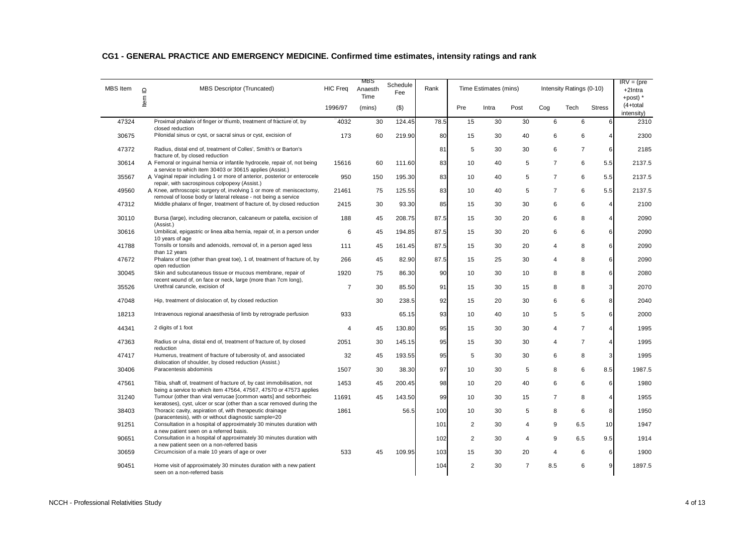| <b>MBS</b> Item | <b>MBS Descriptor (Truncated)</b><br>$\supseteq$                                                                                             | <b>HIC Freq</b> | MBS<br>Anaesth<br>Time | Schedule<br>Fee | Rank |                | Time Estimates (mins) |                |                | Intensity Ratings (0-10) |               | $IRV = (pre$<br>$+2$ Intra<br>+post) $*$ |
|-----------------|----------------------------------------------------------------------------------------------------------------------------------------------|-----------------|------------------------|-----------------|------|----------------|-----------------------|----------------|----------------|--------------------------|---------------|------------------------------------------|
|                 | Item                                                                                                                                         | 1996/97         | (mins)                 | (3)             |      | Pre            | Intra                 | Post           | Cog            | Tech                     | <b>Stress</b> | $(4+total)$<br>intensity)                |
| 47324           | Proximal phalanx of finger or thumb, treatment of fracture of, by<br>closed reduction                                                        | 4032            | 30                     | 124.45          | 78.5 | 15             | 30                    | 30             | 6              | 6                        | 6             | 2310                                     |
| 30675           | Pilonidal sinus or cyst, or sacral sinus or cyst, excision of                                                                                | 173             | 60                     | 219.90          | 80   | 15             | 30                    | 40             | 6              | 6                        | 4             | 2300                                     |
| 47372           | Radius, distal end of, treatment of Colles', Smith's or Barton's<br>fracture of, by closed reduction                                         |                 |                        |                 | 81   | 5              | 30                    | 30             | 6              | $\overline{7}$           | 6             | 2185                                     |
| 30614           | A Femoral or inguinal hernia or infantile hydrocele, repair of, not being<br>a service to which item 30403 or 30615 applies (Assist.)        | 15616           | 60                     | 111.60          | 83   | 10             | 40                    | 5              | $\overline{7}$ | 6                        | 5.5           | 2137.5                                   |
| 35567           | A Vaginal repair including 1 or more of anterior, posterior or enterocele<br>repair, with sacrospinous colpopexy (Assist.)                   | 950             | 150                    | 195.30          | 83   | 10             | 40                    | 5              | $\overline{7}$ | 6                        | 5.5           | 2137.5                                   |
| 49560           | A Knee, arthroscopic surgery of, involving 1 or more of: meniscectomy,                                                                       | 21461           | 75                     | 125.55          | 83   | 10             | 40                    | 5              | $\overline{7}$ | 6                        | 5.5           | 2137.5                                   |
| 47312           | removal of loose body or lateral release - not being a service<br>Middle phalanx of finger, treatment of fracture of, by closed reduction    | 2415            | 30                     | 93.30           | 85   | 15             | 30                    | 30             | 6              | 6                        | 4             | 2100                                     |
| 30110           | Bursa (large), including olecranon, calcaneum or patella, excision of<br>(Assist.)                                                           | 188             | 45                     | 208.75          | 87.5 | 15             | 30                    | 20             | 6              | 8                        | 4             | 2090                                     |
| 30616           | Umbilical, epigastric or linea alba hernia, repair of, in a person under<br>10 years of age                                                  | 6               | 45                     | 194.85          | 87.5 | 15             | 30                    | 20             | 6              | 6                        | 6             | 2090                                     |
| 41788           | Tonsils or tonsils and adenoids, removal of, in a person aged less<br>than 12 years                                                          | 111             | 45                     | 161.45          | 87.5 | 15             | 30                    | 20             | 4              | 8                        | 6             | 2090                                     |
| 47672           | Phalanx of toe (other than great toe), 1 of, treatment of fracture of, by<br>open reduction                                                  | 266             | 45                     | 82.90           | 87.5 | 15             | 25                    | 30             | 4              | 8                        | 6             | 2090                                     |
| 30045           | Skin and subcutaneous tissue or mucous membrane, repair of<br>recent wound of, on face or neck, large (more than 7cm long),                  | 1920            | 75                     | 86.30           | 90   | 10             | 30                    | 10             | 8              | 8                        | 6             | 2080                                     |
| 35526           | Urethral caruncle, excision of                                                                                                               | $\overline{7}$  | 30                     | 85.50           | 91   | 15             | 30                    | 15             | 8              | 8                        | 3             | 2070                                     |
| 47048           | Hip, treatment of dislocation of, by closed reduction                                                                                        |                 | 30                     | 238.5           | 92   | 15             | 20                    | 30             | 6              | 6                        | 8             | 2040                                     |
| 18213           | Intravenous regional anaesthesia of limb by retrograde perfusion                                                                             | 933             |                        | 65.15           | 93   | 10             | 40                    | 10             | 5              | 5                        | 6             | 2000                                     |
| 44341           | 2 digits of 1 foot                                                                                                                           | $\overline{4}$  | 45                     | 130.80          | 95   | 15             | 30                    | 30             | $\overline{4}$ | $\overline{7}$           | 4             | 1995                                     |
| 47363           | Radius or ulna, distal end of, treatment of fracture of, by closed<br>reduction                                                              | 2051            | 30                     | 145.15          | 95   | 15             | 30                    | 30             | 4              | $\overline{7}$           | 4             | 1995                                     |
| 47417           | Humerus, treatment of fracture of tuberosity of, and associated<br>dislocation of shoulder, by closed reduction (Assist.)                    | 32              | 45                     | 193.55          | 95   | 5              | 30                    | 30             | 6              | 8                        | 3             | 1995                                     |
| 30406           | Paracentesis abdominis                                                                                                                       | 1507            | 30                     | 38.30           | 97   | 10             | 30                    | 5              | 8              | 6                        | 8.5           | 1987.5                                   |
| 47561           | Tibia, shaft of, treatment of fracture of, by cast immobilisation, not<br>being a service to which item 47564, 47567, 47570 or 47573 applies | 1453            | 45                     | 200.45          | 98   | 10             | 20                    | 40             | 6              | 6                        | 6             | 1980                                     |
| 31240           | Tumour (other than viral verrucae [common warts] and seborrheic<br>keratoses), cyst, ulcer or scar (other than a scar removed during the     | 11691           | 45                     | 143.50          | 99   | 10             | 30                    | 15             | $\overline{7}$ | 8                        | 4             | 1955                                     |
| 38403           | Thoracic cavity, aspiration of, with therapeutic drainage<br>(paracentesis), with or without diagnostic sample=20                            | 1861            |                        | 56.5            | 100  | 10             | 30                    | 5              | 8              | 6                        | 8             | 1950                                     |
| 91251           | Consultation in a hospital of approximately 30 minutes duration with<br>a new patient seen on a referred basis.                              |                 |                        |                 | 101  | $\overline{2}$ | 30                    | 4              | 9              | 6.5                      | 10            | 1947                                     |
| 90651           | Consultation in a hospital of approximately 30 minutes duration with<br>a new patient seen on a non-referred basis                           |                 |                        |                 | 102  | $\overline{2}$ | 30                    | 4              | 9              | 6.5                      | 9.5           | 1914                                     |
| 30659           | Circumcision of a male 10 years of age or over                                                                                               | 533             | 45                     | 109.95          | 103  | 15             | 30                    | 20             | 4              | 6                        | 6             | 1900                                     |
| 90451           | Home visit of approximately 30 minutes duration with a new patient<br>seen on a non-referred basis                                           |                 |                        |                 | 104  | 2              | 30                    | $\overline{7}$ | 8.5            | 6                        | 9             | 1897.5                                   |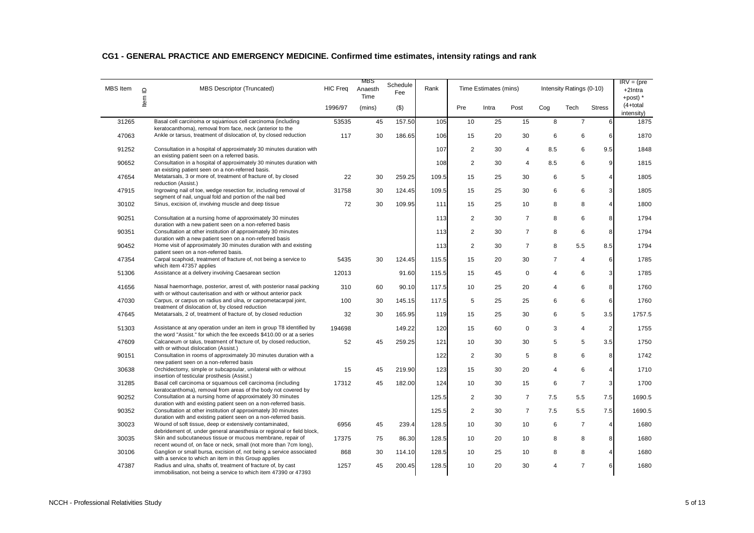| <b>MBS</b> Item | $\supseteq$ | <b>MBS Descriptor (Truncated)</b>                                                                                                           | <b>HIC Freq</b> | MBS<br>Anaesth<br>Time | Schedule<br>Fee | Rank  |                | Time Estimates (mins) |                |                         | Intensity Ratings (0-10) |                | $IRV = (pre$<br>+2Intra<br>+post) $*$ |
|-----------------|-------------|---------------------------------------------------------------------------------------------------------------------------------------------|-----------------|------------------------|-----------------|-------|----------------|-----------------------|----------------|-------------------------|--------------------------|----------------|---------------------------------------|
|                 | Item        |                                                                                                                                             | 1996/97         | (mins)                 | $($ \$)         |       | Pre            | Intra                 | Post           | Cog                     | Tech                     | <b>Stress</b>  | $(4+total)$<br>intensity)             |
| 31265           |             | Basal cell carcinoma or squamous cell carcinoma (including<br>keratocanthoma), removal from face, neck (anterior to the                     | 53535           | 45                     | 157.50          | 105   | 10             | 25                    | 15             | 8                       | $\overline{7}$           | 6              | 1875                                  |
| 47063           |             | Ankle or tarsus, treatment of dislocation of, by closed reduction                                                                           | 117             | 30                     | 186.65          | 106   | 15             | 20                    | 30             | 6                       | 6                        | 6              | 1870                                  |
| 91252           |             | Consultation in a hospital of approximately 30 minutes duration with<br>an existing patient seen on a referred basis.                       |                 |                        |                 | 107   | $\overline{2}$ | 30                    | 4              | 8.5                     | 6                        | 9.5            | 1848                                  |
| 90652           |             | Consultation in a hospital of approximately 30 minutes duration with<br>an existing patient seen on a non-referred basis.                   |                 |                        |                 | 108   | $\overline{2}$ | 30                    | $\overline{4}$ | 8.5                     | 6                        | 9              | 1815                                  |
| 47654           |             | Metatarsals, 3 or more of, treatment of fracture of, by closed<br>reduction (Assist.)                                                       | 22              | 30                     | 259.25          | 109.5 | 15             | 25                    | 30             | 6                       | 5                        | 4              | 1805                                  |
| 47915           |             | Ingrowing nail of toe, wedge resection for, including removal of<br>segment of nail, ungual fold and portion of the nail bed                | 31758           | 30                     | 124.45          | 109.5 | 15             | 25                    | 30             | 6                       | 6                        | 3              | 1805                                  |
| 30102           |             | Sinus, excision of, involving muscle and deep tissue                                                                                        | 72              | 30                     | 109.95          | 111   | 15             | 25                    | 10             | 8                       | 8                        | 4              | 1800                                  |
| 90251           |             | Consultation at a nursing home of approximately 30 minutes                                                                                  |                 |                        |                 | 113   | $\overline{2}$ | 30                    | 7              | 8                       | 6                        | 8              | 1794                                  |
| 90351           |             | duration with a new patient seen on a non-referred basis<br>Consultation at other institution of approximately 30 minutes                   |                 |                        |                 | 113   | 2              | 30                    | $\overline{7}$ | 8                       | 6                        | 8              | 1794                                  |
| 90452           |             | duration with a new patient seen on a non-referred basis<br>Home visit of approximately 30 minutes duration with and existing               |                 |                        |                 | 113   | 2              | 30                    | $\overline{7}$ | 8                       | 5.5                      | 8.5            | 1794                                  |
| 47354           |             | patient seen on a non-referred basis.<br>Carpal scaphoid, treatment of fracture of, not being a service to                                  | 5435            | 30                     | 124.45          | 115.5 | 15             | 20                    | 30             | $\overline{7}$          | $\overline{4}$           | 6              | 1785                                  |
| 51306           |             | which item 47357 applies<br>Assistance at a delivery involving Caesarean section                                                            | 12013           |                        | 91.60           | 115.5 | 15             | 45                    | $\mathbf 0$    | 4                       | 6                        | 3              | 1785                                  |
| 41656           |             | Nasal haemorrhage, posterior, arrest of, with posterior nasal packing<br>with or without cauterisation and with or without anterior pack    | 310             | 60                     | 90.10           | 117.5 | 10             | 25                    | 20             | 4                       | 6                        | 8              | 1760                                  |
| 47030           |             | Carpus, or carpus on radius and ulna, or carpometacarpal joint,<br>treatment of dislocation of, by closed reduction                         | 100             | 30                     | 145.15          | 117.5 | 5              | 25                    | 25             | 6                       | 6                        | 6              | 1760                                  |
| 47645           |             | Metatarsals, 2 of, treatment of fracture of, by closed reduction                                                                            | 32              | 30                     | 165.95          | 119   | 15             | 25                    | 30             | 6                       | 5                        | 3.5            | 1757.5                                |
| 51303           |             | Assistance at any operation under an item in group T8 identified by<br>the word "Assist." for which the fee exceeds \$410,00 or at a series | 194698          |                        | 149.22          | 120   | 15             | 60                    | $\mathbf 0$    | 3                       | 4                        | $\overline{2}$ | 1755                                  |
| 47609           |             | Calcaneum or talus, treatment of fracture of, by closed reduction,<br>with or without dislocation (Assist.)                                 | 52              | 45                     | 259.25          | 121   | 10             | 30                    | 30             | 5                       | 5                        | 3.5            | 1750                                  |
| 90151           |             | Consultation in rooms of approximately 30 minutes duration with a<br>new patient seen on a non-referred basis                               |                 |                        |                 | 122   | 2              | 30                    | 5              | 8                       | 6                        | 8              | 1742                                  |
| 30638           |             | Orchidectomy, simple or subcapsular, unilateral with or without<br>insertion of testicular prosthesis (Assist.)                             | 15              | 45                     | 219.90          | 123   | 15             | 30                    | 20             | $\overline{4}$          | 6                        | 4              | 1710                                  |
| 31285           |             | Basal cell carcinoma or squamous cell carcinoma (including<br>keratocanthoma), removal from areas of the body not covered by                | 17312           | 45                     | 182.00          | 124   | 10             | 30                    | 15             | 6                       | $\overline{7}$           | 3              | 1700                                  |
| 90252           |             | Consultation at a nursing home of approximately 30 minutes<br>duration with and existing patient seen on a non-referred basis.              |                 |                        |                 | 125.5 | 2              | 30                    | $\overline{7}$ | 7.5                     | 5.5                      | 7.5            | 1690.5                                |
| 90352           |             | Consultation at other institution of approximately 30 minutes<br>duration with and existing patient seen on a non-referred basis.           |                 |                        |                 | 125.5 | 2              | 30                    | $\overline{7}$ | 7.5                     | 5.5                      | 7.5            | 1690.5                                |
| 30023           |             | Wound of soft tissue, deep or extensively contaminated,<br>debridement of, under general anaesthesia or regional or field block,            | 6956            | 45                     | 239.4           | 128.5 | 10             | 30                    | 10             | 6                       | $\overline{7}$           | $\overline{4}$ | 1680                                  |
| 30035           |             | Skin and subcutaneous tissue or mucous membrane, repair of<br>recent wound of, on face or neck, small (not more than 7cm long),             | 17375           | 75                     | 86.30           | 128.5 | 10             | 20                    | 10             | 8                       | 8                        | 8              | 1680                                  |
| 30106           |             | Ganglion or small bursa, excision of, not being a service associated<br>with a service to which an item in this Group applies               | 868             | 30                     | 114.10          | 128.5 | 10             | 25                    | 10             | 8                       | 8                        | 4              | 1680                                  |
| 47387           |             | Radius and ulna, shafts of, treatment of fracture of, by cast<br>immobilisation, not being a service to which item 47390 or 47393           | 1257            | 45                     | 200.45          | 128.5 | 10             | 20                    | 30             | $\overline{\mathbf{A}}$ | $\overline{7}$           | $6 \mid$       | 1680                                  |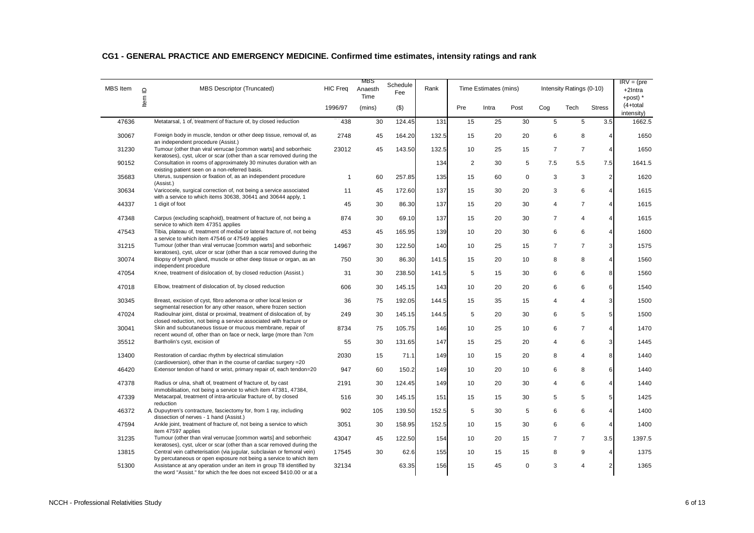| <b>MBS</b> Item | $\Box$ | MBS Descriptor (Truncated)                                                                                                                                           | <b>HIC Freq</b> | MBS<br>Anaesth<br>Time | Schedule<br>Fee | Rank  |     | Time Estimates (mins) |             |                 | Intensity Ratings (0-10) |                | $IRV = (pre$<br>+2Intra<br>+post) $*$ |
|-----------------|--------|----------------------------------------------------------------------------------------------------------------------------------------------------------------------|-----------------|------------------------|-----------------|-------|-----|-----------------------|-------------|-----------------|--------------------------|----------------|---------------------------------------|
|                 | Item   |                                                                                                                                                                      | 1996/97         | (mins)                 | $($ \$)         |       | Pre | Intra                 | Post        | Co <sub>g</sub> | Tech                     | <b>Stress</b>  | $(4+total)$<br>intensity)             |
| 47636           |        | Metatarsal, 1 of, treatment of fracture of, by closed reduction                                                                                                      | 438             | 30                     | 124.45          | 131   | 15  | 25                    | 30          | 5               | 5                        | 3.5            | 1662.5                                |
| 30067           |        | Foreign body in muscle, tendon or other deep tissue, removal of, as<br>an independent procedure (Assist.)                                                            | 2748            | 45                     | 164.20          | 132.5 | 15  | 20                    | 20          | 6               | 8                        | $\overline{4}$ | 1650                                  |
| 31230           |        | Tumour (other than viral verrucae [common warts] and seborrheic<br>keratoses), cyst, ulcer or scar (other than a scar removed during the                             | 23012           | 45                     | 143.50          | 132.5 | 10  | 25                    | 15          | $\overline{7}$  | $\overline{7}$           | $\overline{4}$ | 1650                                  |
| 90152           |        | Consultation in rooms of approximately 30 minutes duration with an<br>existing patient seen on a non-referred basis.                                                 |                 |                        |                 | 134   | 2   | 30                    | 5           | 7.5             | 5.5                      | 7.5            | 1641.5                                |
| 35683           |        | Uterus, suspension or fixation of, as an independent procedure<br>(Assist.)                                                                                          | $\mathbf{1}$    | 60                     | 257.85          | 135   | 15  | 60                    | $\mathbf 0$ | 3               | 3                        | $\overline{2}$ | 1620                                  |
| 30634           |        | Varicocele, surgical correction of, not being a service associated<br>with a service to which items 30638, 30641 and 30644 apply, 1                                  | 11              | 45                     | 172.60          | 137   | 15  | 30                    | 20          | 3               | 6                        | $\overline{4}$ | 1615                                  |
| 44337           |        | 1 digit of foot                                                                                                                                                      | 45              | 30                     | 86.30           | 137   | 15  | 20                    | 30          | $\overline{4}$  | $\overline{7}$           | $\overline{4}$ | 1615                                  |
| 47348           |        | Carpus (excluding scaphoid), treatment of fracture of, not being a<br>service to which item 47351 applies                                                            | 874             | 30                     | 69.10           | 137   | 15  | 20                    | 30          | 7               | 4                        | 4              | 1615                                  |
| 47543           |        | Tibia, plateau of, treatment of medial or lateral fracture of, not being<br>a service to which item 47546 or 47549 applies                                           | 453             | 45                     | 165.95          | 139   | 10  | 20                    | 30          | 6               | 6                        | 4              | 1600                                  |
| 31215           |        | Tumour (other than viral verrucae [common warts] and seborrheic                                                                                                      | 14967           | 30                     | 122.50          | 140   | 10  | 25                    | 15          | $\overline{7}$  | $\overline{7}$           | 3              | 1575                                  |
| 30074           |        | keratoses), cyst, ulcer or scar (other than a scar removed during the<br>Biopsy of lymph gland, muscle or other deep tissue or organ, as an<br>independent procedure | 750             | 30                     | 86.30           | 141.5 | 15  | 20                    | 10          | 8               | 8                        | $\overline{4}$ | 1560                                  |
| 47054           |        | Knee, treatment of dislocation of, by closed reduction (Assist.)                                                                                                     | 31              | 30                     | 238.50          | 141.5 | 5   | 15                    | 30          | 6               | 6                        | 8              | 1560                                  |
| 47018           |        | Elbow, treatment of dislocation of, by closed reduction                                                                                                              | 606             | 30                     | 145.15          | 143   | 10  | 20                    | 20          | 6               | 6                        | 6              | 1540                                  |
| 30345           |        | Breast, excision of cyst, fibro adenoma or other local lesion or<br>segmental resection for any other reason, where frozen section                                   | 36              | 75                     | 192.05          | 144.5 | 15  | 35                    | 15          | $\overline{4}$  | $\overline{4}$           | 3              | 1500                                  |
| 47024           |        | Radioulnar joint, distal or proximal, treatment of dislocation of, by<br>closed reduction, not being a service associated with fracture or                           | 249             | 30                     | 145.15          | 144.5 | 5   | 20                    | 30          | 6               | 5                        | 5              | 1500                                  |
| 30041           |        | Skin and subcutaneous tissue or mucous membrane, repair of                                                                                                           | 8734            | 75                     | 105.75          | 146   | 10  | 25                    | 10          | 6               | $\overline{7}$           | $\overline{4}$ | 1470                                  |
| 35512           |        | recent wound of, other than on face or neck, large (more than 7cm<br>Bartholin's cyst, excision of                                                                   | 55              | 30                     | 131.65          | 147   | 15  | 25                    | 20          | $\overline{4}$  | 6                        | $\mathbf{3}$   | 1445                                  |
| 13400           |        | Restoration of cardiac rhythm by electrical stimulation                                                                                                              | 2030            | 15                     | 71.1            | 149   | 10  | 15                    | 20          | 8               | 4                        | 8              | 1440                                  |
| 46420           |        | (cardioversion), other than in the course of cardiac surgery = 20<br>Extensor tendon of hand or wrist, primary repair of, each tendon=20                             | 947             | 60                     | 150.2           | 149   | 10  | 20                    | 10          | 6               | 8                        | 6              | 1440                                  |
| 47378           |        | Radius or ulna, shaft of, treatment of fracture of, by cast<br>immobilisation, not being a service to which item 47381, 47384,                                       | 2191            | 30                     | 124.45          | 149   | 10  | 20                    | 30          | $\overline{4}$  | 6                        | $\overline{4}$ | 1440                                  |
| 47339           |        | Metacarpal, treatment of intra-articular fracture of, by closed<br>reduction                                                                                         | 516             | 30                     | 145.15          | 151   | 15  | 15                    | 30          | 5               | 5                        | $\overline{5}$ | 1425                                  |
| 46372           |        | A Dupuytren's contracture, fasciectomy for, from 1 ray, including<br>dissection of nerves - 1 hand (Assist.)                                                         | 902             | 105                    | 139.50          | 152.5 | 5   | 30                    | 5           | 6               | 6                        | $\overline{4}$ | 1400                                  |
| 47594           |        | Ankle joint, treatment of fracture of, not being a service to which<br>item 47597 applies                                                                            | 3051            | 30                     | 158.95          | 152.5 | 10  | 15                    | 30          | 6               | 6                        | $\overline{4}$ | 1400                                  |
| 31235           |        | Tumour (other than viral verrucae [common warts] and seborrheic<br>keratoses), cyst, ulcer or scar (other than a scar removed during the                             | 43047           | 45                     | 122.50          | 154   | 10  | 20                    | 15          | $\overline{7}$  | $\overline{7}$           | 3.5            | 1397.5                                |
| 13815           |        | Central vein catheterisation (via jugular, subclavian or femoral vein)<br>by percutaneous or open exposure not being a service to which item                         | 17545           | 30                     | 62.6            | 155   | 10  | 15                    | 15          | 8               | 9                        | $\overline{4}$ | 1375                                  |
| 51300           |        | Assistance at any operation under an item in group T8 identified by<br>the word "Assist." for which the fee does not exceed \$410.00 or at a                         | 32134           |                        | 63.35           | 156   | 15  | 45                    | $\Omega$    | 3               | $\overline{4}$           | $\overline{2}$ | 1365                                  |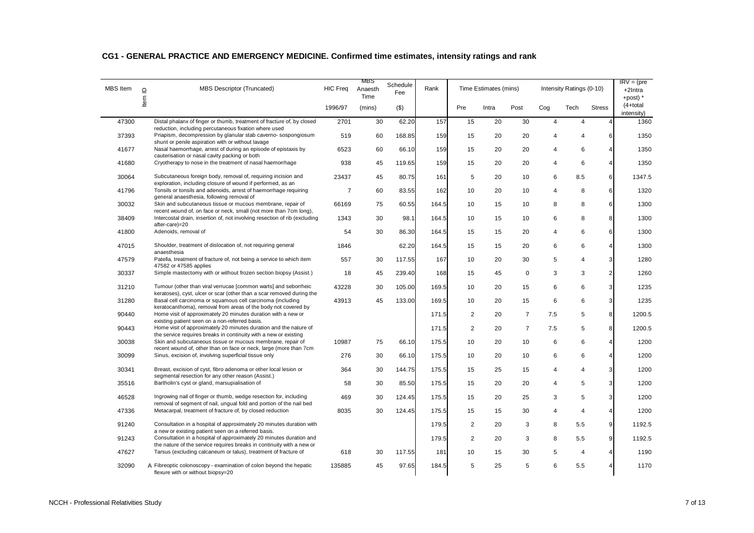| <b>MBS</b> Item | $\supseteq$ | <b>MBS Descriptor (Truncated)</b>                                                                                                                                            | <b>HIC Freq</b> | MBS<br>Anaesth<br>Time | Schedule<br>Fee | Rank  |                | Time Estimates (mins) |                |                | Intensity Ratings (0-10) |                | $IRV = (pre$<br>$+2$ Intra<br>+post) $*$ |
|-----------------|-------------|------------------------------------------------------------------------------------------------------------------------------------------------------------------------------|-----------------|------------------------|-----------------|-------|----------------|-----------------------|----------------|----------------|--------------------------|----------------|------------------------------------------|
|                 | ltem        |                                                                                                                                                                              | 1996/97         | (mins)                 | $($ \$)         |       | Pre            | Intra                 | Post           | Cog            | Tech                     | <b>Stress</b>  | $(4+total)$<br>intensity)                |
| 47300           |             | Distal phalanx of finger or thumb, treatment of fracture of, by closed<br>reduction, including percutaneous fixation where used                                              | 2701            | 30                     | 62.20           | 157   | 15             | 20                    | 30             | $\overline{4}$ | $\overline{4}$           | $\overline{4}$ | 1360                                     |
| 37393           |             | Priapism, decompression by glanular stab caverno-sospongiosum<br>shunt or penile aspiration with or without lavage                                                           | 519             | 60                     | 168.85          | 159   | 15             | 20                    | 20             | 4              | 4                        | 6              | 1350                                     |
| 41677           |             | Nasal haemorrhage, arrest of during an episode of epistaxis by<br>cauterisation or nasal cavity packing or both                                                              | 6523            | 60                     | 66.10           | 159   | 15             | 20                    | 20             | 4              | 6                        | $\overline{4}$ | 1350                                     |
| 41680           |             | Cryotherapy to nose in the treatment of nasal haemorrhage                                                                                                                    | 938             | 45                     | 119.65          | 159   | 15             | 20                    | 20             | 4              | 6                        | $\overline{4}$ | 1350                                     |
| 30064           |             | Subcutaneous foreign body, removal of, requiring incision and                                                                                                                | 23437           | 45                     | 80.75           | 161   | 5              | 20                    | 10             | 6              | 8.5                      | 6              | 1347.5                                   |
| 41796           |             | exploration, including closure of wound if performed, as an<br>Tonsils or tonsils and adenoids, arrest of haemorrhage requiring<br>general anaesthesia, following removal of | $\overline{7}$  | 60                     | 83.55           | 162   | 10             | 20                    | 10             | 4              | 8                        | 6              | 1320                                     |
| 30032           |             | Skin and subcutaneous tissue or mucous membrane, repair of                                                                                                                   | 66169           | 75                     | 60.55           | 164.5 | 10             | 15                    | 10             | 8              | 8                        | 6              | 1300                                     |
| 38409           |             | recent wound of, on face or neck, small (not more than 7cm long),<br>Intercostal drain, insertion of, not involving resection of rib (excluding                              | 1343            | 30                     | 98.1            | 164.5 | 10             | 15                    | 10             | 6              | 8                        | 8              | 1300                                     |
| 41800           |             | after-care)=20<br>Adenoids, removal of                                                                                                                                       | 54              | 30                     | 86.30           | 164.5 | 15             | 15                    | 20             | 4              | 6                        | $6\phantom{a}$ | 1300                                     |
| 47015           |             | Shoulder, treatment of dislocation of, not requiring general                                                                                                                 | 1846            |                        | 62.20           | 164.5 | 15             | 15                    | 20             | 6              | 6                        | $\overline{4}$ | 1300                                     |
| 47579           |             | anaesthesia<br>Patella, treatment of fracture of, not being a service to which item                                                                                          | 557             | 30                     | 117.55          | 167   | 10             | 20                    | 30             | 5              | $\overline{4}$           | 3              | 1280                                     |
| 30337           |             | 47582 or 47585 applies<br>Simple mastectomy with or without frozen section biopsy (Assist.)                                                                                  | 18              | 45                     | 239.40          | 168   | 15             | 45                    | 0              | 3              | 3                        | $\overline{2}$ | 1260                                     |
| 31210           |             | Tumour (other than viral verrucae [common warts] and seborrheic                                                                                                              | 43228           | 30                     | 105.00          | 169.5 | 10             | 20                    | 15             | 6              | 6                        | 3              | 1235                                     |
| 31280           |             | keratoses), cyst, ulcer or scar (other than a scar removed during the<br>Basal cell carcinoma or squamous cell carcinoma (including                                          | 43913           | 45                     | 133.00          | 169.5 | 10             | 20                    | 15             | 6              | 6                        | 3              | 1235                                     |
| 90440           |             | keratocanthoma), removal from areas of the body not covered by<br>Home visit of approximately 20 minutes duration with a new or                                              |                 |                        |                 | 171.5 | $\overline{2}$ | 20                    | $\overline{7}$ | 7.5            | 5                        | 8              | 1200.5                                   |
| 90443           |             | existing patient seen on a non-referred basis.<br>Home visit of approximately 20 minutes duration and the nature of                                                          |                 |                        |                 | 171.5 | $\overline{c}$ | 20                    | $\overline{7}$ | 7.5            | 5                        | 8              | 1200.5                                   |
| 30038           |             | the service requires breaks in continuity with a new or existing<br>Skin and subcutaneous tissue or mucous membrane, repair of                                               | 10987           | 75                     | 66.10           | 175.5 | 10             | 20                    | 10             | 6              | 6                        | $\overline{4}$ | 1200                                     |
| 30099           |             | recent wound of, other than on face or neck, large (more than 7cm<br>Sinus, excision of, involving superficial tissue only                                                   | 276             | 30                     | 66.10           | 175.5 | 10             | 20                    | 10             | 6              | 6                        | $\overline{4}$ | 1200                                     |
| 30341           |             | Breast, excision of cyst, fibro adenoma or other local lesion or                                                                                                             | 364             | 30                     | 144.75          | 175.5 | 15             | 25                    | 15             | 4              | 4                        | $\mathbf{3}$   | 1200                                     |
| 35516           |             | segmental resection for any other reason (Assist.)<br>Bartholin's cyst or gland, marsupialisation of                                                                         | 58              | 30                     | 85.50           | 175.5 | 15             | 20                    | 20             | 4              | 5                        | $\overline{3}$ | 1200                                     |
| 46528           |             | Ingrowing nail of finger or thumb, wedge resection for, including                                                                                                            | 469             | 30                     | 124.45          | 175.5 | 15             | 20                    | 25             | 3              | 5                        | 3              | 1200                                     |
| 47336           |             | removal of segment of nail, ungual fold and portion of the nail bed<br>Metacarpal, treatment of fracture of, by closed reduction                                             | 8035            | 30                     | 124.45          | 175.5 | 15             | 15                    | 30             | 4              | $\overline{4}$           | $\overline{4}$ | 1200                                     |
| 91240           |             | Consultation in a hospital of approximately 20 minutes duration with                                                                                                         |                 |                        |                 | 179.5 | $\overline{2}$ | 20                    | 3              | 8              | 5.5                      | $\overline{9}$ | 1192.5                                   |
| 91243           |             | a new or existing patient seen on a referred basis.<br>Consultation in a hospital of approximately 20 minutes duration and                                                   |                 |                        |                 | 179.5 | 2              | 20                    | 3              | 8              | 5.5                      | 9              | 1192.5                                   |
| 47627           |             | the nature of the service requires breaks in continuity with a new or<br>Tarsus (excluding calcaneum or talus), treatment of fracture of                                     | 618             | 30                     | 117.55          | 181   | 10             | 15                    | 30             | 5              | 4                        | 4              | 1190                                     |
| 32090           |             | A Fibreoptic colonoscopy - examination of colon beyond the hepatic<br>flexure with or without biopsy=20                                                                      | 135885          | 45                     | 97.65           | 184.5 | 5              | 25                    | 5              | 6              | 5.5                      | $\overline{4}$ | 1170                                     |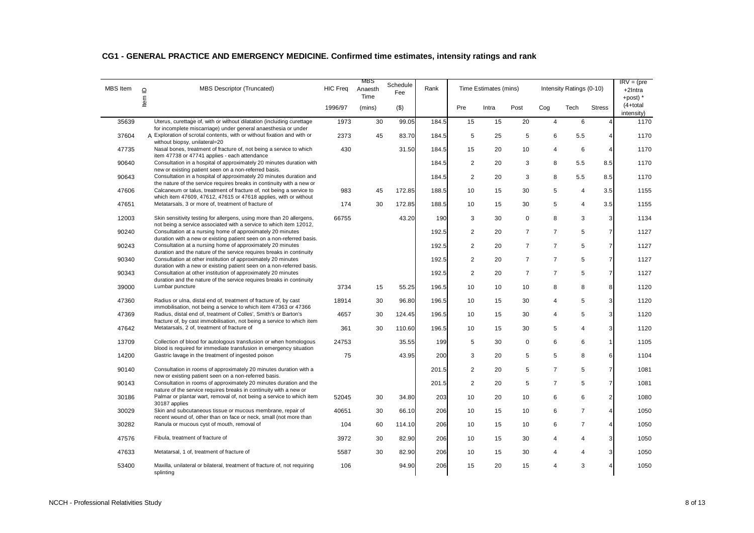| <b>MBS</b> Item | $\supseteq$ | <b>MBS Descriptor (Truncated)</b>                                                                                                                                                                                 | <b>HIC Freq</b> | MBS<br>Anaesth<br>Time | Schedule<br>Fee | Rank  |                | Time Estimates (mins) |                |                | Intensity Ratings (0-10) |                | $IRV = (pre$<br>+2Intra<br>+post) $*$ |
|-----------------|-------------|-------------------------------------------------------------------------------------------------------------------------------------------------------------------------------------------------------------------|-----------------|------------------------|-----------------|-------|----------------|-----------------------|----------------|----------------|--------------------------|----------------|---------------------------------------|
|                 | ltem        |                                                                                                                                                                                                                   | 1996/97         | (mins)                 | $($ \$)         |       | Pre            | Intra                 | Post           | Cog            | Tech                     | <b>Stress</b>  | $(4+total)$<br>intensity)             |
| 35639           |             | Uterus, curettage of, with or without dilatation (including curettage                                                                                                                                             | 1973            | 30                     | 99.05           | 184.5 | 15             | 15                    | 20             | $\overline{4}$ | 6                        | $\overline{4}$ | 1170                                  |
| 37604           |             | for incomplete miscarriage) under general anaesthesia or under<br>A Exploration of scrotal contents, with or without fixation and with or<br>without biopsy, unilateral=20                                        | 2373            | 45                     | 83.70           | 184.5 | 5              | 25                    | 5              | 6              | 5.5                      | 4              | 1170                                  |
| 47735           |             | Nasal bones, treatment of fracture of, not being a service to which                                                                                                                                               | 430             |                        | 31.50           | 184.5 | 15             | 20                    | 10             | 4              | 6                        | $\overline{4}$ | 1170                                  |
| 90640           |             | item 47738 or 47741 applies - each attendance<br>Consultation in a hospital of approximately 20 minutes duration with<br>new or existing patient seen on a non-referred basis.                                    |                 |                        |                 | 184.5 | 2              | 20                    | 3              | 8              | 5.5                      | 8.5            | 1170                                  |
| 90643           |             | Consultation in a hospital of approximately 20 minutes duration and                                                                                                                                               |                 |                        |                 | 184.5 | $\overline{2}$ | 20                    | 3              | 8              | 5.5                      | 8.5            | 1170                                  |
| 47606           |             | the nature of the service requires breaks in continuity with a new or<br>Calcaneum or talus, treatment of fracture of, not being a service to<br>which item 47609, 47612, 47615 or 47618 applies, with or without | 983             | 45                     | 172.85          | 188.5 | 10             | 15                    | 30             | 5              | $\overline{4}$           | 3.5            | 1155                                  |
| 47651           |             | Metatarsals, 3 or more of, treatment of fracture of                                                                                                                                                               | 174             | 30                     | 172.85          | 188.5 | 10             | 15                    | 30             | 5              | $\overline{4}$           | 3.5            | 1155                                  |
| 12003           |             | Skin sensitivity testing for allergens, using more than 20 allergens,<br>not being a service associated with a service to which item 12012,                                                                       | 66755           |                        | 43.20           | 190   | 3              | 30                    | $\mathbf 0$    | 8              | 3                        | 3              | 1134                                  |
| 90240           |             | Consultation at a nursing home of approximately 20 minutes<br>duration with a new or existing patient seen on a non-referred basis.                                                                               |                 |                        |                 | 192.5 | $\overline{c}$ | 20                    | $\overline{7}$ | $\overline{7}$ | 5                        | $\overline{7}$ | 1127                                  |
| 90243           |             | Consultation at a nursing home of approximately 20 minutes<br>duration and the nature of the service requires breaks in continuity                                                                                |                 |                        |                 | 192.5 | 2              | 20                    | $\overline{7}$ | $\overline{7}$ | 5                        | $\overline{7}$ | 1127                                  |
| 90340           |             | Consultation at other institution of approximately 20 minutes                                                                                                                                                     |                 |                        |                 | 192.5 | $\overline{2}$ | 20                    | $\overline{7}$ | $\overline{7}$ | 5                        | $\overline{7}$ | 1127                                  |
| 90343           |             | duration with a new or existing patient seen on a non-referred basis.<br>Consultation at other institution of approximately 20 minutes                                                                            |                 |                        |                 | 192.5 | $\overline{2}$ | 20                    | $\overline{7}$ | $\overline{7}$ | 5                        | $\overline{7}$ | 1127                                  |
| 39000           |             | duration and the nature of the service requires breaks in continuity<br>Lumbar puncture                                                                                                                           | 3734            | 15                     | 55.25           | 196.5 | 10             | 10                    | 10             | 8              | 8                        | 8              | 1120                                  |
| 47360           |             | Radius or ulna, distal end of, treatment of fracture of, by cast<br>immobilisation, not being a service to which item 47363 or 47366                                                                              | 18914           | 30                     | 96.80           | 196.5 | 10             | 15                    | 30             | 4              | 5                        | 3              | 1120                                  |
| 47369           |             | Radius, distal end of, treatment of Colles', Smith's or Barton's<br>fracture of, by cast immobilisation, not being a service to which item                                                                        | 4657            | 30                     | 124.45          | 196.5 | 10             | 15                    | 30             | 4              | 5                        | 3              | 1120                                  |
| 47642           |             | Metatarsals, 2 of, treatment of fracture of                                                                                                                                                                       | 361             | 30                     | 110.60          | 196.5 | 10             | 15                    | 30             | 5              | 4                        | 3              | 1120                                  |
| 13709           |             | Collection of blood for autologous transfusion or when homologous<br>blood is required for immediate transfusion in emergency situation                                                                           | 24753           |                        | 35.55           | 199   | 5              | 30                    | 0              | 6              | 6                        | $\mathbf{1}$   | 1105                                  |
| 14200           |             | Gastric lavage in the treatment of ingested poison                                                                                                                                                                | 75              |                        | 43.95           | 200   | 3              | 20                    | 5              | 5              | 8                        | 6              | 1104                                  |
| 90140           |             | Consultation in rooms of approximately 20 minutes duration with a<br>new or existing patient seen on a non-referred basis.                                                                                        |                 |                        |                 | 201.5 | $\overline{2}$ | 20                    | 5              | $\overline{7}$ | 5                        | $\overline{7}$ | 1081                                  |
| 90143           |             | Consultation in rooms of approximately 20 minutes duration and the<br>nature of the service requires breaks in continuity with a new or                                                                           |                 |                        |                 | 201.5 | 2              | 20                    | 5              | $\overline{7}$ | 5                        | $\overline{7}$ | 1081                                  |
| 30186           |             | Palmar or plantar wart, removal of, not being a service to which item<br>30187 applies                                                                                                                            | 52045           | 30                     | 34.80           | 203   | 10             | 20                    | 10             | 6              | 6                        | $\overline{2}$ | 1080                                  |
| 30029           |             | Skin and subcutaneous tissue or mucous membrane, repair of<br>recent wound of, other than on face or neck, small (not more than                                                                                   | 40651           | 30                     | 66.10           | 206   | 10             | 15                    | 10             | 6              | $\overline{7}$           | $\overline{4}$ | 1050                                  |
| 30282           |             | Ranula or mucous cyst of mouth, removal of                                                                                                                                                                        | 104             | 60                     | 114.10          | 206   | 10             | 15                    | 10             | 6              | $\overline{7}$           | $\overline{4}$ | 1050                                  |
| 47576           |             | Fibula, treatment of fracture of                                                                                                                                                                                  | 3972            | 30                     | 82.90           | 206   | 10             | 15                    | 30             | 4              | 4                        | 3              | 1050                                  |
| 47633           |             | Metatarsal, 1 of, treatment of fracture of                                                                                                                                                                        | 5587            | 30                     | 82.90           | 206   | 10             | 15                    | 30             | 4              | 4                        | 3              | 1050                                  |
| 53400           |             | Maxilla, unilateral or bilateral, treatment of fracture of, not requiring<br>splinting                                                                                                                            | 106             |                        | 94.90           | 206   | 15             | 20                    | 15             | 4              | 3                        | 4              | 1050                                  |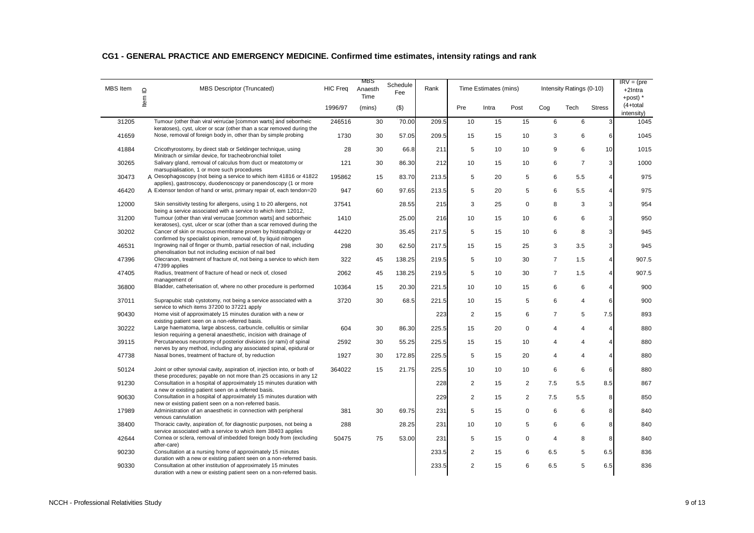| <b>MBS</b> Item | MBS Descriptor (Truncated)<br>$\supseteq$                                                                                                                                                        | <b>HIC Freq</b> | MBS<br>Anaesth<br>Time | Schedule<br>Fee | Rank  |                | Time Estimates (mins) |                |                | Intensity Ratings (0-10) |                  | $IRV = (pre$<br>+2Intra<br>+post) $*$ |
|-----------------|--------------------------------------------------------------------------------------------------------------------------------------------------------------------------------------------------|-----------------|------------------------|-----------------|-------|----------------|-----------------------|----------------|----------------|--------------------------|------------------|---------------------------------------|
|                 | Item                                                                                                                                                                                             | 1996/97         | (mins)                 | $($ \$)         |       | Pre            | Intra                 | Post           | Cog            | Tech                     | <b>Stress</b>    | $(4+total)$<br>intensity)             |
| 31205           | Tumour (other than viral verrucae [common warts] and seborrheic<br>keratoses), cyst, ulcer or scar (other than a scar removed during the                                                         | 246516          | 30                     | 70.00           | 209.5 | 10             | 15                    | 15             | 6              | 6                        | 3                | 1045                                  |
| 41659           | Nose, removal of foreign body in, other than by simple probing                                                                                                                                   | 1730            | 30                     | 57.05           | 209.5 | 15             | 15                    | 10             | 3              | 6                        | 6                | 1045                                  |
| 41884           | Cricothyrostomy, by direct stab or Seldinger technique, using<br>Minitrach or similar device, for tracheobronchial toilet                                                                        | 28              | 30                     | 66.8            | 211   | 5              | 10                    | 10             | 9              | 6                        | 10               | 1015                                  |
| 30265           | Salivary gland, removal of calculus from duct or meatotomy or<br>marsupialisation, 1 or more such procedures                                                                                     | 121             | 30                     | 86.30           | 212   | 10             | 15                    | 10             | 6              | $\overline{7}$           | 3                | 1000                                  |
| 30473           | A Oesophagoscopy (not being a service to which item 41816 or 41822                                                                                                                               | 195862          | 15                     | 83.70           | 213.5 | 5              | 20                    | 5              | 6              | 5.5                      | $\overline{4}$   | 975                                   |
| 46420           | applies), gastroscopy, duodenoscopy or panendoscopy (1 or more<br>A Extensor tendon of hand or wrist, primary repair of, each tendon=20                                                          | 947             | 60                     | 97.65           | 213.5 | 5              | 20                    | 5              | 6              | 5.5                      | $\overline{4}$   | 975                                   |
| 12000           | Skin sensitivity testing for allergens, using 1 to 20 allergens, not                                                                                                                             | 37541           |                        | 28.55           | 215   | 3              | 25                    | 0              | 8              | 3                        | 3                | 954                                   |
| 31200           | being a service associated with a service to which item 12012,<br>Tumour (other than viral verrucae [common warts] and seborrheic                                                                | 1410            |                        | 25.00           | 216   | 10             | 15                    | 10             | 6              | 6                        | 3                | 950                                   |
| 30202           | keratoses), cyst, ulcer or scar (other than a scar removed during the<br>Cancer of skin or mucous membrane proven by histopathology or                                                           | 44220           |                        | 35.45           | 217.5 | 5              | 15                    | 10             | 6              | 8                        | 3                | 945                                   |
| 46531           | confirmed by specialist opinion, removal of, by liquid nitrogen<br>Ingrowing nail of finger or thumb, partial resection of nail, including                                                       | 298             | 30                     | 62.50           | 217.5 | 15             | 15                    | 25             | 3              | 3.5                      | 3                | 945                                   |
| 47396           | phenolisation but not including excision of nail bed<br>Olecranon, treatment of fracture of, not being a service to which item                                                                   | 322             | 45                     | 138.25          | 219.5 | 5              | 10                    | 30             | $\overline{7}$ | 1.5                      | $\overline{4}$   | 907.5                                 |
| 47405           | 47399 applies<br>Radius, treatment of fracture of head or neck of, closed                                                                                                                        | 2062            | 45                     | 138.25          | 219.5 | 5              | 10                    | 30             | $\overline{7}$ | 1.5                      | $\overline{4}$   | 907.5                                 |
| 36800           | management of<br>Bladder, catheterisation of, where no other procedure is performed                                                                                                              | 10364           | 15                     | 20.30           | 221.5 | 10             | 10                    | 15             | 6              | 6                        | $\overline{4}$   | 900                                   |
| 37011           | Suprapubic stab cystotomy, not being a service associated with a                                                                                                                                 | 3720            | 30                     | 68.5            | 221.5 | 10             | 15                    | 5              | 6              | $\overline{4}$           | $6 \overline{6}$ | 900                                   |
| 90430           | service to which items 37200 to 37221 apply<br>Home visit of approximately 15 minutes duration with a new or                                                                                     |                 |                        |                 | 223   | 2              | 15                    | 6              | $\overline{7}$ | 5                        | 7.5              | 893                                   |
| 30222           | existing patient seen on a non-referred basis.<br>Large haematoma, large abscess, carbuncle, cellulitis or similar                                                                               | 604             | 30                     | 86.30           | 225.5 | 15             | 20                    | 0              | 4              | $\overline{4}$           | $\overline{4}$   | 880                                   |
| 39115           | lesion requiring a general anaesthetic, incision with drainage of<br>Percutaneous neurotomy of posterior divisions (or rami) of spinal                                                           | 2592            | 30                     | 55.25           | 225.5 | 15             | 15                    | 10             | 4              | 4                        | $\overline{4}$   | 880                                   |
| 47738           | nerves by any method, including any associated spinal, epidural or<br>Nasal bones, treatment of fracture of, by reduction                                                                        | 1927            | 30                     | 172.85          | 225.5 | 5              | 15                    | 20             | 4              | $\overline{4}$           | $\overline{4}$   | 880                                   |
| 50124           | Joint or other synovial cavity, aspiration of, injection into, or both of                                                                                                                        | 364022          | 15                     | 21.75           | 225.5 | 10             | 10                    | 10             | 6              | 6                        | 6                | 880                                   |
| 91230           | these procedures; payable on not more than 25 occasions in any 12<br>Consultation in a hospital of approximately 15 minutes duration with<br>a new or existing patient seen on a referred basis. |                 |                        |                 | 228   | $\overline{2}$ | 15                    | 2              | 7.5            | 5.5                      | 8.5              | 867                                   |
| 90630           | Consultation in a hospital of approximately 15 minutes duration with                                                                                                                             |                 |                        |                 | 229   | $\overline{2}$ | 15                    | $\overline{2}$ | 7.5            | 5.5                      | 8                | 850                                   |
| 17989           | new or existing patient seen on a non-referred basis.<br>Administration of an anaesthetic in connection with peripheral<br>venous cannulation                                                    | 381             | 30                     | 69.75           | 231   | 5              | 15                    | $\mathbf 0$    | 6              | 6                        | 8                | 840                                   |
| 38400           | Thoracic cavity, aspiration of, for diagnostic purposes, not being a<br>service associated with a service to which item 38403 applies                                                            | 288             |                        | 28.25           | 231   | 10             | 10                    | 5              | 6              | 6                        | 8                | 840                                   |
| 42644           | Cornea or sclera, removal of imbedded foreign body from (excluding<br>after-care)                                                                                                                | 50475           | 75                     | 53.00           | 231   | 5              | 15                    | 0              | 4              | 8                        | 8                | 840                                   |
| 90230           | Consultation at a nursing home of approximately 15 minutes<br>duration with a new or existing patient seen on a non-referred basis.                                                              |                 |                        |                 | 233.5 | 2              | 15                    | 6              | 6.5            | 5                        | 6.5              | 836                                   |
| 90330           | Consultation at other institution of approximately 15 minutes<br>duration with a new or existing patient seen on a non-referred basis.                                                           |                 |                        |                 | 233.5 | $\overline{2}$ | 15                    | 6              | 6.5            | 5                        | 6.5              | 836                                   |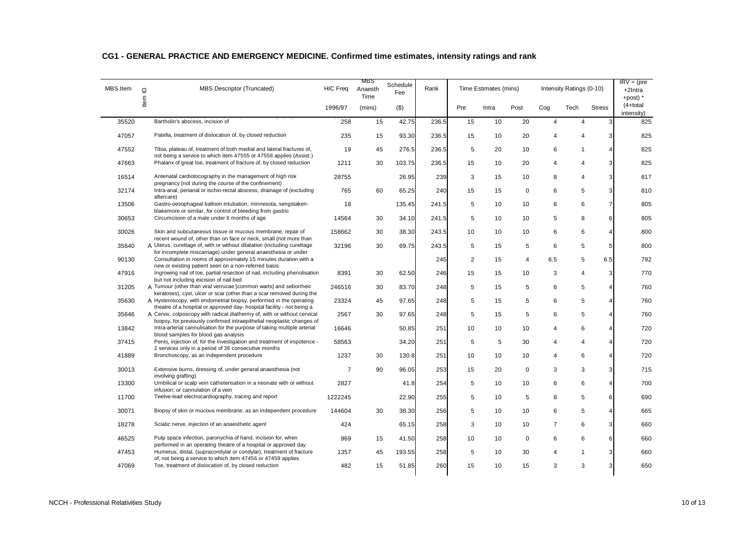| <b>MBS</b> Item | $\supseteq$ | MBS Descriptor (Truncated)                                                                                                                         | <b>HIC Freq</b> | MBS<br>Anaesth<br>Time | Schedule<br>Fee | Rank  |                | Time Estimates (mins) |             |                | Intensity Ratings (0-10) |                  | $IRV = (pre$<br>+2Intra<br>+post) $*$ |
|-----------------|-------------|----------------------------------------------------------------------------------------------------------------------------------------------------|-----------------|------------------------|-----------------|-------|----------------|-----------------------|-------------|----------------|--------------------------|------------------|---------------------------------------|
|                 | Item        |                                                                                                                                                    | 1996/97         | (mins)                 | $($ \$)         |       | Pre            | Intra                 | Post        | Cog            | Tech                     | <b>Stress</b>    | $(4+total)$<br>intensity)             |
| 35520           |             | Bartholin's abscess, incision of                                                                                                                   | 258             | 15                     | 42.75           | 236.5 | 15             | 10                    | 20          | $\overline{4}$ | $\overline{4}$           | 3                | 825                                   |
| 47057           |             | Patella, treatment of dislocation of, by closed reduction                                                                                          | 235             | 15                     | 93.30           | 236.5 | 15             | 10                    | 20          | 4              | $\overline{4}$           | 3                | 825                                   |
| 47552           |             | Tibia, plateau of, treatment of both medial and lateral fractures of,<br>not being a service to which item 47555 or 47558 applies (Assist.)        | 19              | 45                     | 276.5           | 236.5 | 5              | 20                    | 10          | 6              | $\mathbf{1}$             | $\overline{4}$   | 825                                   |
| 47663           |             | Phalanx of great toe, treatment of fracture of, by closed reduction                                                                                | 1211            | 30                     | 103.75          | 236.5 | 15             | 10                    | 20          | 4              | $\overline{4}$           | 3                | 825                                   |
| 16514           |             | Antenatal cardiotocography in the management of high risk                                                                                          | 28755           |                        | 26.95           | 239   | 3              | 15                    | 10          | 8              | $\overline{4}$           | $\mathbf{3}$     | 817                                   |
| 32174           |             | pregnancy (not during the course of the confinement)<br>Intra-anal, perianal or ischio-rectal abscess, drainage of (excluding<br>aftercare)        | 765             | 60                     | 65.25           | 240   | 15             | 15                    | $\mathbf 0$ | 6              | 5                        | $\mathbf{3}$     | 810                                   |
| 13506           |             | Gastro-oesophageal balloon intubation, minnesota, sengstaken-<br>blakemore or similar, for control of bleeding from gastric                        | 18              |                        | 135.45          | 241.5 | 5              | 10                    | 10          | 6              | 6                        | $\overline{7}$   | 805                                   |
| 30653           |             | Circumcision of a male under 6 months of age                                                                                                       | 14564           | 30                     | 34.10           | 241.5 | 5              | 10                    | 10          | 5              | 8                        | $6 \overline{6}$ | 805                                   |
| 30026           |             | Skin and subcutaneous tissue or mucous membrane, repair of<br>recent wound of, other than on face or neck, small (not more than                    | 158662          | 30                     | 38.30           | 243.5 | 10             | 10                    | 10          | 6              | 6                        | $\overline{4}$   | 800                                   |
| 35640           |             | A Uterus, curettage of, with or without dilatation (including curettage<br>for incomplete miscarriage) under general anaesthesia or under          | 32196           | 30                     | 69.75           | 243.5 | 5              | 15                    | 5           | 6              | 5                        | 5 <sub>5</sub>   | 800                                   |
| 90130           |             | Consultation in rooms of approximately 15 minutes duration with a<br>new or existing patient seen on a non-referred basis.                         |                 |                        |                 | 245   | $\overline{2}$ | 15                    | 4           | 6.5            | 5                        | 6.5              | 792                                   |
| 47916           |             | Ingrowing nail of toe, partial resection of nail, including phenolisation<br>but not including excision of nail bed                                | 8391            | 30                     | 62.50           | 246   | 15             | 15                    | 10          | 3              | $\overline{4}$           | 3                | 770                                   |
| 31205           |             | A Tumour (other than viral verrucae [common warts] and seborrheic<br>keratoses), cyst, ulcer or scar (other than a scar removed during the         | 246516          | 30                     | 83.70           | 248   | 5              | 15                    | 5           | 6              | 5                        | $\overline{4}$   | 760                                   |
| 35630           |             | A Hysteroscopy, with endometrial biopsy, performed in the operating<br>theatre of a hospital or approved day- hospital facility - not being a      | 23324           | 45                     | 97.65           | 248   | 5              | 15                    | 5           | 6              | 5                        | $\overline{4}$   | 760                                   |
| 35646           |             | A Cervix, colposcopy with radical diathermy of, with or without cervical<br>biopsy, for previously confirmed intraepithelial neoplastic changes of | 2567            | 30                     | 97.65           | 248   | 5              | 15                    | 5           | 6              | 5                        | $\overline{4}$   | 760                                   |
| 13842           |             | Intra-arterial cannulisation for the purpose of taking multiple arterial<br>blood samples for blood gas analysis                                   | 16646           |                        | 50.85           | 251   | 10             | 10                    | 10          | 4              | 6                        | $\overline{4}$   | 720                                   |
| 37415           |             | Penis, injection of, for the investigation and treatment of impotence -<br>2 services only in a period of 36 consecutive months                    | 58563           |                        | 34.20           | 251   | 5              | 5                     | 30          | 4              | $\overline{4}$           | $\overline{4}$   | 720                                   |
| 41889           |             | Bronchoscopy, as an independent procedure                                                                                                          | 1237            | 30                     | 130.8           | 251   | 10             | 10                    | 10          | 4              | 6                        | $\overline{4}$   | 720                                   |
| 30013           |             | Extensive burns, dressing of, under general anaesthesia (not<br>involving grafting)                                                                | $\overline{7}$  | 90                     | 96.05           | 253   | 15             | 20                    | $\mathbf 0$ | 3              | 3                        | 3                | 715                                   |
| 13300           |             | Umbilical or scalp vein catheterisation in a neonate with or without<br>infusion; or cannulation of a vein                                         | 2827            |                        | 41.8            | 254   | 5              | 10                    | 10          | 6              | 6                        | $\overline{4}$   | 700                                   |
| 11700           |             | Twelve-lead electrocardiography, tracing and report                                                                                                | 1222245         |                        | 22.90           | 255   | 5              | 10                    | 5           | 8              | 5                        | 6                | 690                                   |
| 30071           |             | Biopsy of skin or mucous membrane, as an independent procedure                                                                                     | 144604          | 30                     | 38.30           | 256   | 5              | 10                    | 10          | 6              | 5                        | $\overline{4}$   | 665                                   |
| 18278           |             | Sciatic nerve, injection of an anaesthetic agent                                                                                                   | 424             |                        | 65.15           | 258   | 3              | 10                    | 10          | $\overline{7}$ | 6                        | 3                | 660                                   |
| 46525           |             | Pulp space infection, paronychia of hand, incision for, when<br>performed in an operating theatre of a hospital or approved day                    | 969             | 15                     | 41.50           | 258   | 10             | 10                    | 0           | 6              | 6                        | 6                | 660                                   |
| 47453           |             | Humerus, distal, (supracondylar or condylar), treatment of fracture<br>of, not being a service to which item 47456 or 47459 applies                | 1357            | 45                     | 193.55          | 258   | 5              | 10                    | 30          | 4              | $\mathbf{1}$             | 3                | 660                                   |
| 47069           |             | Toe, treatment of dislocation of, by closed reduction                                                                                              | 482             | 15                     | 51.85           | 260   | 15             | 10                    | 15          | 3              | 3                        | 3 <sup>1</sup>   | 650                                   |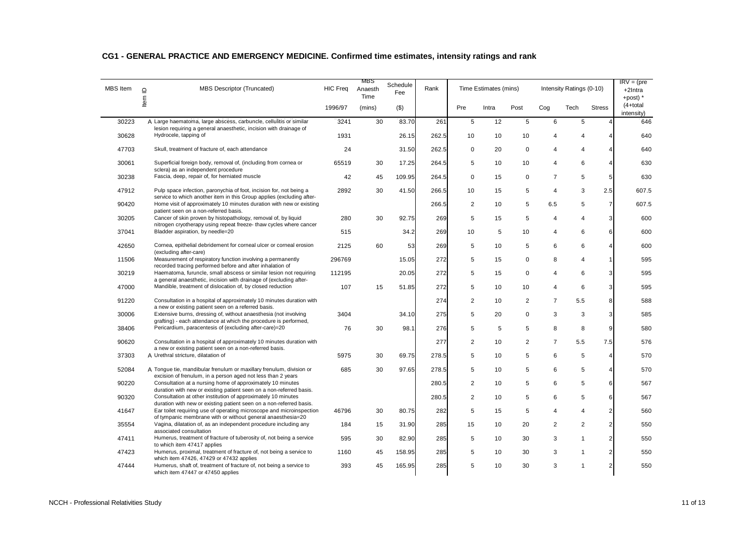| <b>MBS</b> Item | $\Box$ | MBS Descriptor (Truncated)                                                                                                                   | <b>HIC Freq</b> | MBS<br>Anaesth<br>Time | Schedule<br>Fee | Rank  |                | Time Estimates (mins) |                |                | Intensity Ratings (0-10) |                         | $IRV = (pre$<br>+2Intra<br>+post) $*$ |
|-----------------|--------|----------------------------------------------------------------------------------------------------------------------------------------------|-----------------|------------------------|-----------------|-------|----------------|-----------------------|----------------|----------------|--------------------------|-------------------------|---------------------------------------|
|                 | ltem   |                                                                                                                                              | 1996/97         | (mins)                 | $($ \$)         |       | Pre            | Intra                 | Post           | Cog            | Tech                     | <b>Stress</b>           | $(4+total)$<br>intensity)             |
| 30223           |        | A Large haematoma, large abscess, carbuncle, cellulitis or similar<br>lesion requiring a general anaesthetic, incision with drainage of      | 3241            | 30                     | 83.70           | 261   | 5              | 12                    | 5              | 6              | 5                        | 4                       | 646                                   |
| 30628           |        | Hydrocele, tapping of                                                                                                                        | 1931            |                        | 26.15           | 262.5 | 10             | 10                    | 10             | 4              | $\overline{4}$           | 4                       | 640                                   |
| 47703           |        | Skull, treatment of fracture of, each attendance                                                                                             | 24              |                        | 31.50           | 262.5 | $\mathbf 0$    | 20                    | $\mathbf 0$    | 4              | $\overline{4}$           | $\overline{\mathbf{4}}$ | 640                                   |
| 30061           |        | Superficial foreign body, removal of, (including from cornea or<br>sclera) as an independent procedure                                       | 65519           | 30                     | 17.25           | 264.5 | 5              | 10                    | 10             | 4              | 6                        | $\overline{4}$          | 630                                   |
| 30238           |        | Fascia, deep, repair of, for herniated muscle                                                                                                | 42              | 45                     | 109.95          | 264.5 | 0              | 15                    | 0              | $\overline{7}$ | 5                        | $5\phantom{.0}$         | 630                                   |
| 47912           |        | Pulp space infection, paronychia of foot, incision for, not being a<br>service to which another item in this Group applies (excluding after- | 2892            | 30                     | 41.50           | 266.5 | 10             | 15                    | 5              | $\overline{4}$ | 3                        | 2.5                     | 607.5                                 |
| 90420           |        | Home visit of approximately 10 minutes duration with new or existing<br>patient seen on a non-referred basis.                                |                 |                        |                 | 266.5 | $\overline{2}$ | 10                    | 5              | 6.5            | 5                        | $\overline{7}$          | 607.5                                 |
| 30205           |        | Cancer of skin proven by histopathology, removal of, by liquid<br>nitrogen cryotherapy using repeat freeze- thaw cycles where cancer         | 280             | 30                     | 92.75           | 269   | 5              | 15                    | 5              | 4              | 4                        | $\mathbf{3}$            | 600                                   |
| 37041           |        | Bladder aspiration, by needle=20                                                                                                             | 515             |                        | 34.2            | 269   | 10             | 5                     | 10             | 4              | 6                        | 6                       | 600                                   |
| 42650           |        | Cornea, epithelial debridement for corneal ulcer or corneal erosion<br>(excluding after-care)                                                | 2125            | 60                     | 53              | 269   | 5              | 10                    | 5              | 6              | 6                        | 4                       | 600                                   |
| 11506           |        | Measurement of respiratory function involving a permanently<br>recorded tracing performed before and after inhalation of                     | 296769          |                        | 15.05           | 272   | 5              | 15                    | $\mathbf 0$    | 8              | $\overline{4}$           | $\mathbf{1}$            | 595                                   |
| 30219           |        | Haematoma, furuncle, small abscess or similar lesion not requiring<br>a general anaesthetic, incision with drainage of (excluding after-     | 112195          |                        | 20.05           | 272   | 5              | 15                    | $\mathbf 0$    | 4              | 6                        | $\mathbf{3}$            | 595                                   |
| 47000           |        | Mandible, treatment of dislocation of, by closed reduction                                                                                   | 107             | 15                     | 51.85           | 272   | 5              | 10                    | 10             | 4              | 6                        | 3 <sup>1</sup>          | 595                                   |
| 91220           |        | Consultation in a hospital of approximately 10 minutes duration with<br>a new or existing patient seen on a referred basis.                  |                 |                        |                 | 274   | 2              | 10                    | 2              | $\overline{7}$ | 5.5                      | 8                       | 588                                   |
| 30006           |        | Extensive burns, dressing of, without anaesthesia (not involving<br>grafting) - each attendance at which the procedure is performed,         | 3404            |                        | 34.10           | 275   | 5              | 20                    | 0              | 3              | 3                        | 3                       | 585                                   |
| 38406           |        | Pericardium, paracentesis of (excluding after-care)=20                                                                                       | 76              | 30                     | 98.1            | 276   | 5              | 5                     | 5              | 8              | 8                        | 9                       | 580                                   |
| 90620           |        | Consultation in a hospital of approximately 10 minutes duration with<br>a new or existing patient seen on a non-referred basis.              |                 |                        |                 | 277   | 2              | 10                    | $\overline{2}$ | $\overline{7}$ | 5.5                      | 7.5                     | 576                                   |
| 37303           |        | A Urethral stricture, dilatation of                                                                                                          | 5975            | 30                     | 69.75           | 278.5 | 5              | 10                    | 5              | 6              | 5                        | $\overline{4}$          | 570                                   |
| 52084           |        | A Tongue tie, mandibular frenulum or maxillary frenulum, division or<br>excision of frenulum, in a person aged not less than 2 years         | 685             | 30                     | 97.65           | 278.5 | 5              | 10                    | 5              | 6              | 5                        | 4                       | 570                                   |
| 90220           |        | Consultation at a nursing home of approximately 10 minutes<br>duration with new or existing patient seen on a non-referred basis.            |                 |                        |                 | 280.5 | $\overline{2}$ | 10                    | 5              | 6              | 5                        | 6                       | 567                                   |
| 90320           |        | Consultation at other institution of approximately 10 minutes<br>duration with new or existing patient seen on a non-referred basis.         |                 |                        |                 | 280.5 | $\overline{2}$ | 10                    | 5              | 6              | 5                        | 6                       | 567                                   |
| 41647           |        | Ear toilet requiring use of operating microscope and microinspection<br>of tympanic membrane with or without general anaesthesia=20          | 46796           | 30                     | 80.75           | 282   | 5              | 15                    | 5              | 4              | $\overline{4}$           | 2 <sub>l</sub>          | 560                                   |
| 35554           |        | Vagina, dilatation of, as an independent procedure including any<br>associated consultation                                                  | 184             | 15                     | 31.90           | 285   | 15             | 10                    | 20             | $\overline{2}$ | $\overline{2}$           | 2 <sub>2</sub>          | 550                                   |
| 47411           |        | Humerus, treatment of fracture of tuberosity of, not being a service<br>to which item 47417 applies                                          | 595             | 30                     | 82.90           | 285   | 5              | 10                    | 30             | 3              | $\mathbf{1}$             | 2 <sub>2</sub>          | 550                                   |
| 47423           |        | Humerus, proximal, treatment of fracture of, not being a service to<br>which item 47426, 47429 or 47432 applies                              | 1160            | 45                     | 158.95          | 285   | 5              | 10                    | 30             | 3              | $\mathbf{1}$             | 2 <sub>l</sub>          | 550                                   |
| 47444           |        | Humerus, shaft of, treatment of fracture of, not being a service to<br>which item 47447 or 47450 applies                                     | 393             | 45                     | 165.95          | 285   | 5              | 10                    | 30             | 3              | $\mathbf{1}$             | $\overline{2}$          | 550                                   |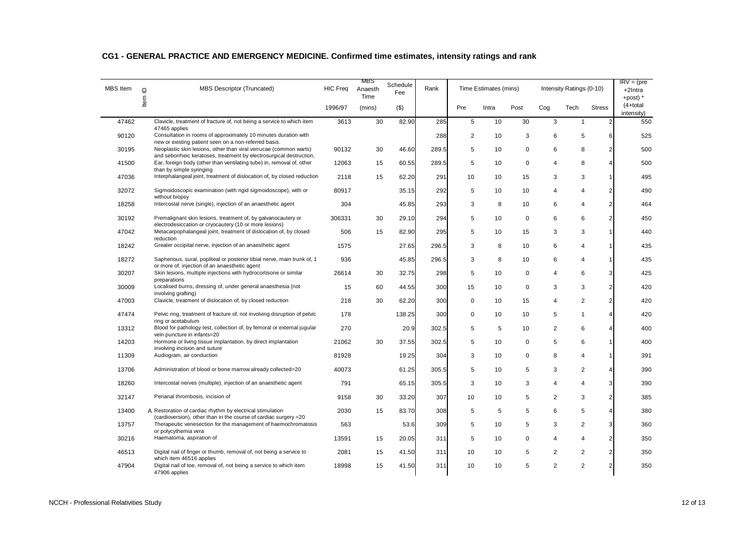| <b>MBS</b> Item | $\Box$ | MBS Descriptor (Truncated)                                                                                                                   | <b>HIC Freq</b> | MBS<br>Anaesth<br>Time | Schedule<br>Fee | Rank  |             | Time Estimates (mins) |             |                | Intensity Ratings (0-10) |                         | $IRV = (pre$<br>+2Intra<br>+post) $*$ |
|-----------------|--------|----------------------------------------------------------------------------------------------------------------------------------------------|-----------------|------------------------|-----------------|-------|-------------|-----------------------|-------------|----------------|--------------------------|-------------------------|---------------------------------------|
|                 | ltem   |                                                                                                                                              | 1996/97         | (mins)                 | $($ \$)         |       | Pre         | Intra                 | Post        | Cog            | Tech                     | <b>Stress</b>           | $(4+total)$<br>intensity)             |
| 47462           |        | Clavicle, treatment of fracture of, not being a service to which item<br>47465 applies                                                       | 3613            | 30                     | 82.90           | 285   | 5           | 10                    | 30          | 3              | $\mathbf{1}$             | 2 <sub>l</sub>          | 550                                   |
| 90120           |        | Consultation in rooms of approximately 10 minutes duration with                                                                              |                 |                        |                 | 288   | 2           | 10                    | 3           | 6              | 5                        | 6                       | 525                                   |
| 30195           |        | new or existing patient seen on a non-referred basis.<br>Neoplastic skin lesions, other than viral verrucae (common warts)                   | 90132           | 30                     | 46.60           | 289.5 | 5           | 10                    | $\mathbf 0$ | 6              | 8                        | 2 <sub>2</sub>          | 500                                   |
| 41500           |        | and seborrheic keratoses, treatment by electrosurgical destruction,<br>Ear, foreign body (other than ventilating tube) in, removal of, other | 12063           | 15                     | 60.55           | 289.5 | 5           | 10                    | 0           | 4              | 8                        | 4                       | 500                                   |
| 47036           |        | than by simple syringing<br>Interphalangeal joint, treatment of dislocation of, by closed reduction                                          | 2118            | 15                     | 62.20           | 291   | 10          | 10                    | 15          | 3              | 3                        | $\mathbf{1}$            | 495                                   |
| 32072           |        | Sigmoidoscopic examination (with rigid sigmoidoscope), with or                                                                               | 80917           |                        | 35.15           | 292   | 5           | 10                    | 10          | 4              | $\overline{4}$           | 2 <sub>l</sub>          | 490                                   |
|                 |        | without biopsy<br>Intercostal nerve (single), injection of an anaesthetic agent                                                              | 304             |                        |                 |       |             |                       |             | 6              | 4                        | 2 <sub>l</sub>          |                                       |
| 18258           |        |                                                                                                                                              |                 |                        | 45.85           | 293   | 3           | 8                     | 10          |                |                          |                         | 464                                   |
| 30192           |        | Premalignant skin lesions, treatment of, by galvanocautery or<br>electrodesiccation or cryocautery (10 or more lesions)                      | 306331          | 30                     | 29.10           | 294   | 5           | 10                    | $\mathbf 0$ | 6              | 6                        | 2 <sub>2</sub>          | 450                                   |
| 47042           |        | Metacarpophalangeal joint, treatment of dislocation of, by closed<br>reduction                                                               | 506             | 15                     | 82.90           | 295   | 5           | 10                    | 15          | 3              | 3                        | 1                       | 440                                   |
| 18242           |        | Greater occipital nerve, injection of an anaesthetic agent                                                                                   | 1575            |                        | 27.65           | 296.5 | 3           | 8                     | 10          | 6              | $\overline{4}$           | 1                       | 435                                   |
| 18272           |        | Saphenous, sural, popliteal or posterior tibial nerve, main trunk of, 1                                                                      | 936             |                        | 45.85           | 296.5 | 3           | 8                     | 10          | 6              | $\overline{4}$           | 1                       | 435                                   |
| 30207           |        | or more of, injection of an anaesthetic agent<br>Skin lesions, multiple injections with hydrocortisone or similar                            | 26614           | 30                     | 32.75           | 298   | 5           | 10                    | $\mathbf 0$ | 4              | 6                        | $\mathbf{3}$            | 425                                   |
| 30009           |        | preparations<br>Localised burns, dressing of, under general anaesthesia (not                                                                 | 15              | 60                     | 44.55           | 300   | 15          | 10                    | $\mathbf 0$ | 3              | 3                        | 2 <sub>2</sub>          | 420                                   |
| 47003           |        | involving grafting)<br>Clavicle, treatment of dislocation of, by closed reduction                                                            | 218             | 30                     | 62.20           | 300   | $\mathbf 0$ | 10                    | 15          | 4              | $\overline{2}$           | $\overline{2}$          | 420                                   |
| 47474           |        | Pelvic ring, treatment of fracture of, not involving disruption of pelvic                                                                    | 178             |                        | 138.25          | 300   | 0           | 10                    | 10          | 5              | $\mathbf{1}$             | $\overline{\mathbf{A}}$ | 420                                   |
| 13312           |        | ring or acetabulum<br>Blood for pathology test, collection of, by femoral or external jugular                                                | 270             |                        | 20.9            | 302.5 | 5           | 5                     | 10          | $\overline{2}$ | 6                        | $\overline{4}$          | 400                                   |
|                 |        | vein puncture in infants=20                                                                                                                  |                 |                        |                 |       |             |                       |             |                |                          |                         |                                       |
| 14203           |        | Hormone or living tissue implantation, by direct implantation<br>involving incision and suture                                               | 21062           | 30                     | 37.55           | 302.5 | 5           | 10                    | 0           | 5              | 6                        | $\mathbf{1}$            | 400                                   |
| 11309           |        | Audiogram, air conduction                                                                                                                    | 81928           |                        | 19.25           | 304   | 3           | 10                    | $\mathbf 0$ | 8              | $\overline{4}$           | 1                       | 391                                   |
| 13706           |        | Administration of blood or bone marrow already collected=20                                                                                  | 40073           |                        | 61.25           | 305.5 | 5           | 10                    | 5           | 3              | 2                        | $\overline{4}$          | 390                                   |
| 18260           |        | Intercostal nerves (multiple), injection of an anaesthetic agent                                                                             | 791             |                        | 65.15           | 305.5 | 3           | 10                    | 3           | $\overline{4}$ | $\overline{4}$           | $\mathbf{3}$            | 390                                   |
| 32147           |        | Perianal thrombosis, incision of                                                                                                             | 9158            | 30                     | 33.20           | 307   | 10          | 10                    | 5           | $\overline{2}$ | 3                        | 2 <sub>2</sub>          | 385                                   |
| 13400           |        | A Restoration of cardiac rhythm by electrical stimulation                                                                                    | 2030            | 15                     | 83.70           | 308   | 5           | 5                     | 5           | 6              | 5                        | $\overline{4}$          | 380                                   |
| 13757           |        | (cardioversion), other than in the course of cardiac surgery = 20<br>Therapeutic venesection for the management of haemochromatosis          | 563             |                        | 53.6            | 309   | 5           | 10                    | 5           | 3              | $\overline{2}$           | 3 <sup>l</sup>          | 360                                   |
| 30216           |        | or polycythemia vera<br>Haematoma, aspiration of                                                                                             | 13591           | 15                     | 20.05           | 311   | 5           | 10                    | 0           | 4              | $\overline{4}$           | 2 <sub>2</sub>          | 350                                   |
| 46513           |        | Digital nail of finger or thumb, removal of, not being a service to                                                                          | 2081            | 15                     | 41.50           | 311   | 10          | 10                    | 5           | $\overline{2}$ | 2                        | 2 <sub>l</sub>          | 350                                   |
| 47904           |        | which item 46516 applies<br>Digital nail of toe, removal of, not being a service to which item<br>47906 applies                              | 18998           | 15                     | 41.50           | 311   | 10          | 10                    | 5           | $\overline{2}$ | $\overline{2}$           | $\overline{2}$          | 350                                   |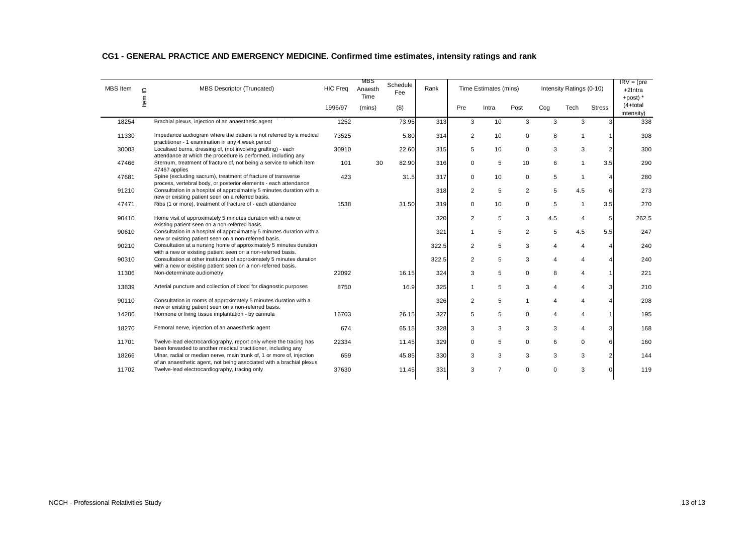| MBS Item | $\mathbf{\Omega}$ | <b>MBS Descriptor (Truncated)</b>                                                                                                             | <b>HIC Freq</b> | MBS<br>Anaesth<br><b>Time</b> | Schedule<br>Fee | Rank  |              | Time Estimates (mins) |                |          | Intensity Ratings (0-10) |                | $IRV = (pre$<br>+2Intra<br>+post) $*$ |
|----------|-------------------|-----------------------------------------------------------------------------------------------------------------------------------------------|-----------------|-------------------------------|-----------------|-------|--------------|-----------------------|----------------|----------|--------------------------|----------------|---------------------------------------|
|          | ltem              |                                                                                                                                               | 1996/97         | (mins)                        | $($ \$)         |       | Pre          | Intra                 | Post           | Cog      | Tech                     | <b>Stress</b>  | $(4+total)$<br>intensity)             |
| 18254    |                   | Brachial plexus, injection of an anaesthetic agent                                                                                            | 1252            |                               | 73.95           | 313   | 3            | 10                    | 3              | 3        | 3                        | 31             | 338                                   |
| 11330    |                   | Impedance audiogram where the patient is not referred by a medical<br>practitioner - 1 examination in any 4 week period                       | 73525           |                               | 5.80            | 314   | 2            | 10                    | $\mathbf 0$    | 8        | $\mathbf{1}$             |                | 308                                   |
| 30003    |                   | Localised burns, dressing of, (not involving grafting) - each<br>attendance at which the procedure is performed, including any                | 30910           |                               | 22.60           | 315   | 5            | 10                    | $\mathbf 0$    | 3        | 3                        | 2              | 300                                   |
| 47466    |                   | Sternum, treatment of fracture of, not being a service to which item<br>47467 applies                                                         | 101             | 30                            | 82.90           | 316   | 0            | 5                     | 10             | 6        | $\mathbf{1}$             | 3.5            | 290                                   |
| 47681    |                   | Spine (excluding sacrum), treatment of fracture of transverse<br>process, vertebral body, or posterior elements - each attendance             | 423             |                               | 31.5            | 317   | 0            | 10                    | $\mathbf 0$    | 5        | $\overline{1}$           |                | 280                                   |
| 91210    |                   | Consultation in a hospital of approximately 5 minutes duration with a<br>new or existing patient seen on a referred basis.                    |                 |                               |                 | 318   | 2            | 5                     | 2              | 5        | 4.5                      | 6              | 273                                   |
| 47471    |                   | Ribs (1 or more), treatment of fracture of - each attendance                                                                                  | 1538            |                               | 31.50           | 319   | $\mathbf 0$  | 10                    | $\mathbf 0$    | 5        |                          | 3.5            | 270                                   |
| 90410    |                   | Home visit of approximately 5 minutes duration with a new or<br>existing patient seen on a non-referred basis.                                |                 |                               |                 | 320   | 2            | 5                     | 3              | 4.5      | 4                        | 5              | 262.5                                 |
| 90610    |                   | Consultation in a hospital of approximately 5 minutes duration with a<br>new or existing patient seen on a non-referred basis.                |                 |                               |                 | 321   | $\mathbf{1}$ | 5                     | $\overline{2}$ | 5        | 4.5                      | 5.5            | 247                                   |
| 90210    |                   | Consultation at a nursing home of approximately 5 minutes duration<br>with a new or existing patient seen on a non-referred basis.            |                 |                               |                 | 322.5 | 2            | 5                     | 3              | 4        | 4                        |                | 240                                   |
| 90310    |                   | Consultation at other institution of approximately 5 minutes duration<br>with a new or existing patient seen on a non-referred basis.         |                 |                               |                 | 322.5 | 2            | 5                     | 3              | 4        | $\overline{4}$           |                | 240                                   |
| 11306    |                   | Non-determinate audiometry                                                                                                                    | 22092           |                               | 16.15           | 324   | 3            | 5                     | 0              | 8        | $\overline{\mathcal{A}}$ |                | 221                                   |
| 13839    |                   | Arterial puncture and collection of blood for diagnostic purposes                                                                             | 8750            |                               | 16.9            | 325   | $\mathbf{1}$ | 5                     | 3              | 4        | $\overline{\mathcal{A}}$ | 3              | 210                                   |
| 90110    |                   | Consultation in rooms of approximately 5 minutes duration with a<br>new or existing patient seen on a non-referred basis.                     |                 |                               |                 | 326   | 2            | 5                     | $\overline{1}$ | 4        | $\overline{4}$           |                | 208                                   |
| 14206    |                   | Hormone or living tissue implantation - by cannula                                                                                            | 16703           |                               | 26.15           | 327   | 5            | 5                     | $\mathbf 0$    | 4        | $\overline{4}$           |                | 195                                   |
| 18270    |                   | Femoral nerve, injection of an anaesthetic agent                                                                                              | 674             |                               | 65.15           | 328   | 3            | 3                     | 3              | 3        | $\overline{\mathcal{A}}$ | 3              | 168                                   |
| 11701    |                   | Twelve-lead electrocardiography, report only where the tracing has<br>been forwarded to another medical practitioner, including any           | 22334           |                               | 11.45           | 329   | 0            | 5                     | $\mathbf 0$    | 6        | $\mathbf 0$              | 6              | 160                                   |
| 18266    |                   | Ulnar, radial or median nerve, main trunk of, 1 or more of, injection<br>of an anaesthetic agent, not being associated with a brachial plexus | 659             |                               | 45.85           | 330   | 3            | 3                     | 3              | 3        | 3                        | $\overline{2}$ | 144                                   |
| 11702    |                   | Twelve-lead electrocardiography, tracing only                                                                                                 | 37630           |                               | 11.45           | 331   | 3            | $\overline{7}$        | $\Omega$       | $\Omega$ | 3                        |                | 119                                   |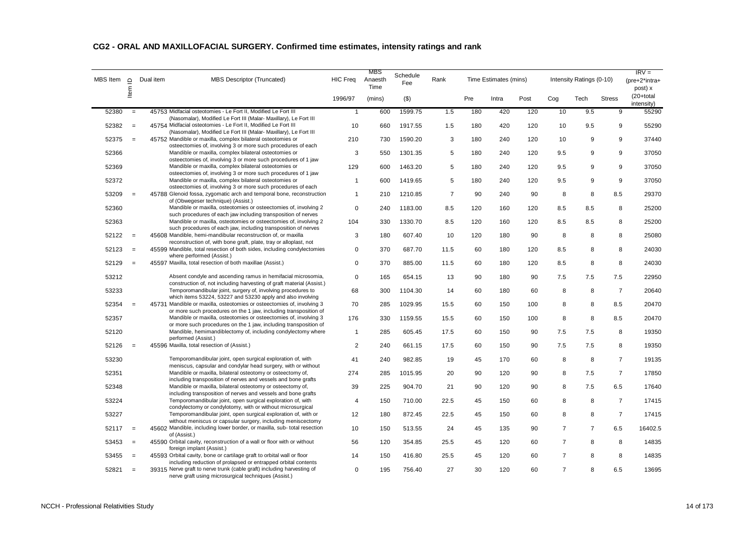| MBS Item | $\mathsf \Omega$  | Dual item | MBS Descriptor (Truncated)                                                                                                                                                                               | <b>HIC Freq</b> | MBS<br>Anaesth<br>Time | Schedule<br>Fee | Rank           |     | Time Estimates (mins) |      |                | Intensity Ratings (0-10) |                | $IRV =$<br>(pre+2*intra+<br>post) x |
|----------|-------------------|-----------|----------------------------------------------------------------------------------------------------------------------------------------------------------------------------------------------------------|-----------------|------------------------|-----------------|----------------|-----|-----------------------|------|----------------|--------------------------|----------------|-------------------------------------|
|          | ltem              |           |                                                                                                                                                                                                          | 1996/97         | (mins)                 | $(\$)$          |                | Pre | Intra                 | Post | Cog            | Tech                     | <b>Stress</b>  | $(20+total)$<br>intensity)          |
| 52380    | $=$               |           | 45753 Midfacial osteotomies - Le Fort II, Modified Le Fort III                                                                                                                                           | $\mathbf{1}$    | 600                    | 1599.75         | 1.5            | 180 | 420                   | 120  | 10             | 9.5                      | 9              | 55290                               |
| 52382    | $\equiv$          |           | (Nasomalar), Modified Le Fort III (Malar- Maxillary), Le Fort III<br>45754 Midfacial osteotomies - Le Fort II, Modified Le Fort III<br>(Nasomalar), Modified Le Fort III (Malar- Maxillary), Le Fort III | 10              | 660                    | 1917.55         | 1.5            | 180 | 420                   | 120  | 10             | 9.5                      | 9              | 55290                               |
| 52375    | $\equiv$          |           | 45752 Mandible or maxilla, complex bilateral osteotomies or<br>osteectomies of, involving 3 or more such procedures of each                                                                              | 210             | 730                    | 1590.20         | 3              | 180 | 240                   | 120  | 10             | 9                        | 9              | 37440                               |
| 52366    |                   |           | Mandible or maxilla, complex bilateral osteotomies or<br>osteectomies of, involving 3 or more such procedures of 1 jaw                                                                                   | 3               | 550                    | 1301.35         | 5              | 180 | 240                   | 120  | 9.5            | 9                        | 9              | 37050                               |
| 52369    |                   |           | Mandible or maxilla, complex bilateral osteotomies or<br>osteectomies of, involving 3 or more such procedures of 1 jaw                                                                                   | 129             | 600                    | 1463.20         | 5              | 180 | 240                   | 120  | 9.5            | 9                        | 9              | 37050                               |
| 52372    |                   |           | Mandible or maxilla, complex bilateral osteotomies or<br>osteectomies of, involving 3 or more such procedures of each                                                                                    | $\mathbf{1}$    | 600                    | 1419.65         | 5              | 180 | 240                   | 120  | 9.5            | 9                        | 9              | 37050                               |
| 53209    | $\equiv$          |           | 45788 Glenoid fossa, zygomatic arch and temporal bone, reconstruction<br>of (Obwegeser technique) (Assist.)                                                                                              | $\mathbf{1}$    | 210                    | 1210.85         | $\overline{7}$ | 90  | 240                   | 90   | 8              | 8                        | 8.5            | 29370                               |
| 52360    |                   |           | Mandible or maxilla, osteotomies or osteectomies of, involving 2<br>such procedures of each jaw including transposition of nerves                                                                        | $\mathbf 0$     | 240                    | 1183.00         | 8.5            | 120 | 160                   | 120  | 8.5            | 8.5                      | 8              | 25200                               |
| 52363    |                   |           | Mandible or maxilla, osteotomies or osteectomies of, involving 2<br>such procedures of each jaw, including transposition of nerves                                                                       | 104             | 330                    | 1330.70         | 8.5            | 120 | 160                   | 120  | 8.5            | 8.5                      | 8              | 25200                               |
| 52122    | $\qquad \qquad =$ |           | 45608 Mandible, hemi-mandibular reconstruction of, or maxilla<br>reconstruction of, with bone graft, plate, tray or alloplast, not                                                                       | 3               | 180                    | 607.40          | 10             | 120 | 180                   | 90   | 8              | 8                        | 8              | 25080                               |
| 52123    | $\qquad \qquad =$ |           | 45599 Mandible, total resection of both sides, including condylectomies<br>where performed (Assist.)                                                                                                     | $\mathbf 0$     | 370                    | 687.70          | 11.5           | 60  | 180                   | 120  | 8.5            | 8                        | 8              | 24030                               |
| 52129    | $\equiv$          |           | 45597 Maxilla, total resection of both maxillae (Assist.)                                                                                                                                                | $\mathbf 0$     | 370                    | 885.00          | 11.5           | 60  | 180                   | 120  | 8.5            | 8                        | 8              | 24030                               |
| 53212    |                   |           | Absent condyle and ascending ramus in hemifacial microsomia,<br>construction of, not including harvesting of graft material (Assist.)                                                                    | $\mathbf 0$     | 165                    | 654.15          | 13             | 90  | 180                   | 90   | 7.5            | 7.5                      | 7.5            | 22950                               |
| 53233    |                   |           | Temporomandibular joint, surgery of, involving procedures to<br>which items 53224, 53227 and 53230 apply and also involving                                                                              | 68              | 300                    | 1104.30         | 14             | 60  | 180                   | 60   | 8              | 8                        | $\overline{7}$ | 20640                               |
| 52354    | $=$               |           | 45731 Mandible or maxilla, osteotomies or osteectomies of, involving 3<br>or more such procedures on the 1 jaw, including transposition of                                                               | 70              | 285                    | 1029.95         | 15.5           | 60  | 150                   | 100  | 8              | 8                        | 8.5            | 20470                               |
| 52357    |                   |           | Mandible or maxilla, osteotomies or osteectomies of, involving 3<br>or more such procedures on the 1 jaw, including transposition of                                                                     | 176             | 330                    | 1159.55         | 15.5           | 60  | 150                   | 100  | 8              | 8                        | 8.5            | 20470                               |
| 52120    |                   |           | Mandible, hemimandiblectomy of, including condylectomy where<br>performed (Assist.)                                                                                                                      | $\mathbf{1}$    | 285                    | 605.45          | 17.5           | 60  | 150                   | 90   | 7.5            | 7.5                      | 8              | 19350                               |
| 52126    | $=$               |           | 45596 Maxilla, total resection of (Assist.)                                                                                                                                                              | $\overline{2}$  | 240                    | 661.15          | 17.5           | 60  | 150                   | 90   | 7.5            | 7.5                      | 8              | 19350                               |
| 53230    |                   |           | Temporomandibular joint, open surgical exploration of, with<br>meniscus, capsular and condylar head surgery, with or without                                                                             | 41              | 240                    | 982.85          | 19             | 45  | 170                   | 60   | 8              | 8                        | $\overline{7}$ | 19135                               |
| 52351    |                   |           | Mandible or maxilla, bilateral osteotomy or osteectomy of,<br>including transposition of nerves and vessels and bone grafts                                                                              | 274             | 285                    | 1015.95         | 20             | 90  | 120                   | 90   | 8              | 7.5                      | $\overline{7}$ | 17850                               |
| 52348    |                   |           | Mandible or maxilla, bilateral osteotomy or osteectomy of,<br>including transposition of nerves and vessels and bone grafts                                                                              | 39              | 225                    | 904.70          | 21             | 90  | 120                   | 90   | 8              | 7.5                      | 6.5            | 17640                               |
| 53224    |                   |           | Temporomandibular joint, open surgical exploration of, with<br>condylectomy or condylotomy, with or without microsurgical                                                                                | $\overline{4}$  | 150                    | 710.00          | 22.5           | 45  | 150                   | 60   | 8              | 8                        | $\overline{7}$ | 17415                               |
| 53227    |                   |           | Temporomandibular joint, open surgical exploration of, with or<br>without meniscus or capsular surgery, including meniscectomy                                                                           | 12              | 180                    | 872.45          | 22.5           | 45  | 150                   | 60   | 8              | 8                        | $\overline{7}$ | 17415                               |
| 52117    | $\equiv$          |           | 45602 Mandible, including lower border, or maxilla, sub-total resection<br>of (Assist.)                                                                                                                  | 10              | 150                    | 513.55          | 24             | 45  | 135                   | 90   | $\overline{7}$ | $\overline{7}$           | 6.5            | 16402.5                             |
| 53453    | $=$               |           | 45590 Orbital cavity, reconstruction of a wall or floor with or without<br>foreign implant (Assist.)                                                                                                     | 56              | 120                    | 354.85          | 25.5           | 45  | 120                   | 60   | $\overline{7}$ | 8                        | 8              | 14835                               |
| 53455    | $\equiv$          |           | 45593 Orbital cavity, bone or cartilage graft to orbital wall or floor<br>including reduction of prolapsed or entrapped orbital contents                                                                 | 14              | 150                    | 416.80          | 25.5           | 45  | 120                   | 60   | $\overline{7}$ | 8                        | 8              | 14835                               |
| 52821    | $\qquad \qquad =$ |           | 39315 Nerve graft to nerve trunk (cable graft) including harvesting of<br>nerve graft using microsurgical techniques (Assist.)                                                                           | 0               | 195                    | 756.40          | 27             | 30  | 120                   | 60   | $\overline{7}$ | 8                        | 6.5            | 13695                               |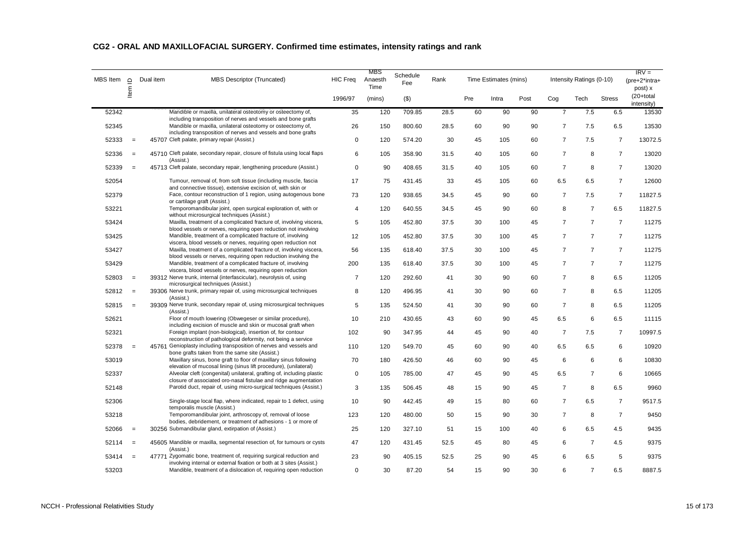| MBS Item | $\mathbf{\underline{o}}$ | Dual item | <b>MBS Descriptor (Truncated)</b>                                                                                                                                                             | <b>HIC Freg</b> | MBS<br>Anaesth<br>Time | Schedule<br>Fee | Rank |     | Time Estimates (mins) |      |                | Intensity Ratings (0-10) |                | $IRV =$<br>$(pre+2^*intra+$<br>post) x |
|----------|--------------------------|-----------|-----------------------------------------------------------------------------------------------------------------------------------------------------------------------------------------------|-----------------|------------------------|-----------------|------|-----|-----------------------|------|----------------|--------------------------|----------------|----------------------------------------|
|          | Item                     |           |                                                                                                                                                                                               | 1996/97         | (mins)                 | $($ \$)         |      | Pre | Intra                 | Post | Cog            | Tech                     | <b>Stress</b>  | $(20+total)$<br>intensity)             |
| 52342    |                          |           | Mandible or maxilla, unilateral osteotomy or osteectomy of,                                                                                                                                   | 35              | 120                    | 709.85          | 28.5 | 60  | 90                    | 90   | $\overline{7}$ | 7.5                      | 6.5            | 13530                                  |
| 52345    |                          |           | including transposition of nerves and vessels and bone grafts<br>Mandible or maxilla, unilateral osteotomy or osteectomy of,<br>including transposition of nerves and vessels and bone grafts | 26              | 150                    | 800.60          | 28.5 | 60  | 90                    | 90   | $\overline{7}$ | 7.5                      | 6.5            | 13530                                  |
| 52333    | $=$                      |           | 45707 Cleft palate, primary repair (Assist.)                                                                                                                                                  | $\mathsf 0$     | 120                    | 574.20          | 30   | 45  | 105                   | 60   | $\overline{7}$ | 7.5                      | $\overline{7}$ | 13072.5                                |
| 52336    | $=$                      |           | 45710 Cleft palate, secondary repair, closure of fistula using local flaps<br>(Assist.)                                                                                                       | 6               | 105                    | 358.90          | 31.5 | 40  | 105                   | 60   | $\overline{7}$ | 8                        | $\overline{7}$ | 13020                                  |
| 52339    | $=$                      |           | 45713 Cleft palate, secondary repair, lengthening procedure (Assist.)                                                                                                                         | $\mathbf 0$     | 90                     | 408.65          | 31.5 | 40  | 105                   | 60   | $\overline{7}$ | 8                        | $\overline{7}$ | 13020                                  |
| 52054    |                          |           | Tumour, removal of, from soft tissue (including muscle, fascia<br>and connective tissue), extensive excision of, with skin or                                                                 | 17              | 75                     | 431.45          | 33   | 45  | 105                   | 60   | 6.5            | 6.5                      | $\overline{7}$ | 12600                                  |
| 52379    |                          |           | Face, contour reconstruction of 1 region, using autogenous bone<br>or cartilage graft (Assist.)                                                                                               | 73              | 120                    | 938.65          | 34.5 | 45  | 90                    | 60   | $\overline{7}$ | 7.5                      | $\overline{7}$ | 11827.5                                |
| 53221    |                          |           | Temporomandibular joint, open surgical exploration of, with or<br>without microsurgical techniques (Assist.)                                                                                  | $\overline{4}$  | 120                    | 640.55          | 34.5 | 45  | 90                    | 60   | 8              | $\overline{7}$           | 6.5            | 11827.5                                |
| 53424    |                          |           | Maxilla, treatment of a complicated fracture of, involving viscera,<br>blood vessels or nerves, requiring open reduction not involving                                                        | 5               | 105                    | 452.80          | 37.5 | 30  | 100                   | 45   | $\overline{7}$ | $\overline{7}$           | $\overline{7}$ | 11275                                  |
| 53425    |                          |           | Mandible, treatment of a complicated fracture of, involving<br>viscera, blood vessels or nerves, requiring open reduction not                                                                 | 12              | 105                    | 452.80          | 37.5 | 30  | 100                   | 45   | $\overline{7}$ | $\overline{7}$           | $\overline{7}$ | 11275                                  |
| 53427    |                          |           | Maxilla, treatment of a complicated fracture of, involving viscera,<br>blood vessels or nerves, requiring open reduction involving the                                                        | 56              | 135                    | 618.40          | 37.5 | 30  | 100                   | 45   | $\overline{7}$ | $\overline{7}$           | $\overline{7}$ | 11275                                  |
| 53429    |                          |           | Mandible, treatment of a complicated fracture of, involving<br>viscera, blood vessels or nerves, requiring open reduction                                                                     | 200             | 135                    | 618.40          | 37.5 | 30  | 100                   | 45   | $\overline{7}$ | $\overline{7}$           | $\overline{7}$ | 11275                                  |
| 52803    | $=$                      |           | 39312 Nerve trunk, internal (interfascicular), neurolysis of, using<br>microsurgical techniques (Assist.)                                                                                     | $\overline{7}$  | 120                    | 292.60          | 41   | 30  | 90                    | 60   | $\overline{7}$ | 8                        | 6.5            | 11205                                  |
| 52812    | $=$                      |           | 39306 Nerve trunk, primary repair of, using microsurgical techniques<br>(Assist.)                                                                                                             | 8               | 120                    | 496.95          | 41   | 30  | 90                    | 60   | $\overline{7}$ | 8                        | 6.5            | 11205                                  |
| 52815    | $=$                      |           | 39309 Nerve trunk, secondary repair of, using microsurgical techniques<br>(Assist.)                                                                                                           | 5               | 135                    | 524.50          | 41   | 30  | 90                    | 60   | $\overline{7}$ | 8                        | 6.5            | 11205                                  |
| 52621    |                          |           | Floor of mouth lowering (Obwegeser or similar procedure),<br>including excision of muscle and skin or mucosal graft when                                                                      | 10              | 210                    | 430.65          | 43   | 60  | 90                    | 45   | 6.5            | 6                        | 6.5            | 11115                                  |
| 52321    |                          |           | Foreign implant (non-biological), insertion of, for contour<br>reconstruction of pathological deformity, not being a service                                                                  | 102             | 90                     | 347.95          | 44   | 45  | 90                    | 40   | $\overline{7}$ | 7.5                      | $\overline{7}$ | 10997.5                                |
| 52378    | $=$                      |           | 45761 Genioplasty including transposition of nerves and vessels and<br>bone grafts taken from the same site (Assist.)                                                                         | 110             | 120                    | 549.70          | 45   | 60  | 90                    | 40   | 6.5            | 6.5                      | 6              | 10920                                  |
| 53019    |                          |           | Maxillary sinus, bone graft to floor of maxillary sinus following<br>elevation of mucosal lining (sinus lift procedure), (unilateral)                                                         | 70              | 180                    | 426.50          | 46   | 60  | 90                    | 45   | 6              | 6                        | 6              | 10830                                  |
| 52337    |                          |           | Alveolar cleft (congenital) unilateral, grafting of, including plastic<br>closure of associated oro-nasal fistulae and ridge augmentation                                                     | $\mathbf 0$     | 105                    | 785.00          | 47   | 45  | 90                    | 45   | 6.5            | $\overline{7}$           | 6              | 10665                                  |
| 52148    |                          |           | Parotid duct, repair of, using micro-surgical techniques (Assist.)                                                                                                                            | 3               | 135                    | 506.45          | 48   | 15  | 90                    | 45   | $\overline{7}$ | 8                        | 6.5            | 9960                                   |
| 52306    |                          |           | Single-stage local flap, where indicated, repair to 1 defect, using<br>temporalis muscle (Assist.)                                                                                            | 10              | 90                     | 442.45          | 49   | 15  | 80                    | 60   | $\overline{7}$ | 6.5                      | $\overline{7}$ | 9517.5                                 |
| 53218    |                          |           | Temporomandibular joint, arthroscopy of, removal of loose<br>bodies, debridement, or treatment of adhesions - 1 or more of                                                                    | 123             | 120                    | 480.00          | 50   | 15  | 90                    | 30   | $\overline{7}$ | 8                        | $\overline{7}$ | 9450                                   |
| 52066    | $=$                      |           | 30256 Submandibular gland, extirpation of (Assist.)                                                                                                                                           | 25              | 120                    | 327.10          | 51   | 15  | 100                   | 40   | 6              | 6.5                      | 4.5            | 9435                                   |
| 52114    | $=$                      |           | 45605 Mandible or maxilla, segmental resection of, for tumours or cysts<br>(Assist.)                                                                                                          | 47              | 120                    | 431.45          | 52.5 | 45  | 80                    | 45   | 6              | $\overline{7}$           | 4.5            | 9375                                   |
| 53414    | $=$                      |           | 47771 Zygomatic bone, treatment of, requiring surgical reduction and<br>involving internal or external fixation or both at 3 sites (Assist.)                                                  | 23              | 90                     | 405.15          | 52.5 | 25  | 90                    | 45   | 6              | 6.5                      | 5              | 9375                                   |
| 53203    |                          |           | Mandible, treatment of a dislocation of, requiring open reduction                                                                                                                             | $\Omega$        | 30                     | 87.20           | 54   | 15  | 90                    | 30   | 6              | $\overline{7}$           | 6.5            | 8887.5                                 |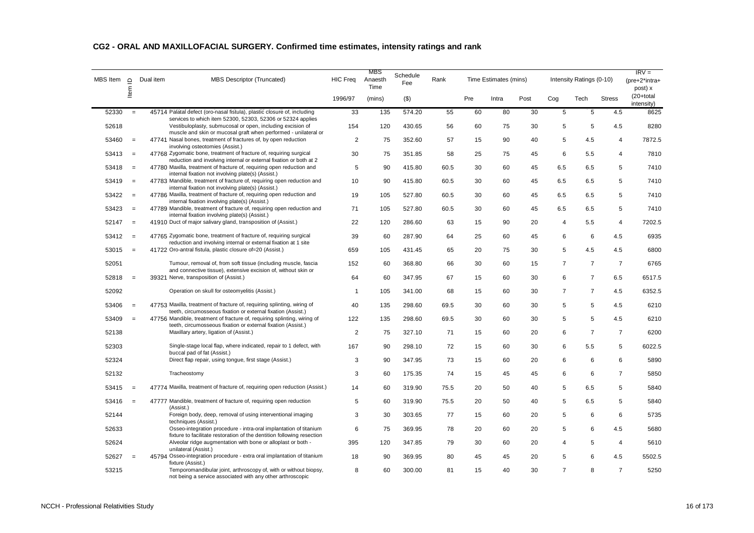| MBS Item | $\Box$   | <b>MBS Descriptor (Truncated)</b><br>Dual item                                                                                                                                               | <b>HIC Freq</b> | MBS<br>Anaesth<br>Time | Schedule<br>Fee | Rank |     | Time Estimates (mins) |      |                | Intensity Ratings (0-10) |                | $IRV =$<br>(pre+2*intra+<br>post) x |
|----------|----------|----------------------------------------------------------------------------------------------------------------------------------------------------------------------------------------------|-----------------|------------------------|-----------------|------|-----|-----------------------|------|----------------|--------------------------|----------------|-------------------------------------|
|          | ltem     |                                                                                                                                                                                              | 1996/97         | (mins)                 | $(\$)$          |      | Pre | Intra                 | Post | Cog            | Tech                     | <b>Stress</b>  | (20+total<br>intensity)             |
| 52330    | $=$      | 45714 Palatal defect (oro-nasal fistula), plastic closure of, including                                                                                                                      | 33              | 135                    | 574.20          | 55   | 60  | 80                    | 30   | 5              | 5                        | 4.5            | 8625                                |
| 52618    |          | services to which item 52300, 52303, 52306 or 52324 applies<br>Vestibuloplasty, submucosal or open, including excision of<br>muscle and skin or mucosal graft when performed - unilateral or | 154             | 120                    | 430.65          | 56   | 60  | 75                    | 30   | 5              | 5                        | 4.5            | 8280                                |
| 53460    | $\equiv$ | 47741 Nasal bones, treatment of fractures of, by open reduction<br>involving osteotomies (Assist.)                                                                                           | 2               | 75                     | 352.60          | 57   | 15  | 90                    | 40   | 5              | 4.5                      | $\overline{4}$ | 7872.5                              |
| 53413    | $=$      | 47768 Zygomatic bone, treatment of fracture of, requiring surgical<br>reduction and involving internal or external fixation or both at 2                                                     | 30              | 75                     | 351.85          | 58   | 25  | 75                    | 45   | 6              | 5.5                      | 4              | 7810                                |
| 53418    | $=$      | 47780 Maxilla, treatment of fracture of, requiring open reduction and<br>internal fixation not involving plate(s) (Assist.)                                                                  | 5               | 90                     | 415.80          | 60.5 | 30  | 60                    | 45   | 6.5            | 6.5                      | 5              | 7410                                |
| 53419    | $=$      | 47783 Mandible, treatment of fracture of, requiring open reduction and<br>internal fixation not involving plate(s) (Assist.)                                                                 | 10              | 90                     | 415.80          | 60.5 | 30  | 60                    | 45   | 6.5            | 6.5                      | 5              | 7410                                |
| 53422    | $=$      | 47786 Maxilla, treatment of fracture of, requiring open reduction and<br>internal fixation involving plate(s) (Assist.)                                                                      | 19              | 105                    | 527.80          | 60.5 | 30  | 60                    | 45   | 6.5            | 6.5                      | 5              | 7410                                |
| 53423    | $=$      | 47789 Mandible, treatment of fracture of, requiring open reduction and<br>internal fixation involving plate(s) (Assist.)                                                                     | 71              | 105                    | 527.80          | 60.5 | 30  | 60                    | 45   | 6.5            | 6.5                      | 5              | 7410                                |
| 52147    | $=$      | 41910 Duct of major salivary gland, transposition of (Assist.)                                                                                                                               | 22              | 120                    | 286.60          | 63   | 15  | 90                    | 20   | 4              | 5.5                      | 4              | 7202.5                              |
| 53412    | $=$      | 47765 Zygomatic bone, treatment of fracture of, requiring surgical<br>reduction and involving internal or external fixation at 1 site                                                        | 39              | 60                     | 287.90          | 64   | 25  | 60                    | 45   | 6              | 6                        | 4.5            | 6935                                |
| 53015    | $=$      | 41722 Oro-antral fistula, plastic closure of=20 (Assist.)                                                                                                                                    | 659             | 105                    | 431.45          | 65   | 20  | 75                    | 30   | 5              | 4.5                      | 4.5            | 6800                                |
| 52051    |          | Tumour, removal of, from soft tissue (including muscle, fascia<br>and connective tissue), extensive excision of, without skin or                                                             | 152             | 60                     | 368.80          | 66   | 30  | 60                    | 15   | $\overline{7}$ | $\overline{7}$           | $\overline{7}$ | 6765                                |
| 52818    | $=$      | 39321 Nerve, transposition of (Assist.)                                                                                                                                                      | 64              | 60                     | 347.95          | 67   | 15  | 60                    | 30   | 6              | $\overline{7}$           | 6.5            | 6517.5                              |
| 52092    |          | Operation on skull for osteomyelitis (Assist.)                                                                                                                                               | $\overline{1}$  | 105                    | 341.00          | 68   | 15  | 60                    | 30   | $\overline{7}$ | $\overline{7}$           | 4.5            | 6352.5                              |
| 53406    | $=$      | 47753 Maxilla, treatment of fracture of, requiring splinting, wiring of<br>teeth, circumosseous fixation or external fixation (Assist.)                                                      | 40              | 135                    | 298.60          | 69.5 | 30  | 60                    | 30   | 5              | 5                        | 4.5            | 6210                                |
| 53409    | $=$      | 47756 Mandible, treatment of fracture of, requiring splinting, wiring of<br>teeth, circumosseous fixation or external fixation (Assist.)                                                     | 122             | 135                    | 298.60          | 69.5 | 30  | 60                    | 30   | 5              | 5                        | 4.5            | 6210                                |
| 52138    |          | Maxillary artery, ligation of (Assist.)                                                                                                                                                      | 2               | 75                     | 327.10          | 71   | 15  | 60                    | 20   | 6              | $\overline{7}$           | $\overline{7}$ | 6200                                |
| 52303    |          | Single-stage local flap, where indicated, repair to 1 defect, with<br>buccal pad of fat (Assist.)                                                                                            | 167             | 90                     | 298.10          | 72   | 15  | 60                    | 30   | 6              | 5.5                      | 5              | 6022.5                              |
| 52324    |          | Direct flap repair, using tongue, first stage (Assist.)                                                                                                                                      | 3               | 90                     | 347.95          | 73   | 15  | 60                    | 20   | 6              | 6                        | 6              | 5890                                |
| 52132    |          | Tracheostomy                                                                                                                                                                                 | 3               | 60                     | 175.35          | 74   | 15  | 45                    | 45   | 6              | 6                        | $\overline{7}$ | 5850                                |
| 53415    | $=$      | 47774 Maxilla, treatment of fracture of, requiring open reduction (Assist.)                                                                                                                  | 14              | 60                     | 319.90          | 75.5 | 20  | 50                    | 40   | 5              | 6.5                      | 5              | 5840                                |
| 53416    | $=$      | 47777 Mandible, treatment of fracture of, requiring open reduction<br>(Assist.)                                                                                                              | 5               | 60                     | 319.90          | 75.5 | 20  | 50                    | 40   | 5              | 6.5                      | 5              | 5840                                |
| 52144    |          | Foreign body, deep, removal of using interventional imaging<br>techniques (Assist.)                                                                                                          | 3               | 30                     | 303.65          | 77   | 15  | 60                    | 20   | 5              | 6                        | 6              | 5735                                |
| 52633    |          | Osseo-integration procedure - intra-oral implantation of titanium<br>fixture to facilitate restoration of the dentition following resection                                                  | 6               | 75                     | 369.95          | 78   | 20  | 60                    | 20   | 5              | 6                        | 4.5            | 5680                                |
| 52624    |          | Alveolar ridge augmentation with bone or alloplast or both -<br>unilateral (Assist.)                                                                                                         | 395             | 120                    | 347.85          | 79   | 30  | 60                    | 20   | 4              | 5                        | $\overline{4}$ | 5610                                |
| 52627    | $=$      | 45794 Osseo-integration procedure - extra oral implantation of titanium<br>fixture (Assist.)                                                                                                 | 18              | 90                     | 369.95          | 80   | 45  | 45                    | 20   | 5              | 6                        | 4.5            | 5502.5                              |
| 53215    |          | Temporomandibular joint, arthroscopy of, with or without biopsy,<br>not being a service associated with any other arthroscopic                                                               | 8               | 60                     | 300.00          | 81   | 15  | 40                    | 30   | $\overline{7}$ | 8                        | $\overline{7}$ | 5250                                |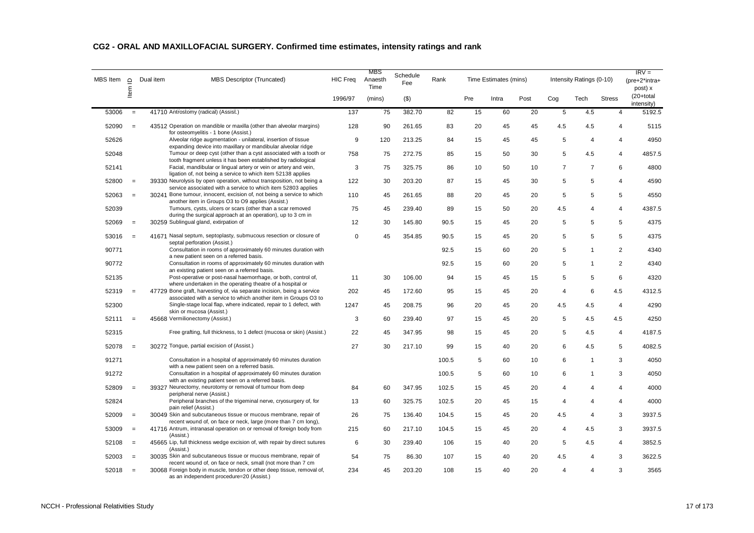| MBS Item | $\Box$            | MBS Descriptor (Truncated)<br>Dual item                                                                                                    | HIC Freq    | MBS<br>Anaesth<br>Time | Schedule<br>Fee | Rank  |     | Time Estimates (mins) |      |                | Intensity Ratings (0-10) |                | $IRV =$<br>(pre+2*intra+<br>post) x |
|----------|-------------------|--------------------------------------------------------------------------------------------------------------------------------------------|-------------|------------------------|-----------------|-------|-----|-----------------------|------|----------------|--------------------------|----------------|-------------------------------------|
|          | ltem              |                                                                                                                                            | 1996/97     | (mins)                 | $($ \$)         |       | Pre | Intra                 | Post | Cog            | Tech                     | <b>Stress</b>  | $(20+total)$<br>intensity)          |
| 53006    | $\equiv$          | 41710 Antrostomy (radical) (Assist.)                                                                                                       | 137         | 75                     | 382.70          | 82    | 15  | 60                    | 20   | $\,$ 5 $\,$    | 4.5                      | $\overline{4}$ | 5192.5                              |
| 52090    | $=$               | 43512 Operation on mandible or maxilla (other than alveolar margins)<br>for osteomyelitis - 1 bone (Assist.)                               | 128         | 90                     | 261.65          | 83    | 20  | 45                    | 45   | 4.5            | 4.5                      | $\overline{4}$ | 5115                                |
| 52626    |                   | Alveolar ridge augmentation - unilateral, insertion of tissue<br>expanding device into maxillary or mandibular alveolar ridge              | 9           | 120                    | 213.25          | 84    | 15  | 45                    | 45   | 5              | $\overline{4}$           | $\overline{4}$ | 4950                                |
| 52048    |                   | Tumour or deep cyst (other than a cyst associated with a tooth or                                                                          | 758         | 75                     | 272.75          | 85    | 15  | 50                    | 30   | 5              | 4.5                      | $\overline{4}$ | 4857.5                              |
| 52141    |                   | tooth fragment unless it has been established by radiological<br>Facial, mandibular or lingual artery or vein or artery and vein,          | 3           | 75                     | 325.75          | 86    | 10  | 50                    | 10   | $\overline{7}$ | $\overline{7}$           | 6              | 4800                                |
| 52800    | $\qquad \qquad =$ | ligation of, not being a service to which item 52138 applies<br>39330 Neurolysis by open operation, without transposition, not being a     | 122         | 30                     | 203.20          | 87    | 15  | 45                    | 30   | 5              | 5                        | $\overline{4}$ | 4590                                |
| 52063    | $=$               | service associated with a service to which item 52803 applies<br>30241 Bone tumour, innocent, excision of, not being a service to which    | 110         | 45                     | 261.65          | 88    | 20  | 45                    | 20   | 5              | 5                        | 5              | 4550                                |
| 52039    |                   | another item in Groups O3 to O9 applies (Assist.)<br>Tumours, cysts, ulcers or scars (other than a scar removed                            | 75          | 45                     | 239.40          | 89    | 15  | 50                    | 20   | 4.5            | 4                        | $\overline{4}$ | 4387.5                              |
| 52069    | $=$               | during the surgical approach at an operation), up to 3 cm in<br>30259 Sublingual gland, extirpation of                                     | 12          | 30                     | 145.80          | 90.5  | 15  | 45                    | 20   | 5              | 5                        | 5              | 4375                                |
| 53016    | $=$               | 41671 Nasal septum, septoplasty, submucous resection or closure of                                                                         | $\mathbf 0$ | 45                     | 354.85          | 90.5  | 15  | 45                    | 20   | 5              | 5                        | 5              | 4375                                |
| 90771    |                   | septal perforation (Assist.)<br>Consultation in rooms of approximately 60 minutes duration with<br>a new patient seen on a referred basis. |             |                        |                 | 92.5  | 15  | 60                    | 20   | 5              | $\mathbf{1}$             | $\overline{2}$ | 4340                                |
| 90772    |                   | Consultation in rooms of approximately 60 minutes duration with<br>an existing patient seen on a referred basis.                           |             |                        |                 | 92.5  | 15  | 60                    | 20   | 5              | $\mathbf{1}$             | $\overline{2}$ | 4340                                |
| 52135    |                   | Post-operative or post-nasal haemorrhage, or both, control of,<br>where undertaken in the operating theatre of a hospital or               | 11          | 30                     | 106.00          | 94    | 15  | 45                    | 15   | 5              | 5                        | 6              | 4320                                |
| 52319    | $=$               | 47729 Bone graft, harvesting of, via separate incision, being a service<br>associated with a service to which another item in Groups O3 to | 202         | 45                     | 172.60          | 95    | 15  | 45                    | 20   | 4              | 6                        | 4.5            | 4312.5                              |
| 52300    |                   | Single-stage local flap, where indicated, repair to 1 defect, with<br>skin or mucosa (Assist.)                                             | 1247        | 45                     | 208.75          | 96    | 20  | 45                    | 20   | 4.5            | 4.5                      | $\overline{4}$ | 4290                                |
| 52111    | $=$               | 45668 Vermilionectomy (Assist.)                                                                                                            | 3           | 60                     | 239.40          | 97    | 15  | 45                    | 20   | $\,$ 5 $\,$    | 4.5                      | 4.5            | 4250                                |
| 52315    |                   | Free grafting, full thickness, to 1 defect (mucosa or skin) (Assist.)                                                                      | 22          | 45                     | 347.95          | 98    | 15  | 45                    | 20   | 5              | 4.5                      | $\overline{4}$ | 4187.5                              |
| 52078    | $\equiv$          | 30272 Tongue, partial excision of (Assist.)                                                                                                | 27          | 30                     | 217.10          | 99    | 15  | 40                    | 20   | 6              | 4.5                      | 5              | 4082.5                              |
| 91271    |                   | Consultation in a hospital of approximately 60 minutes duration<br>with a new patient seen on a referred basis.                            |             |                        |                 | 100.5 | 5   | 60                    | 10   | 6              | $\mathbf{1}$             | 3              | 4050                                |
| 91272    |                   | Consultation in a hospital of approximately 60 minutes duration<br>with an existing patient seen on a referred basis.                      |             |                        |                 | 100.5 | 5   | 60                    | 10   | 6              | $\mathbf{1}$             | 3              | 4050                                |
| 52809    | $\qquad \qquad =$ | 39327 Neurectomy, neurotomy or removal of tumour from deep<br>peripheral nerve (Assist.)                                                   | 84          | 60                     | 347.95          | 102.5 | 15  | 45                    | 20   | $\overline{4}$ | 4                        | $\overline{4}$ | 4000                                |
| 52824    |                   | Peripheral branches of the trigeminal nerve, cryosurgery of, for<br>pain relief (Assist.)                                                  | 13          | 60                     | 325.75          | 102.5 | 20  | 45                    | 15   | 4              | 4                        | $\overline{4}$ | 4000                                |
| 52009    | $\equiv$          | 30049 Skin and subcutaneous tissue or mucous membrane, repair of<br>recent wound of, on face or neck, large (more than 7 cm long),         | 26          | 75                     | 136.40          | 104.5 | 15  | 45                    | 20   | 4.5            | 4                        | 3              | 3937.5                              |
| 53009    | $=$               | 41716 Antrum, intranasal operation on or removal of foreign body from<br>(Assist.)                                                         | 215         | 60                     | 217.10          | 104.5 | 15  | 45                    | 20   | 4              | 4.5                      | 3              | 3937.5                              |
| 52108    | $\equiv$          | 45665 Lip, full thickness wedge excision of, with repair by direct sutures<br>(Assist.)                                                    | 6           | 30                     | 239.40          | 106   | 15  | 40                    | 20   | 5              | 4.5                      | $\overline{4}$ | 3852.5                              |
| 52003    | $=$               | 30035 Skin and subcutaneous tissue or mucous membrane, repair of<br>recent wound of, on face or neck, small (not more than 7 cm            | 54          | 75                     | 86.30           | 107   | 15  | 40                    | 20   | 4.5            | 4                        | 3              | 3622.5                              |
| 52018    | $\equiv$          | 30068 Foreign body in muscle, tendon or other deep tissue, removal of,<br>as an independent procedure=20 (Assist.)                         | 234         | 45                     | 203.20          | 108   | 15  | 40                    | 20   | $\overline{4}$ | 4                        | 3              | 3565                                |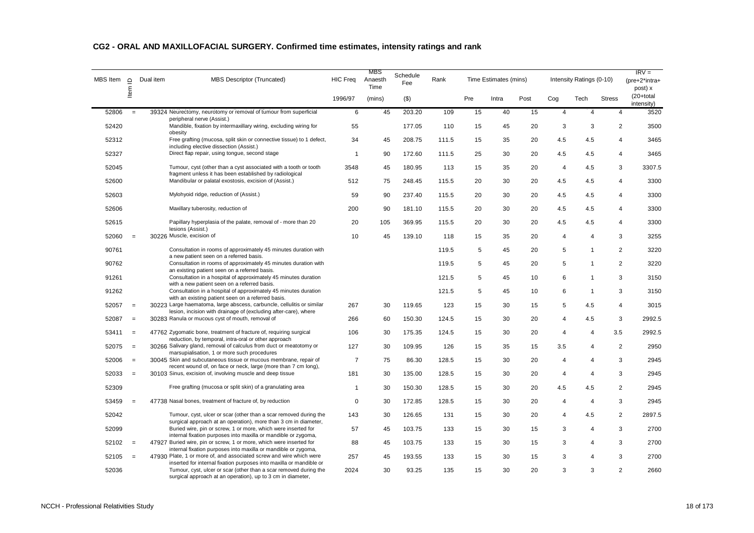| <b>MBS</b> Item | $\supseteq$       | Dual item | <b>MBS Descriptor (Truncated)</b>                                                                                                          | <b>HIC Freq</b> | MBS<br>Anaesth<br>Time | Schedule<br>Fee | Rank  |     | Time Estimates (mins) |      |                | Intensity Ratings (0-10) |                | $IRV =$<br>(pre+2*intra+<br>post) x |
|-----------------|-------------------|-----------|--------------------------------------------------------------------------------------------------------------------------------------------|-----------------|------------------------|-----------------|-------|-----|-----------------------|------|----------------|--------------------------|----------------|-------------------------------------|
|                 | Item              |           |                                                                                                                                            | 1996/97         | (mins)                 | $($ \$)         |       | Pre | Intra                 | Post | Cog            | Tech                     | <b>Stress</b>  | (20+total<br>intensity)             |
| 52806           | $=$               |           | 39324 Neurectomy, neurotomy or removal of tumour from superficial<br>peripheral nerve (Assist.)                                            | 6               | 45                     | 203.20          | 109   | 15  | 40                    | 15   | $\overline{4}$ | $\overline{4}$           | 4              | 3520                                |
| 52420           |                   |           | Mandible, fixation by intermaxillary wiring, excluding wiring for<br>obesity                                                               | 55              |                        | 177.05          | 110   | 15  | 45                    | 20   | 3              | 3                        | $\overline{2}$ | 3500                                |
| 52312           |                   |           | Free grafting (mucosa, split skin or connective tissue) to 1 defect,<br>including elective dissection (Assist.)                            | 34              | 45                     | 208.75          | 111.5 | 15  | 35                    | 20   | 4.5            | 4.5                      | 4              | 3465                                |
| 52327           |                   |           | Direct flap repair, using tonque, second stage                                                                                             | $\overline{1}$  | 90                     | 172.60          | 111.5 | 25  | 30                    | 20   | 4.5            | 4.5                      | 4              | 3465                                |
| 52045           |                   |           | Tumour, cyst (other than a cyst associated with a tooth or tooth<br>fragment unless it has been established by radiological                | 3548            | 45                     | 180.95          | 113   | 15  | 35                    | 20   | $\overline{4}$ | 4.5                      | 3              | 3307.5                              |
| 52600           |                   |           | Mandibular or palatal exostosis, excision of (Assist.)                                                                                     | 512             | 75                     | 248.45          | 115.5 | 20  | 30                    | 20   | 4.5            | 4.5                      | $\overline{4}$ | 3300                                |
| 52603           |                   |           | Mylohyoid ridge, reduction of (Assist.)                                                                                                    | 59              | 90                     | 237.40          | 115.5 | 20  | 30                    | 20   | 4.5            | 4.5                      | 4              | 3300                                |
| 52606           |                   |           | Maxillary tuberosity, reduction of                                                                                                         | 200             | 90                     | 181.10          | 115.5 | 20  | 30                    | 20   | 4.5            | 4.5                      | 4              | 3300                                |
| 52615           |                   |           | Papillary hyperplasia of the palate, removal of - more than 20<br>lesions (Assist.)                                                        | 20              | 105                    | 369.95          | 115.5 | 20  | 30                    | 20   | 4.5            | 4.5                      | 4              | 3300                                |
| 52060           | $\equiv$          |           | 30226 Muscle, excision of                                                                                                                  | 10              | 45                     | 139.10          | 118   | 15  | 35                    | 20   | $\overline{4}$ | $\overline{4}$           | 3              | 3255                                |
| 90761           |                   |           | Consultation in rooms of approximately 45 minutes duration with<br>a new patient seen on a referred basis.                                 |                 |                        |                 | 119.5 | 5   | 45                    | 20   | 5              | $\mathbf{1}$             | $\overline{2}$ | 3220                                |
| 90762           |                   |           | Consultation in rooms of approximately 45 minutes duration with<br>an existing patient seen on a referred basis.                           |                 |                        |                 | 119.5 | 5   | 45                    | 20   | 5              | $\mathbf{1}$             | $\overline{2}$ | 3220                                |
| 91261           |                   |           | Consultation in a hospital of approximately 45 minutes duration<br>with a new patient seen on a referred basis.                            |                 |                        |                 | 121.5 | 5   | 45                    | 10   | 6              | $\mathbf{1}$             | 3              | 3150                                |
| 91262           |                   |           | Consultation in a hospital of approximately 45 minutes duration<br>with an existing patient seen on a referred basis.                      |                 |                        |                 | 121.5 | 5   | 45                    | 10   | 6              | $\mathbf{1}$             | 3              | 3150                                |
| 52057           | $=$               |           | 30223 Large haematoma, large abscess, carbuncle, cellulitis or similar<br>lesion, incision with drainage of (excluding after-care), where  | 267             | 30                     | 119.65          | 123   | 15  | 30                    | 15   | 5              | 4.5                      | 4              | 3015                                |
| 52087           | $\qquad \qquad =$ |           | 30283 Ranula or mucous cyst of mouth, removal of                                                                                           | 266             | 60                     | 150.30          | 124.5 | 15  | 30                    | 20   | $\overline{4}$ | 4.5                      | 3              | 2992.5                              |
| 53411           | $=$               |           | 47762 Zygomatic bone, treatment of fracture of, requiring surgical<br>reduction, by temporal, intra-oral or other approach                 | 106             | 30                     | 175.35          | 124.5 | 15  | 30                    | 20   | $\overline{4}$ | $\overline{4}$           | 3.5            | 2992.5                              |
| 52075           | $\qquad \qquad =$ |           | 30266 Salivary gland, removal of calculus from duct or meatotomy or<br>marsupialisation, 1 or more such procedures                         | 127             | 30                     | 109.95          | 126   | 15  | 35                    | 15   | 3.5            | $\overline{4}$           | $\overline{c}$ | 2950                                |
| 52006           | $=$               |           | 30045 Skin and subcutaneous tissue or mucous membrane, repair of<br>recent wound of, on face or neck, large (more than 7 cm long),         | $\overline{7}$  | 75                     | 86.30           | 128.5 | 15  | 30                    | 20   | $\overline{4}$ | $\overline{4}$           | 3              | 2945                                |
| 52033           | $\equiv$          |           | 30103 Sinus, excision of, involving muscle and deep tissue                                                                                 | 181             | 30                     | 135.00          | 128.5 | 15  | 30                    | 20   | $\overline{4}$ | $\overline{4}$           | 3              | 2945                                |
| 52309           |                   |           | Free grafting (mucosa or split skin) of a granulating area                                                                                 | $\mathbf{1}$    | 30                     | 150.30          | 128.5 | 15  | 30                    | 20   | 4.5            | 4.5                      | $\overline{2}$ | 2945                                |
| 53459           | $\equiv$          |           | 47738 Nasal bones, treatment of fracture of, by reduction                                                                                  | $\mathbf 0$     | 30                     | 172.85          | 128.5 | 15  | 30                    | 20   | $\overline{4}$ | $\overline{4}$           | 3              | 2945                                |
| 52042           |                   |           | Tumour, cyst, ulcer or scar (other than a scar removed during the<br>surgical approach at an operation), more than 3 cm in diameter,       | 143             | 30                     | 126.65          | 131   | 15  | 30                    | 20   | $\overline{4}$ | 4.5                      | $\overline{2}$ | 2897.5                              |
| 52099           |                   |           | Buried wire, pin or screw, 1 or more, which were inserted for<br>internal fixation purposes into maxilla or mandible or zygoma,            | 57              | 45                     | 103.75          | 133   | 15  | 30                    | 15   | 3              | $\overline{4}$           | 3              | 2700                                |
| 52102           | $=$               |           | 47927 Buried wire, pin or screw, 1 or more, which were inserted for<br>internal fixation purposes into maxilla or mandible or zygoma,      | 88              | 45                     | 103.75          | 133   | 15  | 30                    | 15   | 3              | $\overline{4}$           | 3              | 2700                                |
| 52105           | $=$               |           | 47930 Plate, 1 or more of, and associated screw and wire which were<br>inserted for internal fixation purposes into maxilla or mandible or | 257             | 45                     | 193.55          | 133   | 15  | 30                    | 15   | 3              | $\overline{4}$           | 3              | 2700                                |
| 52036           |                   |           | Tumour, cyst, ulcer or scar (other than a scar removed during the<br>surgical approach at an operation), up to 3 cm in diameter,           | 2024            | 30                     | 93.25           | 135   | 15  | 30                    | 20   | 3              | 3                        | $\overline{2}$ | 2660                                |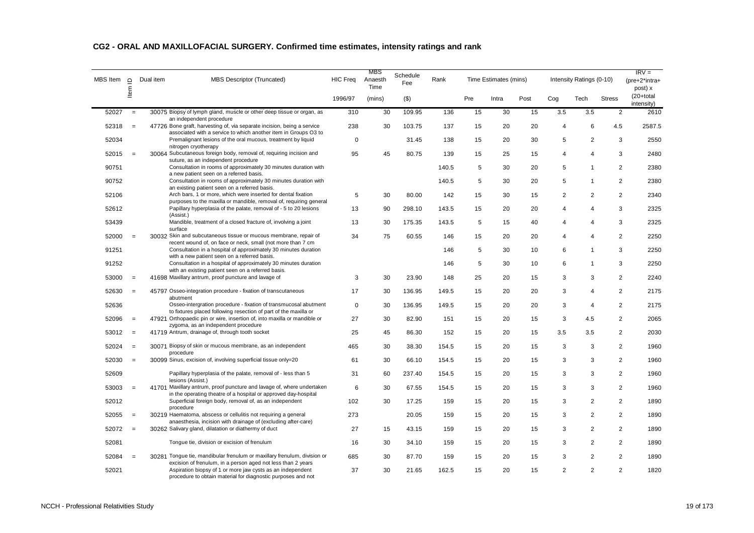| MBS Item | $\Box$   | Dual item                | MBS Descriptor (Truncated)                                                                                                                        | <b>HIC Freq</b> | MBS<br>Anaesth<br>Time | Schedule<br>Fee | Rank  |     | Time Estimates (mins) |      |                | Intensity Ratings (0-10) |                | $IRV =$<br>$(pre+2^*intra+$<br>post) x |
|----------|----------|--------------------------|---------------------------------------------------------------------------------------------------------------------------------------------------|-----------------|------------------------|-----------------|-------|-----|-----------------------|------|----------------|--------------------------|----------------|----------------------------------------|
|          | ltem     |                          |                                                                                                                                                   | 1996/97         | (mins)                 | $($ \$)         |       | Pre | Intra                 | Post | Cog            | Tech                     | <b>Stress</b>  | $(20+total)$<br>intensity)             |
| 52027    | $=$      | an independent procedure | 30075 Biopsy of lymph gland, muscle or other deep tissue or organ, as                                                                             | 310             | 30                     | 109.95          | 136   | 15  | 30                    | 15   | 3.5            | 3.5                      | $\overline{2}$ | 2610                                   |
| 52318    | $=$      |                          | 47726 Bone graft, harvesting of, via separate incision, being a service<br>associated with a service to which another item in Groups O3 to        | 238             | 30                     | 103.75          | 137   | 15  | 20                    | 20   | 4              | 6                        | 4.5            | 2587.5                                 |
| 52034    |          | nitrogen cryotherapy     | Premalignant lesions of the oral mucous, treatment by liquid                                                                                      | $\mathbf 0$     |                        | 31.45           | 138   | 15  | 20                    | 30   | 5              | $\overline{2}$           | 3              | 2550                                   |
| 52015    | $=$      |                          | 30064 Subcutaneous foreign body, removal of, requiring incision and                                                                               | 95              | 45                     | 80.75           | 139   | 15  | 25                    | 15   | 4              | 4                        | 3              | 2480                                   |
| 90751    |          |                          | suture, as an independent procedure<br>Consultation in rooms of approximately 30 minutes duration with<br>a new patient seen on a referred basis. |                 |                        |                 | 140.5 | 5   | 30                    | 20   | 5              | $\mathbf{1}$             | $\overline{2}$ | 2380                                   |
| 90752    |          |                          | Consultation in rooms of approximately 30 minutes duration with<br>an existing patient seen on a referred basis.                                  |                 |                        |                 | 140.5 | 5   | 30                    | 20   | 5              | $\overline{1}$           | $\overline{2}$ | 2380                                   |
| 52106    |          |                          | Arch bars, 1 or more, which were inserted for dental fixation<br>purposes to the maxilla or mandible, removal of, requiring general               | 5               | 30                     | 80.00           | 142   | 15  | 30                    | 15   | $\overline{2}$ | $\overline{2}$           | $\overline{2}$ | 2340                                   |
| 52612    |          | (Assist.)                | Papillary hyperplasia of the palate, removal of - 5 to 20 lesions                                                                                 | 13              | 90                     | 298.10          | 143.5 | 15  | 20                    | 20   | 4              | 4                        | 3              | 2325                                   |
| 53439    |          | surface                  | Mandible, treatment of a closed fracture of, involving a joint                                                                                    | 13              | 30                     | 175.35          | 143.5 | 5   | 15                    | 40   | 4              | 4                        | 3              | 2325                                   |
| 52000    | $=$      |                          | 30032 Skin and subcutaneous tissue or mucous membrane, repair of<br>recent wound of, on face or neck, small (not more than 7 cm                   | 34              | 75                     | 60.55           | 146   | 15  | 20                    | 20   | 4              | 4                        | $\overline{2}$ | 2250                                   |
| 91251    |          |                          | Consultation in a hospital of approximately 30 minutes duration<br>with a new patient seen on a referred basis.                                   |                 |                        |                 | 146   | 5   | 30                    | 10   | 6              | $\mathbf{1}$             | 3              | 2250                                   |
| 91252    |          |                          | Consultation in a hospital of approximately 30 minutes duration<br>with an existing patient seen on a referred basis.                             |                 |                        |                 | 146   | 5   | 30                    | 10   | 6              | $\mathbf{1}$             | 3              | 2250                                   |
| 53000    | $=$      |                          | 41698 Maxillary antrum, proof puncture and lavage of                                                                                              | 3               | 30                     | 23.90           | 148   | 25  | 20                    | 15   | 3              | 3                        | $\overline{2}$ | 2240                                   |
| 52630    | $=$      | abutment                 | 45797 Osseo-integration procedure - fixation of transcutaneous                                                                                    | 17              | 30                     | 136.95          | 149.5 | 15  | 20                    | 20   | 3              | $\overline{4}$           | $\overline{2}$ | 2175                                   |
| 52636    |          |                          | Osseo-intergration procedure - fixation of transmucosal abutment<br>to fixtures placed following resection of part of the maxilla or              | $\mathbf{0}$    | 30                     | 136.95          | 149.5 | 15  | 20                    | 20   | 3              | 4                        | $\overline{2}$ | 2175                                   |
| 52096    | $\equiv$ |                          | 47921 Orthopaedic pin or wire, insertion of, into maxilla or mandible or<br>zygoma, as an independent procedure                                   | 27              | 30                     | 82.90           | 151   | 15  | 20                    | 15   | 3              | 4.5                      | $\overline{2}$ | 2065                                   |
| 53012    | $=$      |                          | 41719 Antrum, drainage of, through tooth socket                                                                                                   | 25              | 45                     | 86.30           | 152   | 15  | 20                    | 15   | 3.5            | 3.5                      | 2              | 2030                                   |
| 52024    | $=$      | procedure                | 30071 Biopsy of skin or mucous membrane, as an independent                                                                                        | 465             | 30                     | 38.30           | 154.5 | 15  | 20                    | 15   | 3              | 3                        | $\overline{2}$ | 1960                                   |
| 52030    | $=$      |                          | 30099 Sinus, excision of, involving superficial tissue only=20                                                                                    | 61              | 30                     | 66.10           | 154.5 | 15  | 20                    | 15   | 3              | 3                        | $\overline{2}$ | 1960                                   |
| 52609    |          | lesions (Assist.)        | Papillary hyperplasia of the palate, removal of - less than 5                                                                                     | 31              | 60                     | 237.40          | 154.5 | 15  | 20                    | 15   | 3              | 3                        | $\overline{2}$ | 1960                                   |
| 53003    | $=$      |                          | 41701 Maxillary antrum, proof puncture and lavage of, where undertaken<br>in the operating theatre of a hospital or approved day-hospital         | 6               | 30                     | 67.55           | 154.5 | 15  | 20                    | 15   | 3              | 3                        | 2              | 1960                                   |
| 52012    |          | procedure                | Superficial foreign body, removal of, as an independent                                                                                           | 102             | 30                     | 17.25           | 159   | 15  | 20                    | 15   | 3              | $\overline{2}$           | $\overline{2}$ | 1890                                   |
| 52055    | $=$      |                          | 30219 Haematoma, abscess or cellulitis not requiring a general<br>anaesthesia, incision with drainage of (excluding after-care)                   | 273             |                        | 20.05           | 159   | 15  | 20                    | 15   | 3              | $\overline{2}$           | $\overline{2}$ | 1890                                   |
| 52072    | $=$      |                          | 30262 Salivary gland, dilatation or diathermy of duct                                                                                             | 27              | 15                     | 43.15           | 159   | 15  | 20                    | 15   | 3              | $\overline{2}$           | $\overline{2}$ | 1890                                   |
| 52081    |          |                          | Tonque tie, division or excision of frenulum                                                                                                      | 16              | 30                     | 34.10           | 159   | 15  | 20                    | 15   | 3              | $\overline{2}$           | $\overline{2}$ | 1890                                   |
| 52084    | $=$      |                          | 30281 Tongue tie, mandibular frenulum or maxillary frenulum, division or<br>excision of frenulum, in a person aged not less than 2 years          | 685             | 30                     | 87.70           | 159   | 15  | 20                    | 15   | 3              | $\overline{\mathbf{c}}$  | $\sqrt{2}$     | 1890                                   |
| 52021    |          |                          | Aspiration biopsy of 1 or more jaw cysts as an independent<br>procedure to obtain material for diagnostic purposes and not                        | 37              | 30                     | 21.65           | 162.5 | 15  | 20                    | 15   | $\overline{2}$ | $\overline{2}$           | 2              | 1820                                   |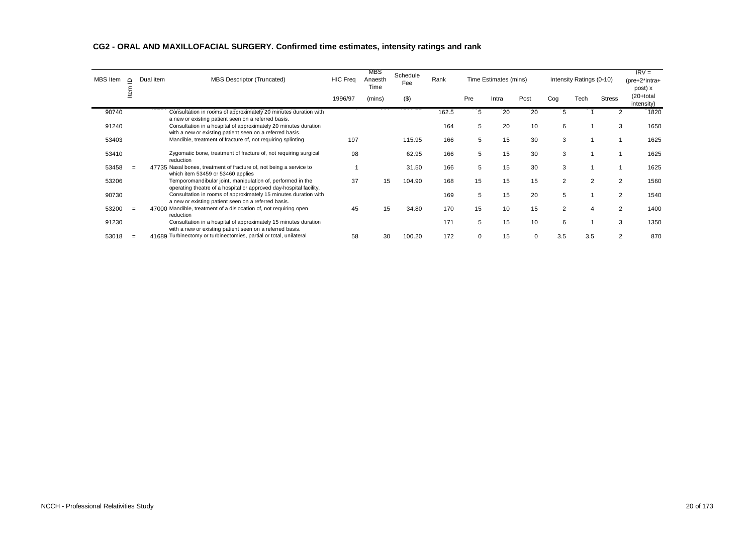| MBS Item | $\Omega$ | Dual item | <b>MBS Descriptor (Truncated)</b>                                                                                                | <b>HIC Freq</b> | MBS<br>Anaesth<br>Time | Schedule<br>Fee | Rank  |          | Time Estimates (mins) |      |                | Intensity Ratings (0-10) |                | $IRV =$<br>$(pre+2^*intra+$<br>post) x |
|----------|----------|-----------|----------------------------------------------------------------------------------------------------------------------------------|-----------------|------------------------|-----------------|-------|----------|-----------------------|------|----------------|--------------------------|----------------|----------------------------------------|
|          | ≗        |           |                                                                                                                                  | 1996/97         | (mins)                 | (3)             |       | Pre      | Intra                 | Post | Cog            | Tech                     | <b>Stress</b>  | (20+total<br>intensity)                |
| 90740    |          |           | Consultation in rooms of approximately 20 minutes duration with<br>a new or existing patient seen on a referred basis.           |                 |                        |                 | 162.5 | 5        | 20                    | 20   | 5              |                          |                | 1820                                   |
| 91240    |          |           | Consultation in a hospital of approximately 20 minutes duration<br>with a new or existing patient seen on a referred basis.      |                 |                        |                 | 164   | 5        | 20                    | 10   | 6              |                          | 3              | 1650                                   |
| 53403    |          |           | Mandible, treatment of fracture of, not requiring splinting                                                                      | 197             |                        | 115.95          | 166   | 5        | 15                    | 30   | 3              |                          |                | 1625                                   |
| 53410    |          |           | Zygomatic bone, treatment of fracture of, not requiring surgical<br>reduction                                                    | 98              |                        | 62.95           | 166   | 5        | 15                    | 30   | 3              |                          |                | 1625                                   |
| 53458    | $\equiv$ |           | 47735 Nasal bones, treatment of fracture of, not being a service to<br>which item 53459 or 53460 applies                         |                 |                        | 31.50           | 166   | 5        | 15                    | 30   | 3              |                          |                | 1625                                   |
| 53206    |          |           | Temporomandibular joint, manipulation of, performed in the<br>operating theatre of a hospital or approved day-hospital facility, | 37              | 15                     | 104.90          | 168   | 15       | 15                    | 15   | $\overline{2}$ | 2                        | 2              | 1560                                   |
| 90730    |          |           | Consultation in rooms of approximately 15 minutes duration with<br>a new or existing patient seen on a referred basis.           |                 |                        |                 | 169   | 5        | 15                    | 20   | 5              |                          | 2              | 1540                                   |
| 53200    | $\equiv$ |           | 47000 Mandible, treatment of a dislocation of, not requiring open<br>reduction                                                   | 45              | 15                     | 34.80           | 170   | 15       | 10                    | 15   | 2              | 4                        | 2              | 1400                                   |
| 91230    |          |           | Consultation in a hospital of approximately 15 minutes duration<br>with a new or existing patient seen on a referred basis.      |                 |                        |                 | 171   | 5        | 15                    | 10   | 6              |                          | 3              | 1350                                   |
| 53018    |          |           | 41689 Turbinectomy or turbinectomies, partial or total, unilateral                                                               | 58              | 30                     | 100.20          | 172   | $\Omega$ | 15                    | 0    | 3.5            | 3.5                      | $\overline{2}$ | 870                                    |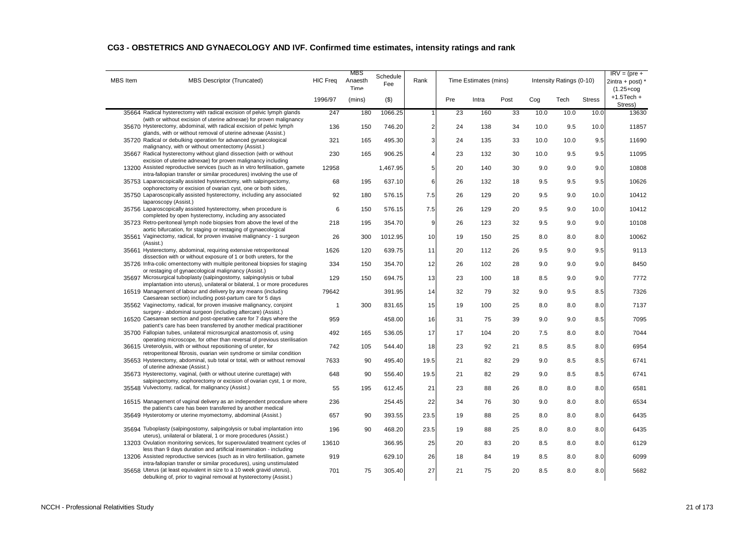| CG3 - OBSTETRICS AND GYNAECOLOGY AND IVF. Confirmed time estimates, intensity ratings and rank |  |  |
|------------------------------------------------------------------------------------------------|--|--|
|------------------------------------------------------------------------------------------------|--|--|

| <b>MBS</b> Item | <b>MBS Descriptor (Truncated)</b>                                                                                                                    | <b>HIC Freq</b> | MBS<br>Anaesth<br>Time | Schedule<br>Fee | Rank |     | Time Estimates (mins) |      |      | Intensity Ratings (0-10) |               | $IRV = (pre +$<br>$2intra + post$<br>$(1.25 + \text{cog})$ |
|-----------------|------------------------------------------------------------------------------------------------------------------------------------------------------|-----------------|------------------------|-----------------|------|-----|-----------------------|------|------|--------------------------|---------------|------------------------------------------------------------|
|                 |                                                                                                                                                      | 1996/97         | (mins)                 | $($ \$)         |      | Pre | Intra                 | Post | Cog  | Tech                     | <b>Stress</b> | $+1.5$ Tech $+$<br>Stress)                                 |
|                 | 35664 Radical hysterectomy with radical excision of pelvic lymph glands<br>(with or without excision of uterine adnexae) for proven malignancy       | 247             | 180                    | 1066.25         |      | 23  | 160                   | 33   | 10.0 | 10.0                     | 10.0          | 13630                                                      |
|                 | 35670 Hysterectomy, abdominal, with radical excision of pelvic lymph<br>glands, with or without removal of uterine adnexae (Assist.)                 | 136             | 150                    | 746.20          | 2    | 24  | 138                   | 34   | 10.0 | 9.5                      | 10.0          | 11857                                                      |
|                 | 35720 Radical or debulking operation for advanced gynaecological<br>malignancy, with or without omentectomy (Assist.)                                | 321             | 165                    | 495.30          | 3    | 24  | 135                   | 33   | 10.0 | 10.0                     | 9.5           | 11690                                                      |
|                 | 35667 Radical hysterectomy without gland dissection (with or without<br>excision of uterine adnexae) for proven malignancy including                 | 230             | 165                    | 906.25          | 4    | 23  | 132                   | 30   | 10.0 | 9.5                      | 9.5           | 11095                                                      |
|                 | 13200 Assisted reproductive services (such as in vitro fertilisation, gamete<br>intra-fallopian transfer or similar procedures) involving the use of | 12958           |                        | 1,467.95        | 5    | 20  | 140                   | 30   | 9.0  | 9.0                      | 9.0           | 10808                                                      |
|                 | 35753 Laparoscopically assisted hysterectomy, with salpingectomy,<br>oophorectomy or excision of ovarian cyst, one or both sides,                    | 68              | 195                    | 637.10          | 6    | 26  | 132                   | 18   | 9.5  | 9.5                      | 9.5           | 10626                                                      |
|                 | 35750 Laparoscopically assisted hysterectomy, including any associated<br>laparoscopy (Assist.)                                                      | 92              | 180                    | 576.15          | 7.5  | 26  | 129                   | 20   | 9.5  | 9.0                      | 10.0          | 10412                                                      |
|                 | 35756 Laparoscopically assisted hysterectomy, when procedure is<br>completed by open hysterectomy, including any associated                          | 6               | 150                    | 576.15          | 7.5  | 26  | 129                   | 20   | 9.5  | 9.0                      | 10.0          | 10412                                                      |
|                 | 35723 Retro-peritoneal lymph node biopsies from above the level of the<br>aortic bifurcation, for staging or restaging of gynaecological             | 218             | 195                    | 354.70          | 9    | 26  | 123                   | 32   | 9.5  | 9.0                      | 9.0           | 10108                                                      |
|                 | 35561 Vaginectomy, radical, for proven invasive malignancy - 1 surgeon<br>(Assist.)                                                                  | 26              | 300                    | 1012.95         | 10   | 19  | 150                   | 25   | 8.0  | 8.0                      | 8.0           | 10062                                                      |
|                 | 35661 Hysterectomy, abdominal, requiring extensive retroperitoneal<br>dissection with or without exposure of 1 or both ureters, for the              | 1626            | 120                    | 639.75          | 11   | 20  | 112                   | 26   | 9.5  | 9.0                      | 9.5           | 9113                                                       |
|                 | 35726 Infra-colic omentectomy with multiple peritoneal biopsies for staging<br>or restaging of gynaecological malignancy (Assist.)                   | 334             | 150                    | 354.70          | 12   | 26  | 102                   | 28   | 9.0  | 9.0                      | 9.0           | 8450                                                       |
|                 | 35697 Microsurgical tuboplasty (salpingostomy, salpingolysis or tubal<br>implantation into uterus), unilateral or bilateral, 1 or more procedures    | 129             | 150                    | 694.75          | 13   | 23  | 100                   | 18   | 8.5  | 9.0                      | 9.0           | 7772                                                       |
|                 | 16519 Management of labour and delivery by any means (including<br>Caesarean section) including post-partum care for 5 days                          | 79642           |                        | 391.95          | 14   | 32  | 79                    | 32   | 9.0  | 9.5                      | 8.5           | 7326                                                       |
|                 | 35562 Vaginectomy, radical, for proven invasive malignancy, conjoint<br>surgery - abdominal surgeon (including aftercare) (Assist.)                  | $\mathbf{1}$    | 300                    | 831.65          | 15   | 19  | 100                   | 25   | 8.0  | 8.0                      | 8.0           | 7137                                                       |
|                 | 16520 Caesarean section and post-operative care for 7 days where the<br>patient's care has been transferred by another medical practitioner          | 959             |                        | 458.00          | 16   | 31  | 75                    | 39   | 9.0  | 9.0                      | 8.5           | 7095                                                       |
|                 | 35700 Fallopian tubes, unilateral microsurgical anastomosis of, using<br>operating microscope, for other than reversal of previous sterilisation     | 492             | 165                    | 536.05          | 17   | 17  | 104                   | 20   | 7.5  | 8.0                      | 8.0           | 7044                                                       |
|                 | 36615 Ureterolysis, with or without repositioning of ureter, for<br>retroperitoneal fibrosis, ovarian vein syndrome or similar condition             | 742             | 105                    | 544.40          | 18   | 23  | 92                    | 21   | 8.5  | 8.5                      | 8.0           | 6954                                                       |
|                 | 35653 Hysterectomy, abdominal, sub total or total, with or without removal<br>of uterine adnexae (Assist.)                                           | 7633            | 90                     | 495.40          | 19.5 | 21  | 82                    | 29   | 9.0  | 8.5                      | 8.5           | 6741                                                       |
|                 | 35673 Hysterectomy, vaginal, (with or without uterine curettage) with<br>salpingectomy, oophorectomy or excision of ovarian cyst, 1 or more,         | 648             | 90                     | 556.40          | 19.5 | 21  | 82                    | 29   | 9.0  | 8.5                      | 8.5           | 6741                                                       |
|                 | 35548 Vulvectomy, radical, for malignancy (Assist.)                                                                                                  | 55              | 195                    | 612.45          | 21   | 23  | 88                    | 26   | 8.0  | 8.0                      | 8.0           | 6581                                                       |
|                 | 16515 Management of vaginal delivery as an independent procedure where<br>the patient's care has been transferred by another medical                 | 236             |                        | 254.45          | 22   | 34  | 76                    | 30   | 9.0  | 8.0                      | 8.0           | 6534                                                       |
|                 | 35649 Hysterotomy or uterine myomectomy, abdominal (Assist.)                                                                                         | 657             | 90                     | 393.55          | 23.5 | 19  | 88                    | 25   | 8.0  | 8.0                      | 8.0           | 6435                                                       |
|                 | 35694 Tuboplasty (salpingostomy, salpingolysis or tubal implantation into<br>uterus), unilateral or bilateral, 1 or more procedures (Assist.)        | 196             | 90                     | 468.20          | 23.5 | 19  | 88                    | 25   | 8.0  | 8.0                      | 8.0           | 6435                                                       |
|                 | 13203 Ovulation monitoring services, for superovulated treatment cycles of<br>less than 9 days duration and artificial insemination - including      | 13610           |                        | 366.95          | 25   | 20  | 83                    | 20   | 8.5  | 8.0                      | 8.0           | 6129                                                       |
|                 | 13206 Assisted reproductive services (such as in vitro fertilisation, gamete<br>intra-fallopian transfer or similar procedures), using unstimulated  | 919             |                        | 629.10          | 26   | 18  | 84                    | 19   | 8.5  | 8.0                      | 8.0           | 6099                                                       |
|                 | 35658 Uterus (at least equivalent in size to a 10 week gravid uterus),<br>debulking of, prior to vaginal removal at hysterectomy (Assist.)           | 701             | 75                     | 305.40          | 27   | 21  | 75                    | 20   | 8.5  | 8.0                      | 8.0           | 5682                                                       |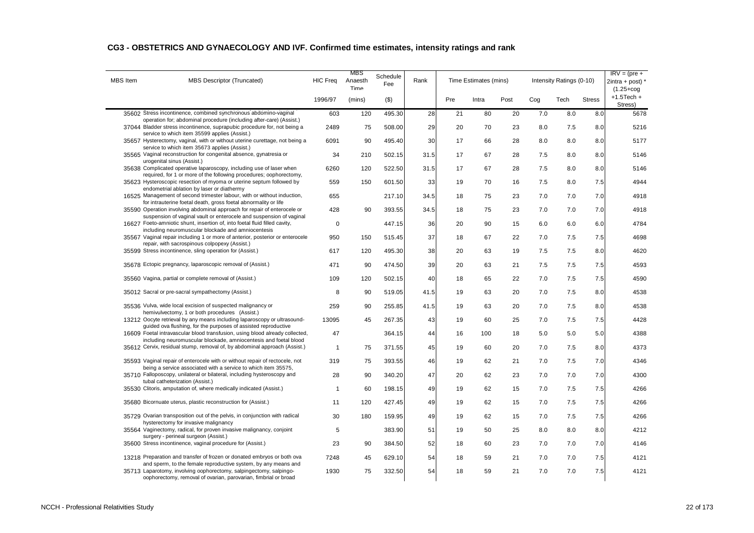| CG3 - OBSTETRICS AND GYNAECOLOGY AND IVF. Confirmed time estimates, intensity ratings and rank |  |  |  |
|------------------------------------------------------------------------------------------------|--|--|--|
|------------------------------------------------------------------------------------------------|--|--|--|

| <b>MBS</b> Item<br><b>MBS Descriptor (Truncated)</b>                                                                                                                                                    | <b>HIC Freq</b> | MBS<br>Anaesth<br>Time | Schedule<br>Fee | Rank |     | Time Estimates (mins) |      |     | Intensity Ratings (0-10) |               | $IRV = (pre +$<br>$2intra + post$<br>$(1.25 + \text{cog})$ |
|---------------------------------------------------------------------------------------------------------------------------------------------------------------------------------------------------------|-----------------|------------------------|-----------------|------|-----|-----------------------|------|-----|--------------------------|---------------|------------------------------------------------------------|
|                                                                                                                                                                                                         | 1996/97         | (mins)                 | $($ \$)         |      | Pre | Intra                 | Post | Cog | Tech                     | <b>Stress</b> | $+1.5$ Tech $+$<br>Stress)                                 |
| 35602 Stress incontinence, combined synchronous abdomino-vaginal<br>operation for; abdominal procedure (including after-care) (Assist.)                                                                 | 603             | 120                    | 495.30          | 28   | 21  | 80                    | 20   | 7.0 | 8.0                      | 8.0           | 5678                                                       |
| 37044 Bladder stress incontinence, suprapubic procedure for, not being a<br>service to which item 35599 applies (Assist.)                                                                               | 2489            | 75                     | 508.00          | 29   | 20  | 70                    | 23   | 8.0 | 7.5                      | 8.0           | 5216                                                       |
| 35657 Hysterectomy, vaginal, with or without uterine curettage, not being a<br>service to which item 35673 applies (Assist.)                                                                            | 6091            | 90                     | 495.40          | 30   | 17  | 66                    | 28   | 8.0 | 8.0                      | 8.0           | 5177                                                       |
| 35565 Vaginal reconstruction for congenital absence, gynatresia or<br>urogenital sinus (Assist.)                                                                                                        | 34              | 210                    | 502.15          | 31.5 | 17  | 67                    | 28   | 7.5 | 8.0                      | 8.0           | 5146                                                       |
| 35638 Complicated operative laparoscopy, including use of laser when<br>required, for 1 or more of the following procedures; oophorectomy,                                                              | 6260            | 120                    | 522.50          | 31.5 | 17  | 67                    | 28   | 7.5 | 8.0                      | 8.0           | 5146                                                       |
| 35623 Hysteroscopic resection of myoma or uterine septum followed by<br>endometrial ablation by laser or diathermy                                                                                      | 559             | 150                    | 601.50          | 33   | 19  | 70                    | 16   | 7.5 | 8.0                      | 7.5           | 4944                                                       |
| 16525 Management of second trimester labour, with or without induction,                                                                                                                                 | 655             |                        | 217.10          | 34.5 | 18  | 75                    | 23   | 7.0 | 7.0                      | 7.0           | 4918                                                       |
| for intrauterine foetal death, gross foetal abnormality or life<br>35590 Operation involving abdominal approach for repair of enterocele or                                                             | 428             | 90                     | 393.55          | 34.5 | 18  | 75                    | 23   | 7.0 | 7.0                      | 7.0           | 4918                                                       |
| suspension of vaginal vault or enterocele and suspension of vaginal<br>16627 Foeto-amniotic shunt, insertion of, into foetal fluid filled cavity,                                                       | 0               |                        | 447.15          | 36   | 20  | 90                    | 15   | 6.0 | 6.0                      | 6.0           | 4784                                                       |
| including neuromuscular blockade and amniocentesis<br>35567 Vaginal repair including 1 or more of anterior, posterior or enterocele                                                                     | 950             | 150                    | 515.45          | 37   | 18  | 67                    | 22   | 7.0 | 7.5                      | 7.5           | 4698                                                       |
| repair, with sacrospinous colpopexy (Assist.)<br>35599 Stress incontinence, sling operation for (Assist.)                                                                                               | 617             | 120                    | 495.30          | 38   | 20  | 63                    | 19   | 7.5 | 7.5                      | 8.0           | 4620                                                       |
| 35678 Ectopic pregnancy, laparoscopic removal of (Assist.)                                                                                                                                              | 471             | 90                     | 474.50          | 39   | 20  | 63                    | 21   | 7.5 | 7.5                      | 7.5           | 4593                                                       |
| 35560 Vagina, partial or complete removal of (Assist.)                                                                                                                                                  | 109             | 120                    | 502.15          | 40   | 18  | 65                    | 22   | 7.0 | 7.5                      | 7.5           | 4590                                                       |
| 35012 Sacral or pre-sacral sympathectomy (Assist.)                                                                                                                                                      | 8               | 90                     | 519.05          | 41.5 | 19  | 63                    | 20   | 7.0 | 7.5                      | 8.0           | 4538                                                       |
| 35536 Vulva, wide local excision of suspected malignancy or                                                                                                                                             | 259             | 90                     | 255.85          | 41.5 | 19  | 63                    | 20   | 7.0 | 7.5                      | 8.0           | 4538                                                       |
| hemivulvectomy, 1 or both procedures (Assist.)<br>13212 Oocyte retrieval by any means including laparoscopy or ultrasound-                                                                              | 13095           | 45                     | 267.35          | 43   | 19  | 60                    | 25   | 7.0 | 7.5                      | 7.5           | 4428                                                       |
| guided ova flushing, for the purposes of assisted reproductive<br>16609 Foetal intravascular blood transfusion, using blood already collected,                                                          | 47              |                        | 364.15          | 44   | 16  | 100                   | 18   | 5.0 | 5.0                      | 5.0           | 4388                                                       |
| including neuromuscular blockade, amniocentesis and foetal blood<br>35612 Cervix, residual stump, removal of, by abdominal approach (Assist.)                                                           | $\mathbf{1}$    | 75                     | 371.55          | 45   | 19  | 60                    | 20   | 7.0 | 7.5                      | 8.0           | 4373                                                       |
| 35593 Vaginal repair of enterocele with or without repair of rectocele, not                                                                                                                             | 319             | 75                     | 393.55          | 46   | 19  | 62                    | 21   | 7.0 | 7.5                      | 7.0           | 4346                                                       |
| being a service associated with a service to which item 35575,<br>35710 Falloposcopy, unilateral or bilateral, including hysteroscopy and                                                               | 28              | 90                     | 340.20          | 47   | 20  | 62                    | 23   | 7.0 | 7.0                      | 7.0           | 4300                                                       |
| tubal catheterization (Assist.)<br>35530 Clitoris, amputation of, where medically indicated (Assist.)                                                                                                   | $\mathbf{1}$    | 60                     | 198.15          | 49   | 19  | 62                    | 15   | 7.0 | 7.5                      | 7.5           | 4266                                                       |
| 35680 Bicornuate uterus, plastic reconstruction for (Assist.)                                                                                                                                           | 11              | 120                    | 427.45          | 49   | 19  | 62                    | 15   | 7.0 | 7.5                      | 7.5           | 4266                                                       |
| 35729 Ovarian transposition out of the pelvis, in conjunction with radical                                                                                                                              | 30              | 180                    | 159.95          | 49   | 19  | 62                    | 15   | 7.0 | 7.5                      | 7.5           | 4266                                                       |
| hysterectomy for invasive malignancy<br>35564 Vaginectomy, radical, for proven invasive malignancy, conjoint                                                                                            | 5               |                        | 383.90          | 51   | 19  | 50                    | 25   | 8.0 | 8.0                      | 8.0           | 4212                                                       |
| surgery - perineal surgeon (Assist.)<br>35600 Stress incontinence, vaginal procedure for (Assist.)                                                                                                      | 23              | 90                     | 384.50          | 52   | 18  | 60                    | 23   | 7.0 | 7.0                      | 7.0           | 4146                                                       |
| 13218 Preparation and transfer of frozen or donated embryos or both ova                                                                                                                                 | 7248            | 45                     | 629.10          | 54   | 18  | 59                    | 21   | 7.0 | 7.0                      | 7.5           | 4121                                                       |
| and sperm, to the female reproductive system, by any means and<br>35713 Laparotomy, involving oophorectomy, salpingectomy, salpingo-<br>oophorectomy, removal of ovarian, parovarian, fimbrial or broad | 1930            | 75                     | 332.50          | 54   | 18  | 59                    | 21   | 7.0 | 7.0                      | 7.5           | 4121                                                       |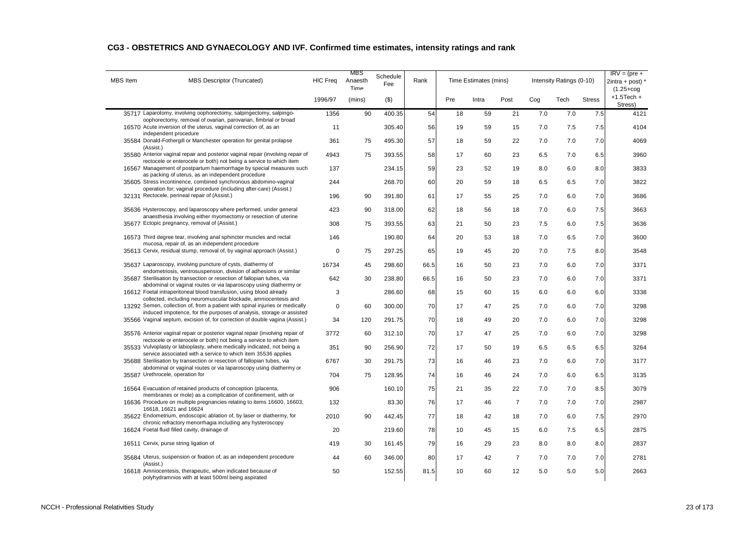| <b>MBS</b> Item | <b>MBS Descriptor (Truncated)</b>                                                                                                                     | <b>HIC Freq</b> | MBS<br>Anaesth<br>Time | Schedule<br>Fee | Rank |     | Time Estimates (mins) |                |     | Intensity Ratings (0-10) |               | $IRV = (pre +$<br>$2intra + post$<br>$(1.25 + \text{cog})$ |
|-----------------|-------------------------------------------------------------------------------------------------------------------------------------------------------|-----------------|------------------------|-----------------|------|-----|-----------------------|----------------|-----|--------------------------|---------------|------------------------------------------------------------|
|                 |                                                                                                                                                       | 1996/97         | (mins)                 | (3)             |      | Pre | Intra                 | Post           | Cog | Tech                     | <b>Stress</b> | $+1.5$ Tech $+$<br>Stress)                                 |
|                 | 35717 Laparotomy, involving oophorectomy, salpingectomy, salpingo-<br>oophorectomy, removal of ovarian, parovarian, fimbrial or broad                 | 1356            | 90                     | 400.35          | 54   | 18  | 59                    | 21             | 7.0 | 7.0                      | 7.5           | 4121                                                       |
|                 | 16570 Acute inversion of the uterus, vaginal correction of, as an<br>independent procedure                                                            | 11              |                        | 305.40          | 56   | 19  | 59                    | 15             | 7.0 | 7.5                      | 7.5           | 4104                                                       |
|                 | 35584 Donald-Fothergill or Manchester operation for genital prolapse<br>(Assist.)                                                                     | 361             | 75                     | 495.30          | 57   | 18  | 59                    | 22             | 7.0 | 7.0                      | 7.0           | 4069                                                       |
|                 | 35580 Anterior vaginal repair and posterior vaginal repair (involving repair of<br>rectocele or enterocele or both) not being a service to which item | 4943            | 75                     | 393.55          | 58   | 17  | 60                    | 23             | 6.5 | 7.0                      | 6.5           | 3960                                                       |
|                 | 16567 Management of postpartum haemorrhage by special measures such<br>as packing of uterus, as an independent procedure                              | 137             |                        | 234.15          | 59   | 23  | 52                    | 19             | 8.0 | 6.0                      | 8.0           | 3833                                                       |
|                 | 35605 Stress incontinence, combined synchronous abdomino-vaginal<br>operation for; vaginal procedure (including after-care) (Assist.)                 | 244             |                        | 268.70          | 60   | 20  | 59                    | 18             | 6.5 | 6.5                      | 7.0           | 3822                                                       |
|                 | 32131 Rectocele, perineal repair of (Assist.)                                                                                                         | 196             | 90                     | 391.80          | 61   | 17  | 55                    | 25             | 7.0 | 6.0                      | 7.0           | 3686                                                       |
|                 | 35636 Hysteroscopy, and laparoscopy where performed, under general                                                                                    | 423             | 90                     | 318.00          | 62   | 18  | 56                    | 18             | 7.0 | 6.0                      | 7.5           | 3663                                                       |
|                 | anaesthesia involving either myomectomy or resection of uterine<br>35677 Ectopic pregnancy, removal of (Assist.)                                      | 308             | 75                     | 393.55          | 63   | 21  | 50                    | 23             | 7.5 | 6.0                      | 7.5           | 3636                                                       |
|                 | 16573 Third degree tear, involving anal sphincter muscles and rectal                                                                                  | 146             |                        | 190.80          | 64   | 20  | 53                    | 18             | 7.0 | 6.5                      | 7.0           | 3600                                                       |
|                 | mucosa, repair of, as an independent procedure<br>35613 Cervix, residual stump, removal of, by vaginal approach (Assist.)                             | $\mathbf 0$     | 75                     | 297.25          | 65   | 19  | 45                    | 20             | 7.0 | 7.5                      | 8.0           | 3548                                                       |
|                 | 35637 Laparoscopy, involving puncture of cysts, diathermy of                                                                                          | 16734           | 45                     | 298.60          | 66.5 | 16  | 50                    | 23             | 7.0 | 6.0                      | 7.0           | 3371                                                       |
|                 | endometriosis, ventrosuspension, division of adhesions or similar<br>35687 Sterilisation by transection or resection of fallopian tubes, via          | 642             | 30                     | 238.80          | 66.5 | 16  | 50                    | 23             | 7.0 | 6.0                      | 7.0           | 3371                                                       |
|                 | abdominal or vaginal routes or via laparoscopy using diathermy or<br>16612 Foetal intraperitoneal blood transfusion, using blood already              | 3               |                        | 286.60          | 68   | 15  | 60                    | 15             | 6.0 | 6.0                      | 6.0           | 3338                                                       |
|                 | collected, including neuromuscular blockade, amniocentesis and<br>13292 Semen, collection of, from a patient with spinal injuries or medically        | $\mathbf 0$     | 60                     | 300.00          | 70   | 17  | 47                    | 25             | 7.0 | 6.0                      | 7.0           | 3298                                                       |
|                 | induced impotence, for the purposes of analysis, storage or assisted<br>35566 Vaginal septum, excision of, for correction of double vagina (Assist.)  | 34              | 120                    | 291.75          | 70   | 18  | 49                    | 20             | 7.0 | 6.0                      | 7.0           | 3298                                                       |
|                 | 35576 Anterior vaginal repair or posterior vaginal repair (involving repair of                                                                        | 3772            | 60                     | 312.10          | 70   | 17  | 47                    | 25             | 7.0 | 6.0                      | 7.0           | 3298                                                       |
|                 | rectocele or enterocele or both) not being a service to which item<br>35533 Vulvoplasty or labioplasty, where medically indicated, not being a        | 351             | 90                     | 256.90          | 72   | 17  | 50                    | 19             | 6.5 | 6.5                      | 6.5           | 3264                                                       |
|                 | service associated with a service to which item 35536 applies<br>35688 Sterilisation by transection or resection of fallopian tubes, via              | 6767            | 30                     | 291.75          | 73   | 16  | 46                    | 23             | 7.0 | 6.0                      | 7.0           | 3177                                                       |
|                 | abdominal or vaginal routes or via laparoscopy using diathermy or<br>35587 Urethrocele, operation for                                                 | 704             | 75                     | 128.95          | 74   | 16  | 46                    | 24             | 7.0 | 6.0                      | 6.5           | 3135                                                       |
|                 | 16564 Evacuation of retained products of conception (placenta,                                                                                        | 906             |                        | 160.10          | 75   | 21  | 35                    | 22             | 7.0 | 7.0                      | 8.5           | 3079                                                       |
|                 | membranes or mole) as a complication of confinement, with or<br>16636 Procedure on multiple pregnancies relating to items 16600, 16603,               | 132             |                        | 83.30           | 76   | 17  | 46                    | $\overline{7}$ | 7.0 | 7.0                      | 7.0           | 2987                                                       |
|                 | 16618, 16621 and 16624<br>35622 Endometrium, endoscopic ablation of, by laser or diathermy, for                                                       | 2010            | 90                     | 442.45          | 77   | 18  | 42                    | 18             | 7.0 | 6.0                      | 7.5           | 2970                                                       |
|                 | chronic refractory menorrhagia including any hysteroscopy<br>16624 Foetal fluid filled cavity, drainage of                                            | 20              |                        | 219.60          | 78   | 10  | 45                    | 15             | 6.0 | 7.5                      | 6.5           | 2875                                                       |
|                 | 16511 Cervix, purse string ligation of                                                                                                                | 419             | 30                     | 161.45          | 79   | 16  | 29                    | 23             | 8.0 | 8.0                      | 8.0           | 2837                                                       |
|                 | 35684 Uterus, suspension or fixation of, as an independent procedure                                                                                  | 44              | 60                     | 346.00          | 80   | 17  | 42                    | $\overline{7}$ | 7.0 | 7.0                      | 7.0           | 2781                                                       |
|                 | (Assist.)<br>16618 Amniocentesis, therapeutic, when indicated because of                                                                              | 50              |                        | 152.55          | 81.5 | 10  | 60                    | 12             | 5.0 | 5.0                      | 5.0           | 2663                                                       |

#### **CG3 - OBSTETRICS AND GYNAECOLOGY AND IVF. Confirmed time estimates, intensity ratings and rank**

polyhydramnios with at least 500ml being aspirated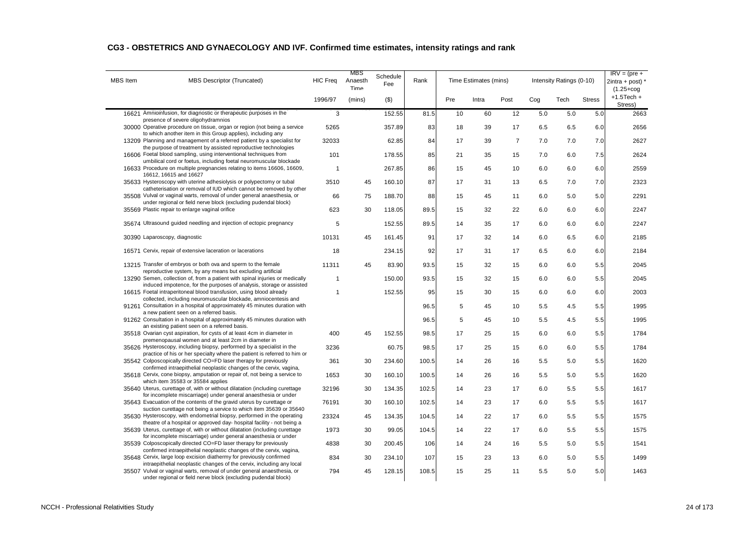| <b>MBS</b> Item | MBS Descriptor (Truncated)                                                                                                                        | <b>HIC Freq</b> | MBS<br>Anaesth<br>Time | Schedule<br>Fee | Rank  |     | Time Estimates (mins) |                |     | Intensity Ratings (0-10) |               | $IRV = (pre +$<br>$2intra + post$<br>$(1.25 + \text{cog})$ |
|-----------------|---------------------------------------------------------------------------------------------------------------------------------------------------|-----------------|------------------------|-----------------|-------|-----|-----------------------|----------------|-----|--------------------------|---------------|------------------------------------------------------------|
|                 |                                                                                                                                                   | 1996/97         | (mins)                 | $($ \$)         |       | Pre | Intra                 | Post           | Cog | Tech                     | <b>Stress</b> | $+1.5$ Tech $+$<br>Stress)                                 |
|                 | 16621 Amnioinfusion, for diagnostic or therapeutic purposes in the<br>presence of severe oligohydramnios                                          | 3               |                        | 152.55          | 81.5  | 10  | 60                    | 12             | 5.0 | 5.0                      | 5.0           | 2663                                                       |
|                 | 30000 Operative procedure on tissue, organ or region (not being a service<br>to which another item in this Group applies), including any          | 5265            |                        | 357.89          | 83    | 18  | 39                    | 17             | 6.5 | 6.5                      | 6.0           | 2656                                                       |
|                 | 13209 Planning and management of a referred patient by a specialist for                                                                           | 32033           |                        | 62.85           | 84    | 17  | 39                    | $\overline{7}$ | 7.0 | 7.0                      | 7.0           | 2627                                                       |
|                 | the purpose of treatment by assisted reproductive technologies<br>16606 Foetal blood sampling, using interventional techniques from               | 101             |                        | 178.55          | 85    | 21  | 35                    | 15             | 7.0 | 6.0                      | 7.5           | 2624                                                       |
|                 | umbilical cord or foetus, including foetal neuromuscular blockade<br>16633 Procedure on multiple pregnancies relating to items 16606, 16609,      | 1               |                        | 267.85          | 86    | 15  | 45                    | 10             | 6.0 | 6.0                      | 6.0           | 2559                                                       |
|                 | 16612, 16615 and 16627<br>35633 Hysteroscopy with uterine adhesiolysis or polypectomy or tubal                                                    | 3510            | 45                     | 160.10          | 87    | 17  | 31                    | 13             | 6.5 | 7.0                      | 7.0           | 2323                                                       |
|                 | catheterisation or removal of IUD which cannot be removed by other<br>35508 Vulval or vaginal warts, removal of under general anaesthesia, or     | 66              | 75                     | 188.70          | 88    | 15  | 45                    | 11             | 6.0 | 5.0                      | 5.0           | 2291                                                       |
|                 | under regional or field nerve block (excluding pudendal block)<br>35569 Plastic repair to enlarge vaginal orifice                                 | 623             | 30                     | 118.05          | 89.5  | 15  | 32                    | 22             | 6.0 | 6.0                      | 6.0           | 2247                                                       |
|                 | 35674 Ultrasound guided needling and injection of ectopic pregnancy                                                                               | 5               |                        | 152.55          | 89.5  | 14  | 35                    | 17             | 6.0 | 6.0                      | 6.0           | 2247                                                       |
|                 | 30390 Laparoscopy, diagnostic                                                                                                                     | 10131           | 45                     | 161.45          | 91    | 17  | 32                    | 14             | 6.0 | 6.5                      | 6.0           | 2185                                                       |
|                 | 16571 Cervix, repair of extensive laceration or lacerations                                                                                       | 18              |                        | 234.15          | 92    | 17  | 31                    | 17             | 6.5 | 6.0                      | 6.0           | 2184                                                       |
|                 | 13215 Transfer of embryos or both ova and sperm to the female                                                                                     | 11311           | 45                     | 83.90           | 93.5  | 15  | 32                    | 15             | 6.0 | 6.0                      | 5.5           | 2045                                                       |
|                 | reproductive system, by any means but excluding artificial<br>13290 Semen, collection of, from a patient with spinal injuries or medically        | 1               |                        | 150.00          | 93.5  | 15  | 32                    | 15             | 6.0 | 6.0                      | 5.5           | 2045                                                       |
|                 | induced impotence, for the purposes of analysis, storage or assisted<br>16615 Foetal intraperitoneal blood transfusion, using blood already       | 1               |                        | 152.55          | 95    | 15  | 30                    | 15             | 6.0 | 6.0                      | 6.0           | 2003                                                       |
|                 | collected, including neuromuscular blockade, amniocentesis and<br>91261 Consultation in a hospital of approximately 45 minutes duration with      |                 |                        |                 | 96.5  | 5   | 45                    | 10             | 5.5 | 4.5                      | 5.5           | 1995                                                       |
|                 | a new patient seen on a referred basis.<br>91262 Consultation in a hospital of approximately 45 minutes duration with                             |                 |                        |                 | 96.5  | 5   | 45                    | 10             | 5.5 | 4.5                      | 5.5           | 1995                                                       |
|                 | an existing patient seen on a referred basis.<br>35518 Ovarian cyst aspiration, for cysts of at least 4cm in diameter in                          | 400             | 45                     | 152.55          | 98.5  | 17  | 25                    | 15             | 6.0 | 6.0                      | 5.5           | 1784                                                       |
|                 | premenopausal women and at least 2cm in diameter in<br>35626 Hysteroscopy, including biopsy, performed by a specialist in the                     | 3236            |                        | 60.75           | 98.5  | 17  | 25                    | 15             | 6.0 | 6.0                      | 5.5           | 1784                                                       |
|                 | practice of his or her specialty where the patient is referred to him or<br>35542 Colposcopically directed CO=FD laser therapy for previously     | 361             | 30                     | 234.60          | 100.5 | 14  | 26                    | 16             | 5.5 | 5.0                      | 5.5           | 1620                                                       |
|                 | confirmed intraepithelial neoplastic changes of the cervix, vagina,<br>35618 Cervix, cone biopsy, amputation or repair of, not being a service to | 1653            | 30                     | 160.10          | 100.5 | 14  | 26                    | 16             | 5.5 | 5.0                      | 5.5           | 1620                                                       |
|                 | which item 35583 or 35584 applies<br>35640 Uterus, curettage of, with or without dilatation (including curettage                                  | 32196           | 30                     | 134.35          | 102.5 | 14  | 23                    | 17             | 6.0 | 5.5                      | 5.5           | 1617                                                       |
|                 | for incomplete miscarriage) under general anaesthesia or under<br>35643 Evacuation of the contents of the gravid uterus by curettage or           | 76191           |                        | 160.10          | 102.5 |     | 23                    | 17             | 6.0 | 5.5                      | 5.5           | 1617                                                       |
|                 | suction curettage not being a service to which item 35639 or 35640                                                                                |                 | 30                     |                 |       | 14  |                       |                |     |                          |               |                                                            |
|                 | 35630 Hysteroscopy, with endometrial biopsy, performed in the operating<br>theatre of a hospital or approved day- hospital facility - not being a | 23324           | 45                     | 134.35          | 104.5 | 14  | 22                    | 17             | 6.0 | 5.5                      | 5.5           | 1575                                                       |
|                 | 35639 Uterus, curettage of, with or without dilatation (including curettage<br>for incomplete miscarriage) under general anaesthesia or under     | 1973            | 30                     | 99.05           | 104.5 | 14  | 22                    | 17             | 6.0 | 5.5                      | 5.5           | 1575                                                       |
|                 | 35539 Colposcopically directed CO=FD laser therapy for previously<br>confirmed intraepithelial neoplastic changes of the cervix, vagina,          | 4838            | 30                     | 200.45          | 106   | 14  | 24                    | 16             | 5.5 | 5.0                      | 5.5           | 1541                                                       |
|                 | 35648 Cervix, large loop excision diathermy for previously confirmed<br>intraepithelial neoplastic changes of the cervix, including any local     | 834             | 30                     | 234.10          | 107   | 15  | 23                    | 13             | 6.0 | 5.0                      | 5.5           | 1499                                                       |
|                 | 35507 Vulval or vaginal warts, removal of under general anaesthesia, or<br>under regional or field nerve block (excluding pudendal block)         | 794             | 45                     | 128.15          | 108.5 | 15  | 25                    | 11             | 5.5 | 5.0                      | 5.0           | 1463                                                       |

#### **CG3 - OBSTETRICS AND GYNAECOLOGY AND IVF. Confirmed time estimates, intensity ratings and rank**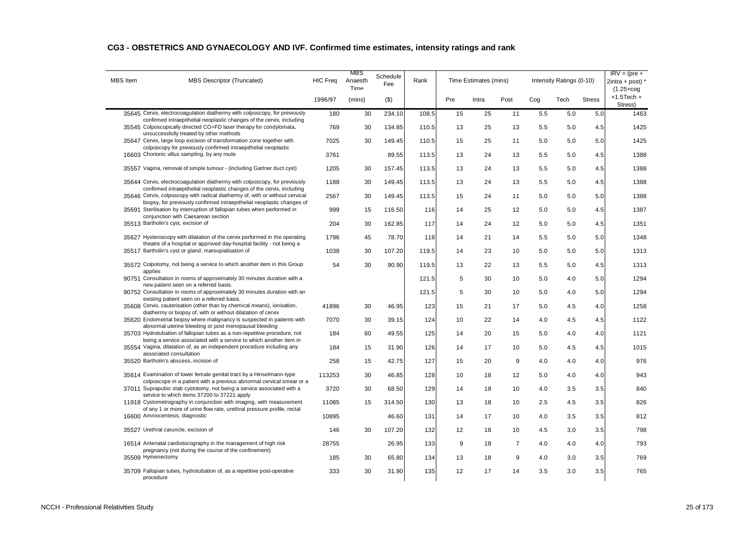| CG3 - OBSTETRICS AND GYNAECOLOGY AND IVF. Confirmed time estimates, intensity ratings and rank |  |
|------------------------------------------------------------------------------------------------|--|
|------------------------------------------------------------------------------------------------|--|

| <b>MBS</b> Item | MBS Descriptor (Truncated)                                                                                                                                                                                                      | <b>HIC Freq</b> | MBS<br>Anaesth<br>Time | Schedule<br>Fee | Rank  |     | Time Estimates (mins) |                |     | Intensity Ratings (0-10) |               | $IRV = (pre +$<br>$2intra + post$<br>$(1.25 + cog$ |
|-----------------|---------------------------------------------------------------------------------------------------------------------------------------------------------------------------------------------------------------------------------|-----------------|------------------------|-----------------|-------|-----|-----------------------|----------------|-----|--------------------------|---------------|----------------------------------------------------|
|                 |                                                                                                                                                                                                                                 | 1996/97         | (mins)                 | $($ \$)         |       | Pre | Intra                 | Post           | Cog | Tech                     | <b>Stress</b> | $+1.5$ Tech $+$<br>Stress)                         |
|                 | 35645 Cervix, electrocoagulation diathermy with colposcopy, for previously<br>confirmed intraepithelial neoplastic changes of the cervix, including                                                                             | 180             | 30                     | 234.10          | 108.5 | 15  | 25                    | 11             | 5.5 | 5.0                      | 5.0           | 1463                                               |
|                 | 35545 Colposcopically directed CO=FD laser therapy for condylomata,<br>unsuccessfully treated by other methods                                                                                                                  | 769             | 30                     | 134.85          | 110.5 | 13  | 25                    | 13             | 5.5 | 5.0                      | 4.5           | 1425                                               |
|                 | 35647 Cervix, large loop excision of transformation zone together with<br>colposcopy for previously confirmed intraepithelial neoplastic                                                                                        | 7025            | 30                     | 149.45          | 110.5 | 15  | 25                    | 11             | 5.0 | 5.0                      | 5.0           | 1425                                               |
|                 | 16603 Chorionic villus sampling, by any route                                                                                                                                                                                   | 3761            |                        | 89.55           | 113.5 | 13  | 24                    | 13             | 5.5 | 5.0                      | 4.5           | 1388                                               |
|                 | 35557 Vagina, removal of simple tumour - (including Gartner duct cyst)                                                                                                                                                          | 1205            | 30                     | 157.45          | 113.5 | 13  | 24                    | 13             | 5.5 | 5.0                      | 4.5           | 1388                                               |
|                 | 35644 Cervix, electrocoagulation diathermy with colposcopy, for previously                                                                                                                                                      | 1188            | 30                     | 149.45          | 113.5 | 13  | 24                    | 13             | 5.5 | 5.0                      | 4.5           | 1388                                               |
|                 | confirmed intraepithelial neoplastic changes of the cervix, including<br>35646 Cervix, colposcopy with radical diathermy of, with or without cervical<br>biopsy, for previously confirmed intraepithelial neoplastic changes of | 2567            | 30                     | 149.45          | 113.5 | 15  | 24                    | 11             | 5.0 | 5.0                      | 5.0           | 1388                                               |
|                 | 35691 Sterilisation by interruption of fallopian tubes when performed in<br>conjunction with Caesarean section                                                                                                                  | 999             | 15                     | 116.50          | 116   | 14  | 25                    | 12             | 5.0 | 5.0                      | 4.5           | 1387                                               |
|                 | 35513 Bartholin's cyst, excision of                                                                                                                                                                                             | 204             | 30                     | 162.85          | 117   | 14  | 24                    | 12             | 5.0 | 5.0                      | 4.5           | 1351                                               |
|                 | 35627 Hysteroscopy with dilatation of the cervix performed in the operating<br>theatre of a hospital or approved day-hospital facility - not being a                                                                            | 1796            | 45                     | 78.70           | 118   | 14  | 21                    | 14             | 5.5 | 5.0                      | 5.0           | 1348                                               |
|                 | 35517 Bartholin's cyst or gland, marsupialisation of                                                                                                                                                                            | 1038            | 30                     | 107.20          | 119.5 | 14  | 23                    | 10             | 5.0 | 5.0                      | 5.0           | 1313                                               |
|                 | 35572 Colpotomy, not being a service to which another item in this Group<br>applies                                                                                                                                             | 54              | 30                     | 90.90           | 119.5 | 13  | 22                    | 13             | 5.5 | 5.0                      | 4.5           | 1313                                               |
|                 | 90751 Consultation in rooms of approximately 30 minutes duration with a<br>new patient seen on a referred basis.                                                                                                                |                 |                        |                 | 121.5 | 5   | 30                    | 10             | 5.0 | 4.0                      | 5.0           | 1294                                               |
|                 | 90752 Consultation in rooms of approximately 30 minutes duration with an<br>existing patient seen on a referred basis.                                                                                                          |                 |                        |                 | 121.5 | 5   | 30                    | 10             | 5.0 | 4.0                      | 5.0           | 1294                                               |
|                 | 35608 Cervix, cauterisation (other than by chemical means), ionisation,<br>diathermy or biopsy of, with or without dilatation of cervix                                                                                         | 41896           | 30                     | 46.95           | 123   | 15  | 21                    | 17             | 5.0 | 4.5                      | 4.0           | 1258                                               |
|                 | 35620 Endometrial biopsy where malignancy is suspected in patients with<br>abnormal uterine bleeding or post menopausal bleeding                                                                                                | 7070            | 30                     | 39.15           | 124   | 10  | 22                    | 14             | 4.0 | 4.5                      | 4.5           | 1122                                               |
|                 | 35703 Hydrotubation of fallopian tubes as a non-repetitive procedure, not<br>being a service associated with a service to which another item in                                                                                 | 184             | 60                     | 49.55           | 125   | 14  | 20                    | 15             | 5.0 | 4.0                      | 4.0           | 1121                                               |
|                 | 35554 Vagina, dilatation of, as an independent procedure including any<br>associated consultation                                                                                                                               | 184             | 15                     | 31.90           | 126   | 14  | 17                    | 10             | 5.0 | 4.5                      | 4.5           | 1015                                               |
|                 | 35520 Bartholin's abscess, incision of                                                                                                                                                                                          | 258             | 15                     | 42.75           | 127   | 15  | 20                    | 9              | 4.0 | 4.0                      | 4.0           | 976                                                |
|                 | 35614 Examination of lower female genital tract by a Hinselmann-type<br>colposcope in a patient with a previous abnormal cervical smear or a                                                                                    | 113253          | 30                     | 46.85           | 128   | 10  | 18                    | 12             | 5.0 | 4.0                      | 4.0           | 943                                                |
|                 | 37011 Suprapubic stab cystotomy, not being a service associated with a<br>service to which items 37200 to 37221 apply                                                                                                           | 3720            | 30                     | 68.50           | 129   | 14  | 18                    | 10             | 4.0 | 3.5                      | 3.5           | 840                                                |
|                 | 11918 Cystometrography in conjunction with imaging, with measurement<br>of any 1 or more of urine flow rate, urethral pressure profile, rectal                                                                                  | 11085           | 15                     | 314.50          | 130   | 13  | 18                    | 10             | 2.5 | 4.5                      | 3.5           | 826                                                |
|                 | 16600 Amniocentesis, diagnostic                                                                                                                                                                                                 | 10895           |                        | 46.60           | 131   | 14  | 17                    | 10             | 4.0 | 3.5                      | 3.5           | 812                                                |
|                 | 35527 Urethral caruncle, excision of                                                                                                                                                                                            | 146             | 30                     | 107.20          | 132   | 12  | 18                    | 10             | 4.5 | 3.0                      | 3.5           | 798                                                |
|                 | 16514 Antenatal cardiotocography in the management of high risk<br>pregnancy (not during the course of the confinement)                                                                                                         | 28755           |                        | 26.95           | 133   | 9   | 18                    | $\overline{7}$ | 4.0 | 4.0                      | 4.0           | 793                                                |
|                 | 35509 Hymenectomy                                                                                                                                                                                                               | 185             | 30                     | 65.80           | 134   | 13  | 18                    | 9              | 4.0 | 3.0                      | 3.5           | 769                                                |
|                 | 35709 Fallopian tubes, hydrotubation of, as a repetitive post-operative<br>procedure                                                                                                                                            | 333             | 30                     | 31.90           | 135   | 12  | 17                    | 14             | 3.5 | 3.0                      | 3.5           | 765                                                |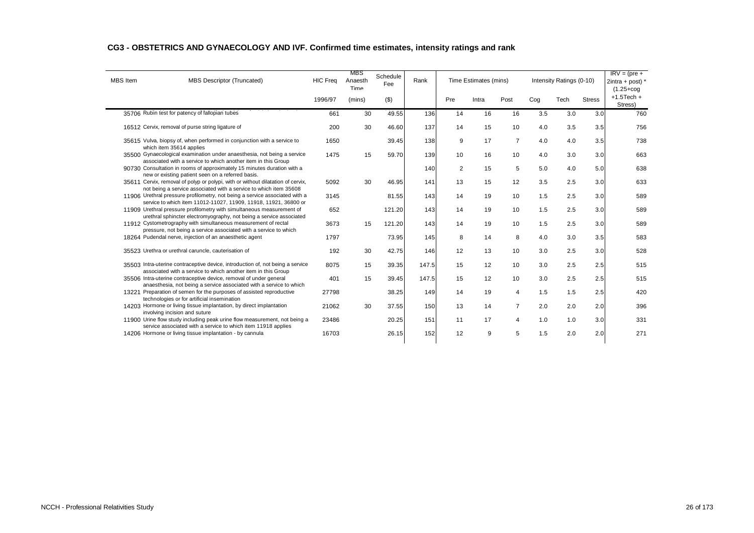#### **CG3 - OBSTETRICS AND GYNAECOLOGY AND IVF. Confirmed time estimates, intensity ratings and rank**

| <b>MBS</b> Item | <b>MBS Descriptor (Truncated)</b>                                                                                                                    | <b>HIC Freq</b> | MBS<br>Anaesth<br>Time | Schedule<br>Fee | Rank  |     | Time Estimates (mins) |                |     | Intensity Ratings (0-10) |               | $IRV = (pre +$<br>$2intra + post$ ) *<br>$(1.25 + \text{cog})$ |
|-----------------|------------------------------------------------------------------------------------------------------------------------------------------------------|-----------------|------------------------|-----------------|-------|-----|-----------------------|----------------|-----|--------------------------|---------------|----------------------------------------------------------------|
|                 |                                                                                                                                                      | 1996/97         | (mins)                 | (3)             |       | Pre | Intra                 | Post           | Cog | Tech                     | <b>Stress</b> | $+1.5$ Tech $+$<br>Stress)                                     |
|                 | 35706 Rubin test for patency of fallopian tubes                                                                                                      | 661             | 30                     | 49.55           | 136   | 14  | 16                    | 16             | 3.5 | 3.0                      | 3.0           | 760                                                            |
|                 | 16512 Cervix, removal of purse string ligature of                                                                                                    | 200             | 30                     | 46.60           | 137   | 14  | 15                    | 10             | 4.0 | 3.5                      | 3.5           | 756                                                            |
|                 | 35615 Vulva, biopsy of, when performed in conjunction with a service to<br>which item 35614 applies                                                  | 1650            |                        | 39.45           | 138   | 9   | 17                    | $\overline{7}$ | 4.0 | 4.0                      | 3.5           | 738                                                            |
|                 | 35500 Gynaecological examination under anaesthesia, not being a service<br>associated with a service to which another item in this Group             | 1475            | 15                     | 59.70           | 139   | 10  | 16                    | 10             | 4.0 | 3.0                      | 3.0           | 663                                                            |
|                 | 90730 Consultation in rooms of approximately 15 minutes duration with a<br>new or existing patient seen on a referred basis.                         |                 |                        |                 | 140   | 2   | 15                    | 5              | 5.0 | 4.0                      | 5.0           | 638                                                            |
|                 | 35611 Cervix, removal of polyp or polypi, with or without dilatation of cervix,<br>not being a service associated with a service to which item 35608 | 5092            | 30                     | 46.95           | 141   | 13  | 15                    | 12             | 3.5 | 2.5                      | 3.0           | 633                                                            |
|                 | 11906 Urethral pressure profilometry, not being a service associated with a<br>service to which item 11012-11027, 11909, 11918, 11921, 36800 or      | 3145            |                        | 81.55           | 143   | 14  | 19                    | 10             | 1.5 | 2.5                      | 3.0           | 589                                                            |
|                 | 11909 Urethral pressure profilometry with simultaneous measurement of<br>urethral sphincter electromyography, not being a service associated         | 652             |                        | 121.20          | 143   | 14  | 19                    | 10             | 1.5 | 2.5                      | 3.0           | 589                                                            |
|                 | 11912 Cystometrography with simultaneous measurement of rectal<br>pressure, not being a service associated with a service to which                   | 3673            | 15                     | 121.20          | 143   | 14  | 19                    | 10             | 1.5 | 2.5                      | 3.0           | 589                                                            |
|                 | 18264 Pudendal nerve, injection of an anaesthetic agent                                                                                              | 1797            |                        | 73.95           | 145   | 8   | 14                    | 8              | 4.0 | 3.0                      | 3.5           | 583                                                            |
|                 | 35523 Urethra or urethral caruncle, cauterisation of                                                                                                 | 192             | 30                     | 42.75           | 146   | 12  | 13                    | 10             | 3.0 | 2.5                      | 3.0           | 528                                                            |
|                 | 35503 Intra-uterine contraceptive device, introduction of, not being a service<br>associated with a service to which another item in this Group      | 8075            | 15                     | 39.35           | 147.5 | 15  | 12                    | 10             | 3.0 | 2.5                      | 2.5           | 515                                                            |
|                 | 35506 Intra-uterine contraceptive device, removal of under general<br>anaesthesia, not being a service associated with a service to which            | 401             | 15                     | 39.45           | 147.5 | 15  | 12                    | 10             | 3.0 | 2.5                      | 2.5           | 515                                                            |
|                 | 13221 Preparation of semen for the purposes of assisted reproductive<br>technologies or for artificial insemination                                  | 27798           |                        | 38.25           | 149   | 14  | 19                    | $\overline{4}$ | 1.5 | 1.5                      | 2.5           | 420                                                            |
|                 | 14203 Hormone or living tissue implantation, by direct implantation<br>involving incision and suture                                                 | 21062           | 30                     | 37.55           | 150   | 13  | 14                    | $\overline{7}$ | 2.0 | 2.0                      | 2.0           | 396                                                            |
|                 | 11900 Urine flow study including peak urine flow measurement, not being a<br>service associated with a service to which item 11918 applies           | 23486           |                        | 20.25           | 151   | 11  | 17                    | 4              | 1.0 | 1.0                      | 3.0           | 331                                                            |
|                 | 14206 Hormone or living tissue implantation - by cannula                                                                                             | 16703           |                        | 26.15           | 152   | 12  | 9                     | 5              | 1.5 | 2.0                      | 2.0           | 271                                                            |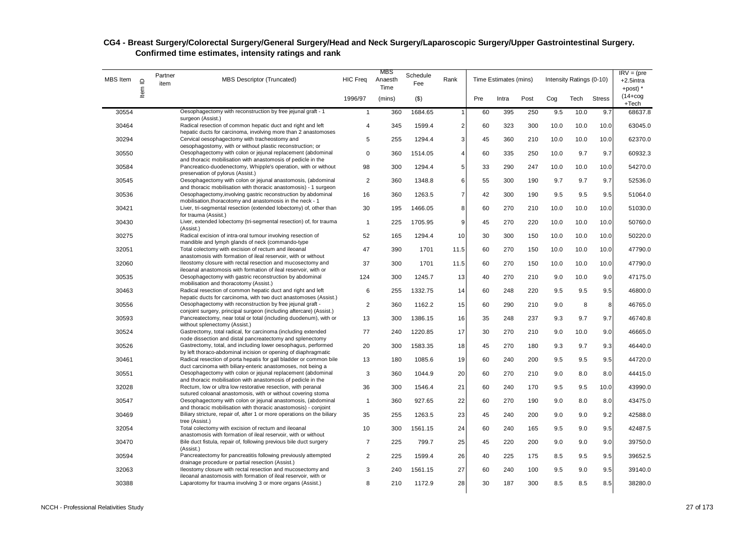| MBS Item | $\supseteq$ | Partner<br>item | <b>MBS Descriptor (Truncated)</b>                                                                                                                                                         | <b>HIC Freq</b> | MBS<br>Anaesth<br>Time | Schedule<br>Fee | Rank           |     | Time Estimates (mins) |      |      | Intensity Ratings (0-10) |               | $IRV = (pre$<br>$+2.5$ intra<br>+post) * |
|----------|-------------|-----------------|-------------------------------------------------------------------------------------------------------------------------------------------------------------------------------------------|-----------------|------------------------|-----------------|----------------|-----|-----------------------|------|------|--------------------------|---------------|------------------------------------------|
|          | Item        |                 |                                                                                                                                                                                           | 1996/97         | (mins)                 | $($ \$)         |                | Pre | Intra                 | Post | Cog  | Tech                     | <b>Stress</b> | $(14 + \cos$<br>+Tech                    |
| 30554    |             |                 | Oesophagectomy with reconstruction by free jejunal graft - 1                                                                                                                              | $\mathbf{1}$    | 360                    | 1684.65         |                | 60  | 395                   | 250  | 9.5  | 10.0                     | 9.7           | 68637.8                                  |
| 30464    |             |                 | surgeon (Assist.)<br>Radical resection of common hepatic duct and right and left<br>hepatic ducts for carcinoma, involving more than 2 anastomoses                                        | 4               | 345                    | 1599.4          | $\overline{2}$ | 60  | 323                   | 300  | 10.0 | 10.0                     | 10.0          | 63045.0                                  |
| 30294    |             |                 | Cervical oesophagectomy with tracheostomy and                                                                                                                                             | 5               | 255                    | 1294.4          | 3              | 45  | 360                   | 210  | 10.0 | 10.0                     | 10.0          | 62370.0                                  |
| 30550    |             |                 | oesophagostomy, with or without plastic reconstruction; or<br>Oesophagectomy with colon or jejunal replacement (abdominal<br>and thoracic mobilisation with anastomosis of pedicle in the | 0               | 360                    | 1514.05         | $\overline{4}$ | 60  | 335                   | 250  | 10.0 | 9.7                      | 9.7           | 60932.3                                  |
| 30584    |             |                 | Pancreatico-duodenectomy, Whipple's operation, with or without<br>preservation of pylorus (Assist.)                                                                                       | 98              | 300                    | 1294.4          | 5              | 33  | 290                   | 247  | 10.0 | 10.0                     | 10.0          | 54270.0                                  |
| 30545    |             |                 | Oesophagectomy with colon or jejunal anastomosis, (abdominal<br>and thoracic mobilisation with thoracic anastomosis) - 1 surgeon                                                          | $\overline{2}$  | 360                    | 1348.8          | 6              | 55  | 300                   | 190  | 9.7  | 9.7                      | 9.7           | 52536.0                                  |
| 30536    |             |                 | Oesophagectomy, involving gastric reconstruction by abdominal<br>mobilisation, thoracotomy and anastomosis in the neck - 1                                                                | 16              | 360                    | 1263.5          | $\overline{7}$ | 42  | 300                   | 190  | 9.5  | 9.5                      | 9.5           | 51064.0                                  |
| 30421    |             |                 | Liver, tri-segmental resection (extended lobectomy) of, other than<br>for trauma (Assist.)                                                                                                | 30              | 195                    | 1466.05         | 8              | 60  | 270                   | 210  | 10.0 | 10.0                     | 10.0          | 51030.0                                  |
| 30430    |             |                 | Liver, extended lobectomy (tri-segmental resection) of, for trauma<br>(Assist.)                                                                                                           | $\mathbf{1}$    | 225                    | 1705.95         | 9              | 45  | 270                   | 220  | 10.0 | 10.0                     | 10.0          | 50760.0                                  |
| 30275    |             |                 | Radical excision of intra-oral tumour involving resection of<br>mandible and lymph glands of neck (commando-type                                                                          | 52              | 165                    | 1294.4          | 10             | 30  | 300                   | 150  | 10.0 | 10.0                     | 10.0          | 50220.0                                  |
| 32051    |             |                 | Total colectomy with excision of rectum and ileoanal<br>anastomosis with formation of ileal reservoir, with or without                                                                    | 47              | 390                    | 1701            | 11.5           | 60  | 270                   | 150  | 10.0 | 10.0                     | 10.0          | 47790.0                                  |
| 32060    |             |                 | Ileostomy closure with rectal resection and mucosectomy and<br>ileoanal anastomosis with formation of ileal reservoir, with or                                                            | 37              | 300                    | 1701            | 11.5           | 60  | 270                   | 150  | 10.0 | 10.0                     | 10.0          | 47790.0                                  |
| 30535    |             |                 | Oesophagectomy with gastric reconstruction by abdominal<br>mobilisation and thoracotomy (Assist.)                                                                                         | 124             | 300                    | 1245.7          | 13             | 40  | 270                   | 210  | 9.0  | 10.0                     | 9.0           | 47175.0                                  |
| 30463    |             |                 | Radical resection of common hepatic duct and right and left<br>hepatic ducts for carcinoma, with two duct anastomoses (Assist.)                                                           | 6               | 255                    | 1332.75         | 14             | 60  | 248                   | 220  | 9.5  | 9.5                      | 9.5           | 46800.0                                  |
| 30556    |             |                 | Oesophagectomy with reconstruction by free jejunal graft -<br>conjoint surgery, principal surgeon (including aftercare) (Assist.)                                                         | 2               | 360                    | 1162.2          | 15             | 60  | 290                   | 210  | 9.0  | 8                        | 8             | 46765.0                                  |
| 30593    |             |                 | Pancreatectomy, near total or total (including duodenum), with or<br>without splenectomy (Assist.)                                                                                        | 13              | 300                    | 1386.15         | 16             | 35  | 248                   | 237  | 9.3  | 9.7                      | 9.7           | 46740.8                                  |
| 30524    |             |                 | Gastrectomy, total radical, for carcinoma (including extended<br>node dissection and distal pancreatectomy and splenectomy                                                                | 77              | 240                    | 1220.85         | 17             | 30  | 270                   | 210  | 9.0  | 10.0                     | 9.0           | 46665.0                                  |
| 30526    |             |                 | Gastrectomy, total, and including lower oesophagus, performed<br>by left thoraco-abdominal incision or opening of diaphragmatic                                                           | 20              | 300                    | 1583.35         | 18             | 45  | 270                   | 180  | 9.3  | 9.7                      | 9.3           | 46440.0                                  |
| 30461    |             |                 | Radical resection of porta hepatis for gall bladder or common bile<br>duct carcinoma with biliary-enteric anastomoses, not being a                                                        | 13              | 180                    | 1085.6          | 19             | 60  | 240                   | 200  | 9.5  | 9.5                      | 9.5           | 44720.0                                  |
| 30551    |             |                 | Oesophagectomy with colon or jejunal replacement (abdominal<br>and thoracic mobilisation with anastomosis of pedicle in the                                                               | 3               | 360                    | 1044.9          | 20             | 60  | 270                   | 210  | 9.0  | 8.0                      | 8.0           | 44415.0                                  |
| 32028    |             |                 | Rectum, low or ultra low restorative resection, with peranal<br>sutured coloanal anastomosis, with or without covering stoma                                                              | 36              | 300                    | 1546.4          | 21             | 60  | 240                   | 170  | 9.5  | 9.5                      | 10.0          | 43990.0                                  |
| 30547    |             |                 | Oesophagectomy with colon or jejunal anastomosis, (abdominal<br>and thoracic mobilisation with thoracic anastomosis) - conjoint                                                           | $\mathbf{1}$    | 360                    | 927.65          | 22             | 60  | 270                   | 190  | 9.0  | 8.0                      | 8.0           | 43475.0                                  |
| 30469    |             |                 | Biliary stricture, repair of, after 1 or more operations on the biliary<br>tree (Assist.)                                                                                                 | 35              | 255                    | 1263.5          | 23             | 45  | 240                   | 200  | 9.0  | 9.0                      | 9.2           | 42588.0                                  |
| 32054    |             |                 | Total colectomy with excision of rectum and ileoanal<br>anastomosis with formation of ileal reservoir, with or without                                                                    | 10              | 300                    | 1561.15         | 24             | 60  | 240                   | 165  | 9.5  | 9.0                      | 9.5           | 42487.5                                  |
| 30470    |             |                 | Bile duct fistula, repair of, following previous bile duct surgery<br>(Assist.)                                                                                                           | $\overline{7}$  | 225                    | 799.7           | 25             | 45  | 220                   | 200  | 9.0  | 9.0                      | 9.0           | 39750.0                                  |
| 30594    |             |                 | Pancreatectomy for pancreatitis following previously attempted<br>drainage procedure or partial resection (Assist.)                                                                       | $\overline{2}$  | 225                    | 1599.4          | 26             | 40  | 225                   | 175  | 8.5  | 9.5                      | 9.5           | 39652.5                                  |
| 32063    |             |                 | Ileostomy closure with rectal resection and mucosectomy and<br>ileoanal anastomosis with formation of ileal reservoir, with or                                                            | 3               | 240                    | 1561.15         | 27             | 60  | 240                   | 100  | 9.5  | 9.0                      | 9.5           | 39140.0                                  |
| 30388    |             |                 | Laparotomy for trauma involving 3 or more organs (Assist.)                                                                                                                                | 8               | 210                    | 1172.9          | 28             | 30  | 187                   | 300  | 8.5  | 8.5                      | 8.5           | 38280.0                                  |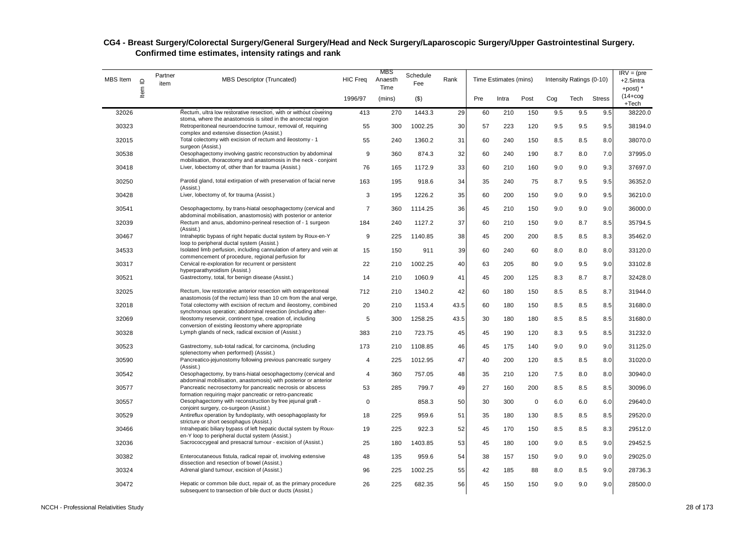| MBS Item | $\Omega$ | Partner<br>item | MBS Descriptor (Truncated)                                                                                                                                                                | <b>HIC Freq</b> | MBS<br>Anaesth<br>Time | Schedule<br>Fee | Rank |     | Time Estimates (mins) |      |     | Intensity Ratings (0-10) |               | $IRV = (pre$<br>+2.5intra<br>$+$ post) $*$ |
|----------|----------|-----------------|-------------------------------------------------------------------------------------------------------------------------------------------------------------------------------------------|-----------------|------------------------|-----------------|------|-----|-----------------------|------|-----|--------------------------|---------------|--------------------------------------------|
|          | Item     |                 |                                                                                                                                                                                           | 1996/97         | (mins)                 | ( \$)           |      | Pre | Intra                 | Post | Cog | Tech                     | <b>Stress</b> | $(14 + \log$<br>+Tech                      |
| 32026    |          |                 | Rectum, ultra low restorative resection, with or without covering                                                                                                                         | 413             | 270                    | 1443.3          | 29   | 60  | 210                   | 150  | 9.5 | 9.5                      | 9.5           | 38220.0                                    |
| 30323    |          |                 | stoma, where the anastomosis is sited in the anorectal region<br>Retroperitoneal neuroendocrine tumour, removal of, requiring<br>complex and extensive dissection (Assist.)               | 55              | 300                    | 1002.25         | 30   | 57  | 223                   | 120  | 9.5 | 9.5                      | 9.5           | 38194.0                                    |
| 32015    |          |                 | Total colectomy with excision of rectum and ileostomy - 1<br>surgeon (Assist.)                                                                                                            | 55              | 240                    | 1360.2          | 31   | 60  | 240                   | 150  | 8.5 | 8.5                      | 8.0           | 38070.0                                    |
| 30538    |          |                 | Oesophagectomy involving gastric reconstruction by abdominal<br>mobilisation, thoracotomy and anastomosis in the neck - conjoint                                                          | 9               | 360                    | 874.3           | 32   | 60  | 240                   | 190  | 8.7 | 8.0                      | 7.0           | 37995.0                                    |
| 30418    |          |                 | Liver, lobectomy of, other than for trauma (Assist.)                                                                                                                                      | 76              | 165                    | 1172.9          | 33   | 60  | 210                   | 160  | 9.0 | 9.0                      | 9.3           | 37697.0                                    |
| 30250    |          |                 | Parotid gland, total extirpation of with preservation of facial nerve<br>(Assist.)                                                                                                        | 163             | 195                    | 918.6           | 34   | 35  | 240                   | 75   | 8.7 | 9.5                      | 9.5           | 36352.0                                    |
| 30428    |          |                 | Liver, lobectomy of, for trauma (Assist.)                                                                                                                                                 | 3               | 195                    | 1226.2          | 35   | 60  | 200                   | 150  | 9.0 | 9.0                      | 9.5           | 36210.0                                    |
| 30541    |          |                 | Oesophagectomy, by trans-hiatal oesophagectomy (cervical and<br>abdominal mobilisation, anastomosis) with posterior or anterior                                                           | $\overline{7}$  | 360                    | 1114.25         | 36   | 45  | 210                   | 150  | 9.0 | 9.0                      | 9.0           | 36000.0                                    |
| 32039    |          |                 | Rectum and anus, abdomino-perineal resection of - 1 surgeon<br>(Assist.)                                                                                                                  | 184             | 240                    | 1127.2          | 37   | 60  | 210                   | 150  | 9.0 | 8.7                      | 8.5           | 35794.5                                    |
| 30467    |          |                 | Intraheptic bypass of right hepatic ductal system by Roux-en-Y<br>loop to peripheral ductal system (Assist.)                                                                              | 9               | 225                    | 1140.85         | 38   | 45  | 200                   | 200  | 8.5 | 8.5                      | 8.3           | 35462.0                                    |
| 34533    |          |                 | Isolated limb perfusion, including cannulation of artery and vein at<br>commencement of procedure, regional perfusion for                                                                 | 15              | 150                    | 911             | 39   | 60  | 240                   | 60   | 8.0 | 8.0                      | 8.0           | 33120.0                                    |
| 30317    |          |                 | Cervical re-exploration for recurrent or persistent<br>hyperparathyroidism (Assist.)                                                                                                      | 22              | 210                    | 1002.25         | 40   | 63  | 205                   | 80   | 9.0 | 9.5                      | 9.0           | 33102.8                                    |
| 30521    |          |                 | Gastrectomy, total, for benign disease (Assist.)                                                                                                                                          | 14              | 210                    | 1060.9          | 41   | 45  | 200                   | 125  | 8.3 | 8.7                      | 8.7           | 32428.0                                    |
| 32025    |          |                 | Rectum, low restorative anterior resection with extraperitoneal<br>anastomosis (of the rectum) less than 10 cm from the anal verge,                                                       | 712             | 210                    | 1340.2          | 42   | 60  | 180                   | 150  | 8.5 | 8.5                      | 8.7           | 31944.0                                    |
| 32018    |          |                 | Total colectomy with excision of rectum and ileostomy, combined<br>synchronous operation; abdominal resection (including after-                                                           | 20              | 210                    | 1153.4          | 43.5 | 60  | 180                   | 150  | 8.5 | 8.5                      | 8.5           | 31680.0                                    |
| 32069    |          |                 | Ileostomy reservoir, continent type, creation of, including<br>conversion of existing ileostomy where appropriate                                                                         | 5               | 300                    | 1258.25         | 43.5 | 30  | 180                   | 180  | 8.5 | 8.5                      | 8.5           | 31680.0                                    |
| 30328    |          |                 | Lymph glands of neck, radical excision of (Assist.)                                                                                                                                       | 383             | 210                    | 723.75          | 45   | 45  | 190                   | 120  | 8.3 | 9.5                      | 8.5           | 31232.0                                    |
| 30523    |          |                 | Gastrectomy, sub-total radical, for carcinoma, (including<br>splenectomy when performed) (Assist.)                                                                                        | 173             | 210                    | 1108.85         | 46   | 45  | 175                   | 140  | 9.0 | 9.0                      | 9.0           | 31125.0                                    |
| 30590    |          |                 | Pancreatico-jejunostomy following previous pancreatic surgery<br>(Assist.)                                                                                                                | $\overline{4}$  | 225                    | 1012.95         | 47   | 40  | 200                   | 120  | 8.5 | 8.5                      | 8.0           | 31020.0                                    |
| 30542    |          |                 | Oesophagectomy, by trans-hiatal oesophagectomy (cervical and                                                                                                                              | 4               | 360                    | 757.05          | 48   | 35  | 210                   | 120  | 7.5 | 8.0                      | 8.0           | 30940.0                                    |
| 30577    |          |                 | abdominal mobilisation, anastomosis) with posterior or anterior<br>Pancreatic necrosectomy for pancreatic necrosis or abscess<br>formation requiring major pancreatic or retro-pancreatic | 53              | 285                    | 799.7           | 49   | 27  | 160                   | 200  | 8.5 | 8.5                      | 8.5           | 30096.0                                    |
| 30557    |          |                 | Oesophagectomy with reconstruction by free jejunal graft -<br>conjoint surgery, co-surgeon (Assist.)                                                                                      | 0               |                        | 858.3           | 50   | 30  | 300                   | 0    | 6.0 | 6.0                      | 6.0           | 29640.0                                    |
| 30529    |          |                 | Antireflux operation by fundoplasty, with oesophagoplasty for<br>stricture or short oesophagus (Assist.)                                                                                  | 18              | 225                    | 959.6           | 51   | 35  | 180                   | 130  | 8.5 | 8.5                      | 8.5           | 29520.0                                    |
| 30466    |          |                 | Intrahepatic biliary bypass of left hepatic ductal system by Roux-<br>en-Y loop to peripheral ductal system (Assist.)                                                                     | 19              | 225                    | 922.3           | 52   | 45  | 170                   | 150  | 8.5 | 8.5                      | 8.3           | 29512.0                                    |
| 32036    |          |                 | Sacrococcygeal and presacral tumour - excision of (Assist.)                                                                                                                               | 25              | 180                    | 1403.85         | 53   | 45  | 180                   | 100  | 9.0 | 8.5                      | 9.0           | 29452.5                                    |
| 30382    |          |                 | Enterocutaneous fistula, radical repair of, involving extensive<br>dissection and resection of bowel (Assist.)                                                                            | 48              | 135                    | 959.6           | 54   | 38  | 157                   | 150  | 9.0 | 9.0                      | 9.0           | 29025.0                                    |
| 30324    |          |                 | Adrenal gland tumour, excision of (Assist.)                                                                                                                                               | 96              | 225                    | 1002.25         | 55   | 42  | 185                   | 88   | 8.0 | 8.5                      | 9.0           | 28736.3                                    |
| 30472    |          |                 | Hepatic or common bile duct, repair of, as the primary procedure<br>subsequent to transection of bile duct or ducts (Assist.)                                                             | 26              | 225                    | 682.35          | 56   | 45  | 150                   | 150  | 9.0 | 9.0                      | 9.0           | 28500.0                                    |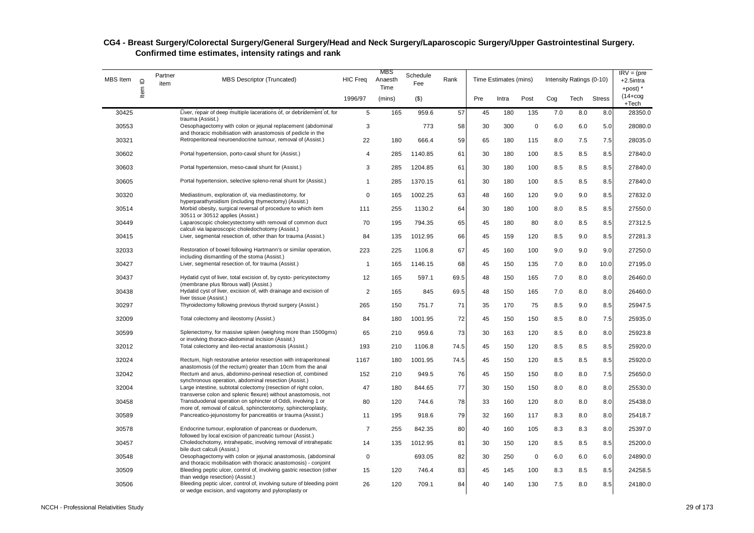| MBS Item | $\mathrel{\underline{\mathsf{O}}}$ | Partner<br>item | <b>MBS Descriptor (Truncated)</b>                                                                                                | <b>HIC Freq</b> | MBS<br>Anaesth<br>Time | Schedule<br>Fee | Rank |     | Time Estimates (mins) |             |     | Intensity Ratings (0-10) |               | $IRV = (pre$<br>+2.5intra<br>$+$ post) $*$ |
|----------|------------------------------------|-----------------|----------------------------------------------------------------------------------------------------------------------------------|-----------------|------------------------|-----------------|------|-----|-----------------------|-------------|-----|--------------------------|---------------|--------------------------------------------|
|          | Item                               |                 |                                                                                                                                  | 1996/97         | (mins)                 | $($ \$)         |      | Pre | Intra                 | Post        | Cog | Tech                     | <b>Stress</b> | $(14 + \log$<br>+Tech                      |
| 30425    |                                    |                 | Liver, repair of deep multiple lacerations of, or debridement of, for<br>trauma (Assist.)                                        | 5               | 165                    | 959.6           | 57   | 45  | 180                   | 135         | 7.0 | 8.0                      | 8.0           | 28350.0                                    |
| 30553    |                                    |                 | Oesophagectomy with colon or jejunal replacement (abdominal<br>and thoracic mobilisation with anastomosis of pedicle in the      | 3               |                        | 773             | 58   | 30  | 300                   | $\mathbf 0$ | 6.0 | 6.0                      | 5.0           | 28080.0                                    |
| 30321    |                                    |                 | Retroperitoneal neuroendocrine tumour, removal of (Assist.)                                                                      | 22              | 180                    | 666.4           | 59   | 65  | 180                   | 115         | 8.0 | 7.5                      | 7.5           | 28035.0                                    |
| 30602    |                                    |                 | Portal hypertension, porto-caval shunt for (Assist.)                                                                             | 4               | 285                    | 1140.85         | 61   | 30  | 180                   | 100         | 8.5 | 8.5                      | 8.5           | 27840.0                                    |
| 30603    |                                    |                 | Portal hypertension, meso-caval shunt for (Assist.)                                                                              | 3               | 285                    | 1204.85         | 61   | 30  | 180                   | 100         | 8.5 | 8.5                      | 8.5           | 27840.0                                    |
| 30605    |                                    |                 | Portal hypertension, selective spleno-renal shunt for (Assist.)                                                                  | 1               | 285                    | 1370.15         | 61   | 30  | 180                   | 100         | 8.5 | 8.5                      | 8.5           | 27840.0                                    |
| 30320    |                                    |                 | Mediastinum, exploration of, via mediastinotomy, for<br>hyperparathyroidism (including thymectomy) (Assist.)                     | $\Omega$        | 165                    | 1002.25         | 63   | 48  | 160                   | 120         | 9.0 | 9.0                      | 8.5           | 27832.0                                    |
| 30514    |                                    |                 | Morbid obesity, surgical reversal of procedure to which item<br>30511 or 30512 applies (Assist.)                                 | 111             | 255                    | 1130.2          | 64   | 30  | 180                   | 100         | 8.0 | 8.5                      | 8.5           | 27550.0                                    |
| 30449    |                                    |                 | Laparoscopic cholecystectomy with removal of common duct<br>calculi via laparoscopic choledochotomy (Assist.)                    | 70              | 195                    | 794.35          | 65   | 45  | 180                   | 80          | 8.0 | 8.5                      | 8.5           | 27312.5                                    |
| 30415    |                                    |                 | Liver, segmental resection of, other than for trauma (Assist.)                                                                   | 84              | 135                    | 1012.95         | 66   | 45  | 159                   | 120         | 8.5 | 9.0                      | 8.5           | 27281.3                                    |
| 32033    |                                    |                 | Restoration of bowel following Hartmann's or similar operation,<br>including dismantling of the stoma (Assist.)                  | 223             | 225                    | 1106.8          | 67   | 45  | 160                   | 100         | 9.0 | 9.0                      | 9.0           | 27250.0                                    |
| 30427    |                                    |                 | Liver, segmental resection of, for trauma (Assist.)                                                                              | $\mathbf{1}$    | 165                    | 1146.15         | 68   | 45  | 150                   | 135         | 7.0 | 8.0                      | 10.0          | 27195.0                                    |
| 30437    |                                    |                 | Hydatid cyst of liver, total excision of, by cysto- pericystectomy<br>(membrane plus fibrous wall) (Assist.)                     | 12              | 165                    | 597.1           | 69.5 | 48  | 150                   | 165         | 7.0 | 8.0                      | 8.0           | 26460.0                                    |
| 30438    |                                    |                 | Hydatid cyst of liver, excision of, with drainage and excision of<br>liver tissue (Assist.)                                      | 2               | 165                    | 845             | 69.5 | 48  | 150                   | 165         | 7.0 | 8.0                      | 8.0           | 26460.0                                    |
| 30297    |                                    |                 | Thyroidectomy following previous thyroid surgery (Assist.)                                                                       | 265             | 150                    | 751.7           | 71   | 35  | 170                   | 75          | 8.5 | 9.0                      | 8.5           | 25947.5                                    |
| 32009    |                                    |                 | Total colectomy and ileostomy (Assist.)                                                                                          | 84              | 180                    | 1001.95         | 72   | 45  | 150                   | 150         | 8.5 | 8.0                      | 7.5           | 25935.0                                    |
| 30599    |                                    |                 | Splenectomy, for massive spleen (weighing more than 1500gms)<br>or involving thoraco-abdominal incision (Assist.)                | 65              | 210                    | 959.6           | 73   | 30  | 163                   | 120         | 8.5 | 8.0                      | 8.0           | 25923.8                                    |
| 32012    |                                    |                 | Total colectomy and ileo-rectal anastomosis (Assist.)                                                                            | 193             | 210                    | 1106.8          | 74.5 | 45  | 150                   | 120         | 8.5 | 8.5                      | 8.5           | 25920.0                                    |
| 32024    |                                    |                 | Rectum, high restorative anterior resection with intraperitoneal<br>anastomosis (of the rectum) greater than 10cm from the anal  | 1167            | 180                    | 1001.95         | 74.5 | 45  | 150                   | 120         | 8.5 | 8.5                      | 8.5           | 25920.0                                    |
| 32042    |                                    |                 | Rectum and anus, abdomino-perineal resection of, combined<br>synchronous operation, abdominal resection (Assist.)                | 152             | 210                    | 949.5           | 76   | 45  | 150                   | 150         | 8.0 | 8.0                      | 7.5           | 25650.0                                    |
| 32004    |                                    |                 | Large intestine, subtotal colectomy (resection of right colon,<br>transverse colon and splenic flexure) without anastomosis, not | 47              | 180                    | 844.65          | 77   | 30  | 150                   | 150         | 8.0 | 8.0                      | 8.0           | 25530.0                                    |
| 30458    |                                    |                 | Transduodenal operation on sphincter of Oddi, involving 1 or<br>more of, removal of calculi, sphincterotomy, sphincteroplasty,   | 80              | 120                    | 744.6           | 78   | 33  | 160                   | 120         | 8.0 | 8.0                      | 8.0           | 25438.0                                    |
| 30589    |                                    |                 | Pancreatico-jejunostomy for pancreatitis or trauma (Assist.)                                                                     | 11              | 195                    | 918.6           | 79   | 32  | 160                   | 117         | 8.3 | 8.0                      | 8.0           | 25418.7                                    |
| 30578    |                                    |                 | Endocrine tumour, exploration of pancreas or duodenum,<br>followed by local excision of pancreatic tumour (Assist.)              | $\overline{7}$  | 255                    | 842.35          | 80   | 40  | 160                   | 105         | 8.3 | 8.3                      | 8.0           | 25397.0                                    |
| 30457    |                                    |                 | Choledochotomy, intrahepatic, involving removal of intrahepatic<br>bile duct calculi (Assist.)                                   | 14              | 135                    | 1012.95         | 81   | 30  | 150                   | 120         | 8.5 | 8.5                      | 8.5           | 25200.0                                    |
| 30548    |                                    |                 | Oesophagectomy with colon or jejunal anastomosis, (abdominal<br>and thoracic mobilisation with thoracic anastomosis) - conjoint  | 0               |                        | 693.05          | 82   | 30  | 250                   | $\mathbf 0$ | 6.0 | 6.0                      | 6.0           | 24890.0                                    |
| 30509    |                                    |                 | Bleeding peptic ulcer, control of, involving gastric resection (other<br>than wedge resection) (Assist.)                         | 15              | 120                    | 746.4           | 83   | 45  | 145                   | 100         | 8.3 | 8.5                      | 8.5           | 24258.5                                    |
| 30506    |                                    |                 | Bleeding peptic ulcer, control of, involving suture of bleeding point<br>or wedge excision, and vagotomy and pyloroplasty or     | 26              | 120                    | 709.1           | 84   | 40  | 140                   | 130         | 7.5 | 8.0                      | 8.5           | 24180.0                                    |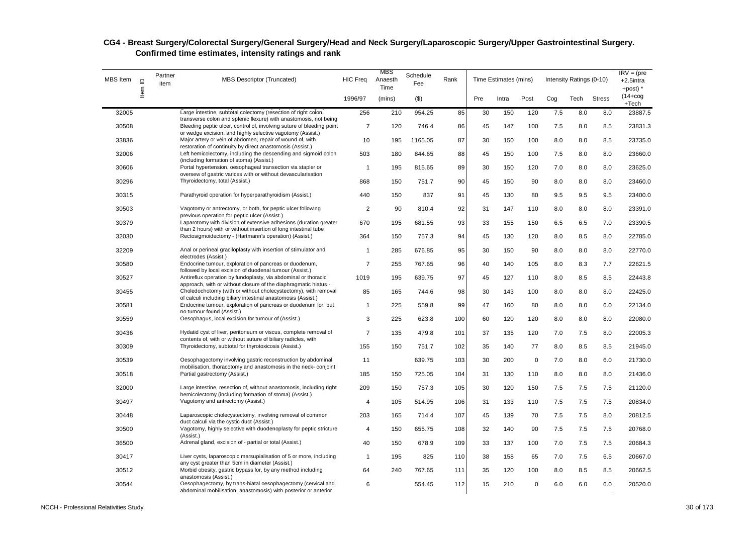| MBS Item | $\mathbf{\underline{\underline{\mathsf{\scriptstyle{C}}}}}$ | Partner<br>item | <b>MBS Descriptor (Truncated)</b>                                                                                                                                                                        | <b>HIC Freq</b> | MBS<br>Anaesth<br>Time | Schedule<br>Fee | Rank |     | Time Estimates (mins) |             |         | Intensity Ratings (0-10) |               | $IRV = (pre$<br>+2.5intra<br>$+$ post) $*$ |
|----------|-------------------------------------------------------------|-----------------|----------------------------------------------------------------------------------------------------------------------------------------------------------------------------------------------------------|-----------------|------------------------|-----------------|------|-----|-----------------------|-------------|---------|--------------------------|---------------|--------------------------------------------|
|          | Item                                                        |                 |                                                                                                                                                                                                          | 1996/97         | (mins)                 | $($ \$)         |      | Pre | Intra                 | Post        | Cog     | Tech                     | <b>Stress</b> | $(14 + \log$<br>+Tech                      |
| 32005    |                                                             |                 | Large intestine, subtotal colectomy (resection of right colon,                                                                                                                                           | 256             | 210                    | 954.25          | 85   | 30  | 150                   | 120         | 7.5     | 8.0                      | 8.0           | 23887.5                                    |
| 30508    |                                                             |                 | transverse colon and splenic flexure) with anastomosis, not being<br>Bleeding peptic ulcer, control of, involving suture of bleeding point<br>or wedge excision, and highly selective vagotomy (Assist.) | $\overline{7}$  | 120                    | 746.4           | 86   | 45  | 147                   | 100         | 7.5     | 8.0                      | 8.5           | 23831.3                                    |
| 33836    |                                                             |                 | Major artery or vein of abdomen, repair of wound of, with<br>restoration of continuity by direct anastomosis (Assist.)                                                                                   | 10              | 195                    | 1165.05         | 87   | 30  | 150                   | 100         | 8.0     | 8.0                      | 8.5           | 23735.0                                    |
| 32006    |                                                             |                 | Left hemicolectomy, including the descending and sigmoid colon<br>(including formation of stoma) (Assist.)                                                                                               | 503             | 180                    | 844.65          | 88   | 45  | 150                   | 100         | 7.5     | 8.0                      | 8.0           | 23660.0                                    |
| 30606    |                                                             |                 | Portal hypertension, oesophageal transection via stapler or<br>oversew of gastric varices with or without devascularisation                                                                              | $\mathbf{1}$    | 195                    | 815.65          | 89   | 30  | 150                   | 120         | 7.0     | 8.0                      | 8.0           | 23625.0                                    |
| 30296    |                                                             |                 | Thyroidectomy, total (Assist.)                                                                                                                                                                           | 868             | 150                    | 751.7           | 90   | 45  | 150                   | 90          | 8.0     | 8.0                      | 8.0           | 23460.0                                    |
| 30315    |                                                             |                 | Parathyroid operation for hyperparathyroidism (Assist.)                                                                                                                                                  | 440             | 150                    | 837             | 91   | 45  | 130                   | 80          | 9.5     | 9.5                      | 9.5           | 23400.0                                    |
| 30503    |                                                             |                 | Vagotomy or antrectomy, or both, for peptic ulcer following<br>previous operation for peptic ulcer (Assist.)                                                                                             | 2               | 90                     | 810.4           | 92   | 31  | 147                   | 110         | 8.0     | 8.0                      | 8.0           | 23391.0                                    |
| 30379    |                                                             |                 | Laparotomy with division of extensive adhesions (duration greater<br>than 2 hours) with or without insertion of long intestinal tube                                                                     | 670             | 195                    | 681.55          | 93   | 33  | 155                   | 150         | 6.5     | 6.5                      | 7.0           | 23390.5                                    |
| 32030    |                                                             |                 | Rectosigmoidectomy - (Hartmann's operation) (Assist.)                                                                                                                                                    | 364             | 150                    | 757.3           | 94   | 45  | 130                   | 120         | 8.0     | 8.5                      | 8.0           | 22785.0                                    |
| 32209    |                                                             |                 | Anal or perineal graciloplasty with insertion of stimulator and<br>electrodes (Assist.)                                                                                                                  | $\mathbf{1}$    | 285                    | 676.85          | 95   | 30  | 150                   | 90          | 8.0     | 8.0                      | 8.0           | 22770.0                                    |
| 30580    |                                                             |                 | Endocrine tumour, exploration of pancreas or duodenum,<br>followed by local excision of duodenal tumour (Assist.)                                                                                        | $\overline{7}$  | 255                    | 767.65          | 96   | 40  | 140                   | 105         | 8.0     | 8.3                      | 7.7           | 22621.5                                    |
| 30527    |                                                             |                 | Antireflux operation by fundoplasty, via abdominal or thoracic<br>approach, with or without closure of the diaphragmatic hiatus -                                                                        | 1019            | 195                    | 639.75          | 97   | 45  | 127                   | 110         | 8.0     | 8.5                      | 8.5           | 22443.8                                    |
| 30455    |                                                             |                 | Choledochotomy (with or without cholecystectomy), with removal<br>of calculi including biliary intestinal anastomosis (Assist.)                                                                          | 85              | 165                    | 744.6           | 98   | 30  | 143                   | 100         | 8.0     | 8.0                      | 8.0           | 22425.0                                    |
| 30581    |                                                             |                 | Endocrine tumour, exploration of pancreas or duodenum for, but<br>no tumour found (Assist.)                                                                                                              | $\mathbf{1}$    | 225                    | 559.8           | 99   | 47  | 160                   | 80          | 8.0     | 8.0                      | 6.0           | 22134.0                                    |
| 30559    |                                                             |                 | Oesophagus, local excision for tumour of (Assist.)                                                                                                                                                       | 3               | 225                    | 623.8           | 100  | 60  | 120                   | 120         | 8.0     | 8.0                      | 8.0           | 22080.0                                    |
| 30436    |                                                             |                 | Hydatid cyst of liver, peritoneum or viscus, complete removal of<br>contents of, with or without suture of biliary radicles, with                                                                        | $\overline{7}$  | 135                    | 479.8           | 101  | 37  | 135                   | 120         | 7.0     | 7.5                      | 8.0           | 22005.3                                    |
| 30309    |                                                             |                 | Thyroidectomy, subtotal for thyrotoxicosis (Assist.)                                                                                                                                                     | 155             | 150                    | 751.7           | 102  | 35  | 140                   | 77          | 8.0     | 8.5                      | 8.5           | 21945.0                                    |
| 30539    |                                                             |                 | Oesophagectomy involving gastric reconstruction by abdominal<br>mobilisation, thoracotomy and anastomosis in the neck-conjoint                                                                           | 11              |                        | 639.75          | 103  | 30  | 200                   | $\mathbf 0$ | $7.0\,$ | 8.0                      | 6.0           | 21730.0                                    |
| 30518    |                                                             |                 | Partial gastrectomy (Assist.)                                                                                                                                                                            | 185             | 150                    | 725.05          | 104  | 31  | 130                   | 110         | 8.0     | 8.0                      | 8.0           | 21436.0                                    |
| 32000    |                                                             |                 | Large intestine, resection of, without anastomosis, including right<br>hemicolectomy (including formation of stoma) (Assist.)                                                                            | 209             | 150                    | 757.3           | 105  | 30  | 120                   | 150         | 7.5     | 7.5                      | 7.5           | 21120.0                                    |
| 30497    |                                                             |                 | Vagotomy and antrectomy (Assist.)                                                                                                                                                                        | 4               | 105                    | 514.95          | 106  | 31  | 133                   | 110         | 7.5     | 7.5                      | 7.5           | 20834.0                                    |
| 30448    |                                                             |                 | Laparoscopic cholecystectomy, involving removal of common<br>duct calculi via the cystic duct (Assist.)                                                                                                  | 203             | 165                    | 714.4           | 107  | 45  | 139                   | 70          | 7.5     | 7.5                      | 8.0           | 20812.5                                    |
| 30500    |                                                             |                 | Vagotomy, highly selective with duodenoplasty for peptic stricture<br>(Assist.)                                                                                                                          | $\overline{4}$  | 150                    | 655.75          | 108  | 32  | 140                   | 90          | 7.5     | 7.5                      | 7.5           | 20768.0                                    |
| 36500    |                                                             |                 | Adrenal gland, excision of - partial or total (Assist.)                                                                                                                                                  | 40              | 150                    | 678.9           | 109  | 33  | 137                   | 100         | 7.0     | 7.5                      | 7.5           | 20684.3                                    |
| 30417    |                                                             |                 | Liver cysts, laparoscopic marsupialisation of 5 or more, including<br>any cyst greater than 5cm in diameter (Assist.)                                                                                    | $\mathbf{1}$    | 195                    | 825             | 110  | 38  | 158                   | 65          | 7.0     | 7.5                      | 6.5           | 20667.0                                    |
| 30512    |                                                             |                 | Morbid obesity, gastric bypass for, by any method including<br>anastomosis (Assist.)                                                                                                                     | 64              | 240                    | 767.65          | 111  | 35  | 120                   | 100         | 8.0     | 8.5                      | 8.5           | 20662.5                                    |
| 30544    |                                                             |                 | Oesophagectomy, by trans-hiatal oesophagectomy (cervical and<br>abdominal mobilisation, anastomosis) with posterior or anterior                                                                          | 6               |                        | 554.45          | 112  | 15  | 210                   | $\mathbf 0$ | 6.0     | 6.0                      | 6.0           | 20520.0                                    |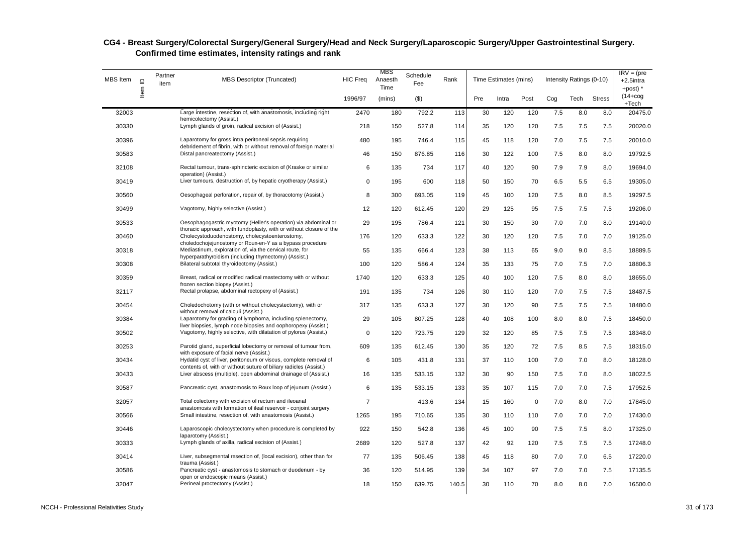| MBS Item | $\supseteq$ | Partner<br>item | <b>MBS Descriptor (Truncated)</b>                                                                                                     | <b>HIC Freq</b> | MBS<br>Anaesth<br>Time | Schedule<br>Fee | Rank  |     | Time Estimates (mins) |             |     | Intensity Ratings (0-10) |               | $IRV = (pre$<br>$+2.5$ intra<br>+post) * |
|----------|-------------|-----------------|---------------------------------------------------------------------------------------------------------------------------------------|-----------------|------------------------|-----------------|-------|-----|-----------------------|-------------|-----|--------------------------|---------------|------------------------------------------|
|          | Item        |                 |                                                                                                                                       | 1996/97         | (mins)                 | ( \$)           |       | Pre | Intra                 | Post        | Cog | Tech                     | <b>Stress</b> | $(14 + \cos$<br>+Tech                    |
| 32003    |             |                 | Large intestine, resection of, with anastomosis, including right<br>hemicolectomy (Assist.)                                           | 2470            | 180                    | 792.2           | 113   | 30  | 120                   | 120         | 7.5 | 8.0                      | 8.0           | 20475.0                                  |
| 30330    |             |                 | Lymph glands of groin, radical excision of (Assist.)                                                                                  | 218             | 150                    | 527.8           | 114   | 35  | 120                   | 120         | 7.5 | 7.5                      | 7.5           | 20020.0                                  |
| 30396    |             |                 | Laparotomy for gross intra peritoneal sepsis requiring<br>debridement of fibrin, with or without removal of foreign material          | 480             | 195                    | 746.4           | 115   | 45  | 118                   | 120         | 7.0 | 7.5                      | 7.5           | 20010.0                                  |
| 30583    |             |                 | Distal pancreatectomy (Assist.)                                                                                                       | 46              | 150                    | 876.85          | 116   | 30  | 122                   | 100         | 7.5 | 8.0                      | 8.0           | 19792.5                                  |
| 32108    |             |                 | Rectal tumour, trans-sphincteric excision of (Kraske or similar<br>operation) (Assist.)                                               | 6               | 135                    | 734             | 117   | 40  | 120                   | 90          | 7.9 | 7.9                      | 8.0           | 19694.0                                  |
| 30419    |             |                 | Liver tumours, destruction of, by hepatic cryotherapy (Assist.)                                                                       | $\Omega$        | 195                    | 600             | 118   | 50  | 150                   | 70          | 6.5 | 5.5                      | 6.5           | 19305.0                                  |
| 30560    |             |                 | Oesophageal perforation, repair of, by thoracotomy (Assist.)                                                                          | 8               | 300                    | 693.05          | 119   | 45  | 100                   | 120         | 7.5 | 8.0                      | 8.5           | 19297.5                                  |
| 30499    |             |                 | Vagotomy, highly selective (Assist.)                                                                                                  | 12              | 120                    | 612.45          | 120   | 29  | 125                   | 95          | 7.5 | 7.5                      | 7.5           | 19206.0                                  |
| 30533    |             |                 | Oesophagogastric myotomy (Heller's operation) via abdominal or<br>thoracic approach, with fundoplasty, with or without closure of the | 29              | 195                    | 786.4           | 121   | 30  | 150                   | 30          | 7.0 | 7.0                      | 8.0           | 19140.0                                  |
| 30460    |             |                 | Cholecystoduodenostomy, cholecystoenterostomy,<br>choledochojejunostomy or Roux-en-Y as a bypass procedure                            | 176             | 120                    | 633.3           | 122   | 30  | 120                   | 120         | 7.5 | 7.0                      | 7.0           | 19125.0                                  |
| 30318    |             |                 | Mediastinum, exploration of, via the cervical route, for<br>hyperparathyroidism (including thymectomy) (Assist.)                      | 55              | 135                    | 666.4           | 123   | 38  | 113                   | 65          | 9.0 | 9.0                      | 8.5           | 18889.5                                  |
| 30308    |             |                 | Bilateral subtotal thyroidectomy (Assist.)                                                                                            | 100             | 120                    | 586.4           | 124   | 35  | 133                   | 75          | 7.0 | 7.5                      | 7.0           | 18806.3                                  |
| 30359    |             |                 | Breast, radical or modified radical mastectomy with or without<br>frozen section biopsy (Assist.)                                     | 1740            | 120                    | 633.3           | 125   | 40  | 100                   | 120         | 7.5 | 8.0                      | 8.0           | 18655.0                                  |
| 32117    |             |                 | Rectal prolapse, abdominal rectopexy of (Assist.)                                                                                     | 191             | 135                    | 734             | 126   | 30  | 110                   | 120         | 7.0 | 7.5                      | 7.5           | 18487.5                                  |
| 30454    |             |                 | Choledochotomy (with or without cholecystectomy), with or<br>without removal of calculi (Assist.)                                     | 317             | 135                    | 633.3           | 127   | 30  | 120                   | 90          | 7.5 | 7.5                      | 7.5           | 18480.0                                  |
| 30384    |             |                 | Laparotomy for grading of lymphoma, including splenectomy,<br>liver biopsies, lymph node biopsies and oophoropexy (Assist.)           | 29              | 105                    | 807.25          | 128   | 40  | 108                   | 100         | 8.0 | 8.0                      | 7.5           | 18450.0                                  |
| 30502    |             |                 | Vagotomy, highly selective, with dilatation of pylorus (Assist.)                                                                      | $\pmb{0}$       | 120                    | 723.75          | 129   | 32  | 120                   | 85          | 7.5 | 7.5                      | 7.5           | 18348.0                                  |
| 30253    |             |                 | Parotid gland, superficial lobectomy or removal of tumour from,<br>with exposure of facial nerve (Assist.)                            | 609             | 135                    | 612.45          | 130   | 35  | 120                   | 72          | 7.5 | 8.5                      | 7.5           | 18315.0                                  |
| 30434    |             |                 | Hydatid cyst of liver, peritoneum or viscus, complete removal of<br>contents of, with or without suture of biliary radicles (Assist.) | 6               | 105                    | 431.8           | 131   | 37  | 110                   | 100         | 7.0 | 7.0                      | 8.0           | 18128.0                                  |
| 30433    |             |                 | Liver abscess (multiple), open abdominal drainage of (Assist.)                                                                        | 16              | 135                    | 533.15          | 132   | 30  | 90                    | 150         | 7.5 | 7.0                      | 8.0           | 18022.5                                  |
| 30587    |             |                 | Pancreatic cyst, anastomosis to Roux loop of jejunum (Assist.)                                                                        | 6               | 135                    | 533.15          | 133   | 35  | 107                   | 115         | 7.0 | 7.0                      | 7.5           | 17952.5                                  |
| 32057    |             |                 | Total colectomy with excision of rectum and ileoanal<br>anastomosis with formation of ileal reservoir - conjoint surgery,             | $\overline{7}$  |                        | 413.6           | 134   | 15  | 160                   | $\mathbf 0$ | 7.0 | 8.0                      | 7.0           | 17845.0                                  |
| 30566    |             |                 | Small intestine, resection of, with anastomosis (Assist.)                                                                             | 1265            | 195                    | 710.65          | 135   | 30  | 110                   | 110         | 7.0 | 7.0                      | 7.0           | 17430.0                                  |
| 30446    |             |                 | Laparoscopic cholecystectomy when procedure is completed by<br>laparotomy (Assist.)                                                   | 922             | 150                    | 542.8           | 136   | 45  | 100                   | 90          | 7.5 | 7.5                      | 8.0           | 17325.0                                  |
| 30333    |             |                 | Lymph glands of axilla, radical excision of (Assist.)                                                                                 | 2689            | 120                    | 527.8           | 137   | 42  | 92                    | 120         | 7.5 | 7.5                      | 7.5           | 17248.0                                  |
| 30414    |             |                 | Liver, subsegmental resection of, (local excision), other than for<br>trauma (Assist.)                                                | 77              | 135                    | 506.45          | 138   | 45  | 118                   | 80          | 7.0 | 7.0                      | 6.5           | 17220.0                                  |
| 30586    |             |                 | Pancreatic cyst - anastomosis to stomach or duodenum - by<br>open or endoscopic means (Assist.)                                       | 36              | 120                    | 514.95          | 139   | 34  | 107                   | 97          | 7.0 | 7.0                      | 7.5           | 17135.5                                  |
| 32047    |             |                 | Perineal proctectomy (Assist.)                                                                                                        | 18              | 150                    | 639.75          | 140.5 | 30  | 110                   | 70          | 8.0 | 8.0                      | 7.0           | 16500.0                                  |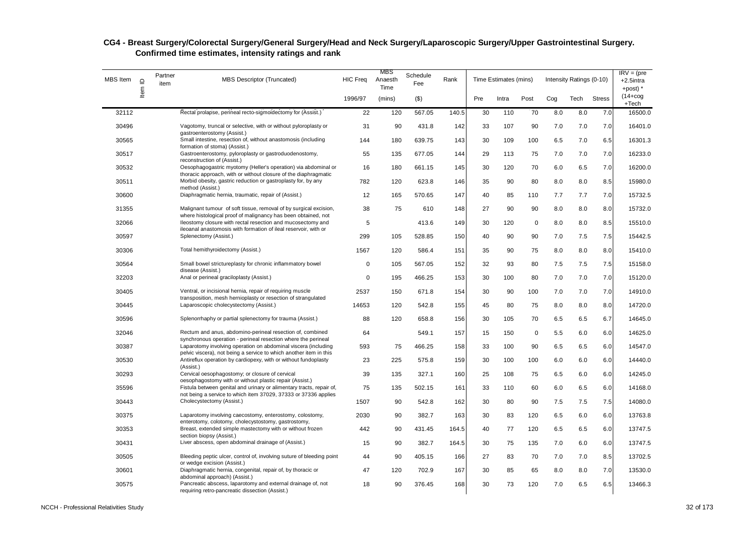| MBS Item | $\mathrel{\underline{\mathsf{O}}}$ | Partner<br>item | <b>MBS Descriptor (Truncated)</b>                                                                                                                  | <b>HIC Freq</b> | MBS<br>Anaesth<br>Time | Schedule<br>Fee | Rank  |     | Time Estimates (mins) |             |     | Intensity Ratings (0-10) |               | $IRV = (pre$<br>+2.5intra<br>$+$ post) $*$ |
|----------|------------------------------------|-----------------|----------------------------------------------------------------------------------------------------------------------------------------------------|-----------------|------------------------|-----------------|-------|-----|-----------------------|-------------|-----|--------------------------|---------------|--------------------------------------------|
|          | Item                               |                 |                                                                                                                                                    | 1996/97         | (mins)                 | $($ \$)         |       | Pre | Intra                 | Post        | Cog | Tech                     | <b>Stress</b> | $(14 + \log$<br>$+Tech$                    |
| 32112    |                                    |                 | Rectal prolapse, perineal recto-sigmoidectomy for (Assist.)                                                                                        | 22              | 120                    | 567.05          | 140.5 | 30  | 110                   | 70          | 8.0 | 8.0                      | 7.0           | 16500.0                                    |
| 30496    |                                    |                 | Vagotomy, truncal or selective, with or without pyloroplasty or<br>qastroenterostomy (Assist.)                                                     | 31              | 90                     | 431.8           | 142   | 33  | 107                   | 90          | 7.0 | 7.0                      | 7.0           | 16401.0                                    |
| 30565    |                                    |                 | Small intestine, resection of, without anastomosis (including<br>formation of stoma) (Assist.)                                                     | 144             | 180                    | 639.75          | 143   | 30  | 109                   | 100         | 6.5 | 7.0                      | 6.5           | 16301.3                                    |
| 30517    |                                    |                 | Gastroenterostomy, pyloroplasty or gastroduodenostomy,<br>reconstruction of (Assist.)                                                              | 55              | 135                    | 677.05          | 144   | 29  | 113                   | 75          | 7.0 | 7.0                      | 7.0           | 16233.0                                    |
| 30532    |                                    |                 | Oesophagogastric myotomy (Heller's operation) via abdominal or<br>thoracic approach, with or without closure of the diaphragmatic                  | 16              | 180                    | 661.15          | 145   | 30  | 120                   | 70          | 6.0 | 6.5                      | 7.0           | 16200.0                                    |
| 30511    |                                    |                 | Morbid obesity, gastric reduction or gastroplasty for, by any<br>method (Assist.)                                                                  | 782             | 120                    | 623.8           | 146   | 35  | 90                    | 80          | 8.0 | 8.0                      | 8.5           | 15980.0                                    |
| 30600    |                                    |                 | Diaphragmatic hernia, traumatic, repair of (Assist.)                                                                                               | 12              | 165                    | 570.65          | 147   | 40  | 85                    | 110         | 7.7 | 7.7                      | 7.0           | 15732.5                                    |
| 31355    |                                    |                 | Malignant tumour of soft tissue, removal of by surgical excision,<br>where histological proof of malignancy has been obtained, not                 | 38              | 75                     | 610             | 148   | 27  | 90                    | 90          | 8.0 | 8.0                      | 8.0           | 15732.0                                    |
| 32066    |                                    |                 | lleostomy closure with rectal resection and mucosectomy and<br>ileoanal anastomosis with formation of ileal reservoir, with or                     | 5               |                        | 413.6           | 149   | 30  | 120                   | $\mathbf 0$ | 8.0 | 8.0                      | 8.5           | 15510.0                                    |
| 30597    |                                    |                 | Splenectomy (Assist.)                                                                                                                              | 299             | 105                    | 528.85          | 150   | 40  | 90                    | 90          | 7.0 | 7.5                      | 7.5           | 15442.5                                    |
| 30306    |                                    |                 | Total hemithyroidectomy (Assist.)                                                                                                                  | 1567            | 120                    | 586.4           | 151   | 35  | 90                    | 75          | 8.0 | 8.0                      | 8.0           | 15410.0                                    |
| 30564    |                                    |                 | Small bowel strictureplasty for chronic inflammatory bowel<br>disease (Assist.)                                                                    | $\mathbf 0$     | 105                    | 567.05          | 152   | 32  | 93                    | 80          | 7.5 | 7.5                      | 7.5           | 15158.0                                    |
| 32203    |                                    |                 | Anal or perineal graciloplasty (Assist.)                                                                                                           | $\mathbf 0$     | 195                    | 466.25          | 153   | 30  | 100                   | 80          | 7.0 | 7.0                      | 7.0           | 15120.0                                    |
| 30405    |                                    |                 | Ventral, or incisional hernia, repair of requiring muscle<br>transposition, mesh hernioplasty or resection of strangulated                         | 2537            | 150                    | 671.8           | 154   | 30  | 90                    | 100         | 7.0 | 7.0                      | 7.0           | 14910.0                                    |
| 30445    |                                    |                 | Laparoscopic cholecystectomy (Assist.)                                                                                                             | 14653           | 120                    | 542.8           | 155   | 45  | 80                    | 75          | 8.0 | 8.0                      | 8.0           | 14720.0                                    |
| 30596    |                                    |                 | Splenorrhaphy or partial splenectomy for trauma (Assist.)                                                                                          | 88              | 120                    | 658.8           | 156   | 30  | 105                   | 70          | 6.5 | 6.5                      | 6.7           | 14645.0                                    |
| 32046    |                                    |                 | Rectum and anus, abdomino-perineal resection of, combined<br>synchronous operation - perineal resection where the perineal                         | 64              |                        | 549.1           | 157   | 15  | 150                   | $\mathbf 0$ | 5.5 | 6.0                      | 6.0           | 14625.0                                    |
| 30387    |                                    |                 | Laparotomy involving operation on abdominal viscera (including                                                                                     | 593             | 75                     | 466.25          | 158   | 33  | 100                   | 90          | 6.5 | 6.5                      | 6.0           | 14547.0                                    |
| 30530    |                                    |                 | pelvic viscera), not being a service to which another item in this<br>Antireflux operation by cardiopexy, with or without fundoplasty<br>(Assist.) | 23              | 225                    | 575.8           | 159   | 30  | 100                   | 100         | 6.0 | 6.0                      | 6.0           | 14440.0                                    |
| 30293    |                                    |                 | Cervical oesophagostomy; or closure of cervical<br>oesophagostomy with or without plastic repair (Assist.)                                         | 39              | 135                    | 327.1           | 160   | 25  | 108                   | 75          | 6.5 | 6.0                      | 6.0           | 14245.0                                    |
| 35596    |                                    |                 | Fistula between genital and urinary or alimentary tracts, repair of,<br>not being a service to which item 37029, 37333 or 37336 applies            | 75              | 135                    | 502.15          | 161   | 33  | 110                   | 60          | 6.0 | 6.5                      | 6.0           | 14168.0                                    |
| 30443    |                                    |                 | Cholecystectomy (Assist.)                                                                                                                          | 1507            | 90                     | 542.8           | 162   | 30  | 80                    | 90          | 7.5 | 7.5                      | 7.5           | 14080.0                                    |
| 30375    |                                    |                 | Laparotomy involving caecostomy, enterostomy, colostomy,<br>enterotomy, colotomy, cholecystostomy, gastrostomy,                                    | 2030            | 90                     | 382.7           | 163   | 30  | 83                    | 120         | 6.5 | 6.0                      | 6.0           | 13763.8                                    |
| 30353    |                                    |                 | Breast, extended simple mastectomy with or without frozen<br>section biopsy (Assist.)                                                              | 442             | 90                     | 431.45          | 164.5 | 40  | 77                    | 120         | 6.5 | 6.5                      | 6.0           | 13747.5                                    |
| 30431    |                                    |                 | Liver abscess, open abdominal drainage of (Assist.)                                                                                                | 15              | 90                     | 382.7           | 164.5 | 30  | 75                    | 135         | 7.0 | 6.0                      | 6.0           | 13747.5                                    |
| 30505    |                                    |                 | Bleeding peptic ulcer, control of, involving suture of bleeding point<br>or wedge excision (Assist.)                                               | 44              | 90                     | 405.15          | 166   | 27  | 83                    | 70          | 7.0 | 7.0                      | 8.5           | 13702.5                                    |
| 30601    |                                    |                 | Diaphragmatic hernia, congenital, repair of, by thoracic or<br>abdominal approach) (Assist.)                                                       | 47              | 120                    | 702.9           | 167   | 30  | 85                    | 65          | 8.0 | 8.0                      | 7.0           | 13530.0                                    |
| 30575    |                                    |                 | Pancreatic abscess, laparotomy and external drainage of, not<br>requiring retro-pancreatic dissection (Assist.)                                    | 18              | 90                     | 376.45          | 168   | 30  | 73                    | 120         | 7.0 | 6.5                      | 6.5           | 13466.3                                    |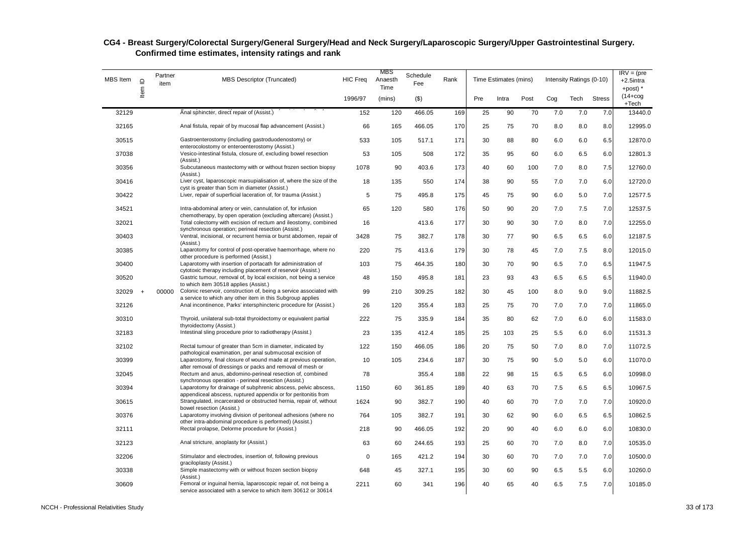| MBS Item | $\mathrel{\underline{\mathsf{O}}}$<br>Item | Partner<br>item | <b>MBS Descriptor (Truncated)</b>                                                                                                 | <b>HIC Freq</b> | MBS<br>Anaesth<br>Time | Schedule<br>Fee | Rank | Time Estimates (mins) |       |      | Intensity Ratings (0-10) |      |               | $IRV = (pre$<br>+2.5intra<br>+post) $*$ |
|----------|--------------------------------------------|-----------------|-----------------------------------------------------------------------------------------------------------------------------------|-----------------|------------------------|-----------------|------|-----------------------|-------|------|--------------------------|------|---------------|-----------------------------------------|
|          |                                            |                 |                                                                                                                                   | 1996/97         | (mins)                 | (3)             |      | Pre                   | Intra | Post | Cog                      | Tech | <b>Stress</b> | $(14 + \cos$<br>$+Tech$                 |
| 32129    |                                            |                 | Anal sphincter, direct repair of (Assist.)                                                                                        | 152             | 120                    | 466.05          | 169  | 25                    | 90    | 70   | 7.0                      | 7.0  | 7.0           | 13440.0                                 |
| 32165    |                                            |                 | Anal fistula, repair of by mucosal flap advancement (Assist.)                                                                     | 66              | 165                    | 466.05          | 170  | 25                    | 75    | 70   | 8.0                      | 8.0  | 8.0           | 12995.0                                 |
| 30515    |                                            |                 | Gastroenterostomy (including gastroduodenostomy) or<br>enterocolostomy or enteroenterostomy (Assist.)                             | 533             | 105                    | 517.1           | 171  | 30                    | 88    | 80   | 6.0                      | 6.0  | 6.5           | 12870.0                                 |
| 37038    |                                            |                 | Vesico-intestinal fistula, closure of, excluding bowel resection<br>(Assist.)                                                     | 53              | 105                    | 508             | 172  | 35                    | 95    | 60   | 6.0                      | 6.5  | 6.0           | 12801.3                                 |
| 30356    |                                            |                 | Subcutaneous mastectomy with or without frozen section biopsy<br>(Assist.)                                                        | 1078            | 90                     | 403.6           | 173  | 40                    | 60    | 100  | 7.0                      | 8.0  | 7.5           | 12760.0                                 |
| 30416    |                                            |                 | Liver cyst, laparoscopic marsupialisation of, where the size of the<br>cyst is greater than 5cm in diameter (Assist.)             | 18              | 135                    | 550             | 174  | 38                    | 90    | 55   | 7.0                      | 7.0  | 6.0           | 12720.0                                 |
| 30422    |                                            |                 | Liver, repair of superficial laceration of, for trauma (Assist.)                                                                  | 5               | 75                     | 495.8           | 175  | 45                    | 75    | 90   | 6.0                      | 5.0  | 7.0           | 12577.5                                 |
| 34521    |                                            |                 | Intra-abdominal artery or vein, cannulation of, for infusion<br>chemotherapy, by open operation (excluding aftercare) (Assist.)   | 65              | 120                    | 580             | 176  | 50                    | 90    | 20   | 7.0                      | 7.5  | 7.0           | 12537.5                                 |
| 32021    |                                            |                 | Total colectomy with excision of rectum and ileostomy, combined<br>synchronous operation; perineal resection (Assist.)            | 16              |                        | 413.6           | 177  | 30                    | 90    | 30   | 7.0                      | 8.0  | 7.0           | 12255.0                                 |
| 30403    |                                            |                 | Ventral, incisional, or recurrent hernia or burst abdomen, repair of<br>(Assist.)                                                 | 3428            | 75                     | 382.7           | 178  | 30                    | 77    | 90   | 6.5                      | 6.5  | 6.0           | 12187.5                                 |
| 30385    |                                            |                 | Laparotomy for control of post-operative haemorrhage, where no<br>other procedure is performed (Assist.)                          | 220             | 75                     | 413.6           | 179  | 30                    | 78    | 45   | 7.0                      | 7.5  | 8.0           | 12015.0                                 |
| 30400    |                                            |                 | Laparotomy with insertion of portacath for administration of<br>cytotoxic therapy including placement of reservoir (Assist.)      | 103             | 75                     | 464.35          | 180  | 30                    | 70    | 90   | 6.5                      | 7.0  | 6.5           | 11947.5                                 |
| 30520    |                                            |                 | Gastric tumour, removal of, by local excision, not being a service<br>to which item 30518 applies (Assist.)                       | 48              | 150                    | 495.8           | 181  | 23                    | 93    | 43   | 6.5                      | 6.5  | 6.5           | 11940.0                                 |
| 32029    | $\ddot{\phantom{1}}$                       | 00000           | Colonic reservoir, construction of, being a service associated with<br>a service to which any other item in this Subgroup applies | 99              | 210                    | 309.25          | 182  | 30                    | 45    | 100  | 8.0                      | 9.0  | 9.0           | 11882.5                                 |
| 32126    |                                            |                 | Anal incontinence, Parks' intersphincteric procedure for (Assist.)                                                                | 26              | 120                    | 355.4           | 183  | 25                    | 75    | 70   | 7.0                      | 7.0  | 7.0           | 11865.0                                 |
| 30310    |                                            |                 | Thyroid, unilateral sub-total thyroidectomy or equivalent partial<br>thyroidectomy (Assist.)                                      | 222             | 75                     | 335.9           | 184  | 35                    | 80    | 62   | 7.0                      | 6.0  | 6.0           | 11583.0                                 |
| 32183    |                                            |                 | Intestinal sling procedure prior to radiotherapy (Assist.)                                                                        | 23              | 135                    | 412.4           | 185  | 25                    | 103   | 25   | 5.5                      | 6.0  | 6.0           | 11531.3                                 |
| 32102    |                                            |                 | Rectal tumour of greater than 5cm in diameter, indicated by<br>pathological examination, per anal submucosal excision of          | 122             | 150                    | 466.05          | 186  | 20                    | 75    | 50   | 7.0                      | 8.0  | 7.0           | 11072.5                                 |
| 30399    |                                            |                 | Laparostomy, final closure of wound made at previous operation,<br>after removal of dressings or packs and removal of mesh or     | 10              | 105                    | 234.6           | 187  | 30                    | 75    | 90   | 5.0                      | 5.0  | 6.0           | 11070.0                                 |
| 32045    |                                            |                 | Rectum and anus, abdomino-perineal resection of, combined<br>synchronous operation - perineal resection (Assist.)                 | 78              |                        | 355.4           | 188  | 22                    | 98    | 15   | 6.5                      | 6.5  | 6.0           | 10998.0                                 |
| 30394    |                                            |                 | Laparotomy for drainage of subphrenic abscess, pelvic abscess,<br>appendiceal abscess, ruptured appendix or for peritonitis from  | 1150            | 60                     | 361.85          | 189  | 40                    | 63    | 70   | 7.5                      | 6.5  | 6.5           | 10967.5                                 |
| 30615    |                                            |                 | Strangulated, incarcerated or obstructed hernia, repair of, without<br>bowel resection (Assist.)                                  | 1624            | 90                     | 382.7           | 190  | 40                    | 60    | 70   | 7.0                      | 7.0  | 7.0           | 10920.0                                 |
| 30376    |                                            |                 | Laparotomy involving division of peritoneal adhesions (where no<br>other intra-abdominal procedure is performed) (Assist.)        | 764             | 105                    | 382.7           | 191  | 30                    | 62    | 90   | 6.0                      | 6.5  | 6.5           | 10862.5                                 |
| 32111    |                                            |                 | Rectal prolapse, Delorme procedure for (Assist.)                                                                                  | 218             | 90                     | 466.05          | 192  | 20                    | 90    | 40   | 6.0                      | 6.0  | 6.0           | 10830.0                                 |
| 32123    |                                            |                 | Anal stricture, anoplasty for (Assist.)                                                                                           | 63              | 60                     | 244.65          | 193  | 25                    | 60    | 70   | 7.0                      | 8.0  | 7.0           | 10535.0                                 |
| 32206    |                                            |                 | Stimulator and electrodes, insertion of, following previous<br>graciloplasty (Assist.)                                            | $\mathbf 0$     | 165                    | 421.2           | 194  | 30                    | 60    | 70   | 7.0                      | 7.0  | 7.0           | 10500.0                                 |
| 30338    |                                            |                 | Simple mastectomy with or without frozen section biopsy<br>(Assist.)                                                              | 648             | 45                     | 327.1           | 195  | 30                    | 60    | 90   | 6.5                      | 5.5  | 6.0           | 10260.0                                 |
| 30609    |                                            |                 | Femoral or inguinal hernia, laparoscopic repair of, not being a<br>service associated with a service to which item 30612 or 30614 | 2211            | 60                     | 341             | 196  | 40                    | 65    | 40   | 6.5                      | 7.5  | 7.0           | 10185.0                                 |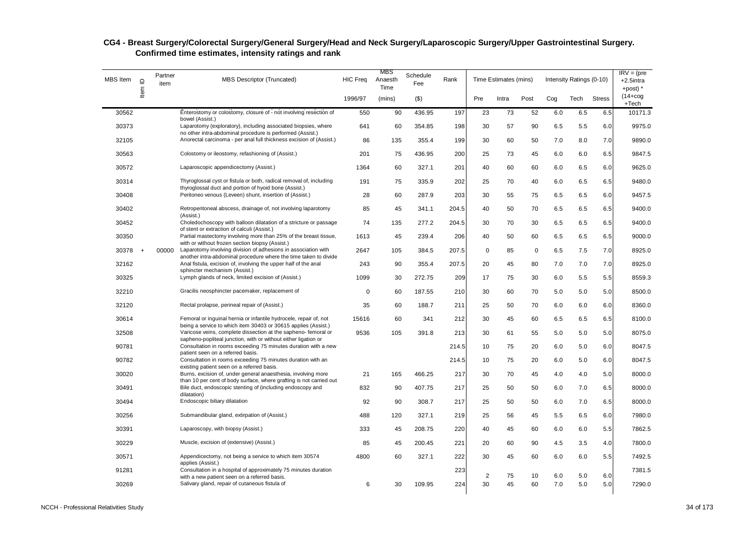| MBS Item | $\supseteq$    | Partner<br>item | <b>MBS Descriptor (Truncated)</b>                                                                                                                | <b>HIC Freq</b> | MBS<br>Anaesth<br>Time | Schedule<br>Fee | Rank  | Time Estimates (mins) |       |             | Intensity Ratings (0-10) | $IRV = (pre$<br>+2.5intra<br>+post) $*$ |               |                       |
|----------|----------------|-----------------|--------------------------------------------------------------------------------------------------------------------------------------------------|-----------------|------------------------|-----------------|-------|-----------------------|-------|-------------|--------------------------|-----------------------------------------|---------------|-----------------------|
|          | Item           |                 |                                                                                                                                                  | 1996/97         | (mins)                 | $($ \$)         |       | Pre                   | Intra | Post        | Cog                      | Tech                                    | <b>Stress</b> | $(14 + \cos$<br>+Tech |
| 30562    |                |                 | Enterostomy or colostomy, closure of - not involving resection of<br>bowel (Assist.)                                                             | 550             | 90                     | 436.95          | 197   | 23                    | 73    | 52          | 6.0                      | 6.5                                     | 6.5           | 10171.3               |
| 30373    |                |                 | Laparotomy (exploratory), including associated biopsies, where<br>no other intra-abdominal procedure is performed (Assist.)                      | 641             | 60                     | 354.85          | 198   | 30                    | 57    | 90          | 6.5                      | 5.5                                     | 6.0           | 9975.0                |
| 32105    |                |                 | Anorectal carcinoma - per anal full thickness excision of (Assist.)                                                                              | 86              | 135                    | 355.4           | 199   | 30                    | 60    | 50          | 7.0                      | 8.0                                     | 7.0           | 9890.0                |
| 30563    |                |                 | Colostomy or ileostomy, refashioning of (Assist.)                                                                                                | 201             | 75                     | 436.95          | 200   | 25                    | 73    | 45          | 6.0                      | 6.0                                     | 6.5           | 9847.5                |
| 30572    |                |                 | Laparoscopic appendicectomy (Assist.)                                                                                                            | 1364            | 60                     | 327.1           | 201   | 40                    | 60    | 60          | 6.0                      | 6.5                                     | 6.0           | 9625.0                |
| 30314    |                |                 | Thyroglossal cyst or fistula or both, radical removal of, including<br>thyroglossal duct and portion of hyoid bone (Assist.)                     | 191             | 75                     | 335.9           | 202   | 25                    | 70    | 40          | 6.0                      | 6.5                                     | 6.5           | 9480.0                |
| 30408    |                |                 | Peritoneo venous (Leveen) shunt, insertion of (Assist.)                                                                                          | 28              | 60                     | 287.9           | 203   | 30                    | 55    | 75          | 6.5                      | 6.5                                     | 6.0           | 9457.5                |
| 30402    |                |                 | Retroperitoneal abscess, drainage of, not involving laparotomy<br>(Assist.)                                                                      | 85              | 45                     | 341.1           | 204.5 | 40                    | 50    | 70          | 6.5                      | 6.5                                     | 6.5           | 9400.0                |
| 30452    |                |                 | Choledochoscopy with balloon dilatation of a stricture or passage<br>of stent or extraction of calculi (Assist.)                                 | 74              | 135                    | 277.2           | 204.5 | 30                    | 70    | 30          | 6.5                      | 6.5                                     | 6.5           | 9400.0                |
| 30350    |                |                 | Partial mastectomy involving more than 25% of the breast tissue,<br>with or without frozen section biopsy (Assist.)                              | 1613            | 45                     | 239.4           | 206   | 40                    | 50    | 60          | 6.5                      | 6.5                                     | 6.5           | 9000.0                |
| 30378    | $\overline{1}$ | 00000           | Laparotomy involving division of adhesions in association with<br>another intra-abdominal procedure where the time taken to divide               | 2647            | 105                    | 384.5           | 207.5 | 0                     | 85    | $\mathbf 0$ | 6.5                      | 7.5                                     | 7.0           | 8925.0                |
| 32162    |                |                 | Anal fistula, excision of, involving the upper half of the anal<br>sphincter mechanism (Assist.)                                                 | 243             | 90                     | 355.4           | 207.5 | 20                    | 45    | 80          | 7.0                      | 7.0                                     | 7.0           | 8925.0                |
| 30325    |                |                 | Lymph glands of neck, limited excision of (Assist.)                                                                                              | 1099            | 30                     | 272.75          | 209   | 17                    | 75    | 30          | 6.0                      | 5.5                                     | 5.5           | 8559.3                |
| 32210    |                |                 | Gracilis neosphincter pacemaker, replacement of                                                                                                  | $\mathbf 0$     | 60                     | 187.55          | 210   | 30                    | 60    | 70          | 5.0                      | 5.0                                     | 5.0           | 8500.0                |
| 32120    |                |                 | Rectal prolapse, perineal repair of (Assist.)                                                                                                    | 35              | 60                     | 188.7           | 211   | 25                    | 50    | 70          | 6.0                      | 6.0                                     | 6.0           | 8360.0                |
| 30614    |                |                 | Femoral or inguinal hernia or infantile hydrocele, repair of, not<br>being a service to which item 30403 or 30615 applies (Assist.)              | 15616           | 60                     | 341             | 212   | 30                    | 45    | 60          | 6.5                      | 6.5                                     | 6.5           | 8100.0                |
| 32508    |                |                 | Varicose veins, complete dissection at the sapheno-femoral or<br>sapheno-popliteal junction, with or without either ligation or                  | 9536            | 105                    | 391.8           | 213   | 30                    | 61    | 55          | 5.0                      | 5.0                                     | 5.0           | 8075.0                |
| 90781    |                |                 | Consultation in rooms exceeding 75 minutes duration with a new                                                                                   |                 |                        |                 | 214.5 | 10                    | 75    | 20          | 6.0                      | 5.0                                     | 6.0           | 8047.5                |
| 90782    |                |                 | patient seen on a referred basis.<br>Consultation in rooms exceeding 75 minutes duration with an                                                 |                 |                        |                 | 214.5 | 10                    | 75    | 20          | 6.0                      | 5.0                                     | 6.0           | 8047.5                |
| 30020    |                |                 | existing patient seen on a referred basis.<br>Burns, excision of, under general anaesthesia, involving more                                      | 21              | 165                    | 466.25          | 217   | 30                    | 70    | 45          | 4.0                      | 4.0                                     | 5.0           | 8000.0                |
| 30491    |                |                 | than 10 per cent of body surface, where grafting is not carried out<br>Bile duct, endoscopic stenting of (including endoscopy and<br>dilatation) | 832             | 90                     | 407.75          | 217   | 25                    | 50    | 50          | 6.0                      | 7.0                                     | 6.5           | 8000.0                |
| 30494    |                |                 | Endoscopic biliary dilatation                                                                                                                    | 92              | 90                     | 308.7           | 217   | 25                    | 50    | 50          | 6.0                      | 7.0                                     | 6.5           | 8000.0                |
| 30256    |                |                 | Submandibular gland, extirpation of (Assist.)                                                                                                    | 488             | 120                    | 327.1           | 219   | 25                    | 56    | 45          | 5.5                      | 6.5                                     | 6.0           | 7980.0                |
| 30391    |                |                 | Laparoscopy, with biopsy (Assist.)                                                                                                               | 333             | 45                     | 208.75          | 220   | 40                    | 45    | 60          | 6.0                      | 6.0                                     | 5.5           | 7862.5                |
| 30229    |                |                 | Muscle, excision of (extensive) (Assist.)                                                                                                        | 85              | 45                     | 200.45          | 221   | 20                    | 60    | 90          | 4.5                      | 3.5                                     | 4.0           | 7800.0                |
| 30571    |                |                 | Appendicectomy, not being a service to which item 30574<br>applies (Assist.)                                                                     | 4800            | 60                     | 327.1           | 222   | 30                    | 45    | 60          | 6.0                      | 6.0                                     | 5.5           | 7492.5                |
| 91281    |                |                 | Consultation in a hospital of approximately 75 minutes duration                                                                                  |                 |                        |                 | 223   | 2                     | 75    | 10          | 6.0                      | 5.0                                     | 6.0           | 7381.5                |
| 30269    |                |                 | with a new patient seen on a referred basis.<br>Salivary gland, repair of cutaneous fistula of                                                   | 6               | 30                     | 109.95          | 224   | 30                    | 45    | 60          | 7.0                      | 5.0                                     | 5.0           | 7290.0                |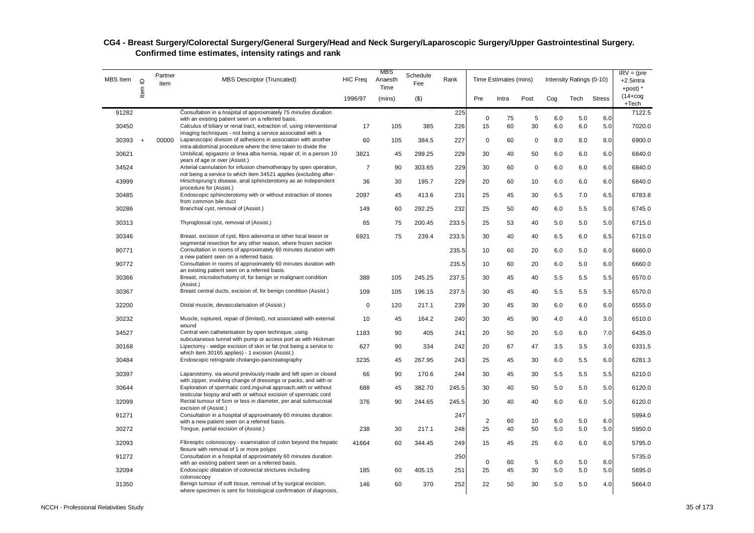| <b>MBS</b> Item | $\mathbf{\underline{o}}$ | Partner<br>item | <b>MBS Descriptor (Truncated)</b>                                                                                                                                                           | <b>HIC Freq</b> | MBS<br>Anaesth<br>Time | Schedule<br>Fee | Rank  | Time Estimates (mins) |       |      | Intensity Ratings (0-10) | $IRV = (pre$<br>$+2.5$ intra<br>+post) * |               |                         |
|-----------------|--------------------------|-----------------|---------------------------------------------------------------------------------------------------------------------------------------------------------------------------------------------|-----------------|------------------------|-----------------|-------|-----------------------|-------|------|--------------------------|------------------------------------------|---------------|-------------------------|
|                 | Item                     |                 |                                                                                                                                                                                             | 1996/97         | (mins)                 | $($ \$)         |       | Pre                   | Intra | Post | Cog                      | Tech                                     | <b>Stress</b> | $(14 + \log$<br>$+Tech$ |
| 91282           |                          |                 | Consultation in a hospital of approximately 75 minutes duration                                                                                                                             |                 |                        |                 | 225   | $\pmb{0}$             | 75    | 5    | 6.0                      | 5.0                                      | 6.0           | 7122.5                  |
| 30450           |                          |                 | with an existing patient seen on a referred basis.<br>Calculus of biliary or renal tract, extraction of, using interventional<br>imaging techniques - not being a service associated with a | 17              | 105                    | 385             | 226   | 15                    | 60    | 30   | 6.0                      | 6.0                                      | 5.0           | 7020.0                  |
| 30393           | $+$                      | 00000           | Laparoscopic division of adhesions in association with another<br>intra-abdominal procedure where the time taken to divide the                                                              | 60              | 105                    | 384.5           | 227   | 0                     | 60    | 0    | 8.0                      | 8.0                                      | 8.0           | 6900.0                  |
| 30621           |                          |                 | Umbilical, epigastric or linea alba hernia, repair of, in a person 10<br>years of age or over (Assist.)                                                                                     | 3821            | 45                     | 299.25          | 229   | 30                    | 40    | 50   | 6.0                      | 6.0                                      | 6.0           | 6840.0                  |
| 34524           |                          |                 | Arterial cannulation for infusion chemotherapy by open operation,<br>not being a service to which item 34521 applies (excluding after-                                                      | $\overline{7}$  | 90                     | 303.65          | 229   | 30                    | 60    | 0    | 6.0                      | 6.0                                      | 6.0           | 6840.0                  |
| 43999           |                          |                 | Hirschsprung's disease, anal sphincterotomy as an independent<br>procedure for (Assist.)                                                                                                    | 36              | 30                     | 195.7           | 229   | 20                    | 60    | 10   | 6.0                      | 6.0                                      | 6.0           | 6840.0                  |
| 30485           |                          |                 | Endoscopic sphincterotomy with or without extraction of stones<br>from common bile duct                                                                                                     | 2097            | 45                     | 413.6           | 231   | 25                    | 45    | 30   | 6.5                      | 7.0                                      | 6.5           | 6783.8                  |
| 30286           |                          |                 | Branchial cyst, removal of (Assist.)                                                                                                                                                        | 149             | 60                     | 292.25          | 232   | 25                    | 50    | 40   | 6.0                      | 5.5                                      | 5.0           | 6745.0                  |
| 30313           |                          |                 | Thyroglossal cyst, removal of (Assist.)                                                                                                                                                     | 65              | 75                     | 200.45          | 233.5 | 25                    | 53    | 40   | 5.0                      | 5.0                                      | 5.0           | 6715.0                  |
| 30346           |                          |                 | Breast, excision of cyst, fibro adenoma or other local lesion or<br>segmental resection for any other reason, where frozen section                                                          | 6921            | 75                     | 239.4           | 233.5 | 30                    | 40    | 40   | 6.5                      | 6.0                                      | 6.5           | 6715.0                  |
| 90771           |                          |                 | Consultation in rooms of approximately 60 minutes duration with<br>a new patient seen on a referred basis.                                                                                  |                 |                        |                 | 235.5 | 10                    | 60    | 20   | 6.0                      | 5.0                                      | 6.0           | 6660.0                  |
| 90772           |                          |                 | Consultation in rooms of approximately 60 minutes duration with<br>an existing patient seen on a referred basis.                                                                            |                 |                        |                 | 235.5 | 10                    | 60    | 20   | 6.0                      | 5.0                                      | 6.0           | 6660.0                  |
| 30366           |                          |                 | Breast, microdochotomy of, for benign or malignant condition<br>(Assist.)                                                                                                                   | 388             | 105                    | 245.25          | 237.5 | 30                    | 45    | 40   | 5.5                      | 5.5                                      | 5.5           | 6570.0                  |
| 30367           |                          |                 | Breast central ducts, excision of, for benign condition (Assist.)                                                                                                                           | 109             | 105                    | 196.15          | 237.5 | 30                    | 45    | 40   | 5.5                      | 5.5                                      | 5.5           | 6570.0                  |
| 32200           |                          |                 | Distal muscle, devascularisation of (Assist.)                                                                                                                                               | $\mathbf 0$     | 120                    | 217.1           | 239   | 30                    | 45    | 30   | 6.0                      | 6.0                                      | 6.0           | 6555.0                  |
| 30232           |                          |                 | Muscle, ruptured, repair of (limited), not associated with external<br>wound                                                                                                                | 10              | 45                     | 164.2           | 240   | 30                    | 45    | 90   | 4.0                      | 4.0                                      | 3.0           | 6510.0                  |
| 34527           |                          |                 | Central vein catheterisation by open technique, using<br>subcutaneous tunnel with pump or access port as with Hickman                                                                       | 1183            | 90                     | 405             | 241   | 20                    | 50    | 20   | 5.0                      | 6.0                                      | 7.0           | 6435.0                  |
| 30168           |                          |                 | Lipectomy - wedge excision of skin or fat (not being a service to<br>which item 30165 applies) - 1 excision (Assist.)                                                                       | 627             | 90                     | 334             | 242   | 20                    | 67    | 47   | 3.5                      | 3.5                                      | 3.0           | 6331.5                  |
| 30484           |                          |                 | Endoscopic retrograde cholangio-pancreatography                                                                                                                                             | 3235            | 45                     | 267.95          | 243   | 25                    | 45    | 30   | 6.0                      | 5.5                                      | 6.0           | 6281.3                  |
| 30397           |                          |                 | Laparostomy, via wound previously made and left open or closed<br>with zipper, involving change of dressings or packs, and with or                                                          | 66              | 90                     | 170.6           | 244   | 30                    | 45    | 30   | 5.5                      | 5.5                                      | 5.5           | 6210.0                  |
| 30644           |                          |                 | Exploration of spermatic cord, inquinal approach, with or without<br>testicular biopsy and with or without excision of spermatic cord                                                       | 688             | 45                     | 382.70          | 245.5 | 30                    | 40    | 50   | 5.0                      | 5.0                                      | 5.0           | 6120.0                  |
| 32099           |                          |                 | Rectal tumour of 5cm or less in diameter, per anal submucosal<br>excision of (Assist.)                                                                                                      | 376             | 90                     | 244.65          | 245.5 | 30                    | 40    | 40   | 6.0                      | 6.0                                      | 5.0           | 6120.0                  |
| 91271           |                          |                 | Consultation in a hospital of approximately 60 minutes duration<br>with a new patient seen on a referred basis.                                                                             |                 |                        |                 | 247   | $\sqrt{2}$            | 60    | 10   | 6.0                      | 5.0                                      | 6.0           | 5994.0                  |
| 30272           |                          |                 | Tongue, partial excision of (Assist.)                                                                                                                                                       | 238             | 30                     | 217.1           | 248   | 25                    | 40    | 50   | 5.0                      | 5.0                                      | 5.0           | 5950.0                  |
| 32093           |                          |                 | Fibreoptic colonoscopy - examination of colon beyond the hepatic<br>flexure with removal of 1 or more polyps                                                                                | 41664           | 60                     | 344.45          | 249   | 15                    | 45    | 25   | 6.0                      | 6.0                                      | 6.0           | 5795.0                  |
| 91272           |                          |                 | Consultation in a hospital of approximately 60 minutes duration<br>with an existing patient seen on a referred basis.                                                                       |                 |                        |                 | 250   | 0                     | 60    | 5    | 6.0                      | 5.0                                      | 6.0           | 5735.0                  |
| 32094           |                          |                 | Endoscopic dilatation of colorectal strictures including<br>colonoscopy                                                                                                                     | 185             | 60                     | 405.15          | 251   | 25                    | 45    | 30   | 5.0                      | 5.0                                      | 5.0           | 5695.0                  |
| 31350           |                          |                 | Benign tumour of soft tissue, removal of by surgical excision,<br>where specimen is sent for histological confirmation of diagnosis,                                                        | 146             | 60                     | 370             | 252   | 22                    | 50    | 30   | 5.0                      | 5.0                                      | 4.0           | 5664.0                  |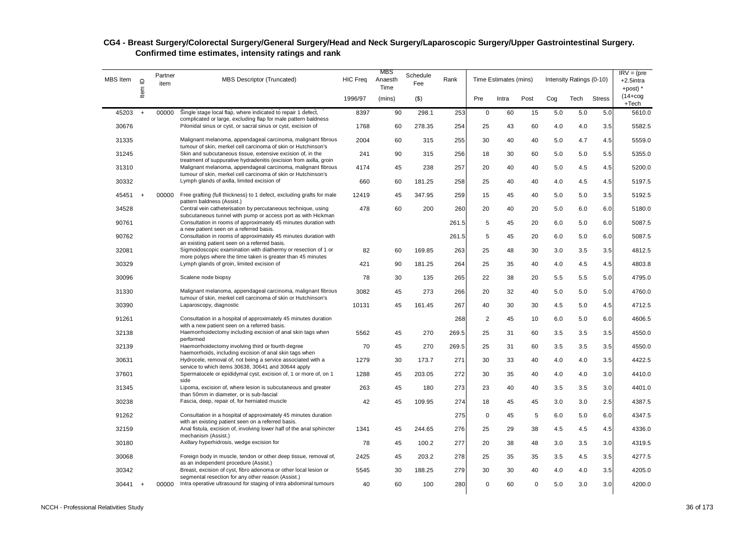| <b>MBS</b> Item | $\supseteq$ | Partner<br>item | <b>MBS Descriptor (Truncated)</b>                                                                                                 | <b>HIC Freq</b> | MBS<br>Anaesth<br>Time | Schedule<br>Fee | Rank  |             | Time Estimates (mins) |          |     | Intensity Ratings (0-10) |               | $IRV = (pre$<br>+2.5intra<br>+post) $*$ |
|-----------------|-------------|-----------------|-----------------------------------------------------------------------------------------------------------------------------------|-----------------|------------------------|-----------------|-------|-------------|-----------------------|----------|-----|--------------------------|---------------|-----------------------------------------|
|                 | Item        |                 |                                                                                                                                   | 1996/97         | (mins)                 | $($ \$)         |       | Pre         | Intra                 | Post     | Cog | Tech                     | <b>Stress</b> | $(14 + \log$<br>+Tech                   |
| 45203           | $+$         | 00000           | Single stage local flap, where indicated to repair 1 defect,                                                                      | 8397            | 90                     | 298.1           | 253   | $\mathsf 0$ | 60                    | 15       | 5.0 | 5.0                      | 5.0           | 5610.0                                  |
| 30676           |             |                 | complicated or large, excluding flap for male pattern baldness<br>Pilonidal sinus or cyst, or sacral sinus or cyst, excision of   | 1768            | 60                     | 278.35          | 254   | 25          | 43                    | 60       | 4.0 | 4.0                      | 3.5           | 5582.5                                  |
| 31335           |             |                 | Malignant melanoma, appendageal carcinoma, malignant fibrous<br>tumour of skin, merkel cell carcinoma of skin or Hutchinson's     | 2004            | 60                     | 315             | 255   | 30          | 40                    | 40       | 5.0 | 4.7                      | 4.5           | 5559.0                                  |
| 31245           |             |                 | Skin and subcutaneous tissue, extensive excision of, in the<br>treatment of suppurative hydradenitis (excision from axilla, groin | 241             | 90                     | 315             | 256   | 18          | 30                    | 60       | 5.0 | 5.0                      | 5.5           | 5355.0                                  |
| 31310           |             |                 | Malignant melanoma, appendageal carcinoma, malignant fibrous<br>tumour of skin, merkel cell carcinoma of skin or Hutchinson's     | 4174            | 45                     | 238             | 257   | 20          | 40                    | 40       | 5.0 | 4.5                      | 4.5           | 5200.0                                  |
| 30332           |             |                 | Lymph glands of axilla, limited excision of                                                                                       | 660             | 60                     | 181.25          | 258   | 25          | 40                    | 40       | 4.0 | 4.5                      | 4.5           | 5197.5                                  |
| 45451           | $+$         | 00000           | Free grafting (full thickness) to 1 defect, excluding grafts for male<br>pattern baldness (Assist.)                               | 12419           | 45                     | 347.95          | 259   | 15          | 45                    | 40       | 5.0 | 5.0                      | 3.5           | 5192.5                                  |
| 34528           |             |                 | Central vein catheterisation by percutaneous technique, using<br>subcutaneous tunnel with pump or access port as with Hickman     | 478             | 60                     | 200             | 260   | 20          | 40                    | 20       | 5.0 | 6.0                      | 6.0           | 5180.0                                  |
| 90761           |             |                 | Consultation in rooms of approximately 45 minutes duration with<br>a new patient seen on a referred basis.                        |                 |                        |                 | 261.5 | 5           | 45                    | 20       | 6.0 | 5.0                      | 6.0           | 5087.5                                  |
| 90762           |             |                 | Consultation in rooms of approximately 45 minutes duration with<br>an existing patient seen on a referred basis.                  |                 |                        |                 | 261.5 | 5           | 45                    | 20       | 6.0 | 5.0                      | 6.0           | 5087.5                                  |
| 32081           |             |                 | Sigmoidoscopic examination with diathermy or resection of 1 or<br>more polyps where the time taken is greater than 45 minutes     | 82              | 60                     | 169.85          | 263   | 25          | 48                    | 30       | 3.0 | 3.5                      | 3.5           | 4812.5                                  |
| 30329           |             |                 | Lymph glands of groin, limited excision of                                                                                        | 421             | 90                     | 181.25          | 264   | 25          | 35                    | 40       | 4.0 | 4.5                      | 4.5           | 4803.8                                  |
| 30096           |             |                 | Scalene node biopsy                                                                                                               | 78              | 30                     | 135             | 265   | 22          | 38                    | 20       | 5.5 | 5.5                      | 5.0           | 4795.0                                  |
| 31330           |             |                 | Malignant melanoma, appendageal carcinoma, malignant fibrous<br>tumour of skin, merkel cell carcinoma of skin or Hutchinson's     | 3082            | 45                     | 273             | 266   | 20          | 32                    | 40       | 5.0 | 5.0                      | 5.0           | 4760.0                                  |
| 30390           |             |                 | Laparoscopy, diagnostic                                                                                                           | 10131           | 45                     | 161.45          | 267   | 40          | 30                    | 30       | 4.5 | 5.0                      | 4.5           | 4712.5                                  |
| 91261           |             |                 | Consultation in a hospital of approximately 45 minutes duration<br>with a new patient seen on a referred basis.                   |                 |                        |                 | 268   | 2           | 45                    | 10       | 6.0 | 5.0                      | 6.0           | 4606.5                                  |
| 32138           |             |                 | Haemorrhoidectomy including excision of anal skin tags when<br>performed                                                          | 5562            | 45                     | 270             | 269.5 | 25          | 31                    | 60       | 3.5 | 3.5                      | 3.5           | 4550.0                                  |
| 32139           |             |                 | Haemorrhoidectomy involving third or fourth degree<br>haemorrhoids, including excision of anal skin tags when                     | 70              | 45                     | 270             | 269.5 | 25          | 31                    | 60       | 3.5 | 3.5                      | 3.5           | 4550.0                                  |
| 30631           |             |                 | Hydrocele, removal of, not being a service associated with a<br>service to which items 30638, 30641 and 30644 apply               | 1279            | 30                     | 173.7           | 271   | 30          | 33                    | 40       | 4.0 | 4.0                      | 3.5           | 4422.5                                  |
| 37601           |             |                 | Spermatocele or epididymal cyst, excision of, 1 or more of, on 1<br>side                                                          | 1288            | 45                     | 203.05          | 272   | 30          | 35                    | 40       | 4.0 | 4.0                      | 3.0           | 4410.0                                  |
| 31345           |             |                 | Lipoma, excision of, where lesion is subcutaneous and greater<br>than 50mm in diameter, or is sub-fascial                         | 263             | 45                     | 180             | 273   | 23          | 40                    | 40       | 3.5 | 3.5                      | 3.0           | 4401.0                                  |
| 30238           |             |                 | Fascia, deep, repair of, for herniated muscle                                                                                     | 42              | 45                     | 109.95          | 274   | 18          | 45                    | 45       | 3.0 | 3.0                      | 2.5           | 4387.5                                  |
| 91262           |             |                 | Consultation in a hospital of approximately 45 minutes duration<br>with an existing patient seen on a referred basis.             |                 |                        |                 | 275   | 0           | 45                    | 5        | 6.0 | 5.0                      | 6.0           | 4347.5                                  |
| 32159           |             |                 | Anal fistula, excision of, involving lower half of the anal sphincter<br>mechanism (Assist.)                                      | 1341            | 45                     | 244.65          | 276   | 25          | 29                    | 38       | 4.5 | 4.5                      | 4.5           | 4336.0                                  |
| 30180           |             |                 | Axillary hyperhidrosis, wedge excision for                                                                                        | 78              | 45                     | 100.2           | 277   | 20          | 38                    | 48       | 3.0 | 3.5                      | 3.0           | 4319.5                                  |
| 30068           |             |                 | Foreign body in muscle, tendon or other deep tissue, removal of,<br>as an independent procedure (Assist.)                         | 2425            | 45                     | 203.2           | 278   | 25          | 35                    | 35       | 3.5 | 4.5                      | 3.5           | 4277.5                                  |
| 30342           |             |                 | Breast, excision of cyst, fibro adenoma or other local lesion or                                                                  | 5545            | 30                     | 188.25          | 279   | 30          | 30                    | 40       | 4.0 | 4.0                      | 3.5           | 4205.0                                  |
| 30441           | $+$         | 00000           | segmental resection for any other reason (Assist.)<br>Intra operative ultrasound for staging of intra abdominal tumours           | 40              | 60                     | 100             | 280   | $\Omega$    | 60                    | $\Omega$ | 5.0 | 3.0                      | 3.0           | 4200.0                                  |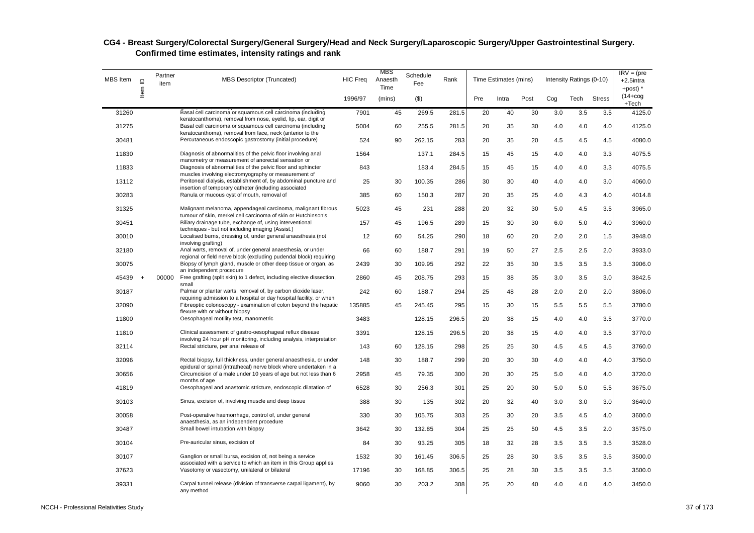| MBS Item | $\supseteq$ | Partner<br>item | <b>MBS Descriptor (Truncated)</b>                                                                                                        | <b>HIC Freq</b> | MBS<br>Anaesth<br>Time | Schedule<br>Fee | Rank  |     | Time Estimates (mins) |      |     | Intensity Ratings (0-10) |               | $IRV = (pre$<br>$+2.5$ intra<br>+post) $*$ |
|----------|-------------|-----------------|------------------------------------------------------------------------------------------------------------------------------------------|-----------------|------------------------|-----------------|-------|-----|-----------------------|------|-----|--------------------------|---------------|--------------------------------------------|
|          | Item        |                 |                                                                                                                                          | 1996/97         | (mins)                 | $($ \$)         |       | Pre | Intra                 | Post | Cog | Tech                     | <b>Stress</b> | $(14 + \log$<br>$+Tech$                    |
| 31260    |             |                 | Basal cell carcinoma or squamous cell carcinoma (including<br>keratocanthoma), removal from nose, eyelid, lip, ear, digit or             | 7901            | 45                     | 269.5           | 281.5 | 20  | 40                    | 30   | 3.0 | 3.5                      | 3.5           | 4125.0                                     |
| 31275    |             |                 | Basal cell carcinoma or squamous cell carcinoma (including<br>keratocanthoma), removal from face, neck (anterior to the                  | 5004            | 60                     | 255.5           | 281.5 | 20  | 35                    | 30   | 4.0 | 4.0                      | 4.0           | 4125.0                                     |
| 30481    |             |                 | Percutaneous endoscopic gastrostomy (initial procedure)                                                                                  | 524             | 90                     | 262.15          | 283   | 20  | 35                    | 20   | 4.5 | 4.5                      | 4.5           | 4080.0                                     |
| 11830    |             |                 | Diagnosis of abnormalities of the pelvic floor involving anal<br>manometry or measurement of anorectal sensation or                      | 1564            |                        | 137.1           | 284.5 | 15  | 45                    | 15   | 4.0 | 4.0                      | 3.3           | 4075.5                                     |
| 11833    |             |                 | Diagnosis of abnormalities of the pelvic floor and sphincter<br>muscles involving electromyography or measurement of                     | 843             |                        | 183.4           | 284.5 | 15  | 45                    | 15   | 4.0 | 4.0                      | 3.3           | 4075.5                                     |
| 13112    |             |                 | Peritoneal dialysis, establishment of, by abdominal puncture and<br>insertion of temporary catheter (including associated                | 25              | 30                     | 100.35          | 286   | 30  | 30                    | 40   | 4.0 | 4.0                      | 3.0           | 4060.0                                     |
| 30283    |             |                 | Ranula or mucous cyst of mouth, removal of                                                                                               | 385             | 60                     | 150.3           | 287   | 20  | 35                    | 25   | 4.0 | 4.3                      | 4.0           | 4014.8                                     |
| 31325    |             |                 | Malignant melanoma, appendageal carcinoma, malignant fibrous<br>tumour of skin, merkel cell carcinoma of skin or Hutchinson's            | 5023            | 45                     | 231             | 288   | 20  | 32                    | 30   | 5.0 | 4.5                      | 3.5           | 3965.0                                     |
| 30451    |             |                 | Biliary drainage tube, exchange of, using interventional<br>techniques - but not including imaging (Assist.)                             | 157             | 45                     | 196.5           | 289   | 15  | 30                    | 30   | 6.0 | 5.0                      | 4.0           | 3960.0                                     |
| 30010    |             |                 | Localised burns, dressing of, under general anaesthesia (not<br>involving grafting)                                                      | 12              | 60                     | 54.25           | 290   | 18  | 60                    | 20   | 2.0 | 2.0                      | 1.5           | 3948.0                                     |
| 32180    |             |                 | Anal warts, removal of, under general anaesthesia, or under<br>regional or field nerve block (excluding pudendal block) requiring        | 66              | 60                     | 188.7           | 291   | 19  | 50                    | 27   | 2.5 | 2.5                      | 2.0           | 3933.0                                     |
| 30075    |             |                 | Biopsy of lymph gland, muscle or other deep tissue or organ, as<br>an independent procedure                                              | 2439            | 30                     | 109.95          | 292   | 22  | 35                    | 30   | 3.5 | 3.5                      | 3.5           | 3906.0                                     |
| 45439    | $+$         | 00000           | Free grafting (split skin) to 1 defect, including elective dissection,<br>small                                                          | 2860            | 45                     | 208.75          | 293   | 15  | 38                    | 35   | 3.0 | 3.5                      | 3.0           | 3842.5                                     |
| 30187    |             |                 | Palmar or plantar warts, removal of, by carbon dioxide laser,<br>requiring admission to a hospital or day hospital facility, or when     | 242             | 60                     | 188.7           | 294   | 25  | 48                    | 28   | 2.0 | 2.0                      | 2.0           | 3806.0                                     |
| 32090    |             |                 | Fibreoptic colonoscopy - examination of colon beyond the hepatic<br>flexure with or without biopsy                                       | 135885          | 45                     | 245.45          | 295   | 15  | 30                    | 15   | 5.5 | 5.5                      | 5.5           | 3780.0                                     |
| 11800    |             |                 | Oesophageal motility test, manometric                                                                                                    | 3483            |                        | 128.15          | 296.5 | 20  | 38                    | 15   | 4.0 | 4.0                      | 3.5           | 3770.0                                     |
| 11810    |             |                 | Clinical assessment of gastro-oesophageal reflux disease<br>involving 24 hour pH monitoring, including analysis, interpretation          | 3391            |                        | 128.15          | 296.5 | 20  | 38                    | 15   | 4.0 | 4.0                      | 3.5           | 3770.0                                     |
| 32114    |             |                 | Rectal stricture, per anal release of                                                                                                    | 143             | 60                     | 128.15          | 298   | 25  | 25                    | 30   | 4.5 | 4.5                      | 4.5           | 3760.0                                     |
| 32096    |             |                 | Rectal biopsy, full thickness, under general anaesthesia, or under<br>epidural or spinal (intrathecal) nerve block where undertaken in a | 148             | 30                     | 188.7           | 299   | 20  | 30                    | 30   | 4.0 | 4.0                      | 4.0           | 3750.0                                     |
| 30656    |             |                 | Circumcision of a male under 10 years of age but not less than 6<br>months of age                                                        | 2958            | 45                     | 79.35           | 300   | 20  | 30                    | 25   | 5.0 | 4.0                      | 4.0           | 3720.0                                     |
| 41819    |             |                 | Oesophageal and anastomic stricture, endoscopic dilatation of                                                                            | 6528            | 30                     | 256.3           | 301   | 25  | 20                    | 30   | 5.0 | 5.0                      | 5.5           | 3675.0                                     |
| 30103    |             |                 | Sinus, excision of, involving muscle and deep tissue                                                                                     | 388             | 30                     | 135             | 302   | 20  | 32                    | 40   | 3.0 | 3.0                      | 3.0           | 3640.0                                     |
| 30058    |             |                 | Post-operative haemorrhage, control of, under general<br>anaesthesia, as an independent procedure                                        | 330             | 30                     | 105.75          | 303   | 25  | 30                    | 20   | 3.5 | 4.5                      | 4.0           | 3600.0                                     |
| 30487    |             |                 | Small bowel intubation with biopsy                                                                                                       | 3642            | 30                     | 132.85          | 304   | 25  | 25                    | 50   | 4.5 | 3.5                      | 2.0           | 3575.0                                     |
| 30104    |             |                 | Pre-auricular sinus, excision of                                                                                                         | 84              | 30                     | 93.25           | 305   | 18  | 32                    | 28   | 3.5 | 3.5                      | 3.5           | 3528.0                                     |
| 30107    |             |                 | Ganglion or small bursa, excision of, not being a service<br>associated with a service to which an item in this Group applies            | 1532            | 30                     | 161.45          | 306.5 | 25  | 28                    | 30   | 3.5 | 3.5                      | 3.5           | 3500.0                                     |
| 37623    |             |                 | Vasotomy or vasectomy, unilateral or bilateral                                                                                           | 17196           | 30                     | 168.85          | 306.5 | 25  | 28                    | 30   | 3.5 | 3.5                      | 3.5           | 3500.0                                     |
| 39331    |             |                 | Carpal tunnel release (division of transverse carpal ligament), by<br>any method                                                         | 9060            | 30                     | 203.2           | 308   | 25  | 20                    | 40   | 4.0 | 4.0                      | 4.0           | 3450.0                                     |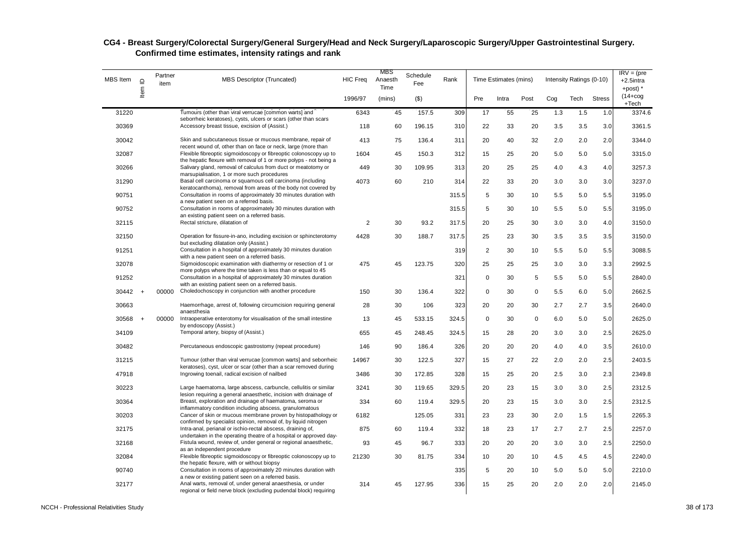| MBS Item  | $\mathbf{\underline{o}}$ | Partner<br>item | <b>MBS Descriptor (Truncated)</b>                                                                                                       | <b>HIC Freq</b> | MBS<br>Anaesth<br>Time | Schedule<br>Fee | Rank  |           | Time Estimates (mins) |             |     | Intensity Ratings (0-10) |               | $IRV = (pre$<br>$+2.5$ intra<br>+post) * |
|-----------|--------------------------|-----------------|-----------------------------------------------------------------------------------------------------------------------------------------|-----------------|------------------------|-----------------|-------|-----------|-----------------------|-------------|-----|--------------------------|---------------|------------------------------------------|
|           | Item                     |                 |                                                                                                                                         | 1996/97         | (mins)                 | $($ \$)         |       | Pre       | Intra                 | Post        | Cog | Tech                     | <b>Stress</b> | $(14 + \log$<br>$+Tech$                  |
| 31220     |                          |                 | Tumours (other than viral verrucae [common warts] and                                                                                   | 6343            | 45                     | 157.5           | 309   | 17        | 55                    | 25          | 1.3 | 1.5                      | 1.0           | 3374.6                                   |
| 30369     |                          |                 | seborrheic keratoses), cysts, ulcers or scars (other than scars<br>Accessory breast tissue, excision of (Assist.)                       | 118             | 60                     | 196.15          | 310   | 22        | 33                    | 20          | 3.5 | 3.5                      | 3.0           | 3361.5                                   |
| 30042     |                          |                 | Skin and subcutaneous tissue or mucous membrane, repair of<br>recent wound of, other than on face or neck, large (more than             | 413             | 75                     | 136.4           | 311   | 20        | 40                    | 32          | 2.0 | 2.0                      | 2.0           | 3344.0                                   |
| 32087     |                          |                 | Flexible fibreoptic sigmoidoscopy or fibreoptic colonoscopy up to<br>the hepatic flexure with removal of 1 or more polyps - not being a | 1604            | 45                     | 150.3           | 312   | 15        | 25                    | 20          | 5.0 | 5.0                      | 5.0           | 3315.0                                   |
| 30266     |                          |                 | Salivary gland, removal of calculus from duct or meatotomy or<br>marsupialisation, 1 or more such procedures                            | 449             | 30                     | 109.95          | 313   | 20        | 25                    | 25          | 4.0 | 4.3                      | 4.0           | 3257.3                                   |
| 31290     |                          |                 | Basal cell carcinoma or squamous cell carcinoma (including<br>keratocanthoma), removal from areas of the body not covered by            | 4073            | 60                     | 210             | 314   | 22        | 33                    | 20          | 3.0 | 3.0                      | 3.0           | 3237.0                                   |
| 90751     |                          |                 | Consultation in rooms of approximately 30 minutes duration with<br>a new patient seen on a referred basis.                              |                 |                        |                 | 315.5 | 5         | 30                    | 10          | 5.5 | 5.0                      | 5.5           | 3195.0                                   |
| 90752     |                          |                 | Consultation in rooms of approximately 30 minutes duration with<br>an existing patient seen on a referred basis.                        |                 |                        |                 | 315.5 | 5         | 30                    | 10          | 5.5 | 5.0                      | 5.5           | 3195.0                                   |
| 32115     |                          |                 | Rectal stricture, dilatation of                                                                                                         | 2               | 30                     | 93.2            | 317.5 | 20        | 25                    | 30          | 3.0 | 3.0                      | 4.0           | 3150.0                                   |
| 32150     |                          |                 | Operation for fissure-in-ano, including excision or sphincterotomy<br>but excluding dilatation only (Assist.)                           | 4428            | 30                     | 188.7           | 317.5 | 25        | 23                    | 30          | 3.5 | 3.5                      | 3.5           | 3150.0                                   |
| 91251     |                          |                 | Consultation in a hospital of approximately 30 minutes duration<br>with a new patient seen on a referred basis.                         |                 |                        |                 | 319   | 2         | 30                    | 10          | 5.5 | 5.0                      | 5.5           | 3088.5                                   |
| 32078     |                          |                 | Sigmoidoscopic examination with diathermy or resection of 1 or<br>more polyps where the time taken is less than or equal to 45          | 475             | 45                     | 123.75          | 320   | 25        | 25                    | 25          | 3.0 | 3.0                      | 3.3           | 2992.5                                   |
| 91252     |                          |                 | Consultation in a hospital of approximately 30 minutes duration<br>with an existing patient seen on a referred basis.                   |                 |                        |                 | 321   | $\pmb{0}$ | 30                    | 5           | 5.5 | 5.0                      | 5.5           | 2840.0                                   |
| $30442 +$ |                          | 00000           | Choledochoscopy in conjunction with another procedure                                                                                   | 150             | 30                     | 136.4           | 322   | 0         | 30                    | 0           | 5.5 | 6.0                      | 5.0           | 2662.5                                   |
| 30663     |                          |                 | Haemorrhage, arrest of, following circumcision requiring general<br>anaesthesia                                                         | 28              | 30                     | 106             | 323   | 20        | 20                    | 30          | 2.7 | 2.7                      | 3.5           | 2640.0                                   |
| 30568     | $+$                      | 00000           | Intraoperative enterotomy for visualisation of the small intestine<br>by endoscopy (Assist.)                                            | 13              | 45                     | 533.15          | 324.5 | 0         | 30                    | $\mathbf 0$ | 6.0 | 5.0                      | 5.0           | 2625.0                                   |
| 34109     |                          |                 | Temporal artery, biopsy of (Assist.)                                                                                                    | 655             | 45                     | 248.45          | 324.5 | 15        | 28                    | 20          | 3.0 | 3.0                      | 2.5           | 2625.0                                   |
| 30482     |                          |                 | Percutaneous endoscopic gastrostomy (repeat procedure)                                                                                  | 146             | 90                     | 186.4           | 326   | 20        | 20                    | 20          | 4.0 | 4.0                      | 3.5           | 2610.0                                   |
| 31215     |                          |                 | Tumour (other than viral verrucae [common warts] and seborrheic<br>keratoses), cyst, ulcer or scar (other than a scar removed during    | 14967           | 30                     | 122.5           | 327   | 15        | 27                    | 22          | 2.0 | 2.0                      | 2.5           | 2403.5                                   |
| 47918     |                          |                 | Ingrowing toenail, radical excision of nailbed                                                                                          | 3486            | 30                     | 172.85          | 328   | 15        | 25                    | 20          | 2.5 | 3.0                      | 2.3           | 2349.8                                   |
| 30223     |                          |                 | Large haematoma, large abscess, carbuncle, cellulitis or similar<br>lesion requiring a general anaesthetic, incision with drainage of   | 3241            | 30                     | 119.65          | 329.5 | 20        | 23                    | 15          | 3.0 | 3.0                      | 2.5           | 2312.5                                   |
| 30364     |                          |                 | Breast, exploration and drainage of haematoma, seroma or<br>inflammatory condition including abscess, granulomatous                     | 334             | 60                     | 119.4           | 329.5 | 20        | 23                    | 15          | 3.0 | 3.0                      | 2.5           | 2312.5                                   |
| 30203     |                          |                 | Cancer of skin or mucous membrane proven by histopathology or<br>confirmed by specialist opinion, removal of, by liquid nitrogen        | 6182            |                        | 125.05          | 331   | 23        | 23                    | 30          | 2.0 | 1.5                      | 1.5           | 2265.3                                   |
| 32175     |                          |                 | Intra-anal, perianal or ischio-rectal abscess, draining of,<br>undertaken in the operating theatre of a hospital or approved day-       | 875             | 60                     | 119.4           | 332   | 18        | 23                    | 17          | 2.7 | 2.7                      | 2.5           | 2257.0                                   |
| 32168     |                          |                 | Fistula wound, review of, under general or regional anaesthetic,<br>as an independent procedure                                         | 93              | 45                     | 96.7            | 333   | 20        | 20                    | 20          | 3.0 | 3.0                      | 2.5           | 2250.0                                   |
| 32084     |                          |                 | Flexible fibreoptic sigmoidoscopy or fibreoptic colonoscopy up to<br>the hepatic flexure, with or without biopsy                        | 21230           | 30                     | 81.75           | 334   | 10        | 20                    | 10          | 4.5 | 4.5                      | 4.5           | 2240.0                                   |
| 90740     |                          |                 | Consultation in rooms of approximately 20 minutes duration with<br>a new or existing patient seen on a referred basis.                  |                 |                        |                 | 335   | 5         | 20                    | 10          | 5.0 | 5.0                      | 5.0           | 2210.0                                   |
| 32177     |                          |                 | Anal warts, removal of, under general anaesthesia, or under<br>regional or field nerve block (excluding pudendal block) requiring       | 314             | 45                     | 127.95          | 336   | 15        | 25                    | 20          | 2.0 | 2.0                      | 2.0           | 2145.0                                   |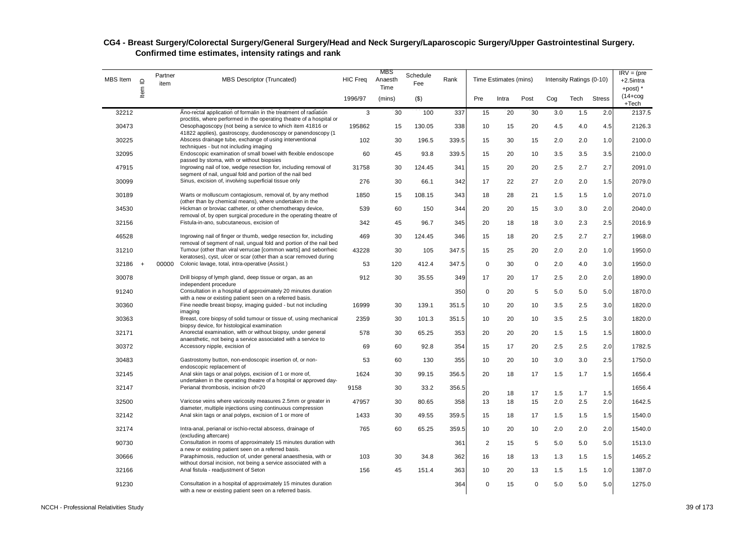| MBS Item | $\mathrel{\underline{\mathsf{O}}}$ | Partner<br>item | <b>MBS Descriptor (Truncated)</b>                                                                                                        | <b>HIC Freq</b> | MBS<br>Anaesth<br>Time | Schedule<br>Fee | Rank  |                | Time Estimates (mins) |             |         | Intensity Ratings (0-10) |               | $IRV = (pre$<br>$+2.5$ intra<br>$+$ post) $*$ |
|----------|------------------------------------|-----------------|------------------------------------------------------------------------------------------------------------------------------------------|-----------------|------------------------|-----------------|-------|----------------|-----------------------|-------------|---------|--------------------------|---------------|-----------------------------------------------|
|          | Item                               |                 |                                                                                                                                          | 1996/97         | (mins)                 | $($ \$)         |       | Pre            | Intra                 | Post        | Cog     | Tech                     | <b>Stress</b> | $(14 + \log$<br>$+Tech$                       |
| 32212    |                                    |                 | Ano-rectal application of formalin in the treatment of radiation<br>proctitis, where performed in the operating theatre of a hospital or | 3               | 30                     | 100             | 337   | 15             | 20                    | 30          | 3.0     | 1.5                      | 2.0           | 2137.5                                        |
| 30473    |                                    |                 | Oesophagoscopy (not being a service to which item 41816 or<br>41822 applies), gastroscopy, duodenoscopy or panendoscopy (1               | 195862          | 15                     | 130.05          | 338   | 10             | 15                    | 20          | 4.5     | 4.0                      | 4.5           | 2126.3                                        |
| 30225    |                                    |                 | Abscess drainage tube, exchange of using interventional<br>techniques - but not including imaging                                        | 102             | 30                     | 196.5           | 339.5 | 15             | 30                    | 15          | 2.0     | 2.0                      | 1.0           | 2100.0                                        |
| 32095    |                                    |                 | Endoscopic examination of small bowel with flexible endoscope<br>passed by stoma, with or without biopsies                               | 60              | 45                     | 93.8            | 339.5 | 15             | 20                    | 10          | 3.5     | 3.5                      | 3.5           | 2100.0                                        |
| 47915    |                                    |                 | Ingrowing nail of toe, wedge resection for, including removal of<br>segment of nail, ungual fold and portion of the nail bed             | 31758           | 30                     | 124.45          | 341   | 15             | 20                    | 20          | 2.5     | 2.7                      | 2.7           | 2091.0                                        |
| 30099    |                                    |                 | Sinus, excision of, involving superficial tissue only                                                                                    | 276             | 30                     | 66.1            | 342   | 17             | 22                    | 27          | 2.0     | 2.0                      | 1.5           | 2079.0                                        |
| 30189    |                                    |                 | Warts or molluscum contagiosum, removal of, by any method<br>(other than by chemical means), where undertaken in the                     | 1850            | 15                     | 108.15          | 343   | 18             | 28                    | 21          | 1.5     | 1.5                      | 1.0           | 2071.0                                        |
| 34530    |                                    |                 | Hickman or broviac catheter, or other chemotherapy device,<br>removal of, by open surgical procedure in the operating theatre of         | 539             | 60                     | 150             | 344   | 20             | 20                    | 15          | $3.0\,$ | 3.0                      | 2.0           | 2040.0                                        |
| 32156    |                                    |                 | Fistula-in-ano, subcutaneous, excision of                                                                                                | 342             | 45                     | 96.7            | 345   | 20             | 18                    | 18          | 3.0     | 2.3                      | 2.5           | 2016.9                                        |
| 46528    |                                    |                 | Ingrowing nail of finger or thumb, wedge resection for, including<br>removal of segment of nail, ungual fold and portion of the nail bed | 469             | 30                     | 124.45          | 346   | 15             | 18                    | 20          | 2.5     | 2.7                      | 2.7           | 1968.0                                        |
| 31210    |                                    |                 | Tumour (other than viral verrucae [common warts] and seborrheic<br>keratoses), cyst, ulcer or scar (other than a scar removed during     | 43228           | 30                     | 105             | 347.5 | 15             | 25                    | 20          | 2.0     | 2.0                      | 1.0           | 1950.0                                        |
| 32186    |                                    | 00000           | Colonic lavage, total, intra-operative (Assist.)                                                                                         | 53              | 120                    | 412.4           | 347.5 | $\mathsf 0$    | 30                    | $\mathbf 0$ | 2.0     | 4.0                      | 3.0           | 1950.0                                        |
| 30078    |                                    |                 | Drill biopsy of lymph gland, deep tissue or organ, as an<br>independent procedure                                                        | 912             | 30                     | 35.55           | 349   | 17             | 20                    | 17          | 2.5     | 2.0                      | 2.0           | 1890.0                                        |
| 91240    |                                    |                 | Consultation in a hospital of approximately 20 minutes duration<br>with a new or existing patient seen on a referred basis.              |                 |                        |                 | 350   | 0              | 20                    | 5           | 5.0     | 5.0                      | 5.0           | 1870.0                                        |
| 30360    |                                    |                 | Fine needle breast biopsy, imaging guided - but not including<br>imaging                                                                 | 16999           | 30                     | 139.1           | 351.5 | 10             | 20                    | 10          | 3.5     | 2.5                      | 3.0           | 1820.0                                        |
| 30363    |                                    |                 | Breast, core biopsy of solid tumour or tissue of, using mechanical<br>biopsy device, for histological examination                        | 2359            | 30                     | 101.3           | 351.5 | 10             | 20                    | 10          | 3.5     | 2.5                      | 3.0           | 1820.0                                        |
| 32171    |                                    |                 | Anorectal examination, with or without biopsy, under general<br>anaesthetic, not being a service associated with a service to            | 578             | 30                     | 65.25           | 353   | 20             | 20                    | 20          | 1.5     | 1.5                      | 1.5           | 1800.0                                        |
| 30372    |                                    |                 | Accessory nipple, excision of                                                                                                            | 69              | 60                     | 92.8            | 354   | 15             | 17                    | 20          | 2.5     | 2.5                      | 2.0           | 1782.5                                        |
| 30483    |                                    |                 | Gastrostomy button, non-endoscopic insertion of, or non-<br>endoscopic replacement of                                                    | 53              | 60                     | 130             | 355   | 10             | 20                    | 10          | 3.0     | 3.0                      | 2.5           | 1750.0                                        |
| 32145    |                                    |                 | Anal skin tags or anal polyps, excision of 1 or more of,<br>undertaken in the operating theatre of a hospital or approved day-           | 1624            | 30                     | 99.15           | 356.5 | 20             | 18                    | 17          | 1.5     | 1.7                      | 1.5           | 1656.4                                        |
| 32147    |                                    |                 | Perianal thrombosis, incision of=20                                                                                                      | 9158            | 30                     | 33.2            | 356.5 | 20             | 18                    | 17          | 1.5     | 1.7                      | 1.5           | 1656.4                                        |
| 32500    |                                    |                 | Varicose veins where varicosity measures 2.5mm or greater in<br>diameter, multiple injections using continuous compression               | 47957           | 30                     | 80.65           | 358   | 13             | 18                    | 15          | 2.0     | 2.5                      | 2.0           | 1642.5                                        |
| 32142    |                                    |                 | Anal skin tags or anal polyps, excision of 1 or more of                                                                                  | 1433            | 30                     | 49.55           | 359.5 | 15             | 18                    | 17          | 1.5     | 1.5                      | 1.5           | 1540.0                                        |
| 32174    |                                    |                 | Intra-anal, perianal or ischio-rectal abscess, drainage of<br>(excluding aftercare)                                                      | 765             | 60                     | 65.25           | 359.5 | 10             | 20                    | 10          | 2.0     | 2.0                      | 2.0           | 1540.0                                        |
| 90730    |                                    |                 | Consultation in rooms of approximately 15 minutes duration with<br>a new or existing patient seen on a referred basis.                   |                 |                        |                 | 361   | $\overline{2}$ | 15                    | 5           | 5.0     | 5.0                      | 5.0           | 1513.0                                        |
| 30666    |                                    |                 | Paraphimosis, reduction of, under general anaesthesia, with or<br>without dorsal incision, not being a service associated with a         | 103             | 30                     | 34.8            | 362   | 16             | 18                    | 13          | 1.3     | 1.5                      | 1.5           | 1465.2                                        |
| 32166    |                                    |                 | Anal fistula - readjustment of Seton                                                                                                     | 156             | 45                     | 151.4           | 363   | 10             | 20                    | 13          | 1.5     | 1.5                      | 1.0           | 1387.0                                        |
| 91230    |                                    |                 | Consultation in a hospital of approximately 15 minutes duration<br>with a new or existing patient seen on a referred basis.              |                 |                        |                 | 364   | $\mathsf 0$    | 15                    | $\mathbf 0$ | 5.0     | 5.0                      | 5.0           | 1275.0                                        |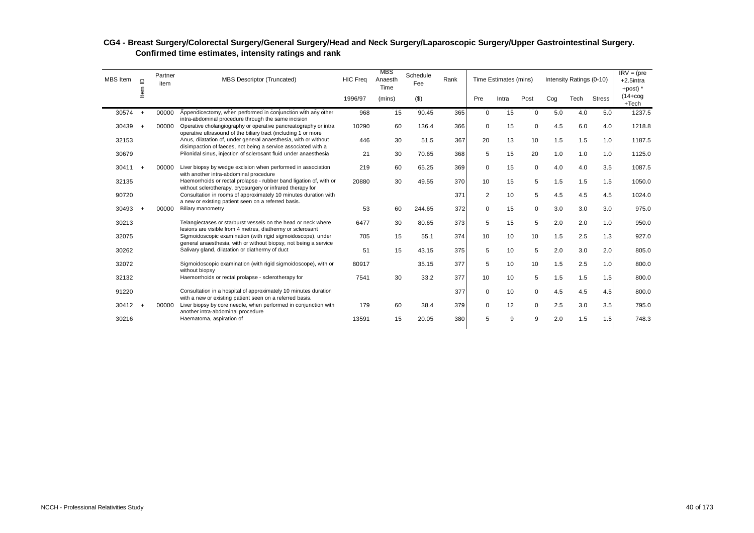| <b>MBS</b> Item | $\supseteq$<br>Item | Partner<br>item | <b>MBS Descriptor (Truncated)</b>                                                                                                 | <b>HIC Freq</b> | MBS<br>Anaesth<br>Time | Schedule<br>Fee | Rank |             | Time Estimates (mins) |             |     | Intensity Ratings (0-10) |               | $IRV = (pre$<br>$+2.5$ intra<br>+post) $*$ |
|-----------------|---------------------|-----------------|-----------------------------------------------------------------------------------------------------------------------------------|-----------------|------------------------|-----------------|------|-------------|-----------------------|-------------|-----|--------------------------|---------------|--------------------------------------------|
|                 |                     |                 |                                                                                                                                   | 1996/97         | (mins)                 | $($ \$)         |      | Pre         | Intra                 | Post        | Cog | Tech                     | <b>Stress</b> | $(14 + \cos$<br>$+Tech$                    |
| 30574           | $\ddot{}$           | 00000           | Appendicectomy, when performed in conjunction with any other<br>intra-abdominal procedure through the same incision               | 968             | 15                     | 90.45           | 365  | $\mathbf 0$ | 15                    | $\Omega$    | 5.0 | 4.0                      | 5.0           | 1237.5                                     |
| 30439           | $\overline{ }$      | 00000           | Operative cholangiography or operative pancreatography or intra<br>operative ultrasound of the biliary tract (including 1 or more | 10290           | 60                     | 136.4           | 366  | 0           | 15                    | $\mathbf 0$ | 4.5 | 6.0                      | 4.0           | 1218.8                                     |
| 32153           |                     |                 | Anus, dilatation of, under general anaesthesia, with or without<br>disimpaction of faeces, not being a service associated with a  | 446             | 30                     | 51.5            | 367  | 20          | 13                    | 10          | 1.5 | 1.5                      | 1.0           | 1187.5                                     |
| 30679           |                     |                 | Pilonidal sinus, injection of sclerosant fluid under anaesthesia                                                                  | 21              | 30                     | 70.65           | 368  | 5           | 15                    | 20          | 1.0 | 1.0                      | 1.0           | 1125.0                                     |
| 30411           | $\overline{ }$      | 00000           | Liver biopsy by wedge excision when performed in association<br>with another intra-abdominal procedure                            | 219             | 60                     | 65.25           | 369  | $\mathbf 0$ | 15                    | $\mathbf 0$ | 4.0 | 4.0                      | 3.5           | 1087.5                                     |
| 32135           |                     |                 | Haemorrhoids or rectal prolapse - rubber band ligation of, with or<br>without sclerotherapy, cryosurgery or infrared therapy for  | 20880           | 30                     | 49.55           | 370  | 10          | 15                    | 5           | 1.5 | 1.5                      | 1.5           | 1050.0                                     |
| 90720           |                     |                 | Consultation in rooms of approximately 10 minutes duration with<br>a new or existing patient seen on a referred basis.            |                 |                        |                 | 371  | 2           | 10                    | 5           | 4.5 | 4.5                      | 4.5           | 1024.0                                     |
| 30493           |                     | 00000           | <b>Biliary manometry</b>                                                                                                          | 53              | 60                     | 244.65          | 372  | 0           | 15                    | $\mathbf 0$ | 3.0 | 3.0                      | 3.0           | 975.0                                      |
| 30213           |                     |                 | Telangiectases or starburst vessels on the head or neck where<br>lesions are visible from 4 metres, diathermy or sclerosant       | 6477            | 30                     | 80.65           | 373  | 5           | 15                    | 5           | 2.0 | 2.0                      | 1.0           | 950.0                                      |
| 32075           |                     |                 | Sigmoidoscopic examination (with rigid sigmoidoscope), under<br>general anaesthesia, with or without biopsy, not being a service  | 705             | 15                     | 55.1            | 374  | 10          | 10                    | 10          | 1.5 | 2.5                      | 1.3           | 927.0                                      |
| 30262           |                     |                 | Salivary gland, dilatation or diathermy of duct                                                                                   | 51              | 15                     | 43.15           | 375  | 5           | 10                    | 5           | 2.0 | 3.0                      | 2.0           | 805.0                                      |
| 32072           |                     |                 | Sigmoidoscopic examination (with rigid sigmoidoscope), with or<br>without biopsy                                                  | 80917           |                        | 35.15           | 377  | 5           | 10                    | 10          | 1.5 | 2.5                      | 1.0           | 800.0                                      |
| 32132           |                     |                 | Haemorrhoids or rectal prolapse - sclerotherapy for                                                                               | 7541            | 30                     | 33.2            | 377  | 10          | 10                    | 5           | 1.5 | 1.5                      | 1.5           | 800.0                                      |
| 91220           |                     |                 | Consultation in a hospital of approximately 10 minutes duration                                                                   |                 |                        |                 | 377  | $\mathbf 0$ | 10                    | $\mathbf 0$ | 4.5 | 4.5                      | 4.5           | 800.0                                      |
| 30412           | $+$                 | 00000           | with a new or existing patient seen on a referred basis.<br>Liver biopsy by core needle, when performed in conjunction with       | 179             | 60                     | 38.4            | 379  | $\mathbf 0$ | 12                    | $\Omega$    | 2.5 | 3.0                      | 3.5           | 795.0                                      |
| 30216           |                     |                 | another intra-abdominal procedure<br>Haematoma, aspiration of                                                                     | 13591           | 15                     | 20.05           | 380  | 5           | 9                     | 9           | 2.0 | 1.5                      | 1.5           | 748.3                                      |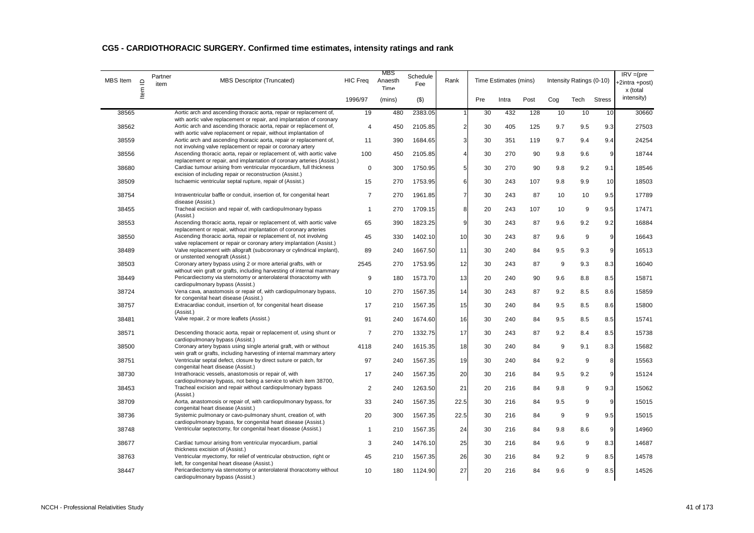| MBS Item | $\supseteq$<br>ltem | Partner<br>item | <b>MBS Descriptor (Truncated)</b>                                                                                                                                                | <b>HIC Freq</b> | <b>MBS</b><br>Anaesth<br>Time | Schedule<br>Fee | Rank           |     | Time Estimates (mins) |      |     | Intensity Ratings (0-10) |               | $IRV = (pre$<br>2intra +post)<br>x (total |
|----------|---------------------|-----------------|----------------------------------------------------------------------------------------------------------------------------------------------------------------------------------|-----------------|-------------------------------|-----------------|----------------|-----|-----------------------|------|-----|--------------------------|---------------|-------------------------------------------|
|          |                     |                 |                                                                                                                                                                                  | 1996/97         | (mins)                        | $($ \$)         |                | Pre | Intra                 | Post | Cog | Tech                     | <b>Stress</b> | intensity)                                |
| 38565    |                     |                 | Aortic arch and ascending thoracic aorta, repair or replacement of,<br>with aortic valve replacement or repair, and implantation of coronary                                     | 19              | 480                           | 2383.05         |                | 30  | 432                   | 128  | 10  | 10                       | 10            | 30660                                     |
| 38562    |                     |                 | Aortic arch and ascending thoracic aorta, repair or replacement of,<br>with aortic valve replacement or repair, without implantation of                                          | $\overline{4}$  | 450                           | 2105.85         | $\overline{2}$ | 30  | 405                   | 125  | 9.7 | 9.5                      | 9.3           | 27503                                     |
| 38559    |                     |                 | Aortic arch and ascending thoracic aorta, repair or replacement of,<br>not involving valve replacement or repair or coronary artery                                              | 11              | 390                           | 1684.65         | 3              | 30  | 351                   | 119  | 9.7 | 9.4                      | 9.4           | 24254                                     |
| 38556    |                     |                 | Ascending thoracic aorta, repair or replacement of, with aortic valve<br>replacement or repair, and implantation of coronary arteries (Assist.)                                  | 100             | 450                           | 2105.85         | 4              | 30  | 270                   | 90   | 9.8 | 9.6                      | 9             | 18744                                     |
| 38680    |                     |                 | Cardiac tumour arising from ventricular myocardium, full thickness<br>excision of including repair or reconstruction (Assist.)                                                   | $\mathbf 0$     | 300                           | 1750.95         | 5              | 30  | 270                   | 90   | 9.8 | 9.2                      | 9.1           | 18546                                     |
| 38509    |                     |                 | Ischaemic ventricular septal rupture, repair of (Assist.)                                                                                                                        | 15              | 270                           | 1753.95         | 6              | 30  | 243                   | 107  | 9.8 | 9.9                      | 10            | 18503                                     |
| 38754    |                     |                 | Intraventricular baffle or conduit, insertion of, for congenital heart<br>disease (Assist.)                                                                                      | $\overline{7}$  | 270                           | 1961.85         | $\overline{7}$ | 30  | 243                   | 87   | 10  | 10                       | 9.5           | 17789                                     |
| 38455    |                     |                 | Tracheal excision and repair of, with cardiopulmonary bypass<br>(Assist.)                                                                                                        | $\mathbf{1}$    | 270                           | 1709.15         | 8              | 20  | 243                   | 107  | 10  | 9                        | 9.5           | 17471                                     |
| 38553    |                     |                 | Ascending thoracic aorta, repair or replacement of, with aortic valve<br>replacement or repair, without implantation of coronary arteries                                        | 65              | 390                           | 1823.25         | 9              | 30  | 243                   | 87   | 9.6 | 9.2                      | 9.2           | 16884                                     |
| 38550    |                     |                 | Ascending thoracic aorta, repair or replacement of, not involving                                                                                                                | 45              | 330                           | 1402.10         | 10             | 30  | 243                   | 87   | 9.6 | 9                        | 9             | 16643                                     |
| 38489    |                     |                 | valve replacement or repair or coronary artery implantation (Assist.)<br>Valve replacement with allograft (subcoronary or cylindrical implant),                                  | 89              | 240                           | 1667.50         | 11             | 30  | 240                   | 84   | 9.5 | 9.3                      | 9             | 16513                                     |
| 38503    |                     |                 | or unstented xenograft (Assist.)<br>Coronary artery bypass using 2 or more arterial grafts, with or<br>without vein graft or grafts, including harvesting of internal mammary    | 2545            | 270                           | 1753.95         | 12             | 30  | 243                   | 87   | 9   | 9.3                      | 8.3           | 16040                                     |
| 38449    |                     |                 | Pericardiectomy via sternotomy or anterolateral thoracotomy with                                                                                                                 | 9               | 180                           | 1573.70         | 13             | 20  | 240                   | 90   | 9.6 | 8.8                      | 8.5           | 15871                                     |
| 38724    |                     |                 | cardiopulmonary bypass (Assist.)<br>Vena cava, anastomosis or repair of, with cardiopulmonary bypass,                                                                            | 10              | 270                           | 1567.35         | 14             | 30  | 243                   | 87   | 9.2 | 8.5                      | 8.6           | 15859                                     |
| 38757    |                     |                 | for congenital heart disease (Assist.)<br>Extracardiac conduit, insertion of, for congenital heart disease                                                                       | 17              | 210                           | 1567.35         | 15             | 30  | 240                   | 84   | 9.5 | 8.5                      | 8.6           | 15800                                     |
| 38481    |                     |                 | (Assist.)<br>Valve repair, 2 or more leaflets (Assist.)                                                                                                                          | 91              | 240                           | 1674.60         | 16             | 30  | 240                   | 84   | 9.5 | 8.5                      | 8.5           | 15741                                     |
| 38571    |                     |                 | Descending thoracic aorta, repair or replacement of, using shunt or<br>cardiopulmonary bypass (Assist.)                                                                          | 7               | 270                           | 1332.75         | 17             | 30  | 243                   | 87   | 9.2 | 8.4                      | 8.5           | 15738                                     |
| 38500    |                     |                 | Coronary artery bypass using single arterial graft, with or without                                                                                                              | 4118            | 240                           | 1615.35         | 18             | 30  | 240                   | 84   | 9   | 9.1                      | 8.3           | 15682                                     |
| 38751    |                     |                 | vein graft or grafts, including harvesting of internal mammary artery<br>Ventricular septal defect, closure by direct suture or patch, for<br>congenital heart disease (Assist.) | 97              | 240                           | 1567.35         | 19             | 30  | 240                   | 84   | 9.2 | 9                        | 8             | 15563                                     |
| 38730    |                     |                 | Intrathoracic vessels, anastomosis or repair of, with                                                                                                                            | 17              | 240                           | 1567.35         | 20             | 30  | 216                   | 84   | 9.5 | 9.2                      | 9             | 15124                                     |
| 38453    |                     |                 | cardiopulmonary bypass, not being a service to which item 38700,<br>Tracheal excision and repair without cardiopulmonary bypass<br>(Assist.)                                     | 2               | 240                           | 1263.50         | 21             | 20  | 216                   | 84   | 9.8 | 9                        | 9.3           | 15062                                     |
| 38709    |                     |                 | Aorta, anastomosis or repair of, with cardiopulmonary bypass, for<br>congenital heart disease (Assist.)                                                                          | 33              | 240                           | 1567.35         | 22.5           | 30  | 216                   | 84   | 9.5 | 9                        | 9             | 15015                                     |
| 38736    |                     |                 | Systemic pulmonary or cavo-pulmonary shunt, creation of, with<br>cardiopulmonary bypass, for congenital heart disease (Assist.)                                                  | 20              | 300                           | 1567.35         | 22.5           | 30  | 216                   | 84   | 9   | 9                        | 9.5           | 15015                                     |
| 38748    |                     |                 | Ventricular septectomy, for congenital heart disease (Assist.)                                                                                                                   | $\mathbf{1}$    | 210                           | 1567.35         | 24             | 30  | 216                   | 84   | 9.8 | 8.6                      | 9             | 14960                                     |
| 38677    |                     |                 | Cardiac tumour arising from ventricular myocardium, partial<br>thickness excision of (Assist.)                                                                                   | 3               | 240                           | 1476.10         | 25             | 30  | 216                   | 84   | 9.6 | 9                        | 8.3           | 14687                                     |
| 38763    |                     |                 | Ventricular myectomy, for relief of ventricular obstruction, right or<br>left, for congenital heart disease (Assist.)                                                            | 45              | 210                           | 1567.35         | 26             | 30  | 216                   | 84   | 9.2 | 9                        | 8.5           | 14578                                     |
| 38447    |                     |                 | Pericardiectomy via sternotomy or anterolateral thoracotomy without<br>cardiopulmonary bypass (Assist.)                                                                          | 10              | 180                           | 1124.90         | 27             | 20  | 216                   | 84   | 9.6 | 9                        | 8.5           | 14526                                     |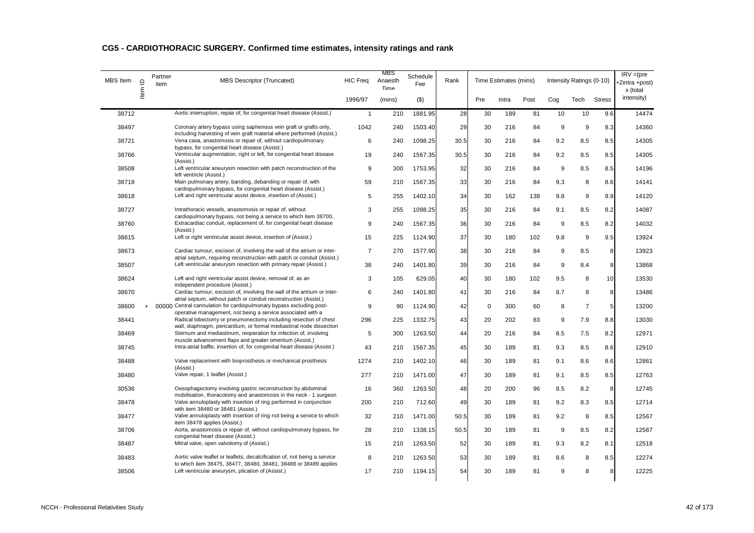| MBS Item | $\supseteq$ | Partner<br>item | <b>MBS Descriptor (Truncated)</b>                                                                                                                                                                     | <b>HIC Freq</b> | MBS<br>Anaesth<br>Time | Schedule<br>Fee | Rank |             | Time Estimates (mins) |      |     | Intensity Ratings (0-10) |                 | $IRV = (pre$<br>+2intra +post)<br>x (total |
|----------|-------------|-----------------|-------------------------------------------------------------------------------------------------------------------------------------------------------------------------------------------------------|-----------------|------------------------|-----------------|------|-------------|-----------------------|------|-----|--------------------------|-----------------|--------------------------------------------|
|          | ltem        |                 |                                                                                                                                                                                                       | 1996/97         | (mins)                 | $($ \$)         |      | Pre         | Intra                 | Post | Cog | Tech                     | <b>Stress</b>   | intensity)                                 |
| 38712    |             |                 | Aortic interruption, repair of, for congenital heart disease (Assist.)                                                                                                                                | $\overline{1}$  | 210                    | 1881.95         | 28   | 30          | 189                   | 81   | 10  | 10                       | 9.6             | 14474                                      |
| 38497    |             |                 | Coronary artery bypass using saphenous vein graft or grafts only,<br>including harvesting of vein graft material where performed (Assist.)                                                            | 1042            | 240                    | 1503.40         | 29   | 30          | 216                   | 84   | 9   | 9                        | 8.3             | 14360                                      |
| 38721    |             |                 | Vena cava, anastomosis or repair of, without cardiopulmonary<br>bypass, for congenital heart disease (Assist.)                                                                                        | 6               | 240                    | 1098.25         | 30.5 | 30          | 216                   | 84   | 9.2 | 8.5                      | 8.5             | 14305                                      |
| 38766    |             |                 | Ventricular augmentation, right or left, for congenital heart disease<br>(Assist.)                                                                                                                    | 19              | 240                    | 1567.35         | 30.5 | 30          | 216                   | 84   | 9.2 | 8.5                      | 8.5             | 14305                                      |
| 38508    |             |                 | Left ventricular aneurysm resection with patch reconstruction of the<br>left ventricle (Assist.)                                                                                                      | 9               | 300                    | 1753.95         | 32   | 30          | 216                   | 84   | 9   | 8.5                      | 8.5             | 14196                                      |
| 38718    |             |                 | Main pulmonary artery, banding, debanding or repair of, with<br>cardiopulmonary bypass, for congenital heart disease (Assist.)                                                                        | 59              | 210                    | 1567.35         | 33   | 30          | 216                   | 84   | 9.3 | 8                        | 8.6             | 14141                                      |
| 38618    |             |                 | Left and right ventricular assist device, insertion of (Assist.)                                                                                                                                      | 5               | 255                    | 1402.10         | 34   | 30          | 162                   | 138  | 9.8 | 9                        | 9.9             | 14120                                      |
| 38727    |             |                 | Intrathoracic vessels, anastomosis or repair of, without<br>cardiopulmonary bypass, not being a service to which item 38700,                                                                          | 3               | 255                    | 1098.25         | 35   | 30          | 216                   | 84   | 9.1 | 8.5                      | 8.2             | 14087                                      |
| 38760    |             |                 | Extracardiac conduit, replacement of, for congenital heart disease<br>(Assist.)                                                                                                                       | 9               | 240                    | 1567.35         | 36   | 30          | 216                   | 84   | 9   | 8.5                      | 8.2             | 14032                                      |
| 38615    |             |                 | Left or right ventricular assist device, insertion of (Assist.)                                                                                                                                       | 15              | 225                    | 1124.90         | 37   | 30          | 180                   | 102  | 9.8 | 9                        | 9.5             | 13924                                      |
| 38673    |             |                 | Cardiac tumour, excision of, involving the wall of the atrium or inter-                                                                                                                               | $\overline{7}$  | 270                    | 1577.90         | 38   | 30          | 216                   | 84   | 9   | 8.5                      | 8               | 13923                                      |
| 38507    |             |                 | atrial septum, requiring reconstruction with patch or conduit (Assist.)<br>Left ventricular aneurysm resection with primary repair (Assist.)                                                          | 38              | 240                    | 1401.80         | 39   | 30          | 216                   | 84   | 9   | 8.4                      | 8               | 13868                                      |
| 38624    |             |                 | Left and right ventricular assist device, removal of, as an<br>independent procedure (Assist.)                                                                                                        | 3               | 105                    | 629.05          | 40   | 30          | 180                   | 102  | 9.5 | 8                        | 10              | 13530                                      |
| 38670    |             |                 | Cardiac tumour, excision of, involving the wall of the artrium or inter-<br>atrial septum, without patch or conduit reconstruction (Assist.)                                                          | 6               | 240                    | 1401.80         | 41   | 30          | 216                   | 84   | 8.7 | 8                        | 8               | 13486                                      |
| 38600    | $\ddot{}$   |                 | 00000 Central cannulation for cardiopulmonary bypass excluding post-                                                                                                                                  | 9               | 90                     | 1124.90         | 42   | $\mathbf 0$ | 300                   | 60   | 8   | $\overline{7}$           | $5\phantom{.0}$ | 13200                                      |
| 38441    |             |                 | operative management, not being a service associated with a<br>Radical lobectomy or pneumonectomy including resection of chest<br>wall, diaphragm, pericardium, or formal mediastinal node dissection | 296             | 225                    | 1332.75         | 43   | 20          | 202                   | 83   | 9   | 7.9                      | 8.8             | 13030                                      |
| 38469    |             |                 | Sternum and mediastinum, reoperation for infection of, involving                                                                                                                                      | 5               | 300                    | 1263.50         | 44   | 20          | 216                   | 84   | 8.5 | 7.5                      | 8.2             | 12971                                      |
| 38745    |             |                 | muscle advancement flaps and greater omentum (Assist.)<br>Intra-atrial baffle, insertion of, for congenital heart disease (Assist.)                                                                   | 43              | 210                    | 1567.35         | 45   | 30          | 189                   | 81   | 9.3 | 8.5                      | 8.6             | 12910                                      |
| 38488    |             |                 | Valve replacement with bioprosthesis or mechanical prosthesis                                                                                                                                         | 1274            | 210                    | 1402.10         | 46   | 30          | 189                   | 81   | 9.1 | 8.6                      | 8.6             | 12861                                      |
| 38480    |             |                 | (Assist.)<br>Valve repair, 1 leaflet (Assist.)                                                                                                                                                        | 277             | 210                    | 1471.00         | 47   | 30          | 189                   | 81   | 9.1 | 8.5                      | 8.5             | 12763                                      |
| 30536    |             |                 | Oesophagectomy involving gastric reconstruction by abdominal                                                                                                                                          | 16              | 360                    | 1263.50         | 48   | 20          | 200                   | 96   | 8.5 | 8.2                      | 8               | 12745                                      |
| 38478    |             |                 | mobilisation, thoracotomy and anastomosis in the neck - 1 surgeon<br>Valve annuloplasty with insertion of ring performed in conjunction                                                               | 200             | 210                    | 712.60          | 49   | 30          | 189                   | 81   | 9.2 | 8.3                      | 8.5             | 12714                                      |
| 38477    |             |                 | with item 38480 or 38481 (Assist.)<br>Valve annuloplasty with insertion of ring not being a service to which                                                                                          | 32              | 210                    | 1471.00         | 50.5 | 30          | 189                   | 81   | 9.2 | 8                        | 8.5             | 12567                                      |
| 38706    |             |                 | item 38478 applies (Assist.)<br>Aorta, anastomosis or repair of, without cardiopulmonary bypass, for                                                                                                  | 28              | 210                    | 1338.15         | 50.5 | 30          | 189                   | 81   | 9   | 8.5                      | 8.2             | 12567                                      |
| 38487    |             |                 | congenital heart disease (Assist.)<br>Mitral valve, open valvotomy of (Assist.)                                                                                                                       | 15              | 210                    | 1263.50         | 52   | 30          | 189                   | 81   | 9.3 | 8.2                      | 8.1             | 12518                                      |
| 38483    |             |                 | Aortic valve leaflet or leaflets, decalcification of, not being a service                                                                                                                             | 8               | 210                    | 1263.50         | 53   | 30          | 189                   | 81   | 8.6 | 8                        | 8.5             | 12274                                      |
| 38506    |             |                 | to which item 38475, 38477, 38480, 38481, 38488 or 38489 applies<br>Left ventricular aneurysm, plication of (Assist.)                                                                                 | 17              | 210                    | 1194.15         | 54   | 30          | 189                   | 81   | 9   | 8                        | 8               | 12225                                      |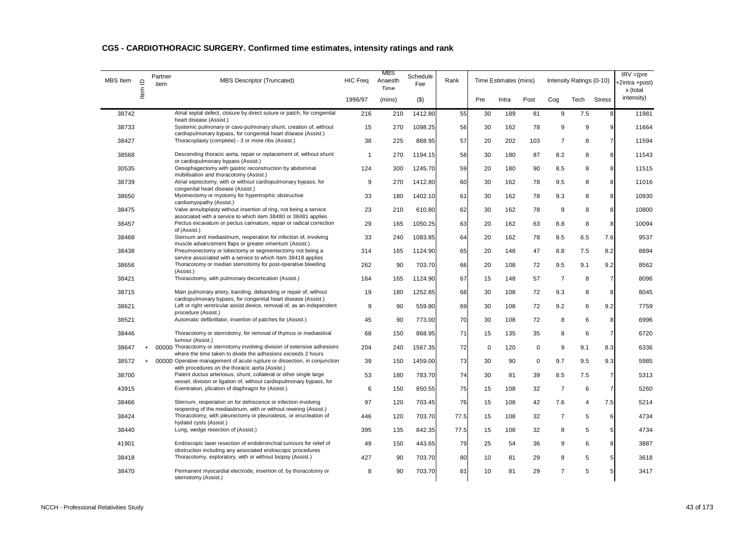| MBS Item | $\mathbf{\underline{o}}$<br>Item I | Partner<br>item | <b>MBS Descriptor (Truncated)</b>                                                                                                         | <b>HIC Freq</b> | <b>MBS</b><br>Anaesth<br>Time | Schedule<br>Fee | Rank |             | Time Estimates (mins) |             |                | Intensity Ratings (0-10) |                | $IRV = (pre$<br>+2intra +post)<br>x (total |
|----------|------------------------------------|-----------------|-------------------------------------------------------------------------------------------------------------------------------------------|-----------------|-------------------------------|-----------------|------|-------------|-----------------------|-------------|----------------|--------------------------|----------------|--------------------------------------------|
|          |                                    |                 |                                                                                                                                           | 1996/97         | (mins)                        | (3)             |      | Pre         | Intra                 | Post        | Cog            | Tech                     | <b>Stress</b>  | intensity)                                 |
| 38742    |                                    |                 | Atrial septal defect, closure by direct suture or patch, for congenital<br>heart disease (Assist.)                                        | 216             | 210                           | 1412.80         | 55   | 30          | 189                   | 81          | 9              | 7.5                      | 8              | 11981                                      |
| 38733    |                                    |                 | Systemic pulmonary or cavo-pulmonary shunt, creation of, without<br>cardiopulmonary bypass, for congenital heart disease (Assist.)        | 15              | 270                           | 1098.25         | 56   | 30          | 162                   | 78          | 9              | 9                        | 9              | 11664                                      |
| 38427    |                                    |                 | Thoracoplasty (complete) - 3 or more ribs (Assist.)                                                                                       | 38              | 225                           | 868.95          | 57   | 20          | 202                   | 103         | $\overline{7}$ | 8                        | $\overline{7}$ | 11594                                      |
| 38568    |                                    |                 | Descending thoracic aorta, repair or replacement of, without shunt                                                                        | $\overline{1}$  | 270                           | 1194.15         | 58   | 30          | 180                   | 87          | 8.2            | 8                        | 8              | 11543                                      |
| 30535    |                                    |                 | or cardiopulmonary bypass (Assist.)<br>Oesophagectomy with gastric reconstruction by abdominal                                            | 124             | 300                           | 1245.70         | 59   | 20          | 180                   | 90          | 8.5            | 8                        | 8              | 11515                                      |
| 38739    |                                    |                 | mobilisation and thoracotomy (Assist.)<br>Atrial septectomy, with or without cardiopulmonary bypass, for                                  | 9               | 270                           | 1412.80         | 60   | 30          | 162                   | 78          | 9.5            | 8                        | 8              | 11016                                      |
| 38650    |                                    |                 | congenital heart disease (Assist.)<br>Myomectomy or myotomy for hypertrophic obstructive                                                  | 33              | 180                           | 1402.10         | 61   | 30          | 162                   | 78          | 9.3            | 8                        | 8              | 10930                                      |
| 38475    |                                    |                 | cardiomyopathy (Assist.)<br>Valve annuloplasty without insertion of ring, not being a service                                             | 23              | 210                           | 610.80          | 62   | 30          | 162                   | 78          | 9              | 8                        | 8              | 10800                                      |
| 38457    |                                    |                 | associated with a service to which item 38480 or 38481 applies<br>Pectus excavatum or pectus carinatum, repair or radical correction      | 29              | 165                           | 1050.25         | 63   | 20          | 162                   | 63          | 8.8            | 8                        | 8              | 10094                                      |
| 38468    |                                    |                 | of (Assist.)<br>Sternum and mediastinum, reoperation for infection of, involving                                                          | 33              | 240                           | 1083.85         | 64   | 20          | 162                   | 78          | 8.5            | 6.5                      | 7.6            | 9537                                       |
| 38438    |                                    |                 | muscle advancement flaps or greater omentum (Assist.)<br>Pneumonectomy or lobectomy or segmentectomy not being a                          | 314             | 165                           | 1124.90         | 65   | 20          | 148                   | 47          | 8.8            | 7.5                      | 8.2            | 8894                                       |
| 38656    |                                    |                 | service associated with a service to which Item 38418 applies<br>Thoracotomy or median sternotomy for post-operative bleeding             | 262             | 90                            | 703.70          | 66   | 20          | 108                   | 72          | 9.5            | 9.1                      | 9.2            | 8562                                       |
| 38421    |                                    |                 | (Assist.)<br>Thoracotomy, with pulmonary decortication (Assist.)                                                                          | 164             | 165                           | 1124.90         | 67   | 15          | 148                   | 57          | $\overline{7}$ | 8                        | 7              | 8096                                       |
| 38715    |                                    |                 | Main pulmonary artery, banding, debanding or repair of, without                                                                           | 19              | 180                           | 1252.85         | 68   | 30          | 108                   | 72          | 9.3            | 8                        | 8              | 8045                                       |
| 38621    |                                    |                 | cardiopulmonary bypass, for congenital heart disease (Assist.)<br>Left or right ventricular assist device, removal of, as an independent  | 9               | 90                            | 559.80          | 69   | 30          | 108                   | 72          | 9.2            | 6                        | 9.2            | 7759                                       |
| 38521    |                                    |                 | procedure (Assist.)<br>Automatic defibrillator, insertion of patches for (Assist.)                                                        | 45              | 90                            | 773.00          | 70   | 30          | 108                   | 72          | 8              | 6                        | 8              | 6996                                       |
|          |                                    |                 | Thoracotomy or sternotomy, for removal of thymus or mediastinal                                                                           |                 |                               |                 | 71   |             | 135                   |             |                | 6                        | $\overline{7}$ | 6720                                       |
| 38446    |                                    |                 | tumour (Assist.)                                                                                                                          | 68              | 150                           | 868.95          |      | 15          |                       | 35          | 8              |                          |                |                                            |
| 38647    | $\ddot{}$                          |                 | 00000 Thoracotomy or sternotomy involving division of extensive adhesions<br>where the time taken to divide the adhesions exceeds 2 hours | 204             | 240                           | 1567.35         | 72   | $\mathbf 0$ | 120                   | 0           | 9              | 9.1                      | 8.3            | 6336                                       |
| 38572    | $+$                                |                 | 00000 Operative management of acute rupture or dissection, in conjunction<br>with procedures on the thoracic aorta (Assist.)              | 39              | 150                           | 1459.00         | 73   | 30          | 90                    | $\mathbf 0$ | 9.7            | 9.5                      | 9.3            | 5985                                       |
| 38700    |                                    |                 | Patent ductus arteriosus, shunt, collateral or other single large<br>vessel, division or ligation of, without cardiopulmonary bypass, for | 53              | 180                           | 783.70          | 74   | 30          | 81                    | 39          | 8.5            | 7.5                      | 7              | 5313                                       |
| 43915    |                                    |                 | Eventration, plication of diaphragm for (Assist.)                                                                                         | 6               | 150                           | 850.55          | 75   | 15          | 108                   | 32          | $\overline{7}$ | 6                        | $\overline{7}$ | 5260                                       |
| 38466    |                                    |                 | Sternum, reoperation on for dehiscence or infection involving<br>reopening of the mediastinum, with or without rewiring (Assist.)         | 97              | 120                           | 703.45          | 76   | 15          | 108                   | 42          | 7.6            | 4                        | 7.5            | 5214                                       |
| 38424    |                                    |                 | Thoracotomy, with pleurectomy or pleurodesis, or enucleation of<br>hydatid cysts (Assist.)                                                | 446             | 120                           | 703.70          | 77.5 | 15          | 108                   | 32          | $\overline{7}$ | 5                        | 6              | 4734                                       |
| 38440    |                                    |                 | Lung, wedge resection of (Assist.)                                                                                                        | 395             | 135                           | 842.35          | 77.5 | 15          | 108                   | 32          | 8              | 5                        | 5              | 4734                                       |
| 41901    |                                    |                 | Endoscopic laser resection of endobronchial tumours for relief of<br>obstruction including any associated endoscopic procedures           | 49              | 150                           | 443.65          | 79   | 25          | 54                    | 36          | 9              | 6                        | 8              | 3887                                       |
| 38418    |                                    |                 | Thoracotomy, exploratory, with or without biopsy (Assist.)                                                                                | 427             | 90                            | 703.70          | 80   | 10          | 81                    | 29          | 8              | 5                        | 5              | 3618                                       |
| 38470    |                                    |                 | Permanent myocardial electrode, insertion of, by thoracotomy or<br>sternotomy (Assist.)                                                   | 8               | 90                            | 703.70          | 81   | 10          | 81                    | 29          | $\overline{7}$ | 5                        | 5              | 3417                                       |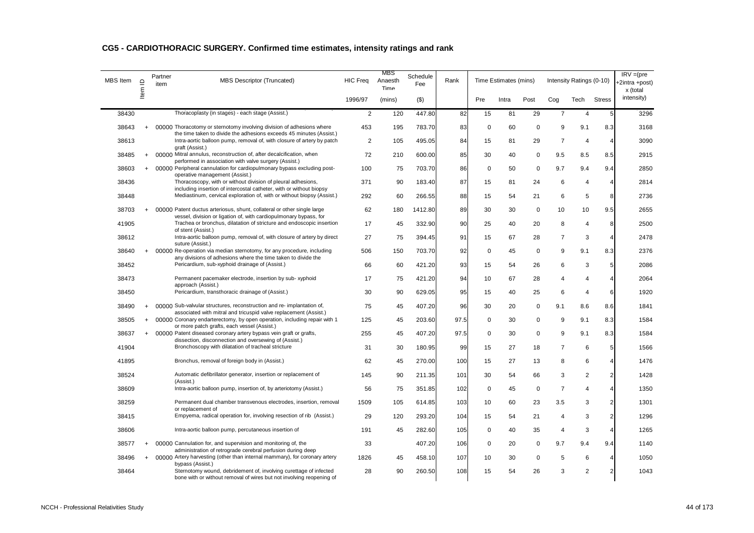| CG5 - CARDIOTHORACIC SURGERY. Confirmed time estimates, intensity ratings and rank |  |  |  |  |
|------------------------------------------------------------------------------------|--|--|--|--|
|------------------------------------------------------------------------------------|--|--|--|--|

| <b>MBS</b> Item | Item ID |           | Partner<br>item | <b>MBS Descriptor (Truncated)</b>                                                                                                            | <b>HIC Freq</b> | MBS<br>Anaesth<br>Time | Schedule<br>Fee | Rank |             | Time Estimates (mins) |      |                       | Intensity Ratings (0-10) |                | $IRV = (pre$<br>+2intra +post)<br>x (total |
|-----------------|---------|-----------|-----------------|----------------------------------------------------------------------------------------------------------------------------------------------|-----------------|------------------------|-----------------|------|-------------|-----------------------|------|-----------------------|--------------------------|----------------|--------------------------------------------|
|                 |         |           |                 |                                                                                                                                              | 1996/97         | (mins)                 | $($ \$)         |      | Pre         | Intra                 | Post | Cog                   | Tech                     | <b>Stress</b>  | intensity)                                 |
| 38430           |         |           |                 | Thoracoplasty (in stages) - each stage (Assist.)                                                                                             | 2               | 120                    | 447.80          | 82   | 15          | 81                    | 29   | $\overline{7}$        | $\overline{4}$           | 5              | 3296                                       |
| 38643           |         | $\ddot{}$ |                 | 00000 Thoracotomy or sternotomy involving division of adhesions where<br>the time taken to divide the adhesions exceeds 45 minutes (Assist.) | 453             | 195                    | 783.70          | 83   | 0           | 60                    | 0    | 9                     | 9.1                      | 8.3            | 3168                                       |
| 38613           |         |           |                 | Intra-aortic balloon pump, removal of, with closure of artery by patch<br>graft (Assist.)                                                    | 2               | 105                    | 495.05          | 84   | 15          | 81                    | 29   | $\overline{7}$        | $\overline{4}$           | $\overline{4}$ | 3090                                       |
| 38485           |         | $\ddot{}$ |                 | 00000 Mitral annulus, reconstruction of, after decalcification, when<br>performed in association with valve surgery (Assist.)                | 72              | 210                    | 600.00          | 85   | 30          | 40                    | 0    | 9.5                   | 8.5                      | 8.5            | 2915                                       |
| 38603           |         | $\ddot{}$ |                 | 00000 Peripheral cannulation for cardiopulmonary bypass excluding post-<br>operative management (Assist.)                                    | 100             | 75                     | 703.70          | 86   | $\mathbf 0$ | 50                    | 0    | 9.7                   | 9.4                      | 9.4            | 2850                                       |
| 38436           |         |           |                 | Thoracoscopy, with or without division of pleural adhesions,<br>including insertion of intercostal catheter, with or without biopsy          | 371             | 90                     | 183.40          | 87   | 15          | 81                    | 24   | 6                     | 4                        | 4              | 2814                                       |
| 38448           |         |           |                 | Mediastinum, cervical exploration of, with or without biopsy (Assist.)                                                                       | 292             | 60                     | 266.55          | 88   | 15          | 54                    | 21   | 6                     | 5                        | 8              | 2736                                       |
| 38703           |         | $\ddot{}$ |                 | 00000 Patent ductus arteriosus, shunt, collateral or other single large<br>vessel, division or ligation of, with cardiopulmonary bypass, for | 62              | 180                    | 1412.80         | 89   | 30          | 30                    | 0    | 10                    | 10                       | 9.5            | 2655                                       |
| 41905           |         |           |                 | Trachea or bronchus, dilatation of stricture and endoscopic insertion<br>of stent (Assist.)                                                  | 17              | 45                     | 332.90          | 90   | 25          | 40                    | 20   | 8                     | $\overline{4}$           | 8              | 2500                                       |
| 38612           |         |           |                 | Intra-aortic balloon pump, removal of, with closure of artery by direct<br>suture (Assist.)                                                  | 27              | 75                     | 394.45          | 91   | 15          | 67                    | 28   | $\overline{7}$        | 3                        | $\overline{4}$ | 2478                                       |
| 38640           |         | $+$       |                 | 00000 Re-operation via median sternotomy, for any procedure, including<br>any divisions of adhesions where the time taken to divide the      | 506             | 150                    | 703.70          | 92   | $\mathbf 0$ | 45                    | 0    | 9                     | 9.1                      | 8.3            | 2376                                       |
| 38452           |         |           |                 | Pericardium, sub-xyphoid drainage of (Assist.)                                                                                               | 66              | 60                     | 421.20          | 93   | 15          | 54                    | 26   | 6                     | 3                        | 5              | 2086                                       |
| 38473           |         |           |                 | Permanent pacemaker electrode, insertion by sub- xyphoid<br>approach (Assist.)                                                               | 17              | 75                     | 421.20          | 94   | 10          | 67                    | 28   | $\boldsymbol{\Delta}$ | 4                        | 4              | 2064                                       |
| 38450           |         |           |                 | Pericardium, transthoracic drainage of (Assist.)                                                                                             | 30              | 90                     | 629.05          | 95   | 15          | 40                    | 25   | 6                     | 4                        | 6              | 1920                                       |
| 38490           |         | $+$       |                 | 00000 Sub-valvular structures, reconstruction and re- implantation of,<br>associated with mitral and tricuspid valve replacement (Assist.)   | 75              | 45                     | 407.20          | 96   | 30          | 20                    | 0    | 9.1                   | 8.6                      | 8.6            | 1841                                       |
| 38505           |         | $+$       |                 | 00000 Coronary endarterectomy, by open operation, including repair with 1<br>or more patch grafts, each vessel (Assist.)                     | 125             | 45                     | 203.60          | 97.5 | $\mathbf 0$ | 30                    | 0    | 9                     | 9.1                      | 8.3            | 1584                                       |
| 38637           |         | $+$       |                 | 00000 Patent diseased coronary artery bypass vein graft or grafts,<br>dissection, disconnection and oversewing of (Assist.)                  | 255             | 45                     | 407.20          | 97.5 | $\mathbf 0$ | 30                    | 0    | 9                     | 9.1                      | 8.3            | 1584                                       |
| 41904           |         |           |                 | Bronchoscopy with dilatation of tracheal stricture                                                                                           | 31              | 30                     | 180.95          | 99   | 15          | 27                    | 18   | $\overline{7}$        | 6                        | 5              | 1566                                       |
| 41895           |         |           |                 | Bronchus, removal of foreign body in (Assist.)                                                                                               | 62              | 45                     | 270.00          | 100  | 15          | 27                    | 13   | 8                     | 6                        | 4              | 1476                                       |
| 38524           |         |           |                 | Automatic defibrillator generator, insertion or replacement of<br>(Assist.)                                                                  | 145             | 90                     | 211.35          | 101  | 30          | 54                    | 66   | 3                     | 2                        | $\overline{c}$ | 1428                                       |
| 38609           |         |           |                 | Intra-aortic balloon pump, insertion of, by arteriotomy (Assist.)                                                                            | 56              | 75                     | 351.85          | 102  | 0           | 45                    | 0    | $\overline{7}$        | $\overline{4}$           | Δ              | 1350                                       |
| 38259           |         |           |                 | Permanent dual chamber transvenous electrodes, insertion, removal<br>or replacement of                                                       | 1509            | 105                    | 614.85          | 103  | 10          | 60                    | 23   | 3.5                   | 3                        | $\overline{2}$ | 1301                                       |
| 38415           |         |           |                 | Empyema, radical operation for, involving resection of rib (Assist.)                                                                         | 29              | 120                    | 293.20          | 104  | 15          | 54                    | 21   | 4                     | 3                        | $\overline{2}$ | 1296                                       |
| 38606           |         |           |                 | Intra-aortic balloon pump, percutaneous insertion of                                                                                         | 191             | 45                     | 282.60          | 105  | $\mathbf 0$ | 40                    | 35   | 4                     | 3                        | $\Delta$       | 1265                                       |
| 38577           |         | $\ddot{}$ |                 | 00000 Cannulation for, and supervision and monitoring of, the<br>administration of retrograde cerebral perfusion during deep                 | 33              |                        | 407.20          | 106  | $\mathbf 0$ | 20                    | 0    | 9.7                   | 9.4                      | 9.4            | 1140                                       |
| 38496           |         | $\ddot{}$ |                 | 00000 Artery harvesting (other than internal mammary), for coronary artery<br>bypass (Assist.)                                               | 1826            | 45                     | 458.10          | 107  | 10          | 30                    | 0    | 5                     | 6                        | Δ              | 1050                                       |
| 38464           |         |           |                 | Sternotomy wound, debridement of, involving curettage of infected<br>bone with or without removal of wires but not involving reopening of    | 28              | 90                     | 260.50          | 108  | 15          | 54                    | 26   | 3                     | $\overline{2}$           | $\overline{2}$ | 1043                                       |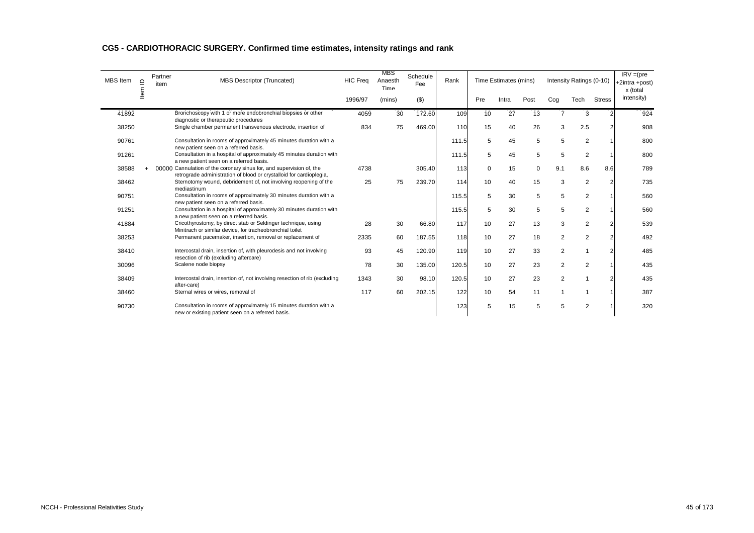| <b>MBS</b> Item | $\supseteq$ | Partner<br>item | <b>MBS Descriptor (Truncated)</b>                                                                                                           | <b>HIC Freq</b> | MBS<br>Anaesth<br>Time | Schedule<br>Fee | Rank  |     | Time Estimates (mins) |      |                | Intensity Ratings (0-10) |               | $IRV = (pre$<br>+2intra +post)<br>x (total |
|-----------------|-------------|-----------------|---------------------------------------------------------------------------------------------------------------------------------------------|-----------------|------------------------|-----------------|-------|-----|-----------------------|------|----------------|--------------------------|---------------|--------------------------------------------|
|                 | tem         |                 |                                                                                                                                             | 1996/97         | (mins)                 | $($ \$)         |       | Pre | Intra                 | Post | Cog            | Tech                     | <b>Stress</b> | intensity)                                 |
| 41892           |             |                 | Bronchoscopy with 1 or more endobronchial biopsies or other<br>diagnostic or therapeutic procedures                                         | 4059            | 30                     | 172.60          | 109   | 10  | 27                    | 13   | $\overline{7}$ | 3                        |               | 924                                        |
| 38250           |             |                 | Single chamber permanent transvenous electrode, insertion of                                                                                | 834             | 75                     | 469.00          | 110   | 15  | 40                    | 26   | 3              | 2.5                      |               | 908                                        |
| 90761           |             |                 | Consultation in rooms of approximately 45 minutes duration with a<br>new patient seen on a referred basis.                                  |                 |                        |                 | 111.5 | 5   | 45                    | 5    | 5              | $\overline{2}$           |               | 800                                        |
| 91261           |             |                 | Consultation in a hospital of approximately 45 minutes duration with<br>a new patient seen on a referred basis.                             |                 |                        |                 | 111.5 | 5   | 45                    | 5    | 5              | $\overline{2}$           |               | 800                                        |
| 38588           |             |                 | 00000 Cannulation of the coronary sinus for, and supervision of, the<br>retrograde administration of blood or crystalloid for cardioplegia, | 4738            |                        | 305.40          | 113   | 0   | 15                    | 0    | 9.1            | 8.6                      | 8.6           | 789                                        |
| 38462           |             |                 | Sternotomy wound, debridement of, not involving reopening of the<br>mediastinum                                                             | 25              | 75                     | 239.70          | 114   | 10  | 40                    | 15   | 3              | $\overline{2}$           |               | 735                                        |
| 90751           |             |                 | Consultation in rooms of approximately 30 minutes duration with a<br>new patient seen on a referred basis.                                  |                 |                        |                 | 115.5 | 5   | 30                    | 5    | 5              | $\overline{2}$           |               | 560                                        |
| 91251           |             |                 | Consultation in a hospital of approximately 30 minutes duration with<br>a new patient seen on a referred basis.                             |                 |                        |                 | 115.5 | 5   | 30                    | 5    | 5              | $\overline{2}$           |               | 560                                        |
| 41884           |             |                 | Cricothyrostomy, by direct stab or Seldinger technique, using<br>Minitrach or similar device, for tracheobronchial toilet                   | 28              | 30                     | 66.80           | 117   | 10  | 27                    | 13   | 3              | $\overline{2}$           |               | 539                                        |
| 38253           |             |                 | Permanent pacemaker, insertion, removal or replacement of                                                                                   | 2335            | 60                     | 187.55          | 118   | 10  | 27                    | 18   | $\overline{2}$ | $\overline{2}$           |               | 492                                        |
| 38410           |             |                 | Intercostal drain, insertion of, with pleurodesis and not involving<br>resection of rib (excluding aftercare)                               | 93              | 45                     | 120.90          | 119   | 10  | 27                    | 33   | 2              | $\mathbf{1}$             |               | 485                                        |
| 30096           |             |                 | Scalene node biopsy                                                                                                                         | 78              | 30                     | 135.00          | 120.5 | 10  | 27                    | 23   | 2              | $\overline{2}$           |               | 435                                        |
| 38409           |             |                 | Intercostal drain, insertion of, not involving resection of rib (excluding                                                                  | 1343            | 30                     | 98.10           | 120.5 | 10  | 27                    | 23   | $\overline{2}$ | $\overline{1}$           |               | 435                                        |
| 38460           |             |                 | after-care)<br>Sternal wires or wires, removal of                                                                                           | 117             | 60                     | 202.15          | 122   | 10  | 54                    | 11   | $\overline{1}$ | $\overline{1}$           |               | 387                                        |
| 90730           |             |                 | Consultation in rooms of approximately 15 minutes duration with a<br>new or existing patient seen on a referred basis.                      |                 |                        |                 | 123   | 5   | 15                    | 5    | 5              | $\overline{2}$           |               | 320                                        |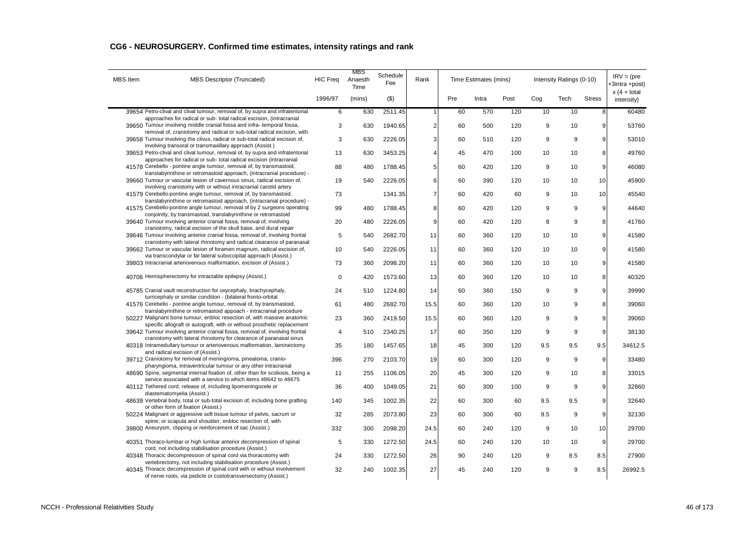| <b>MBS</b> Item | <b>MBS Descriptor (Truncated)</b>                                                                                                                       | <b>HIC Freq</b> | MBS<br>Anaesth<br>Time | Schedule<br>Fee | Rank           |     | Time Estimates (mins) |      |       | Intensity Ratings (0-10) |               | $IRV = (pre$<br>+3intra +post) |
|-----------------|---------------------------------------------------------------------------------------------------------------------------------------------------------|-----------------|------------------------|-----------------|----------------|-----|-----------------------|------|-------|--------------------------|---------------|--------------------------------|
|                 |                                                                                                                                                         | 1996/97         | (mins)                 | $(\$)$          |                | Pre | Intra                 | Post | Cog   | Tech                     | <b>Stress</b> | $x(4 + total)$<br>intensity)   |
|                 | 39654 Petro-clival and clival tumour, removal of, by supra and infratentorial                                                                           | $6\overline{6}$ | 630                    | 2511.45         | 1              | 60  | 570                   | 120  | 10    | 10                       | 8             | 60480                          |
|                 | approaches for radical or sub-total radical excision, (intracranial<br>39650 Tumour involving middle cranial fossa and infra-temporal fossa,            | 3               | 630                    | 1940.65         | 2              | 60  | 500                   | 120  | 9     | 10                       | 9             | 53760                          |
|                 | removal of, craniotomy and radical or sub-total radical excision, with                                                                                  |                 |                        |                 |                |     |                       |      |       |                          |               |                                |
|                 | 39658 Tumour involving the clivus, radical or sub-total radical excision of,                                                                            | 3               | 630                    | 2226.05         | 3              | 60  | 510                   | 120  | 9     | 9                        | 9             | 53010                          |
|                 | involving transoral or transmaxillary approach (Assist.)<br>39653 Petro-clival and clival tumour, removal of, by supra and infratentorial               | 13              | 630                    | 3453.25         | 4              | 45  | 470                   | 100  | 10    | 10                       | 8             | 49760                          |
|                 | approaches for radical or sub- total radical excision (intracranial                                                                                     |                 |                        |                 |                |     |                       |      |       |                          |               |                                |
|                 | 41578 Cerebello - pontine angle tumour, removal of, by transmastoid,                                                                                    | 88              | 480                    | 1788.45         | 5              | 60  | 420                   | 120  | 9     | 10                       | 9             | 46080                          |
|                 | translabyrinthine or retromastoid approach, (intracranial procedure) -<br>39660 Tumour or vascular lesion of cavernous sinus, radical excision of,      |                 |                        |                 |                |     |                       |      |       |                          |               |                                |
|                 | involving craniotomy with or without intracranial carotid artery                                                                                        | 19              | 540                    | 2226.05         | 6              | 60  | 390                   | 120  | 10    | 10                       | 10            | 45900                          |
|                 | 41579 Cerebello-pontine angle tumour, removal of, by transmastoid,                                                                                      | 73              |                        | 1341.35         | $\overline{7}$ | 60  | 420                   | 60   | $9\,$ | 10                       | 10            | 45540                          |
|                 | translabyrinthine or retromastoid approach, (intracranial procedure) -                                                                                  |                 |                        |                 |                |     |                       |      |       |                          |               |                                |
|                 | 41575 Cerebello-pontine angle tumour, removal of by 2 surgeons operating<br>conjointly, by transmastoid, translabyrinthine or retromastoid              | 99              | 480                    | 1788.45         | 8              | 60  | 420                   | 120  | 9     | 9                        | 9             | 44640                          |
|                 | 39640 Tumour involving anterior cranial fossa, removal of, involving                                                                                    | 20              | 480                    | 2226.05         | 9              | 60  | 420                   | 120  | 8     | 9                        | 8             | 41760                          |
|                 | craniotomy, radical excision of the skull base, and dural repair                                                                                        |                 |                        |                 |                |     |                       |      |       |                          |               |                                |
|                 | 39646 Tumour involving anterior cranial fossa, removal of, involving frontal<br>craniotomy with lateral rhinotomy and radical clearance of paranasal    | 5               | 540                    | 2682.70         | 11             | 60  | 360                   | 120  | 10    | 10                       | 9             | 41580                          |
|                 | 39662 Tumour or vascular lesion of foramen magnum, radical excision of,                                                                                 | 10              | 540                    | 2226.05         | 11             | 60  | 360                   | 120  | 10    | 10                       | 9             | 41580                          |
|                 | via transcondylar or far lateral suboccipital approach (Assist.)                                                                                        |                 |                        |                 |                |     |                       |      |       |                          |               |                                |
|                 | 39803 Intracranial arteriovenous malformation, excision of (Assist.)                                                                                    | 73              | 360                    | 2098.20         | 11             | 60  | 360                   | 120  | 10    | 10                       | 9             | 41580                          |
|                 | 40706 Hemispherectomy for intractable epilepsy (Assist.)                                                                                                | $\mathsf 0$     | 420                    | 1573.60         | 13             | 60  | 360                   | 120  | 10    | 10                       | 8             | 40320                          |
|                 |                                                                                                                                                         |                 |                        |                 |                |     |                       |      |       |                          |               |                                |
|                 | 45785 Cranial vault reconstruction for oxycephaly, brachycephaly,                                                                                       | 24              | 510                    | 1224.80         | 14             | 60  | 360                   | 150  | 9     | 9                        | 9             | 39990                          |
|                 | turricephaly or similar condition - (bilateral fronto-orbital<br>41576 Cerebello - pontine angle tumour, removal of, by transmastoid,                   | 61              | 480                    | 2682.70         | 15.5           | 60  | 360                   | 120  | 10    | 9                        | 8             | 39060                          |
|                 | translabyrinthine or retromastoid appoach - intracranial procedure                                                                                      |                 |                        |                 |                |     |                       |      |       |                          |               |                                |
|                 | 50227 Malignant bone tumour, enbloc resection of, with massive anatomic                                                                                 | 23              | 360                    | 2419.50         | 15.5           | 60  | 360                   | 120  | 9     | 9                        | 9             | 39060                          |
|                 | specific allograft or autograft, with or without prosthetic replacement<br>39642 Tumour involving anterior cranial fossa, removal of, involving frontal | $\overline{4}$  | 510                    | 2340.25         | 17             | 60  | 350                   | 120  | 9     | 9                        | 9             | 38130                          |
|                 | craniotomy with lateral rhinotomy for clearance of paranasal sinus                                                                                      |                 |                        |                 |                |     |                       |      |       |                          |               |                                |
|                 | 40318 Intramedullary tumour or arteriovenous malformation, laminectomy                                                                                  | 35              | 180                    | 1457.65         | 18             | 45  | 300                   | 120  | 9.5   | 9.5                      | 9.5           | 34612.5                        |
|                 | and radical excision of (Assist.)<br>39712 Craniotomy for removal of meningioma, pinealoma, cranio-                                                     | 396             | 270                    | 2103.70         | 19             | 60  | 300                   | 120  | $9\,$ | 9                        | 9             | 33480                          |
|                 | pharyngioma, intraventricular tumour or any other intracranial                                                                                          |                 |                        |                 |                |     |                       |      |       |                          |               |                                |
|                 | 48690 Spine, segmental internal fixation of, other than for scoliosis, being a                                                                          | 11              | 255                    | 1106.05         | 20             | 45  | 300                   | 120  | $9\,$ | 10                       | 8             | 33015                          |
|                 | service associated with a service to which items 48642 to 48675                                                                                         |                 |                        |                 |                |     |                       |      |       |                          |               |                                |
|                 | 40112 Tethered cord, release of, including lipomeningocele or<br>diastematomyelia (Assist.)                                                             | 36              | 400                    | 1049.05         | 21             | 60  | 300                   | 100  | 9     | 9                        | 9             | 32860                          |
|                 | 48639 Vertebral body, total or sub-total excision of, including bone grafting                                                                           | 140             | 345                    | 1002.35         | 22             | 60  | 300                   | 60   | 9.5   | 9.5                      | 9             | 32640                          |
|                 | or other form of fixation (Assist.)                                                                                                                     |                 |                        |                 |                |     |                       |      |       |                          |               |                                |
|                 | 50224 Malignant or aggressive soft tissue tumour of pelvis, sacrum or<br>spine; or scapula and shoulder, enbloc resection of, with                      | 32              | 285                    | 2073.80         | 23             | 60  | 300                   | 60   | 9.5   | 9                        | 9             | 32130                          |
|                 | 39800 Aneurysm, clipping or reinforcement of sac (Assist.)                                                                                              | 332             | 300                    | 2098.20         | 24.5           | 60  | 240                   | 120  | 9     | 10                       | 10            | 29700                          |
|                 |                                                                                                                                                         |                 |                        |                 |                |     |                       |      |       |                          |               |                                |
|                 | 40351 Thoraco-lumbar or high lumbar anterior decompression of spinal<br>cord, not including stabilisation procedure (Assist.)                           | 5               | 330                    | 1272.50         | 24.5           | 60  | 240                   | 120  | 10    | 10                       | 9             | 29700                          |
|                 | 40348 Thoracic decompression of spinal cord via thoracotomy with                                                                                        | 24              | 330                    | 1272.50         | 26             | 90  | 240                   | 120  | 9     | 8.5                      | 8.5           | 27900                          |
|                 | vertebrectomy, not including stabilisation procedure (Assist.)                                                                                          |                 |                        |                 |                |     |                       |      |       |                          |               |                                |
|                 | 40345 Thoracic decompression of spinal cord with or without involvement<br>of nerve roots, via pedicle or costotransversectomy (Assist.)                | 32              | 240                    | 1002.35         | 27             | 45  | 240                   | 120  | 9     | 9                        | 8.5           | 26992.5                        |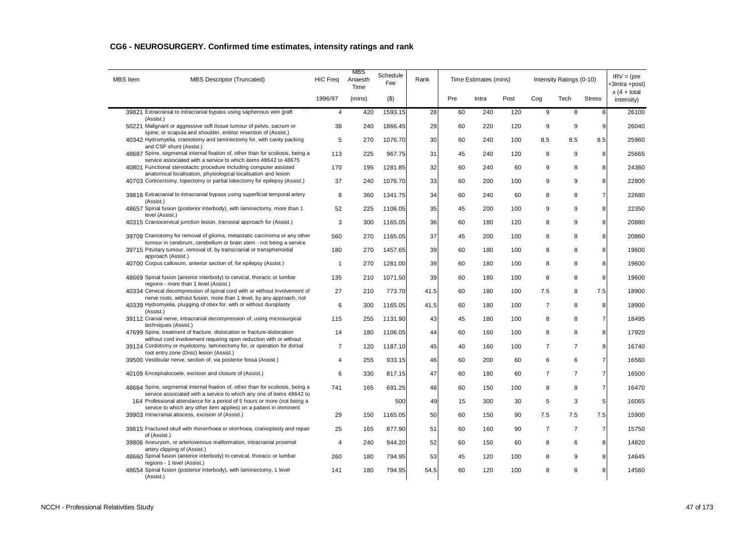| <b>MBS</b> Item | <b>MBS Descriptor (Truncated)</b>                                                                                                                                                                                     | <b>HIC Freg</b> | MBS<br>Anaesth<br>Time | Schedule<br>Fee | Rank |     | Time Estimates (mins) |      |                | Intensity Ratings (0-10) |                | $IRV = (pre$<br>+3intra +post) |
|-----------------|-----------------------------------------------------------------------------------------------------------------------------------------------------------------------------------------------------------------------|-----------------|------------------------|-----------------|------|-----|-----------------------|------|----------------|--------------------------|----------------|--------------------------------|
|                 |                                                                                                                                                                                                                       | 1996/97         | (mins)                 | $($ \$)         |      | Pre | Intra                 | Post | Cog            | Tech                     | <b>Stress</b>  | $x(4 + total)$<br>intensity)   |
|                 | 39821 Extracranial to intracranial bypass using saphenous vein graft<br>(Assist.)                                                                                                                                     | $\overline{4}$  | 420                    | 1593.15         | 28   | 60  | 240                   | 120  | 9              | 8                        | 8              | 26100                          |
|                 | 50221 Malignant or aggressive soft tissue tumour of pelvis, sacrum or                                                                                                                                                 | 38              | 240                    | 1866.45         | 29   | 60  | 220                   | 120  | 9              | 9                        | 9              | 26040                          |
|                 | spine; or scapula and shoulder, enbloc resection of (Assist.)<br>40342 Hydromyelia, craniotomy and laminectomy for, with cavity packing<br>and CSF shunt (Assist.)                                                    | 5               | 270                    | 1076.70         | 30   | 60  | 240                   | 100  | 8.5            | 8.5                      | 8.5            | 25960                          |
|                 | 48687 Spine, segmental internal fixation of, other than for scoliosis, being a                                                                                                                                        | 113             | 225                    | 967.75          | 31   | 45  | 240                   | 120  | 8              | 9                        | 8              | 25665                          |
|                 | service associated with a service to which items 48642 to 48675<br>40801 Functional stereotactic procedure including computer assisted                                                                                | 170             | 195                    | 1281.85         | 32   | 60  | 240                   | 60   | 9              | 8                        | 8              | 24360                          |
|                 | anatomical localisation, physiological localisation and lesion<br>40703 Corticectomy, topectomy or partial lobectomy for epilepsy (Assist.)                                                                           | 37              | 240                    | 1076.70         | 33   | 60  | 200                   | 100  | 9              | 9                        | 8              | 22800                          |
|                 | 39818 Extracranial to intracranial bypass using superficial temporal artery<br>(Assist.)                                                                                                                              | 8               | 360                    | 1341.75         | 34   | 60  | 240                   | 60   | 8              | 8                        | $\overline{7}$ | 22680                          |
|                 | 48657 Spinal fusion (posterior interbody), with laminectomy, more than 1<br>level (Assist.)                                                                                                                           | 52              | 225                    | 1106.05         | 35   | 45  | 200                   | 100  | 9              | 9                        | 8              | 22350                          |
|                 | 40315 Craniocervical junction lesion, transoral approach for (Assist.)                                                                                                                                                | 3               | 300                    | 1165.05         | 36   | 60  | 180                   | 120  | 8              | 9                        | 8              | 20880                          |
|                 | 39709 Craniotomy for removal of glioma, metastatic carcinoma or any other                                                                                                                                             | 560             | 270                    | 1165.05         | 37   | 45  | 200                   | 100  | 8              | 8                        | 8              | 20860                          |
|                 | tumour in cerebrum, cerebellum or brain stem - not being a service<br>39715 Pituitary tumour, removal of, by transcranial or transphenoidal<br>approach (Assist.)                                                     | 180             | 270                    | 1457.65         | 39   | 60  | 180                   | 100  | 8              | 8                        | 8              | 19600                          |
|                 | 40700 Corpus callosum, anterior section of, for epilepsy (Assist.)                                                                                                                                                    | 1               | 270                    | 1281.00         | 39   | 60  | 180                   | 100  | 8              | 8                        | 8              | 19600                          |
|                 | 48669 Spinal fusion (anterior interbody) to cervical, thoracic or lumbar<br>regions - more than 1 level (Assist.)                                                                                                     | 135             | 210                    | 1071.50         | 39   | 60  | 180                   | 100  | 8              | 8                        | 8              | 19600                          |
|                 | 40334 Cervical decompression of spinal cord with or without involvement of<br>nerve roots, without fusion, more than 1 level, by any approach, not                                                                    | 27              | 210                    | 773.70          | 41.5 | 60  | 180                   | 100  | 7.5            | 8                        | 7.5            | 18900                          |
|                 | 40339 Hydromyelia, plugging of obex for, with or without duroplasty<br>(Assist.)                                                                                                                                      | 6               | 300                    | 1165.05         | 41.5 | 60  | 180                   | 100  | $\overline{7}$ | 8                        | 8              | 18900                          |
|                 | 39112 Cranial nerve, intracranial decompression of, using microsurgical<br>techniques (Assist.)                                                                                                                       | 115             | 255                    | 1131.90         | 43   | 45  | 180                   | 100  | 8              | 8                        | $\overline{7}$ | 18495                          |
|                 | 47699 Spine, treatment of fracture, dislocation or fracture-dislocation<br>without cord involvement requiring open reduction with or without                                                                          | 14              | 180                    | 1106.05         | 44   | 60  | 160                   | 100  | 8              | 8                        | 8              | 17920                          |
|                 | 39124 Cordotomy or myelotomy, laminectomy for, or operation for dorsal<br>root entry zone (Drez) lesion (Assist.)                                                                                                     | $\overline{7}$  | 120                    | 1187.10         | 45   | 40  | 160                   | 100  | $\overline{7}$ | $\overline{7}$           | 9              | 16740                          |
|                 | 39500 Vestibular nerve, section of, via posterior fossa (Assist.)                                                                                                                                                     | $\overline{4}$  | 255                    | 933.15          | 46   | 60  | 200                   | 60   | 6              | 6                        | $\overline{7}$ | 16560                          |
|                 | 40109 Encephalocoele, excision and closure of (Assist.)                                                                                                                                                               | 6               | 330                    | 817.15          | 47   | 60  | 180                   | 60   | $\overline{7}$ | $\overline{7}$           | $\overline{7}$ | 16500                          |
|                 | 48684 Spine, segmental internal fixation of, other than for scoliosis, being a                                                                                                                                        | 741             | 165                    | 691.25          | 48   | 60  | 150                   | 100  | 8              | 8                        | $\overline{7}$ | 16470                          |
|                 | service associated with a service to which any one of items 48642 to<br>164 Professional attendance for a period of 5 hours or more (not being a<br>service to which any other item applies) on a patient in imminent |                 |                        | 500             | 49   | 15  | 300                   | 30   | 5              | 3                        | 5              | 16065                          |
|                 | 39903 Intracranial abscess, excision of (Assist.)                                                                                                                                                                     | 29              | 150                    | 1165.05         | 50   | 60  | 150                   | 90   | 7.5            | 7.5                      | 7.5            | 15900                          |
|                 | 39615 Fractured skull with rhinorrhoea or otorrhoea, cranioplasty and repair<br>of (Assist.)                                                                                                                          | 25              | 165                    | 877.90          | 51   | 60  | 160                   | 90   | $\overline{7}$ | $\overline{7}$           | $\overline{7}$ | 15750                          |
|                 | 39806 Aneurysm, or arteriovenous malformation, intracranial proximal<br>artery clipping of (Assist.)                                                                                                                  | 4               | 240                    | 944.20          | 52   | 60  | 150                   | 60   | 8              | 6                        | 8              | 14820                          |
|                 | 48660 Spinal fusion (anterior interbody) to cervical, thoracic or lumbar<br>regions - 1 level (Assist.)                                                                                                               | 260             | 180                    | 794.95          | 53   | 45  | 120                   | 100  | 8              | 9                        | 8              | 14645                          |
|                 | 48654 Spinal fusion (posterior interbody), with laminectomy, 1 level<br>(Assist.)                                                                                                                                     | 141             | 180                    | 794.95          | 54.5 | 60  | 120                   | 100  | 8              | 8                        | 8              | 14560                          |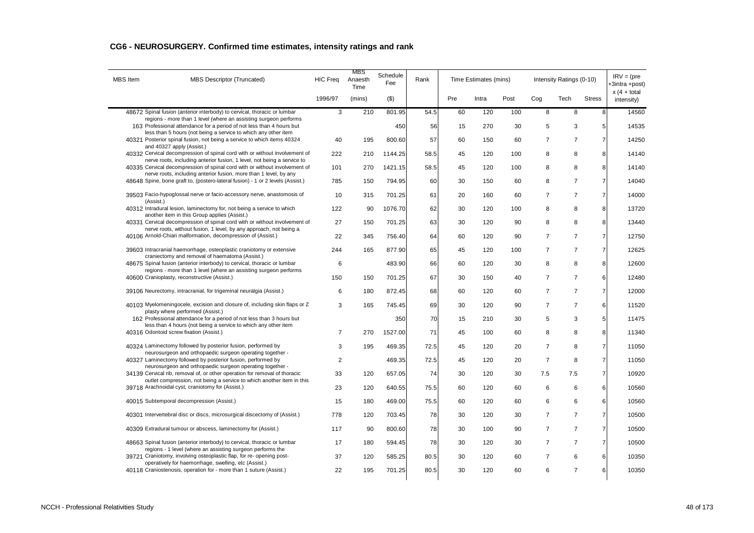| <b>MBS</b> Item | <b>MBS Descriptor (Truncated)</b>                                                                                                                                      | <b>HIC Freq</b> | MBS<br>Anaesth<br>Time | Schedule<br>Fee | Rank |     | Time Estimates (mins) |      |                | Intensity Ratings (0-10) |                | $IRV = (pre$<br>+3intra +post) |
|-----------------|------------------------------------------------------------------------------------------------------------------------------------------------------------------------|-----------------|------------------------|-----------------|------|-----|-----------------------|------|----------------|--------------------------|----------------|--------------------------------|
|                 |                                                                                                                                                                        | 1996/97         | (mins)                 | (3)             |      | Pre | Intra                 | Post | Cog            | Tech                     | <b>Stress</b>  | $x(4 + total)$<br>intensity)   |
|                 | 48672 Spinal fusion (anterior interbody) to cervical, thoracic or lumbar                                                                                               | 3               | 210                    | 801.95          | 54.5 | 60  | 120                   | 100  | 8              | 8                        | 8              | 14560                          |
|                 | regions - more than 1 level (where an assisting surgeon performs<br>163 Professional attendance for a period of not less than 4 hours but                              |                 |                        | 450             | 56   | 15  | 270                   | 30   | 5              | 3                        | 5 <sup>1</sup> | 14535                          |
|                 | less than 5 hours (not being a service to which any other item<br>40321 Posterior spinal fusion, not being a service to which items 40324<br>and 40327 apply (Assist.) | 40              | 195                    | 800.60          | 57   | 60  | 150                   | 60   | $\overline{7}$ | $\overline{7}$           | $\overline{7}$ | 14250                          |
|                 | 40332 Cervical decompression of spinal cord with or without involvement of<br>nerve roots, including anterior fusion, 1 level, not being a service to                  | 222             | 210                    | 1144.25         | 58.5 | 45  | 120                   | 100  | 8              | 8                        | 8              | 14140                          |
|                 | 40335 Cervical decompression of spinal cord with or without involvement of                                                                                             | 101             | 270                    | 1421.15         | 58.5 | 45  | 120                   | 100  | 8              | 8                        | 8              | 14140                          |
|                 | nerve roots, including anterior fusion, more than 1 level, by any<br>48648 Spine, bone graft to, (postero-lateral fusion) - 1 or 2 levels (Assist.)                    | 785             | 150                    | 794.95          | 60   | 30  | 150                   | 60   | 8              | $\overline{7}$           | $\overline{7}$ | 14040                          |
| (Assist.)       | 39503 Facio-hypoglossal nerve or facio-accessory nerve, anastomosis of                                                                                                 | 10              | 315                    | 701.25          | 61   | 20  | 160                   | 60   | $\overline{7}$ | $\overline{7}$           | $\overline{7}$ | 14000                          |
|                 | 40312 Intradural lesion, laminectomy for, not being a service to which                                                                                                 | 122             | 90                     | 1076.70         | 62   | 30  | 120                   | 100  | 8              | 8                        | 8              | 13720                          |
|                 | another item in this Group applies (Assist.)<br>40331 Cervical decompression of spinal cord with or without involvement of                                             | 27              | 150                    | 701.25          | 63   | 30  | 120                   | 90   | 8              | 8                        | 8              | 13440                          |
|                 | nerve roots, without fusion, 1 level, by any approach, not being a<br>40106 Arnold-Chiari malformation, decompression of (Assist.)                                     | 22              | 345                    | 756.40          | 64   | 60  | 120                   | 90   | $\overline{7}$ | $\overline{7}$           | $\overline{7}$ | 12750                          |
|                 | 39603 Intracranial haemorrhage, osteoplastic craniotomy or extensive                                                                                                   | 244             | 165                    | 877.90          | 65   | 45  | 120                   | 100  | $\overline{7}$ | $\overline{7}$           | $\overline{7}$ | 12625                          |
|                 | craniectomy and removal of haematoma (Assist.)<br>48675 Spinal fusion (anterior interbody) to cervical, thoracic or lumbar                                             | 6               |                        | 483.90          | 66   | 60  | 120                   | 30   | 8              | 8                        | 8              | 12600                          |
|                 | regions - more than 1 level (where an assisting surgeon performs<br>40600 Cranioplasty, reconstructive (Assist.)                                                       | 150             | 150                    | 701.25          | 67   | 30  | 150                   | 40   | $\overline{7}$ | $\overline{7}$           | 6              | 12480                          |
|                 | 39106 Neurectomy, intracranial, for trigeminal neuralgia (Assist.)                                                                                                     | 6               | 180                    | 872.45          | 68   | 60  | 120                   | 60   | $\overline{7}$ | $\overline{7}$           | $\overline{7}$ | 12000                          |
|                 | 40103 Myelomeningocele, excision and closure of, including skin flaps or Z<br>plasty where performed (Assist.)                                                         | 3               | 165                    | 745.45          | 69   | 30  | 120                   | 90   | $\overline{7}$ | $\overline{7}$           | 6              | 11520                          |
|                 | 162 Professional attendance for a period of not less than 3 hours but<br>less than 4 hours (not being a service to which any other item                                |                 |                        | 350             | 70   | 15  | 210                   | 30   | 5              | 3                        | 5              | 11475                          |
|                 | 40316 Odontoid screw fixation (Assist.)                                                                                                                                | $\overline{7}$  | 270                    | 1527.00         | 71   | 45  | 100                   | 60   | 8              | 8                        | 8              | 11340                          |
|                 | 40324 Laminectomy followed by posterior fusion, performed by<br>neurosurgeon and orthopaedic surgeon operating together -                                              | 3               | 195                    | 469.35          | 72.5 | 45  | 120                   | 20   | $\overline{7}$ | 8                        | $\overline{7}$ | 11050                          |
|                 | 40327 Laminectomy followed by posterior fusion, performed by                                                                                                           | 2               |                        | 469.35          | 72.5 | 45  | 120                   | 20   | $\overline{7}$ | 8                        | $\overline{7}$ | 11050                          |
|                 | neurosurgeon and orthopaedic surgeon operating together -<br>34139 Cervical rib, removal of, or other operation for removal of thoracic                                | 33              | 120                    | 657.05          | 74   | 30  | 120                   | 30   | 7.5            | 7.5                      | $\overline{7}$ | 10920                          |
|                 | outlet compression, not being a service to which another item in this<br>39718 Arachnoidal cyst, craniotomy for (Assist.)                                              | 23              | 120                    | 640.55          | 75.5 | 60  | 120                   | 60   | 6              | 6                        | 6              | 10560                          |
|                 | 40015 Subtemporal decompression (Assist.)                                                                                                                              | 15              | 180                    | 469.00          | 75.5 | 60  | 120                   | 60   | 6              | 6                        | 6              | 10560                          |
|                 | 40301 Intervertebral disc or discs, microsurgical discectomy of (Assist.)                                                                                              | 778             | 120                    | 703.45          | 78   | 30  | 120                   | 30   | $\overline{7}$ | $\overline{7}$           | $\overline{7}$ | 10500                          |
|                 | 40309 Extradural tumour or abscess, laminectomy for (Assist.)                                                                                                          | 117             | 90                     | 800.60          | 78   | 30  | 100                   | 90   | $\overline{7}$ | $\overline{7}$           | $\overline{7}$ | 10500                          |
|                 | 48663 Spinal fusion (anterior interbody) to cervical, thoracic or lumbar<br>regions - 1 level (where an assisting surgeon performs the                                 | 17              | 180                    | 594.45          | 78   | 30  | 120                   | 30   | $\overline{7}$ | $\overline{7}$           | $\overline{7}$ | 10500                          |
|                 | 39721 Craniotomy, involving osteoplastic flap, for re- opening post-                                                                                                   | 37              | 120                    | 585.25          | 80.5 | 30  | 120                   | 60   | $\overline{7}$ | 6                        | 6              | 10350                          |
|                 | operatively for haemorrhage, swelling, etc (Assist.)<br>40118 Craniostenosis, operation for - more than 1 suture (Assist.)                                             | 22              | 195                    | 701.25          | 80.5 | 30  | 120                   | 60   | 6              | $\overline{7}$           | 6              | 10350                          |
|                 |                                                                                                                                                                        |                 |                        |                 |      |     |                       |      |                |                          |                |                                |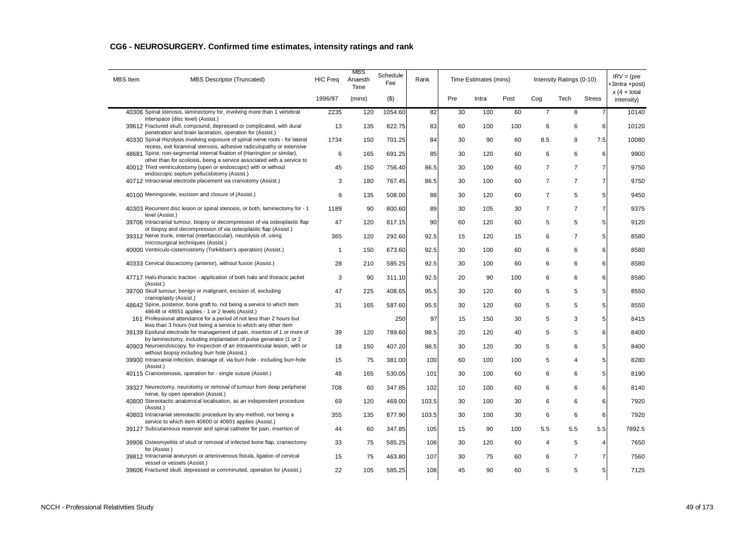| <b>MBS</b> Item | <b>MBS Descriptor (Truncated)</b>                                                                                                                | <b>HIC Freq</b> | MBS<br>Anaesth<br>Time | Schedule<br>Fee | Rank  |     | Time Estimates (mins) |      |                | Intensity Ratings (0-10) |                | $IRV = (pre$<br>+3intra +post) |
|-----------------|--------------------------------------------------------------------------------------------------------------------------------------------------|-----------------|------------------------|-----------------|-------|-----|-----------------------|------|----------------|--------------------------|----------------|--------------------------------|
|                 |                                                                                                                                                  | 1996/97         | (mins)                 | (3)             |       | Pre | Intra                 | Post | Cog            | Tech                     | <b>Stress</b>  | $x(4 + total)$<br>intensity)   |
|                 | 40306 Spinal stenosis, laminectomy for, involving more than 1 vertebral<br>interspace (disc level) (Assist.)                                     | 2235            | 120                    | 1054.60         | 82    | 30  | 100                   | 60   | $\overline{7}$ | 8                        | $\overline{7}$ | 10140                          |
|                 | 39612 Fractured skull, compound, depressed or complicated, with dural<br>penetration and brain laceration, operation for (Assist.)               | 13              | 135                    | 822.75          | 83    | 60  | 100                   | 100  | 6              | 6                        | 6              | 10120                          |
|                 | 40330 Spinal rhizolysis involving exposure of spinal nerve roots - for lateral                                                                   | 1734            | 150                    | 701.25          | 84    | 30  | 90                    | 60   | 8.5            | 8                        | 7.5            | 10080                          |
|                 | recess, exit foraminal stenosis, adhesive radiculopathy or extensive<br>48681 Spine, non-segmental internal fixation of (Harrington or similar), | 6               | 165                    | 691.25          | 85    | 30  | 120                   | 60   | 6              | 6                        | 6              | 9900                           |
|                 | other than for scoliosis, being a service associated with a service to<br>40012 Third ventriculostomy (open or endoscopic) with or without       | 45              | 150                    | 756.40          | 86.5  | 30  | 100                   | 60   | $\overline{7}$ | $\overline{7}$           | $\overline{7}$ | 9750                           |
|                 | endoscopic septum pellucidotomy (Assist.)<br>40712 Intracranial electrode placement via craniotomy (Assist.)                                     | 3               | 180                    | 767.45          | 86.5  | 30  | 100                   | 60   | $\overline{7}$ | $\overline{7}$           | $\overline{7}$ | 9750                           |
|                 | 40100 Meningocele, excision and closure of (Assist.)                                                                                             | 9               | 135                    | 508.00          | 88    | 30  | 120                   | 60   | $\overline{7}$ | 5                        | 5              | 9450                           |
|                 | 40303 Recurrent disc lesion or spinal stenosis, or both, laminectomy for - 1                                                                     | 1189            | 90                     | 800.60          | 89    | 30  | 105                   | 30   | $\overline{7}$ | $\overline{7}$           | $\overline{7}$ | 9375                           |
|                 | level (Assist.)<br>39706 Intracranial tumour, biopsy or decompression of via osteoplastic flap                                                   | 47              | 120                    | 817.15          | 90    | 60  | 120                   | 60   | 5              | 5                        | 5              | 9120                           |
|                 | or biopsy and decompression of via osteoplastic flap (Assist.)<br>39312 Nerve trunk, internal (interfascicular), neurolysis of, using            | 365             | 120                    | 292.60          | 92.5  | 15  | 120                   | 15   | 6              | $\overline{7}$           | 5 <sup>1</sup> | 8580                           |
|                 | microsurgical techniques (Assist.)<br>40000 Ventriculo-cisternostomy (Torkildsen's operation) (Assist.)                                          | $\mathbf{1}$    | 150                    | 673.60          | 92.5  | 30  | 100                   | 60   | 6              | 6                        | 6              | 8580                           |
|                 | 40333 Cervical discectomy (anterior), without fusion (Assist.)                                                                                   | 28              | 210                    | 585.25          | 92.5  | 30  | 100                   | 60   | 6              | 6                        | 6              | 8580                           |
|                 | 47717 Halo-thoracic traction - application of both halo and thoracic jacket                                                                      | 3               | 90                     | 311.10          | 92.5  | 20  | 90                    | 100  | 6              | 6                        | 6              | 8580                           |
|                 | (Assist.)<br>39700 Skull tumour, benign or malignant, excision of, excluding                                                                     | 47              | 225                    | 408.65          | 95.5  | 30  | 120                   | 60   | 5              | 5                        | 5              | 8550                           |
|                 | cranioplasty (Assist.)<br>48642 Spine, posterior, bone graft to, not being a service to which item                                               | 31              | 165                    | 587.60          | 95.5  | 30  | 120                   | 60   | 5              | 5                        | 5              | 8550                           |
|                 | 48648 or 48651 applies - 1 or 2 levels (Assist.)<br>161 Professional attendance for a period of not less than 2 hours but                        |                 |                        |                 | 97    | 15  | 150                   | 30   | 5              | 3                        | 5              | 8415                           |
|                 | less than 3 hours (not being a service to which any other item                                                                                   |                 |                        | 250             |       |     |                       |      |                |                          |                |                                |
|                 | 39139 Epidural electrode for management of pain, insertion of 1 or more of<br>by laminectomy, including implantation of pulse generator (1 or 2  | 39              | 120                    | 789.60          | 98.5  | 20  | 120                   | 40   | 5              | 5                        | 6              | 8400                           |
|                 | 40903 Neuroendoscopy, for inspection of an intraventricular lesion, with or<br>without biopsy including burr hole (Assist.)                      | 18              | 150                    | 407.20          | 98.5  | 30  | 120                   | 30   | 5              | 6                        | 5              | 8400                           |
|                 | 39900 Intracranial infection, drainage of, via burr-hole - including burr-hole<br>(Assist.)                                                      | 15              | 75                     | 381.00          | 100   | 60  | 100                   | 100  | 5              | $\overline{4}$           | 5              | 8280                           |
|                 | 40115 Craniostenosis, operation for - single suture (Assist.)                                                                                    | 48              | 165                    | 530.05          | 101   | 30  | 100                   | 60   | 6              | 6                        | 5              | 8190                           |
|                 | 39327 Neurectomy, neurotomy or removal of tumour from deep peripheral<br>nerve, by open operation (Assist.)                                      | 708             | 60                     | 347.85          | 102   | 10  | 100                   | 60   | 6              | 6                        | 6              | 8140                           |
|                 | 40800 Stereotactic anatomical localisation, as an independent procedure<br>(Assist.)                                                             | 69              | 120                    | 469.00          | 103.5 | 30  | 100                   | 30   | 6              | 6                        | 6              | 7920                           |
|                 | 40803 Intracranial stereotactic procedure by any method, not being a<br>service to which item 40800 or 40801 applies (Assist.)                   | 355             | 135                    | 877.90          | 103.5 | 30  | 100                   | 30   | 6              | 6                        | 6              | 7920                           |
|                 | 39127 Subcutaneous reservoir and spinal catheter for pain, insertion of                                                                          | 44              | 60                     | 347.85          | 105   | 15  | 90                    | 100  | 5.5            | 5.5                      | 5.5            | 7892.5                         |
|                 | 39906 Osteomyelitis of skull or removal of infected bone flap, craniectomy                                                                       | 33              | 75                     | 585.25          | 106   | 30  | 120                   | 60   | 4              | 5                        | $\overline{4}$ | 7650                           |
|                 | for (Assist.)<br>39812 Intracranial aneurysm or arteriovenous fistula, ligation of cervical                                                      | 15              | 75                     | 463.80          | 107   | 30  | 75                    | 60   | 6              | $\overline{7}$           | $\overline{7}$ | 7560                           |
|                 | vessel or vessels (Assist.)<br>39606 Fractured skull, depressed or comminuted, operation for (Assist.)                                           | 22              | 105                    | 585.25          | 108   | 45  | 90                    | 60   | 5              | 5                        | 5 <sup>1</sup> | 7125                           |
|                 |                                                                                                                                                  |                 |                        |                 |       |     |                       |      |                |                          |                |                                |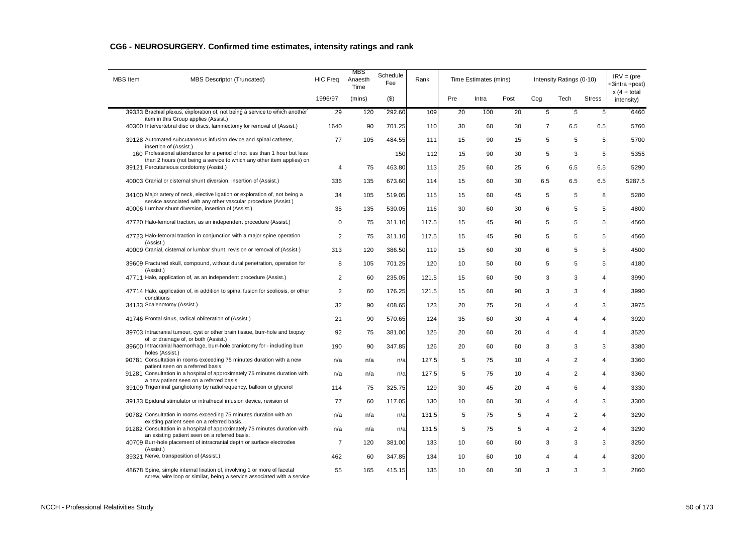| <b>MBS</b> Item | <b>MBS Descriptor (Truncated)</b>                                                                                                                  | <b>HIC Frea</b> | MBS<br>Anaesth<br>Time | Schedule<br>Fee | Rank  |     | Time Estimates (mins) |      |                | Intensity Ratings (0-10) |                | $IRV = (pre$<br>+3intra +post) |
|-----------------|----------------------------------------------------------------------------------------------------------------------------------------------------|-----------------|------------------------|-----------------|-------|-----|-----------------------|------|----------------|--------------------------|----------------|--------------------------------|
|                 |                                                                                                                                                    | 1996/97         | (mins)                 | $($ \$)         |       | Pre | Intra                 | Post | Cog            | Tech                     | <b>Stress</b>  | $x(4 + total)$<br>intensity)   |
|                 | 39333 Brachial plexus, exploration of, not being a service to which another                                                                        | 29              | 120                    | 292.60          | 109   | 20  | 100                   | 20   | 5              | 5                        | 5              | 6460                           |
|                 | item in this Group applies (Assist.)<br>40300 Intervertebral disc or discs, laminectomy for removal of (Assist.)                                   | 1640            | 90                     | 701.25          | 110   | 30  | 60                    | 30   | $\overline{7}$ | 6.5                      | 6.5            | 5760                           |
|                 | 39128 Automated subcutaneous infusion device and spinal catheter,<br>insertion of (Assist.)                                                        | 77              | 105                    | 484.55          | 111   | 15  | 90                    | 15   | 5              | 5                        | 5              | 5700                           |
|                 | 160 Professional attendance for a period of not less than 1 hour but less                                                                          |                 |                        | 150             | 112   | 15  | 90                    | 30   | 5              | 3                        | 5              | 5355                           |
|                 | than 2 hours (not being a service to which any other item applies) on<br>39121 Percutaneous cordotomy (Assist.)                                    | $\overline{4}$  | 75                     | 463.80          | 113   | 25  | 60                    | 25   | 6              | 6.5                      | 6.5            | 5290                           |
|                 | 40003 Cranial or cisternal shunt diversion, insertion of (Assist.)                                                                                 | 336             | 135                    | 673.60          | 114   | 15  | 60                    | 30   | 6.5            | 6.5                      | 6.5            | 5287.5                         |
|                 | 34100 Major artery of neck, elective ligation or exploration of, not being a<br>service associated with any other vascular procedure (Assist.)     | 34              | 105                    | 519.05          | 115   | 15  | 60                    | 45   | 5              | 5                        | 8              | 5280                           |
|                 | 40006 Lumbar shunt diversion, insertion of (Assist.)                                                                                               | 35              | 135                    | 530.05          | 116   | 30  | 60                    | 30   | 6              | 5                        | 5              | 4800                           |
|                 | 47720 Halo-femoral traction, as an independent procedure (Assist.)                                                                                 | $\mathbf 0$     | 75                     | 311.10          | 117.5 | 15  | 45                    | 90   | 5              | 5                        | 5              | 4560                           |
|                 | 47723 Halo-femoral traction in conjunction with a major spine operation<br>(Assist.)                                                               | $\overline{2}$  | 75                     | 311.10          | 117.5 | 15  | 45                    | 90   | 5              | 5                        | 5              | 4560                           |
|                 | 40009 Cranial, cisternal or lumbar shunt, revision or removal of (Assist.)                                                                         | 313             | 120                    | 386.50          | 119   | 15  | 60                    | 30   | 6              | 5                        | 5              | 4500                           |
|                 | 39609 Fractured skull, compound, without dural penetration, operation for<br>(Assist.)                                                             | 8               | 105                    | 701.25          | 120   | 10  | 50                    | 60   | 5              | 5                        | 5              | 4180                           |
|                 | 47711 Halo, application of, as an independent procedure (Assist.)                                                                                  | $\overline{c}$  | 60                     | 235.05          | 121.5 | 15  | 60                    | 90   | 3              | 3                        | 4              | 3990                           |
|                 | 47714 Halo, application of, in addition to spinal fusion for scoliosis, or other<br>conditions                                                     | $\overline{2}$  | 60                     | 176.25          | 121.5 | 15  | 60                    | 90   | 3              | 3                        | 4              | 3990                           |
|                 | 34133 Scalenotomy (Assist.)                                                                                                                        | 32              | 90                     | 408.65          | 123   | 20  | 75                    | 20   | 4              | 4                        | 3              | 3975                           |
|                 | 41746 Frontal sinus, radical obliteration of (Assist.)                                                                                             | 21              | 90                     | 570.65          | 124   | 35  | 60                    | 30   | 4              | 4                        | 4              | 3920                           |
|                 | 39703 Intracranial tumour, cyst or other brain tissue, burr-hole and biopsy<br>of, or drainage of, or both (Assist.)                               | 92              | 75                     | 381.00          | 125   | 20  | 60                    | 20   | 4              | 4                        | 4              | 3520                           |
|                 | 39600 Intracranial haemorrhage, burr-hole craniotomy for - including burr<br>holes (Assist.)                                                       | 190             | 90                     | 347.85          | 126   | 20  | 60                    | 60   | 3              | 3                        | 3              | 3380                           |
|                 | 90781 Consultation in rooms exceeding 75 minutes duration with a new<br>patient seen on a referred basis.                                          | n/a             | n/a                    | n/a             | 127.5 | 5   | 75                    | 10   | 4              | 2                        | $\overline{4}$ | 3360                           |
|                 | 91281 Consultation in a hospital of approximately 75 minutes duration with<br>a new patient seen on a referred basis.                              | n/a             | n/a                    | n/a             | 127.5 | 5   | 75                    | 10   | 4              | $\overline{2}$           | $\overline{4}$ | 3360                           |
|                 | 39109 Trigeminal gangliotomy by radiofrequency, balloon or glycerol                                                                                | 114             | 75                     | 325.75          | 129   | 30  | 45                    | 20   | 4              | 6                        | 4              | 3330                           |
|                 | 39133 Epidural stimulator or intrathecal infusion device, revision of                                                                              | 77              | 60                     | 117.05          | 130   | 10  | 60                    | 30   | 4              | 4                        | 3              | 3300                           |
|                 | 90782 Consultation in rooms exceeding 75 minutes duration with an<br>existing patient seen on a referred basis.                                    | n/a             | n/a                    | n/a             | 131.5 | 5   | 75                    | 5    | 4              | $\overline{2}$           | $\overline{4}$ | 3290                           |
|                 | 91282 Consultation in a hospital of approximately 75 minutes duration with<br>an existing patient seen on a referred basis.                        | n/a             | n/a                    | n/a             | 131.5 | 5   | 75                    | 5    | 4              | $\overline{2}$           | 4              | 3290                           |
|                 | 40709 Burr-hole placement of intracranial depth or surface electrodes<br>(Assist.)                                                                 | $\overline{7}$  | 120                    | 381.00          | 133   | 10  | 60                    | 60   | 3              | 3                        | 3              | 3250                           |
|                 | 39321 Nerve, transposition of (Assist.)                                                                                                            | 462             | 60                     | 347.85          | 134   | 10  | 60                    | 10   | 4              | 4                        | 4              | 3200                           |
|                 | 48678 Spine, simple internal fixation of, involving 1 or more of facetal<br>screw, wire loop or similar, being a service associated with a service | 55              | 165                    | 415.15          | 135   | 10  | 60                    | 30   | 3              | 3                        | 3              | 2860                           |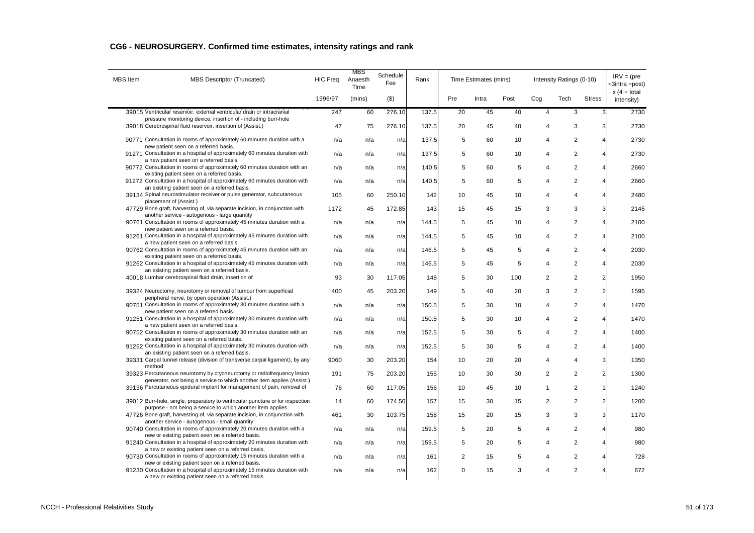| <b>MBS</b> Item | MBS Descriptor (Truncated)                                                                                                                                                             | <b>HIC Freq</b> | MBS<br>Anaesth<br>Time | Schedule<br>Fee | Rank  |                | Time Estimates (mins) |      |                | Intensity Ratings (0-10) |                | $IRV = (pre$<br>+3intra +post) |
|-----------------|----------------------------------------------------------------------------------------------------------------------------------------------------------------------------------------|-----------------|------------------------|-----------------|-------|----------------|-----------------------|------|----------------|--------------------------|----------------|--------------------------------|
|                 |                                                                                                                                                                                        | 1996/97         | (mins)                 | $($ \$)         |       | Pre            | Intra                 | Post | Cog            | Tech                     | <b>Stress</b>  | $x(4 + total)$<br>intensity)   |
|                 | 39015 Ventricular reservoir, external ventricular drain or intracranial                                                                                                                | 247             | 60                     | 276.10          | 137.5 | 20             | 45                    | 40   | 4              | 3                        | 3              | 2730                           |
|                 | pressure monitoring device, insertion of - including burr-hole<br>39018 Cerebrospinal fluid reservoir, insertion of (Assist.)                                                          | 47              | 75                     | 276.10          | 137.5 | 20             | 45                    | 40   | $\overline{4}$ | 3                        | 3              | 2730                           |
|                 | 90771 Consultation in rooms of approximately 60 minutes duration with a<br>new patient seen on a referred basis.                                                                       | n/a             | n/a                    | n/a             | 137.5 | 5              | 60                    | 10   | 4              | $\overline{2}$           | 4              | 2730                           |
|                 | 91271 Consultation in a hospital of approximately 60 minutes duration with                                                                                                             | n/a             | n/a                    | n/a             | 137.5 | 5              | 60                    | 10   | 4              | $\overline{2}$           | 4              | 2730                           |
|                 | a new patient seen on a referred basis.<br>90772 Consultation in rooms of approximately 60 minutes duration with an<br>existing patient seen on a referred basis.                      | n/a             | n/a                    | n/a             | 140.5 | 5              | 60                    | 5    | 4              | $\overline{2}$           | 4              | 2660                           |
|                 | 91272 Consultation in a hospital of approximately 60 minutes duration with<br>an existing patient seen on a referred basis.                                                            | n/a             | n/a                    | n/a             | 140.5 | 5              | 60                    | 5    | 4              | $\overline{2}$           | $\overline{4}$ | 2660                           |
|                 | 39134 Spinal neurostimulator receiver or pulse generator, subcutaneous<br>placement of (Assist.)                                                                                       | 105             | 60                     | 250.10          | 142   | 10             | 45                    | 10   | 4              | 4                        | 4              | 2480                           |
|                 | 47729 Bone graft, harvesting of, via separate incision, in conjunction with                                                                                                            | 1172            | 45                     | 172.85          | 143   | 15             | 45                    | 15   | 3              | 3                        | 3              | 2145                           |
|                 | another service - autogenous - large quantity<br>90761 Consultation in rooms of approximately 45 minutes duration with a                                                               | n/a             | n/a                    | n/a             | 144.5 | 5              | 45                    | 10   | 4              | 2                        | 4              | 2100                           |
|                 | new patient seen on a referred basis.<br>91261 Consultation in a hospital of approximately 45 minutes duration with                                                                    | n/a             | n/a                    | n/a             | 144.5 | 5              | 45                    | 10   | 4              | 2                        | 4              | 2100                           |
|                 | a new patient seen on a referred basis.<br>90762 Consultation in rooms of approximately 45 minutes duration with an                                                                    | n/a             | n/a                    | n/a             | 146.5 | 5              | 45                    | 5    | 4              | 2                        | 4              | 2030                           |
|                 | existing patient seen on a referred basis.<br>91262 Consultation in a hospital of approximately 45 minutes duration with                                                               | n/a             | n/a                    | n/a             | 146.5 | 5              | 45                    | 5    | 4              | 2                        | $\overline{4}$ | 2030                           |
|                 | an existing patient seen on a referred basis.<br>40018 Lumbar cerebrospinal fluid drain, insertion of                                                                                  | 93              | 30                     | 117.05          | 148   | 5              | 30                    | 100  | $\overline{2}$ | $\overline{2}$           | $\sqrt{2}$     | 1950                           |
|                 | 39324 Neurectomy, neurotomy or removal of tumour from superficial<br>peripheral nerve, by open operation (Assist.)                                                                     | 400             | 45                     | 203.20          | 149   | 5              | 40                    | 20   | 3              | 2                        | $\overline{2}$ | 1595                           |
|                 | 90751 Consultation in rooms of approximately 30 minutes duration with a<br>new patient seen on a referred basis.                                                                       | n/a             | n/a                    | n/a             | 150.5 | 5              | 30                    | 10   | 4              | 2                        | $\overline{4}$ | 1470                           |
|                 | 91251 Consultation in a hospital of approximately 30 minutes duration with<br>a new patient seen on a referred basis.                                                                  | n/a             | n/a                    | n/a             | 150.5 | 5              | 30                    | 10   | 4              | 2                        | 4              | 1470                           |
|                 | 90752 Consultation in rooms of approximately 30 minutes duration with an<br>existing patient seen on a referred basis.                                                                 | n/a             | n/a                    | n/a             | 152.5 | 5              | 30                    | 5    | 4              | 2                        | $\overline{4}$ | 1400                           |
|                 | 91252 Consultation in a hospital of approximately 30 minutes duration with<br>an existing patient seen on a referred basis.                                                            | n/a             | n/a                    | n/a             | 152.5 | 5              | 30                    | 5    | 4              | 2                        | $\overline{4}$ | 1400                           |
|                 | 39331 Carpal tunnel release (division of transverse carpal ligament), by any<br>method                                                                                                 | 9060            | 30                     | 203.20          | 154   | 10             | 20                    | 20   | 4              | $\overline{4}$           | 3              | 1350                           |
|                 | 39323 Percutaneous neurotomy by cryoneurotomy or radiofrequency lesion<br>generator, not being a service to which another item applies (Assist.)                                       | 191             | 75                     | 203.20          | 155   | 10             | 30                    | 30   | $\overline{2}$ | $\overline{2}$           | $\overline{2}$ | 1300                           |
|                 | 39136 Percutaneous epidural implant for management of pain, removal of                                                                                                                 | 76              | 60                     | 117.05          | 156   | 10             | 45                    | 10   | 1              | 2                        | -1             | 1240                           |
|                 | 39012 Burr-hole, single, preparatory to ventricular puncture or for inspection<br>purpose - not being a service to which another item applies                                          | 14              | 60                     | 174.50          | 157   | 15             | 30                    | 15   | $\overline{2}$ | $\overline{2}$           | 2              | 1200                           |
|                 | 47726 Bone graft, harvesting of, via separate incision, in conjunction with<br>another service - autogenous - small quantity                                                           | 461             | 30                     | 103.75          | 158   | 15             | 20                    | 15   | 3              | 3                        | 3              | 1170                           |
|                 | 90740 Consultation in rooms of approximately 20 minutes duration with a<br>new or existing patient seen on a referred basis.                                                           | n/a             | n/a                    | n/a             | 159.5 | 5              | 20                    | 5    | 4              | 2                        | 4              | 980                            |
|                 | 91240 Consultation in a hospital of approximately 20 minutes duration with<br>a new or existing patient seen on a referred basis.                                                      | n/a             | n/a                    | n/a             | 159.5 | 5              | 20                    | 5    | 4              | $\overline{c}$           | 4              | 980                            |
|                 | 90730 Consultation in rooms of approximately 15 minutes duration with a                                                                                                                | n/a             | n/a                    | n/a             | 161   | $\overline{2}$ | 15                    | 5    | 4              | 2                        | 4              | 728                            |
|                 | new or existing patient seen on a referred basis.<br>91230 Consultation in a hospital of approximately 15 minutes duration with<br>a new or existing patient seen on a referred basis. | n/a             | n/a                    | n/a             | 162   | $\mathbf 0$    | 15                    | 3    | 4              | $\overline{2}$           | 4              | 672                            |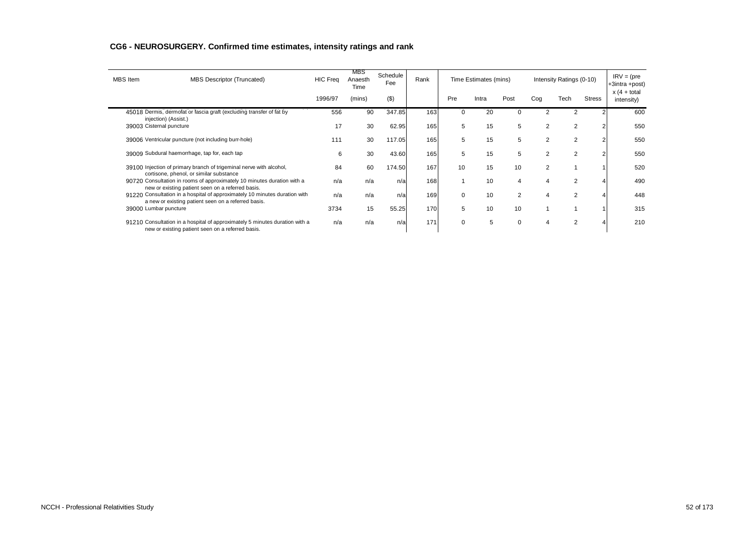| <b>MBS</b> Item          | <b>MBS Descriptor (Truncated)</b>                                                                                                 | <b>HIC Freq</b> | MBS<br>Anaesth<br>Time | Schedule<br>Fee | Rank |          | Time Estimates (mins) |                |                | Intensity Ratings (0-10) |               | $IRV = (pre$<br>+3intra +post) |
|--------------------------|-----------------------------------------------------------------------------------------------------------------------------------|-----------------|------------------------|-----------------|------|----------|-----------------------|----------------|----------------|--------------------------|---------------|--------------------------------|
|                          |                                                                                                                                   | 1996/97         | (mins)                 | (3)             |      | Pre      | Intra                 | Post           | Cog            | Tech                     | <b>Stress</b> | $x(4 + total)$<br>intensity)   |
|                          | 45018 Dermis, dermofat or fascia graft (excluding transfer of fat by<br>injection) (Assist.)                                      | 556             | 90                     | 347.85          | 163  |          | 20                    |                |                |                          |               | 600                            |
| 39003 Cisternal puncture |                                                                                                                                   | 17              | 30                     | 62.95           | 165  | 5        | 15                    | 5              | $\overline{2}$ |                          |               | 550                            |
|                          | 39006 Ventricular puncture (not including burr-hole)                                                                              | 111             | 30                     | 117.05          | 165  | 5        | 15                    | 5              | $\overline{2}$ |                          |               | 550                            |
|                          | 39009 Subdural haemorrhage, tap for, each tap                                                                                     | 6               | 30                     | 43.60           | 165  | 5        | 15                    | 5              | $\overline{2}$ |                          |               | 550                            |
|                          | 39100 Injection of primary branch of trigeminal nerve with alcohol,<br>cortisone, phenol, or similar substance                    | 84              | 60                     | 174.50          | 167  | 10       | 15                    | 10             | $\overline{2}$ |                          |               | 520                            |
|                          | 90720 Consultation in rooms of approximately 10 minutes duration with a<br>new or existing patient seen on a referred basis.      | n/a             | n/a                    | n/a             | 168  |          | 10                    | 4              |                |                          |               | 490                            |
|                          | 91220 Consultation in a hospital of approximately 10 minutes duration with<br>a new or existing patient seen on a referred basis. | n/a             | n/a                    | n/a             | 169  | $\Omega$ | 10                    | $\overline{2}$ |                |                          |               | 448                            |
| 39000 Lumbar puncture    |                                                                                                                                   | 3734            | 15                     | 55.25           | 170  | 5        | 10                    | 10             |                |                          |               | 315                            |
|                          | 91210 Consultation in a hospital of approximately 5 minutes duration with a<br>new or existing patient seen on a referred basis.  | n/a             | n/a                    | n/a             | 171  | $\Omega$ | 5                     | $\Omega$       |                |                          |               | 210                            |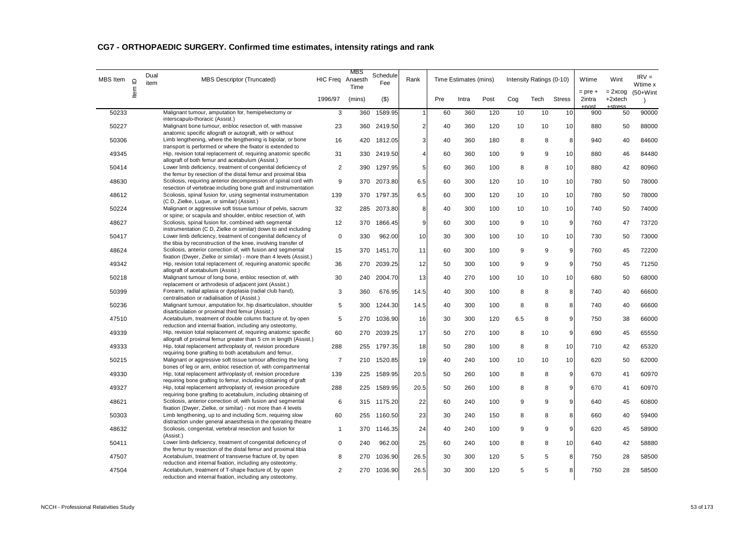| <b>MBS</b> Item | $\supseteq$ | Dual<br>item | <b>MBS Descriptor (Truncated)</b>                                                                                                                                               | HIC Freq Anaesth        | MBS<br>Time | Schedule<br>Fee | Rank           |     | Time Estimates (mins) |      |     | Intensity Ratings (0-10) |               | Wtime                        | Wint                     | $IRV =$<br>Wtime x        |
|-----------------|-------------|--------------|---------------------------------------------------------------------------------------------------------------------------------------------------------------------------------|-------------------------|-------------|-----------------|----------------|-----|-----------------------|------|-----|--------------------------|---------------|------------------------------|--------------------------|---------------------------|
|                 | ltem        |              |                                                                                                                                                                                 | 1996/97                 | (mins)      | $($ \$)         |                | Pre | Intra                 | Post | Cog | Tech                     | <b>Stress</b> | $=$ pre $+$<br>2intra<br>net | $= 2x \cos$<br>$+2xtech$ | $(50+W)$ int<br>$\lambda$ |
| 50233           |             |              | Malignant tumour, amputation for, hemipelvectomy or<br>interscapulo-thoracic (Assist.)                                                                                          | 3                       | 360         | 1589.95         | $\overline{1}$ | 60  | 360                   | 120  | 10  | 10                       | 10            | 900                          | 50                       | 90000                     |
| 50227           |             |              | Malignant bone tumour, enbloc resection of, with massive<br>anatomic specific allograft or autograft, with or without                                                           | 23                      | 360         | 2419.50         | $\overline{2}$ | 40  | 360                   | 120  | 10  | 10                       | 10            | 880                          | 50                       | 88000                     |
| 50306           |             |              | Limb lengthening, where the lengthening is bipolar, or bone<br>transport is performed or where the fixator is extended to                                                       | 16                      | 420         | 1812.05         | 3              | 40  | 360                   | 180  | 8   | 8                        | 8             | 940                          | 40                       | 84600                     |
| 49345           |             |              | Hip, revision total replacement of, requiring anatomic specific<br>allograft of both femur and acetabulum (Assist.)                                                             | 31                      | 330         | 2419.50         | $\overline{4}$ | 60  | 360                   | 100  | 9   | 9                        | 10            | 880                          | 46                       | 84480                     |
| 50414           |             |              | Lower limb deficiency, treatment of congenital deficiency of<br>the femur by resection of the distal femur and proximal tibia                                                   | $\overline{\mathbf{c}}$ | 390         | 1297.95         | 5              | 60  | 360                   | 100  | 8   | 8                        | 10            | 880                          | 42                       | 80960                     |
| 48630           |             |              | Scoliosis, requiring anterior decompression of spinal cord with<br>resection of vertebrae including bone graft and instrumentation                                              | 9                       | 370         | 2073.80         | 6.5            | 60  | 300                   | 120  | 10  | 10                       | 10            | 780                          | 50                       | 78000                     |
| 48612           |             |              | Scoliosis, spinal fusion for, using segmental instrumentation<br>(C D, Zielke, Luque, or similar) (Assist.)                                                                     | 139                     | 370         | 1797.35         | 6.5            | 60  | 300                   | 120  | 10  | 10                       | 10            | 780                          | 50                       | 78000                     |
| 50224           |             |              | Malignant or aggressive soft tissue tumour of pelvis, sacrum<br>or spine; or scapula and shoulder, enbloc resection of, with                                                    | 32                      | 285         | 2073.80         | 8              | 40  | 300                   | 100  | 10  | 10                       | 10            | 740                          | 50                       | 74000                     |
| 48627           |             |              | Scoliosis, spinal fusion for, combined with segmental<br>instrumentation (C D, Zielke or similar) down to and including                                                         | 12                      | 370         | 1866.45         | 9              | 60  | 300                   | 100  | 9   | 10                       | 9             | 760                          | 47                       | 73720                     |
| 50417           |             |              | Lower limb deficiency, treatment of congenital deficiency of<br>the tibia by reconstruction of the knee, involving transfer of                                                  | $\mathbf 0$             | 330         | 962.00          | 10             | 30  | 300                   | 100  | 10  | 10                       | 10            | 730                          | 50                       | 73000                     |
| 48624           |             |              | Scoliosis, anterior correction of, with fusion and segmental<br>fixation (Dwyer, Zielke or similar) - more than 4 levels (Assist.)                                              | 15                      | 370         | 1451.70         | 11             | 60  | 300                   | 100  | 9   | 9                        | 9             | 760                          | 45                       | 72200                     |
| 49342           |             |              | Hip, revision total replacement of, requiring anatomic specific<br>allograft of acetabulum (Assist.)                                                                            | 36                      | 270         | 2039.25         | 12             | 50  | 300                   | 100  | 9   | 9                        | 9             | 750                          | 45                       | 71250                     |
| 50218           |             |              | Malignant tumour of long bone, enbloc resection of, with<br>replacement or arthrodesis of adjacent joint (Assist.)                                                              | 30                      | 240         | 2004.70         | 13             | 40  | 270                   | 100  | 10  | 10                       | 10            | 680                          | 50                       | 68000                     |
| 50399           |             |              | Forearm, radial aplasia or dysplasia (radial club hand),<br>centralisation or radialisation of (Assist.)                                                                        | 3                       | 360         | 676.95          | 14.5           | 40  | 300                   | 100  | 8   | 8                        | 8             | 740                          | 40                       | 66600                     |
| 50236           |             |              | Malignant tumour, amputation for, hip disarticulation, shoulder<br>disarticulation or proximal third femur (Assist.)                                                            | 5                       | 300         | 1244.30         | 14.5           | 40  | 300                   | 100  | 8   | 8                        | 8             | 740                          | 40                       | 66600                     |
| 47510           |             |              | Acetabulum, treatment of double column fracture of, by open<br>reduction and internal fixation, including any osteotomy,                                                        | 5                       | 270         | 1036.90         | 16             | 30  | 300                   | 120  | 6.5 | 8                        | 9             | 750                          | 38                       | 66000                     |
| 49339           |             |              | Hip, revision total replacement of, requiring anatomic specific<br>allograft of proximal femur greater than 5 cm in length (Assist.)                                            | 60                      | 270         | 2039.25         | 17             | 50  | 270                   | 100  | 8   | 10                       | 9             | 690                          | 45                       | 65550                     |
| 49333           |             |              | Hip, total replacement arthroplasty of, revision procedure<br>requiring bone grafting to both acetabulum and femur,                                                             | 288                     | 255         | 1797.35         | 18             | 50  | 280                   | 100  | 8   | 8                        | 10            | 710                          | 42                       | 65320                     |
| 50215           |             |              | Malignant or aggressive soft tissue tumour affecting the long<br>bones of leg or arm, enbloc resection of, with compartmental                                                   | $\overline{7}$          | 210         | 1520.85         | 19             | 40  | 240                   | 100  | 10  | 10                       | 10            | 620                          | 50                       | 62000                     |
| 49330           |             |              | Hip, total replacement arthroplasty of, revision procedure                                                                                                                      | 139                     | 225         | 1589.95         | 20.5           | 50  | 260                   | 100  | 8   | 8                        | 9             | 670                          | 41                       | 60970                     |
| 49327           |             |              | requiring bone grafting to femur, including obtaining of graft<br>Hip, total replacement arthroplasty of, revision procedure                                                    | 288                     | 225         | 1589.95         | 20.5           | 50  | 260                   | 100  | 8   | 8                        | 9             | 670                          | 41                       | 60970                     |
| 48621           |             |              | requiring bone grafting to acetabulum, including obtaining of<br>Scoliosis, anterior correction of, with fusion and segmental                                                   | 6                       |             | 315 1175.20     | 22             | 60  | 240                   | 100  | 9   | 9                        | 9             | 640                          | 45                       | 60800                     |
| 50303           |             |              | fixation (Dwyer, Zielke, or similar) - not more than 4 levels<br>Limb lengthening, up to and including 5cm, requiring slow                                                      | 60                      | 255         | 1160.50         | 23             | 30  | 240                   | 150  | 8   | 8                        | 8             | 660                          | 40                       | 59400                     |
| 48632           |             |              | distraction under general anaesthesia in the operating theatre<br>Scoliosis, congenital, vertebral resection and fusion for                                                     | $\mathbf{1}$            | 370         | 1146.35         | 24             | 40  | 240                   | 100  | 9   | 9                        | 9             | 620                          | 45                       | 58900                     |
| 50411           |             |              | (Assist.)<br>Lower limb deficiency, treatment of congenital deficiency of                                                                                                       | 0                       | 240         | 962.00          | 25             | 60  | 240                   | 100  | 8   | 8                        | 10            | 640                          | 42                       | 58880                     |
| 47507           |             |              | the femur by resection of the distal femur and proximal tibia<br>Acetabulum, treatment of transverse fracture of, by open                                                       | 8                       | 270         | 1036.90         | 26.5           | 30  | 300                   | 120  | 5   | 5                        | 8             | 750                          | 28                       | 58500                     |
| 47504           |             |              | reduction and internal fixation, including any osteotomy,<br>Acetabulum, treatment of T-shape fracture of, by open<br>reduction and internal fixation, including any osteotomy, | $\overline{2}$          | 270         | 1036.90         | 26.5           | 30  | 300                   | 120  | 5   | 5                        | 8             | 750                          | 28                       | 58500                     |
|                 |             |              |                                                                                                                                                                                 |                         |             |                 |                |     |                       |      |     |                          |               |                              |                          |                           |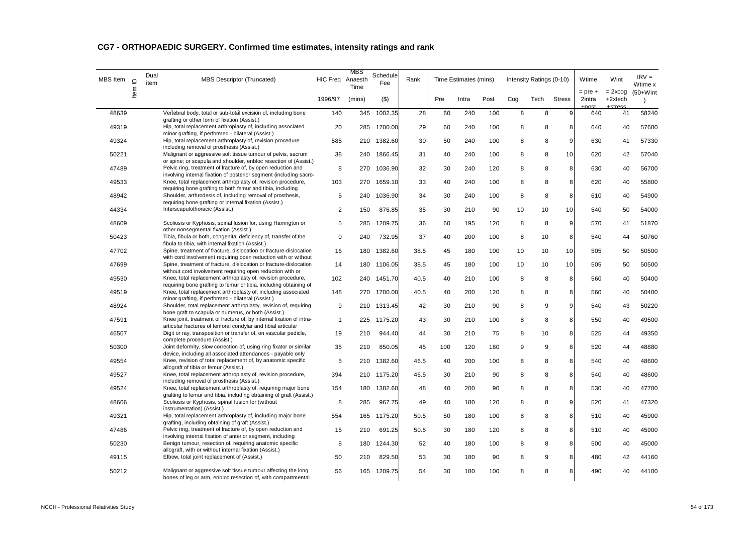| MBS Item | $\supseteq$ | Dual<br>item | <b>MBS Descriptor (Truncated)</b>                                                                                                    | HIC Freq Anaesth | MBS<br>Time | Schedule<br>Fee | Rank |     | Time Estimates (mins) |      |     | Intensity Ratings (0-10) |               | Wtime                        | Wint                   | $RV =$<br>Wtime x         |
|----------|-------------|--------------|--------------------------------------------------------------------------------------------------------------------------------------|------------------|-------------|-----------------|------|-----|-----------------------|------|-----|--------------------------|---------------|------------------------------|------------------------|---------------------------|
|          | Item        |              |                                                                                                                                      | 1996/97          | (mins)      | $($ \$)         |      | Pre | Intra                 | Post | Cog | Tech                     | <b>Stress</b> | $=$ pre $+$<br>2intra<br>net | $= 2x \cos$<br>+2xtech | $(50+W)$ int<br>$\lambda$ |
| 48639    |             |              | Vertebral body, total or sub-total excision of, including bone<br>grafting or other form of fixation (Assist.)                       | 140              | 345         | 1002.35         | 28   | 60  | 240                   | 100  | 8   | 8                        | 9             | 640                          | 41                     | 58240                     |
| 49319    |             |              | Hip, total replacement arthroplasty of, including associated<br>minor grafting, if performed - bilateral (Assist.)                   | 20               | 285         | 1700.00         | 29   | 60  | 240                   | 100  | 8   | 8                        | 8             | 640                          | 40                     | 57600                     |
| 49324    |             |              | Hip, total replacement arthroplasty of, revision procedure<br>including removal of prosthesis (Assist.)                              | 585              | 210         | 1382.60         | 30   | 50  | 240                   | 100  | 8   | 8                        | 9             | 630                          | 41                     | 57330                     |
| 50221    |             |              | Malignant or aggressive soft tissue tumour of pelvis, sacrum<br>or spine; or scapula and shoulder, enbloc resection of (Assist.)     | 38               | 240         | 1866.45         | 31   | 40  | 240                   | 100  | 8   | 8                        | 10            | 620                          | 42                     | 57040                     |
| 47489    |             |              | Pelvic ring, treatment of fracture of, by open reduction and<br>involving internal fixation of posterior segment (including sacro-   | 8                | 270         | 1036.90         | 32   | 30  | 240                   | 120  | 8   | 8                        | 8             | 630                          | 40                     | 56700                     |
| 49533    |             |              | Knee, total replacement arthroplasty of, revision procedure,<br>requiring bone grafting to both femur and tibia, including           | 103              | 270         | 1659.10         | 33   | 40  | 240                   | 100  | 8   | 8                        | 8             | 620                          | 40                     | 55800                     |
| 48942    |             |              | Shoulder, arthrodesis of, including removal of prosthesis,<br>requiring bone grafting or internal fixation (Assist.)                 | 5                | 240         | 1036.90         | 34   | 30  | 240                   | 100  | 8   | 8                        | 8             | 610                          | 40                     | 54900                     |
| 44334    |             |              | Interscapulothoracic (Assist.)                                                                                                       | 2                | 150         | 876.85          | 35   | 30  | 210                   | 90   | 10  | 10                       | 10            | 540                          | 50                     | 54000                     |
| 48609    |             |              | Scoliosis or Kyphosis, spinal fusion for, using Harrington or<br>other nonseqmental fixation (Assist.)                               | 5                | 285         | 1209.75         | 36   | 60  | 195                   | 120  | 8   | 8                        | 9             | 570                          | 41                     | 51870                     |
| 50423    |             |              | Tibia, fibula or both, congenital deficiency of, transfer of the<br>fibula to tibia, with internal fixation (Assist.)                | $\mathbf 0$      | 240         | 732.95          | 37   | 40  | 200                   | 100  | 8   | 10                       | 8             | 540                          | 44                     | 50760                     |
| 47702    |             |              | Spine, treatment of fracture, dislocation or fracture-dislocation<br>with cord involvement requiring open reduction with or without  | 16               | 180         | 1382.60         | 38.5 | 45  | 180                   | 100  | 10  | 10                       | 10            | 505                          | 50                     | 50500                     |
| 47699    |             |              | Spine, treatment of fracture, dislocation or fracture-dislocation<br>without cord involvement requiring open reduction with or       | 14               | 180         | 1106.05         | 38.5 | 45  | 180                   | 100  | 10  | 10                       | 10            | 505                          | 50                     | 50500                     |
| 49530    |             |              | Knee, total replacement arthroplasty of, revision procedure,<br>requiring bone grafting to femur or tibia, including obtaining of    | 102              | 240         | 1451.70         | 40.5 | 40  | 210                   | 100  | 8   | 8                        | 8             | 560                          | 40                     | 50400                     |
| 49519    |             |              | Knee, total replacement arthroplasty of, including associated<br>minor grafting, if performed - bilateral (Assist.)                  | 148              | 270         | 1700.00         | 40.5 | 40  | 200                   | 120  | 8   | 8                        | 8             | 560                          | 40                     | 50400                     |
| 48924    |             |              | Shoulder, total replacement arthroplasty, revision of, requiring<br>bone graft to scapula or humerus, or both (Assist.)              | 9                | 210         | 1313.45         | 42   | 30  | 210                   | 90   | 8   | 9                        | 9             | 540                          | 43                     | 50220                     |
| 47591    |             |              | Knee joint, treatment of fracture of, by internal fixation of intra-<br>articular fractures of femoral condylar and tibial articular | $\mathbf{1}$     | 225         | 1175.20         | 43   | 30  | 210                   | 100  | 8   | 8                        | 8             | 550                          | 40                     | 49500                     |
| 46507    |             |              | Digit or ray, transposition or transfer of, on vascular pedicle,<br>complete procedure (Assist.)                                     | 19               | 210         | 944.40          | 44   | 30  | 210                   | 75   | 8   | 10                       | 8             | 525                          | 44                     | 49350                     |
| 50300    |             |              | Joint deformity, slow correction of, using ring fixator or similar<br>device, including all associated attendances - payable only    | 35               | 210         | 850.05          | 45   | 100 | 120                   | 180  | 9   | 9                        | 8             | 520                          | 44                     | 48880                     |
| 49554    |             |              | Knee, revision of total replacement of, by anatomic specific<br>allograft of tibia or femur (Assist.)                                | 5                | 210         | 1382.60         | 46.5 | 40  | 200                   | 100  | 8   | 8                        | 8             | 540                          | 40                     | 48600                     |
| 49527    |             |              | Knee, total replacement arthroplasty of, revision procedure,<br>including removal of prosthesis (Assist.)                            | 394              | 210         | 1175.20         | 46.5 | 30  | 210                   | 90   | 8   | 8                        | 8             | 540                          | 40                     | 48600                     |
| 49524    |             |              | Knee, total replacement arthroplasty of, requiring major bone<br>grafting to femur and tibia, including obtaining of graft (Assist.) | 154              | 180         | 1382.60         | 48   | 40  | 200                   | 90   | 8   | 8                        | 8             | 530                          | 40                     | 47700                     |
| 48606    |             |              | Scoliosis or Kyphosis, spinal fusion for (without<br>instrumentation) (Assist.)                                                      | 8                | 285         | 967.75          | 49   | 40  | 180                   | 120  | 8   | 8                        | 9             | 520                          | 41                     | 47320                     |
| 49321    |             |              | Hip, total replacement arthroplasty of, including major bone<br>grafting, including obtaining of graft (Assist.)                     | 554              | 165         | 1175.20         | 50.5 | 50  | 180                   | 100  | 8   | 8                        | 8             | 510                          | 40                     | 45900                     |
| 47486    |             |              | Pelvic ring, treatment of fracture of, by open reduction and                                                                         | 15               | 210         | 691.25          | 50.5 | 30  | 180                   | 120  | 8   | 8                        | 8             | 510                          | 40                     | 45900                     |
| 50230    |             |              | involving internal fixation of anterior segment, including<br>Benign tumour, resection of, requiring anatomic specific               | 8                | 180         | 1244.30         | 52   | 40  | 180                   | 100  | 8   | 8                        | 8             | 500                          | 40                     | 45000                     |
| 49115    |             |              | allograft, with or without internal fixation (Assist.)<br>Elbow, total joint replacement of (Assist.)                                | 50               | 210         | 829.50          | 53   | 30  | 180                   | 90   | 8   | 9                        | 8             | 480                          | 42                     | 44160                     |
| 50212    |             |              | Malignant or aggressive soft tissue tumour affecting the long<br>bones of leg or arm, enbloc resection of, with compartmental        | 56               | 165         | 1209.75         | 54   | 30  | 180                   | 100  | 8   | 8                        | 8             | 490                          | 40                     | 44100                     |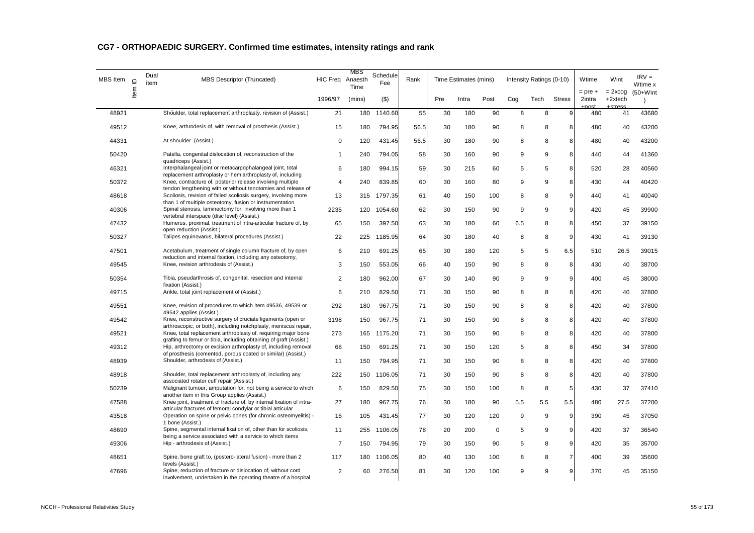| MBS Item | $\supseteq$ | Dual<br>item | <b>MBS Descriptor (Truncated)</b>                                                                                                                  | HIC Freq Anaesth | MBS<br>Time | Schedule<br>Fee | Rank |     | Time Estimates (mins) |          |     | Intensity Ratings (0-10) |                | Wtime                 | Wint                   | $IRV =$<br>Wtime x |
|----------|-------------|--------------|----------------------------------------------------------------------------------------------------------------------------------------------------|------------------|-------------|-----------------|------|-----|-----------------------|----------|-----|--------------------------|----------------|-----------------------|------------------------|--------------------|
|          | ltem        |              |                                                                                                                                                    | 1996/97          | (mins)      | $($ \$          |      | Pre | Intra                 | Post     | Cog | Tech                     | <b>Stress</b>  | $=$ pre $+$<br>2intra | $= 2x \cos$<br>+2xtech | $(50+W)$ int       |
| 48921    |             |              | Shoulder, total replacement arthroplasty, revision of (Assist.)                                                                                    | 21               | 180         | 1140.60         | 55   | 30  | 180                   | 90       | 8   | 8                        | 9              | 480                   | 41                     | 43680              |
| 49512    |             |              | Knee, arthrodesis of, with removal of prosthesis (Assist.)                                                                                         | 15               | 180         | 794.95          | 56.5 | 30  | 180                   | 90       | 8   | 8                        | 8              | 480                   | 40                     | 43200              |
| 44331    |             |              | At shoulder (Assist.)                                                                                                                              | 0                | 120         | 431.45          | 56.5 | 30  | 180                   | 90       | 8   | 8                        | 8              | 480                   | 40                     | 43200              |
| 50420    |             |              | Patella, congenital dislocation of, reconstruction of the<br>quadriceps (Assist.)                                                                  | $\mathbf{1}$     | 240         | 794.05          | 58   | 30  | 160                   | 90       | 9   | 9                        | 8              | 440                   | 44                     | 41360              |
| 46321    |             |              | Interphalangeal joint or metacarpophalangeal joint, total<br>replacement arthroplasty or hemiarthroplasty of, including                            | 6                | 180         | 994.15          | 59   | 30  | 215                   | 60       | 5   | 5                        | 8              | 520                   | 28                     | 40560              |
| 50372    |             |              | Knee, contracture of, posterior release involving multiple<br>tendon lengthening with or without tenotomies and release of                         | $\overline{4}$   | 240         | 839.85          | 60   | 30  | 160                   | 80       | 9   | 9                        | 8              | 430                   | 44                     | 40420              |
| 48618    |             |              | Scoliosis, revision of failed scoliosis surgery, involving more<br>than 1 of multiple osteotomy, fusion or instrumentation                         | 13               | 315         | 1797.35         | 61   | 40  | 150                   | 100      | 8   | 8                        | 9              | 440                   | 41                     | 40040              |
| 40306    |             |              | Spinal stenosis, laminectomy for, involving more than 1<br>vertebral interspace (disc level) (Assist.)                                             | 2235             | 120         | 1054.60         | 62   | 30  | 150                   | 90       | 9   | 9                        | 9              | 420                   | 45                     | 39900              |
| 47432    |             |              | Humerus, proximal, treatment of intra-articular fracture of, by<br>open reduction (Assist.)                                                        | 65               | 150         | 397.50          | 63   | 30  | 180                   | 60       | 6.5 | 8                        | 8              | 450                   | 37                     | 39150              |
| 50327    |             |              | Talipes equinovarus, bilateral procedures (Assist.)                                                                                                | 22               | 225         | 1185.95         | 64   | 30  | 180                   | 40       | 8   | 8                        | 9              | 430                   | 41                     | 39130              |
| 47501    |             |              | Acetabulum, treatment of single column fracture of, by open<br>reduction and internal fixation, including any osteotomy,                           | 6                | 210         | 691.25          | 65   | 30  | 180                   | 120      | 5   | 5                        | 6.5            | 510                   | 26.5                   | 39015              |
| 49545    |             |              | Knee, revision arthrodesis of (Assist.)                                                                                                            | 3                | 150         | 553.05          | 66   | 40  | 150                   | 90       | 8   | 8                        | 8              | 430                   | 40                     | 38700              |
| 50354    |             |              | Tibia, pseudarthrosis of, congenital, resection and internal<br>fixation (Assist.)                                                                 | $\overline{2}$   | 180         | 962.00          | 67   | 30  | 140                   | 90       | 9   | 9                        | 9              | 400                   | 45                     | 38000              |
| 49715    |             |              | Ankle, total joint replacement of (Assist.)                                                                                                        | 6                | 210         | 829.50          | 71   | 30  | 150                   | 90       | 8   | 8                        | 8              | 420                   | 40                     | 37800              |
| 49551    |             |              | Knee, revision of procedures to which item 49536, 49539 or<br>49542 applies (Assist.)                                                              | 292              | 180         | 967.75          | 71   | 30  | 150                   | 90       | 8   | 8                        | 8              | 420                   | 40                     | 37800              |
| 49542    |             |              | Knee, reconstructive surgery of cruciate ligaments (open or<br>arthroscopic, or both), including notchplasty, meniscus repair.                     | 3198             | 150         | 967.75          | 71   | 30  | 150                   | 90       | 8   | 8                        | 8              | 420                   | 40                     | 37800              |
| 49521    |             |              | Knee, total replacement arthroplasty of, requiring major bone<br>grafting to femur or tibia, including obtaining of graft (Assist.)                | 273              | 165         | 1175.20         | 71   | 30  | 150                   | 90       | 8   | 8                        | 8              | 420                   | 40                     | 37800              |
| 49312    |             |              | Hip, arthrectomy or excision arthroplasty of, including removal<br>of prosthesis (cemented, porous coated or similar) (Assist.)                    | 68               | 150         | 691.25          | 71   | 30  | 150                   | 120      | 5   | 8                        | 8              | 450                   | 34                     | 37800              |
| 48939    |             |              | Shoulder, arthrodesis of (Assist.)                                                                                                                 | 11               | 150         | 794.95          | 71   | 30  | 150                   | 90       | 8   | 8                        | 8              | 420                   | 40                     | 37800              |
| 48918    |             |              | Shoulder, total replacement arthroplasty of, including any<br>associated rotator cuff repair (Assist.)                                             | 222              | 150         | 1106.05         | 71   | 30  | 150                   | 90       | 8   | 8                        | 8              | 420                   | 40                     | 37800              |
| 50239    |             |              | Malignant tumour, amputation for, not being a service to which<br>another item in this Group applies (Assist.)                                     | 6                | 150         | 829.50          | 75   | 30  | 150                   | 100      | 8   | 8                        | 5              | 430                   | 37                     | 37410              |
| 47588    |             |              | Knee joint, treatment of fracture of, by internal fixation of intra-<br>articular fractures of femoral condylar or tibial articular                | 27               | 180         | 967.75          | 76   | 30  | 180                   | 90       | 5.5 | 5.5                      | 5.5            | 480                   | 27.5                   | 37200              |
| 43518    |             |              | Operation on spine or pelvic bones (for chronic osteomyelitis) -<br>1 bone (Assist.)                                                               | 16               | 105         | 431.45          | 77   | 30  | 120                   | 120      | 9   | 9                        | 9              | 390                   | 45                     | 37050              |
| 48690    |             |              | Spine, segmental internal fixation of, other than for scoliosis,<br>being a service associated with a service to which items                       | 11               | 255         | 1106.05         | 78   | 20  | 200                   | $\Omega$ | 5   | 9                        | 9              | 420                   | 37                     | 36540              |
| 49306    |             |              | Hip - arthrodesis of (Assist.)                                                                                                                     | $\overline{7}$   | 150         | 794.95          | 79   | 30  | 150                   | 90       | 5   | 8                        | 9              | 420                   | 35                     | 35700              |
| 48651    |             |              | Spine, bone graft to, (postero-lateral fusion) - more than 2                                                                                       | 117              | 180         | 1106.05         | 80   | 40  | 130                   | 100      | 8   | 8                        | $\overline{7}$ | 400                   | 39                     | 35600              |
| 47696    |             |              | levels (Assist.)<br>Spine, reduction of fracture or dislocation of, without cord<br>involvement, undertaken in the operating theatre of a hospital | 2                | 60          | 276.50          | 81   | 30  | 120                   | 100      | 9   | 9                        | 9              | 370                   | 45                     | 35150              |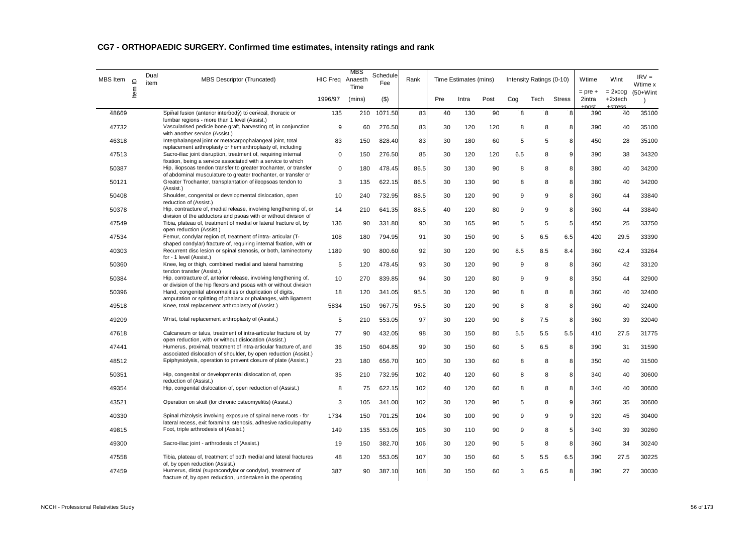| MBS Item | $\supseteq$ | Dual<br>item | <b>MBS Descriptor (Truncated)</b>                                                                                                     | HIC Freq Anaesth | MBS<br>Time | Schedule<br><b>Fee</b> | Rank |     | Time Estimates (mins) |      |     | Intensity Ratings (0-10) |               | Wtime<br>$=$ pre $+$ | Wint                              | $IRV =$<br>Wtime x        |
|----------|-------------|--------------|---------------------------------------------------------------------------------------------------------------------------------------|------------------|-------------|------------------------|------|-----|-----------------------|------|-----|--------------------------|---------------|----------------------|-----------------------------------|---------------------------|
|          | Item        |              |                                                                                                                                       | 1996/97          | (mins)      | $($ \$)                |      | Pre | Intra                 | Post | Cog | Tech                     | <b>Stress</b> | 2intra<br>net        | $= 2x \cos$<br>+2xtech<br>.etraes | $(50+W)$ int<br>$\lambda$ |
| 48669    |             |              | Spinal fusion (anterior interbody) to cervical, thoracic or<br>lumbar regions - more than 1 level (Assist.)                           | 135              | 210         | 1071.50                | 83   | 40  | 130                   | 90   | 8   | 8                        | 8             | 390                  | 40                                | 35100                     |
| 47732    |             |              | Vascularised pedicle bone graft, harvesting of, in conjunction<br>with another service (Assist.)                                      | 9                | 60          | 276.50                 | 83   | 30  | 120                   | 120  | 8   | 8                        | 8             | 390                  | 40                                | 35100                     |
| 46318    |             |              | Interphalangeal joint or metacarpophalangeal joint, total<br>replacement arthroplasty or hemiarthroplasty of, including               | 83               | 150         | 828.40                 | 83   | 30  | 180                   | 60   | 5   | 5                        | 8             | 450                  | 28                                | 35100                     |
| 47513    |             |              | Sacro-iliac joint disruption, treatment of, requiring internal<br>fixation, being a service associated with a service to which        | $\mathbf 0$      | 150         | 276.50                 | 85   | 30  | 120                   | 120  | 6.5 | 8                        | 9             | 390                  | 38                                | 34320                     |
| 50387    |             |              | Hip, iliopsoas tendon transfer to greater trochanter, or transfer<br>of abdominal musculature to greater trochanter, or transfer or   | $\mathbf 0$      | 180         | 478.45                 | 86.5 | 30  | 130                   | 90   | 8   | 8                        | 8             | 380                  | 40                                | 34200                     |
| 50121    |             |              | Greater Trochanter, transplantation of ileopsoas tendon to<br>(Assist.)                                                               | 3                | 135         | 622.15                 | 86.5 | 30  | 130                   | 90   | 8   | 8                        | 8             | 380                  | 40                                | 34200                     |
| 50408    |             |              | Shoulder, congenital or developmental dislocation, open<br>reduction of (Assist.)                                                     | 10               | 240         | 732.95                 | 88.5 | 30  | 120                   | 90   | 9   | 9                        | 8             | 360                  | 44                                | 33840                     |
| 50378    |             |              | Hip, contracture of, medial release, involving lengthening of, or<br>division of the adductors and psoas with or without division of  | 14               | 210         | 641.35                 | 88.5 | 40  | 120                   | 80   | 9   | 9                        | 8             | 360                  | 44                                | 33840                     |
| 47549    |             |              | Tibia, plateau of, treatment of medial or lateral fracture of, by<br>open reduction (Assist.)                                         | 136              | 90          | 331.80                 | 90   | 30  | 165                   | 90   | 5   | 5                        | 5             | 450                  | 25                                | 33750                     |
| 47534    |             |              | Femur, condylar region of, treatment of intra- articular (T-<br>shaped condylar) fracture of, requiring internal fixation, with or    | 108              | 180         | 794.95                 | 91   | 30  | 150                   | 90   | 5   | 6.5                      | 6.5           | 420                  | 29.5                              | 33390                     |
| 40303    |             |              | Recurrent disc lesion or spinal stenosis, or both, laminectomy<br>for - 1 level (Assist.)                                             | 1189             | 90          | 800.60                 | 92   | 30  | 120                   | 90   | 8.5 | 8.5                      | 8.4           | 360                  | 42.4                              | 33264                     |
| 50360    |             |              | Knee, leg or thigh, combined medial and lateral hamstring<br>tendon transfer (Assist.)                                                | 5                | 120         | 478.45                 | 93   | 30  | 120                   | 90   | 9   | 8                        | 8             | 360                  | 42                                | 33120                     |
| 50384    |             |              | Hip, contracture of, anterior release, involving lengthening of,<br>or division of the hip flexors and psoas with or without division | 10               | 270         | 839.85                 | 94   | 30  | 120                   | 80   | 9   | 9                        | 8             | 350                  | 44                                | 32900                     |
| 50396    |             |              | Hand, congenital abnormalities or duplication of digits,<br>amputation or splitting of phalanx or phalanges, with ligament            | 18               | 120         | 341.05                 | 95.5 | 30  | 120                   | 90   | 8   | 8                        | 8             | 360                  | 40                                | 32400                     |
| 49518    |             |              | Knee, total replacement arthroplasty of (Assist.)                                                                                     | 5834             | 150         | 967.75                 | 95.5 | 30  | 120                   | 90   | 8   | 8                        | 8             | 360                  | 40                                | 32400                     |
| 49209    |             |              | Wrist, total replacement arthroplasty of (Assist.)                                                                                    | 5                | 210         | 553.05                 | 97   | 30  | 120                   | 90   | 8   | 7.5                      | 8             | 360                  | 39                                | 32040                     |
| 47618    |             |              | Calcaneum or talus, treatment of intra-articular fracture of, by<br>open reduction, with or without dislocation (Assist.)             | 77               | 90          | 432.05                 | 98   | 30  | 150                   | 80   | 5.5 | 5.5                      | 5.5           | 410                  | 27.5                              | 31775                     |
| 47441    |             |              | Humerus, proximal, treatment of intra-articular fracture of, and<br>associated dislocation of shoulder, by open reduction (Assist.)   | 36               | 150         | 604.85                 | 99   | 30  | 150                   | 60   | 5   | 6.5                      | 8             | 390                  | 31                                | 31590                     |
| 48512    |             |              | Epiphysiolysis, operation to prevent closure of plate (Assist.)                                                                       | 23               | 180         | 656.70                 | 100  | 30  | 130                   | 60   | 8   | 8                        | 8             | 350                  | 40                                | 31500                     |
| 50351    |             |              | Hip, congenital or developmental dislocation of, open<br>reduction of (Assist.)                                                       | 35               | 210         | 732.95                 | 102  | 40  | 120                   | 60   | 8   | 8                        | 8             | 340                  | 40                                | 30600                     |
| 49354    |             |              | Hip, congenital dislocation of, open reduction of (Assist.)                                                                           | 8                | 75          | 622.15                 | 102  | 40  | 120                   | 60   | 8   | 8                        | 8             | 340                  | 40                                | 30600                     |
| 43521    |             |              | Operation on skull (for chronic osteomyelitis) (Assist.)                                                                              | 3                | 105         | 341.00                 | 102  | 30  | 120                   | 90   | 5   | 8                        | 9             | 360                  | 35                                | 30600                     |
| 40330    |             |              | Spinal rhizolysis involving exposure of spinal nerve roots - for<br>lateral recess, exit foraminal stenosis, adhesive radiculopathy   | 1734             | 150         | 701.25                 | 104  | 30  | 100                   | 90   | 9   | 9                        | 9             | 320                  | 45                                | 30400                     |
| 49815    |             |              | Foot, triple arthrodesis of (Assist.)                                                                                                 | 149              | 135         | 553.05                 | 105  | 30  | 110                   | 90   | 9   | 8                        | 5             | 340                  | 39                                | 30260                     |
| 49300    |             |              | Sacro-iliac joint - arthrodesis of (Assist.)                                                                                          | 19               | 150         | 382.70                 | 106  | 30  | 120                   | 90   | 5   | 8                        | 8             | 360                  | 34                                | 30240                     |
| 47558    |             |              | Tibia, plateau of, treatment of both medial and lateral fractures<br>of, by open reduction (Assist.)                                  | 48               | 120         | 553.05                 | 107  | 30  | 150                   | 60   | 5   | 5.5                      | 6.5           | 390                  | 27.5                              | 30225                     |
| 47459    |             |              | Humerus, distal (supracondylar or condylar), treatment of<br>fracture of, by open reduction, undertaken in the operating              | 387              | 90          | 387.10                 | 108  | 30  | 150                   | 60   | 3   | 6.5                      | 8             | 390                  | 27                                | 30030                     |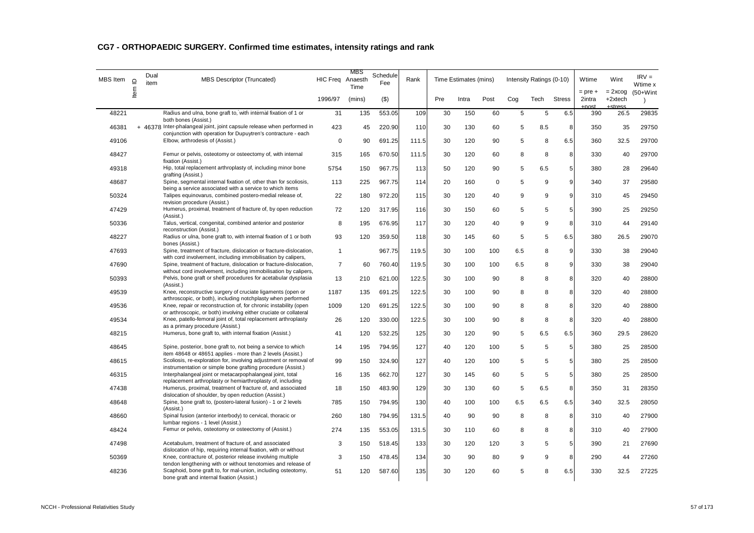| <b>MBS</b> Item | $\supseteq$ | Dual<br>item | <b>MBS Descriptor (Truncated)</b>                                                                                                                                          | HIC Freq Anaesth | MBS<br>Time | Schedule<br>Fee | Rank  |     | Time Estimates (mins) |             |            | Intensity Ratings (0-10) |               | Wtime                        | Wint                     | $IRV =$<br>Wtime x        |
|-----------------|-------------|--------------|----------------------------------------------------------------------------------------------------------------------------------------------------------------------------|------------------|-------------|-----------------|-------|-----|-----------------------|-------------|------------|--------------------------|---------------|------------------------------|--------------------------|---------------------------|
|                 | Item I      |              |                                                                                                                                                                            | 1996/97          | (mins)      | $($ \$)         |       | Pre | Intra                 | Post        | Cog        | Tech                     | <b>Stress</b> | $=$ pre $+$<br>2intra<br>net | $= 2x \cos$<br>$+2xtech$ | $(50+W)$ int<br>$\lambda$ |
| 48221           |             |              | Radius and ulna, bone graft to, with internal fixation of 1 or<br>both bones (Assist.)                                                                                     | 31               | 135         | 553.05          | 109   | 30  | 150                   | 60          | $\sqrt{5}$ | $\overline{5}$           | 6.5           | 390                          | 26.5                     | 29835                     |
| 46381           |             |              | + 46378 Inter-phalangeal joint, joint capsule release when performed in<br>conjunction with operation for Dupuytren's contracture - each                                   | 423              | 45          | 220.90          | 110   | 30  | 130                   | 60          | 5          | 8.5                      | 8             | 350                          | 35                       | 29750                     |
| 49106           |             |              | Elbow, arthrodesis of (Assist.)                                                                                                                                            | $\mathbf 0$      | 90          | 691.25          | 111.5 | 30  | 120                   | 90          | 5          | 8                        | 6.5           | 360                          | 32.5                     | 29700                     |
| 48427           |             |              | Femur or pelvis, osteotomy or osteectomy of, with internal<br>fixation (Assist.)                                                                                           | 315              | 165         | 670.50          | 111.5 | 30  | 120                   | 60          | 8          | 8                        | 8             | 330                          | 40                       | 29700                     |
| 49318           |             |              | Hip, total replacement arthroplasty of, including minor bone<br>grafting (Assist.)                                                                                         | 5754             | 150         | 967.75          | 113   | 50  | 120                   | 90          | 5          | 6.5                      | 5             | 380                          | 28                       | 29640                     |
| 48687           |             |              | Spine, segmental internal fixation of, other than for scoliosis,<br>being a service associated with a service to which items                                               | 113              | 225         | 967.75          | 114   | 20  | 160                   | $\mathbf 0$ | 5          | 9                        | 9             | 340                          | 37                       | 29580                     |
| 50324           |             |              | Talipes equinovarus, combined postero-medial release of,<br>revision procedure (Assist.)                                                                                   | 22               | 180         | 972.20          | 115   | 30  | 120                   | 40          | 9          | 9                        | 9             | 310                          | 45                       | 29450                     |
| 47429           |             |              | Humerus, proximal, treatment of fracture of, by open reduction<br>(Assist.)                                                                                                | 72               | 120         | 317.95          | 116   | 30  | 150                   | 60          | 5          | 5                        | 5             | 390                          | 25                       | 29250                     |
| 50336           |             |              | Talus, vertical, congenital, combined anterior and posterior<br>reconstruction (Assist.)                                                                                   | 8                | 195         | 676.95          | 117   | 30  | 120                   | 40          | 9          | 9                        | 8             | 310                          | 44                       | 29140                     |
| 48227           |             |              | Radius or ulna, bone graft to, with internal fixation of 1 or both<br>bones (Assist.)                                                                                      | 93               | 120         | 359.50          | 118   | 30  | 145                   | 60          | 5          | 5                        | 6.5           | 380                          | 26.5                     | 29070                     |
| 47693           |             |              | Spine, treatment of fracture, dislocation or fracture-dislocation,<br>with cord involvement, including immobilisation by calipers,                                         | $\mathbf{1}$     |             | 967.75          | 119.5 | 30  | 100                   | 100         | 6.5        | 8                        | 9             | 330                          | 38                       | 29040                     |
| 47690           |             |              | Spine, treatment of fracture, dislocation or fracture-dislocation,<br>without cord involvement, including immobilisation by calipers,                                      | $\overline{7}$   | 60          | 760.40          | 119.5 | 30  | 100                   | 100         | 6.5        | 8                        | 9             | 330                          | 38                       | 29040                     |
| 50393           |             |              | Pelvis, bone graft or shelf procedures for acetabular dysplasia<br>(Assist.)                                                                                               | 13               | 210         | 621.00          | 122.5 | 30  | 100                   | 90          | 8          | 8                        | 8             | 320                          | 40                       | 28800                     |
| 49539           |             |              | Knee, reconstructive surgery of cruciate ligaments (open or<br>arthroscopic, or both), including notchplasty when performed                                                | 1187             | 135         | 691.25          | 122.5 | 30  | 100                   | 90          | 8          | 8                        | 8             | 320                          | 40                       | 28800                     |
| 49536           |             |              | Knee, repair or reconstruction of, for chronic instability (open<br>or arthroscopic, or both) involving either cruciate or collateral                                      | 1009             | 120         | 691.25          | 122.5 | 30  | 100                   | 90          | 8          | 8                        | 8             | 320                          | 40                       | 28800                     |
| 49534           |             |              | Knee, patello-femoral joint of, total replacement arthroplasty<br>as a primary procedure (Assist.)                                                                         | 26               | 120         | 330.00          | 122.5 | 30  | 100                   | 90          | 8          | 8                        | 8             | 320                          | 40                       | 28800                     |
| 48215           |             |              | Humerus, bone graft to, with internal fixation (Assist.)                                                                                                                   | 41               | 120         | 532.25          | 125   | 30  | 120                   | 90          | 5          | 6.5                      | 6.5           | 360                          | 29.5                     | 28620                     |
| 48645           |             |              | Spine, posterior, bone graft to, not being a service to which<br>item 48648 or 48651 applies - more than 2 levels (Assist.)                                                | 14               | 195         | 794.95          | 127   | 40  | 120                   | 100         | 5          | 5                        | 5             | 380                          | 25                       | 28500                     |
| 48615           |             |              | Scoliosis, re-exploration for, involving adjustment or removal of<br>instrumentation or simple bone grafting procedure (Assist.)                                           | 99               | 150         | 324.90          | 127   | 40  | 120                   | 100         | 5          | 5                        | 5             | 380                          | 25                       | 28500                     |
| 46315           |             |              | Interphalangeal joint or metacarpophalangeal joint, total<br>replacement arthroplasty or hemiarthroplasty of, including                                                    | 16               | 135         | 662.70          | 127   | 30  | 145                   | 60          | 5          | 5                        | 5             | 380                          | 25                       | 28500                     |
| 47438           |             |              | Humerus, proximal, treatment of fracture of, and associated<br>dislocation of shoulder, by open reduction (Assist.)                                                        | 18               | 150         | 483.90          | 129   | 30  | 130                   | 60          | 5          | 6.5                      | 8             | 350                          | 31                       | 28350                     |
| 48648           |             |              | Spine, bone graft to, (postero-lateral fusion) - 1 or 2 levels<br>(Assist.)                                                                                                | 785              | 150         | 794.95          | 130   | 40  | 100                   | 100         | 6.5        | 6.5                      | 6.5           | 340                          | 32.5                     | 28050                     |
| 48660           |             |              | Spinal fusion (anterior interbody) to cervical, thoracic or<br>lumbar regions - 1 level (Assist.)                                                                          | 260              | 180         | 794.95          | 131.5 | 40  | 90                    | 90          | 8          | 8                        | 8             | 310                          | 40                       | 27900                     |
| 48424           |             |              | Femur or pelvis, osteotomy or osteectomy of (Assist.)                                                                                                                      | 274              | 135         | 553.05          | 131.5 | 30  | 110                   | 60          | 8          | 8                        | 8             | 310                          | 40                       | 27900                     |
| 47498           |             |              | Acetabulum, treatment of fracture of, and associated                                                                                                                       | 3                | 150         | 518.45          | 133   | 30  | 120                   | 120         | 3          | 5                        | 5             | 390                          | 21                       | 27690                     |
| 50369           |             |              | dislocation of hip, requiring internal fixation, with or without<br>Knee, contracture of, posterior release involving multiple                                             | 3                | 150         | 478.45          | 134   | 30  | 90                    | 80          | 9          | 9                        | 8             | 290                          | 44                       | 27260                     |
| 48236           |             |              | tendon lengthening with or without tenotomies and release of<br>Scaphoid, bone graft to, for mal-union, including osteotomy,<br>bone graft and internal fixation (Assist.) | 51               | 120         | 587.60          | 135   | 30  | 120                   | 60          | 5          | 8                        | 6.5           | 330                          | 32.5                     | 27225                     |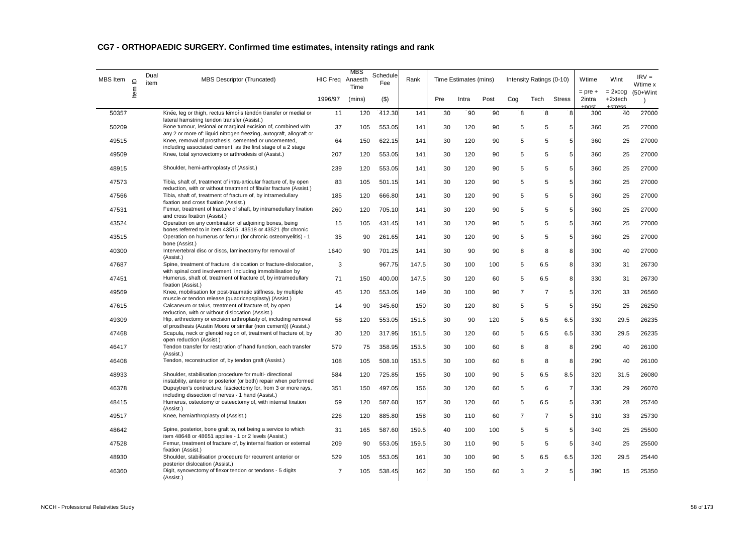| <b>MBS</b> Item | $\supseteq$ | Dual<br>item | <b>MBS Descriptor (Truncated)</b>                                                                                                                                                  | HIC Freq Anaesth | MBS<br>Time | Schedule<br>Fee | Rank  |     | Time Estimates (mins) |      |                | Intensity Ratings (0-10) |                | Wtime                 | Wint                   | $IRV =$<br>Wtime x |
|-----------------|-------------|--------------|------------------------------------------------------------------------------------------------------------------------------------------------------------------------------------|------------------|-------------|-----------------|-------|-----|-----------------------|------|----------------|--------------------------|----------------|-----------------------|------------------------|--------------------|
|                 | Item        |              |                                                                                                                                                                                    | 1996/97          | (mins)      | $($ \$)         |       | Pre | Intra                 | Post | Cog            | Tech                     | <b>Stress</b>  | $=$ pre $+$<br>2intra | $= 2x \cos$<br>+2xtech | $(50+W)$ int       |
| 50357           |             |              | Knee, leg or thigh, rectus femoris tendon transfer or medial or                                                                                                                    | 11               | 120         | 412.30          | 141   | 30  | 90                    | 90   | 8              | 8                        | 8              | 300                   | 40                     | 27000              |
| 50209           |             |              | lateral hamstring tendon transfer (Assist.)<br>Bone tumour, lesional or marginal excision of, combined with<br>any 2 or more of: liquid nitrogen freezing, autograft, allograft or | 37               | 105         | 553.05          | 141   | 30  | 120                   | 90   | 5              | 5                        | 5              | 360                   | 25                     | 27000              |
| 49515           |             |              | Knee, removal of prosthesis, cemented or uncemented,<br>including associated cement, as the first stage of a 2 stage                                                               | 64               | 150         | 622.15          | 141   | 30  | 120                   | 90   | 5              | 5                        | 5              | 360                   | 25                     | 27000              |
| 49509           |             |              | Knee, total synovectomy or arthrodesis of (Assist.)                                                                                                                                | 207              | 120         | 553.05          | 141   | 30  | 120                   | 90   | 5              | 5                        | 5              | 360                   | 25                     | 27000              |
| 48915           |             |              | Shoulder, hemi-arthroplasty of (Assist.)                                                                                                                                           | 239              | 120         | 553.05          | 141   | 30  | 120                   | 90   | 5              | 5                        | 5              | 360                   | 25                     | 27000              |
| 47573           |             |              | Tibia, shaft of, treatment of intra-articular fracture of, by open<br>reduction, with or without treatment of fibular fracture (Assist.)                                           | 83               | 105         | 501.15          | 141   | 30  | 120                   | 90   | 5              | 5                        | 5              | 360                   | 25                     | 27000              |
| 47566           |             |              | Tibia, shaft of, treatment of fracture of, by intramedullary<br>fixation and cross fixation (Assist.)                                                                              | 185              | 120         | 666.80          | 141   | 30  | 120                   | 90   | 5              | 5                        | 5              | 360                   | 25                     | 27000              |
| 47531           |             |              | Femur, treatment of fracture of shaft, by intramedullary fixation<br>and cross fixation (Assist.)                                                                                  | 260              | 120         | 705.10          | 141   | 30  | 120                   | 90   | 5              | 5                        | 5              | 360                   | 25                     | 27000              |
| 43524           |             |              | Operation on any combination of adjoining bones, being<br>bones referred to in item 43515, 43518 or 43521 (for chronic                                                             | 15               | 105         | 431.45          | 141   | 30  | 120                   | 90   | 5              | 5                        | 5              | 360                   | 25                     | 27000              |
| 43515           |             |              | Operation on humerus or femur (for chronic osteomyelitis) - 1<br>bone (Assist.)                                                                                                    | 35               | 90          | 261.65          | 141   | 30  | 120                   | 90   | 5              | 5                        | 5              | 360                   | 25                     | 27000              |
| 40300           |             |              | Intervertebral disc or discs, laminectomy for removal of<br>(Assist.)                                                                                                              | 1640             | 90          | 701.25          | 141   | 30  | 90                    | 90   | 8              | 8                        | 8              | 300                   | 40                     | 27000              |
| 47687           |             |              | Spine, treatment of fracture, dislocation or fracture-dislocation,<br>with spinal cord involvement, including immobilisation by                                                    | 3                |             | 967.75          | 147.5 | 30  | 100                   | 100  | 5              | 6.5                      | 8              | 330                   | 31                     | 26730              |
| 47451           |             |              | Humerus, shaft of, treatment of fracture of, by intramedullary<br>fixation (Assist.)                                                                                               | 71               | 150         | 400.00          | 147.5 | 30  | 120                   | 60   | 5              | 6.5                      | 8              | 330                   | 31                     | 26730              |
| 49569           |             |              | Knee, mobilisation for post-traumatic stiffness, by multiple<br>muscle or tendon release (quadricepsplasty) (Assist.)                                                              | 45               | 120         | 553.05          | 149   | 30  | 100                   | 90   | $\overline{7}$ | $\overline{7}$           | $\mathbf 5$    | 320                   | 33                     | 26560              |
| 47615           |             |              | Calcaneum or talus, treatment of fracture of, by open<br>reduction, with or without dislocation (Assist.)                                                                          | 14               | 90          | 345.60          | 150   | 30  | 120                   | 80   | 5              | 5                        | $\sqrt{5}$     | 350                   | 25                     | 26250              |
| 49309           |             |              | Hip, arthrectomy or excision arthroplasty of, including removal<br>of prosthesis (Austin Moore or similar (non cement)) (Assist.)                                                  | 58               | 120         | 553.05          | 151.5 | 30  | 90                    | 120  | 5              | 6.5                      | 6.5            | 330                   | 29.5                   | 26235              |
| 47468           |             |              | Scapula, neck or glenoid region of, treatment of fracture of, by<br>open reduction (Assist.)                                                                                       | 30               | 120         | 317.95          | 151.5 | 30  | 120                   | 60   | 5              | 6.5                      | 6.5            | 330                   | 29.5                   | 26235              |
| 46417           |             |              | Tendon transfer for restoration of hand function, each transfer<br>(Assist.)                                                                                                       | 579              | 75          | 358.95          | 153.5 | 30  | 100                   | 60   | 8              | 8                        | 8              | 290                   | 40                     | 26100              |
| 46408           |             |              | Tendon, reconstruction of, by tendon graft (Assist.)                                                                                                                               | 108              | 105         | 508.10          | 153.5 | 30  | 100                   | 60   | 8              | 8                        | 8              | 290                   | 40                     | 26100              |
| 48933           |             |              | Shoulder, stabilisation procedure for multi- directional<br>instability, anterior or posterior (or both) repair when performed                                                     | 584              | 120         | 725.85          | 155   | 30  | 100                   | 90   | 5              | 6.5                      | 8.5            | 320                   | 31.5                   | 26080              |
| 46378           |             |              | Dupuytren's contracture, fasciectomy for, from 3 or more rays,<br>including dissection of nerves - 1 hand (Assist.)                                                                | 351              | 150         | 497.05          | 156   | 30  | 120                   | 60   | 5              | 6                        | $\overline{7}$ | 330                   | 29                     | 26070              |
| 48415           |             |              | Humerus, osteotomy or osteectomy of, with internal fixation<br>(Assist.)                                                                                                           | 59               | 120         | 587.60          | 157   | 30  | 120                   | 60   | 5              | 6.5                      | 5              | 330                   | 28                     | 25740              |
| 49517           |             |              | Knee, hemiarthroplasty of (Assist.)                                                                                                                                                | 226              | 120         | 885.80          | 158   | 30  | 110                   | 60   | $\overline{7}$ | $\overline{7}$           | 5              | 310                   | 33                     | 25730              |
| 48642           |             |              | Spine, posterior, bone graft to, not being a service to which<br>item 48648 or 48651 applies - 1 or 2 levels (Assist.)                                                             | 31               | 165         | 587.60          | 159.5 | 40  | 100                   | 100  | 5              | 5                        | 5              | 340                   | 25                     | 25500              |
| 47528           |             |              | Femur, treatment of fracture of, by internal fixation or external<br>fixation (Assist.)                                                                                            | 209              | 90          | 553.05          | 159.5 | 30  | 110                   | 90   | 5              | 5                        | 5              | 340                   | 25                     | 25500              |
| 48930           |             |              | Shoulder, stabilisation procedure for recurrent anterior or<br>posterior dislocation (Assist.)                                                                                     | 529              | 105         | 553.05          | 161   | 30  | 100                   | 90   | 5              | 6.5                      | 6.5            | 320                   | 29.5                   | 25440              |
| 46360           |             |              | Digit, synovectomy of flexor tendon or tendons - 5 digits<br>(Assist.)                                                                                                             | $\overline{7}$   | 105         | 538.45          | 162   | 30  | 150                   | 60   | 3              | $\overline{2}$           | 5              | 390                   | 15                     | 25350              |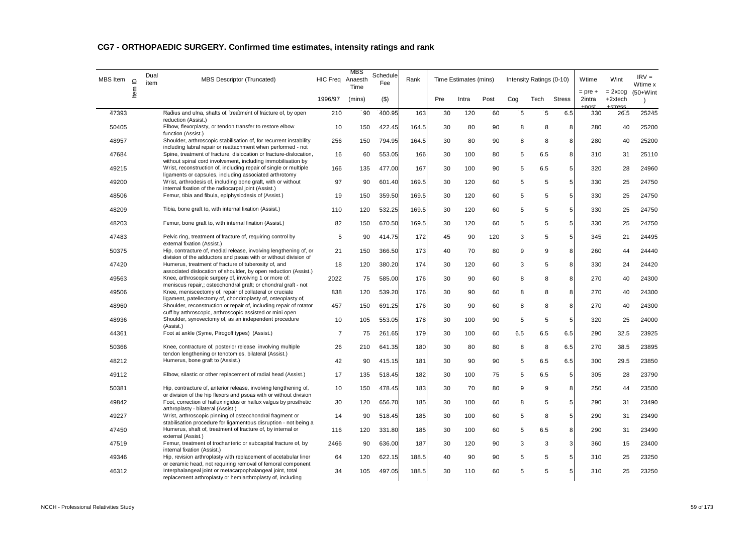| <b>MBS</b> Item | Item ID | Dual<br>item | <b>MBS Descriptor (Truncated)</b>                                                                                                     | HIC Freq Anaesth | MBS<br>Time | Schedule<br>Fee | Rank  |     | Time Estimates (mins) |      |     | Intensity Ratings (0-10) |                | Wtime                           | Wint                   | $IRV =$<br>Wtime x        |
|-----------------|---------|--------------|---------------------------------------------------------------------------------------------------------------------------------------|------------------|-------------|-----------------|-------|-----|-----------------------|------|-----|--------------------------|----------------|---------------------------------|------------------------|---------------------------|
|                 |         |              |                                                                                                                                       | 1996/97          | (mins)      | $($ \$)         |       | Pre | Intra                 | Post | Cog | Tech                     | <b>Stress</b>  | $=$ pre $+$<br>2intra<br>$\sim$ | $= 2x \cos$<br>+2xtech | $(50+W)$ int<br>$\lambda$ |
| 47393           |         |              | Radius and ulna, shafts of, treatment of fracture of, by open<br>reduction (Assist.)                                                  | 210              | 90          | 400.95          | 163   | 30  | 120                   | 60   | 5   | 5                        | 6.5            | 330                             | 26.5                   | 25245                     |
| 50405           |         |              | Elbow, flexorplasty, or tendon transfer to restore elbow<br>function (Assist.)                                                        | 10               | 150         | 422.45          | 164.5 | 30  | 80                    | 90   | 8   | 8                        | 8              | 280                             | 40                     | 25200                     |
| 48957           |         |              | Shoulder, arthroscopic stabilisation of, for recurrent instability<br>including labral repair or reattachment when performed - not    | 256              | 150         | 794.95          | 164.5 | 30  | 80                    | 90   | 8   | 8                        | 8              | 280                             | 40                     | 25200                     |
| 47684           |         |              | Spine, treatment of fracture, dislocation or fracture-dislocation,<br>without spinal cord involvement, including immobilisation by    | 16               | 60          | 553.05          | 166   | 30  | 100                   | 80   | 5   | 6.5                      | 8              | 310                             | 31                     | 25110                     |
| 49215           |         |              | Wrist, reconstruction of, including repair of single or multiple<br>ligaments or capsules, including associated arthrotomy            | 166              | 135         | 477.00          | 167   | 30  | 100                   | 90   | 5   | 6.5                      | 5              | 320                             | 28                     | 24960                     |
| 49200           |         |              | Wrist, arthrodesis of, including bone graft, with or without<br>internal fixation of the radiocarpal joint (Assist.)                  | 97               | 90          | 601.40          | 169.5 | 30  | 120                   | 60   | 5   | 5                        | 5              | 330                             | 25                     | 24750                     |
| 48506           |         |              | Femur, tibia and fibula, epiphysiodesis of (Assist.)                                                                                  | 19               | 150         | 359.50          | 169.5 | 30  | 120                   | 60   | 5   | 5                        | 5              | 330                             | 25                     | 24750                     |
| 48209           |         |              | Tibia, bone graft to, with internal fixation (Assist.)                                                                                | 110              | 120         | 532.25          | 169.5 | 30  | 120                   | 60   | 5   | 5                        | 5              | 330                             | 25                     | 24750                     |
| 48203           |         |              | Femur, bone graft to, with internal fixation (Assist.)                                                                                | 82               | 150         | 670.50          | 169.5 | 30  | 120                   | 60   | 5   | 5                        | 5              | 330                             | 25                     | 24750                     |
| 47483           |         |              | Pelvic ring, treatment of fracture of, requiring control by<br>external fixation (Assist.)                                            | 5                | 90          | 414.75          | 172   | 45  | 90                    | 120  | 3   | 5                        | 5              | 345                             | 21                     | 24495                     |
| 50375           |         |              | Hip, contracture of, medial release, involving lengthening of, or<br>division of the adductors and psoas with or without division of  | 21               | 150         | 366.50          | 173   | 40  | 70                    | 80   | 9   | 9                        | 8              | 260                             | 44                     | 24440                     |
| 47420           |         |              | Humerus, treatment of fracture of tuberosity of, and<br>associated dislocation of shoulder, by open reduction (Assist.)               | 18               | 120         | 380.20          | 174   | 30  | 120                   | 60   | 3   | 5                        | 8              | 330                             | 24                     | 24420                     |
| 49563           |         |              | Knee, arthroscopic surgery of, involving 1 or more of:<br>meniscus repair,; osteochondral graft; or chondral graft - not              | 2022             | 75          | 585.00          | 176   | 30  | 90                    | 60   | 8   | 8                        | 8              | 270                             | 40                     | 24300                     |
| 49506           |         |              | Knee, meniscectomy of, repair of collateral or cruciate<br>ligament, patellectomy of, chondroplasty of, osteoplasty of,               | 838              | 120         | 539.20          | 176   | 30  | 90                    | 60   | 8   | 8                        | 8              | 270                             | 40                     | 24300                     |
| 48960           |         |              | Shoulder, reconstruction or repair of, including repair of rotator<br>cuff by arthroscopic, arthroscopic assisted or mini open        | 457              | 150         | 691.25          | 176   | 30  | 90                    | 60   | 8   | 8                        | 8              | 270                             | 40                     | 24300                     |
| 48936           |         |              | Shoulder, synovectomy of, as an independent procedure<br>(Assist.)                                                                    | 10               | 105         | 553.05          | 178   | 30  | 100                   | 90   | 5   | 5                        | 5              | 320                             | 25                     | 24000                     |
| 44361           |         |              | Foot at ankle (Syme, Pirogoff types) (Assist.)                                                                                        | $\overline{7}$   | 75          | 261.65          | 179   | 30  | 100                   | 60   | 6.5 | 6.5                      | 6.5            | 290                             | 32.5                   | 23925                     |
| 50366           |         |              | Knee, contracture of, posterior release involving multiple<br>tendon lengthening or tenotomies, bilateral (Assist.)                   | 26               | 210         | 641.35          | 180   | 30  | 80                    | 80   | 8   | 8                        | 6.5            | 270                             | 38.5                   | 23895                     |
| 48212           |         |              | Humerus, bone graft to (Assist.)                                                                                                      | 42               | 90          | 415.15          | 181   | 30  | 90                    | 90   | 5   | 6.5                      | 6.5            | 300                             | 29.5                   | 23850                     |
| 49112           |         |              | Elbow, silastic or other replacement of radial head (Assist.)                                                                         | 17               | 135         | 518.45          | 182   | 30  | 100                   | 75   | 5   | 6.5                      | 5              | 305                             | 28                     | 23790                     |
| 50381           |         |              | Hip, contracture of, anterior release, involving lengthening of,<br>or division of the hip flexors and psoas with or without division | 10               | 150         | 478.45          | 183   | 30  | 70                    | 80   | 9   | 9                        | 8              | 250                             | 44                     | 23500                     |
| 49842           |         |              | Foot, correction of hallux rigidus or hallux valgus by prosthetic<br>arthroplasty - bilateral (Assist.)                               | 30               | 120         | 656.70          | 185   | 30  | 100                   | 60   | 8   | 5                        | 5 <sup>1</sup> | 290                             | 31                     | 23490                     |
| 49227           |         |              | Wrist, arthroscopic pinning of osteochondral fragment or<br>stabilisation procedure for ligamentous disruption - not being a          | 14               | 90          | 518.45          | 185   | 30  | 100                   | 60   | 5   | 8                        | 5              | 290                             | 31                     | 23490                     |
| 47450           |         |              | Humerus, shaft of, treatment of fracture of, by internal or<br>external (Assist.)                                                     | 116              | 120         | 331.80          | 185   | 30  | 100                   | 60   | 5   | 6.5                      | 8              | 290                             | 31                     | 23490                     |
| 47519           |         |              | Femur, treatment of trochanteric or subcapital fracture of, by<br>internal fixation (Assist.)                                         | 2466             | 90          | 636.00          | 187   | 30  | 120                   | 90   | 3   | 3                        | 3              | 360                             | 15                     | 23400                     |
| 49346           |         |              | Hip, revision arthroplasty with replacement of acetabular liner<br>or ceramic head, not requiring removal of femoral component        | 64               | 120         | 622.15          | 188.5 | 40  | 90                    | 90   | 5   | 5                        | 5              | 310                             | 25                     | 23250                     |
| 46312           |         |              | Interphalangeal joint or metacarpophalangeal joint, total<br>replacement arthroplasty or hemiarthroplasty of, including               | 34               | 105         | 497.05          | 188.5 | 30  | 110                   | 60   | 5   | 5                        | 5              | 310                             | 25                     | 23250                     |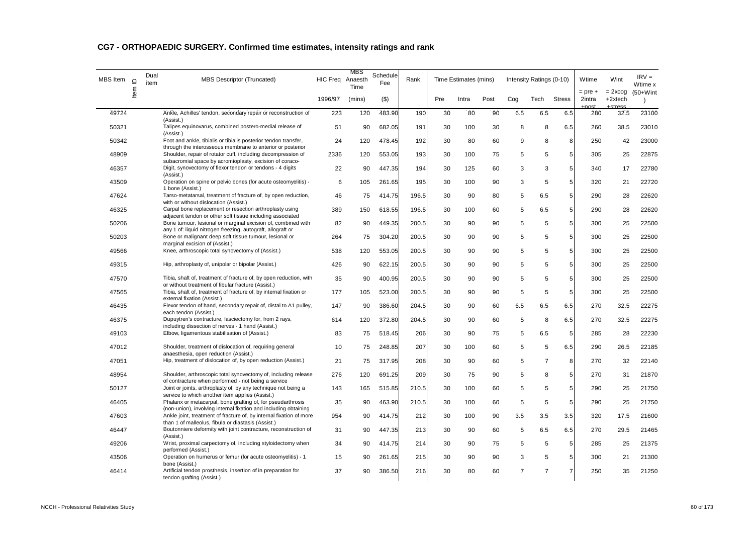| <b>MBS</b> Item | Item ID | Dual<br>item | <b>MBS Descriptor (Truncated)</b>                                                                                               | HIC Freq Anaesth | MBS<br>Time | Schedule<br>Fee | Rank  |     | Time Estimates (mins) |      |                | Intensity Ratings (0-10) |                | Wtime                           | Wint                   | $IRV =$<br>Wtime x        |
|-----------------|---------|--------------|---------------------------------------------------------------------------------------------------------------------------------|------------------|-------------|-----------------|-------|-----|-----------------------|------|----------------|--------------------------|----------------|---------------------------------|------------------------|---------------------------|
|                 |         |              |                                                                                                                                 | 1996/97          | (mins)      | $($ \$)         |       | Pre | Intra                 | Post | Cog            | Tech                     | <b>Stress</b>  | $=$ pre $+$<br>2intra<br>$\sim$ | $= 2x \cos$<br>+2xtech | $(50+W)$ int<br>$\lambda$ |
| 49724           |         |              | Ankle, Achilles' tendon, secondary repair or reconstruction of<br>(Assist.)                                                     | 223              | 120         | 483.90          | 190   | 30  | 80                    | 90   | 6.5            | 6.5                      | 6.5            | 280                             | 32.5                   | 23100                     |
| 50321           |         |              | Talipes equinovarus, combined postero-medial release of<br>(Assist.)                                                            | 51               | 90          | 682.05          | 191   | 30  | 100                   | 30   | 8              | 8                        | 6.5            | 260                             | 38.5                   | 23010                     |
| 50342           |         |              | Foot and ankle, tibialis or tibialis posterior tendon transfer,<br>through the interosseous membrane to anterior or posterior   | 24               | 120         | 478.45          | 192   | 30  | 80                    | 60   | 9              | 8                        | 8              | 250                             | 42                     | 23000                     |
| 48909           |         |              | Shoulder, repair of rotator cuff, including decompression of<br>subacromial space by acromioplasty, excision of coraco-         | 2336             | 120         | 553.05          | 193   | 30  | 100                   | 75   | 5              | 5                        | 5              | 305                             | 25                     | 22875                     |
| 46357           |         |              | Digit, synovectomy of flexor tendon or tendons - 4 digits<br>(Assist.)                                                          | 22               | 90          | 447.35          | 194   | 30  | 125                   | 60   | 3              | 3                        | 5              | 340                             | 17                     | 22780                     |
| 43509           |         |              | Operation on spine or pelvic bones (for acute osteomyelitis) -<br>1 bone (Assist.)                                              | 6                | 105         | 261.65          | 195   | 30  | 100                   | 90   | 3              | 5                        | 5              | 320                             | 21                     | 22720                     |
| 47624           |         |              | Tarso-metatarsal, treatment of fracture of, by open reduction,<br>with or without dislocation (Assist.)                         | 46               | 75          | 414.75          | 196.5 | 30  | 90                    | 80   | 5              | 6.5                      | 5              | 290                             | 28                     | 22620                     |
| 46325           |         |              | Carpal bone replacement or resection arthroplasty using<br>adjacent tendon or other soft tissue including associated            | 389              | 150         | 618.55          | 196.5 | 30  | 100                   | 60   | 5              | 6.5                      | 5              | 290                             | 28                     | 22620                     |
| 50206           |         |              | Bone tumour, lesional or marginal excision of, combined with<br>any 1 of: liquid nitrogen freezing, autograft, allograft or     | 82               | 90          | 449.35          | 200.5 | 30  | 90                    | 90   | 5              | 5                        | 5              | 300                             | 25                     | 22500                     |
| 50203           |         |              | Bone or malignant deep soft tissue tumour, lesional or<br>marginal excision of (Assist.)                                        | 264              | 75          | 304.20          | 200.5 | 30  | 90                    | 90   | 5              | 5                        | 5              | 300                             | 25                     | 22500                     |
| 49566           |         |              | Knee, arthroscopic total synovectomy of (Assist.)                                                                               | 538              | 120         | 553.05          | 200.5 | 30  | 90                    | 90   | 5              | 5                        | 5              | 300                             | 25                     | 22500                     |
| 49315           |         |              | Hip, arthroplasty of, unipolar or bipolar (Assist.)                                                                             | 426              | 90          | 622.15          | 200.5 | 30  | 90                    | 90   | 5              | 5                        | 5              | 300                             | 25                     | 22500                     |
| 47570           |         |              | Tibia, shaft of, treatment of fracture of, by open reduction, with<br>or without treatment of fibular fracture (Assist.)        | 35               | 90          | 400.95          | 200.5 | 30  | 90                    | 90   | 5              | 5                        | 5              | 300                             | 25                     | 22500                     |
| 47565           |         |              | Tibia, shaft of, treatment of fracture of, by internal fixation or<br>external fixation (Assist.)                               | 177              | 105         | 523.00          | 200.5 | 30  | 90                    | 90   | 5              | 5                        | $\sqrt{5}$     | 300                             | 25                     | 22500                     |
| 46435           |         |              | Flexor tendon of hand, secondary repair of, distal to A1 pulley,<br>each tendon (Assist.)                                       | 147              | 90          | 386.60          | 204.5 | 30  | 90                    | 60   | 6.5            | 6.5                      | 6.5            | 270                             | 32.5                   | 22275                     |
| 46375           |         |              | Dupuytren's contracture, fasciectomy for, from 2 rays,<br>including dissection of nerves - 1 hand (Assist.)                     | 614              | 120         | 372.80          | 204.5 | 30  | 90                    | 60   | 5              | 8                        | 6.5            | 270                             | 32.5                   | 22275                     |
| 49103           |         |              | Elbow, ligamentous stabilisation of (Assist.)                                                                                   | 83               | 75          | 518.45          | 206   | 30  | 90                    | 75   | 5              | 6.5                      | 5              | 285                             | 28                     | 22230                     |
| 47012           |         |              | Shoulder, treatment of dislocation of, requiring general<br>anaesthesia, open reduction (Assist.)                               | 10               | 75          | 248.85          | 207   | 30  | 100                   | 60   | 5              | 5                        | 6.5            | 290                             | 26.5                   | 22185                     |
| 47051           |         |              | Hip, treatment of dislocation of, by open reduction (Assist.)                                                                   | 21               | 75          | 317.95          | 208   | 30  | 90                    | 60   | 5              | $\overline{7}$           | 8              | 270                             | 32                     | 22140                     |
| 48954           |         |              | Shoulder, arthroscopic total synovectomy of, including release<br>of contracture when performed - not being a service           | 276              | 120         | 691.25          | 209   | 30  | 75                    | 90   | 5              | 8                        | 5              | 270                             | 31                     | 21870                     |
| 50127           |         |              | Joint or joints, arthroplasty of, by any technique not being a<br>service to which another item applies (Assist.)               | 143              | 165         | 515.85          | 210.5 | 30  | 100                   | 60   | 5              | 5                        | 5              | 290                             | 25                     | 21750                     |
| 46405           |         |              | Phalanx or metacarpal, bone grafting of, for pseudarthrosis<br>(non-union), involving internal fixation and including obtaining | 35               | 90          | 463.90          | 210.5 | 30  | 100                   | 60   | 5              | 5                        | 5              | 290                             | 25                     | 21750                     |
| 47603           |         |              | Ankle joint, treatment of fracture of, by internal fixation of more<br>than 1 of malleolus, fibula or diastasis (Assist.)       | 954              | 90          | 414.75          | 212   | 30  | 100                   | 90   | 3.5            | 3.5                      | 3.5            | 320                             | 17.5                   | 21600                     |
| 46447           |         |              | Boutonniere deformity with joint contracture, reconstruction of<br>(Assist.)                                                    | 31               | 90          | 447.35          | 213   | 30  | 90                    | 60   | 5              | 6.5                      | 6.5            | 270                             | 29.5                   | 21465                     |
| 49206           |         |              | Wrist, proximal carpectomy of, including styloidectomy when<br>performed (Assist.)                                              | 34               | 90          | 414.75          | 214   | 30  | 90                    | 75   | 5              | 5                        | 5              | 285                             | 25                     | 21375                     |
| 43506           |         |              | Operation on humerus or femur (for acute osteomyelitis) - 1<br>bone (Assist.)                                                   | 15               | 90          | 261.65          | 215   | 30  | 90                    | 90   | 3              | 5                        | 5              | 300                             | 21                     | 21300                     |
| 46414           |         |              | Artificial tendon prosthesis, insertion of in preparation for<br>tendon grafting (Assist.)                                      | 37               | 90          | 386.50          | 216   | 30  | 80                    | 60   | $\overline{7}$ | $\overline{7}$           | $\overline{7}$ | 250                             | 35                     | 21250                     |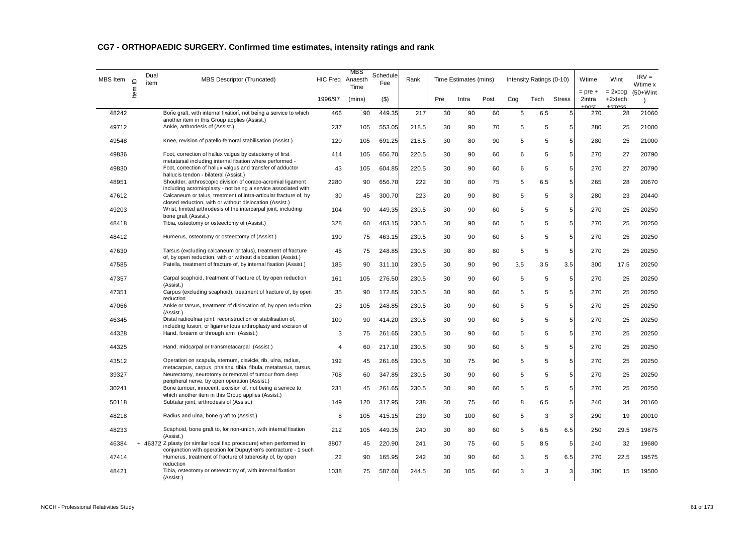| MBS Item | $\supseteq$ | Dual<br>item | <b>MBS Descriptor (Truncated)</b>                                                                                                       | HIC Freq Anaesth | MBS<br>Time | Schedule<br>Fee | Rank  |     | Time Estimates (mins) |      |     | Intensity Ratings (0-10) |                | Wtime                 | Wint                   | $IRV =$<br>Wtime x        |
|----------|-------------|--------------|-----------------------------------------------------------------------------------------------------------------------------------------|------------------|-------------|-----------------|-------|-----|-----------------------|------|-----|--------------------------|----------------|-----------------------|------------------------|---------------------------|
|          | ltem        |              |                                                                                                                                         | 1996/97          | (mins)      | $($ \$)         |       | Pre | Intra                 | Post | Cog | Tech                     | <b>Stress</b>  | $=$ pre $+$<br>2intra | $= 2x \cos$<br>+2xtech | $(50+W)$ int<br>$\lambda$ |
| 48242    |             |              | Bone graft, with internal fixation, not being a service to which<br>another item in this Group applies (Assist.)                        | 466              | 90          | 449.35          | 217   | 30  | 90                    | 60   | 5   | 6.5                      | 5              | 270                   | 28                     | 21060                     |
| 49712    |             |              | Ankle, arthrodesis of (Assist.)                                                                                                         | 237              | 105         | 553.05          | 218.5 | 30  | 90                    | 70   | 5   | 5                        | 5              | 280                   | 25                     | 21000                     |
| 49548    |             |              | Knee, revision of patello-femoral stabilisation (Assist.)                                                                               | 120              | 105         | 691.25          | 218.5 | 30  | 80                    | 90   | 5   | 5                        | 5              | 280                   | 25                     | 21000                     |
| 49836    |             |              | Foot, correction of hallux valgus by osteotomy of first<br>metatarsal including internal fixation where performed -                     | 414              | 105         | 656.70          | 220.5 | 30  | 90                    | 60   | 6   | 5                        | $\overline{5}$ | 270                   | 27                     | 20790                     |
| 49830    |             |              | Foot, correction of hallux valgus and transfer of adductor<br>hallucis tendon - bilateral (Assist.)                                     | 43               | 105         | 604.85          | 220.5 | 30  | 90                    | 60   | 6   | 5                        | 5 <sup>1</sup> | 270                   | 27                     | 20790                     |
| 48951    |             |              | Shoulder, arthroscopic division of coraco-acromial ligament<br>including acromioplasty - not being a service associated with            | 2280             | 90          | 656.70          | 222   | 30  | 80                    | 75   | 5   | 6.5                      | 5              | 265                   | 28                     | 20670                     |
| 47612    |             |              | Calcaneum or talus, treatment of intra-articular fracture of, by<br>closed reduction, with or without dislocation (Assist.)             | 30               | 45          | 300.70          | 223   | 20  | 90                    | 80   | 5   | 5                        | 3              | 280                   | 23                     | 20440                     |
| 49203    |             |              | Wrist, limited arthrodesis of the intercarpal joint, including<br>bone graft (Assist.)                                                  | 104              | 90          | 449.35          | 230.5 | 30  | 90                    | 60   | 5   | 5                        | 5              | 270                   | 25                     | 20250                     |
| 48418    |             |              | Tibia, osteotomy or osteectomy of (Assist.)                                                                                             | 328              | 60          | 463.15          | 230.5 | 30  | 90                    | 60   | 5   | 5                        | 5              | 270                   | 25                     | 20250                     |
| 48412    |             |              | Humerus, osteotomy or osteectomy of (Assist.)                                                                                           | 190              | 75          | 463.15          | 230.5 | 30  | 90                    | 60   | 5   | 5                        | 5              | 270                   | 25                     | 20250                     |
| 47630    |             |              | Tarsus (excluding calcaneum or talus), treatment of fracture<br>of, by open reduction, with or without dislocation (Assist.)            | 45               | 75          | 248.85          | 230.5 | 30  | 80                    | 80   | 5   | 5                        | 5              | 270                   | 25                     | 20250                     |
| 47585    |             |              | Patella, treatment of fracture of, by internal fixation (Assist.)                                                                       | 185              | 90          | 311.10          | 230.5 | 30  | 90                    | 90   | 3.5 | 3.5                      | 3.5            | 300                   | 17.5                   | 20250                     |
| 47357    |             |              | Carpal scaphoid, treatment of fracture of, by open reduction<br>(Assist.)                                                               | 161              | 105         | 276.50          | 230.5 | 30  | 90                    | 60   | 5   | 5                        | $\overline{5}$ | 270                   | 25                     | 20250                     |
| 47351    |             |              | Carpus (excluding scaphoid), treatment of fracture of, by open<br>reduction                                                             | 35               | 90          | 172.85          | 230.5 | 30  | 90                    | 60   | 5   | 5                        | 5              | 270                   | 25                     | 20250                     |
| 47066    |             |              | Ankle or tarsus, treatment of dislocation of, by open reduction<br>(Assist.)                                                            | 23               | 105         | 248.85          | 230.5 | 30  | 90                    | 60   | 5   | 5                        | 5              | 270                   | 25                     | 20250                     |
| 46345    |             |              | Distal radioulnar joint, reconstruction or stabilisation of,<br>including fusion, or ligamentous arthroplasty and excision of           | 100              | 90          | 414.20          | 230.5 | 30  | 90                    | 60   | 5   | 5                        | 5              | 270                   | 25                     | 20250                     |
| 44328    |             |              | Hand, forearm or through arm (Assist.)                                                                                                  | 3                | 75          | 261.65          | 230.5 | 30  | 90                    | 60   | 5   | 5                        | $\overline{5}$ | 270                   | 25                     | 20250                     |
| 44325    |             |              | Hand, midcarpal or transmetacarpal (Assist.)                                                                                            | 4                | 60          | 217.10          | 230.5 | 30  | 90                    | 60   | 5   | 5                        | 5              | 270                   | 25                     | 20250                     |
| 43512    |             |              | Operation on scapula, sternum, clavicle, rib, ulna, radius,<br>metacarpus, carpus, phalanx, tibia, fibula, metatarsus, tarsus,          | 192              | 45          | 261.65          | 230.5 | 30  | 75                    | 90   | 5   | 5                        | 5              | 270                   | 25                     | 20250                     |
| 39327    |             |              | Neurectomy, neurotomy or removal of tumour from deep<br>peripheral nerve, by open operation (Assist.)                                   | 708              | 60          | 347.85          | 230.5 | 30  | 90                    | 60   | 5   | 5                        | 5              | 270                   | 25                     | 20250                     |
| 30241    |             |              | Bone tumour, innocent, excision of, not being a service to<br>which another item in this Group applies (Assist.)                        | 231              | 45          | 261.65          | 230.5 | 30  | 90                    | 60   | 5   | 5                        | 5              | 270                   | 25                     | 20250                     |
| 50118    |             |              | Subtalar joint, arthrodesis of (Assist.)                                                                                                | 149              | 120         | 317.95          | 238   | 30  | 75                    | 60   | 8   | 6.5                      | 5              | 240                   | 34                     | 20160                     |
| 48218    |             |              | Radius and ulna, bone graft to (Assist.)                                                                                                | 8                | 105         | 415.15          | 239   | 30  | 100                   | 60   | 5   | 3                        | 3              | 290                   | 19                     | 20010                     |
| 48233    |             |              | Scaphoid, bone graft to, for non-union, with internal fixation<br>(Assist.)                                                             | 212              | 105         | 449.35          | 240   | 30  | 80                    | 60   | 5   | 6.5                      | 6.5            | 250                   | 29.5                   | 19875                     |
| 46384    |             |              | + 46372 Z plasty (or similar local flap procedure) when performed in<br>conjunction with operation for Dupuytren's contracture - 1 such | 3807             | 45          | 220.90          | 241   | 30  | 75                    | 60   | 5   | 8.5                      | 5              | 240                   | 32                     | 19680                     |
| 47414    |             |              | Humerus, treatment of fracture of tuberosity of, by open<br>reduction                                                                   | 22               | 90          | 165.95          | 242   | 30  | 90                    | 60   | 3   | 5                        | 6.5            | 270                   | 22.5                   | 19575                     |
| 48421    |             |              | Tibia, osteotomy or osteectomy of, with internal fixation<br>(Assist.)                                                                  | 1038             | 75          | 587.60          | 244.5 | 30  | 105                   | 60   | 3   | 3                        | 3              | 300                   | 15                     | 19500                     |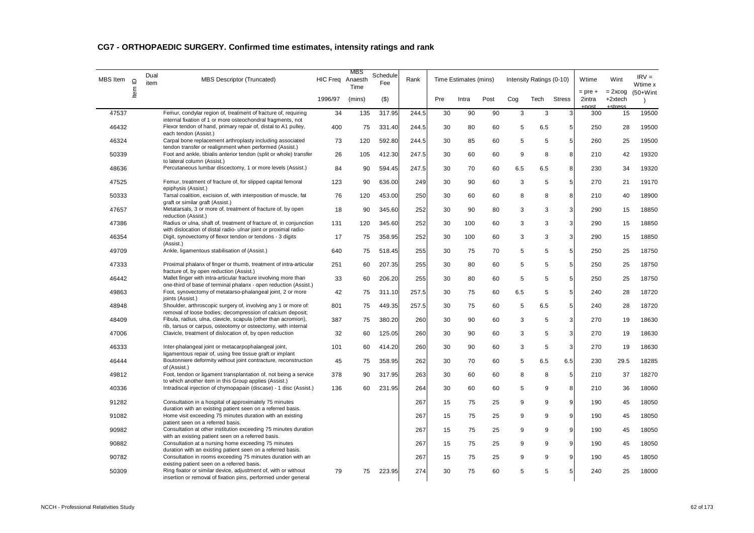| <b>MBS</b> Item | $\supseteq$ | Dual<br>item | <b>MBS Descriptor (Truncated)</b>                                                                                                                                              | HIC Freq Anaesth | MBS<br>Time | Schedule<br>Fee | Rank  |     | Time Estimates (mins) |      |     | Intensity Ratings (0-10) |               | Wtime                        | Wint                              | $IRV =$<br>Wtime x        |
|-----------------|-------------|--------------|--------------------------------------------------------------------------------------------------------------------------------------------------------------------------------|------------------|-------------|-----------------|-------|-----|-----------------------|------|-----|--------------------------|---------------|------------------------------|-----------------------------------|---------------------------|
|                 | ltem        |              |                                                                                                                                                                                | 1996/97          | (mins)      | $($ \$)         |       | Pre | Intra                 | Post | Cog | Tech                     | <b>Stress</b> | $=$ pre $+$<br>2intra<br>net | $= 2x \cos$<br>+2xtech<br>ctrocc. | $(50+W)$ int<br>$\lambda$ |
| 47537           |             |              | Femur, condylar region of, treatment of fracture of, requiring<br>internal fixation of 1 or more osteochondral fragments, not                                                  | 34               | 135         | 317.95          | 244.5 | 30  | 90                    | 90   | 3   | 3                        | 3             | 300                          | 15                                | 19500                     |
| 46432           |             |              | Flexor tendon of hand, primary repair of, distal to A1 pulley,<br>each tendon (Assist.)                                                                                        | 400              | 75          | 331.40          | 244.5 | 30  | 80                    | 60   | 5   | 6.5                      | 5             | 250                          | 28                                | 19500                     |
| 46324           |             |              | Carpal bone replacement arthroplasty including associated<br>tendon transfer or realignment when performed (Assist.)                                                           | 73               | 120         | 592.80          | 244.5 | 30  | 85                    | 60   | 5   | 5                        | 5             | 260                          | 25                                | 19500                     |
| 50339           |             |              | Foot and ankle, tibialis anterior tendon (split or whole) transfer<br>to lateral column (Assist.)                                                                              | 26               | 105         | 412.30          | 247.5 | 30  | 60                    | 60   | 9   | 8                        | 8             | 210                          | 42                                | 19320                     |
| 48636           |             |              | Percutaneous lumbar discectomy, 1 or more levels (Assist.)                                                                                                                     | 84               | 90          | 594.45          | 247.5 | 30  | 70                    | 60   | 6.5 | 6.5                      | 8             | 230                          | 34                                | 19320                     |
| 47525           |             |              | Femur, treatment of fracture of, for slipped capital femoral<br>epiphysis (Assist.)                                                                                            | 123              | 90          | 636.00          | 249   | 30  | 90                    | 60   | 3   | 5                        | 5             | 270                          | 21                                | 19170                     |
| 50333           |             |              | Tarsal coalition, excision of, with interposition of muscle, fat<br>graft or similar graft (Assist.)                                                                           | 76               | 120         | 453.00          | 250   | 30  | 60                    | 60   | 8   | 8                        | 8             | 210                          | 40                                | 18900                     |
| 47657           |             |              | Metatarsals, 3 or more of, treatment of fracture of, by open<br>reduction (Assist.)                                                                                            | 18               | 90          | 345.60          | 252   | 30  | 90                    | 80   | 3   | 3                        | $\mathbf{3}$  | 290                          | 15                                | 18850                     |
| 47386           |             |              | Radius or ulna, shaft of, treatment of fracture of, in conjunction<br>with dislocation of distal radio- ulnar joint or proximal radio-                                         | 131              | 120         | 345.60          | 252   | 30  | 100                   | 60   | 3   | 3                        | 3             | 290                          | 15                                | 18850                     |
| 46354           |             |              | Digit, synovectomy of flexor tendon or tendons - 3 digits<br>(Assist.)                                                                                                         | 17               | 75          | 358.95          | 252   | 30  | 100                   | 60   | 3   | 3                        | 3             | 290                          | 15                                | 18850                     |
| 49709           |             |              | Ankle, ligamentous stabilisation of (Assist.)                                                                                                                                  | 640              | 75          | 518.45          | 255   | 30  | 75                    | 70   | 5   | 5                        | 5             | 250                          | 25                                | 18750                     |
| 47333           |             |              | Proximal phalanx of finger or thumb, treatment of intra-articular<br>fracture of, by open reduction (Assist.)                                                                  | 251              | 60          | 207.35          | 255   | 30  | 80                    | 60   | 5   | 5                        | 5             | 250                          | 25                                | 18750                     |
| 46442           |             |              | Mallet finger with intra-articular fracture involving more than<br>one-third of base of terminal phalanx - open reduction (Assist.)                                            | 33               | 60          | 206.20          | 255   | 30  | 80                    | 60   | 5   | 5                        | 5             | 250                          | 25                                | 18750                     |
| 49863           |             |              | Foot, synovectomy of metatarso-phalangeal joint, 2 or more<br>joints (Assist.)                                                                                                 | 42               | 75          | 311.10          | 257.5 | 30  | 75                    | 60   | 6.5 | 5                        | 5             | 240                          | 28                                | 18720                     |
| 48948           |             |              | Shoulder, arthroscopic surgery of, involving any 1 or more of:<br>removal of loose bodies; decompression of calcium deposit;                                                   | 801              | 75          | 449.35          | 257.5 | 30  | 75                    | 60   | 5   | 6.5                      | 5             | 240                          | 28                                | 18720                     |
| 48409           |             |              | Fibula, radius, ulna, clavicle, scapula (other than acromion),<br>rib, tarsus or carpus, osteotomy or osteectomy, with internal                                                | 387              | 75          | 380.20          | 260   | 30  | 90                    | 60   | 3   | 5                        | 3             | 270                          | 19                                | 18630                     |
| 47006           |             |              | Clavicle, treatment of dislocation of, by open reduction                                                                                                                       | 32               | 60          | 125.05          | 260   | 30  | 90                    | 60   | 3   | 5                        | 3             | 270                          | 19                                | 18630                     |
| 46333           |             |              | Inter-phalangeal joint or metacarpophalangeal joint,<br>ligamentous repair of, using free tissue graft or implant                                                              | 101              | 60          | 414.20          | 260   | 30  | 90                    | 60   | 3   | 5                        | 3             | 270                          | 19                                | 18630                     |
| 46444           |             |              | Boutonniere deformity without joint contracture, reconstruction<br>of (Assist.)                                                                                                | 45               | 75          | 358.95          | 262   | 30  | 70                    | 60   | 5   | 6.5                      | 6.5           | 230                          | 29.5                              | 18285                     |
| 49812           |             |              | Foot, tendon or ligament transplantation of, not being a service<br>to which another item in this Group applies (Assist.)                                                      | 378              | 90          | 317.95          | 263   | 30  | 60                    | 60   | 8   | 8                        | 5             | 210                          | 37                                | 18270                     |
| 40336           |             |              | Intradiscal injection of chymopapain (discase) - 1 disc (Assist.)                                                                                                              | 136              | 60          | 231.95          | 264   | 30  | 60                    | 60   | 5   | 9                        | 8             | 210                          | 36                                | 18060                     |
| 91282           |             |              | Consultation in a hospital of approximately 75 minutes<br>duration with an existing patient seen on a referred basis.                                                          |                  |             |                 | 267   | 15  | 75                    | 25   | 9   | 9                        | 9             | 190                          | 45                                | 18050                     |
| 91082           |             |              | Home visit exceeding 75 minutes duration with an existing<br>patient seen on a referred basis.                                                                                 |                  |             |                 | 267   | 15  | 75                    | 25   | 9   | 9                        | 9             | 190                          | 45                                | 18050                     |
| 90982           |             |              | Consultation at other institution exceeding 75 minutes duration                                                                                                                |                  |             |                 | 267   | 15  | 75                    | 25   | 9   | 9                        | 9             | 190                          | 45                                | 18050                     |
| 90882           |             |              | with an existing patient seen on a referred basis.<br>Consultation at a nursing home exceeding 75 minutes                                                                      |                  |             |                 | 267   | 15  | 75                    | 25   | 9   | 9                        | 9             | 190                          | 45                                | 18050                     |
| 90782           |             |              | duration with an existing patient seen on a referred basis.<br>Consultation in rooms exceeding 75 minutes duration with an                                                     |                  |             |                 | 267   | 15  | 75                    | 25   | 9   | 9                        | 9             | 190                          | 45                                | 18050                     |
| 50309           |             |              | existing patient seen on a referred basis.<br>Ring fixator or similar device, adjustment of, with or without<br>insertion or removal of fixation pins, performed under general | 79               | 75          | 223.95          | 274   | 30  | 75                    | 60   | 5   | 5                        | 5             | 240                          | 25                                | 18000                     |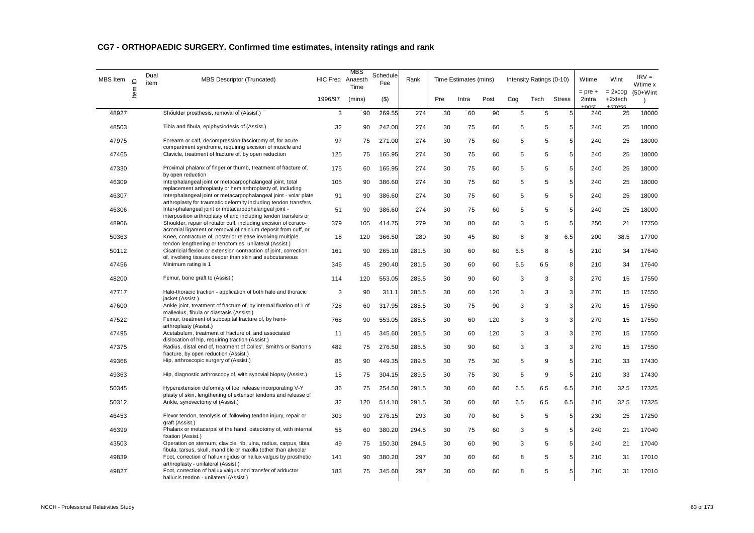| <b>MBS</b> Item | $\supseteq$ | Dual<br>item | <b>MBS Descriptor (Truncated)</b>                                                                                                    | HIC Freq Anaesth | MBS<br>Time | Schedule<br>Fee | Rank  |     | Time Estimates (mins) |      |     | Intensity Ratings (0-10) |               | Wtime                         | Wint                             | $IRV =$<br>Wtime x        |
|-----------------|-------------|--------------|--------------------------------------------------------------------------------------------------------------------------------------|------------------|-------------|-----------------|-------|-----|-----------------------|------|-----|--------------------------|---------------|-------------------------------|----------------------------------|---------------------------|
|                 | Item        |              |                                                                                                                                      | 1996/97          | (mins)      | $($ \$)         |       | Pre | Intra                 | Post | Cog | Tech                     | <b>Stress</b> | $=$ pre $+$<br>2intra<br>roct | $= 2x \cos$<br>+2xtech<br>ctrocc | $(50+W)$ int<br>$\lambda$ |
| 48927           |             |              | Shoulder prosthesis, removal of (Assist.)                                                                                            | 3                | 90          | 269.55          | 274   | 30  | 60                    | 90   | 5   | 5                        | 5             | 240                           | 25                               | 18000                     |
| 48503           |             |              | Tibia and fibula, epiphysiodesis of (Assist.)                                                                                        | 32               | 90          | 242.00          | 274   | 30  | 75                    | 60   | 5   | 5                        | 5             | 240                           | 25                               | 18000                     |
| 47975           |             |              | Forearm or calf, decompression fasciotomy of, for acute<br>compartment syndrome, requiring excision of muscle and                    | 97               | 75          | 271.00          | 274   | 30  | 75                    | 60   | 5   | 5                        | 5             | 240                           | 25                               | 18000                     |
| 47465           |             |              | Clavicle, treatment of fracture of, by open reduction                                                                                | 125              | 75          | 165.95          | 274   | 30  | 75                    | 60   | 5   | 5                        | 5             | 240                           | 25                               | 18000                     |
| 47330           |             |              | Proximal phalanx of finger or thumb, treatment of fracture of,<br>by open reduction                                                  | 175              | 60          | 165.95          | 274   | 30  | 75                    | 60   | 5   | 5                        | 5             | 240                           | 25                               | 18000                     |
| 46309           |             |              | Interphalangeal joint or metacarpophalangeal joint, total<br>replacement arthroplasty or hemiarthroplasty of, including              | 105              | 90          | 386.60          | 274   | 30  | 75                    | 60   | 5   | 5                        | 5             | 240                           | 25                               | 18000                     |
| 46307           |             |              | Interphalangeal joint or metacarpophalangeal joint - volar plate<br>arthroplasty for traumatic deformity including tendon transfers  | 91               | 90          | 386.60          | 274   | 30  | 75                    | 60   | 5   | 5                        | 5             | 240                           | 25                               | 18000                     |
| 46306           |             |              | Inter-phalangeal joint or metacarpophalangeal joint -<br>interposition arthroplasty of and including tendon transfers or             | 51               | 90          | 386.60          | 274   | 30  | 75                    | 60   | 5   | 5                        | 5             | 240                           | 25                               | 18000                     |
| 48906           |             |              | Shoulder, repair of rotator cuff, including excision of coraco-<br>acromial ligament or removal of calcium deposit from cuff, or     | 379              | 105         | 414.75          | 279   | 30  | 80                    | 60   | 3   | 5                        | 5             | 250                           | 21                               | 17750                     |
| 50363           |             |              | Knee, contracture of, posterior release involving multiple<br>tendon lengthening or tenotomies, unilateral (Assist.)                 | 18               | 120         | 366.50          | 280   | 30  | 45                    | 80   | 8   | 8                        | 6.5           | 200                           | 38.5                             | 17700                     |
| 50112           |             |              | Cicatricial flexion or extension contraction of joint, correction<br>of, involving tissues deeper than skin and subcutaneous         | 161              | 90          | 265.10          | 281.5 | 30  | 60                    | 60   | 6.5 | 8                        | 5             | 210                           | 34                               | 17640                     |
| 47456           |             |              | Minimum rating is 1                                                                                                                  | 346              | 45          | 290.40          | 281.5 | 30  | 60                    | 60   | 6.5 | 6.5                      | 8             | 210                           | 34                               | 17640                     |
| 48200           |             |              | Femur, bone graft to (Assist.)                                                                                                       | 114              | 120         | 553.05          | 285.5 | 30  | 90                    | 60   | 3   | $\mathbf 3$              | 3             | 270                           | 15                               | 17550                     |
| 47717           |             |              | Halo-thoracic traction - application of both halo and thoracic<br>jacket (Assist.)                                                   | 3                | 90          | 311.1           | 285.5 | 30  | 60                    | 120  | 3   | 3                        | 3             | 270                           | 15                               | 17550                     |
| 47600           |             |              | Ankle joint, treatment of fracture of, by internal fixation of 1 of<br>malleolus, fibula or diastasis (Assist.)                      | 728              | 60          | 317.95          | 285.5 | 30  | 75                    | 90   | 3   | 3                        | 3             | 270                           | 15                               | 17550                     |
| 47522           |             |              | Femur, treatment of subcapital fracture of, by hemi-<br>arthroplasty (Assist.)                                                       | 768              | 90          | 553.05          | 285.5 | 30  | 60                    | 120  | 3   | 3                        | 3             | 270                           | 15                               | 17550                     |
| 47495           |             |              | Acetabulum, treatment of fracture of, and associated<br>dislocation of hip, requiring traction (Assist.)                             | 11               | 45          | 345.60          | 285.5 | 30  | 60                    | 120  | 3   | 3                        | 3             | 270                           | 15                               | 17550                     |
| 47375           |             |              | Radius, distal end of, treatment of Colles', Smith's or Barton's<br>fracture, by open reduction (Assist.)                            | 482              | 75          | 276.50          | 285.5 | 30  | 90                    | 60   | 3   | 3                        | 3             | 270                           | 15                               | 17550                     |
| 49366           |             |              | Hip, arthroscopic surgery of (Assist.)                                                                                               | 85               | 90          | 449.35          | 289.5 | 30  | 75                    | 30   | 5   | 9                        | 5             | 210                           | 33                               | 17430                     |
| 49363           |             |              | Hip, diagnostic arthroscopy of, with synovial biopsy (Assist.)                                                                       | 15               | 75          | 304.15          | 289.5 | 30  | 75                    | 30   | 5   | 9                        | 5             | 210                           | 33                               | 17430                     |
| 50345           |             |              | Hyperextension deformity of toe, release incorporating V-Y<br>plasty of skin, lengthening of extensor tendons and release of         | 36               | 75          | 254.50          | 291.5 | 30  | 60                    | 60   | 6.5 | 6.5                      | 6.5           | 210                           | 32.5                             | 17325                     |
| 50312           |             |              | Ankle, synovectomy of (Assist.)                                                                                                      | 32               | 120         | 514.10          | 291.5 | 30  | 60                    | 60   | 6.5 | 6.5                      | 6.5           | 210                           | 32.5                             | 17325                     |
| 46453           |             |              | Flexor tendon, tenolysis of, following tendon injury, repair or<br>graft (Assist.)                                                   | 303              | 90          | 276.15          | 293   | 30  | 70                    | 60   | 5   | $\,$ 5 $\,$              | 5             | 230                           | 25                               | 17250                     |
| 46399           |             |              | Phalanx or metacarpal of the hand, osteotomy of, with internal<br>fixation (Assist.)                                                 | 55               | 60          | 380.20          | 294.5 | 30  | 75                    | 60   | 3   | 5                        | 5             | 240                           | 21                               | 17040                     |
| 43503           |             |              | Operation on sternum, clavicle, rib, ulna, radius, carpus, tibia,<br>fibula, tarsus, skull, mandible or maxilla (other than alveolar | 49               | 75          | 150.30          | 294.5 | 30  | 60                    | 90   | 3   | 5                        | 5             | 240                           | 21                               | 17040                     |
| 49839           |             |              | Foot, correction of hallux rigidus or hallux valgus by prosthetic<br>arthroplasty - unilateral (Assist.)                             | 141              | 90          | 380.20          | 297   | 30  | 60                    | 60   | 8   | 5                        | 5             | 210                           | 31                               | 17010                     |
| 49827           |             |              | Foot, correction of hallux valgus and transfer of adductor<br>hallucis tendon - unilateral (Assist.)                                 | 183              | 75          | 345.60          | 297   | 30  | 60                    | 60   | 8   | 5                        | 5             | 210                           | 31                               | 17010                     |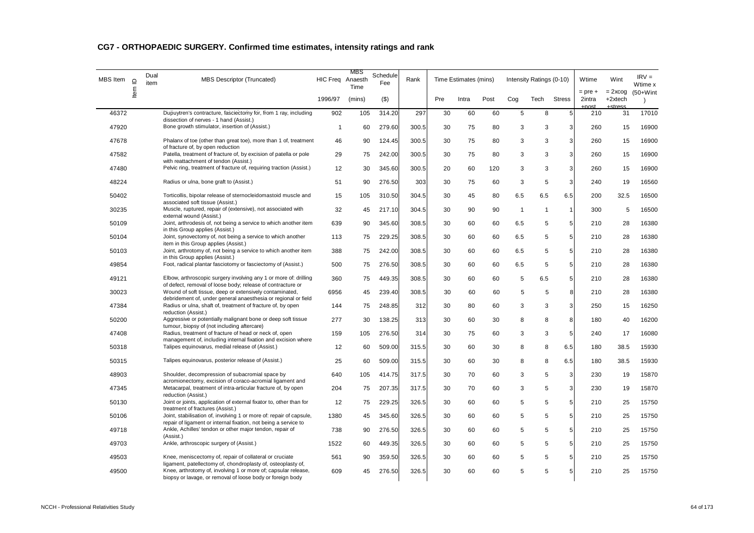| MBS Item | $\supseteq$ | Dual<br>item | <b>MBS Descriptor (Truncated)</b>                                                                                               | HIC Freq Anaesth | MBS<br>Time | Schedule<br>Fee | Rank  |     | Time Estimates (mins) |      |                | Intensity Ratings (0-10) |                | Wtime                 | Wint                   | $IRV =$<br>Wtime x |
|----------|-------------|--------------|---------------------------------------------------------------------------------------------------------------------------------|------------------|-------------|-----------------|-------|-----|-----------------------|------|----------------|--------------------------|----------------|-----------------------|------------------------|--------------------|
|          | ltem        |              |                                                                                                                                 | 1996/97          | (mins)      | $($ \$)         |       | Pre | Intra                 | Post | Cog            | Tech                     | <b>Stress</b>  | $=$ pre $+$<br>2intra | $= 2x \cos$<br>+2xtech | $(50+W)$ int       |
| 46372    |             |              | Dupuytren's contracture, fasciectomy for, from 1 ray, including<br>dissection of nerves - 1 hand (Assist.)                      | 902              | 105         | 314.20          | 297   | 30  | 60                    | 60   | 5              | 8                        | 5              | 210                   | 31                     | 17010              |
| 47920    |             |              | Bone growth stimulator, insertion of (Assist.)                                                                                  | $\mathbf{1}$     | 60          | 279.60          | 300.5 | 30  | 75                    | 80   | 3              | 3                        | 3              | 260                   | 15                     | 16900              |
| 47678    |             |              | Phalanx of toe (other than great toe), more than 1 of, treatment<br>of fracture of, by open reduction                           | 46               | 90          | 124.45          | 300.5 | 30  | 75                    | 80   | 3              | 3                        | 3              | 260                   | 15                     | 16900              |
| 47582    |             |              | Patella, treatment of fracture of, by excision of patella or pole<br>with reattachment of tendon (Assist.)                      | 29               | 75          | 242.00          | 300.5 | 30  | 75                    | 80   | 3              | 3                        | 3              | 260                   | 15                     | 16900              |
| 47480    |             |              | Pelvic ring, treatment of fracture of, requiring traction (Assist.)                                                             | 12               | 30          | 345.60          | 300.5 | 20  | 60                    | 120  | 3              | 3                        | 3              | 260                   | 15                     | 16900              |
| 48224    |             |              | Radius or ulna, bone graft to (Assist.)                                                                                         | 51               | 90          | 276.50          | 303   | 30  | 75                    | 60   | 3              | 5                        | 3              | 240                   | 19                     | 16560              |
| 50402    |             |              | Torticollis, bipolar release of sternocleidomastoid muscle and<br>associated soft tissue (Assist.)                              | 15               | 105         | 310.50          | 304.5 | 30  | 45                    | 80   | 6.5            | 6.5                      | 6.5            | 200                   | 32.5                   | 16500              |
| 30235    |             |              | Muscle, ruptured, repair of (extensive), not associated with<br>external wound (Assist.)                                        | 32               | 45          | 217.10          | 304.5 | 30  | 90                    | 90   | $\overline{1}$ | $\mathbf{1}$             | $\mathbf{1}$   | 300                   | 5                      | 16500              |
| 50109    |             |              | Joint, arthrodesis of, not being a service to which another item<br>in this Group applies (Assist.)                             | 639              | 90          | 345.60          | 308.5 | 30  | 60                    | 60   | 6.5            | 5                        | 5              | 210                   | 28                     | 16380              |
| 50104    |             |              | Joint, synovectomy of, not being a service to which another<br>item in this Group applies (Assist.)                             | 113              | 75          | 229.25          | 308.5 | 30  | 60                    | 60   | 6.5            | 5                        | 5              | 210                   | 28                     | 16380              |
| 50103    |             |              | Joint, arthrotomy of, not being a service to which another item<br>in this Group applies (Assist.)                              | 388              | 75          | 242.00          | 308.5 | 30  | 60                    | 60   | 6.5            | 5                        | 5              | 210                   | 28                     | 16380              |
| 49854    |             |              | Foot, radical plantar fasciotomy or fasciectomy of (Assist.)                                                                    | 500              | 75          | 276.50          | 308.5 | 30  | 60                    | 60   | 6.5            | 5                        | 5              | 210                   | 28                     | 16380              |
| 49121    |             |              | Elbow, arthroscopic surgery involving any 1 or more of: drilling<br>of defect, removal of loose body; release of contracture or | 360              | 75          | 449.35          | 308.5 | 30  | 60                    | 60   | 5              | 6.5                      | 5              | 210                   | 28                     | 16380              |
| 30023    |             |              | Wound of soft tissue, deep or extensively contaminated,                                                                         | 6956             | 45          | 239.40          | 308.5 | 30  | 60                    | 60   | 5              | 5                        | 8              | 210                   | 28                     | 16380              |
| 47384    |             |              | debridement of, under general anaesthesia or regional or field<br>Radius or ulna, shaft of, treatment of fracture of, by open   | 144              | 75          | 248.85          | 312   | 30  | 80                    | 60   | 3              | 3                        | 3 <sup>1</sup> | 250                   | 15                     | 16250              |
| 50200    |             |              | reduction (Assist.)<br>Aggressive or potentially malignant bone or deep soft tissue                                             | 277              | 30          | 138.25          | 313   | 30  | 60                    | 30   | 8              | 8                        | 8              | 180                   | 40                     | 16200              |
| 47408    |             |              | tumour, biopsy of (not including aftercare)<br>Radius, treatment of fracture of head or neck of, open                           | 159              | 105         | 276.50          | 314   | 30  | 75                    | 60   | 3              | 3                        | $\sqrt{5}$     | 240                   | 17                     | 16080              |
| 50318    |             |              | management of, including internal fixation and excision where<br>Talipes equinovarus, medial release of (Assist.)               | 12               | 60          | 509.00          | 315.5 | 30  | 60                    | 30   | 8              | 8                        | 6.5            | 180                   | 38.5                   | 15930              |
| 50315    |             |              | Talipes equinovarus, posterior release of (Assist.)                                                                             | 25               | 60          | 509.00          | 315.5 | 30  | 60                    | 30   | 8              | 8                        | 6.5            | 180                   | 38.5                   | 15930              |
| 48903    |             |              | Shoulder, decompression of subacromial space by                                                                                 | 640              | 105         | 414.75          | 317.5 | 30  | 70                    | 60   | 3              | 5                        | 3              | 230                   | 19                     | 15870              |
| 47345    |             |              | acromionectomy, excision of coraco-acromial ligament and<br>Metacarpal, treatment of intra-articular fracture of, by open       | 204              | 75          | 207.35          | 317.5 | 30  | 70                    | 60   | 3              | 5                        | 3              | 230                   | 19                     | 15870              |
| 50130    |             |              | reduction (Assist.)<br>Joint or joints, application of external fixator to, other than for                                      | 12               | 75          | 229.25          | 326.5 | 30  | 60                    | 60   | 5              | 5                        | 5              | 210                   | 25                     | 15750              |
| 50106    |             |              | treatment of fractures (Assist.)<br>Joint, stabilisation of, involving 1 or more of: repair of capsule,                         | 1380             | 45          | 345.60          | 326.5 | 30  | 60                    | 60   | 5              | 5                        | 5 <sub>5</sub> | 210                   | 25                     | 15750              |
| 49718    |             |              | repair of ligament or internal fixation, not being a service to<br>Ankle, Achilles' tendon or other major tendon, repair of     | 738              | 90          | 276.50          | 326.5 | 30  | 60                    | 60   | 5              | 5                        | 5              | 210                   | 25                     | 15750              |
|          |             |              | (Assist.)                                                                                                                       |                  |             |                 |       |     |                       |      |                |                          |                |                       |                        |                    |
| 49703    |             |              | Ankle, arthroscopic surgery of (Assist.)                                                                                        | 1522             | 60          | 449.35          | 326.5 | 30  | 60                    | 60   | 5              | 5                        | 5 <sup>1</sup> | 210                   | 25                     | 15750              |
| 49503    |             |              | Knee, meniscectomy of, repair of collateral or cruciate<br>ligament, patellectomy of, chondroplasty of, osteoplasty of,         | 561              | 90          | 359.50          | 326.5 | 30  | 60                    | 60   | 5              | 5                        | 5              | 210                   | 25                     | 15750              |
| 49500    |             |              | Knee, arthrotomy of, involving 1 or more of; capsular release,<br>biopsy or lavage, or removal of loose body or foreign body    | 609              | 45          | 276.50          | 326.5 | 30  | 60                    | 60   | 5              | 5                        | 5              | 210                   | 25                     | 15750              |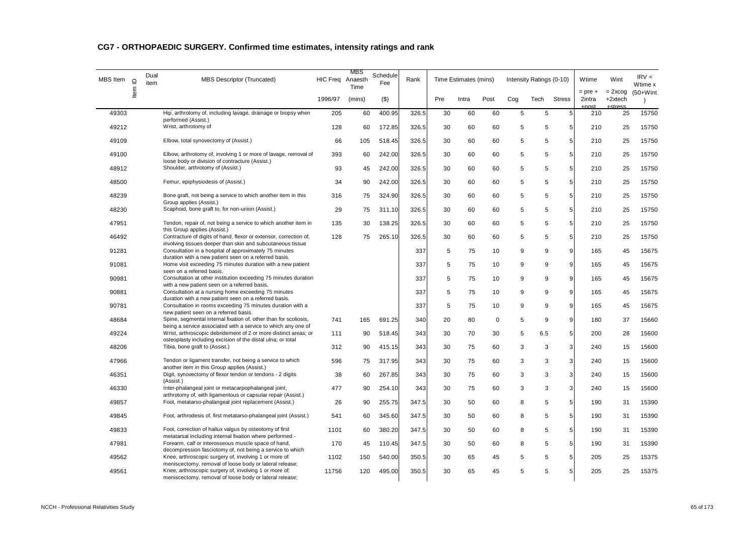| MBS Item | Item ID | Dual<br>item | <b>MBS Descriptor (Truncated)</b>                                                                                                                                            | HIC Freq Anaesth | MBS<br>Time | Schedule<br>Fee | Rank  |     | Time Estimates (mins) |             |     | Intensity Ratings (0-10) |                | Wtime                 | Wint                   | $IRV =$<br>Wtime x        |
|----------|---------|--------------|------------------------------------------------------------------------------------------------------------------------------------------------------------------------------|------------------|-------------|-----------------|-------|-----|-----------------------|-------------|-----|--------------------------|----------------|-----------------------|------------------------|---------------------------|
|          |         |              |                                                                                                                                                                              | 1996/97          | (mins)      | $($ \$)         |       | Pre | Intra                 | Post        | Cog | Tech                     | <b>Stress</b>  | $=$ pre $+$<br>2intra | $= 2x \cos$<br>+2xtech | $(50+W)$ int<br>$\lambda$ |
| 49303    |         |              | Hip, arthrotomy of, including lavage, drainage or biopsy when<br>performed (Assist.)                                                                                         | 205              | 60          | 400.95          | 326.5 | 30  | 60                    | 60          | 5   | 5                        | 5              | 210                   | 25                     | 15750                     |
| 49212    |         |              | Wrist, arthrotomy of                                                                                                                                                         | 128              | 60          | 172.85          | 326.5 | 30  | 60                    | 60          | 5   | 5                        | 5              | 210                   | 25                     | 15750                     |
| 49109    |         |              | Elbow, total synovectomy of (Assist.)                                                                                                                                        | 66               | 105         | 518.45          | 326.5 | 30  | 60                    | 60          | 5   | 5                        | 5              | 210                   | 25                     | 15750                     |
| 49100    |         |              | Elbow, arthrotomy of, involving 1 or more of lavage, removal of<br>loose body or division of contracture (Assist.)                                                           | 393              | 60          | 242.00          | 326.5 | 30  | 60                    | 60          | 5   | 5                        | 5              | 210                   | 25                     | 15750                     |
| 48912    |         |              | Shoulder, arthrotomy of (Assist.)                                                                                                                                            | 93               | 45          | 242.00          | 326.5 | 30  | 60                    | 60          | 5   | 5                        | 5              | 210                   | 25                     | 15750                     |
| 48500    |         |              | Femur, epiphysiodesis of (Assist.)                                                                                                                                           | 34               | 90          | 242.00          | 326.5 | 30  | 60                    | 60          | 5   | 5                        | 5 <sup>1</sup> | 210                   | 25                     | 15750                     |
| 48239    |         |              | Bone graft, not being a service to which another item in this<br>Group applies (Assist.)                                                                                     | 316              | 75          | 324.90          | 326.5 | 30  | 60                    | 60          | 5   | 5                        | 5              | 210                   | 25                     | 15750                     |
| 48230    |         |              | Scaphoid, bone graft to, for non-union (Assist.)                                                                                                                             | 29               | 75          | 311.10          | 326.5 | 30  | 60                    | 60          | 5   | 5                        | 5 <sup>1</sup> | 210                   | 25                     | 15750                     |
| 47951    |         |              | Tendon, repair of, not being a service to which another item in<br>this Group applies (Assist.)                                                                              | 135              | 30          | 138.25          | 326.5 | 30  | 60                    | 60          | 5   | 5                        | 5              | 210                   | 25                     | 15750                     |
| 46492    |         |              | Contracture of digits of hand, flexor or extensor, correction of,<br>involving tissues deeper than skin and subcutaneous tissue                                              | 128              | 75          | 265.10          | 326.5 | 30  | 60                    | 60          | 5   | 5                        | 5 <sup>1</sup> | 210                   | 25                     | 15750                     |
| 91281    |         |              | Consultation in a hospital of approximately 75 minutes<br>duration with a new patient seen on a referred basis.                                                              |                  |             |                 | 337   | 5   | 75                    | 10          | 9   | 9                        | 9              | 165                   | 45                     | 15675                     |
| 91081    |         |              | Home visit exceeding 75 minutes duration with a new patient<br>seen on a referred basis.                                                                                     |                  |             |                 | 337   | 5   | 75                    | 10          | 9   | 9                        | 9              | 165                   | 45                     | 15675                     |
| 90981    |         |              | Consultation at other institution exceeding 75 minutes duration                                                                                                              |                  |             |                 | 337   | 5   | 75                    | 10          | 9   | 9                        | 9              | 165                   | 45                     | 15675                     |
| 90881    |         |              | with a new patient seen on a referred basis.<br>Consultation at a nursing home exceeding 75 minutes                                                                          |                  |             |                 | 337   | 5   | 75                    | 10          | 9   | 9                        | 9              | 165                   | 45                     | 15675                     |
| 90781    |         |              | duration with a new patient seen on a referred basis.<br>Consultation in rooms exceeding 75 minutes duration with a                                                          |                  |             |                 | 337   | 5   | 75                    | 10          | 9   | 9                        | 9              | 165                   | 45                     | 15675                     |
| 48684    |         |              | new patient seen on a referred basis.<br>Spine, segmental internal fixation of, other than for scoliosis,                                                                    | 741              | 165         | 691.25          | 340   | 20  | 80                    | $\mathbf 0$ | 5   | 9                        | 9              | 180                   | 37                     | 15660                     |
| 49224    |         |              | being a service associated with a service to which any one of<br>Wrist, arthroscopic debridement of 2 or more distinct areas; or                                             | 111              | 90          | 518.45          | 343   | 30  | 70                    | 30          | 5   | 6.5                      | 5              | 200                   | 28                     | 15600                     |
| 48206    |         |              | osteoplasty including excision of the distal ulna; or total<br>Tibia, bone graft to (Assist.)                                                                                | 312              | 90          | 415.15          | 343   | 30  | 75                    | 60          | 3   | 3                        | 3              | 240                   | 15                     | 15600                     |
| 47966    |         |              | Tendon or ligament transfer, not being a service to which                                                                                                                    | 596              | 75          | 317.95          | 343   | 30  | 75                    | 60          | 3   | 3                        | $\overline{3}$ | 240                   | 15                     | 15600                     |
| 46351    |         |              | another item in this Group applies (Assist.)<br>Digit, synovectomy of flexor tendon or tendons - 2 digits                                                                    | 38               | 60          | 267.85          | 343   | 30  | 75                    | 60          | 3   | 3                        | 3              | 240                   | 15                     | 15600                     |
| 46330    |         |              | (Assist.)<br>Inter-phalangeal joint or metacarpophalangeal joint,                                                                                                            | 477              | 90          | 254.10          | 343   | 30  | 75                    | 60          | 3   | 3                        | $\overline{3}$ | 240                   | 15                     | 15600                     |
| 49857    |         |              | arthrotomy of, with ligamentous or capsular repair (Assist.)<br>Foot, metatarso-phalangeal joint replacement (Assist.)                                                       | 26               | 90          | 255.75          | 347.5 | 30  | 50                    | 60          | 8   | 5                        | 5              | 190                   | 31                     | 15390                     |
| 49845    |         |              | Foot, arthrodesis of, first metatarso-phalangeal joint (Assist.)                                                                                                             | 541              | 60          | 345.60          | 347.5 | 30  | 50                    | 60          | 8   | 5                        | 5              | 190                   | 31                     | 15390                     |
| 49833    |         |              | Foot, correction of hallux valgus by osteotomy of first                                                                                                                      | 1101             | 60          | 380.20          | 347.5 | 30  | 50                    | 60          | 8   | 5                        | 5              | 190                   | 31                     | 15390                     |
| 47981    |         |              | metatarsal including internal fixation where performed -<br>Forearm, calf or interosseous muscle space of hand,                                                              | 170              | 45          | 110.45          | 347.5 | 30  | 50                    | 60          | 8   | 5                        | 5 <sup>1</sup> | 190                   | 31                     | 15390                     |
| 49562    |         |              | decompression fasciotomy of, not being a service to which<br>Knee, arthroscopic surgery of, involving 1 or more of:                                                          | 1102             | 150         | 540.00          | 350.5 | 30  | 65                    | 45          | 5   | 5                        | 5              | 205                   | 25                     | 15375                     |
| 49561    |         |              | meniscectomy, removal of loose body or lateral release;<br>Knee, arthroscopic surgery of, involving 1 or more of;<br>meniscectomy, removal of loose body or lateral release; | 11756            | 120         | 495.00          | 350.5 | 30  | 65                    | 45          | 5   | 5                        | 5              | 205                   | 25                     | 15375                     |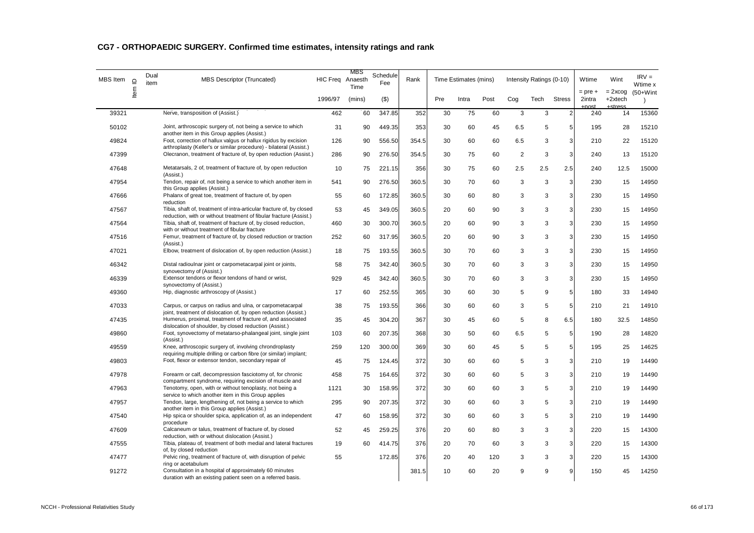| MBS Item | $\supseteq$ | Dual<br>item | <b>MBS Descriptor (Truncated)</b>                                                                                                                                  | HIC Freq Anaesth | MBS<br>Time | Schedule<br>Fee | Rank  |     | Time Estimates (mins) |      |                | Intensity Ratings (0-10) |                 | Wtime                 | Wint                     | $IRV =$<br>Wtime x        |
|----------|-------------|--------------|--------------------------------------------------------------------------------------------------------------------------------------------------------------------|------------------|-------------|-----------------|-------|-----|-----------------------|------|----------------|--------------------------|-----------------|-----------------------|--------------------------|---------------------------|
|          | Item        |              |                                                                                                                                                                    | 1996/97          | (mins)      | $($ \$)         |       | Pre | Intra                 | Post | Cog            | Tech                     | <b>Stress</b>   | $=$ pre $+$<br>2intra | $= 2x \cos$<br>$+2xtech$ | $(50+W)$ int<br>$\lambda$ |
| 39321    |             |              | Nerve, transposition of (Assist.)                                                                                                                                  | 462              | 60          | 347.85          | 352   | 30  | 75                    | 60   | 3              | 3                        | $\overline{2}$  | 240                   | 14                       | 15360                     |
| 50102    |             |              | Joint, arthroscopic surgery of, not being a service to which<br>another item in this Group applies (Assist.)                                                       | 31               | 90          | 449.35          | 353   | 30  | 60                    | 45   | 6.5            | 5                        | $5\phantom{.0}$ | 195                   | 28                       | 15210                     |
| 49824    |             |              | Foot, correction of hallux valgus or hallux rigidus by excision<br>arthroplasty (Keller's or similar procedure) - bilateral (Assist.)                              | 126              | 90          | 556.50          | 354.5 | 30  | 60                    | 60   | 6.5            | 3                        | 3               | 210                   | 22                       | 15120                     |
| 47399    |             |              | Olecranon, treatment of fracture of, by open reduction (Assist.)                                                                                                   | 286              | 90          | 276.50          | 354.5 | 30  | 75                    | 60   | $\overline{2}$ | 3                        | 3               | 240                   | 13                       | 15120                     |
| 47648    |             |              | Metatarsals, 2 of, treatment of fracture of, by open reduction<br>(Assist.)                                                                                        | 10               | 75          | 221.15          | 356   | 30  | 75                    | 60   | 2.5            | 2.5                      | 2.5             | 240                   | 12.5                     | 15000                     |
| 47954    |             |              | Tendon, repair of, not being a service to which another item in<br>this Group applies (Assist.)                                                                    | 541              | 90          | 276.50          | 360.5 | 30  | 70                    | 60   | 3              | 3                        | 3               | 230                   | 15                       | 14950                     |
| 47666    |             |              | Phalanx of great toe, treatment of fracture of, by open<br>reduction                                                                                               | 55               | 60          | 172.85          | 360.5 | 30  | 60                    | 80   | 3              | 3                        | 3               | 230                   | 15                       | 14950                     |
| 47567    |             |              | Tibia, shaft of, treatment of intra-articular fracture of, by closed<br>reduction, with or without treatment of fibular fracture (Assist.)                         | 53               | 45          | 349.05          | 360.5 | 20  | 60                    | 90   | 3              | 3                        | 3               | 230                   | 15                       | 14950                     |
| 47564    |             |              | Tibia, shaft of, treatment of fracture of, by closed reduction,<br>with or without treatment of fibular fracture                                                   | 460              | 30          | 300.70          | 360.5 | 20  | 60                    | 90   | 3              | 3                        | 3               | 230                   | 15                       | 14950                     |
| 47516    |             |              | Femur, treatment of fracture of, by closed reduction or traction<br>(Assist.)                                                                                      | 252              | 60          | 317.95          | 360.5 | 20  | 60                    | 90   | 3              | 3                        | 3               | 230                   | 15                       | 14950                     |
| 47021    |             |              | Elbow, treatment of dislocation of, by open reduction (Assist.)                                                                                                    | 18               | 75          | 193.55          | 360.5 | 30  | 70                    | 60   | 3              | 3                        | 3               | 230                   | 15                       | 14950                     |
| 46342    |             |              | Distal radioulnar joint or carpometacarpal joint or joints,<br>synovectomy of (Assist.)                                                                            | 58               | 75          | 342.40          | 360.5 | 30  | 70                    | 60   | 3              | 3                        | 3               | 230                   | 15                       | 14950                     |
| 46339    |             |              | Extensor tendons or flexor tendons of hand or wrist,<br>synovectomy of (Assist.)                                                                                   | 929              | 45          | 342.40          | 360.5 | 30  | 70                    | 60   | 3              | 3                        | 3               | 230                   | 15                       | 14950                     |
| 49360    |             |              | Hip, diagnostic arthroscopy of (Assist.)                                                                                                                           | 17               | 60          | 252.55          | 365   | 30  | 60                    | 30   | 5              | 9                        | 5               | 180                   | 33                       | 14940                     |
| 47033    |             |              | Carpus, or carpus on radius and ulna, or carpometacarpal<br>joint, treatment of dislocation of, by open reduction (Assist.)                                        | 38               | 75          | 193.55          | 366   | 30  | 60                    | 60   | 3              | 5                        | 5               | 210                   | 21                       | 14910                     |
| 47435    |             |              | Humerus, proximal, treatment of fracture of, and associated<br>dislocation of shoulder, by closed reduction (Assist.)                                              | 35               | 45          | 304.20          | 367   | 30  | 45                    | 60   | 5              | 8                        | 6.5             | 180                   | 32.5                     | 14850                     |
| 49860    |             |              | Foot, synovectomy of metatarso-phalangeal joint, single joint<br>(Assist.)                                                                                         | 103              | 60          | 207.35          | 368   | 30  | 50                    | 60   | 6.5            | 5                        | 5               | 190                   | 28                       | 14820                     |
| 49559    |             |              | Knee, arthroscopic surgery of, involving chrondroplasty<br>requiring multiple drilling or carbon fibre (or similar) implant;                                       | 259              | 120         | 300.00          | 369   | 30  | 60                    | 45   | 5              | 5                        | 5               | 195                   | 25                       | 14625                     |
| 49803    |             |              | Foot, flexor or extensor tendon, secondary repair of                                                                                                               | 45               | 75          | 124.45          | 372   | 30  | 60                    | 60   | 5              | 3                        | 3               | 210                   | 19                       | 14490                     |
| 47978    |             |              | Forearm or calf, decompression fasciotomy of, for chronic                                                                                                          | 458              | 75          | 164.65          | 372   | 30  | 60                    | 60   | 5              | 3                        | 3               | 210                   | 19                       | 14490                     |
| 47963    |             |              | compartment syndrome, requiring excision of muscle and<br>Tenotomy, open, with or without tenoplasty, not being a                                                  | 1121             | 30          | 158.95          | 372   | 30  | 60                    | 60   | 3              | 5                        | 3               | 210                   | 19                       | 14490                     |
| 47957    |             |              | service to which another item in this Group applies<br>Tendon, large, lengthening of, not being a service to which<br>another item in this Group applies (Assist.) | 295              | 90          | 207.35          | 372   | 30  | 60                    | 60   | 3              | 5                        | 3               | 210                   | 19                       | 14490                     |
| 47540    |             |              | Hip spica or shoulder spica, application of, as an independent<br>procedure                                                                                        | 47               | 60          | 158.95          | 372   | 30  | 60                    | 60   | 3              | 5                        | $\mathbf{3}$    | 210                   | 19                       | 14490                     |
| 47609    |             |              | Calcaneum or talus, treatment of fracture of, by closed                                                                                                            | 52               | 45          | 259.25          | 376   | 20  | 60                    | 80   | 3              | 3                        | 3               | 220                   | 15                       | 14300                     |
| 47555    |             |              | reduction, with or without dislocation (Assist.)<br>Tibia, plateau of, treatment of both medial and lateral fractures                                              | 19               | 60          | 414.75          | 376   | 20  | 70                    | 60   | 3              | 3                        | 3               | 220                   | 15                       | 14300                     |
| 47477    |             |              | of, by closed reduction<br>Pelvic ring, treatment of fracture of, with disruption of pelvic                                                                        | 55               |             | 172.85          | 376   | 20  | 40                    | 120  | 3              | 3                        | 3               | 220                   | 15                       | 14300                     |
| 91272    |             |              | ring or acetabulum<br>Consultation in a hospital of approximately 60 minutes<br>duration with an existing patient seen on a referred basis.                        |                  |             |                 | 381.5 | 10  | 60                    | 20   | 9              | 9                        | 9               | 150                   | 45                       | 14250                     |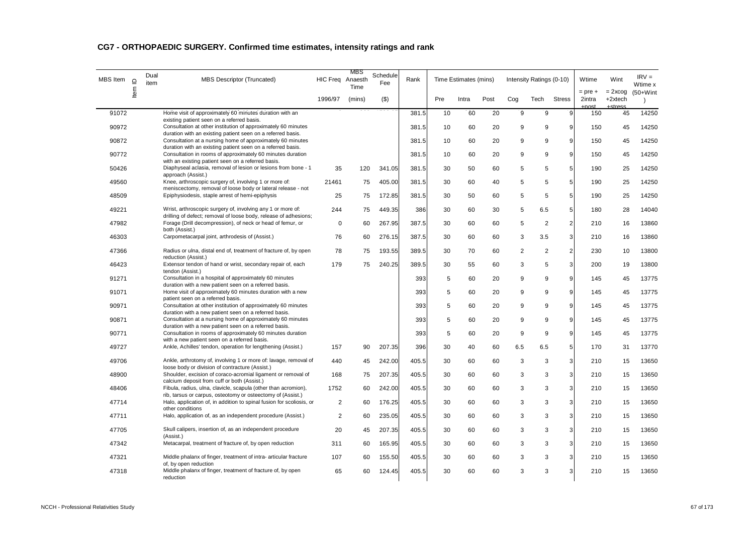| MBS Item | $\supseteq$ | Dual<br>item | <b>MBS Descriptor (Truncated)</b>                                                                                                   | HIC Freq Anaesth | MBS<br>Time | Schedule<br>Fee | Rank  |     | Time Estimates (mins) |      |     | Intensity Ratings (0-10) |                         | Wtime                        | Wint                             | $IRV =$<br>Wtime x |
|----------|-------------|--------------|-------------------------------------------------------------------------------------------------------------------------------------|------------------|-------------|-----------------|-------|-----|-----------------------|------|-----|--------------------------|-------------------------|------------------------------|----------------------------------|--------------------|
|          | ltem        |              |                                                                                                                                     | 1996/97          | (mins)      | $($ \$)         |       | Pre | Intra                 | Post | Cog | Tech                     | <b>Stress</b>           | $=$ pre $+$<br>2intra<br>net | $= 2x \cos$<br>+2xtech<br>etraec | $(50+W)$ int       |
| 91072    |             |              | Home visit of approximately 60 minutes duration with an<br>existing patient seen on a referred basis.                               |                  |             |                 | 381.5 | 10  | 60                    | 20   | 9   | 9                        | 9                       | 150                          | 45                               | 14250              |
| 90972    |             |              | Consultation at other institution of approximately 60 minutes                                                                       |                  |             |                 | 381.5 | 10  | 60                    | 20   | 9   | 9                        | 9                       | 150                          | 45                               | 14250              |
| 90872    |             |              | duration with an existing patient seen on a referred basis.<br>Consultation at a nursing home of approximately 60 minutes           |                  |             |                 | 381.5 | 10  | 60                    | 20   | 9   | 9                        | 9                       | 150                          | 45                               | 14250              |
| 90772    |             |              | duration with an existing patient seen on a referred basis.<br>Consultation in rooms of approximately 60 minutes duration           |                  |             |                 | 381.5 | 10  | 60                    | 20   | 9   | 9                        | 9                       | 150                          | 45                               | 14250              |
| 50426    |             |              | with an existing patient seen on a referred basis.<br>Diaphyseal aclasia, removal of lesion or lesions from bone - 1                | 35               | 120         | 341.05          | 381.5 | 30  | 50                    | 60   | 5   | 5                        | 5                       | 190                          | 25                               | 14250              |
| 49560    |             |              | approach (Assist.)<br>Knee, arthroscopic surgery of, involving 1 or more of:                                                        | 21461            | 75          | 405.00          | 381.5 | 30  | 60                    | 40   | 5   | 5                        | 5                       | 190                          | 25                               | 14250              |
| 48509    |             |              | meniscectomy, removal of loose body or lateral release - not<br>Epiphysiodesis, staple arrest of hemi-epiphysis                     | 25               | 75          | 172.85          | 381.5 | 30  | 50                    | 60   | 5   | 5                        | 5                       | 190                          | 25                               | 14250              |
| 49221    |             |              | Wrist, arthroscopic surgery of, involving any 1 or more of:                                                                         | 244              | 75          | 449.35          | 386   | 30  | 60                    | 30   | 5   | 6.5                      | 5                       | 180                          | 28                               | 14040              |
| 47982    |             |              | drilling of defect; removal of loose body, release of adhesions;<br>Forage (Drill decompression), of neck or head of femur, or      | $\mathbf 0$      | 60          | 267.95          | 387.5 | 30  | 60                    | 60   | 5   | 2                        | $\overline{\mathbf{c}}$ | 210                          | 16                               | 13860              |
| 46303    |             |              | both (Assist.)<br>Carpometacarpal joint, arthrodesis of (Assist.)                                                                   | 76               | 60          | 276.15          | 387.5 | 30  | 60                    | 60   | 3   | 3.5                      | 3                       | 210                          | 16                               | 13860              |
| 47366    |             |              | Radius or ulna, distal end of, treatment of fracture of, by open                                                                    | 78               | 75          | 193.55          | 389.5 | 30  | 70                    | 60   | 2   | 2                        | $\overline{\mathbf{c}}$ | 230                          | 10                               | 13800              |
|          |             |              | reduction (Assist.)                                                                                                                 |                  |             |                 |       |     |                       |      |     |                          |                         |                              |                                  |                    |
| 46423    |             |              | Extensor tendon of hand or wrist, secondary repair of, each<br>tendon (Assist.)                                                     | 179              | 75          | 240.25          | 389.5 | 30  | 55                    | 60   | 3   | 5                        | 3                       | 200                          | 19                               | 13800              |
| 91271    |             |              | Consultation in a hospital of approximately 60 minutes<br>duration with a new patient seen on a referred basis.                     |                  |             |                 | 393   | 5   | 60                    | 20   | 9   | 9                        | 9                       | 145                          | 45                               | 13775              |
| 91071    |             |              | Home visit of approximately 60 minutes duration with a new<br>patient seen on a referred basis.                                     |                  |             |                 | 393   | 5   | 60                    | 20   | 9   | 9                        | 9                       | 145                          | 45                               | 13775              |
| 90971    |             |              | Consultation at other institution of approximately 60 minutes<br>duration with a new patient seen on a referred basis.              |                  |             |                 | 393   | 5   | 60                    | 20   | 9   | 9                        | 9                       | 145                          | 45                               | 13775              |
| 90871    |             |              | Consultation at a nursing home of approximately 60 minutes                                                                          |                  |             |                 | 393   | 5   | 60                    | 20   | 9   | 9                        | 9                       | 145                          | 45                               | 13775              |
| 90771    |             |              | duration with a new patient seen on a referred basis.<br>Consultation in rooms of approximately 60 minutes duration                 |                  |             |                 | 393   | 5   | 60                    | 20   | 9   | 9                        | 9                       | 145                          | 45                               | 13775              |
| 49727    |             |              | with a new patient seen on a referred basis.<br>Ankle, Achilles' tendon, operation for lengthening (Assist.)                        | 157              | 90          | 207.35          | 396   | 30  | 40                    | 60   | 6.5 | 6.5                      | 5                       | 170                          | 31                               | 13770              |
| 49706    |             |              | Ankle, arthrotomy of, involving 1 or more of: lavage, removal of                                                                    | 440              | 45          | 242.00          | 405.5 | 30  | 60                    | 60   | 3   | 3                        | 3                       | 210                          | 15                               | 13650              |
| 48900    |             |              | loose body or division of contracture (Assist.)<br>Shoulder, excision of coraco-acromial ligament or removal of                     | 168              | 75          | 207.35          | 405.5 | 30  | 60                    | 60   | 3   | 3                        | 3                       | 210                          | 15                               | 13650              |
| 48406    |             |              | calcium deposit from cuff or both (Assist.)<br>Fibula, radius, ulna, clavicle, scapula (other than acromion),                       | 1752             | 60          | 242.00          | 405.5 | 30  | 60                    | 60   | 3   | 3                        | 3                       | 210                          | 15                               | 13650              |
| 47714    |             |              | rib, tarsus or carpus, osteotomy or osteectomy of (Assist.)<br>Halo, application of, in addition to spinal fusion for scoliosis, or | 2                | 60          | 176.25          | 405.5 | 30  | 60                    | 60   | 3   | 3                        | 3                       | 210                          | 15                               | 13650              |
|          |             |              | other conditions                                                                                                                    |                  |             |                 |       |     |                       |      |     |                          |                         |                              |                                  |                    |
| 47711    |             |              | Halo, application of, as an independent procedure (Assist.)                                                                         | $\overline{2}$   | 60          | 235.05          | 405.5 | 30  | 60                    | 60   | 3   | 3                        | 3                       | 210                          | 15                               | 13650              |
| 47705    |             |              | Skull calipers, insertion of, as an independent procedure<br>(Assist.)                                                              | 20               | 45          | 207.35          | 405.5 | 30  | 60                    | 60   | 3   | 3                        | 3                       | 210                          | 15                               | 13650              |
| 47342    |             |              | Metacarpal, treatment of fracture of, by open reduction                                                                             | 311              | 60          | 165.95          | 405.5 | 30  | 60                    | 60   | 3   | 3                        | 3                       | 210                          | 15                               | 13650              |
| 47321    |             |              | Middle phalanx of finger, treatment of intra- articular fracture<br>of, by open reduction                                           | 107              | 60          | 155.50          | 405.5 | 30  | 60                    | 60   | 3   | 3                        | 3                       | 210                          | 15                               | 13650              |
| 47318    |             |              | Middle phalanx of finger, treatment of fracture of, by open<br>reduction                                                            | 65               | 60          | 124.45          | 405.5 | 30  | 60                    | 60   | 3   | 3                        | 3                       | 210                          | 15                               | 13650              |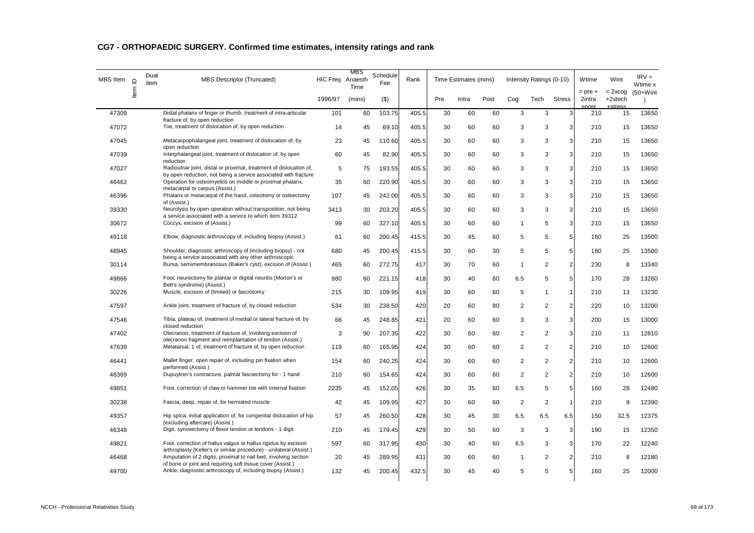| MBS Item | $\supseteq$ | Dual<br>item | <b>MBS Descriptor (Truncated)</b>                                                                                                      | HIC Freq Anaesth | MBS<br>Time | Schedule<br>Fee | Rank  |     | Time Estimates (mins) |      | Intensity Ratings (0-10) |                |                | Wtime                 | Wint                   | $IRV =$<br>Wtime x        |
|----------|-------------|--------------|----------------------------------------------------------------------------------------------------------------------------------------|------------------|-------------|-----------------|-------|-----|-----------------------|------|--------------------------|----------------|----------------|-----------------------|------------------------|---------------------------|
|          | ltem        |              |                                                                                                                                        | 1996/97          | (mins)      | $($ \$)         |       | Pre | Intra                 | Post | Cog                      | Tech           | <b>Stress</b>  | $=$ pre $+$<br>2intra | $= 2x \cos$<br>+2xtech | $(50+W)$ int<br>$\lambda$ |
| 47309    |             |              | Distal phalanx of finger or thumb, treatment of intra-articular<br>fracture of, by open reduction                                      | 101              | 60          | 103.75          | 405.5 | 30  | 60                    | 60   | 3                        | 3              | 3              | 210                   | 15                     | 13650                     |
| 47072    |             |              | Toe, treatment of dislocation of, by open reduction                                                                                    | 14               | 45          | 69.10           | 405.5 | 30  | 60                    | 60   | 3                        | 3              | 3              | 210                   | 15                     | 13650                     |
| 47045    |             |              | Metacarpophalangeal joint, treatment of dislocation of, by<br>open reduction                                                           | 23               | 45          | 110.60          | 405.5 | 30  | 60                    | 60   | 3                        | 3              | 3              | 210                   | 15                     | 13650                     |
| 47039    |             |              | Interphalangeal joint, treatment of dislocation of, by open<br>reduction                                                               | 60               | 45          | 82.90           | 405.5 | 30  | 60                    | 60   | 3                        | 3              | 3              | 210                   | 15                     | 13650                     |
| 47027    |             |              | Radioulnar joint, distal or proximal, treatment of dislocation of,<br>by open reduction, not being a service associated with fracture  | 5                | 75          | 193.55          | 405.5 | 30  | 60                    | 60   | 3                        | 3              | 3              | 210                   | 15                     | 13650                     |
| 46462    |             |              | Operation for osteomyelitis on middle or proximal phalanx,<br>metacarpal or carpus (Assist.)                                           | 35               | 60          | 220.90          | 405.5 | 30  | 60                    | 60   | 3                        | 3              | 3              | 210                   | 15                     | 13650                     |
| 46396    |             |              | Phalanx or metacarpal of the hand, osteotomy or osteectomy<br>of (Assist.)                                                             | 107              | 45          | 242.00          | 405.5 | 30  | 60                    | 60   | 3                        | 3              | 3              | 210                   | 15                     | 13650                     |
| 39330    |             |              | Neurolysis by open operation without transposition, not being<br>a service associated with a service to which item 39312               | 3413             | 30          | 203.20          | 405.5 | 30  | 60                    | 60   | 3                        | 3              | $\overline{3}$ | 210                   | 15                     | 13650                     |
| 30672    |             |              | Coccyx, excision of (Assist.)                                                                                                          | 99               | 60          | 327.10          | 405.5 | 30  | 60                    | 60   | $\mathbf{1}$             | 5              | $\overline{3}$ | 210                   | 15                     | 13650                     |
| 49118    |             |              | Elbow, diagnostic arthroscopy of, including biopsy (Assist.)                                                                           | 61               | 60          | 200.45          | 415.5 | 30  | 45                    | 60   | 5                        | 5              | 5              | 180                   | 25                     | 13500                     |
| 48945    |             |              | Shoulder, diagnostic arthroscopy of (including biopsy) - not<br>being a service associated with any other arthroscopic                 | 680              | 45          | 200.45          | 415.5 | 30  | 60                    | 30   | 5                        | 5              | 5              | 180                   | 25                     | 13500                     |
| 30114    |             |              | Bursa, semimembranosus (Baker's cyst), excision of (Assist.)                                                                           | 465              | 60          | 272.75          | 417   | 30  | 70                    | 60   | $\mathbf{1}$             | $\overline{2}$ | $\overline{2}$ | 230                   | 8                      | 13340                     |
| 49866    |             |              | Foot, neurectomy for plantar or digital neuritis (Morton's or<br>Bett's syndrome) (Assist.)                                            | 980              | 60          | 221.15          | 418   | 30  | 40                    | 60   | 6.5                      | 5              | $\overline{5}$ | 170                   | 28                     | 13260                     |
| 30226    |             |              | Muscle, excision of (limited) or fasciotomy                                                                                            | 215              | 30          | 109.95          | 419   | 30  | 60                    | 60   | 5                        | $\mathbf{1}$   | 1              | 210                   | 13                     | 13230                     |
| 47597    |             |              | Ankle joint, treatment of fracture of, by closed reduction                                                                             | 534              | 30          | 238.50          | 420   | 20  | 60                    | 80   | $\overline{2}$           | 2              | $\overline{2}$ | 220                   | 10                     | 13200                     |
| 47546    |             |              | Tibia, plateau of, treatment of medial or lateral fracture of, by<br>closed reduction                                                  | 66               | 45          | 248.85          | 421   | 20  | 60                    | 60   | 3                        | 3              | 3              | 200                   | 15                     | 13000                     |
| 47402    |             |              | Olecranon, treatment of fracture of, involving excision of<br>olecranon fragment and reimplantation of tendon (Assist.)                | 3                | 90          | 207.35          | 422   | 30  | 60                    | 60   | $\overline{2}$           | $\overline{2}$ | 3              | 210                   | 11                     | 12810                     |
| 47639    |             |              | Metatarsal, 1 of, treatment of fracture of, by open reduction                                                                          | 119              | 60          | 165.95          | 424   | 30  | 60                    | 60   | $\sqrt{2}$               | $\overline{2}$ | $\overline{2}$ | 210                   | 10                     | 12600                     |
| 46441    |             |              | Mallet finger, open repair of, including pin fixation when<br>performed (Assist.)                                                      | 154              | 60          | 240.25          | 424   | 30  | 60                    | 60   | $\sqrt{2}$               | $\overline{2}$ | $\overline{2}$ | 210                   | 10                     | 12600                     |
| 46369    |             |              | Dupuytren's contracture, palmar fasciectomy for - 1 hand                                                                               | 210              | 60          | 154.65          | 424   | 30  | 60                    | 60   | $\overline{2}$           | $\overline{2}$ | $\overline{2}$ | 210                   | 10                     | 12600                     |
| 49851    |             |              | Foot, correction of claw or hammer toe with internal fixation                                                                          | 2235             | 45          | 152.05          | 426   | 30  | 35                    | 60   | 6.5                      | 5              | 5              | 160                   | 28                     | 12480                     |
| 30238    |             |              | Fascia, deep, repair of, for herniated muscle                                                                                          | 42               | 45          | 109.95          | 427   | 30  | 60                    | 60   | $\overline{2}$           | $\sqrt{2}$     | $\mathbf{1}$   | 210                   | 9                      | 12390                     |
| 49357    |             |              | Hip spica, initial application of, for congenital dislocation of hip                                                                   | 57               | 45          | 260.50          | 428   | 30  | 45                    | 30   | 6.5                      | 6.5            | 6.5            | 150                   | 32.5                   | 12375                     |
| 46348    |             |              | (excluding aftercare) (Assist.)<br>Digit, synovectomy of flexor tendon or tendons - 1 digit                                            | 210              | 45          | 179.45          | 429   | 30  | 50                    | 60   | 3                        | 3              | 3              | 190                   | 15                     | 12350                     |
| 49821    |             |              | Foot, correction of hallux valgus or hallux rigidus by excision                                                                        | 597              | 60          | 317.95          | 430   | 30  | 40                    | 60   | 6.5                      | 3              | 3              | 170                   | 22                     | 12240                     |
| 46468    |             |              | arthroplasty (Keller's or similar procedure) - unilateral (Assist.)<br>Amputation of 2 digits, proximal to nail bed, involving section | 20               | 45          | 289.95          | 431   | 30  | 60                    | 60   | $\mathbf{1}$             | $\overline{2}$ | $\overline{2}$ | 210                   | 8                      | 12180                     |
| 49700    |             |              | of bone or joint and requiring soft tissue cover (Assist.)<br>Ankle, diagnostic arthroscopy of, including biopsy (Assist.)             | 132              | 45          | 200.45          | 432.5 | 30  | 45                    | 40   | 5                        | 5              | 5              | 160                   | 25                     | 12000                     |
|          |             |              |                                                                                                                                        |                  |             |                 |       |     |                       |      |                          |                |                |                       |                        |                           |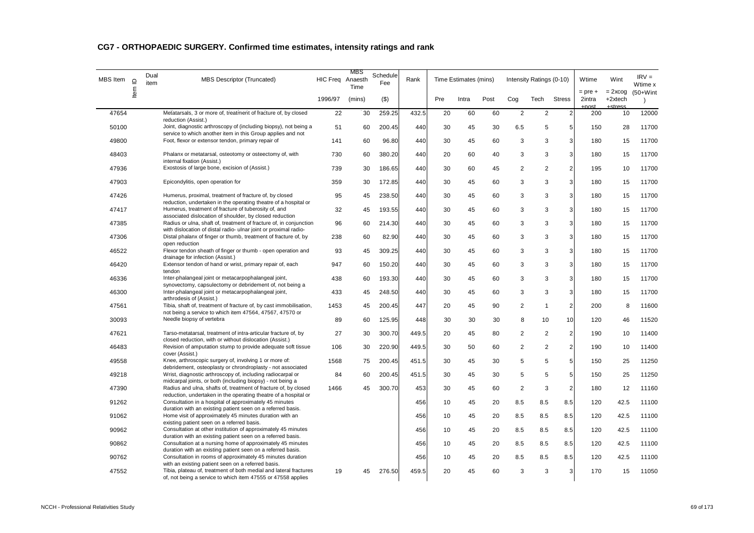| MBS Item | $\supseteq$ | Dual<br>item | MBS Descriptor (Truncated)                                                                                                          | HIC Freq Anaesth | MBS<br>Time | Schedule<br>Fee | Rank  |     | Time Estimates (mins) |      |                | Intensity Ratings (0-10) |                | Wtime                 | Wint                   | $IRV =$<br>Wtime x        |
|----------|-------------|--------------|-------------------------------------------------------------------------------------------------------------------------------------|------------------|-------------|-----------------|-------|-----|-----------------------|------|----------------|--------------------------|----------------|-----------------------|------------------------|---------------------------|
|          | ltem        |              |                                                                                                                                     | 1996/97          | (mins)      | $($ \$)         |       | Pre | Intra                 | Post | Cog            | Tech                     | <b>Stress</b>  | $=$ pre $+$<br>2intra | $= 2x \cos$<br>+2xtech | $(50+W)$ int<br>$\lambda$ |
| 47654    |             |              | Metatarsals, 3 or more of, treatment of fracture of, by closed<br>reduction (Assist.)                                               | 22               | 30          | 259.25          | 432.5 | 20  | 60                    | 60   | 2              | $\overline{2}$           | $\overline{2}$ | 200                   | 10                     | 12000                     |
| 50100    |             |              | Joint, diagnostic arthroscopy of (including biopsy), not being a<br>service to which another item in this Group applies and not     | 51               | 60          | 200.45          | 440   | 30  | 45                    | 30   | 6.5            | 5                        | 5              | 150                   | 28                     | 11700                     |
| 49800    |             |              | Foot, flexor or extensor tendon, primary repair of                                                                                  | 141              | 60          | 96.80           | 440   | 30  | 45                    | 60   | 3              | 3                        | 3              | 180                   | 15                     | 11700                     |
| 48403    |             |              | Phalanx or metatarsal, osteotomy or osteectomy of, with                                                                             | 730              | 60          | 380.20          | 440   | 20  | 60                    | 40   | 3              | 3                        | 3              | 180                   | 15                     | 11700                     |
| 47936    |             |              | internal fixation (Assist.)<br>Exostosis of large bone, excision of (Assist.)                                                       | 739              | 30          | 186.65          | 440   | 30  | 60                    | 45   | 2              | $\overline{2}$           | 2              | 195                   | 10                     | 11700                     |
| 47903    |             |              | Epicondylitis, open operation for                                                                                                   | 359              | 30          | 172.85          | 440   | 30  | 45                    | 60   | 3              | 3                        | 3              | 180                   | 15                     | 11700                     |
| 47426    |             |              | Humerus, proximal, treatment of fracture of, by closed                                                                              | 95               | 45          | 238.50          | 440   | 30  | 45                    | 60   | 3              | 3                        | 3              | 180                   | 15                     | 11700                     |
| 47417    |             |              | reduction, undertaken in the operating theatre of a hospital or<br>Humerus, treatment of fracture of tuberosity of, and             | 32               | 45          | 193.55          | 440   | 30  | 45                    | 60   | 3              | 3                        | 3              | 180                   | 15                     | 11700                     |
| 47385    |             |              | associated dislocation of shoulder, by closed reduction<br>Radius or ulna, shaft of, treatment of fracture of, in conjunction       | 96               | 60          | 214.30          | 440   | 30  | 45                    | 60   | 3              | 3                        | 3              | 180                   | 15                     | 11700                     |
| 47306    |             |              | with dislocation of distal radio- ulnar joint or proximal radio-<br>Distal phalanx of finger or thumb, treatment of fracture of, by | 238              | 60          | 82.90           | 440   | 30  | 45                    | 60   | 3              | 3                        | 3              | 180                   | 15                     | 11700                     |
| 46522    |             |              | open reduction<br>Flexor tendon sheath of finger or thumb - open operation and                                                      | 93               | 45          | 309.25          | 440   | 30  | 45                    | 60   | 3              | 3                        | $\overline{3}$ | 180                   | 15                     | 11700                     |
| 46420    |             |              | drainage for infection (Assist.)<br>Extensor tendon of hand or wrist, primary repair of, each                                       | 947              | 60          | 150.20          | 440   | 30  | 45                    | 60   | 3              | 3                        | 3              | 180                   | 15                     | 11700                     |
| 46336    |             |              | tendon<br>Inter-phalangeal joint or metacarpophalangeal joint,                                                                      | 438              | 60          | 193.30          | 440   | 30  | 45                    | 60   | 3              | 3                        | 3              | 180                   | 15                     | 11700                     |
| 46300    |             |              | synovectomy, capsulectomy or debridement of, not being a<br>Inter-phalangeal joint or metacarpophalangeal joint,                    | 433              | 45          | 248.50          | 440   | 30  | 45                    | 60   | 3              | 3                        | 3              | 180                   | 15                     | 11700                     |
| 47561    |             |              | arthrodesis of (Assist.)<br>Tibia, shaft of, treatment of fracture of, by cast immobilisation,                                      | 1453             | 45          | 200.45          | 447   | 20  | 45                    | 90   | 2              | $\overline{1}$           | $\overline{a}$ | 200                   | 8                      | 11600                     |
| 30093    |             |              | not being a service to which item 47564, 47567, 47570 or<br>Needle biopsy of vertebra                                               | 89               | 60          | 125.95          | 448   | 30  | 30                    | 30   | 8              | 10                       | 10             | 120                   | 46                     | 11520                     |
| 47621    |             |              | Tarso-metatarsal, treatment of intra-articular fracture of, by                                                                      | 27               | 30          | 300.70          | 449.5 | 20  | 45                    | 80   | 2              | $\overline{2}$           | 2              | 190                   | 10                     | 11400                     |
| 46483    |             |              | closed reduction, with or without dislocation (Assist.)<br>Revision of amputation stump to provide adequate soft tissue             | 106              | 30          | 220.90          | 449.5 | 30  | 50                    | 60   | $\overline{2}$ | $\overline{2}$           | $\overline{2}$ | 190                   | 10                     | 11400                     |
| 49558    |             |              | cover (Assist.)<br>Knee, arthroscopic surgery of, involving 1 or more of:                                                           | 1568             | 75          | 200.45          | 451.5 | 30  | 45                    | 30   | 5              | 5                        | 5              | 150                   | 25                     | 11250                     |
| 49218    |             |              | debridement, osteoplasty or chrondroplasty - not associated<br>Wrist, diagnostic arthroscopy of, including radiocarpal or           | 84               | 60          | 200.45          | 451.5 | 30  | 45                    | 30   | 5              | 5                        | 5              | 150                   | 25                     | 11250                     |
| 47390    |             |              | midcarpal joints, or both (including biopsy) - not being a<br>Radius and ulna, shafts of, treatment of fracture of, by closed       | 1466             | 45          | 300.70          | 453   | 30  | 45                    | 60   | 2              | 3                        | 2              | 180                   | 12                     | 11160                     |
| 91262    |             |              | reduction, undertaken in the operating theatre of a hospital or<br>Consultation in a hospital of approximately 45 minutes           |                  |             |                 | 456   | 10  | 45                    | 20   | 8.5            | 8.5                      | 8.5            | 120                   | 42.5                   | 11100                     |
| 91062    |             |              | duration with an existing patient seen on a referred basis.<br>Home visit of approximately 45 minutes duration with an              |                  |             |                 | 456   | 10  | 45                    | 20   | 8.5            | 8.5                      | 8.5            | 120                   | 42.5                   | 11100                     |
| 90962    |             |              | existing patient seen on a referred basis.<br>Consultation at other institution of approximately 45 minutes                         |                  |             |                 | 456   | 10  | 45                    | 20   | 8.5            | 8.5                      | 8.5            | 120                   | 42.5                   | 11100                     |
| 90862    |             |              | duration with an existing patient seen on a referred basis.<br>Consultation at a nursing home of approximately 45 minutes           |                  |             |                 | 456   | 10  | 45                    | 20   | 8.5            | 8.5                      | 8.5            | 120                   | 42.5                   | 11100                     |
| 90762    |             |              | duration with an existing patient seen on a referred basis.<br>Consultation in rooms of approximately 45 minutes duration           |                  |             |                 | 456   | 10  | 45                    | 20   | 8.5            | 8.5                      | 8.5            | 120                   | 42.5                   | 11100                     |
| 47552    |             |              | with an existing patient seen on a referred basis.<br>Tibia, plateau of, treatment of both medial and lateral fractures             | 19               | 45          | 276.50          | 459.5 | 20  | 45                    | 60   | 3              | 3                        | 3              | 170                   | 15                     | 11050                     |
|          |             |              | of, not being a service to which item 47555 or 47558 applies                                                                        |                  |             |                 |       |     |                       |      |                |                          |                |                       |                        |                           |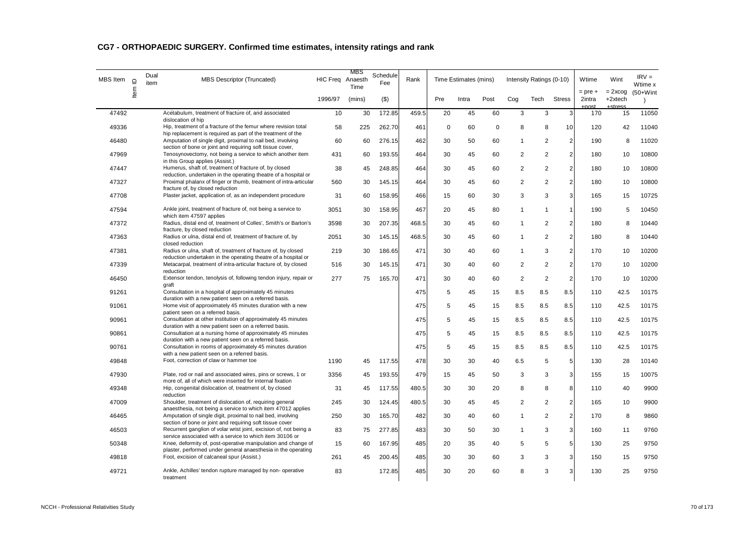| MBS Item | $\supseteq$ | Dual<br>item | <b>MBS Descriptor (Truncated)</b>                                                                                               | HIC Freq Anaesth | MBS<br>Time | Schedule<br>Fee | Rank  |             | Time Estimates (mins) |             |                | Intensity Ratings (0-10) |                | Wtime                        | Wint                             | $IRV =$<br>Wtime x |
|----------|-------------|--------------|---------------------------------------------------------------------------------------------------------------------------------|------------------|-------------|-----------------|-------|-------------|-----------------------|-------------|----------------|--------------------------|----------------|------------------------------|----------------------------------|--------------------|
|          | ltem        |              |                                                                                                                                 | 1996/97          | (mins)      | $($ \$)         |       | Pre         | Intra                 | Post        | Cog            | Tech                     | <b>Stress</b>  | $=$ pre $+$<br>2intra<br>net | $= 2x \cos$<br>+2xtech<br>etroce | $(50+W)$ int       |
| 47492    |             |              | Acetabulum, treatment of fracture of, and associated<br>dislocation of hip                                                      | 10               | 30          | 172.85          | 459.5 | 20          | 45                    | 60          | 3              | 3                        | 3              | 170                          | 15                               | 11050              |
| 49336    |             |              | Hip, treatment of a fracture of the femur where revision total<br>hip replacement is required as part of the treatment of the   | 58               | 225         | 262.70          | 461   | $\mathbf 0$ | 60                    | $\mathbf 0$ | 8              | 8                        | 10             | 120                          | 42                               | 11040              |
| 46480    |             |              | Amputation of single digit, proximal to nail bed, involving<br>section of bone or joint and requiring soft tissue cover,        | 60               | 60          | 276.15          | 462   | 30          | 50                    | 60          | $\mathbf 1$    | 2                        | $\overline{2}$ | 190                          | 8                                | 11020              |
| 47969    |             |              | Tenosynovectomy, not being a service to which another item<br>in this Group applies (Assist.)                                   | 431              | 60          | 193.55          | 464   | 30          | 45                    | 60          | 2              | $\overline{2}$           | $\overline{2}$ | 180                          | 10                               | 10800              |
| 47447    |             |              | Humerus, shaft of, treatment of fracture of, by closed<br>reduction, undertaken in the operating theatre of a hospital or       | 38               | 45          | 248.85          | 464   | 30          | 45                    | 60          | $\overline{2}$ | $\overline{2}$           | $\sqrt{2}$     | 180                          | 10                               | 10800              |
| 47327    |             |              | Proximal phalanx of finger or thumb, treatment of intra-articular<br>fracture of, by closed reduction                           | 560              | 30          | 145.15          | 464   | 30          | 45                    | 60          | $\overline{2}$ | $\overline{2}$           | $\sqrt{2}$     | 180                          | 10                               | 10800              |
| 47708    |             |              | Plaster jacket, application of, as an independent procedure                                                                     | 31               | 60          | 158.95          | 466   | 15          | 60                    | 30          | 3              | 3                        | 3              | 165                          | 15                               | 10725              |
| 47594    |             |              | Ankle joint, treatment of fracture of, not being a service to<br>which item 47597 applies                                       | 3051             | 30          | 158.95          | 467   | 20          | 45                    | 80          | $\mathbf{1}$   | 1                        | $\mathbf{1}$   | 190                          | 5                                | 10450              |
| 47372    |             |              | Radius, distal end of, treatment of Colles', Smith's or Barton's<br>fracture, by closed reduction                               | 3598             | 30          | 207.35          | 468.5 | 30          | 45                    | 60          | $\mathbf{1}$   | $\overline{2}$           | $\overline{2}$ | 180                          | 8                                | 10440              |
| 47363    |             |              | Radius or ulna, distal end of, treatment of fracture of, by<br>closed reduction                                                 | 2051             | 30          | 145.15          | 468.5 | 30          | 45                    | 60          | $\mathbf{1}$   | $\overline{2}$           | $\overline{2}$ | 180                          | 8                                | 10440              |
| 47381    |             |              | Radius or ulna, shaft of, treatment of fracture of, by closed<br>reduction undertaken in the operating theatre of a hospital or | 219              | 30          | 186.65          | 471   | 30          | 40                    | 60          | 1              | 3                        | $\overline{2}$ | 170                          | 10                               | 10200              |
| 47339    |             |              | Metacarpal, treatment of intra-articular fracture of, by closed<br>reduction                                                    | 516              | 30          | 145.15          | 471   | 30          | 40                    | 60          | 2              | $\overline{2}$           | 2              | 170                          | 10                               | 10200              |
| 46450    |             |              | Extensor tendon, tenolysis of, following tendon injury, repair or<br>graft                                                      | 277              | 75          | 165.70          | 471   | 30          | 40                    | 60          | $\overline{2}$ | 2                        | 2              | 170                          | 10                               | 10200              |
| 91261    |             |              | Consultation in a hospital of approximately 45 minutes<br>duration with a new patient seen on a referred basis.                 |                  |             |                 | 475   | 5           | 45                    | 15          | 8.5            | 8.5                      | 8.5            | 110                          | 42.5                             | 10175              |
| 91061    |             |              | Home visit of approximately 45 minutes duration with a new<br>patient seen on a referred basis.                                 |                  |             |                 | 475   | 5           | 45                    | 15          | 8.5            | 8.5                      | 8.5            | 110                          | 42.5                             | 10175              |
| 90961    |             |              | Consultation at other institution of approximately 45 minutes<br>duration with a new patient seen on a referred basis.          |                  |             |                 | 475   | 5           | 45                    | 15          | 8.5            | 8.5                      | 8.5            | 110                          | 42.5                             | 10175              |
| 90861    |             |              | Consultation at a nursing home of approximately 45 minutes<br>duration with a new patient seen on a referred basis.             |                  |             |                 | 475   | 5           | 45                    | 15          | 8.5            | 8.5                      | 8.5            | 110                          | 42.5                             | 10175              |
| 90761    |             |              | Consultation in rooms of approximately 45 minutes duration<br>with a new patient seen on a referred basis.                      |                  |             |                 | 475   | 5           | 45                    | 15          | 8.5            | 8.5                      | 8.5            | 110                          | 42.5                             | 10175              |
| 49848    |             |              | Foot, correction of claw or hammer toe                                                                                          | 1190             | 45          | 117.55          | 478   | 30          | 30                    | 40          | 6.5            | 5                        | 5              | 130                          | 28                               | 10140              |
| 47930    |             |              | Plate, rod or nail and associated wires, pins or screws, 1 or<br>more of, all of which were inserted for internal fixation      | 3356             | 45          | 193.55          | 479   | 15          | 45                    | 50          | 3              | 3                        | 3              | 155                          | 15                               | 10075              |
| 49348    |             |              | Hip, congenital dislocation of, treatment of, by closed<br>reduction                                                            | 31               | 45          | 117.55          | 480.5 | 30          | 30                    | 20          | 8              | 8                        | 8              | 110                          | 40                               | 9900               |
| 47009    |             |              | Shoulder, treatment of dislocation of, requiring general<br>anaesthesia, not being a service to which item 47012 applies        | 245              | 30          | 124.45          | 480.5 | 30          | 45                    | 45          | $\sqrt{2}$     | $\overline{2}$           | $\sqrt{2}$     | 165                          | 10                               | 9900               |
| 46465    |             |              | Amputation of single digit, proximal to nail bed, involving<br>section of bone or joint and requiring soft tissue cover         | 250              | 30          | 165.70          | 482   | 30          | 40                    | 60          | 1              | $\overline{2}$           | $\sqrt{2}$     | 170                          | 8                                | 9860               |
| 46503    |             |              | Recurrent ganglion of volar wrist joint, excision of, not being a<br>service associated with a service to which item 30106 or   | 83               | 75          | 277.85          | 483   | 30          | 50                    | 30          | $\mathbf{1}$   | 3                        | 3              | 160                          | 11                               | 9760               |
| 50348    |             |              | Knee, deformity of, post-operative manipulation and change of<br>plaster, performed under general anaesthesia in the operating  | 15               | 60          | 167.95          | 485   | 20          | 35                    | 40          | 5              | 5                        | 5              | 130                          | 25                               | 9750               |
| 49818    |             |              | Foot, excision of calcaneal spur (Assist.)                                                                                      | 261              | 45          | 200.45          | 485   | 30          | 30                    | 60          | 3              | 3                        | 3              | 150                          | 15                               | 9750               |
| 49721    |             |              | Ankle, Achilles' tendon rupture managed by non-operative<br>treatment                                                           | 83               |             | 172.85          | 485   | 30          | 20                    | 60          | 8              | 3                        | 3              | 130                          | 25                               | 9750               |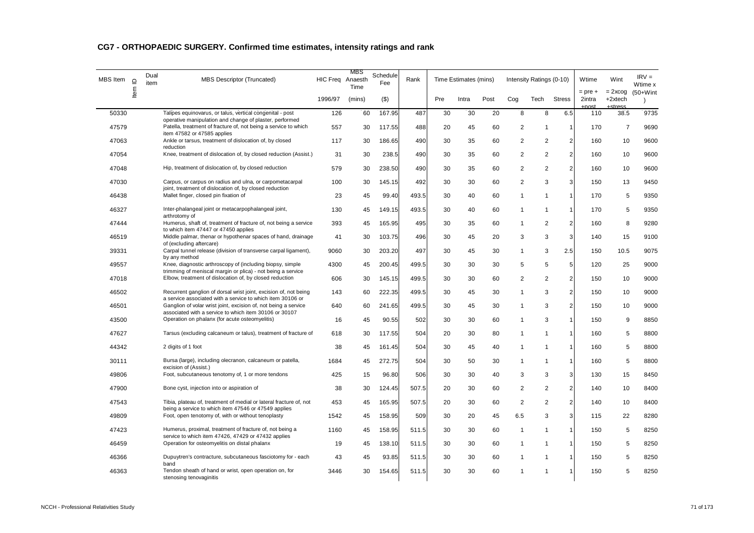| MBS Item | $\supseteq$ | Dual<br>item | <b>MBS Descriptor (Truncated)</b>                                                                                             | HIC Freq Anaesth | MBS<br>Time | Schedule<br>Rank<br>Fee |       | Time Estimates (mins) |       |      | Intensity Ratings (0-10) |                |                | Wtime                        | Wint                             | $IRV =$<br>Wtime x        |
|----------|-------------|--------------|-------------------------------------------------------------------------------------------------------------------------------|------------------|-------------|-------------------------|-------|-----------------------|-------|------|--------------------------|----------------|----------------|------------------------------|----------------------------------|---------------------------|
|          | ltem        |              |                                                                                                                               | 1996/97          | (mins)      | $($ \$)                 |       | Pre                   | Intra | Post | Cog                      | Tech           | <b>Stress</b>  | $=$ pre $+$<br>2intra<br>net | $= 2x \cos$<br>+2xtech<br>etrace | $(50+W)$ int<br>$\lambda$ |
| 50330    |             |              | Talipes equinovarus, or talus, vertical congenital - post<br>operative manipulation and change of plaster, performed          | 126              | 60          | 167.95                  | 487   | 30                    | 30    | 20   | 8                        | 8              | 6.5            | 110                          | 38.5                             | 9735                      |
| 47579    |             |              | Patella, treatment of fracture of, not being a service to which                                                               | 557              | 30          | 117.55                  | 488   | 20                    | 45    | 60   | $\overline{2}$           | -1             | $\mathbf{1}$   | 170                          | $\overline{7}$                   | 9690                      |
| 47063    |             |              | item 47582 or 47585 applies<br>Ankle or tarsus, treatment of dislocation of, by closed                                        | 117              | 30          | 186.65                  | 490   | 30                    | 35    | 60   | $\overline{2}$           | $\overline{2}$ | $\sqrt{2}$     | 160                          | 10                               | 9600                      |
| 47054    |             |              | reduction<br>Knee, treatment of dislocation of, by closed reduction (Assist.)                                                 | 31               | 30          | 238.5                   | 490   | 30                    | 35    | 60   | $\overline{2}$           | $\overline{2}$ | $\overline{2}$ | 160                          | 10                               | 9600                      |
| 47048    |             |              | Hip, treatment of dislocation of, by closed reduction                                                                         | 579              | 30          | 238.50                  | 490   | 30                    | 35    | 60   | $\overline{2}$           | $\overline{2}$ | $\overline{2}$ | 160                          | 10                               | 9600                      |
| 47030    |             |              | Carpus, or carpus on radius and ulna, or carpometacarpal<br>joint, treatment of dislocation of, by closed reduction           | 100              | 30          | 145.15                  | 492   | 30                    | 30    | 60   | $\overline{2}$           | 3              | 3              | 150                          | 13                               | 9450                      |
| 46438    |             |              | Mallet finger, closed pin fixation of                                                                                         | 23               | 45          | 99.40                   | 493.5 | 30                    | 40    | 60   | 1                        | -1             | $\mathbf{1}$   | 170                          | 5                                | 9350                      |
| 46327    |             |              | Inter-phalangeal joint or metacarpophalangeal joint,<br>arthrotomy of                                                         | 130              | 45          | 149.15                  | 493.5 | 30                    | 40    | 60   | -1                       | -1             | 1              | 170                          | 5                                | 9350                      |
| 47444    |             |              | Humerus, shaft of, treatment of fracture of, not being a service                                                              | 393              | 45          | 165.95                  | 495   | 30                    | 35    | 60   | $\mathbf{1}$             | $\overline{2}$ | $\overline{2}$ | 160                          | 8                                | 9280                      |
| 46519    |             |              | to which item 47447 or 47450 applies<br>Middle palmar, thenar or hypothenar spaces of hand, drainage                          | 41               | 30          | 103.75                  | 496   | 30                    | 45    | 20   | 3                        | 3              | 3              | 140                          | 15                               | 9100                      |
| 39331    |             |              | of (excluding aftercare)<br>Carpal tunnel release (division of transverse carpal ligament),                                   | 9060             | 30          | 203.20                  | 497   | 30                    | 45    | 30   | $\mathbf{1}$             | 3              | 2.5            | 150                          | 10.5                             | 9075                      |
| 49557    |             |              | by any method<br>Knee, diagnostic arthroscopy of (including biopsy, simple                                                    | 4300             | 45          | 200.45                  | 499.5 | 30                    | 30    | 30   | 5                        | 5              | 5              | 120                          | 25                               | 9000                      |
| 47018    |             |              | trimming of meniscal margin or plica) - not being a service<br>Elbow, treatment of dislocation of, by closed reduction        | 606              | 30          | 145.15                  | 499.5 | 30                    | 30    | 60   | 2                        | 2              | 2              | 150                          | 10                               | 9000                      |
| 46502    |             |              | Recurrent ganglion of dorsal wrist joint, excision of, not being                                                              | 143              | 60          | 222.35                  | 499.5 | 30                    | 45    | 30   | 1                        | 3              | $\sqrt{2}$     | 150                          | 10                               | 9000                      |
| 46501    |             |              | a service associated with a service to which item 30106 or<br>Ganglion of volar wrist joint, excision of, not being a service | 640              | 60          | 241.65                  | 499.5 | 30                    | 45    | 30   | 1                        | 3              | $\sqrt{2}$     | 150                          | 10                               | 9000                      |
| 43500    |             |              | associated with a service to which item 30106 or 30107<br>Operation on phalanx (for acute osteomyelitis)                      | 16               | 45          | 90.55                   | 502   | 30                    | 30    | 60   | 1                        | 3              | $\mathbf{1}$   | 150                          | 9                                | 8850                      |
| 47627    |             |              | Tarsus (excluding calcaneum or talus), treatment of fracture of                                                               | 618              | 30          | 117.55                  | 504   | 20                    | 30    | 80   | $\mathbf{1}$             | $\mathbf 1$    | 1              | 160                          | 5                                | 8800                      |
| 44342    |             |              | 2 digits of 1 foot                                                                                                            | 38               | 45          | 161.45                  | 504   | 30                    | 45    | 40   | $\mathbf{1}$             | -1             | $\mathbf{1}$   | 160                          | 5                                | 8800                      |
| 30111    |             |              | Bursa (large), including olecranon, calcaneum or patella,                                                                     | 1684             | 45          | 272.75                  | 504   | 30                    | 50    | 30   | $\mathbf{1}$             | $\mathbf 1$    | $\mathbf 1$    | 160                          | 5                                | 8800                      |
| 49806    |             |              | excision of (Assist.)<br>Foot, subcutaneous tenotomy of, 1 or more tendons                                                    | 425              | 15          | 96.80                   | 506   | 30                    | 30    | 40   | 3                        | 3              | 3              | 130                          | 15                               | 8450                      |
| 47900    |             |              | Bone cyst, injection into or aspiration of                                                                                    | 38               | 30          | 124.45                  | 507.5 | 20                    | 30    | 60   | $\overline{2}$           | $\overline{2}$ | $\overline{2}$ | 140                          | 10                               | 8400                      |
| 47543    |             |              | Tibia, plateau of, treatment of medial or lateral fracture of, not                                                            | 453              | 45          | 165.95                  | 507.5 | 20                    | 30    | 60   | 2                        | 2              | $\overline{2}$ | 140                          | 10                               | 8400                      |
| 49809    |             |              | being a service to which item 47546 or 47549 applies<br>Foot, open tenotomy of, with or without tenoplasty                    | 1542             | 45          | 158.95                  | 509   | 30                    | 20    | 45   | 6.5                      | 3              | 3              | 115                          | 22                               | 8280                      |
| 47423    |             |              | Humerus, proximal, treatment of fracture of, not being a                                                                      | 1160             | 45          | 158.95                  | 511.5 | 30                    | 30    | 60   | $\mathbf{1}$             | $\mathbf{1}$   | $\mathbf{1}$   | 150                          | 5                                | 8250                      |
| 46459    |             |              | service to which item 47426, 47429 or 47432 applies<br>Operation for osteomyelitis on distal phalanx                          | 19               | 45          | 138.10                  | 511.5 | 30                    | 30    | 60   | $\mathbf{1}$             | $\mathbf{1}$   | 1              | 150                          | 5                                | 8250                      |
| 46366    |             |              | Dupuytren's contracture, subcutaneous fasciotomy for - each                                                                   | 43               | 45          | 93.85                   | 511.5 | 30                    | 30    | 60   | 1                        | $\mathbf{1}$   | $\mathbf{1}$   | 150                          | 5                                | 8250                      |
| 46363    |             |              | band<br>Tendon sheath of hand or wrist, open operation on, for<br>stenosing tenovaginitis                                     | 3446             | 30          | 154.65                  | 511.5 | 30                    | 30    | 60   | -1                       | -1             | $\mathbf 1$    | 150                          | 5                                | 8250                      |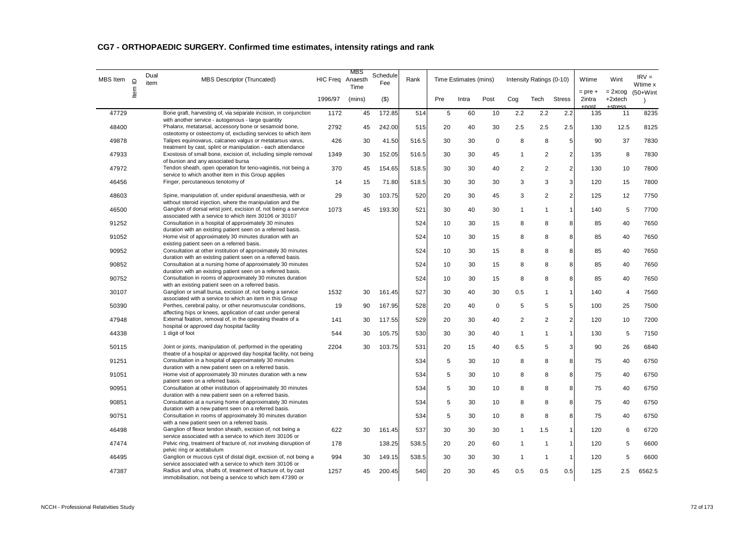| <b>MBS</b> Item<br>$\supseteq$ |      | Dual<br>item | <b>MBS Descriptor (Truncated)</b>                                                                                                                                           | HIC Freq Anaesth | MBS<br>Time | Schedule<br>Fee | Rank  |     | Time Estimates (mins) |             |                | Intensity Ratings (0-10) |                | Wtime                         | Wint                             | $IRV =$<br>Wtime x        |
|--------------------------------|------|--------------|-----------------------------------------------------------------------------------------------------------------------------------------------------------------------------|------------------|-------------|-----------------|-------|-----|-----------------------|-------------|----------------|--------------------------|----------------|-------------------------------|----------------------------------|---------------------------|
|                                | ltem |              |                                                                                                                                                                             | 1996/97          | (mins)      | $($ \$)         |       | Pre | Intra                 | Post        | Cog            | Tech                     | <b>Stress</b>  | $=$ pre $+$<br>2intra<br>nnet | $= 2x \cos$<br>+2xtech<br>ctrocc | $(50+W)$ int<br>$\lambda$ |
| 47729                          |      |              | Bone graft, harvesting of, via separate incision, in conjunction<br>with another service - autogenous - large quantity                                                      | 1172             | 45          | 172.85          | 514   | 5   | 60                    | 10          | 2.2            | 2.2                      | 2.2            | 135                           | 11                               | 8235                      |
| 48400                          |      |              | Phalanx, metatarsal, accessory bone or sesamoid bone,<br>osteotomy or osteectomy of, excluding services to which item                                                       | 2792             | 45          | 242.00          | 515   | 20  | 40                    | 30          | 2.5            | 2.5                      | 2.5            | 130                           | 12.5                             | 8125                      |
| 49878                          |      |              | Talipes equinovarus, calcaneo valgus or metatarsus varus,<br>treatment by cast, splint or manipulation - each attendance                                                    | 426              | 30          | 41.50           | 516.5 | 30  | 30                    | $\mathbf 0$ | 8              | 8                        | 5              | 90                            | 37                               | 7830                      |
| 47933                          |      |              | Exostosis of small bone, excision of, including simple removal<br>of bunion and any associated bursa                                                                        | 1349             | 30          | 152.05          | 516.5 | 30  | 30                    | 45          | $\mathbf 1$    | $\overline{2}$           | $\overline{c}$ | 135                           | 8                                | 7830                      |
| 47972                          |      |              | Tendon sheath, open operation for teno-vaginitis, not being a<br>service to which another item in this Group applies                                                        | 370              | 45          | 154.65          | 518.5 | 30  | 30                    | 40          | 2              | 2                        | $\overline{2}$ | 130                           | 10                               | 7800                      |
| 46456                          |      |              | Finger, percutaneous tenotomy of                                                                                                                                            | 14               | 15          | 71.80           | 518.5 | 30  | 30                    | 30          | 3              | 3                        | 3              | 120                           | 15                               | 7800                      |
| 48603                          |      |              | Spine, manipulation of, under epidural anaesthesia, with or<br>without steroid injection, where the manipulation and the                                                    | 29               | 30          | 103.75          | 520   | 20  | 30                    | 45          | 3              | $\overline{2}$           | $\overline{2}$ | 125                           | 12                               | 7750                      |
| 46500                          |      |              | Ganglion of dorsal wrist joint, excision of, not being a service<br>associated with a service to which item 30106 or 30107                                                  | 1073             | 45          | 193.30          | 521   | 30  | 40                    | 30          | $\mathbf{1}$   | $\mathbf{1}$             | $\mathbf{1}$   | 140                           | 5                                | 7700                      |
| 91252                          |      |              | Consultation in a hospital of approximately 30 minutes<br>duration with an existing patient seen on a referred basis.                                                       |                  |             |                 | 524   | 10  | 30                    | 15          | 8              | 8                        | 8              | 85                            | 40                               | 7650                      |
| 91052                          |      |              | Home visit of approximately 30 minutes duration with an<br>existing patient seen on a referred basis.                                                                       |                  |             |                 | 524   | 10  | 30                    | 15          | 8              | 8                        | 8              | 85                            | 40                               | 7650                      |
| 90952                          |      |              | Consultation at other institution of approximately 30 minutes<br>duration with an existing patient seen on a referred basis.                                                |                  |             |                 | 524   | 10  | 30                    | 15          | 8              | 8                        | 8              | 85                            | 40                               | 7650                      |
| 90852                          |      |              | Consultation at a nursing home of approximately 30 minutes<br>duration with an existing patient seen on a referred basis.                                                   |                  |             |                 | 524   | 10  | 30                    | 15          | 8              | 8                        | 8              | 85                            | 40                               | 7650                      |
| 90752                          |      |              | Consultation in rooms of approximately 30 minutes duration                                                                                                                  |                  |             |                 | 524   | 10  | 30                    | 15          | 8              | 8                        | 8              | 85                            | 40                               | 7650                      |
| 30107                          |      |              | with an existing patient seen on a referred basis.<br>Ganglion or small bursa, excision of, not being a service<br>associated with a service to which an item in this Group | 1532             | 30          | 161.45          | 527   | 30  | 40                    | 30          | 0.5            | -1                       | $\overline{1}$ | 140                           | $\overline{4}$                   | 7560                      |
| 50390                          |      |              | Perthes, cerebral palsy, or other neuromuscular conditions,                                                                                                                 | 19               | 90          | 167.95          | 528   | 20  | 40                    | $\Omega$    | 5              | 5                        | 5              | 100                           | 25                               | 7500                      |
| 47948                          |      |              | affecting hips or knees, application of cast under general<br>External fixation, removal of, in the operating theatre of a<br>hospital or approved day hospital facility    | 141              | 30          | 117.55          | 529   | 20  | 30                    | 40          | $\overline{2}$ | 2                        | $\overline{c}$ | 120                           | 10                               | 7200                      |
| 44338                          |      |              | 1 digit of foot                                                                                                                                                             | 544              | 30          | 105.75          | 530   | 30  | 30                    | 40          | $\mathbf{1}$   | $\overline{1}$           | $\mathbf{1}$   | 130                           | 5                                | 7150                      |
| 50115                          |      |              | Joint or joints, manipulation of, performed in the operating<br>theatre of a hospital or approved day hospital facility, not being                                          | 2204             | 30          | 103.75          | 531   | 20  | 15                    | 40          | 6.5            | 5                        | 3              | 90                            | 26                               | 6840                      |
| 91251                          |      |              | Consultation in a hospital of approximately 30 minutes                                                                                                                      |                  |             |                 | 534   | 5   | 30                    | 10          | 8              | 8                        | 8              | 75                            | 40                               | 6750                      |
| 91051                          |      |              | duration with a new patient seen on a referred basis.<br>Home visit of approximately 30 minutes duration with a new                                                         |                  |             |                 | 534   | 5   | 30                    | 10          | 8              | 8                        | 8              | 75                            | 40                               | 6750                      |
| 90951                          |      |              | patient seen on a referred basis.<br>Consultation at other institution of approximately 30 minutes<br>duration with a new patient seen on a referred basis.                 |                  |             |                 | 534   | 5   | 30                    | 10          | 8              | 8                        | 8              | 75                            | 40                               | 6750                      |
| 90851                          |      |              | Consultation at a nursing home of approximately 30 minutes<br>duration with a new patient seen on a referred basis.                                                         |                  |             |                 | 534   | 5   | 30                    | 10          | 8              | 8                        | 8              | 75                            | 40                               | 6750                      |
| 90751                          |      |              | Consultation in rooms of approximately 30 minutes duration<br>with a new patient seen on a referred basis.                                                                  |                  |             |                 | 534   | 5   | 30                    | 10          | 8              | 8                        | 8              | 75                            | 40                               | 6750                      |
| 46498                          |      |              | Ganglion of flexor tendon sheath, excision of, not being a<br>service associated with a service to which item 30106 or                                                      | 622              | 30          | 161.45          | 537   | 30  | 30                    | 30          | $\mathbf{1}$   | 1.5                      | $\overline{1}$ | 120                           | 6                                | 6720                      |
| 47474                          |      |              | Pelvic ring, treatment of fracture of, not involving disruption of<br>pelvic ring or acetabulum                                                                             | 178              |             | 138.25          | 538.5 | 20  | 20                    | 60          | $\mathbf{1}$   | $\mathbf{1}$             | $\mathbf{1}$   | 120                           | 5                                | 6600                      |
| 46495                          |      |              | Ganglion or mucous cyst of distal digit, excision of, not being a<br>service associated with a service to which item 30106 or                                               | 994              | 30          | 149.15          | 538.5 | 30  | 30                    | 30          | $\mathbf{1}$   | $\mathbf 1$              | -1             | 120                           | 5                                | 6600                      |
| 47387                          |      |              | Radius and ulna, shafts of, treatment of fracture of, by cast<br>immobilisation, not being a service to which item 47390 or                                                 | 1257             | 45          | 200.45          | 540   | 20  | 30                    | 45          | 0.5            | 0.5                      | 0.5            | 125                           | 2.5                              | 6562.5                    |

# **CG7 - ORTHOPAEDIC SURGERY. Confirmed time estimates, intensity ratings and rank**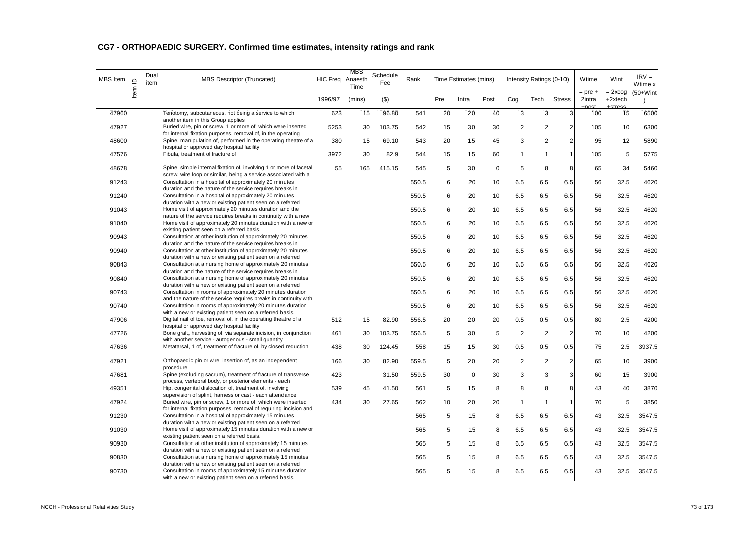| <b>MBS</b> Item | $\supseteq$ | Dual<br>item | <b>MBS Descriptor (Truncated)</b>                                                                                                                                                    | HIC Freq Anaesth | MBS<br>Time | Schedule<br>Fee | Rank  |     | Time Estimates (mins) |             |                | Intensity Ratings (0-10) |                | Wtime                        | Wint                             | $IRV =$<br>Wtime x        |
|-----------------|-------------|--------------|--------------------------------------------------------------------------------------------------------------------------------------------------------------------------------------|------------------|-------------|-----------------|-------|-----|-----------------------|-------------|----------------|--------------------------|----------------|------------------------------|----------------------------------|---------------------------|
|                 | ltem        |              |                                                                                                                                                                                      | 1996/97          | (mins)      | $($ \$)         |       | Pre | Intra                 | Post        | Cog            | Tech                     | <b>Stress</b>  | $=$ pre $+$<br>2intra<br>net | $= 2x \cos$<br>+2xtech<br>ctrocc | $(50+W)$ int<br>$\lambda$ |
| 47960           |             |              | Tenotomy, subcutaneous, not being a service to which<br>another item in this Group applies                                                                                           | 623              | 15          | 96.80           | 541   | 20  | 20                    | 40          | 3              | 3                        | 3              | 100                          | 15                               | 6500                      |
| 47927           |             |              | Buried wire, pin or screw, 1 or more of, which were inserted<br>for internal fixation purposes, removal of, in the operating                                                         | 5253             | 30          | 103.75          | 542   | 15  | 30                    | 30          | $\overline{2}$ | $\overline{2}$           | $\sqrt{2}$     | 105                          | 10                               | 6300                      |
| 48600           |             |              | Spine, manipulation of, performed in the operating theatre of a<br>hospital or approved day hospital facility                                                                        | 380              | 15          | 69.10           | 543   | 20  | 15                    | 45          | 3              | $\overline{2}$           | $\sqrt{2}$     | 95                           | 12                               | 5890                      |
| 47576           |             |              | Fibula, treatment of fracture of                                                                                                                                                     | 3972             | 30          | 82.9            | 544   | 15  | 15                    | 60          | $\mathbf{1}$   | 1                        | $\mathbf{1}$   | 105                          | 5                                | 5775                      |
| 48678           |             |              | Spine, simple internal fixation of, involving 1 or more of facetal<br>screw, wire loop or similar, being a service associated with a                                                 | 55               | 165         | 415.15          | 545   | 5   | 30                    | $\mathbf 0$ | 5              | 8                        | 8              | 65                           | 34                               | 5460                      |
| 91243           |             |              | Consultation in a hospital of approximately 20 minutes<br>duration and the nature of the service requires breaks in                                                                  |                  |             |                 | 550.5 | 6   | 20                    | 10          | 6.5            | 6.5                      | 6.5            | 56                           | 32.5                             | 4620                      |
| 91240           |             |              | Consultation in a hospital of approximately 20 minutes<br>duration with a new or existing patient seen on a referred                                                                 |                  |             |                 | 550.5 | 6   | 20                    | 10          | 6.5            | 6.5                      | 6.5            | 56                           | 32.5                             | 4620                      |
| 91043           |             |              | Home visit of approximately 20 minutes duration and the<br>nature of the service requires breaks in continuity with a new                                                            |                  |             |                 | 550.5 | 6   | 20                    | 10          | 6.5            | 6.5                      | 6.5            | 56                           | 32.5                             | 4620                      |
| 91040           |             |              | Home visit of approximately 20 minutes duration with a new or<br>existing patient seen on a referred basis.                                                                          |                  |             |                 | 550.5 | 6   | 20                    | 10          | 6.5            | 6.5                      | 6.5            | 56                           | 32.5                             | 4620                      |
| 90943           |             |              | Consultation at other institution of approximately 20 minutes<br>duration and the nature of the service requires breaks in                                                           |                  |             |                 | 550.5 | 6   | 20                    | 10          | 6.5            | 6.5                      | 6.5            | 56                           | 32.5                             | 4620                      |
| 90940           |             |              | Consultation at other institution of approximately 20 minutes<br>duration with a new or existing patient seen on a referred                                                          |                  |             |                 | 550.5 | 6   | 20                    | 10          | 6.5            | 6.5                      | 6.5            | 56                           | 32.5                             | 4620                      |
| 90843           |             |              | Consultation at a nursing home of approximately 20 minutes<br>duration and the nature of the service requires breaks in                                                              |                  |             |                 | 550.5 | 6   | 20                    | 10          | 6.5            | 6.5                      | 6.5            | 56                           | 32.5                             | 4620                      |
| 90840           |             |              | Consultation at a nursing home of approximately 20 minutes<br>duration with a new or existing patient seen on a referred                                                             |                  |             |                 | 550.5 | 6   | 20                    | 10          | 6.5            | 6.5                      | 6.5            | 56                           | 32.5                             | 4620                      |
| 90743           |             |              | Consultation in rooms of approximately 20 minutes duration<br>and the nature of the service requires breaks in continuity with                                                       |                  |             |                 | 550.5 | 6   | 20                    | 10          | 6.5            | 6.5                      | 6.5            | 56                           | 32.5                             | 4620                      |
| 90740           |             |              | Consultation in rooms of approximately 20 minutes duration<br>with a new or existing patient seen on a referred basis.                                                               |                  |             |                 | 550.5 | 6   | 20                    | 10          | 6.5            | 6.5                      | 6.5            | 56                           | 32.5                             | 4620                      |
| 47906           |             |              | Digital nail of toe, removal of, in the operating theatre of a<br>hospital or approved day hospital facility                                                                         | 512              | 15          | 82.90           | 556.5 | 20  | 20                    | 20          | 0.5            | 0.5                      | 0.5            | 80                           | 2.5                              | 4200                      |
| 47726           |             |              | Bone graft, harvesting of, via separate incision, in conjunction                                                                                                                     | 461              | 30          | 103.75          | 556.5 | 5   | 30                    | 5           | 2              | 2                        | 2              | 70                           | 10                               | 4200                      |
| 47636           |             |              | with another service - autogenous - small quantity<br>Metatarsal, 1 of, treatment of fracture of, by closed reduction                                                                | 438              | 30          | 124.45          | 558   | 15  | 15                    | 30          | 0.5            | 0.5                      | 0.5            | 75                           | 2.5                              | 3937.5                    |
| 47921           |             |              | Orthopaedic pin or wire, insertion of, as an independent<br>procedure                                                                                                                | 166              | 30          | 82.90           | 559.5 | 5   | 20                    | 20          | 2              | 2                        | $\overline{2}$ | 65                           | 10                               | 3900                      |
| 47681           |             |              | Spine (excluding sacrum), treatment of fracture of transverse                                                                                                                        | 423              |             | 31.50           | 559.5 | 30  | 0                     | 30          | 3              | 3                        | 3              | 60                           | 15                               | 3900                      |
| 49351           |             |              | process, vertebral body, or posterior elements - each<br>Hip, congenital dislocation of, treatment of, involving                                                                     | 539              | 45          | 41.50           | 561   | 5   | 15                    | 8           | 8              | 8                        | 8              | 43                           | 40                               | 3870                      |
| 47924           |             |              | supervision of splint, harness or cast - each attendance<br>Buried wire, pin or screw, 1 or more of, which were inserted                                                             | 434              | 30          | 27.65           | 562   | 10  | 20                    | 20          | $\mathbf{1}$   | $\mathbf{1}$             | $\mathbf{1}$   | 70                           | 5                                | 3850                      |
| 91230           |             |              | for internal fixation purposes, removal of requiring incision and<br>Consultation in a hospital of approximately 15 minutes                                                          |                  |             |                 | 565   | 5   | 15                    | 8           | 6.5            | 6.5                      | 6.5            | 43                           | 32.5                             | 3547.5                    |
| 91030           |             |              | duration with a new or existing patient seen on a referred<br>Home visit of approximately 15 minutes duration with a new or                                                          |                  |             |                 | 565   | 5   | 15                    | 8           | 6.5            | 6.5                      | 6.5            | 43                           | 32.5                             | 3547.5                    |
| 90930           |             |              | existing patient seen on a referred basis.<br>Consultation at other institution of approximately 15 minutes                                                                          |                  |             |                 | 565   | 5   | 15                    | 8           | 6.5            | 6.5                      | 6.5            | 43                           | 32.5                             | 3547.5                    |
| 90830           |             |              | duration with a new or existing patient seen on a referred<br>Consultation at a nursing home of approximately 15 minutes                                                             |                  |             |                 | 565   | 5   | 15                    | 8           | 6.5            | 6.5                      | 6.5            | 43                           | 32.5                             | 3547.5                    |
| 90730           |             |              | duration with a new or existing patient seen on a referred<br>Consultation in rooms of approximately 15 minutes duration<br>with a new or existing patient seen on a referred basis. |                  |             |                 | 565   | 5   | 15                    | 8           | 6.5            | 6.5                      | 6.5            | 43                           | 32.5                             | 3547.5                    |

# **CG7 - ORTHOPAEDIC SURGERY. Confirmed time estimates, intensity ratings and rank**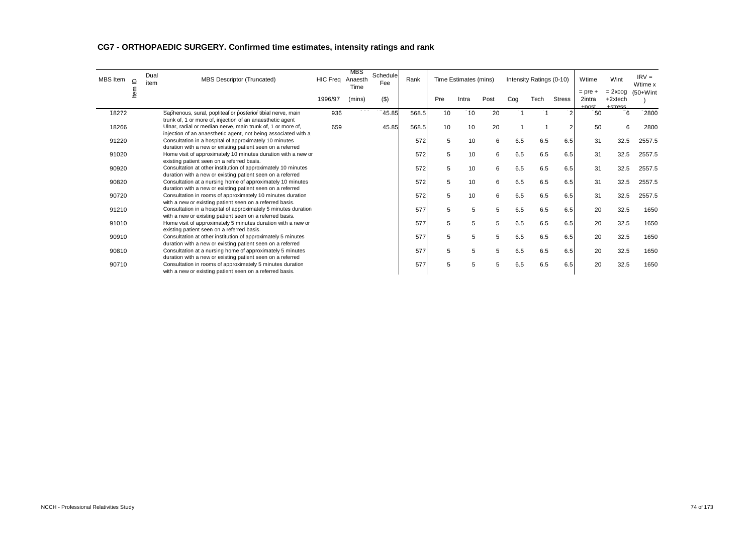| MBS Item | $\supseteq$ | Dual<br>item | MBS Descriptor (Truncated)                                                                                                    | <b>HIC Freq</b> | MBS<br>Anaesth<br>Time | Schedule<br>Fee | Rank  |     | Time Estimates (mins) |      |     | Intensity Ratings (0-10) |               | Wtime                                 | Wint                              | $IRV =$<br>Wtime x |
|----------|-------------|--------------|-------------------------------------------------------------------------------------------------------------------------------|-----------------|------------------------|-----------------|-------|-----|-----------------------|------|-----|--------------------------|---------------|---------------------------------------|-----------------------------------|--------------------|
|          | ≗           |              |                                                                                                                               | 1996/97         | (mins)                 | $($ \$)         |       | Pre | Intra                 | Post | Cog | Tech                     | <b>Stress</b> | $=$ pre $+$<br>2intra<br><b>LDOSt</b> | $= 2x \cos$<br>+2xtech<br>Letrace | $(50+W)$ int       |
| 18272    |             |              | Saphenous, sural, popliteal or posterior tibial nerve, main<br>trunk of, 1 or more of, injection of an anaesthetic agent      | 936             |                        | 45.85           | 568.5 | 10  | 10                    | 20   |     |                          |               | 50                                    | 6                                 | 2800               |
| 18266    |             |              | Ulnar, radial or median nerve, main trunk of, 1 or more of,<br>injection of an anaesthetic agent, not being associated with a | 659             |                        | 45.85           | 568.5 | 10  | 10                    | 20   |     |                          | 2             | 50                                    | 6                                 | 2800               |
| 91220    |             |              | Consultation in a hospital of approximately 10 minutes<br>duration with a new or existing patient seen on a referred          |                 |                        |                 | 572   | 5   | 10                    | 6    | 6.5 | 6.5                      | 6.5           | 31                                    | 32.5                              | 2557.5             |
| 91020    |             |              | Home visit of approximately 10 minutes duration with a new or<br>existing patient seen on a referred basis.                   |                 |                        |                 | 572   | 5   | 10                    | 6    | 6.5 | 6.5                      | 6.5           | 31                                    | 32.5                              | 2557.5             |
| 90920    |             |              | Consultation at other institution of approximately 10 minutes<br>duration with a new or existing patient seen on a referred   |                 |                        |                 | 572   | 5   | 10                    | 6    | 6.5 | 6.5                      | 6.5           | 31                                    | 32.5                              | 2557.5             |
| 90820    |             |              | Consultation at a nursing home of approximately 10 minutes<br>duration with a new or existing patient seen on a referred      |                 |                        |                 | 572   | 5   | 10                    | 6    | 6.5 | 6.5                      | 6.5           | 31                                    | 32.5                              | 2557.5             |
| 90720    |             |              | Consultation in rooms of approximately 10 minutes duration<br>with a new or existing patient seen on a referred basis.        |                 |                        |                 | 572   | 5   | 10                    | 6    | 6.5 | 6.5                      | 6.5           | 31                                    | 32.5                              | 2557.5             |
| 91210    |             |              | Consultation in a hospital of approximately 5 minutes duration<br>with a new or existing patient seen on a referred basis.    |                 |                        |                 | 577   | 5   | 5                     | 5    | 6.5 | 6.5                      | 6.5           | 20                                    | 32.5                              | 1650               |
| 91010    |             |              | Home visit of approximately 5 minutes duration with a new or<br>existing patient seen on a referred basis.                    |                 |                        |                 | 577   | 5   | 5                     | 5    | 6.5 | 6.5                      | 6.5           | 20                                    | 32.5                              | 1650               |
| 90910    |             |              | Consultation at other institution of approximately 5 minutes<br>duration with a new or existing patient seen on a referred    |                 |                        |                 | 577   | 5   | 5                     | 5    | 6.5 | 6.5                      | 6.5           | 20                                    | 32.5                              | 1650               |
| 90810    |             |              | Consultation at a nursing home of approximately 5 minutes<br>duration with a new or existing patient seen on a referred       |                 |                        |                 | 577   | 5   | 5                     | 5    | 6.5 | 6.5                      | 6.5           | 20                                    | 32.5                              | 1650               |
| 90710    |             |              | Consultation in rooms of approximately 5 minutes duration<br>with a new or existing patient seen on a referred basis.         |                 |                        |                 | 577   | 5   | 5                     | 5    | 6.5 | 6.5                      | 6.5           | 20                                    | 32.5                              | 1650               |

# **CG7 - ORTHOPAEDIC SURGERY. Confirmed time estimates, intensity ratings and rank**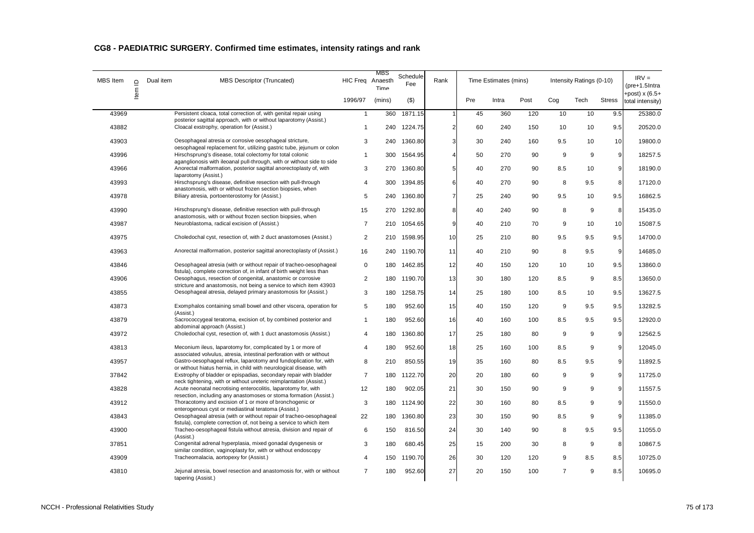| MBS Item | $\Omega$ | Dual item<br>MBS Descriptor (Truncated)                                                                                                     | HIC Freq Anaesth | MBS<br>Time | Schedule<br>Fee | Rank           |     | Time Estimates (mins) |      |                | Intensity Ratings (0-10) |               | $IRV =$<br>(pre+1.5Intra            |
|----------|----------|---------------------------------------------------------------------------------------------------------------------------------------------|------------------|-------------|-----------------|----------------|-----|-----------------------|------|----------------|--------------------------|---------------|-------------------------------------|
|          | Item     |                                                                                                                                             | 1996/97          | (mins)      | $($ \$)         |                | Pre | Intra                 | Post | Cog            | Tech                     | <b>Stress</b> | +post) $x(6.5+$<br>total intensity) |
| 43969    |          | Persistent cloaca, total correction of, with genital repair using<br>posterior sagittal approach, with or without laparotomy (Assist.)      | $\mathbf{1}$     | 360         | 1871.15         |                | 45  | 360                   | 120  | 10             | 10                       | 9.5           | 25380.0                             |
| 43882    |          | Cloacal exstrophy, operation for (Assist.)                                                                                                  | $\mathbf{1}$     | 240         | 1224.75         | 2              | 60  | 240                   | 150  | 10             | 10                       | 9.5           | 20520.0                             |
| 43903    |          | Oesophageal atresia or corrosive oesophageal stricture,<br>oesophageal replacement for, utilizing gastric tube, jejunum or colon            | 3                |             | 240 1360.80     | 3              | 30  | 240                   | 160  | 9.5            | 10                       | 10            | 19800.0                             |
| 43996    |          | Hirschsprung's disease, total colectomy for total colonic<br>aganglionosis with ileoanal pull-through, with or without side to side         | $\mathbf{1}$     | 300         | 1564.95         |                | 50  | 270                   | 90   | 9              | 9                        | 9             | 18257.5                             |
| 43966    |          | Anorectal malformation, posterior sagittal anorectoplasty of, with<br>laparotomy (Assist.)                                                  | 3                | 270         | 1360.80         | 5              | 40  | 270                   | 90   | 8.5            | 10                       | 9             | 18190.0                             |
| 43993    |          | Hirschsprung's disease, definitive resection with pull-through                                                                              | $\overline{4}$   | 300         | 1394.85         | 6              | 40  | 270                   | 90   | 8              | 9.5                      | 8             | 17120.0                             |
| 43978    |          | anastomosis, with or without frozen section biopsies, when<br>Biliary atresia, portoenterostomy for (Assist.)                               | 5                |             | 240 1360.80     | $\overline{7}$ | 25  | 240                   | 90   | 9.5            | 10                       | 9.5           | 16862.5                             |
| 43990    |          | Hirschsprung's disease, definitive resection with pull-through<br>anastomosis, with or without frozen section biopsies, when                | 15               | 270         | 1292.80         | 8              | 40  | 240                   | 90   | 8              | 9                        | 8             | 15435.0                             |
| 43987    |          | Neuroblastoma, radical excision of (Assist.)                                                                                                | $\overline{7}$   |             | 210 1054.65     | 9              | 40  | 210                   | 70   | 9              | 10                       | 10            | 15087.5                             |
| 43975    |          | Choledochal cyst, resection of, with 2 duct anastomoses (Assist.)                                                                           | 2                | 210         | 1598.95         | 10             | 25  | 210                   | 80   | 9.5            | 9.5                      | 9.5           | 14700.0                             |
| 43963    |          | Anorectal malformation, posterior sagittal anorectoplasty of (Assist.)                                                                      | 16               |             | 240 1190.70     | 11             | 40  | 210                   | 90   | 8              | 9.5                      | 9             | 14685.0                             |
| 43846    |          | Oesophageal atresia (with or without repair of tracheo-oesophageal<br>fistula), complete correction of, in infant of birth weight less than | 0                | 180         | 1462.85         | 12             | 40  | 150                   | 120  | 10             | 10                       | 9.5           | 13860.0                             |
| 43906    |          | Oesophagus, resection of congenital, anastomic or corrosive<br>stricture and anastomosis, not being a service to which item 43903           | $\overline{2}$   |             | 180 1190.70     | 13             | 30  | 180                   | 120  | 8.5            | 9                        | 8.5           | 13650.0                             |
| 43855    |          | Oesophageal atresia, delayed primary anastomosis for (Assist.)                                                                              | 3                | 180         | 1258.75         | 14             | 25  | 180                   | 100  | 8.5            | 10                       | 9.5           | 13627.5                             |
| 43873    |          | Exomphalos containing small bowel and other viscera, operation for<br>(Assist.)                                                             | 5                | 180         | 952.60          | 15             | 40  | 150                   | 120  | 9              | 9.5                      | 9.5           | 13282.5                             |
| 43879    |          | Sacrococcygeal teratoma, excision of, by combined posterior and<br>abdominal approach (Assist.)                                             | $\mathbf{1}$     | 180         | 952.60          | 16             | 40  | 160                   | 100  | 8.5            | 9.5                      | 9.5           | 12920.0                             |
| 43972    |          | Choledochal cyst, resection of, with 1 duct anastomosis (Assist.)                                                                           | $\overline{4}$   | 180         | 1360.80         | 17             | 25  | 180                   | 80   | 9              | 9                        | 9             | 12562.5                             |
| 43813    |          | Meconium ileus, laparotomy for, complicated by 1 or more of<br>associated volvulus, atresia, intestinal perforation with or without         | $\overline{4}$   | 180         | 952.60          | 18             | 25  | 160                   | 100  | 8.5            | 9                        | 9             | 12045.0                             |
| 43957    |          | Gastro-oesophageal reflux, laparotomy and fundoplication for, with<br>or without hiatus hernia, in child with neurological disease, with    | 8                | 210         | 850.55          | 19             | 35  | 160                   | 80   | 8.5            | 9.5                      | 9             | 11892.5                             |
| 37842    |          | Exstrophy of bladder or epispadias, secondary repair with bladder<br>neck tightening, with or without ureteric reimplantation (Assist.)     | $\overline{7}$   | 180         | 1122.70         | 20             | 20  | 180                   | 60   | 9              | 9                        | 9             | 11725.0                             |
| 43828    |          | Acute neonatal necrotising enterocolitis, laparotomy for, with<br>resection, including any anastomoses or stoma formation (Assist.)         | 12               | 180         | 902.05          | 21             | 30  | 150                   | 90   | 9              | 9                        | 9             | 11557.5                             |
| 43912    |          | Thoracotomy and excision of 1 or more of bronchogenic or<br>enterogenous cyst or mediastinal teratoma (Assist.)                             | 3                | 180         | 1124.90         | 22             | 30  | 160                   | 80   | 8.5            | 9                        | 9             | 11550.0                             |
| 43843    |          | Oesophageal atresia (with or without repair of tracheo-oesophageal<br>fistula), complete correction of, not being a service to which item   | 22               | 180         | 1360.80         | 23             | 30  | 150                   | 90   | 8.5            | 9                        | 9             | 11385.0                             |
| 43900    |          | Tracheo-oesophageal fistula without atresia, division and repair of<br>(Assist.)                                                            | 6                | 150         | 816.50          | 24             | 30  | 140                   | 90   | 8              | 9.5                      | 9.5           | 11055.0                             |
| 37851    |          | Congenital adrenal hyperplasia, mixed gonadal dysgenesis or<br>similar condition, vaginoplasty for, with or without endoscopy               | 3                | 180         | 680.45          | 25             | 15  | 200                   | 30   | 8              | 9                        | 8             | 10867.5                             |
| 43909    |          | Tracheomalacia, aortopexy for (Assist.)                                                                                                     | 4                | 150         | 1190.70         | 26             | 30  | 120                   | 120  | 9              | 8.5                      | 8.5           | 10725.0                             |
| 43810    |          | Jejunal atresia, bowel resection and anastomosis for, with or without<br>tapering (Assist.)                                                 | $\overline{7}$   | 180         | 952.60          | 27             | 20  | 150                   | 100  | $\overline{7}$ | 9                        | 8.5           | 10695.0                             |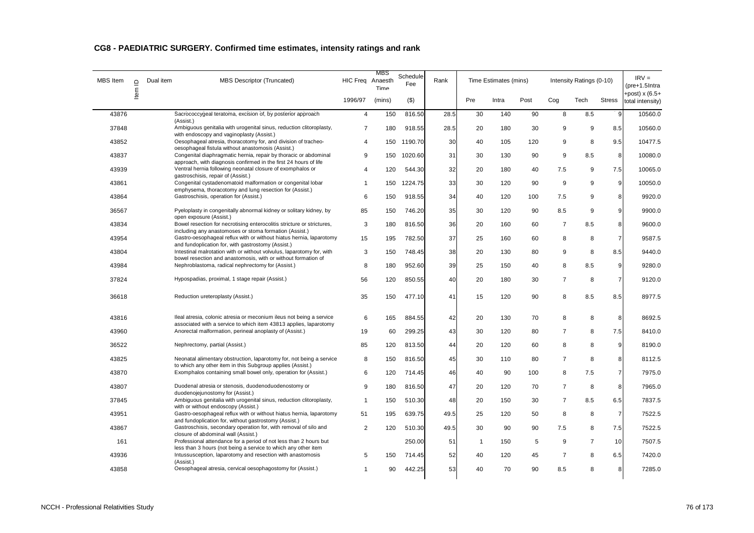| CG8 - PAEDIATRIC SURGERY. Confirmed time estimates, intensity ratings and rank |  |  |
|--------------------------------------------------------------------------------|--|--|
|--------------------------------------------------------------------------------|--|--|

| MBS Item | $\overline{a}$ | Dual item | <b>MBS Descriptor (Truncated)</b>                                                                                                         | HIC Freq Anaesth | MBS<br>Time | Schedule<br>Fee | Rank | Time Estimates (mins) |       |      |                | Intensity Ratings (0-10) |                | $IRV =$<br>(pre+1.5Intra            |
|----------|----------------|-----------|-------------------------------------------------------------------------------------------------------------------------------------------|------------------|-------------|-----------------|------|-----------------------|-------|------|----------------|--------------------------|----------------|-------------------------------------|
|          | Item           |           |                                                                                                                                           | 1996/97          | (mins)      | $($ \$)         |      | Pre                   | Intra | Post | Cog            | Tech                     | <b>Stress</b>  | +post) $x(6.5+$<br>total intensity) |
| 43876    |                |           | Sacrococcygeal teratoma, excision of, by posterior approach<br>(Assist.)                                                                  | $\overline{4}$   | 150         | 816.50          | 28.5 | 30                    | 140   | 90   | 8              | 8.5                      | 9              | 10560.0                             |
| 37848    |                |           | Ambiguous genitalia with urogenital sinus, reduction clitoroplasty,                                                                       | $\overline{7}$   | 180         | 918.55          | 28.5 | 20                    | 180   | 30   | 9              | 9                        | 8.5            | 10560.0                             |
| 43852    |                |           | with endoscopy and vaginoplasty (Assist.)<br>Oesophageal atresia, thoracotomy for, and division of tracheo-                               | 4                | 150         | 1190.70         | 30   | 40                    | 105   | 120  | 9              | 8                        | 9.5            | 10477.5                             |
| 43837    |                |           | oesophageal fistula without anastomosis (Assist.)<br>Congenital diaphragmatic hernia, repair by thoracic or abdominal                     | 9                | 150         | 1020.60         | 31   | 30                    | 130   | 90   | 9              | 8.5                      | 8              | 10080.0                             |
| 43939    |                |           | approach, with diagnosis confirmed in the first 24 hours of life<br>Ventral hernia following neonatal closure of exomphalos or            | 4                | 120         | 544.30          | 32   | 20                    | 180   | 40   | 7.5            | 9                        | 7.5            | 10065.0                             |
| 43861    |                |           | gastroschisis, repair of (Assist.)<br>Congenital cystadenomatoid malformation or congenital lobar                                         | 1                | 150         | 1224.75         | 33   | 30                    | 120   | 90   | 9              | 9                        | 9              | 10050.0                             |
| 43864    |                |           | emphysema, thoracotomy and lung resection for (Assist.)<br>Gastroschisis, operation for (Assist.)                                         | 6                | 150         | 918.55          | 34   | 40                    | 120   | 100  | 7.5            | 9                        | 8              | 9920.0                              |
|          |                |           | Pyeloplasty in congenitally abnormal kidney or solitary kidney, by                                                                        | 85               |             |                 | 35   | 30                    |       |      |                | 9                        | 9              | 9900.0                              |
| 36567    |                |           | open exposure (Assist.)                                                                                                                   |                  | 150         | 746.20          |      |                       | 120   | 90   | 8.5            |                          |                |                                     |
| 43834    |                |           | Bowel resection for necrotising enterocolitis stricture or strictures,<br>including any anastomoses or stoma formation (Assist.)          | 3                | 180         | 816.50          | 36   | 20                    | 160   | 60   | $\overline{7}$ | 8.5                      | 8              | 9600.0                              |
| 43954    |                |           | Gastro-oesophageal reflux with or without hiatus hernia, laparotomy<br>and fundoplication for, with gastrostomy (Assist.)                 | 15               | 195         | 782.50          | 37   | 25                    | 160   | 60   | 8              | 8                        | $\overline{7}$ | 9587.5                              |
| 43804    |                |           | Intestinal malrotation with or without volvulus, laparotomy for, with<br>bowel resection and anastomosis, with or without formation of    | 3                | 150         | 748.45          | 38   | 20                    | 130   | 80   | 9              | 8                        | 8.5            | 9440.0                              |
| 43984    |                |           | Nephroblastoma, radical nephrectomy for (Assist.)                                                                                         | 8                | 180         | 952.60          | 39   | 25                    | 150   | 40   | 8              | 8.5                      | 9              | 9280.0                              |
| 37824    |                |           | Hypospadias, proximal, 1 stage repair (Assist.)                                                                                           | 56               | 120         | 850.55          | 40   | 20                    | 180   | 30   | $\overline{7}$ | 8                        | $\overline{7}$ | 9120.0                              |
| 36618    |                |           | Reduction ureteroplasty (Assist.)                                                                                                         | 35               | 150         | 477.10          | 41   | 15                    | 120   | 90   | 8              | 8.5                      | 8.5            | 8977.5                              |
| 43816    |                |           | Ileal atresia, colonic atresia or meconium ileus not being a service<br>associated with a service to which item 43813 applies, laparotomy | 6                | 165         | 884.55          | 42   | 20                    | 130   | 70   | 8              | 8                        | 8              | 8692.5                              |
| 43960    |                |           | Anorectal malformation, perineal anoplasty of (Assist.)                                                                                   | 19               | 60          | 299.25          | 43   | 30                    | 120   | 80   | $\overline{7}$ | 8                        | 7.5            | 8410.0                              |
| 36522    |                |           | Nephrectomy, partial (Assist.)                                                                                                            | 85               | 120         | 813.50          | 44   | 20                    | 120   | 60   | 8              | 8                        | 9              | 8190.0                              |
| 43825    |                |           | Neonatal alimentary obstruction, laparotomy for, not being a service<br>to which any other item in this Subgroup applies (Assist.)        | 8                | 150         | 816.50          | 45   | 30                    | 110   | 80   | $\overline{7}$ | 8                        | 8              | 8112.5                              |
| 43870    |                |           | Exomphalos containing small bowel only, operation for (Assist.)                                                                           | 6                | 120         | 714.45          | 46   | 40                    | 90    | 100  | 8              | 7.5                      | $\overline{7}$ | 7975.0                              |
| 43807    |                |           | Duodenal atresia or stenosis, duodenoduodenostomy or<br>duodenojejunostomy for (Assist.)                                                  | 9                | 180         | 816.50          | 47   | 20                    | 120   | 70   | $\overline{7}$ | 8                        | 8              | 7965.0                              |
| 37845    |                |           | Ambiguous genitalia with urogenital sinus, reduction clitoroplasty,<br>with or without endoscopy (Assist.)                                | 1                | 150         | 510.30          | 48   | 20                    | 150   | 30   | $\overline{7}$ | 8.5                      | 6.5            | 7837.5                              |
| 43951    |                |           | Gastro-oesophageal reflux with or without hiatus hernia, laparotomy<br>and fundoplication for, without gastrostomy (Assist.)              | 51               | 195         | 639.75          | 49.5 | 25                    | 120   | 50   | 8              | 8                        | $\overline{7}$ | 7522.5                              |
| 43867    |                |           | Gastroschisis, secondary operation for, with removal of silo and                                                                          | 2                | 120         | 510.30          | 49.5 | 30                    | 90    | 90   | 7.5            | 8                        | 7.5            | 7522.5                              |
| 161      |                |           | closure of abdominal wall (Assist.)<br>Professional attendance for a period of not less than 2 hours but                                  |                  |             | 250.00          | 51   | $\mathbf{1}$          | 150   | 5    | 9              | $\overline{7}$           | 10             | 7507.5                              |
| 43936    |                |           | less than 3 hours (not being a service to which any other item<br>Intussusception, laparotomy and resection with anastomosis              | 5                | 150         | 714.45          | 52   | 40                    | 120   | 45   | $\overline{7}$ | 8                        | 6.5            | 7420.0                              |
| 43858    |                |           | (Assist.)<br>Oesophageal atresia, cervical oesophagostomy for (Assist.)                                                                   |                  | 90          | 442.25          | 53   | 40                    | 70    | 90   | 8.5            | 8                        | 8              | 7285.0                              |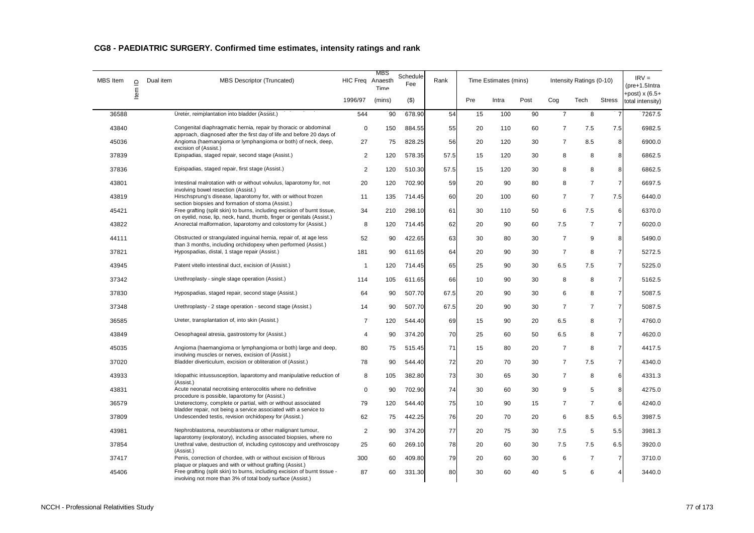| CG8 - PAEDIATRIC SURGERY. Confirmed time estimates, intensity ratings and rank |  |  |
|--------------------------------------------------------------------------------|--|--|
|--------------------------------------------------------------------------------|--|--|

| <b>MBS</b> Item | $\mathbf{r}$ | Dual item | <b>MBS Descriptor (Truncated)</b>                                                                                                                                                                   | HIC Freq Anaesth | MBS<br>Time | Schedule<br>Fee | Rank | Time Estimates (mins) |       |      |                | Intensity Ratings (0-10) |                | $IRV =$<br>(pre+1.5Intra           |
|-----------------|--------------|-----------|-----------------------------------------------------------------------------------------------------------------------------------------------------------------------------------------------------|------------------|-------------|-----------------|------|-----------------------|-------|------|----------------|--------------------------|----------------|------------------------------------|
|                 | Item         |           |                                                                                                                                                                                                     | 1996/97          | (mins)      | $($ \$)         |      | Pre                   | Intra | Post | Cog            | Tech                     | <b>Stress</b>  | +post) x (6.5+<br>total intensity) |
| 36588           |              |           | Ureter, reimplantation into bladder (Assist.)                                                                                                                                                       | 544              | 90          | 678.90          | 54   | 15                    | 100   | 90   | $\overline{7}$ | 8                        | $\overline{7}$ | 7267.5                             |
| 43840           |              |           | Congenital diaphragmatic hernia, repair by thoracic or abdominal<br>approach, diagnosed after the first day of life and before 20 days of                                                           | $\mathbf 0$      | 150         | 884.55          | 55   | 20                    | 110   | 60   | $\overline{7}$ | 7.5                      | 7.5            | 6982.5                             |
| 45036           |              |           | Angioma (haemangioma or lymphangioma or both) of neck, deep,<br>excision of (Assist.)                                                                                                               | 27               | 75          | 828.25          | 56   | 20                    | 120   | 30   | $\overline{7}$ | 8.5                      | 8              | 6900.0                             |
| 37839           |              |           | Epispadias, staged repair, second stage (Assist.)                                                                                                                                                   | $\overline{2}$   | 120         | 578.35          | 57.5 | 15                    | 120   | 30   | 8              | 8                        | 8              | 6862.5                             |
| 37836           |              |           | Epispadias, staged repair, first stage (Assist.)                                                                                                                                                    | 2                | 120         | 510.30          | 57.5 | 15                    | 120   | 30   | 8              | 8                        | 8              | 6862.5                             |
| 43801           |              |           | Intestinal malrotation with or without volvulus, laparotomy for, not<br>involving bowel resection (Assist.)                                                                                         | 20               | 120         | 702.90          | 59   | 20                    | 90    | 80   | 8              | $\overline{7}$           | $\overline{7}$ | 6697.5                             |
| 43819           |              |           | Hirschsprung's disease, laparotomy for, with or without frozen<br>section biopsies and formation of stoma (Assist.)                                                                                 | 11               | 135         | 714.45          | 60   | 20                    | 100   | 60   | $\overline{7}$ | $\overline{7}$           | 7.5            | 6440.0                             |
| 45421           |              |           | Free grafting (split skin) to burns, including excision of burnt tissue,<br>on eyelid, nose, lip, neck, hand, thumb, finger or genitals (Assist.)                                                   | 34               | 210         | 298.10          | 61   | 30                    | 110   | 50   | 6              | 7.5                      | 6              | 6370.0                             |
| 43822           |              |           | Anorectal malformation, laparotomy and colostomy for (Assist.)                                                                                                                                      | 8                | 120         | 714.45          | 62   | 20                    | 90    | 60   | 7.5            | $\overline{7}$           | $\overline{7}$ | 6020.0                             |
| 44111           |              |           | Obstructed or strangulated inguinal hernia, repair of, at age less<br>than 3 months, including orchidopexy when performed (Assist.)                                                                 | 52               | 90          | 422.65          | 63   | 30                    | 80    | 30   | $\overline{7}$ | 9                        | 8 <sup>1</sup> | 5490.0                             |
| 37821           |              |           | Hypospadias, distal, 1 stage repair (Assist.)                                                                                                                                                       | 181              | 90          | 611.65          | 64   | 20                    | 90    | 30   | $\overline{7}$ | 8                        | $\overline{7}$ | 5272.5                             |
| 43945           |              |           | Patent vitello intestinal duct, excision of (Assist.)                                                                                                                                               | $\overline{1}$   | 120         | 714.45          | 65   | 25                    | 90    | 30   | 6.5            | 7.5                      | 7              | 5225.0                             |
| 37342           |              |           | Urethroplasty - single stage operation (Assist.)                                                                                                                                                    | 114              | 105         | 611.65          | 66   | 10                    | 90    | 30   | 8              | 8                        | $\overline{7}$ | 5162.5                             |
| 37830           |              |           | Hypospadias, staged repair, second stage (Assist.)                                                                                                                                                  | 64               | 90          | 507.70          | 67.5 | 20                    | 90    | 30   | 6              | 8                        | 7              | 5087.5                             |
| 37348           |              |           | Urethroplasty - 2 stage operation - second stage (Assist.)                                                                                                                                          | 14               | 90          | 507.70          | 67.5 | 20                    | 90    | 30   | $\overline{7}$ | $\overline{7}$           | $\overline{7}$ | 5087.5                             |
| 36585           |              |           | Ureter, transplantation of, into skin (Assist.)                                                                                                                                                     | $\overline{7}$   | 120         | 544.40          | 69   | 15                    | 90    | 20   | 6.5            | 8                        | 7              | 4760.0                             |
| 43849           |              |           | Oesophageal atresia, gastrostomy for (Assist.)                                                                                                                                                      | $\overline{4}$   | 90          | 374.20          | 70   | 25                    | 60    | 50   | 6.5            | 8                        | 7              | 4620.0                             |
| 45035           |              |           | Angioma (haemangioma or lymphangioma or both) large and deep,<br>involving muscles or nerves, excision of (Assist.)                                                                                 | 80               | 75          | 515.45          | 71   | 15                    | 80    | 20   | $\overline{7}$ | 8                        | 7              | 4417.5                             |
| 37020           |              |           | Bladder diverticulum, excision or obliteration of (Assist.)                                                                                                                                         | 78               | 90          | 544.40          | 72   | 20                    | 70    | 30   | $\overline{7}$ | 7.5                      | 7              | 4340.0                             |
| 43933           |              |           | Idiopathic intussusception, laparotomy and manipulative reduction of<br>(Assist.)                                                                                                                   | 8                | 105         | 382.80          | 73   | 30                    | 65    | 30   | $\overline{7}$ | 8                        | 6              | 4331.3                             |
| 43831           |              |           | Acute neonatal necrotising enterocolitis where no definitive<br>procedure is possible, laparotomy for (Assist.)                                                                                     | $\mathbf 0$      | 90          | 702.90          | 74   | 30                    | 60    | 30   | 9              | 5                        | 8              | 4275.0                             |
| 36579           |              |           | Ureterectomy, complete or partial, with or without associated                                                                                                                                       | 79               | 120         | 544.40          | 75   | 10                    | 90    | 15   | $\overline{7}$ | $\overline{7}$           | 6              | 4240.0                             |
| 37809           |              |           | bladder repair, not being a service associated with a service to<br>Undescended testis, revision orchidopexy for (Assist.)                                                                          | 62               | 75          | 442.25          | 76   | 20                    | 70    | 20   | 6              | 8.5                      | 6.5            | 3987.5                             |
| 43981           |              |           | Nephroblastoma, neuroblastoma or other malignant tumour,                                                                                                                                            | $\overline{2}$   | 90          | 374.20          | 77   | 20                    | 75    | 30   | 7.5            | 5                        | 5.5            | 3981.3                             |
| 37854           |              |           | laparotomy (exploratory), including associated biopsies, where no<br>Urethral valve, destruction of, including cystoscopy and urethroscopy                                                          | 25               | 60          | 269.10          | 78   | 20                    | 60    | 30   | 7.5            | 7.5                      | 6.5            | 3920.0                             |
| 37417           |              |           | (Assist.)<br>Penis, correction of chordee, with or without excision of fibrous                                                                                                                      | 300              | 60          | 409.80          | 79   | 20                    | 60    | 30   | 6              | $\overline{7}$           | $\overline{7}$ | 3710.0                             |
| 45406           |              |           | plaque or plaques and with or without grafting (Assist.)<br>Free grafting (split skin) to burns, including excision of burnt tissue -<br>involving not more than 3% of total body surface (Assist.) | 87               | 60          | 331.30          | 80   | 30                    | 60    | 40   | 5              | 6                        | 4              | 3440.0                             |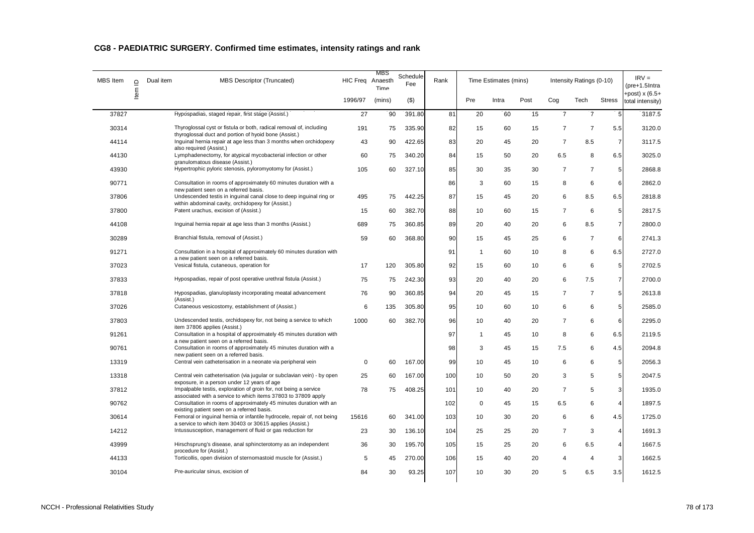| CG8 - PAEDIATRIC SURGERY. Confirmed time estimates, intensity ratings and rank |  |  |
|--------------------------------------------------------------------------------|--|--|
|--------------------------------------------------------------------------------|--|--|

| <b>MBS</b> Item | $\Box$ | Dual item | <b>MBS Descriptor (Truncated)</b>                                                                                                   | HIC Freq Anaesth | MBS<br>Time | Schedule<br>Fee | Rank | Time Estimates (mins) |       |      |                | Intensity Ratings (0-10) |                 | $IRV =$<br>$(pre+1.5Intra)$         |
|-----------------|--------|-----------|-------------------------------------------------------------------------------------------------------------------------------------|------------------|-------------|-----------------|------|-----------------------|-------|------|----------------|--------------------------|-----------------|-------------------------------------|
|                 | ltem   |           |                                                                                                                                     | 1996/97          | (mins)      | $($ \$)         |      | Pre                   | Intra | Post | Cog            | Tech                     | <b>Stress</b>   | +post) $x(6.5+$<br>total intensity) |
| 37827           |        |           | Hypospadias, staged repair, first stage (Assist.)                                                                                   | 27               | 90          | 391.80          | 81   | 20                    | 60    | 15   | $\overline{7}$ | $\overline{7}$           | $5\phantom{.0}$ | 3187.5                              |
| 30314           |        |           | Thyroglossal cyst or fistula or both, radical removal of, including<br>thyroglossal duct and portion of hyoid bone (Assist.)        | 191              | 75          | 335.90          | 82   | 15                    | 60    | 15   | $\overline{7}$ | 7                        | 5.5             | 3120.0                              |
| 44114           |        |           | Inguinal hernia repair at age less than 3 months when orchidopexy<br>also required (Assist.)                                        | 43               | 90          | 422.65          | 83   | 20                    | 45    | 20   | $\overline{7}$ | 8.5                      | $\overline{7}$  | 3117.5                              |
| 44130           |        |           | Lymphadenectomy, for atypical mycobacterial infection or other<br>granulomatous disease (Assist.)                                   | 60               | 75          | 340.20          | 84   | 15                    | 50    | 20   | 6.5            | 8                        | 6.5             | 3025.0                              |
| 43930           |        |           | Hypertrophic pyloric stenosis, pyloromyotomy for (Assist.)                                                                          | 105              | 60          | 327.10          | 85   | 30                    | 35    | 30   | $\overline{7}$ | $\overline{7}$           | 5               | 2868.8                              |
| 90771           |        |           | Consultation in rooms of approximately 60 minutes duration with a<br>new patient seen on a referred basis.                          |                  |             |                 | 86   | 3                     | 60    | 15   | 8              | 6                        | 6               | 2862.0                              |
| 37806           |        |           | Undescended testis in inguinal canal close to deep inguinal ring or<br>within abdominal cavity, orchidopexy for (Assist.)           | 495              | 75          | 442.25          | 87   | 15                    | 45    | 20   | 6              | 8.5                      | 6.5             | 2818.8                              |
| 37800           |        |           | Patent urachus, excision of (Assist.)                                                                                               | 15               | 60          | 382.70          | 88   | 10                    | 60    | 15   | $\overline{7}$ | 6                        | 5               | 2817.5                              |
| 44108           |        |           | Inguinal hernia repair at age less than 3 months (Assist.)                                                                          | 689              | 75          | 360.85          | 89   | 20                    | 40    | 20   | 6              | 8.5                      | $\overline{7}$  | 2800.0                              |
| 30289           |        |           | Branchial fistula, removal of (Assist.)                                                                                             | 59               | 60          | 368.80          | 90   | 15                    | 45    | 25   | 6              | $\overline{7}$           | 6               | 2741.3                              |
| 91271           |        |           | Consultation in a hospital of approximately 60 minutes duration with<br>a new patient seen on a referred basis.                     |                  |             |                 | 91   | $\mathbf{1}$          | 60    | 10   | 8              | 6                        | 6.5             | 2727.0                              |
| 37023           |        |           | Vesical fistula, cutaneous, operation for                                                                                           | 17               | 120         | 305.80          | 92   | 15                    | 60    | 10   | 6              | 6                        | 5               | 2702.5                              |
| 37833           |        |           | Hypospadias, repair of post operative urethral fistula (Assist.)                                                                    | 75               | 75          | 242.30          | 93   | 20                    | 40    | 20   | 6              | 7.5                      | $\overline{7}$  | 2700.0                              |
| 37818           |        |           | Hypospadias, glanuloplasty incorporating meatal advancement<br>(Assist.)                                                            | 76               | 90          | 360.85          | 94   | 20                    | 45    | 15   | $\overline{7}$ | $\overline{7}$           | $5\phantom{.0}$ | 2613.8                              |
| 37026           |        |           | Cutaneous vesicostomy, establishment of (Assist.)                                                                                   | 6                | 135         | 305.80          | 95   | 10                    | 60    | 10   | 6              | 6                        | 5               | 2585.0                              |
| 37803           |        |           | Undescended testis, orchidopexy for, not being a service to which<br>item 37806 applies (Assist.)                                   | 1000             | 60          | 382.70          | 96   | 10                    | 40    | 20   | $\overline{7}$ | 6                        | 6               | 2295.0                              |
| 91261           |        |           | Consultation in a hospital of approximately 45 minutes duration with<br>a new patient seen on a referred basis.                     |                  |             |                 | 97   | $\mathbf 1$           | 45    | 10   | 8              | 6                        | 6.5             | 2119.5                              |
| 90761           |        |           | Consultation in rooms of approximately 45 minutes duration with a<br>new patient seen on a referred basis.                          |                  |             |                 | 98   | 3                     | 45    | 15   | 7.5            | 6                        | 4.5             | 2094.8                              |
| 13319           |        |           | Central vein catheterisation in a neonate via peripheral vein                                                                       | $\mathbf 0$      | 60          | 167.00          | 99   | 10                    | 45    | 10   | 6              | 6                        | 5               | 2056.3                              |
| 13318           |        |           | Central vein catheterisation (via jugular or subclavian vein) - by open<br>exposure, in a person under 12 years of age              | 25               | 60          | 167.00          | 100  | 10                    | 50    | 20   | 3              | 5                        | 5 <sub>1</sub>  | 2047.5                              |
| 37812           |        |           | Impalpable testis, exploration of groin for, not being a service<br>associated with a service to which items 37803 to 37809 apply   | 78               | 75          | 408.25          | 101  | 10                    | 40    | 20   | $\overline{7}$ | 5                        | 3               | 1935.0                              |
| 90762           |        |           | Consultation in rooms of approximately 45 minutes duration with an<br>existing patient seen on a referred basis.                    |                  |             |                 | 102  | $\mathbf 0$           | 45    | 15   | 6.5            | 6                        | $\overline{4}$  | 1897.5                              |
| 30614           |        |           | Femoral or inquinal hernia or infantile hydrocele, repair of, not being<br>a service to which item 30403 or 30615 applies (Assist.) | 15616            | 60          | 341.00          | 103  | 10                    | 30    | 20   | 6              | 6                        | 4.5             | 1725.0                              |
| 14212           |        |           | Intussusception, management of fluid or gas reduction for                                                                           | 23               | 30          | 136.10          | 104  | 25                    | 25    | 20   | $\overline{7}$ | 3                        | $\overline{4}$  | 1691.3                              |
| 43999           |        |           | Hirschsprung's disease, anal sphincterotomy as an independent<br>procedure for (Assist.)                                            | 36               | 30          | 195.70          | 105  | 15                    | 25    | 20   | 6              | 6.5                      | 4               | 1667.5                              |
| 44133           |        |           | Torticollis, open division of sternomastoid muscle for (Assist.)                                                                    | 5                | 45          | 270.00          | 106  | 15                    | 40    | 20   | 4              | 4                        | 3               | 1662.5                              |
| 30104           |        |           | Pre-auricular sinus, excision of                                                                                                    | 84               | 30          | 93.25           | 107  | 10                    | 30    | 20   | 5              | 6.5                      | 3.5             | 1612.5                              |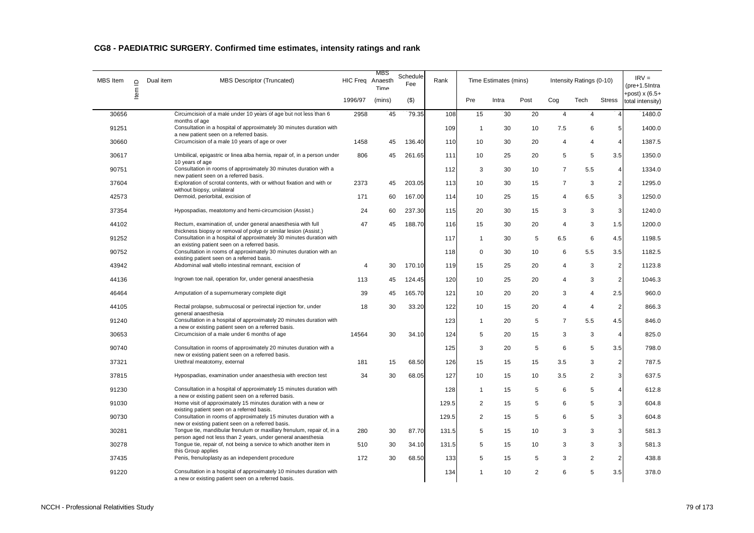| MBS Item | $\supseteq$ | Dual item<br><b>MBS Descriptor (Truncated)</b>                                                                                           |         | MBS<br>HIC Freq Anaesth<br>Time | Schedule<br>Fee | Rank  |                | Time Estimates (mins) |                |                | Intensity Ratings (0-10) |                | $IRV =$<br>(pre+1.5Intra            |
|----------|-------------|------------------------------------------------------------------------------------------------------------------------------------------|---------|---------------------------------|-----------------|-------|----------------|-----------------------|----------------|----------------|--------------------------|----------------|-------------------------------------|
|          | Item        |                                                                                                                                          | 1996/97 | (mins)                          | $($ \$)         |       | Pre            | Intra                 | Post           | Cog            | Tech                     | <b>Stress</b>  | +post) $x(6.5+$<br>total intensity) |
| 30656    |             | Circumcision of a male under 10 years of age but not less than 6<br>months of age                                                        | 2958    | 45                              | 79.35           | 108   | 15             | 30                    | 20             | $\overline{4}$ | 4                        | $\overline{4}$ | 1480.0                              |
| 91251    |             | Consultation in a hospital of approximately 30 minutes duration with<br>a new patient seen on a referred basis.                          |         |                                 |                 | 109   | $\mathbf{1}$   | 30                    | 10             | 7.5            | 6                        | $\mathbf 5$    | 1400.0                              |
| 30660    |             | Circumcision of a male 10 years of age or over                                                                                           | 1458    | 45                              | 136.40          | 110   | 10             | 30                    | 20             | 4              | 4                        | $\overline{4}$ | 1387.5                              |
| 30617    |             | Umbilical, epigastric or linea alba hernia, repair of, in a person under<br>10 years of age                                              | 806     | 45                              | 261.65          | 111   | 10             | 25                    | 20             | 5              | 5                        | 3.5            | 1350.0                              |
| 90751    |             | Consultation in rooms of approximately 30 minutes duration with a<br>new patient seen on a referred basis.                               |         |                                 |                 | 112   | 3              | 30                    | 10             | $\overline{7}$ | 5.5                      | $\overline{4}$ | 1334.0                              |
| 37604    |             | Exploration of scrotal contents, with or without fixation and with or<br>without biopsy, unilateral                                      | 2373    | 45                              | 203.05          | 113   | 10             | 30                    | 15             | $\overline{7}$ | 3                        | $\overline{c}$ | 1295.0                              |
| 42573    |             | Dermoid, periorbital, excision of                                                                                                        | 171     | 60                              | 167.00          | 114   | 10             | 25                    | 15             | 4              | 6.5                      | 3              | 1250.0                              |
| 37354    |             | Hypospadias, meatotomy and hemi-circumcision (Assist.)                                                                                   | 24      | 60                              | 237.30          | 115   | 20             | 30                    | 15             | 3              | 3                        | 3              | 1240.0                              |
| 44102    |             | Rectum, examination of, under general anaesthesia with full                                                                              | 47      | 45                              | 188.70          | 116   | 15             | 30                    | 20             | $\overline{4}$ | 3                        | 1.5            | 1200.0                              |
| 91252    |             | thickness biopsy or removal of polyp or similar lesion (Assist.)<br>Consultation in a hospital of approximately 30 minutes duration with |         |                                 |                 | 117   | $\mathbf{1}$   | 30                    | 5              | 6.5            | 6                        | 4.5            | 1198.5                              |
| 90752    |             | an existing patient seen on a referred basis.<br>Consultation in rooms of approximately 30 minutes duration with an                      |         |                                 |                 | 118   | $\mathbf 0$    | 30                    | 10             | 6              | 5.5                      | 3.5            | 1182.5                              |
| 43942    |             | existing patient seen on a referred basis.<br>Abdominal wall vitello intestinal remnant, excision of                                     | 4       | 30                              | 170.10          | 119   | 15             | 25                    | 20             | 4              | 3                        | $\mathbf 2$    | 1123.8                              |
| 44136    |             | Ingrown toe nail, operation for, under general anaesthesia                                                                               | 113     | 45                              | 124.45          | 120   | 10             | 25                    | 20             | $\overline{4}$ | 3                        | $\overline{2}$ | 1046.3                              |
| 46464    |             | Amputation of a supernumerary complete digit                                                                                             | 39      | 45                              | 165.70          | 121   | 10             | 20                    | 20             | 3              | 4                        | 2.5            | 960.0                               |
| 44105    |             | Rectal prolapse, submucosal or perirectal injection for, under<br>general anaesthesia                                                    | 18      | 30                              | 33.20           | 122   | 10             | 15                    | 20             | 4              | $\overline{4}$           | $\overline{2}$ | 866.3                               |
| 91240    |             | Consultation in a hospital of approximately 20 minutes duration with<br>a new or existing patient seen on a referred basis.              |         |                                 |                 | 123   | $\mathbf{1}$   | 20                    | 5              | $\overline{7}$ | 5.5                      | 4.5            | 846.0                               |
| 30653    |             | Circumcision of a male under 6 months of age                                                                                             | 14564   | 30                              | 34.10           | 124   | 5              | 20                    | 15             | 3              | 3                        | $\overline{4}$ | 825.0                               |
| 90740    |             | Consultation in rooms of approximately 20 minutes duration with a<br>new or existing patient seen on a referred basis.                   |         |                                 |                 | 125   | 3              | 20                    | 5              | 6              | 5                        | 3.5            | 798.0                               |
| 37321    |             | Urethral meatotomy, external                                                                                                             | 181     | 15                              | 68.50           | 126   | 15             | 15                    | 15             | 3.5            | 3                        | $\overline{2}$ | 787.5                               |
| 37815    |             | Hypospadias, examination under anaesthesia with erection test                                                                            | 34      | 30                              | 68.05           | 127   | 10             | 15                    | 10             | 3.5            | 2                        | 3              | 637.5                               |
| 91230    |             | Consultation in a hospital of approximately 15 minutes duration with<br>a new or existing patient seen on a referred basis.              |         |                                 |                 | 128   | $\mathbf{1}$   | 15                    | 5              | 6              | 5                        | $\overline{4}$ | 612.8                               |
| 91030    |             | Home visit of approximately 15 minutes duration with a new or<br>existing patient seen on a referred basis.                              |         |                                 |                 | 129.5 | $\overline{2}$ | 15                    | 5              | 6              | 5                        | 3              | 604.8                               |
| 90730    |             | Consultation in rooms of approximately 15 minutes duration with a                                                                        |         |                                 |                 | 129.5 | $\overline{2}$ | 15                    | 5              | 6              | 5                        | 3              | 604.8                               |
| 30281    |             | new or existing patient seen on a referred basis.<br>Tongue tie, mandibular frenulum or maxillary frenulum, repair of, in a              | 280     | 30                              | 87.70           | 131.5 | 5              | 15                    | 10             | 3              | 3                        | 3              | 581.3                               |
| 30278    |             | person aged not less than 2 years, under general anaesthesia<br>Tongue tie, repair of, not being a service to which another item in      | 510     | 30                              | 34.10           | 131.5 | 5              | 15                    | 10             | 3              | 3                        | 3              | 581.3                               |
| 37435    |             | this Group applies<br>Penis, frenuloplasty as an independent procedure                                                                   | 172     | 30                              | 68.50           | 133   | 5              | 15                    | 5              | 3              | $\overline{2}$           | $\mathbf 2$    | 438.8                               |
| 91220    |             | Consultation in a hospital of approximately 10 minutes duration with<br>a new or existing patient seen on a referred basis.              |         |                                 |                 | 134   | 1              | 10                    | $\overline{2}$ | 6              | 5                        | 3.5            | 378.0                               |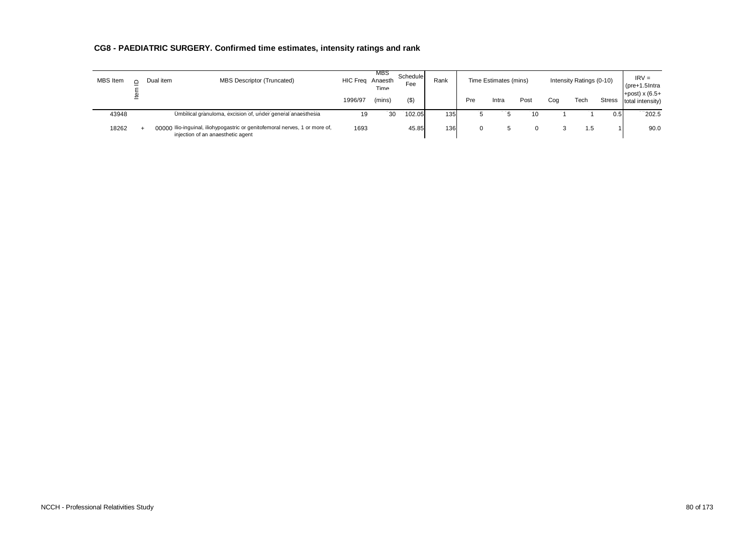| <b>MBS</b> Item | Dual item | MBS Descriptor (Truncated)                                                                                       | HIC Frea | MBS<br>Anaesth<br>Time | Schedule<br>Fee | Rank |     | Time Estimates (mins) |      |     | Intensity Ratings (0-10) |               | $IRV =$<br>$(\text{pre}+1.5)$ Intra |
|-----------------|-----------|------------------------------------------------------------------------------------------------------------------|----------|------------------------|-----------------|------|-----|-----------------------|------|-----|--------------------------|---------------|-------------------------------------|
|                 |           |                                                                                                                  | 1996/97  | (mins)                 | (3)             |      | Pre | Intra                 | Post | Cog | Tech                     | <b>Stress</b> | +post) $x(6.5+$<br>total intensity) |
| 43948           |           | Umbilical granuloma, excision of, under general anaesthesia                                                      | 19       | 30                     | 102.05          | 135  |     |                       | 10   |     |                          | 0.5           | 202.5                               |
| 18262           |           | 00000 Ilio-inguinal, iliohypogastric or genitofemoral nerves, 1 or more of,<br>injection of an anaesthetic agent | 1693     |                        | 45.85           | 136  |     |                       |      |     | 1.5                      |               | 90.0                                |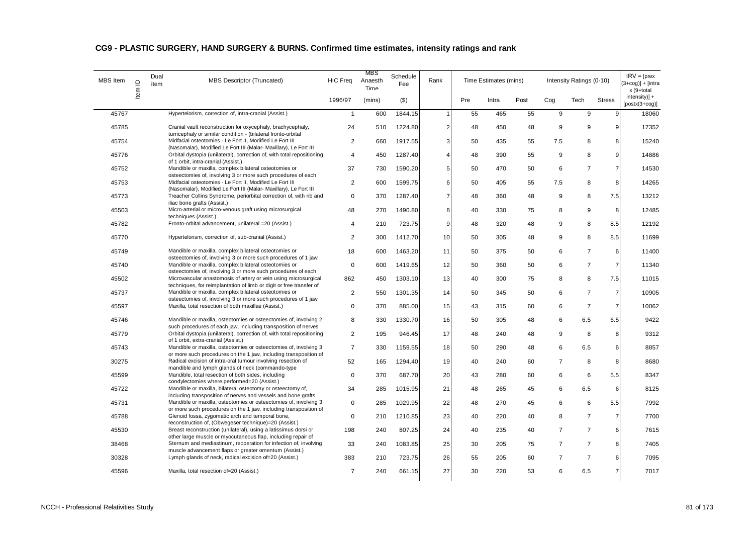| MBS Item | $\supseteq$<br>ltem | Dual<br>item | <b>MBS Descriptor (Truncated)</b>                                                                                                      | <b>HIC Freq</b>         | MBS<br>Anaesth<br>Time | Schedule<br>Fee | Rank           |     | Time Estimates (mins) |      |                | Intensity Ratings (0-10) |                | $IRV = [pres$<br>$3 + \cos 1 + \sin 1$<br>x (9+total |
|----------|---------------------|--------------|----------------------------------------------------------------------------------------------------------------------------------------|-------------------------|------------------------|-----------------|----------------|-----|-----------------------|------|----------------|--------------------------|----------------|------------------------------------------------------|
|          |                     |              |                                                                                                                                        | 1996/97                 | (mins)                 | $($ \$)         |                | Pre | Intra                 | Post | Cog            | Tech                     | <b>Stress</b>  | $intensity$ +<br>$[postx(3+cog)]$                    |
| 45767    |                     |              | Hypertelorism, correction of, intra-cranial (Assist.)                                                                                  | 1                       | 600                    | 1844.15         | -1             | 55  | 465                   | 55   | 9              | 9                        | 9              | 18060                                                |
| 45785    |                     |              | Cranial vault reconstruction for oxycephaly, brachycephaly,<br>turricephaly or similar condition - (bilateral fronto-orbital           | 24                      | 510                    | 1224.80         | $\mathbf 2$    | 48  | 450                   | 48   | 9              | 9                        | 9              | 17352                                                |
| 45754    |                     |              | Midfacial osteotomies - Le Fort II, Modified Le Fort III<br>(Nasomalar), Modified Le Fort III (Malar- Maxillary), Le Fort III          | $\overline{2}$          | 660                    | 1917.55         | 3              | 50  | 435                   | 55   | 7.5            | 8                        | 8              | 15240                                                |
| 45776    |                     |              | Orbital dystopia (unilateral), correction of, with total repositioning<br>of 1 orbit, intra-cranial (Assist.)                          | 4                       | 450                    | 1287.40         | $\overline{4}$ | 48  | 390                   | 55   | 9              | 8                        | $\overline{9}$ | 14886                                                |
| 45752    |                     |              | Mandible or maxilla, complex bilateral osteotomies or<br>osteectomies of, involving 3 or more such procedures of each                  | 37                      | 730                    | 1590.20         | 5              | 50  | 470                   | 50   | 6              | $\overline{7}$           | $\overline{7}$ | 14530                                                |
| 45753    |                     |              | Midfacial osteotomies - Le Fort II, Modified Le Fort III<br>(Nasomalar), Modified Le Fort III (Malar- Maxillary), Le Fort III          | $\overline{2}$          | 600                    | 1599.75         | 6              | 50  | 405                   | 55   | 7.5            | 8                        | 8              | 14265                                                |
| 45773    |                     |              | Treacher Collins Syndrome, periorbital correction of, with rib and<br>iliac bone grafts (Assist.)                                      | $\mathbf 0$             | 370                    | 1287.40         | $\overline{7}$ | 48  | 360                   | 48   | 9              | 8                        | 7.5            | 13212                                                |
| 45503    |                     |              | Micro-arterial or micro-venous graft using microsurgical<br>techniques (Assist.)                                                       | 48                      | 270                    | 1490.80         | 8              | 40  | 330                   | 75   | 8              | 9                        | 8              | 12485                                                |
| 45782    |                     |              | Fronto-orbital advancement, unilateral = 20 (Assist.)                                                                                  | $\overline{\mathbf{A}}$ | 210                    | 723.75          | 9              | 48  | 320                   | 48   | 9              | 8                        | 8.5            | 12192                                                |
| 45770    |                     |              | Hypertelorism, correction of, sub-cranial (Assist.)                                                                                    | $\overline{2}$          | 300                    | 1412.70         | 10             | 50  | 305                   | 48   | 9              | 8                        | 8.5            | 11699                                                |
| 45749    |                     |              | Mandible or maxilla, complex bilateral osteotomies or<br>osteectomies of, involving 3 or more such procedures of 1 jaw                 | 18                      | 600                    | 1463.20         | 11             | 50  | 375                   | 50   | 6              | $\overline{7}$           | 6              | 11400                                                |
| 45740    |                     |              | Mandible or maxilla, complex bilateral osteotomies or<br>osteectomies of, involving 3 or more such procedures of each                  | $\mathbf 0$             | 600                    | 1419.65         | 12             | 50  | 360                   | 50   | 6              | $\overline{7}$           | $\overline{7}$ | 11340                                                |
| 45502    |                     |              | Microvascular anastomosis of artery or vein using microsurgical<br>techniques, for reimplantation of limb or digit or free transfer of | 862                     | 450                    | 1303.10         | 13             | 40  | 300                   | 75   | 8              | 8                        | 7.5            | 11015                                                |
| 45737    |                     |              | Mandible or maxilla, complex bilateral osteotomies or<br>osteectomies of, involving 3 or more such procedures of 1 jaw                 | $\overline{2}$          | 550                    | 1301.35         | 14             | 50  | 345                   | 50   | 6              | $\overline{7}$           | $\overline{7}$ | 10905                                                |
| 45597    |                     |              | Maxilla, total resection of both maxillae (Assist.)                                                                                    | $\mathbf 0$             | 370                    | 885.00          | 15             | 43  | 315                   | 60   | 6              | $\overline{7}$           | $\overline{7}$ | 10062                                                |
| 45746    |                     |              | Mandible or maxilla, osteotomies or osteectomies of, involving 2<br>such procedures of each jaw, including transposition of nerves     | 8                       | 330                    | 1330.70         | 16             | 50  | 305                   | 48   | 6              | 6.5                      | 6.5            | 9422                                                 |
| 45779    |                     |              | Orbital dystopia (unilateral), correction of, with total repositioning<br>of 1 orbit, extra-cranial (Assist.)                          | $\overline{2}$          | 195                    | 946.45          | 17             | 48  | 240                   | 48   | 9              | 8                        | 8              | 9312                                                 |
| 45743    |                     |              | Mandible or maxilla, osteotomies or osteectomies of, involving 3<br>or more such procedures on the 1 jaw, including transposition of   | $\overline{7}$          | 330                    | 1159.55         | 18             | 50  | 290                   | 48   | 6              | 6.5                      | 6              | 8857                                                 |
| 30275    |                     |              | Radical excision of intra-oral tumour involving resection of<br>mandible and lymph glands of neck (commando-type                       | 52                      | 165                    | 1294.40         | 19             | 40  | 240                   | 60   | $\overline{7}$ | 8                        | 8              | 8680                                                 |
| 45599    |                     |              | Mandible, total resection of both sides, including<br>condylectomies where performed=20 (Assist.)                                      | $\mathbf 0$             | 370                    | 687.70          | 20             | 43  | 280                   | 60   | 6              | 6                        | 5.5            | 8347                                                 |
| 45722    |                     |              | Mandible or maxilla, bilateral osteotomy or osteectomy of,<br>including transposition of nerves and vessels and bone grafts            | 34                      | 285                    | 1015.95         | 21             | 48  | 265                   | 45   | 6              | 6.5                      | 6              | 8125                                                 |
| 45731    |                     |              | Mandible or maxilla, osteotomies or osteectomies of, involving 3<br>or more such procedures on the 1 jaw, including transposition of   | $\mathbf 0$             | 285                    | 1029.95         | 22             | 48  | 270                   | 45   | 6              | 6                        | 5.5            | 7992                                                 |
| 45788    |                     |              | Glenoid fossa, zygomatic arch and temporal bone,<br>reconstruction of, (Obwegeser technique)=20 (Assist.)                              | $\Omega$                | 210                    | 1210.85         | 23             | 40  | 220                   | 40   | 8              | $\overline{7}$           | $\overline{7}$ | 7700                                                 |
| 45530    |                     |              | Breast reconstruction (unilateral), using a latissimus dorsi or<br>other large muscle or myocutaneous flap, including repair of        | 198                     | 240                    | 807.25          | 24             | 40  | 235                   | 40   | $\overline{7}$ | $\overline{7}$           | 6              | 7615                                                 |
| 38468    |                     |              | Sternum and mediastinum, reoperation for infection of, involving<br>muscle advancement flaps or greater omentum (Assist.)              | 33                      | 240                    | 1083.85         | 25             | 30  | 205                   | 75   | $\overline{7}$ | $\overline{7}$           | 8              | 7405                                                 |
| 30328    |                     |              | Lymph glands of neck, radical excision of=20 (Assist.)                                                                                 | 383                     | 210                    | 723.75          | 26             | 55  | 205                   | 60   | $\overline{7}$ | $\overline{7}$           | 6              | 7095                                                 |
| 45596    |                     |              | Maxilla, total resection of=20 (Assist.)                                                                                               | $\overline{7}$          | 240                    | 661.15          | 27             | 30  | 220                   | 53   | 6              | 6.5                      | $\overline{7}$ | 7017                                                 |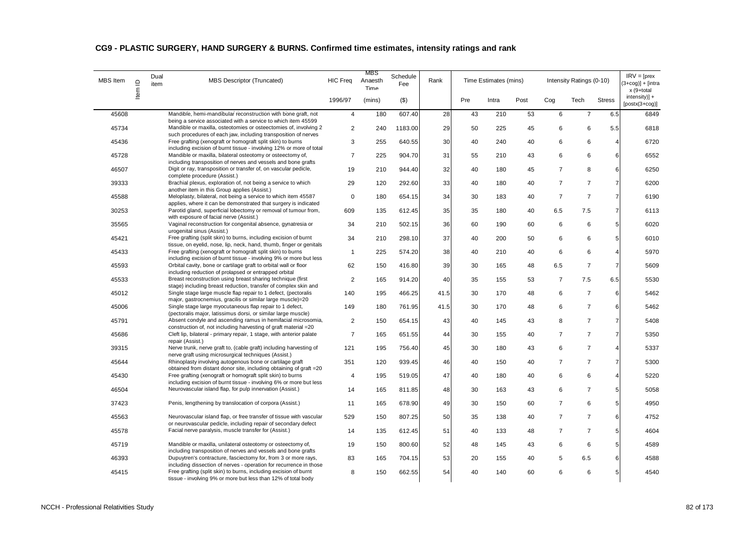| MBS Item | $\mathbf{\underline{o}}$ | Dual<br>item | <b>MBS Descriptor (Truncated)</b>                                                                                                                                                                   | <b>HIC Freq</b> | MBS<br>Anaesth<br>Time | Schedule<br>Fee | Rank |     | Time Estimates (mins) |      |                | Intensity Ratings (0-10) |                | $IRV = [pres$<br>$3 + \cos 1 + \sin 1$<br>x (9+total |
|----------|--------------------------|--------------|-----------------------------------------------------------------------------------------------------------------------------------------------------------------------------------------------------|-----------------|------------------------|-----------------|------|-----|-----------------------|------|----------------|--------------------------|----------------|------------------------------------------------------|
|          | ltem                     |              |                                                                                                                                                                                                     | 1996/97         | (mins)                 | $($ \$)         |      | Pre | Intra                 | Post | Cog            | Tech                     | <b>Stress</b>  | $intensity$ +<br>$[postx(3+cog)]$                    |
| 45608    |                          |              | Mandible, hemi-mandibular reconstruction with bone graft, not                                                                                                                                       | $\overline{4}$  | 180                    | 607.40          | 28   | 43  | 210                   | 53   | 6              | $\overline{7}$           | 6.5            | 6849                                                 |
| 45734    |                          |              | being a service associated with a service to which item 45599<br>Mandible or maxilla, osteotomies or osteectomies of, involving 2                                                                   | $\overline{2}$  | 240                    | 1183.00         | 29   | 50  | 225                   | 45   | 6              | 6                        | 5.5            | 6818                                                 |
| 45436    |                          |              | such procedures of each jaw, including transposition of nerves<br>Free grafting (xenograft or homograft split skin) to burns<br>including excision of burnt tissue - involving 12% or more of total | 3               | 255                    | 640.55          | 30   | 40  | 240                   | 40   | 6              | 6                        | 4              | 6720                                                 |
| 45728    |                          |              | Mandible or maxilla, bilateral osteotomy or osteectomy of,                                                                                                                                          | $\overline{7}$  | 225                    | 904.70          | 31   | 55  | 210                   | 43   | 6              | 6                        | 6              | 6552                                                 |
| 46507    |                          |              | including transposition of nerves and vessels and bone grafts<br>Digit or ray, transposition or transfer of, on vascular pedicle,<br>complete procedure (Assist.)                                   | 19              | 210                    | 944.40          | 32   | 40  | 180                   | 45   | $\overline{7}$ | 8                        | 6              | 6250                                                 |
| 39333    |                          |              | Brachial plexus, exploration of, not being a service to which<br>another item in this Group applies (Assist.)                                                                                       | 29              | 120                    | 292.60          | 33   | 40  | 180                   | 40   | $\overline{7}$ | $\overline{7}$           | $\overline{7}$ | 6200                                                 |
| 45588    |                          |              | Meloplasty, bilateral, not being a service to which item 45587<br>applies, where it can be demonstrated that surgery is indicated                                                                   | $\mathsf 0$     | 180                    | 654.15          | 34   | 30  | 183                   | 40   | $\overline{7}$ | $\overline{7}$           | $\overline{7}$ | 6190                                                 |
| 30253    |                          |              | Parotid gland, superficial lobectomy or removal of tumour from,<br>with exposure of facial nerve (Assist.)                                                                                          | 609             | 135                    | 612.45          | 35   | 35  | 180                   | 40   | 6.5            | 7.5                      | $\overline{7}$ | 6113                                                 |
| 35565    |                          |              | Vaginal reconstruction for congenital absence, gynatresia or<br>urogenital sinus (Assist.)                                                                                                          | 34              | 210                    | 502.15          | 36   | 60  | 190                   | 60   | 6              | 6                        | 5              | 6020                                                 |
| 45421    |                          |              | Free grafting (split skin) to burns, including excision of burnt<br>tissue, on eyelid, nose, lip, neck, hand, thumb, finger or genitals                                                             | 34              | 210                    | 298.10          | 37   | 40  | 200                   | 50   | 6              | 6                        | 5              | 6010                                                 |
| 45433    |                          |              | Free grafting (xenograft or homograft split skin) to burns<br>including excision of burnt tissue - involving 9% or more but less                                                                    | $\mathbf{1}$    | 225                    | 574.20          | 38   | 40  | 210                   | 40   | 6              | 6                        | 4              | 5970                                                 |
| 45593    |                          |              | Orbital cavity, bone or cartilage graft to orbital wall or floor<br>including reduction of prolapsed or entrapped orbital                                                                           | 62              | 150                    | 416.80          | 39   | 30  | 165                   | 48   | 6.5            | $\overline{7}$           | $\overline{7}$ | 5609                                                 |
| 45533    |                          |              | Breast reconstruction using breast sharing technique (first<br>stage) including breast reduction, transfer of complex skin and                                                                      | $\overline{2}$  | 165                    | 914.20          | 40   | 35  | 155                   | 53   | $\overline{7}$ | 7.5                      | 6.5            | 5530                                                 |
| 45012    |                          |              | Single stage large muscle flap repair to 1 defect, (pectoralis<br>major, gastrocnemius, gracilis or similar large muscle)=20                                                                        | 140             | 195                    | 466.25          | 41.5 | 30  | 170                   | 48   | 6              | $\overline{7}$           | 6              | 5462                                                 |
| 45006    |                          |              | Single stage large myocutaneous flap repair to 1 defect,<br>(pectoralis major, latissimus dorsi, or similar large muscle)                                                                           | 149             | 180                    | 761.95          | 41.5 | 30  | 170                   | 48   | 6              | $\overline{7}$           | 6              | 5462                                                 |
| 45791    |                          |              | Absent condyle and ascending ramus in hemifacial microsomia,<br>construction of, not including harvesting of graft material = 20                                                                    | $\overline{2}$  | 150                    | 654.15          | 43   | 40  | 145                   | 43   | 8              | $\overline{7}$           | $\overline{7}$ | 5408                                                 |
| 45686    |                          |              | Cleft lip, bilateral - primary repair, 1 stage, with anterior palate<br>repair (Assist.)                                                                                                            | $\overline{7}$  | 165                    | 651.55          | 44   | 30  | 155                   | 40   | $\overline{7}$ | $\overline{7}$           | 7              | 5350                                                 |
| 39315    |                          |              | Nerve trunk, nerve graft to, (cable graft) including harvesting of<br>nerve graft using microsurgical techniques (Assist.)                                                                          | 121             | 195                    | 756.40          | 45   | 30  | 180                   | 43   | 6              | $\overline{7}$           | 4              | 5337                                                 |
| 45644    |                          |              | Rhinoplasty involving autogenous bone or cartilage graft<br>obtained from distant donor site, including obtaining of graft = 20                                                                     | 351             | 120                    | 939.45          | 46   | 40  | 150                   | 40   | $\overline{7}$ | $\overline{7}$           | $\overline{7}$ | 5300                                                 |
| 45430    |                          |              | Free grafting (xenograft or homograft split skin) to burns<br>including excision of burnt tissue - involving 6% or more but less                                                                    | $\overline{4}$  | 195                    | 519.05          | 47   | 40  | 180                   | 40   | 6              | 6                        | $\overline{4}$ | 5220                                                 |
| 46504    |                          |              | Neurovascular island flap, for pulp innervation (Assist.)                                                                                                                                           | 14              | 165                    | 811.85          | 48   | 30  | 163                   | 43   | 6              | $\overline{7}$           | 5              | 5058                                                 |
| 37423    |                          |              | Penis, lengthening by translocation of corpora (Assist.)                                                                                                                                            | 11              | 165                    | 678.90          | 49   | 30  | 150                   | 60   | $\overline{7}$ | 6                        | 5              | 4950                                                 |
| 45563    |                          |              | Neurovascular island flap, or free transfer of tissue with vascular<br>or neurovascular pedicle, including repair of secondary defect                                                               | 529             | 150                    | 807.25          | 50   | 35  | 138                   | 40   | $\overline{7}$ | $\overline{7}$           | 6              | 4752                                                 |
| 45578    |                          |              | Facial nerve paralysis, muscle transfer for (Assist.)                                                                                                                                               | 14              | 135                    | 612.45          | 51   | 40  | 133                   | 48   | $\overline{7}$ | $\overline{7}$           | 5              | 4604                                                 |
| 45719    |                          |              | Mandible or maxilla, unilateral osteotomy or osteectomy of,<br>including transposition of nerves and vessels and bone grafts                                                                        | 19              | 150                    | 800.60          | 52   | 48  | 145                   | 43   | 6              | 6                        | 5              | 4589                                                 |
| 46393    |                          |              | Dupuytren's contracture, fasciectomy for, from 3 or more rays,<br>including dissection of nerves - operation for recurrence in those                                                                | 83              | 165                    | 704.15          | 53   | 20  | 155                   | 40   | 5              | 6.5                      | 6              | 4588                                                 |
| 45415    |                          |              | Free grafting (split skin) to burns, including excision of burnt<br>tissue - involving 9% or more but less than 12% of total body                                                                   | 8               | 150                    | 662.55          | 54   | 40  | 140                   | 60   | 6              | 6                        | 5 <sup>1</sup> | 4540                                                 |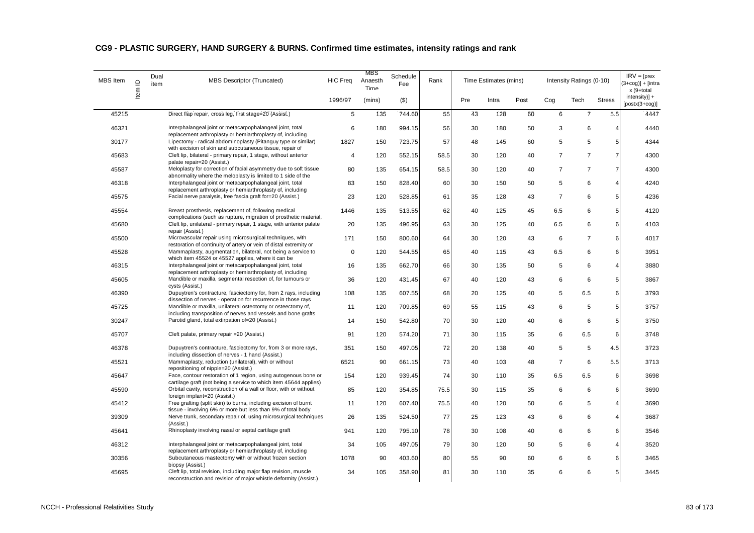| <b>MBS</b> Item | $\supseteq$ | Dual<br>item | <b>MBS Descriptor (Truncated)</b>                                                                                                    | <b>HIC Freq</b> | MBS<br>Anaesth<br>Time | Schedule<br>Fee | Rank |     | Time Estimates (mins) |      |                | Intensity Ratings (0-10) |                | $IRV = [pres$<br>$3+cog$ )] + [intra<br>x (9+total |
|-----------------|-------------|--------------|--------------------------------------------------------------------------------------------------------------------------------------|-----------------|------------------------|-----------------|------|-----|-----------------------|------|----------------|--------------------------|----------------|----------------------------------------------------|
|                 | ltem        |              |                                                                                                                                      | 1996/97         | (mins)                 | $($ \$)         |      | Pre | Intra                 | Post | Cog            | Tech                     | <b>Stress</b>  | $intensity$ )] +<br>$[postx(3+cog)]$               |
| 45215           |             |              | Direct flap repair, cross leg, first stage=20 (Assist.)                                                                              | $\overline{5}$  | 135                    | 744.60          | 55   | 43  | 128                   | 60   | 6              | $\overline{7}$           | 5.5            | 4447                                               |
| 46321           |             |              | Interphalangeal joint or metacarpophalangeal joint, total<br>replacement arthroplasty or hemiarthroplasty of, including              | 6               | 180                    | 994.15          | 56   | 30  | 180                   | 50   | 3              | 6                        | 4              | 4440                                               |
| 30177           |             |              | Lipectomy - radical abdominoplasty (Pitanguy type or similar)<br>with excision of skin and subcutaneous tissue, repair of            | 1827            | 150                    | 723.75          | 57   | 48  | 145                   | 60   | 5              | 5                        | 5              | 4344                                               |
| 45683           |             |              | Cleft lip, bilateral - primary repair, 1 stage, without anterior<br>palate repair=20 (Assist.)                                       | $\overline{4}$  | 120                    | 552.15          | 58.5 | 30  | 120                   | 40   | $\overline{7}$ | $\overline{7}$           | $\overline{7}$ | 4300                                               |
| 45587           |             |              | Meloplasty for correction of facial asymmetry due to soft tissue<br>abnormality where the meloplasty is limited to 1 side of the     | 80              | 135                    | 654.15          | 58.5 | 30  | 120                   | 40   | $\overline{7}$ | $\overline{7}$           | $\overline{7}$ | 4300                                               |
| 46318           |             |              | Interphalangeal joint or metacarpophalangeal joint, total<br>replacement arthroplasty or hemiarthroplasty of, including              | 83              | 150                    | 828.40          | 60   | 30  | 150                   | 50   | 5              | 6                        | $\overline{4}$ | 4240                                               |
| 45575           |             |              | Facial nerve paralysis, free fascia graft for=20 (Assist.)                                                                           | 23              | 120                    | 528.85          | 61   | 35  | 128                   | 43   | $\overline{7}$ | 6                        | 5              | 4236                                               |
| 45554           |             |              | Breast prosthesis, replacement of, following medical<br>complications (such as rupture, migration of prosthetic material,            | 1446            | 135                    | 513.55          | 62   | 40  | 125                   | 45   | 6.5            | 6                        | 5 <sub>l</sub> | 4120                                               |
| 45680           |             |              | Cleft lip, unilateral - primary repair, 1 stage, with anterior palate<br>repair (Assist.)                                            | 20              | 135                    | 496.95          | 63   | 30  | 125                   | 40   | 6.5            | 6                        | 6              | 4103                                               |
| 45500           |             |              | Microvascular repair using microsurgical techniques, with<br>restoration of continuity of artery or vein of distal extremity or      | 171             | 150                    | 800.60          | 64   | 30  | 120                   | 43   | 6              | $\overline{7}$           | 6              | 4017                                               |
| 45528           |             |              | Mammaplasty, augmentation, bilateral, not being a service to<br>which item 45524 or 45527 applies, where it can be                   | $\mathbf 0$     | 120                    | 544.55          | 65   | 40  | 115                   | 43   | 6.5            | 6                        | 6              | 3951                                               |
| 46315           |             |              | Interphalangeal joint or metacarpophalangeal joint, total<br>replacement arthroplasty or hemiarthroplasty of, including              | 16              | 135                    | 662.70          | 66   | 30  | 135                   | 50   | $\,$ 5 $\,$    | 6                        | 4              | 3880                                               |
| 45605           |             |              | Mandible or maxilla, segmental resection of, for tumours or<br>cysts (Assist.)                                                       | 36              | 120                    | 431.45          | 67   | 40  | 120                   | 43   | 6              | 6                        | 5              | 3867                                               |
| 46390           |             |              | Dupuytren's contracture, fasciectomy for, from 2 rays, including<br>dissection of nerves - operation for recurrence in those rays    | 108             | 135                    | 607.55          | 68   | 20  | 125                   | 40   | 5              | 6.5                      | 6              | 3793                                               |
| 45725           |             |              | Mandible or maxilla, unilateral osteotomy or osteectomy of,<br>including transposition of nerves and vessels and bone grafts         | 11              | 120                    | 709.85          | 69   | 55  | 115                   | 43   | 6              | 5                        | 5              | 3757                                               |
| 30247           |             |              | Parotid gland, total extirpation of=20 (Assist.)                                                                                     | 14              | 150                    | 542.80          | 70   | 30  | 120                   | 40   | 6              | 6                        | 5 <sub>5</sub> | 3750                                               |
| 45707           |             |              | Cleft palate, primary repair = 20 (Assist.)                                                                                          | 91              | 120                    | 574.20          | 71   | 30  | 115                   | 35   | 6              | 6.5                      | 6              | 3748                                               |
| 46378           |             |              | Dupuytren's contracture, fasciectomy for, from 3 or more rays,<br>including dissection of nerves - 1 hand (Assist.)                  | 351             | 150                    | 497.05          | 72   | 20  | 138                   | 40   | 5              | 5                        | 4.5            | 3723                                               |
| 45521           |             |              | Mammaplasty, reduction (unilateral), with or without<br>repositioning of nipple=20 (Assist.)                                         | 6521            | 90                     | 661.15          | 73   | 40  | 103                   | 48   | $\overline{7}$ | 6                        | 5.5            | 3713                                               |
| 45647           |             |              | Face, contour restoration of 1 region, using autogenous bone or<br>cartilage graft (not being a service to which item 45644 applies) | 154             | 120                    | 939.45          | 74   | 30  | 110                   | 35   | 6.5            | 6.5                      | 6              | 3698                                               |
| 45590           |             |              | Orbital cavity, reconstruction of a wall or floor, with or without<br>foreign implant=20 (Assist.)                                   | 85              | 120                    | 354.85          | 75.5 | 30  | 115                   | 35   | 6              | 6                        | 6              | 3690                                               |
| 45412           |             |              | Free grafting (split skin) to burns, including excision of burnt<br>tissue - involving 6% or more but less than 9% of total body     | 11              | 120                    | 607.40          | 75.5 | 40  | 120                   | 50   | 6              | 5                        | 4              | 3690                                               |
| 39309           |             |              | Nerve trunk, secondary repair of, using microsurgical techniques<br>(Assist.)                                                        | 26              | 135                    | 524.50          | 77   | 25  | 123                   | 43   | 6              | 6                        | 4              | 3687                                               |
| 45641           |             |              | Rhinoplasty involving nasal or septal cartilage graft                                                                                | 941             | 120                    | 795.10          | 78   | 30  | 108                   | 40   | 6              | 6                        | 6              | 3546                                               |
| 46312           |             |              | Interphalangeal joint or metacarpophalangeal joint, total<br>replacement arthroplasty or hemiarthroplasty of, including              | 34              | 105                    | 497.05          | 79   | 30  | 120                   | 50   | 5              | 6                        |                | 3520                                               |
| 30356           |             |              | Subcutaneous mastectomy with or without frozen section<br>biopsy (Assist.)                                                           | 1078            | 90                     | 403.60          | 80   | 55  | 90                    | 60   | 6              | 6                        | 6              | 3465                                               |
| 45695           |             |              | Cleft lip, total revision, including major flap revision, muscle<br>reconstruction and revision of major whistle deformity (Assist.) | 34              | 105                    | 358.90          | 81   | 30  | 110                   | 35   | $\,6\,$        | 6                        | 5 <sup>1</sup> | 3445                                               |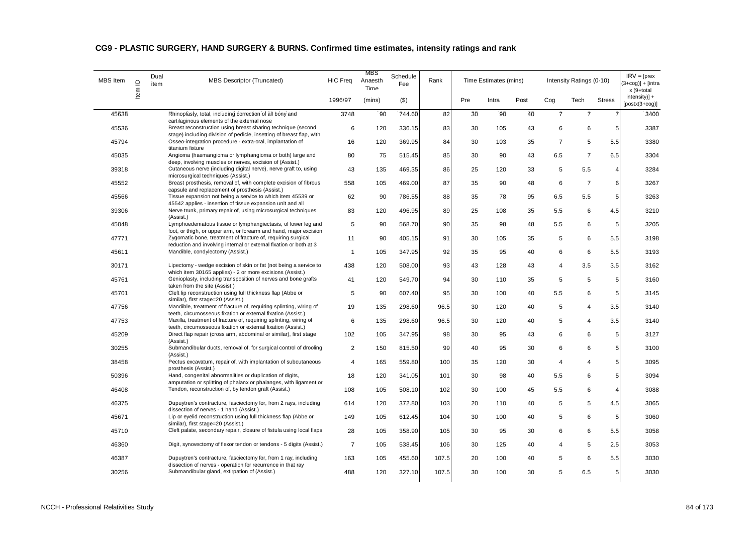| <b>Stress</b><br>1996/97<br>(mins)<br>$($ \$)<br>Pre<br>Intra<br>Post<br>Cog<br>Tech<br>45638<br>Rhinoplasty, total, including correction of all bony and<br>3748<br>744.60<br>82<br>30<br>90<br>40<br>$\overline{7}$<br>90<br>$\overline{7}$<br>7<br>cartilaginous elements of the external nose<br>Breast reconstruction using breast sharing technique (second<br>45536<br>6<br>120<br>336.15<br>83<br>30<br>105<br>43<br>6<br>6<br>5<br>stage) including division of pedicle, insetting of breast flap, with<br>Osseo-integration procedure - extra-oral, implantation of<br>120<br>369.95<br>30<br>$\overline{7}$<br>5<br>5.5<br>45794<br>16<br>84<br>103<br>35<br>titanium fixture<br>$\overline{7}$<br>45035<br>Angioma (haemangioma or lymphangioma or both) large and<br>80<br>75<br>515.45<br>30<br>90<br>43<br>6.5<br>6.5<br>85<br>deep, involving muscles or nerves, excision of (Assist.)<br>Cutaneous nerve (including digital nerve), nerve graft to, using<br>5.5<br>39318<br>43<br>135<br>469.35<br>86<br>25<br>120<br>33<br>5<br>$\overline{4}$<br>microsurgical techniques (Assist.)<br>Breast prosthesis, removal of, with complete excision of fibrous<br>6<br>$\overline{7}$<br>45552<br>558<br>105<br>469.00<br>87<br>35<br>90<br>48<br>6<br>capsule and replacement of prosthesis (Assist.)<br>Tissue expansion not being a service to which item 45539 or<br>90<br>35<br>6.5<br>5.5<br>45566<br>62<br>786.55<br>88<br>78<br>95<br>5<br>45542 applies - insertion of tissue expansion unit and all<br>Nerve trunk, primary repair of, using microsurgical techniques<br>83<br>120<br>25<br>5.5<br>6<br>39306<br>496.95<br>89<br>108<br>35<br>4.5<br>(Assist.)<br>Lymphoedematous tissue or lymphangiectasis, of lower leg and<br>5<br>5.5<br>6<br>45048<br>90<br>568.70<br>90<br>35<br>98<br>48<br>5<br>foot, or thigh, or upper arm, or forearm and hand, major excision<br>Zygomatic bone, treatment of fracture of, requiring surgical<br>30<br>35<br>5<br>6<br>47771<br>11<br>90<br>405.15<br>91<br>105<br>5.5<br>reduction and involving internal or external fixation or both at 3<br>Mandible, condylectomy (Assist.)<br>6<br>5.5<br>105<br>347.95<br>92<br>35<br>95<br>40<br>6<br>45611<br>$\mathbf{1}$<br>Lipectomy - wedge excision of skin or fat (not being a service to<br>93<br>$\overline{4}$<br>3.5<br>30171<br>438<br>120<br>508.00<br>43<br>128<br>43<br>3.5<br>which item 30165 applies) - 2 or more excisions (Assist.)<br>Genioplasty, including transposition of nerves and bone grafts<br>45761<br>120<br>549.70<br>30<br>35<br>5<br>5<br>5<br>41<br>94<br>110<br>taken from the site (Assist.)<br>Cleft lip reconstruction using full thickness flap (Abbe or<br>45701<br>5<br>90<br>607.40<br>95<br>30<br>100<br>5.5<br>6<br>5<br>40<br>similar), first stage=20 (Assist.)<br>Mandible, treatment of fracture of, requiring splinting, wiring of<br>47756<br>19<br>135<br>298.60<br>96.5<br>30<br>120<br>40<br>5<br>4<br>3.5<br>teeth, circumosseous fixation or external fixation (Assist.)<br>Maxilla, treatment of fracture of, requiring splinting, wiring of<br>135<br>298.60<br>5<br>$\overline{4}$<br>3.5<br>47753<br>6<br>96.5<br>30<br>120<br>40<br>teeth, circumosseous fixation or external fixation (Assist.)<br>Direct flap repair (cross arm, abdominal or similar), first stage<br>5<br>347.95<br>30<br>6<br>6<br>45209<br>102<br>105<br>98<br>95<br>43<br>(Assist.)<br>Submandibular ducts, removal of, for surgical control of drooling<br>30255<br>2<br>150<br>815.50<br>99<br>40<br>95<br>30<br>6<br>6<br>5<br>(Assist.)<br>Pectus excavatum, repair of, with implantation of subcutaneous<br>$\overline{4}$<br>165<br>559.80<br>100<br>30<br>$\overline{4}$<br>$\overline{\mathbf{4}}$<br>5<br>38458<br>35<br>120<br>prosthesis (Assist.)<br>101<br>30<br>5.5<br>6<br>5<br>50396<br>Hand, congenital abnormalities or duplication of digits,<br>18<br>120<br>341.05<br>98<br>40<br>amputation or splitting of phalanx or phalanges, with ligament or<br>6<br>Tendon, reconstruction of, by tendon graft (Assist.)<br>105<br>45<br>5.5<br>46408<br>108<br>508.10<br>102<br>30<br>100<br>4<br>Dupuytren's contracture, fasciectomy for, from 2 rays, including<br>103<br>5<br>46375<br>614<br>120<br>372.80<br>20<br>110<br>40<br>5<br>4.5<br>dissection of nerves - 1 hand (Assist.)<br>Lip or eyelid reconstruction using full thickness flap (Abbe or<br>5 <sub>5</sub><br>105<br>30<br>5<br>6<br>45671<br>149<br>612.45<br>104<br>100<br>40<br>similar), first stage=20 (Assist.)<br>Cleft palate, secondary repair, closure of fistula using local flaps<br>45710<br>28<br>105<br>358.90<br>105<br>30<br>95<br>6<br>6<br>5.5<br>30<br>Digit, synovectomy of flexor tendon or tendons - 5 digits (Assist.)<br>46360<br>$\overline{7}$<br>105<br>538.45<br>30<br>5<br>2.5<br>106<br>125<br>40<br>4<br>Dupuytren's contracture, fasciectomy for, from 1 ray, including<br>6<br>46387<br>163<br>105<br>455.60<br>107.5<br>20<br>100<br>40<br>5<br>5.5<br>dissection of nerves - operation for recurrence in that ray<br>Submandibular gland, extirpation of (Assist.)<br>327.10<br>30<br>100<br>5<br>30256<br>488<br>120<br>107.5<br>30<br>6.5<br>5 <sub>l</sub> | <b>MBS</b> Item | $\supseteq$<br>ltem | Dual<br>item | <b>MBS Descriptor (Truncated)</b> | <b>HIC Freq</b> | MBS<br>Anaesth<br>Time | Schedule<br>Fee | Rank | Time Estimates (mins) |  | Intensity Ratings (0-10) | $IRV = [pres$<br>$(3+cog)] + [intra]$<br>x (9+total |
|--------------------------------------------------------------------------------------------------------------------------------------------------------------------------------------------------------------------------------------------------------------------------------------------------------------------------------------------------------------------------------------------------------------------------------------------------------------------------------------------------------------------------------------------------------------------------------------------------------------------------------------------------------------------------------------------------------------------------------------------------------------------------------------------------------------------------------------------------------------------------------------------------------------------------------------------------------------------------------------------------------------------------------------------------------------------------------------------------------------------------------------------------------------------------------------------------------------------------------------------------------------------------------------------------------------------------------------------------------------------------------------------------------------------------------------------------------------------------------------------------------------------------------------------------------------------------------------------------------------------------------------------------------------------------------------------------------------------------------------------------------------------------------------------------------------------------------------------------------------------------------------------------------------------------------------------------------------------------------------------------------------------------------------------------------------------------------------------------------------------------------------------------------------------------------------------------------------------------------------------------------------------------------------------------------------------------------------------------------------------------------------------------------------------------------------------------------------------------------------------------------------------------------------------------------------------------------------------------------------------------------------------------------------------------------------------------------------------------------------------------------------------------------------------------------------------------------------------------------------------------------------------------------------------------------------------------------------------------------------------------------------------------------------------------------------------------------------------------------------------------------------------------------------------------------------------------------------------------------------------------------------------------------------------------------------------------------------------------------------------------------------------------------------------------------------------------------------------------------------------------------------------------------------------------------------------------------------------------------------------------------------------------------------------------------------------------------------------------------------------------------------------------------------------------------------------------------------------------------------------------------------------------------------------------------------------------------------------------------------------------------------------------------------------------------------------------------------------------------------------------------------------------------------------------------------------------------------------------------------------------------------------------------------------------------------------------------------------------------------------------------------------------------------------------------------------------------------------------------------------------------------------------------------------------------------------------------------------------------------------------------------------------------------------------------------------------------------------------------------------------------------------------------------------------------------------------------------------------------------------------------------------------------------------------------------------------------------------------------------------------------------------------------------------------------------------------------------------------------------------------------------------------------------------------------------------------------------------------------------|-----------------|---------------------|--------------|-----------------------------------|-----------------|------------------------|-----------------|------|-----------------------|--|--------------------------|-----------------------------------------------------|
|                                                                                                                                                                                                                                                                                                                                                                                                                                                                                                                                                                                                                                                                                                                                                                                                                                                                                                                                                                                                                                                                                                                                                                                                                                                                                                                                                                                                                                                                                                                                                                                                                                                                                                                                                                                                                                                                                                                                                                                                                                                                                                                                                                                                                                                                                                                                                                                                                                                                                                                                                                                                                                                                                                                                                                                                                                                                                                                                                                                                                                                                                                                                                                                                                                                                                                                                                                                                                                                                                                                                                                                                                                                                                                                                                                                                                                                                                                                                                                                                                                                                                                                                                                                                                                                                                                                                                                                                                                                                                                                                                                                                                                                                                                                                                                                                                                                                                                                                                                                                                                                                                                                                                                                                                                      |                 |                     |              |                                   |                 |                        |                 |      |                       |  |                          | intensity)] +<br>$[postx(3+cog)]$                   |
|                                                                                                                                                                                                                                                                                                                                                                                                                                                                                                                                                                                                                                                                                                                                                                                                                                                                                                                                                                                                                                                                                                                                                                                                                                                                                                                                                                                                                                                                                                                                                                                                                                                                                                                                                                                                                                                                                                                                                                                                                                                                                                                                                                                                                                                                                                                                                                                                                                                                                                                                                                                                                                                                                                                                                                                                                                                                                                                                                                                                                                                                                                                                                                                                                                                                                                                                                                                                                                                                                                                                                                                                                                                                                                                                                                                                                                                                                                                                                                                                                                                                                                                                                                                                                                                                                                                                                                                                                                                                                                                                                                                                                                                                                                                                                                                                                                                                                                                                                                                                                                                                                                                                                                                                                                      |                 |                     |              |                                   |                 |                        |                 |      |                       |  |                          | 3400                                                |
|                                                                                                                                                                                                                                                                                                                                                                                                                                                                                                                                                                                                                                                                                                                                                                                                                                                                                                                                                                                                                                                                                                                                                                                                                                                                                                                                                                                                                                                                                                                                                                                                                                                                                                                                                                                                                                                                                                                                                                                                                                                                                                                                                                                                                                                                                                                                                                                                                                                                                                                                                                                                                                                                                                                                                                                                                                                                                                                                                                                                                                                                                                                                                                                                                                                                                                                                                                                                                                                                                                                                                                                                                                                                                                                                                                                                                                                                                                                                                                                                                                                                                                                                                                                                                                                                                                                                                                                                                                                                                                                                                                                                                                                                                                                                                                                                                                                                                                                                                                                                                                                                                                                                                                                                                                      |                 |                     |              |                                   |                 |                        |                 |      |                       |  |                          | 3387                                                |
|                                                                                                                                                                                                                                                                                                                                                                                                                                                                                                                                                                                                                                                                                                                                                                                                                                                                                                                                                                                                                                                                                                                                                                                                                                                                                                                                                                                                                                                                                                                                                                                                                                                                                                                                                                                                                                                                                                                                                                                                                                                                                                                                                                                                                                                                                                                                                                                                                                                                                                                                                                                                                                                                                                                                                                                                                                                                                                                                                                                                                                                                                                                                                                                                                                                                                                                                                                                                                                                                                                                                                                                                                                                                                                                                                                                                                                                                                                                                                                                                                                                                                                                                                                                                                                                                                                                                                                                                                                                                                                                                                                                                                                                                                                                                                                                                                                                                                                                                                                                                                                                                                                                                                                                                                                      |                 |                     |              |                                   |                 |                        |                 |      |                       |  |                          | 3380                                                |
|                                                                                                                                                                                                                                                                                                                                                                                                                                                                                                                                                                                                                                                                                                                                                                                                                                                                                                                                                                                                                                                                                                                                                                                                                                                                                                                                                                                                                                                                                                                                                                                                                                                                                                                                                                                                                                                                                                                                                                                                                                                                                                                                                                                                                                                                                                                                                                                                                                                                                                                                                                                                                                                                                                                                                                                                                                                                                                                                                                                                                                                                                                                                                                                                                                                                                                                                                                                                                                                                                                                                                                                                                                                                                                                                                                                                                                                                                                                                                                                                                                                                                                                                                                                                                                                                                                                                                                                                                                                                                                                                                                                                                                                                                                                                                                                                                                                                                                                                                                                                                                                                                                                                                                                                                                      |                 |                     |              |                                   |                 |                        |                 |      |                       |  |                          | 3304                                                |
|                                                                                                                                                                                                                                                                                                                                                                                                                                                                                                                                                                                                                                                                                                                                                                                                                                                                                                                                                                                                                                                                                                                                                                                                                                                                                                                                                                                                                                                                                                                                                                                                                                                                                                                                                                                                                                                                                                                                                                                                                                                                                                                                                                                                                                                                                                                                                                                                                                                                                                                                                                                                                                                                                                                                                                                                                                                                                                                                                                                                                                                                                                                                                                                                                                                                                                                                                                                                                                                                                                                                                                                                                                                                                                                                                                                                                                                                                                                                                                                                                                                                                                                                                                                                                                                                                                                                                                                                                                                                                                                                                                                                                                                                                                                                                                                                                                                                                                                                                                                                                                                                                                                                                                                                                                      |                 |                     |              |                                   |                 |                        |                 |      |                       |  |                          | 3284                                                |
|                                                                                                                                                                                                                                                                                                                                                                                                                                                                                                                                                                                                                                                                                                                                                                                                                                                                                                                                                                                                                                                                                                                                                                                                                                                                                                                                                                                                                                                                                                                                                                                                                                                                                                                                                                                                                                                                                                                                                                                                                                                                                                                                                                                                                                                                                                                                                                                                                                                                                                                                                                                                                                                                                                                                                                                                                                                                                                                                                                                                                                                                                                                                                                                                                                                                                                                                                                                                                                                                                                                                                                                                                                                                                                                                                                                                                                                                                                                                                                                                                                                                                                                                                                                                                                                                                                                                                                                                                                                                                                                                                                                                                                                                                                                                                                                                                                                                                                                                                                                                                                                                                                                                                                                                                                      |                 |                     |              |                                   |                 |                        |                 |      |                       |  |                          | 3267                                                |
|                                                                                                                                                                                                                                                                                                                                                                                                                                                                                                                                                                                                                                                                                                                                                                                                                                                                                                                                                                                                                                                                                                                                                                                                                                                                                                                                                                                                                                                                                                                                                                                                                                                                                                                                                                                                                                                                                                                                                                                                                                                                                                                                                                                                                                                                                                                                                                                                                                                                                                                                                                                                                                                                                                                                                                                                                                                                                                                                                                                                                                                                                                                                                                                                                                                                                                                                                                                                                                                                                                                                                                                                                                                                                                                                                                                                                                                                                                                                                                                                                                                                                                                                                                                                                                                                                                                                                                                                                                                                                                                                                                                                                                                                                                                                                                                                                                                                                                                                                                                                                                                                                                                                                                                                                                      |                 |                     |              |                                   |                 |                        |                 |      |                       |  |                          | 3263                                                |
|                                                                                                                                                                                                                                                                                                                                                                                                                                                                                                                                                                                                                                                                                                                                                                                                                                                                                                                                                                                                                                                                                                                                                                                                                                                                                                                                                                                                                                                                                                                                                                                                                                                                                                                                                                                                                                                                                                                                                                                                                                                                                                                                                                                                                                                                                                                                                                                                                                                                                                                                                                                                                                                                                                                                                                                                                                                                                                                                                                                                                                                                                                                                                                                                                                                                                                                                                                                                                                                                                                                                                                                                                                                                                                                                                                                                                                                                                                                                                                                                                                                                                                                                                                                                                                                                                                                                                                                                                                                                                                                                                                                                                                                                                                                                                                                                                                                                                                                                                                                                                                                                                                                                                                                                                                      |                 |                     |              |                                   |                 |                        |                 |      |                       |  |                          | 3210                                                |
|                                                                                                                                                                                                                                                                                                                                                                                                                                                                                                                                                                                                                                                                                                                                                                                                                                                                                                                                                                                                                                                                                                                                                                                                                                                                                                                                                                                                                                                                                                                                                                                                                                                                                                                                                                                                                                                                                                                                                                                                                                                                                                                                                                                                                                                                                                                                                                                                                                                                                                                                                                                                                                                                                                                                                                                                                                                                                                                                                                                                                                                                                                                                                                                                                                                                                                                                                                                                                                                                                                                                                                                                                                                                                                                                                                                                                                                                                                                                                                                                                                                                                                                                                                                                                                                                                                                                                                                                                                                                                                                                                                                                                                                                                                                                                                                                                                                                                                                                                                                                                                                                                                                                                                                                                                      |                 |                     |              |                                   |                 |                        |                 |      |                       |  |                          | 3205                                                |
|                                                                                                                                                                                                                                                                                                                                                                                                                                                                                                                                                                                                                                                                                                                                                                                                                                                                                                                                                                                                                                                                                                                                                                                                                                                                                                                                                                                                                                                                                                                                                                                                                                                                                                                                                                                                                                                                                                                                                                                                                                                                                                                                                                                                                                                                                                                                                                                                                                                                                                                                                                                                                                                                                                                                                                                                                                                                                                                                                                                                                                                                                                                                                                                                                                                                                                                                                                                                                                                                                                                                                                                                                                                                                                                                                                                                                                                                                                                                                                                                                                                                                                                                                                                                                                                                                                                                                                                                                                                                                                                                                                                                                                                                                                                                                                                                                                                                                                                                                                                                                                                                                                                                                                                                                                      |                 |                     |              |                                   |                 |                        |                 |      |                       |  |                          | 3198                                                |
|                                                                                                                                                                                                                                                                                                                                                                                                                                                                                                                                                                                                                                                                                                                                                                                                                                                                                                                                                                                                                                                                                                                                                                                                                                                                                                                                                                                                                                                                                                                                                                                                                                                                                                                                                                                                                                                                                                                                                                                                                                                                                                                                                                                                                                                                                                                                                                                                                                                                                                                                                                                                                                                                                                                                                                                                                                                                                                                                                                                                                                                                                                                                                                                                                                                                                                                                                                                                                                                                                                                                                                                                                                                                                                                                                                                                                                                                                                                                                                                                                                                                                                                                                                                                                                                                                                                                                                                                                                                                                                                                                                                                                                                                                                                                                                                                                                                                                                                                                                                                                                                                                                                                                                                                                                      |                 |                     |              |                                   |                 |                        |                 |      |                       |  |                          | 3193                                                |
|                                                                                                                                                                                                                                                                                                                                                                                                                                                                                                                                                                                                                                                                                                                                                                                                                                                                                                                                                                                                                                                                                                                                                                                                                                                                                                                                                                                                                                                                                                                                                                                                                                                                                                                                                                                                                                                                                                                                                                                                                                                                                                                                                                                                                                                                                                                                                                                                                                                                                                                                                                                                                                                                                                                                                                                                                                                                                                                                                                                                                                                                                                                                                                                                                                                                                                                                                                                                                                                                                                                                                                                                                                                                                                                                                                                                                                                                                                                                                                                                                                                                                                                                                                                                                                                                                                                                                                                                                                                                                                                                                                                                                                                                                                                                                                                                                                                                                                                                                                                                                                                                                                                                                                                                                                      |                 |                     |              |                                   |                 |                        |                 |      |                       |  |                          | 3162                                                |
|                                                                                                                                                                                                                                                                                                                                                                                                                                                                                                                                                                                                                                                                                                                                                                                                                                                                                                                                                                                                                                                                                                                                                                                                                                                                                                                                                                                                                                                                                                                                                                                                                                                                                                                                                                                                                                                                                                                                                                                                                                                                                                                                                                                                                                                                                                                                                                                                                                                                                                                                                                                                                                                                                                                                                                                                                                                                                                                                                                                                                                                                                                                                                                                                                                                                                                                                                                                                                                                                                                                                                                                                                                                                                                                                                                                                                                                                                                                                                                                                                                                                                                                                                                                                                                                                                                                                                                                                                                                                                                                                                                                                                                                                                                                                                                                                                                                                                                                                                                                                                                                                                                                                                                                                                                      |                 |                     |              |                                   |                 |                        |                 |      |                       |  |                          | 3160                                                |
|                                                                                                                                                                                                                                                                                                                                                                                                                                                                                                                                                                                                                                                                                                                                                                                                                                                                                                                                                                                                                                                                                                                                                                                                                                                                                                                                                                                                                                                                                                                                                                                                                                                                                                                                                                                                                                                                                                                                                                                                                                                                                                                                                                                                                                                                                                                                                                                                                                                                                                                                                                                                                                                                                                                                                                                                                                                                                                                                                                                                                                                                                                                                                                                                                                                                                                                                                                                                                                                                                                                                                                                                                                                                                                                                                                                                                                                                                                                                                                                                                                                                                                                                                                                                                                                                                                                                                                                                                                                                                                                                                                                                                                                                                                                                                                                                                                                                                                                                                                                                                                                                                                                                                                                                                                      |                 |                     |              |                                   |                 |                        |                 |      |                       |  |                          | 3145                                                |
|                                                                                                                                                                                                                                                                                                                                                                                                                                                                                                                                                                                                                                                                                                                                                                                                                                                                                                                                                                                                                                                                                                                                                                                                                                                                                                                                                                                                                                                                                                                                                                                                                                                                                                                                                                                                                                                                                                                                                                                                                                                                                                                                                                                                                                                                                                                                                                                                                                                                                                                                                                                                                                                                                                                                                                                                                                                                                                                                                                                                                                                                                                                                                                                                                                                                                                                                                                                                                                                                                                                                                                                                                                                                                                                                                                                                                                                                                                                                                                                                                                                                                                                                                                                                                                                                                                                                                                                                                                                                                                                                                                                                                                                                                                                                                                                                                                                                                                                                                                                                                                                                                                                                                                                                                                      |                 |                     |              |                                   |                 |                        |                 |      |                       |  |                          | 3140                                                |
|                                                                                                                                                                                                                                                                                                                                                                                                                                                                                                                                                                                                                                                                                                                                                                                                                                                                                                                                                                                                                                                                                                                                                                                                                                                                                                                                                                                                                                                                                                                                                                                                                                                                                                                                                                                                                                                                                                                                                                                                                                                                                                                                                                                                                                                                                                                                                                                                                                                                                                                                                                                                                                                                                                                                                                                                                                                                                                                                                                                                                                                                                                                                                                                                                                                                                                                                                                                                                                                                                                                                                                                                                                                                                                                                                                                                                                                                                                                                                                                                                                                                                                                                                                                                                                                                                                                                                                                                                                                                                                                                                                                                                                                                                                                                                                                                                                                                                                                                                                                                                                                                                                                                                                                                                                      |                 |                     |              |                                   |                 |                        |                 |      |                       |  |                          | 3140                                                |
|                                                                                                                                                                                                                                                                                                                                                                                                                                                                                                                                                                                                                                                                                                                                                                                                                                                                                                                                                                                                                                                                                                                                                                                                                                                                                                                                                                                                                                                                                                                                                                                                                                                                                                                                                                                                                                                                                                                                                                                                                                                                                                                                                                                                                                                                                                                                                                                                                                                                                                                                                                                                                                                                                                                                                                                                                                                                                                                                                                                                                                                                                                                                                                                                                                                                                                                                                                                                                                                                                                                                                                                                                                                                                                                                                                                                                                                                                                                                                                                                                                                                                                                                                                                                                                                                                                                                                                                                                                                                                                                                                                                                                                                                                                                                                                                                                                                                                                                                                                                                                                                                                                                                                                                                                                      |                 |                     |              |                                   |                 |                        |                 |      |                       |  |                          | 3127                                                |
|                                                                                                                                                                                                                                                                                                                                                                                                                                                                                                                                                                                                                                                                                                                                                                                                                                                                                                                                                                                                                                                                                                                                                                                                                                                                                                                                                                                                                                                                                                                                                                                                                                                                                                                                                                                                                                                                                                                                                                                                                                                                                                                                                                                                                                                                                                                                                                                                                                                                                                                                                                                                                                                                                                                                                                                                                                                                                                                                                                                                                                                                                                                                                                                                                                                                                                                                                                                                                                                                                                                                                                                                                                                                                                                                                                                                                                                                                                                                                                                                                                                                                                                                                                                                                                                                                                                                                                                                                                                                                                                                                                                                                                                                                                                                                                                                                                                                                                                                                                                                                                                                                                                                                                                                                                      |                 |                     |              |                                   |                 |                        |                 |      |                       |  |                          | 3100                                                |
|                                                                                                                                                                                                                                                                                                                                                                                                                                                                                                                                                                                                                                                                                                                                                                                                                                                                                                                                                                                                                                                                                                                                                                                                                                                                                                                                                                                                                                                                                                                                                                                                                                                                                                                                                                                                                                                                                                                                                                                                                                                                                                                                                                                                                                                                                                                                                                                                                                                                                                                                                                                                                                                                                                                                                                                                                                                                                                                                                                                                                                                                                                                                                                                                                                                                                                                                                                                                                                                                                                                                                                                                                                                                                                                                                                                                                                                                                                                                                                                                                                                                                                                                                                                                                                                                                                                                                                                                                                                                                                                                                                                                                                                                                                                                                                                                                                                                                                                                                                                                                                                                                                                                                                                                                                      |                 |                     |              |                                   |                 |                        |                 |      |                       |  |                          | 3095                                                |
|                                                                                                                                                                                                                                                                                                                                                                                                                                                                                                                                                                                                                                                                                                                                                                                                                                                                                                                                                                                                                                                                                                                                                                                                                                                                                                                                                                                                                                                                                                                                                                                                                                                                                                                                                                                                                                                                                                                                                                                                                                                                                                                                                                                                                                                                                                                                                                                                                                                                                                                                                                                                                                                                                                                                                                                                                                                                                                                                                                                                                                                                                                                                                                                                                                                                                                                                                                                                                                                                                                                                                                                                                                                                                                                                                                                                                                                                                                                                                                                                                                                                                                                                                                                                                                                                                                                                                                                                                                                                                                                                                                                                                                                                                                                                                                                                                                                                                                                                                                                                                                                                                                                                                                                                                                      |                 |                     |              |                                   |                 |                        |                 |      |                       |  |                          | 3094                                                |
|                                                                                                                                                                                                                                                                                                                                                                                                                                                                                                                                                                                                                                                                                                                                                                                                                                                                                                                                                                                                                                                                                                                                                                                                                                                                                                                                                                                                                                                                                                                                                                                                                                                                                                                                                                                                                                                                                                                                                                                                                                                                                                                                                                                                                                                                                                                                                                                                                                                                                                                                                                                                                                                                                                                                                                                                                                                                                                                                                                                                                                                                                                                                                                                                                                                                                                                                                                                                                                                                                                                                                                                                                                                                                                                                                                                                                                                                                                                                                                                                                                                                                                                                                                                                                                                                                                                                                                                                                                                                                                                                                                                                                                                                                                                                                                                                                                                                                                                                                                                                                                                                                                                                                                                                                                      |                 |                     |              |                                   |                 |                        |                 |      |                       |  |                          | 3088                                                |
|                                                                                                                                                                                                                                                                                                                                                                                                                                                                                                                                                                                                                                                                                                                                                                                                                                                                                                                                                                                                                                                                                                                                                                                                                                                                                                                                                                                                                                                                                                                                                                                                                                                                                                                                                                                                                                                                                                                                                                                                                                                                                                                                                                                                                                                                                                                                                                                                                                                                                                                                                                                                                                                                                                                                                                                                                                                                                                                                                                                                                                                                                                                                                                                                                                                                                                                                                                                                                                                                                                                                                                                                                                                                                                                                                                                                                                                                                                                                                                                                                                                                                                                                                                                                                                                                                                                                                                                                                                                                                                                                                                                                                                                                                                                                                                                                                                                                                                                                                                                                                                                                                                                                                                                                                                      |                 |                     |              |                                   |                 |                        |                 |      |                       |  |                          | 3065                                                |
|                                                                                                                                                                                                                                                                                                                                                                                                                                                                                                                                                                                                                                                                                                                                                                                                                                                                                                                                                                                                                                                                                                                                                                                                                                                                                                                                                                                                                                                                                                                                                                                                                                                                                                                                                                                                                                                                                                                                                                                                                                                                                                                                                                                                                                                                                                                                                                                                                                                                                                                                                                                                                                                                                                                                                                                                                                                                                                                                                                                                                                                                                                                                                                                                                                                                                                                                                                                                                                                                                                                                                                                                                                                                                                                                                                                                                                                                                                                                                                                                                                                                                                                                                                                                                                                                                                                                                                                                                                                                                                                                                                                                                                                                                                                                                                                                                                                                                                                                                                                                                                                                                                                                                                                                                                      |                 |                     |              |                                   |                 |                        |                 |      |                       |  |                          | 3060                                                |
|                                                                                                                                                                                                                                                                                                                                                                                                                                                                                                                                                                                                                                                                                                                                                                                                                                                                                                                                                                                                                                                                                                                                                                                                                                                                                                                                                                                                                                                                                                                                                                                                                                                                                                                                                                                                                                                                                                                                                                                                                                                                                                                                                                                                                                                                                                                                                                                                                                                                                                                                                                                                                                                                                                                                                                                                                                                                                                                                                                                                                                                                                                                                                                                                                                                                                                                                                                                                                                                                                                                                                                                                                                                                                                                                                                                                                                                                                                                                                                                                                                                                                                                                                                                                                                                                                                                                                                                                                                                                                                                                                                                                                                                                                                                                                                                                                                                                                                                                                                                                                                                                                                                                                                                                                                      |                 |                     |              |                                   |                 |                        |                 |      |                       |  |                          | 3058                                                |
|                                                                                                                                                                                                                                                                                                                                                                                                                                                                                                                                                                                                                                                                                                                                                                                                                                                                                                                                                                                                                                                                                                                                                                                                                                                                                                                                                                                                                                                                                                                                                                                                                                                                                                                                                                                                                                                                                                                                                                                                                                                                                                                                                                                                                                                                                                                                                                                                                                                                                                                                                                                                                                                                                                                                                                                                                                                                                                                                                                                                                                                                                                                                                                                                                                                                                                                                                                                                                                                                                                                                                                                                                                                                                                                                                                                                                                                                                                                                                                                                                                                                                                                                                                                                                                                                                                                                                                                                                                                                                                                                                                                                                                                                                                                                                                                                                                                                                                                                                                                                                                                                                                                                                                                                                                      |                 |                     |              |                                   |                 |                        |                 |      |                       |  |                          | 3053                                                |
|                                                                                                                                                                                                                                                                                                                                                                                                                                                                                                                                                                                                                                                                                                                                                                                                                                                                                                                                                                                                                                                                                                                                                                                                                                                                                                                                                                                                                                                                                                                                                                                                                                                                                                                                                                                                                                                                                                                                                                                                                                                                                                                                                                                                                                                                                                                                                                                                                                                                                                                                                                                                                                                                                                                                                                                                                                                                                                                                                                                                                                                                                                                                                                                                                                                                                                                                                                                                                                                                                                                                                                                                                                                                                                                                                                                                                                                                                                                                                                                                                                                                                                                                                                                                                                                                                                                                                                                                                                                                                                                                                                                                                                                                                                                                                                                                                                                                                                                                                                                                                                                                                                                                                                                                                                      |                 |                     |              |                                   |                 |                        |                 |      |                       |  |                          | 3030                                                |
|                                                                                                                                                                                                                                                                                                                                                                                                                                                                                                                                                                                                                                                                                                                                                                                                                                                                                                                                                                                                                                                                                                                                                                                                                                                                                                                                                                                                                                                                                                                                                                                                                                                                                                                                                                                                                                                                                                                                                                                                                                                                                                                                                                                                                                                                                                                                                                                                                                                                                                                                                                                                                                                                                                                                                                                                                                                                                                                                                                                                                                                                                                                                                                                                                                                                                                                                                                                                                                                                                                                                                                                                                                                                                                                                                                                                                                                                                                                                                                                                                                                                                                                                                                                                                                                                                                                                                                                                                                                                                                                                                                                                                                                                                                                                                                                                                                                                                                                                                                                                                                                                                                                                                                                                                                      |                 |                     |              |                                   |                 |                        |                 |      |                       |  |                          | 3030                                                |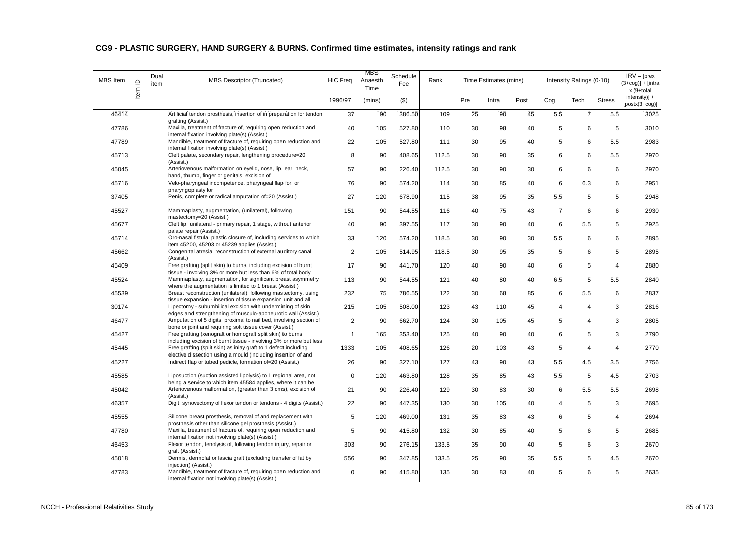| MBS Item | Item ID | Dual<br>item | MBS Descriptor (Truncated)                                                                                                              | <b>HIC Freq</b> | MBS<br>Anaesth<br>Time | Schedule<br>Fee | Rank  |     | Time Estimates (mins) |      |                | Intensity Ratings (0-10) |                | $IRV = [pres$<br>$(3+cog)] + [intra]$<br>x (9+total |
|----------|---------|--------------|-----------------------------------------------------------------------------------------------------------------------------------------|-----------------|------------------------|-----------------|-------|-----|-----------------------|------|----------------|--------------------------|----------------|-----------------------------------------------------|
|          |         |              |                                                                                                                                         | 1996/97         | (mins)                 | $($ \$)         |       | Pre | Intra                 | Post | Cog            | Tech                     | <b>Stress</b>  | intensity)] +<br>$[postx(3+cog)]$                   |
| 46414    |         |              | Artificial tendon prosthesis, insertion of in preparation for tendon                                                                    | 37              | 90                     | 386.50          | 109   | 25  | 90                    | 45   | 5.5            | $\overline{7}$           | 5.5            | 3025                                                |
| 47786    |         |              | grafting (Assist.)<br>Maxilla, treatment of fracture of, requiring open reduction and<br>internal fixation involving plate(s) (Assist.) | 40              | 105                    | 527.80          | 110   | 30  | 98                    | 40   | 5              | 6                        | 5              | 3010                                                |
| 47789    |         |              | Mandible, treatment of fracture of, requiring open reduction and<br>internal fixation involving plate(s) (Assist.)                      | 22              | 105                    | 527.80          | 111   | 30  | 95                    | 40   | 5              | 6                        | 5.5            | 2983                                                |
| 45713    |         |              | Cleft palate, secondary repair, lengthening procedure=20<br>(Assist.)                                                                   | 8               | 90                     | 408.65          | 112.5 | 30  | 90                    | 35   | 6              | 6                        | 5.5            | 2970                                                |
| 45045    |         |              | Arteriovenous malformation on eyelid, nose, lip, ear, neck,<br>hand, thumb, finger or genitals, excision of                             | 57              | 90                     | 226.40          | 112.5 | 30  | 90                    | 30   | 6              | 6                        | 6              | 2970                                                |
| 45716    |         |              | Velo-pharyngeal incompetence, pharyngeal flap for, or<br>pharyngoplasty for                                                             | 76              | 90                     | 574.20          | 114   | 30  | 85                    | 40   | 6              | 6.3                      | 6              | 2951                                                |
| 37405    |         |              | Penis, complete or radical amputation of=20 (Assist.)                                                                                   | 27              | 120                    | 678.90          | 115   | 38  | 95                    | 35   | 5.5            | 5                        | 5              | 2948                                                |
| 45527    |         |              | Mammaplasty, augmentation, (unilateral), following<br>mastectomy=20 (Assist.)                                                           | 151             | 90                     | 544.55          | 116   | 40  | 75                    | 43   | $\overline{7}$ | 6                        | 6              | 2930                                                |
| 45677    |         |              | Cleft lip, unilateral - primary repair, 1 stage, without anterior<br>palate repair (Assist.)                                            | 40              | 90                     | 397.55          | 117   | 30  | 90                    | 40   | 6              | 5.5                      | 5              | 2925                                                |
| 45714    |         |              | Oro-nasal fistula, plastic closure of, including services to which<br>item 45200, 45203 or 45239 applies (Assist.)                      | 33              | 120                    | 574.20          | 118.5 | 30  | 90                    | 30   | 5.5            | 6                        | 6              | 2895                                                |
| 45662    |         |              | Congenital atresia, reconstruction of external auditory canal<br>(Assist.)                                                              | $\overline{2}$  | 105                    | 514.95          | 118.5 | 30  | 95                    | 35   | 5              | 6                        | 5              | 2895                                                |
| 45409    |         |              | Free grafting (split skin) to burns, including excision of burnt<br>tissue - involving 3% or more but less than 6% of total body        | 17              | 90                     | 441.70          | 120   | 40  | 90                    | 40   | 6              | 5                        | 4              | 2880                                                |
| 45524    |         |              | Mammaplasty, augmentation, for significant breast asymmetry<br>where the augmentation is limited to 1 breast (Assist.)                  | 113             | 90                     | 544.55          | 121   | 40  | 80                    | 40   | 6.5            | 5                        | 5.5            | 2840                                                |
| 45539    |         |              | Breast reconstruction (unilateral), following mastectomy, using<br>tissue expansion - insertion of tissue expansion unit and all        | 232             | 75                     | 786.55          | 122   | 30  | 68                    | 85   | 6              | 5.5                      | 6              | 2837                                                |
| 30174    |         |              | Lipectomy - subumbilical excision with undermining of skin<br>edges and strengthening of musculo-aponeurotic wall (Assist.)             | 215             | 105                    | 508.00          | 123   | 43  | 110                   | 45   | $\overline{4}$ | $\overline{4}$           | 3              | 2816                                                |
| 46477    |         |              | Amputation of 5 digits, proximal to nail bed, involving section of<br>bone or joint and requiring soft tissue cover (Assist.)           | $\overline{2}$  | 90                     | 662.70          | 124   | 30  | 105                   | 45   | 5              | 4                        | 3 <sup>1</sup> | 2805                                                |
| 45427    |         |              | Free grafting (xenograft or homograft split skin) to burns<br>including excision of burnt tissue - involving 3% or more but less        | $\mathbf{1}$    | 165                    | 353.40          | 125   | 40  | 90                    | 40   | 6              | 5                        | 3              | 2790                                                |
| 45445    |         |              | Free grafting (split skin) as inlay graft to 1 defect including<br>elective dissection using a mould (including insertion of and        | 1333            | 105                    | 408.65          | 126   | 20  | 103                   | 43   | 5              | $\overline{\mathbf{4}}$  | 4              | 2770                                                |
| 45227    |         |              | Indirect flap or tubed pedicle, formation of=20 (Assist.)                                                                               | 26              | 90                     | 327.10          | 127   | 43  | 90                    | 43   | 5.5            | 4.5                      | 3.5            | 2756                                                |
| 45585    |         |              | Liposuction (suction assisted lipolysis) to 1 regional area, not<br>being a service to which item 45584 applies, where it can be        | 0               | 120                    | 463.80          | 128   | 35  | 85                    | 43   | 5.5            | 5                        | 4.5            | 2703                                                |
| 45042    |         |              | Arteriovenous malformation, (greater than 3 cms), excision of<br>(Assist.)                                                              | 21              | 90                     | 226.40          | 129   | 30  | 83                    | 30   | 6              | 5.5                      | 5.5            | 2698                                                |
| 46357    |         |              | Digit, synovectomy of flexor tendon or tendons - 4 digits (Assist.)                                                                     | 22              | 90                     | 447.35          | 130   | 30  | 105                   | 40   | 4              | 5                        | 3              | 2695                                                |
| 45555    |         |              | Silicone breast prosthesis, removal of and replacement with<br>prosthesis other than silicone gel prosthesis (Assist.)                  | 5               | 120                    | 469.00          | 131   | 35  | 83                    | 43   | 6              | 5                        | 4              | 2694                                                |
| 47780    |         |              | Maxilla, treatment of fracture of, requiring open reduction and<br>internal fixation not involving plate(s) (Assist.)                   | 5               | 90                     | 415.80          | 132   | 30  | 85                    | 40   | 5              | 6                        | 5              | 2685                                                |
| 46453    |         |              | Flexor tendon, tenolysis of, following tendon injury, repair or<br>graft (Assist.)                                                      | 303             | 90                     | 276.15          | 133.5 | 35  | 90                    | 40   | 5              | 6                        | 3              | 2670                                                |
| 45018    |         |              | Dermis, dermofat or fascia graft (excluding transfer of fat by<br>injection) (Assist.)                                                  | 556             | 90                     | 347.85          | 133.5 | 25  | 90                    | 35   | 5.5            | 5                        | 4.5            | 2670                                                |
| 47783    |         |              | Mandible, treatment of fracture of, requiring open reduction and<br>internal fixation not involving plate(s) (Assist.)                  | $\mathbf 0$     | 90                     | 415.80          | 135   | 30  | 83                    | 40   | 5              | 6                        |                | 2635                                                |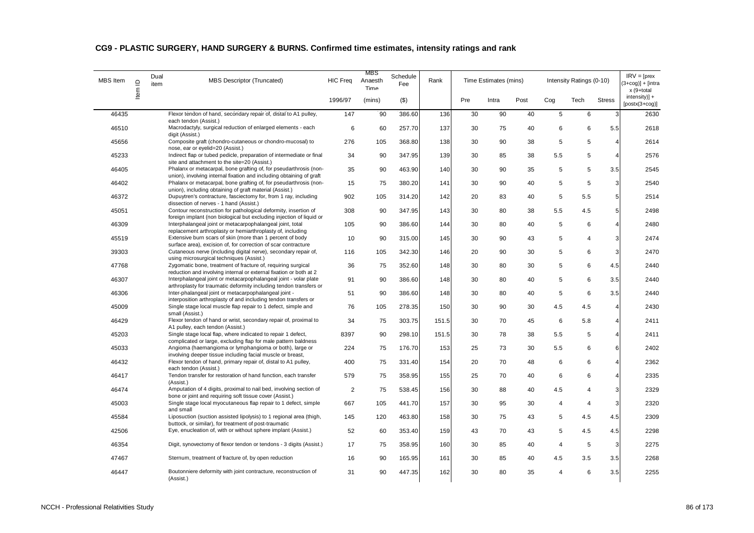| MBS Item | Item ID | Dual<br>item | MBS Descriptor (Truncated)                                                                                                                                                                                   | <b>HIC Freq</b> | MBS<br>Anaesth<br>Time | Schedule<br>Fee | Rank  |     | Time Estimates (mins) |      |                | Intensity Ratings (0-10) |                | $IRV = [pres$<br>$(3+cog)] + [intra]$<br>x (9+total |
|----------|---------|--------------|--------------------------------------------------------------------------------------------------------------------------------------------------------------------------------------------------------------|-----------------|------------------------|-----------------|-------|-----|-----------------------|------|----------------|--------------------------|----------------|-----------------------------------------------------|
|          |         |              |                                                                                                                                                                                                              | 1996/97         | (mins)                 | $($ \$)         |       | Pre | Intra                 | Post | Cog            | Tech                     | <b>Stress</b>  | $intensity$ ] +<br>$[postx(3+cog)]$                 |
| 46435    |         |              | Flexor tendon of hand, secondary repair of, distal to A1 pulley,                                                                                                                                             | 147             | 90                     | 386.60          | 136   | 30  | 90                    | 40   | 5              | 6                        | 3              | 2630                                                |
| 46510    |         |              | each tendon (Assist.)<br>Macrodactyly, surgical reduction of enlarged elements - each<br>digit (Assist.)                                                                                                     | 6               | 60                     | 257.70          | 137   | 30  | 75                    | 40   | 6              | 6                        | 5.5            | 2618                                                |
| 45656    |         |              | Composite graft (chondro-cutaneous or chondro-mucosal) to<br>nose, ear or eyelid=20 (Assist.)                                                                                                                | 276             | 105                    | 368.80          | 138   | 30  | 90                    | 38   | 5              | 5                        | 4              | 2614                                                |
| 45233    |         |              | Indirect flap or tubed pedicle, preparation of intermediate or final                                                                                                                                         | 34              | 90                     | 347.95          | 139   | 30  | 85                    | 38   | 5.5            | 5                        | 4              | 2576                                                |
| 46405    |         |              | site and attachment to the site=20 (Assist.)<br>Phalanx or metacarpal, bone grafting of, for pseudarthrosis (non-<br>union), involving internal fixation and including obtaining of graft                    | 35              | 90                     | 463.90          | 140   | 30  | 90                    | 35   | 5              | 5                        | 3.5            | 2545                                                |
| 46402    |         |              | Phalanx or metacarpal, bone grafting of, for pseudarthrosis (non-<br>union), including obtaining of graft material (Assist.)                                                                                 | 15              | 75                     | 380.20          | 141   | 30  | 90                    | 40   | 5              | 5                        | 3 <sup>1</sup> | 2540                                                |
| 46372    |         |              | Dupuytren's contracture, fasciectomy for, from 1 ray, including<br>dissection of nerves - 1 hand (Assist.)                                                                                                   | 902             | 105                    | 314.20          | 142   | 20  | 83                    | 40   | 5              | 5.5                      | 5              | 2514                                                |
| 45051    |         |              | Contour reconstruction for pathological deformity, insertion of<br>foreign implant (non biological but excluding injection of liquid or                                                                      | 308             | 90                     | 347.95          | 143   | 30  | 80                    | 38   | 5.5            | 4.5                      | 5              | 2498                                                |
| 46309    |         |              | Interphalangeal joint or metacarpophalangeal joint, total<br>replacement arthroplasty or hemiarthroplasty of, including                                                                                      | 105             | 90                     | 386.60          | 144   | 30  | 80                    | 40   | 5              | 6                        | 4              | 2480                                                |
| 45519    |         |              | Extensive burn scars of skin (more than 1 percent of body                                                                                                                                                    | 10              | 90                     | 315.00          | 145   | 30  | 90                    | 43   | 5              | $\overline{4}$           | $\overline{3}$ | 2474                                                |
| 39303    |         |              | surface area), excision of, for correction of scar contracture<br>Cutaneous nerve (including digital nerve), secondary repair of,                                                                            | 116             | 105                    | 342.30          | 146   | 20  | 90                    | 30   | 5              | 6                        | 3              | 2470                                                |
| 47768    |         |              | using microsurgical techniques (Assist.)<br>Zygomatic bone, treatment of fracture of, requiring surgical                                                                                                     | 36              | 75                     | 352.60          | 148   | 30  | 80                    | 30   | 5              | 6                        | 4.5            | 2440                                                |
| 46307    |         |              | reduction and involving internal or external fixation or both at 2<br>Interphalangeal joint or metacarpophalangeal joint - volar plate<br>arthroplasty for traumatic deformity including tendon transfers or | 91              | 90                     | 386.60          | 148   | 30  | 80                    | 40   | 5              | 6                        | 3.5            | 2440                                                |
| 46306    |         |              | Inter-phalangeal joint or metacarpophalangeal joint -<br>interposition arthroplasty of and including tendon transfers or                                                                                     | 51              | 90                     | 386.60          | 148   | 30  | 80                    | 40   | 5              | 6                        | 3.5            | 2440                                                |
| 45009    |         |              | Single stage local muscle flap repair to 1 defect, simple and<br>small (Assist.)                                                                                                                             | 76              | 105                    | 278.35          | 150   | 30  | 90                    | 30   | 4.5            | 4.5                      | 4              | 2430                                                |
| 46429    |         |              | Flexor tendon of hand or wrist, secondary repair of, proximal to<br>A1 pulley, each tendon (Assist.)                                                                                                         | 34              | 75                     | 303.75          | 151.5 | 30  | 70                    | 45   | 6              | 5.8                      | 4              | 2411                                                |
| 45203    |         |              | Single stage local flap, where indicated to repair 1 defect,<br>complicated or large, excluding flap for male pattern baldness                                                                               | 8397            | 90                     | 298.10          | 151.5 | 30  | 78                    | 38   | 5.5            | 5                        | Δ              | 2411                                                |
| 45033    |         |              | Angioma (haemangioma or lymphangioma or both), large or<br>involving deeper tissue including facial muscle or breast,                                                                                        | 224             | 75                     | 176.70          | 153   | 25  | 73                    | 30   | 5.5            | 6                        | 6              | 2402                                                |
| 46432    |         |              | Flexor tendon of hand, primary repair of, distal to A1 pulley,<br>each tendon (Assist.)                                                                                                                      | 400             | 75                     | 331.40          | 154   | 20  | 70                    | 48   | 6              | 6                        | 4              | 2362                                                |
| 46417    |         |              | Tendon transfer for restoration of hand function, each transfer<br>(Assist.)                                                                                                                                 | 579             | 75                     | 358.95          | 155   | 25  | 70                    | 40   | 6              | 6                        | 4              | 2335                                                |
| 46474    |         |              | Amputation of 4 digits, proximal to nail bed, involving section of<br>bone or joint and requiring soft tissue cover (Assist.)                                                                                | 2               | 75                     | 538.45          | 156   | 30  | 88                    | 40   | 4.5            | 4                        | 3              | 2329                                                |
| 45003    |         |              | Single stage local myocutaneous flap repair to 1 defect, simple<br>and small                                                                                                                                 | 667             | 105                    | 441.70          | 157   | 30  | 95                    | 30   | 4              | 4                        | 3              | 2320                                                |
| 45584    |         |              | Liposuction (suction assisted lipolysis) to 1 regional area (thigh,<br>buttock, or similar), for treatment of post-traumatic                                                                                 | 145             | 120                    | 463.80          | 158   | 30  | 75                    | 43   | 5              | 4.5                      | 4.5            | 2309                                                |
| 42506    |         |              | Eye, enucleation of, with or without sphere implant (Assist.)                                                                                                                                                | 52              | 60                     | 353.40          | 159   | 43  | 70                    | 43   | 5              | 4.5                      | 4.5            | 2298                                                |
| 46354    |         |              | Digit, synovectomy of flexor tendon or tendons - 3 digits (Assist.)                                                                                                                                          | 17              | 75                     | 358.95          | 160   | 30  | 85                    | 40   | $\overline{4}$ | $\sqrt{5}$               | 3              | 2275                                                |
| 47467    |         |              | Sternum, treatment of fracture of, by open reduction                                                                                                                                                         | 16              | 90                     | 165.95          | 161   | 30  | 85                    | 40   | 4.5            | 3.5                      | 3.5            | 2268                                                |
| 46447    |         |              | Boutonniere deformity with joint contracture, reconstruction of<br>(Assist.)                                                                                                                                 | 31              | 90                     | 447.35          | 162   | 30  | 80                    | 35   | $\overline{4}$ | 6                        | 3.5            | 2255                                                |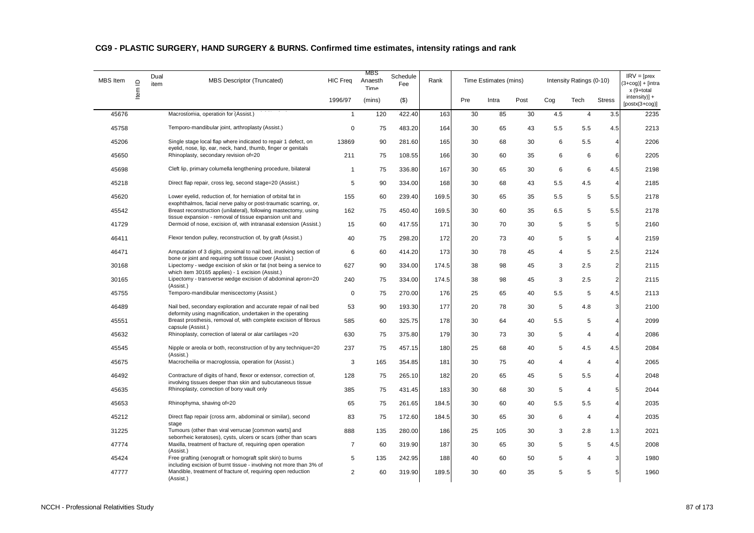| MBS Item | $\supseteq$ | Dual<br>item | <b>MBS Descriptor (Truncated)</b>                                                                                                | <b>HIC Freq</b> | MBS<br>Anaesth<br>Time | Schedule<br>Fee | Rank  |     | Time Estimates (mins) |      |     | Intensity Ratings (0-10) |                         | $IRV = [pres$<br>$3+coq$ )] + [intra<br>x (9+total |
|----------|-------------|--------------|----------------------------------------------------------------------------------------------------------------------------------|-----------------|------------------------|-----------------|-------|-----|-----------------------|------|-----|--------------------------|-------------------------|----------------------------------------------------|
|          | Item        |              |                                                                                                                                  | 1996/97         | (mins)                 | $($ \$)         |       | Pre | Intra                 | Post | Cog | Tech                     | <b>Stress</b>           | $intensity$ +<br>$[postx(3+cog)]$                  |
| 45676    |             |              | Macrostomia, operation for (Assist.)                                                                                             | $\mathbf{1}$    | 120                    | 422.40          | 163   | 30  | 85                    | 30   | 4.5 | $\overline{4}$           | 3.5                     | 2235                                               |
| 45758    |             |              | Temporo-mandibular joint, arthroplasty (Assist.)                                                                                 | $\Omega$        | 75                     | 483.20          | 164   | 30  | 65                    | 43   | 5.5 | 5.5                      | 4.5                     | 2213                                               |
| 45206    |             |              | Single stage local flap where indicated to repair 1 defect, on<br>eyelid, nose, lip, ear, neck, hand, thumb, finger or genitals  | 13869           | 90                     | 281.60          | 165   | 30  | 68                    | 30   | 6   | 5.5                      | $\overline{4}$          | 2206                                               |
| 45650    |             |              | Rhinoplasty, secondary revision of=20                                                                                            | 211             | 75                     | 108.55          | 166   | 30  | 60                    | 35   | 6   | 6                        | 6                       | 2205                                               |
| 45698    |             |              | Cleft lip, primary columella lengthening procedure, bilateral                                                                    | $\mathbf{1}$    | 75                     | 336.80          | 167   | 30  | 65                    | 30   | 6   | 6                        | 4.5                     | 2198                                               |
| 45218    |             |              | Direct flap repair, cross leg, second stage=20 (Assist.)                                                                         | 5               | 90                     | 334.00          | 168   | 30  | 68                    | 43   | 5.5 | 4.5                      | $\overline{4}$          | 2185                                               |
| 45620    |             |              | Lower eyelid, reduction of, for herniation of orbital fat in<br>exophthalmos, facial nerve palsy or post-traumatic scarring, or, | 155             | 60                     | 239.40          | 169.5 | 30  | 65                    | 35   | 5.5 | 5                        | 5.5                     | 2178                                               |
| 45542    |             |              | Breast reconstruction (unilateral), following mastectomy, using<br>tissue expansion - removal of tissue expansion unit and       | 162             | 75                     | 450.40          | 169.5 | 30  | 60                    | 35   | 6.5 | 5                        | 5.5                     | 2178                                               |
| 41729    |             |              | Dermoid of nose, excision of, with intranasal extension (Assist.)                                                                | 15              | 60                     | 417.55          | 171   | 30  | 70                    | 30   | 5   | 5                        | 5                       | 2160                                               |
| 46411    |             |              | Flexor tendon pulley, reconstruction of, by graft (Assist.)                                                                      | 40              | 75                     | 298.20          | 172   | 20  | 73                    | 40   | 5   | 5                        | $\overline{4}$          | 2159                                               |
| 46471    |             |              | Amputation of 3 digits, proximal to nail bed, involving section of<br>bone or joint and requiring soft tissue cover (Assist.)    | 6               | 60                     | 414.20          | 173   | 30  | 78                    | 45   | 4   | 5                        | 2.5                     | 2124                                               |
| 30168    |             |              | Lipectomy - wedge excision of skin or fat (not being a service to<br>which item 30165 applies) - 1 excision (Assist.)            | 627             | 90                     | 334.00          | 174.5 | 38  | 98                    | 45   | 3   | 2.5                      | $\overline{c}$          | 2115                                               |
| 30165    |             |              | Lipectomy - transverse wedge excision of abdominal apron=20<br>(Assist.)                                                         | 240             | 75                     | 334.00          | 174.5 | 38  | 98                    | 45   | 3   | 2.5                      | $\overline{2}$          | 2115                                               |
| 45755    |             |              | Temporo-mandibular meniscectomy (Assist.)                                                                                        | $\Omega$        | 75                     | 270.00          | 176   | 25  | 65                    | 40   | 5.5 | 5                        | 4.5                     | 2113                                               |
| 46489    |             |              | Nail bed, secondary exploration and accurate repair of nail bed<br>deformity using magnification, undertaken in the operating    | 53              | 90                     | 193.30          | 177   | 20  | 78                    | 30   | 5   | 4.8                      | 3                       | 2100                                               |
| 45551    |             |              | Breast prosthesis, removal of, with complete excision of fibrous<br>capsule (Assist.)                                            | 585             | 60                     | 325.75          | 178   | 30  | 64                    | 40   | 5.5 | 5                        | $\overline{4}$          | 2099                                               |
| 45632    |             |              | Rhinoplasty, correction of lateral or alar cartilages = 20                                                                       | 630             | 75                     | 375.80          | 179   | 30  | 73                    | 30   | 5   | $\overline{4}$           | $\overline{4}$          | 2086                                               |
| 45545    |             |              | Nipple or areola or both, reconstruction of by any technique=20<br>(Assist.)                                                     | 237             | 75                     | 457.15          | 180   | 25  | 68                    | 40   | 5   | 4.5                      | 4.5                     | 2084                                               |
| 45675    |             |              | Macrocheilia or macroglossia, operation for (Assist.)                                                                            | 3               | 165                    | 354.85          | 181   | 30  | 75                    | 40   | 4   | $\overline{4}$           | $\overline{\mathbf{4}}$ | 2065                                               |
| 46492    |             |              | Contracture of digits of hand, flexor or extensor, correction of,<br>involving tissues deeper than skin and subcutaneous tissue  | 128             | 75                     | 265.10          | 182   | 20  | 65                    | 45   | 5   | 5.5                      | $\overline{4}$          | 2048                                               |
| 45635    |             |              | Rhinoplasty, correction of bony vault only                                                                                       | 385             | 75                     | 431.45          | 183   | 30  | 68                    | 30   | 5   | $\overline{4}$           | 5                       | 2044                                               |
| 45653    |             |              | Rhinophyma, shaving of=20                                                                                                        | 65              | 75                     | 261.65          | 184.5 | 30  | 60                    | 40   | 5.5 | 5.5                      | 4                       | 2035                                               |
| 45212    |             |              | Direct flap repair (cross arm, abdominal or similar), second<br>stage                                                            | 83              | 75                     | 172.60          | 184.5 | 30  | 65                    | 30   | 6   | $\overline{4}$           | $\overline{4}$          | 2035                                               |
| 31225    |             |              | Tumours (other than viral verrucae [common warts] and<br>seborrheic keratoses), cysts, ulcers or scars (other than scars         | 888             | 135                    | 280.00          | 186   | 25  | 105                   | 30   | 3   | 2.8                      | 1.3                     | 2021                                               |
| 47774    |             |              | Maxilla, treatment of fracture of, requiring open operation<br>(Assist.)                                                         | 7               | 60                     | 319.90          | 187   | 30  | 65                    | 30   | 5   | 5                        | 4.5                     | 2008                                               |
| 45424    |             |              | Free grafting (xenograft or homograft split skin) to burns<br>including excision of burnt tissue - involving not more than 3% of | 5               | 135                    | 242.95          | 188   | 40  | 60                    | 50   | 5   | $\overline{4}$           | 3                       | 1980                                               |
| 47777    |             |              | Mandible, treatment of fracture of, requiring open reduction<br>(Assist.)                                                        | 2               | 60                     | 319.90          | 189.5 | 30  | 60                    | 35   | 5   | 5                        | 5                       | 1960                                               |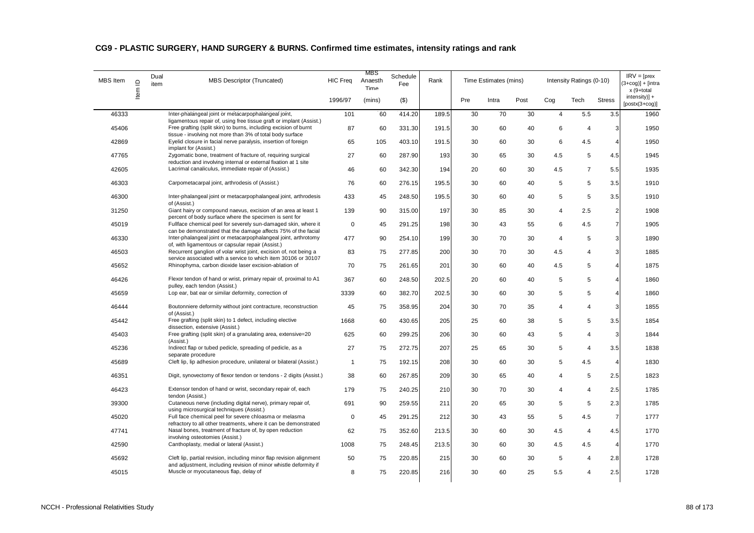| <b>MBS</b> Item | $\mathbf{\underline{o}}$ | Dual<br>item | MBS Descriptor (Truncated)                                                                                                          | <b>HIC Freq</b> | MBS<br>Anaesth<br>Time | Schedule<br>Fee | Rank  |     | Time Estimates (mins) |      |                | Intensity Ratings (0-10) |                         | $IRV = [pres$<br>$3 + \cos 1 + \sin 1$<br>x (9+total |
|-----------------|--------------------------|--------------|-------------------------------------------------------------------------------------------------------------------------------------|-----------------|------------------------|-----------------|-------|-----|-----------------------|------|----------------|--------------------------|-------------------------|------------------------------------------------------|
|                 | ltem                     |              |                                                                                                                                     | 1996/97         | (mins)                 | ( \$)           |       | Pre | Intra                 | Post | Cog            | Tech                     | <b>Stress</b>           | intensity)] +<br>$[postx(3+cog)]$                    |
| 46333           |                          |              | Inter-phalangeal joint or metacarpophalangeal joint,<br>ligamentous repair of, using free tissue graft or implant (Assist.)         | 101             | 60                     | 414.20          | 189.5 | 30  | 70                    | 30   | $\overline{4}$ | 5.5                      | 3.5                     | 1960                                                 |
| 45406           |                          |              | Free grafting (split skin) to burns, including excision of burnt                                                                    | 87              | 60                     | 331.30          | 191.5 | 30  | 60                    | 40   | 6              | $\overline{4}$           | 3                       | 1950                                                 |
| 42869           |                          |              | tissue - involving not more than 3% of total body surface<br>Eyelid closure in facial nerve paralysis, insertion of foreign         | 65              | 105                    | 403.10          | 191.5 | 30  | 60                    | 30   | 6              | 4.5                      | $\overline{4}$          | 1950                                                 |
| 47765           |                          |              | implant for (Assist.)<br>Zygomatic bone, treatment of fracture of, requiring surgical                                               | 27              | 60                     | 287.90          | 193   | 30  | 65                    | 30   | 4.5            | 5                        | 4.5                     | 1945                                                 |
| 42605           |                          |              | reduction and involving internal or external fixation at 1 site<br>Lacrimal canaliculus, immediate repair of (Assist.)              | 46              | 60                     | 342.30          | 194   | 20  | 60                    | 30   | 4.5            | $\overline{7}$           | 5.5                     | 1935                                                 |
| 46303           |                          |              | Carpometacarpal joint, arthrodesis of (Assist.)                                                                                     | 76              | 60                     | 276.15          | 195.5 | 30  | 60                    | 40   | 5              | $\,$ 5 $\,$              | 3.5                     | 1910                                                 |
| 46300           |                          |              | Inter-phalangeal joint or metacarpophalangeal joint, arthrodesis<br>of (Assist.)                                                    | 433             | 45                     | 248.50          | 195.5 | 30  | 60                    | 40   | 5              | 5                        | 3.5                     | 1910                                                 |
| 31250           |                          |              | Giant hairy or compound naevus, excision of an area at least 1<br>percent of body surface where the specimen is sent for            | 139             | 90                     | 315.00          | 197   | 30  | 85                    | 30   | 4              | 2.5                      | $\overline{2}$          | 1908                                                 |
| 45019           |                          |              | Fullface chemical peel for severely sun-damaged skin, where it<br>can be demonstrated that the damage affects 75% of the facial     | $\Omega$        | 45                     | 291.25          | 198   | 30  | 43                    | 55   | 6              | 4.5                      | $\overline{7}$          | 1905                                                 |
| 46330           |                          |              | Inter-phalangeal joint or metacarpophalangeal joint, arthrotomy<br>of, with ligamentous or capsular repair (Assist.)                | 477             | 90                     | 254.10          | 199   | 30  | 70                    | 30   | $\overline{4}$ | 5                        | 3                       | 1890                                                 |
| 46503           |                          |              | Recurrent ganglion of volar wrist joint, excision of, not being a<br>service associated with a service to which item 30106 or 30107 | 83              | 75                     | 277.85          | 200   | 30  | 70                    | 30   | 4.5            | $\overline{4}$           | 3                       | 1885                                                 |
| 45652           |                          |              | Rhinophyma, carbon dioxide laser excision-ablation of                                                                               | 70              | 75                     | 261.65          | 201   | 30  | 60                    | 40   | 4.5            | 5                        | $\overline{4}$          | 1875                                                 |
| 46426           |                          |              | Flexor tendon of hand or wrist, primary repair of, proximal to A1<br>pulley, each tendon (Assist.)                                  | 367             | 60                     | 248.50          | 202.5 | 20  | 60                    | 40   | 5              | 5                        | $\overline{4}$          | 1860                                                 |
| 45659           |                          |              | Lop ear, bat ear or similar deformity, correction of                                                                                | 3339            | 60                     | 382.70          | 202.5 | 30  | 60                    | 30   | 5              | 5                        | 4                       | 1860                                                 |
| 46444           |                          |              | Boutonniere deformity without joint contracture, reconstruction<br>of (Assist.)                                                     | 45              | 75                     | 358.95          | 204   | 30  | 70                    | 35   | 4              | $\overline{4}$           | 3                       | 1855                                                 |
| 45442           |                          |              | Free grafting (split skin) to 1 defect, including elective<br>dissection, extensive (Assist.)                                       | 1668            | 60                     | 430.65          | 205   | 25  | 60                    | 38   | 5              | 5                        | 3.5                     | 1854                                                 |
| 45403           |                          |              | Free grafting (split skin) of a granulating area, extensive=20<br>(Assist.)                                                         | 625             | 60                     | 299.25          | 206   | 30  | 60                    | 43   | 5              | $\overline{4}$           | 3                       | 1844                                                 |
| 45236           |                          |              | Indirect flap or tubed pedicle, spreading of pedicle, as a<br>separate procedure                                                    | 27              | 75                     | 272.75          | 207   | 25  | 65                    | 30   | 5              | $\overline{4}$           | 3.5                     | 1838                                                 |
| 45689           |                          |              | Cleft lip, lip adhesion procedure, unilateral or bilateral (Assist.)                                                                | $\mathbf{1}$    | 75                     | 192.15          | 208   | 30  | 60                    | 30   | 5              | 4.5                      | $\overline{\mathbf{4}}$ | 1830                                                 |
| 46351           |                          |              | Digit, synovectomy of flexor tendon or tendons - 2 digits (Assist.)                                                                 | 38              | 60                     | 267.85          | 209   | 30  | 65                    | 40   | 4              | 5                        | 2.5                     | 1823                                                 |
| 46423           |                          |              | Extensor tendon of hand or wrist, secondary repair of, each<br>tendon (Assist.)                                                     | 179             | 75                     | 240.25          | 210   | 30  | 70                    | 30   | 4              | $\overline{4}$           | 2.5                     | 1785                                                 |
| 39300           |                          |              | Cutaneous nerve (including digital nerve), primary repair of,<br>using microsurgical techniques (Assist.)                           | 691             | 90                     | 259.55          | 211   | 20  | 65                    | 30   | 5              | 5                        | 2.3                     | 1785                                                 |
| 45020           |                          |              | Full face chemical peel for severe chloasma or melasma<br>refractory to all other treatments, where it can be demonstrated          | $\Omega$        | 45                     | 291.25          | 212   | 30  | 43                    | 55   | 5              | 4.5                      | $\overline{7}$          | 1777                                                 |
| 47741           |                          |              | Nasal bones, treatment of fracture of, by open reduction<br>involving osteotomies (Assist.)                                         | 62              | 75                     | 352.60          | 213.5 | 30  | 60                    | 30   | 4.5            | $\overline{4}$           | 4.5                     | 1770                                                 |
| 42590           |                          |              | Canthoplasty, medial or lateral (Assist.)                                                                                           | 1008            | 75                     | 248.45          | 213.5 | 30  | 60                    | 30   | 4.5            | 4.5                      | $\overline{4}$          | 1770                                                 |
| 45692           |                          |              | Cleft lip, partial revision, including minor flap revision alignment                                                                | 50              | 75                     | 220.85          | 215   | 30  | 60                    | 30   | 5              | $\overline{4}$           | 2.8                     | 1728                                                 |
| 45015           |                          |              | and adjustment, including revision of minor whistle deformity if<br>Muscle or myocutaneous flap, delay of                           | 8               | 75                     | 220.85          | 216   | 30  | 60                    | 25   | 5.5            | $\overline{4}$           | 2.5                     | 1728                                                 |
|                 |                          |              |                                                                                                                                     |                 |                        |                 |       |     |                       |      |                |                          |                         |                                                      |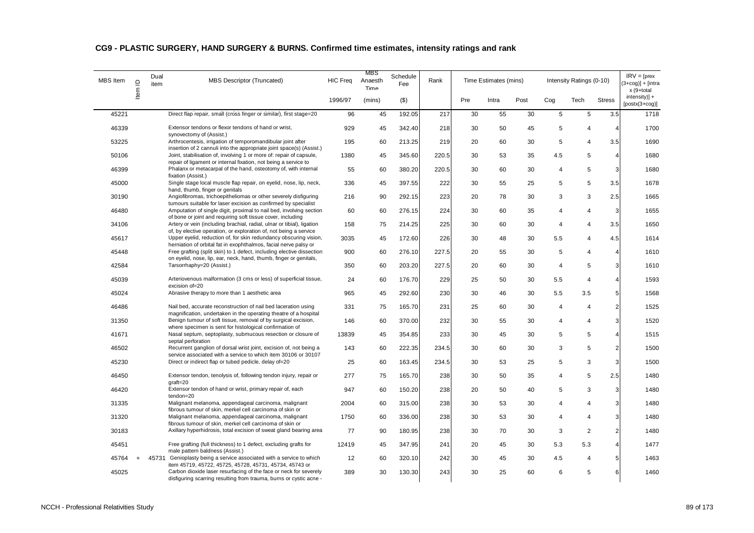| <b>MBS</b> Item | $\supseteq$ | Dual<br>item | <b>MBS Descriptor (Truncated)</b>                                                                                                                                                                  | <b>HIC Freq</b> | MBS<br>Anaesth<br>Time | Schedule<br>Fee | Rank  |     | Time Estimates (mins) |      |                | Intensity Ratings (0-10) |                         | $IRV = [pres$<br>$3+cog$ )] + [intra<br>x (9+total |
|-----------------|-------------|--------------|----------------------------------------------------------------------------------------------------------------------------------------------------------------------------------------------------|-----------------|------------------------|-----------------|-------|-----|-----------------------|------|----------------|--------------------------|-------------------------|----------------------------------------------------|
|                 | Item        |              |                                                                                                                                                                                                    | 1996/97         | (mins)                 | $($ \$)         |       | Pre | Intra                 | Post | Coq            | Tech                     | <b>Stress</b>           | $intensity$ )] +<br>$[postx(3+cog)]$               |
| 45221           |             |              | Direct flap repair, small (cross finger or similar), first stage=20                                                                                                                                | 96              | 45                     | 192.05          | 217   | 30  | 55                    | 30   | 5              | 5                        | 3.5                     | 1718                                               |
| 46339           |             |              | Extensor tendons or flexor tendons of hand or wrist,<br>synovectomy of (Assist.)                                                                                                                   | 929             | 45                     | 342.40          | 218   | 30  | 50                    | 45   | 5              | $\overline{4}$           | 4                       | 1700                                               |
| 53225           |             |              | Arthrocentesis, irrigation of temporomandibular joint after<br>insertion of 2 cannuli into the appropriate joint space(s) (Assist.)                                                                | 195             | 60                     | 213.25          | 219   | 20  | 60                    | 30   | 5              | $\overline{4}$           | 3.5                     | 1690                                               |
| 50106           |             |              | Joint, stabilisation of, involving 1 or more of: repair of capsule,                                                                                                                                | 1380            | 45                     | 345.60          | 220.5 | 30  | 53                    | 35   | 4.5            | 5                        | $\overline{\mathbf{4}}$ | 1680                                               |
| 46399           |             |              | repair of ligament or internal fixation, not being a service to<br>Phalanx or metacarpal of the hand, osteotomy of, with internal<br>fixation (Assist.)                                            | 55              | 60                     | 380.20          | 220.5 | 30  | 60                    | 30   | $\overline{4}$ | 5                        | 3                       | 1680                                               |
| 45000           |             |              | Single stage local muscle flap repair, on eyelid, nose, lip, neck,<br>hand, thumb, finger or genitals                                                                                              | 336             | 45                     | 397.55          | 222   | 30  | 55                    | 25   | 5              | 5                        | 3.5                     | 1678                                               |
| 30190           |             |              | Angiofibromas, trichoepitheliomas or other severely disfiguring<br>tumours suitable for laser excision as confirmed by specialist                                                                  | 216             | 90                     | 292.15          | 223   | 20  | 78                    | 30   | 3              | 3                        | 2.5                     | 1665                                               |
| 46480           |             |              | Amputation of single digit, proximal to nail bed, involving section<br>of bone or joint and requiring soft tissue cover, including                                                                 | 60              | 60                     | 276.15          | 224   | 30  | 60                    | 35   | $\overline{4}$ | $\overline{4}$           | 3                       | 1655                                               |
| 34106           |             |              | Artery or vein (including brachial, radial, ulnar or tibial), ligation<br>of, by elective operation, or exploration of, not being a service                                                        | 158             | 75                     | 214.25          | 225   | 30  | 60                    | 30   | $\overline{4}$ | $\overline{4}$           | 3.5                     | 1650                                               |
| 45617           |             |              | Upper eyelid, reduction of, for skin redundancy obscuring vision,<br>herniation of orbital fat in exophthalmos, facial nerve palsy or                                                              | 3035            | 45                     | 172.60          | 226   | 30  | 48                    | 30   | 5.5            | $\overline{4}$           | 4.5                     | 1614                                               |
| 45448           |             |              | Free grafting (split skin) to 1 defect, including elective dissection<br>on eyelid, nose, lip, ear, neck, hand, thumb, finger or genitals,                                                         | 900             | 60                     | 276.10          | 227.5 | 20  | 55                    | 30   | 5              | $\overline{4}$           | 4                       | 1610                                               |
| 42584           |             |              | Tarsorrhaphy=20 (Assist.)                                                                                                                                                                          | 350             | 60                     | 203.20          | 227.5 | 20  | 60                    | 30   | 4              | 5                        | 3                       | 1610                                               |
| 45039           |             |              | Arteriovenous malformation (3 cms or less) of superficial tissue,<br>excision of=20                                                                                                                | 24              | 60                     | 176.70          | 229   | 25  | 50                    | 30   | 5.5            | $\overline{4}$           | $\overline{4}$          | 1593                                               |
| 45024           |             |              | Abrasive therapy to more than 1 aesthetic area                                                                                                                                                     | 965             | 45                     | 292.60          | 230   | 30  | 46                    | 30   | 5.5            | 3.5                      | 5 <sub>5</sub>          | 1568                                               |
| 46486           |             |              | Nail bed, accurate reconstruction of nail bed laceration using<br>magnification, undertaken in the operating theatre of a hospital                                                                 | 331             | 75                     | 165.70          | 231   | 25  | 60                    | 30   | 4              | $\overline{4}$           | $\overline{2}$          | 1525                                               |
| 31350           |             |              | Benign tumour of soft tissue, removal of by surgical excision,<br>where specimen is sent for histological confirmation of                                                                          | 146             | 60                     | 370.00          | 232   | 30  | 55                    | 30   | 4              | $\overline{4}$           | $\overline{3}$          | 1520                                               |
| 41671           |             |              | Nasal septum, septoplasty, submucous resection or closure of<br>septal perforation                                                                                                                 | 13839           | 45                     | 354.85          | 233   | 30  | 45                    | 30   | 5              | 5                        | 4                       | 1515                                               |
| 46502           |             |              | Recurrent ganglion of dorsal wrist joint, excision of, not being a<br>service associated with a service to which item 30106 or 30107                                                               | 143             | 60                     | 222.35          | 234.5 | 30  | 60                    | 30   | 3              | 5                        | $\overline{2}$          | 1500                                               |
| 45230           |             |              | Direct or indirect flap or tubed pedicle, delay of=20                                                                                                                                              | 25              | 60                     | 163.45          | 234.5 | 30  | 53                    | 25   | 5              | 3                        | 3                       | 1500                                               |
| 46450           |             |              | Extensor tendon, tenolysis of, following tendon injury, repair or<br>$graff=20$                                                                                                                    | 277             | 75                     | 165.70          | 238   | 30  | 50                    | 35   | $\overline{4}$ | 5                        | 2.5                     | 1480                                               |
| 46420           |             |              | Extensor tendon of hand or wrist, primary repair of, each<br>tendon=20                                                                                                                             | 947             | 60                     | 150.20          | 238   | 20  | 50                    | 40   | 5              | 3                        | 3                       | 1480                                               |
| 31335           |             |              | Malignant melanoma, appendageal carcinoma, malignant<br>fibrous tumour of skin, merkel cell carcinoma of skin or                                                                                   | 2004            | 60                     | 315.00          | 238   | 30  | 53                    | 30   | $\overline{4}$ | $\overline{4}$           | 3                       | 1480                                               |
| 31320           |             |              | Malignant melanoma, appendageal carcinoma, malignant<br>fibrous tumour of skin, merkel cell carcinoma of skin or                                                                                   | 1750            | 60                     | 336.00          | 238   | 30  | 53                    | 30   | 4              | $\overline{4}$           | 3                       | 1480                                               |
| 30183           |             |              | Axillary hyperhidrosis, total excision of sweat gland bearing area                                                                                                                                 | 77              | 90                     | 180.95          | 238   | 30  | 70                    | 30   | $\mathbf 3$    | $\overline{c}$           | 2                       | 1480                                               |
| 45451           |             |              | Free grafting (full thickness) to 1 defect, excluding grafts for<br>male pattern baldness (Assist.)                                                                                                | 12419           | 45                     | 347.95          | 241   | 20  | 45                    | 30   | 5.3            | 5.3                      |                         | 1477                                               |
| 45764           | $\ddot{}$   |              | 45731 Genioplasty being a service associated with a service to which                                                                                                                               | 12              | 60                     | 320.10          | 242   | 30  | 45                    | 30   | 4.5            | $\overline{4}$           | 5                       | 1463                                               |
| 45025           |             |              | item 45719, 45722, 45725, 45728, 45731, 45734, 45743 or<br>Carbon dioxide laser resurfacing of the face or neck for severely<br>disfiguring scarring resulting from trauma, burns or cystic acne - | 389             | 30                     | 130.30          | 243   | 30  | 25                    | 60   | 6              | 5                        |                         | 1460                                               |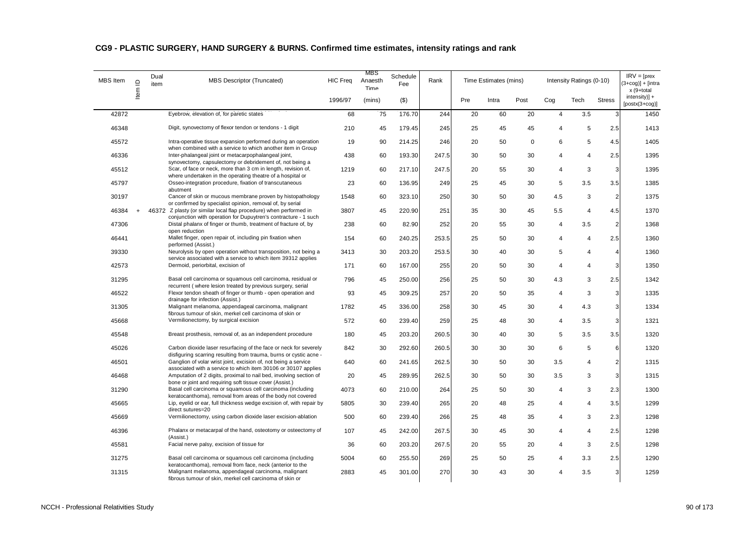| <b>MBS</b> Item | $\supseteq$ | Dual<br>item | MBS Descriptor (Truncated)                                                                                                                                                              | <b>HIC Freq</b> | MBS<br>Anaesth<br>Time | Schedule<br>Fee | Rank  |     | Time Estimates (mins) |             |                | Intensity Ratings (0-10) |                | $IRV = [pres$<br>$3+cog$ )] + [intra<br>x (9+total |
|-----------------|-------------|--------------|-----------------------------------------------------------------------------------------------------------------------------------------------------------------------------------------|-----------------|------------------------|-----------------|-------|-----|-----------------------|-------------|----------------|--------------------------|----------------|----------------------------------------------------|
|                 | ltem        |              |                                                                                                                                                                                         | 1996/97         | (mins)                 | $($ \$)         |       | Pre | Intra                 | Post        | Cog            | Tech                     | <b>Stress</b>  | $intensity$ )] +<br>$[postx(3+cog)]$               |
| 42872           |             |              | Eyebrow, elevation of, for paretic states                                                                                                                                               | 68              | 75                     | 176.70          | 244   | 20  | 60                    | 20          | $\overline{4}$ | 3.5                      | 3              | 1450                                               |
| 46348           |             |              | Digit, synovectomy of flexor tendon or tendons - 1 digit                                                                                                                                | 210             | 45                     | 179.45          | 245   | 25  | 45                    | 45          | $\overline{4}$ | 5                        | 2.5            | 1413                                               |
| 45572           |             |              | Intra-operative tissue expansion performed during an operation<br>when combined with a service to which another item in Group                                                           | 19              | 90                     | 214.25          | 246   | 20  | 50                    | $\mathbf 0$ | 6              | 5                        | 4.5            | 1405                                               |
| 46336           |             |              | Inter-phalangeal joint or metacarpophalangeal joint,                                                                                                                                    | 438             | 60                     | 193.30          | 247.5 | 30  | 50                    | 30          | $\overline{4}$ | $\overline{4}$           | 2.5            | 1395                                               |
| 45512           |             |              | synovectomy, capsulectomy or debridement of, not being a<br>Scar, of face or neck, more than 3 cm in length, revision of,<br>where undertaken in the operating theatre of a hospital or | 1219            | 60                     | 217.10          | 247.5 | 20  | 55                    | 30          | $\overline{4}$ | 3                        | 3              | 1395                                               |
| 45797           |             |              | Osseo-integration procedure, fixation of transcutaneous<br>abutment                                                                                                                     | 23              | 60                     | 136.95          | 249   | 25  | 45                    | 30          | 5              | 3.5                      | 3.5            | 1385                                               |
| 30197           |             |              | Cancer of skin or mucous membrane proven by histopathology<br>or confirmed by specialist opinion, removal of, by serial                                                                 | 1548            | 60                     | 323.10          | 250   | 30  | 50                    | 30          | 4.5            | 3                        | $\overline{2}$ | 1375                                               |
| 46384           |             |              | 46372 Z plasty (or similar local flap procedure) when performed in<br>conjunction with operation for Dupuytren's contracture - 1 such                                                   | 3807            | 45                     | 220.90          | 251   | 35  | 30                    | 45          | 5.5            | $\overline{4}$           | 4.5            | 1370                                               |
| 47306           |             |              | Distal phalanx of finger or thumb, treatment of fracture of, by<br>open reduction                                                                                                       | 238             | 60                     | 82.90           | 252   | 20  | 55                    | 30          | $\overline{4}$ | 3.5                      | $\overline{2}$ | 1368                                               |
| 46441           |             |              | Mallet finger, open repair of, including pin fixation when<br>performed (Assist.)                                                                                                       | 154             | 60                     | 240.25          | 253.5 | 25  | 50                    | 30          | 4              | $\overline{4}$           | 2.5            | 1360                                               |
| 39330           |             |              | Neurolysis by open operation without transposition, not being a<br>service associated with a service to which item 39312 applies                                                        | 3413            | 30                     | 203.20          | 253.5 | 30  | 40                    | 30          | 5              | $\overline{4}$           | 4              | 1360                                               |
| 42573           |             |              | Dermoid, periorbital, excision of                                                                                                                                                       | 171             | 60                     | 167.00          | 255   | 20  | 50                    | 30          | $\overline{4}$ | $\overline{4}$           | 3              | 1350                                               |
| 31295           |             |              | Basal cell carcinoma or squamous cell carcinoma, residual or<br>recurrent (where lesion treated by previous surgery, serial                                                             | 796             | 45                     | 250.00          | 256   | 25  | 50                    | 30          | 4.3            | 3                        | 2.5            | 1342                                               |
| 46522           |             |              | Flexor tendon sheath of finger or thumb - open operation and<br>drainage for infection (Assist.)                                                                                        | 93              | 45                     | 309.25          | 257   | 20  | 50                    | 35          | $\overline{4}$ | 3                        | $\overline{3}$ | 1335                                               |
| 31305           |             |              | Malignant melanoma, appendageal carcinoma, malignant<br>fibrous tumour of skin, merkel cell carcinoma of skin or                                                                        | 1782            | 45                     | 336.00          | 258   | 30  | 45                    | 30          | $\overline{4}$ | 4.3                      | 3              | 1334                                               |
| 45668           |             |              | Vermilionectomy, by surgical excision                                                                                                                                                   | 572             | 60                     | 239.40          | 259   | 25  | 48                    | 30          | $\overline{4}$ | 3.5                      | 3              | 1321                                               |
| 45548           |             |              | Breast prosthesis, removal of, as an independent procedure                                                                                                                              | 180             | 45                     | 203.20          | 260.5 | 30  | 40                    | 30          | 5              | 3.5                      | 3.5            | 1320                                               |
| 45026           |             |              | Carbon dioxide laser resurfacing of the face or neck for severely<br>disfiguring scarring resulting from trauma, burns or cystic acne -                                                 | 842             | 30                     | 292.60          | 260.5 | 30  | 30                    | 30          | 6              | 5                        | 6              | 1320                                               |
| 46501           |             |              | Ganglion of volar wrist joint, excision of, not being a service<br>associated with a service to which item 30106 or 30107 applies                                                       | 640             | 60                     | 241.65          | 262.5 | 30  | 50                    | 30          | 3.5            | $\overline{4}$           | $\overline{2}$ | 1315                                               |
| 46468           |             |              | Amputation of 2 digits, proximal to nail bed, involving section of<br>bone or joint and requiring soft tissue cover (Assist.)                                                           | 20              | 45                     | 289.95          | 262.5 | 30  | 50                    | 30          | 3.5            | 3                        | 3              | 1315                                               |
| 31290           |             |              | Basal cell carcinoma or squamous cell carcinoma (including<br>keratocanthoma), removal from areas of the body not covered                                                               | 4073            | 60                     | 210.00          | 264   | 25  | 50                    | 30          | 4              | 3                        | 2.3            | 1300                                               |
| 45665           |             |              | Lip, eyelid or ear, full thickness wedge excision of, with repair by<br>direct sutures=20                                                                                               | 5805            | 30                     | 239.40          | 265   | 20  | 48                    | 25          | 4              | 4                        | 3.5            | 1299                                               |
| 45669           |             |              | Vermilionectomy, using carbon dioxide laser excision-ablation                                                                                                                           | 500             | 60                     | 239.40          | 266   | 25  | 48                    | 35          | 4              | 3                        | 2.3            | 1298                                               |
| 46396           |             |              | Phalanx or metacarpal of the hand, osteotomy or osteectomy of<br>(Assist.)                                                                                                              | 107             | 45                     | 242.00          | 267.5 | 30  | 45                    | 30          | $\overline{4}$ | 4                        | 2.5            | 1298                                               |
| 45581           |             |              | Facial nerve palsy, excision of tissue for                                                                                                                                              | 36              | 60                     | 203.20          | 267.5 | 20  | 55                    | 20          | $\overline{4}$ | 3                        | 2.5            | 1298                                               |
| 31275           |             |              | Basal cell carcinoma or squamous cell carcinoma (including<br>keratocanthoma), removal from face, neck (anterior to the                                                                 | 5004            | 60                     | 255.50          | 269   | 25  | 50                    | 25          | 4              | 3.3                      | 2.5            | 1290                                               |
| 31315           |             |              | Malignant melanoma, appendageal carcinoma, malignant<br>fibrous tumour of skin, merkel cell carcinoma of skin or                                                                        | 2883            | 45                     | 301.00          | 270   | 30  | 43                    | 30          | 4              | 3.5                      | 3              | 1259                                               |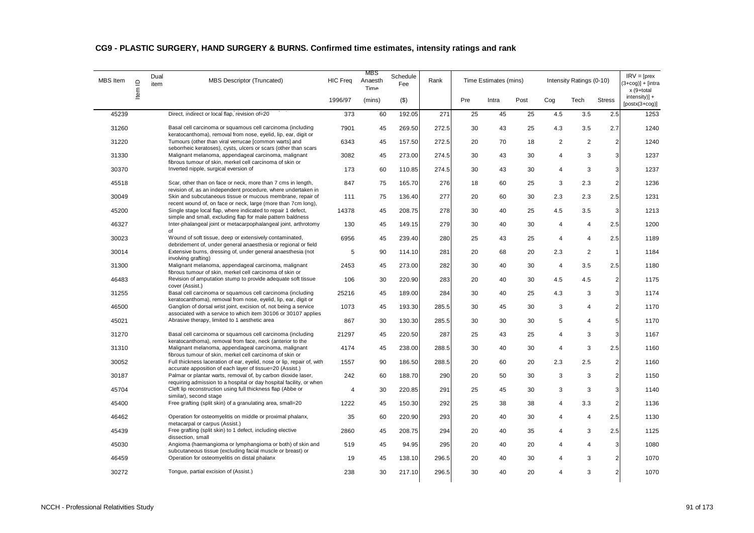| MBS Item | $\supseteq$ | Dual<br>item | MBS Descriptor (Truncated)                                                                                                           | <b>HIC Freq</b> | MBS<br>Anaesth<br>Time | Schedule<br>Fee | Rank  |     | Time Estimates (mins) |      |                | Intensity Ratings (0-10) |                | $IRV = [pres$<br>$3 + \cos 1 + \sin 1$<br>x (9+total |
|----------|-------------|--------------|--------------------------------------------------------------------------------------------------------------------------------------|-----------------|------------------------|-----------------|-------|-----|-----------------------|------|----------------|--------------------------|----------------|------------------------------------------------------|
|          | ltem        |              |                                                                                                                                      | 1996/97         | (mins)                 | $($ \$)         |       | Pre | Intra                 | Post | Cog            | Tech                     | <b>Stress</b>  | $intensity$ +<br>$[postx(3+cog)]$                    |
| 45239    |             |              | Direct, indirect or local flap, revision of=20                                                                                       | 373             | 60                     | 192.05          | 271   | 25  | 45                    | 25   | 4.5            | 3.5                      | 2.5            | 1253                                                 |
| 31260    |             |              | Basal cell carcinoma or squamous cell carcinoma (including<br>keratocanthoma), removal from nose, eyelid, lip, ear, digit or         | 7901            | 45                     | 269.50          | 272.5 | 30  | 43                    | 25   | 4.3            | 3.5                      | 2.7            | 1240                                                 |
| 31220    |             |              | Tumours (other than viral verrucae [common warts] and<br>seborrheic keratoses), cysts, ulcers or scars (other than scars             | 6343            | 45                     | 157.50          | 272.5 | 20  | 70                    | 18   | $\overline{2}$ | 2                        | $\overline{2}$ | 1240                                                 |
| 31330    |             |              | Malignant melanoma, appendageal carcinoma, malignant<br>fibrous tumour of skin, merkel cell carcinoma of skin or                     | 3082            | 45                     | 273.00          | 274.5 | 30  | 43                    | 30   | 4              | 3                        | 3              | 1237                                                 |
| 30370    |             |              | Inverted nipple, surgical eversion of                                                                                                | 173             | 60                     | 110.85          | 274.5 | 30  | 43                    | 30   | 4              | 3                        | 3              | 1237                                                 |
| 45518    |             |              | Scar, other than on face or neck, more than 7 cms in length,<br>revision of, as an independent procedure, where undertaken in        | 847             | 75                     | 165.70          | 276   | 18  | 60                    | 25   | 3              | 2.3                      | $\overline{2}$ | 1236                                                 |
| 30049    |             |              | Skin and subcutaneous tissue or mucous membrane, repair of<br>recent wound of, on face or neck, large (more than 7cm long),          | 111             | 75                     | 136.40          | 277   | 20  | 60                    | 30   | 2.3            | 2.3                      | 2.5            | 1231                                                 |
| 45200    |             |              | Single stage local flap, where indicated to repair 1 defect,<br>simple and small, excluding flap for male pattern baldness           | 14378           | 45                     | 208.75          | 278   | 30  | 40                    | 25   | 4.5            | 3.5                      | 3              | 1213                                                 |
| 46327    |             |              | Inter-phalangeal joint or metacarpophalangeal joint, arthrotomy<br>of                                                                | 130             | 45                     | 149.15          | 279   | 30  | 40                    | 30   | 4              | $\overline{4}$           | 2.5            | 1200                                                 |
| 30023    |             |              | Wound of soft tissue, deep or extensively contaminated,<br>debridement of, under general anaesthesia or regional or field            | 6956            | 45                     | 239.40          | 280   | 25  | 43                    | 25   | $\overline{4}$ | $\overline{4}$           | 2.5            | 1189                                                 |
| 30014    |             |              | Extensive burns, dressing of, under general anaesthesia (not<br>involving grafting)                                                  | 5               | 90                     | 114.10          | 281   | 20  | 68                    | 20   | 2.3            | 2                        | $\overline{1}$ | 1184                                                 |
| 31300    |             |              | Malignant melanoma, appendageal carcinoma, malignant<br>fibrous tumour of skin, merkel cell carcinoma of skin or                     | 2453            | 45                     | 273.00          | 282   | 30  | 40                    | 30   | $\overline{4}$ | 3.5                      | 2.5            | 1180                                                 |
| 46483    |             |              | Revision of amputation stump to provide adequate soft tissue<br>cover (Assist.)                                                      | 106             | 30                     | 220.90          | 283   | 20  | 40                    | 30   | 4.5            | 4.5                      | $\overline{2}$ | 1175                                                 |
| 31255    |             |              | Basal cell carcinoma or squamous cell carcinoma (including<br>keratocanthoma), removal from nose, eyelid, lip, ear, digit or         | 25216           | 45                     | 189.00          | 284   | 30  | 40                    | 25   | 4.3            | 3                        | 3              | 1174                                                 |
| 46500    |             |              | Ganglion of dorsal wrist joint, excision of, not being a service<br>associated with a service to which item 30106 or 30107 applies   | 1073            | 45                     | 193.30          | 285.5 | 30  | 45                    | 30   | 3              | $\overline{4}$           | $\overline{2}$ | 1170                                                 |
| 45021    |             |              | Abrasive therapy, limited to 1 aesthetic area                                                                                        | 867             | 30                     | 130.30          | 285.5 | 30  | 30                    | 30   | 5              | $\overline{4}$           | 5              | 1170                                                 |
| 31270    |             |              | Basal cell carcinoma or squamous cell carcinoma (including<br>keratocanthoma), removal from face, neck (anterior to the              | 21297           | 45                     | 220.50          | 287   | 25  | 43                    | 25   | 4              | 3                        | 3              | 1167                                                 |
| 31310    |             |              | Malignant melanoma, appendageal carcinoma, malignant<br>fibrous tumour of skin, merkel cell carcinoma of skin or                     | 4174            | 45                     | 238.00          | 288.5 | 30  | 40                    | 30   | $\overline{4}$ | 3                        | 2.5            | 1160                                                 |
| 30052    |             |              | Full thickness laceration of ear, eyelid, nose or lip, repair of, with<br>accurate apposition of each layer of tissue=20 (Assist.)   | 1557            | 90                     | 186.50          | 288.5 | 20  | 60                    | 20   | 2.3            | 2.5                      | $\overline{2}$ | 1160                                                 |
| 30187    |             |              | Palmar or plantar warts, removal of, by carbon dioxide laser,<br>requiring admission to a hospital or day hospital facility, or when | 242             | 60                     | 188.70          | 290   | 20  | 50                    | 30   | 3              | 3                        | $\overline{2}$ | 1150                                                 |
| 45704    |             |              | Cleft lip reconstruction using full thickness flap (Abbe or<br>similar), second stage                                                | $\overline{4}$  | 30                     | 220.85          | 291   | 25  | 45                    | 30   | 3              | 3                        | 3              | 1140                                                 |
| 45400    |             |              | Free grafting (split skin) of a granulating area, small=20                                                                           | 1222            | 45                     | 150.30          | 292   | 25  | 38                    | 38   | 4              | 3.3                      | $\overline{2}$ | 1136                                                 |
| 46462    |             |              | Operation for osteomyelitis on middle or proximal phalanx,<br>metacarpal or carpus (Assist.)                                         | 35              | 60                     | 220.90          | 293   | 20  | 40                    | 30   | 4              | $\overline{4}$           | 2.5            | 1130                                                 |
| 45439    |             |              | Free grafting (split skin) to 1 defect, including elective<br>dissection, small                                                      | 2860            | 45                     | 208.75          | 294   | 20  | 40                    | 35   | 4              | 3                        | 2.5            | 1125                                                 |
| 45030    |             |              | Angioma (haemangioma or lymphangioma or both) of skin and<br>subcutaneous tissue (excluding facial muscle or breast) or              | 519             | 45                     | 94.95           | 295   | 20  | 40                    | 20   | 4              | $\overline{4}$           | 3              | 1080                                                 |
| 46459    |             |              | Operation for osteomyelitis on distal phalanx                                                                                        | 19              | 45                     | 138.10          | 296.5 | 20  | 40                    | 30   | 4              | 3                        | $\mathfrak{p}$ | 1070                                                 |
| 30272    |             |              | Tongue, partial excision of (Assist.)                                                                                                | 238             | 30                     | 217.10          | 296.5 | 30  | 40                    | 20   | 4              | 3                        | $\overline{2}$ | 1070                                                 |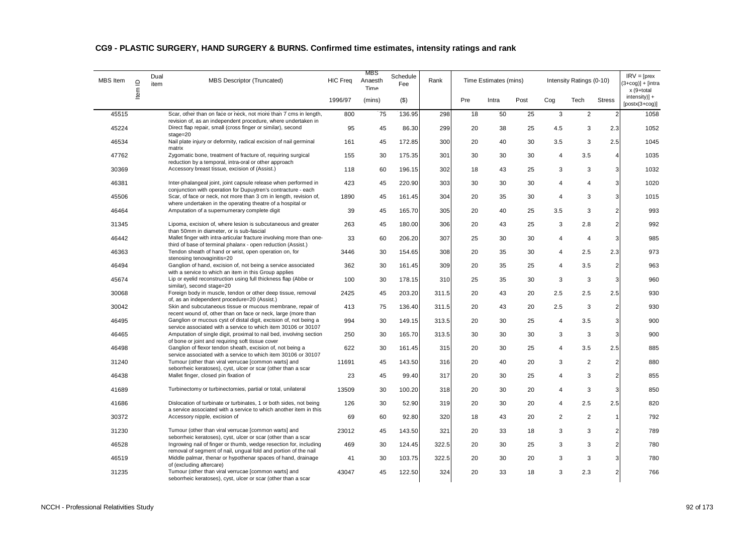| MBS Item | $\supseteq$ | Dual<br>item | MBS Descriptor (Truncated)                                                                                                                   | <b>HIC Freq</b> | MBS<br>Anaesth<br>Time | Schedule<br>Fee | Rank  |     | Time Estimates (mins) |      |                | Intensity Ratings (0-10) |                | $IRV = [pres$<br>$(3+cog)] + [intra]$<br>x (9+total |
|----------|-------------|--------------|----------------------------------------------------------------------------------------------------------------------------------------------|-----------------|------------------------|-----------------|-------|-----|-----------------------|------|----------------|--------------------------|----------------|-----------------------------------------------------|
|          | ltem        |              |                                                                                                                                              | 1996/97         | (mins)                 | ( \$)           |       | Pre | Intra                 | Post | Cog            | Tech                     | <b>Stress</b>  | $intensity$ +<br>$[postx(3+cog)]$                   |
| 45515    |             |              | Scar, other than on face or neck, not more than 7 cms in length,                                                                             | 800             | 75                     | 136.95          | 298   | 18  | 50                    | 25   | 3              | 2                        | $\overline{2}$ | 1058                                                |
| 45224    |             |              | revision of, as an independent procedure, where undertaken in<br>Direct flap repair, small (cross finger or similar), second<br>$stage = 20$ | 95              | 45                     | 86.30           | 299   | 20  | 38                    | 25   | 4.5            | 3                        | 2.3            | 1052                                                |
| 46534    |             |              | Nail plate injury or deformity, radical excision of nail germinal<br>matrix                                                                  | 161             | 45                     | 172.85          | 300   | 20  | 40                    | 30   | 3.5            | 3                        | 2.5            | 1045                                                |
| 47762    |             |              | Zygomatic bone, treatment of fracture of, requiring surgical<br>reduction by a temporal, intra-oral or other approach                        | 155             | 30                     | 175.35          | 301   | 30  | 30                    | 30   | $\overline{4}$ | 3.5                      | $\overline{4}$ | 1035                                                |
| 30369    |             |              | Accessory breast tissue, excision of (Assist.)                                                                                               | 118             | 60                     | 196.15          | 302   | 18  | 43                    | 25   | 3              | 3                        | 3              | 1032                                                |
| 46381    |             |              | Inter-phalangeal joint, joint capsule release when performed in<br>conjunction with operation for Dupuytren's contracture - each             | 423             | 45                     | 220.90          | 303   | 30  | 30                    | 30   | 4              | $\overline{4}$           | 3 <sup>1</sup> | 1020                                                |
| 45506    |             |              | Scar, of face or neck, not more than 3 cm in length, revision of,<br>where undertaken in the operating theatre of a hospital or              | 1890            | 45                     | 161.45          | 304   | 20  | 35                    | 30   | $\overline{4}$ | 3                        | 3 <sup>1</sup> | 1015                                                |
| 46464    |             |              | Amputation of a supernumerary complete digit                                                                                                 | 39              | 45                     | 165.70          | 305   | 20  | 40                    | 25   | 3.5            | 3                        | $\overline{2}$ | 993                                                 |
| 31345    |             |              | Lipoma, excision of, where lesion is subcutaneous and greater<br>than 50mm in diameter, or is sub-fascial                                    | 263             | 45                     | 180.00          | 306   | 20  | 43                    | 25   | 3              | 2.8                      | $\overline{2}$ | 992                                                 |
| 46442    |             |              | Mallet finger with intra-articular fracture involving more than one-<br>third of base of terminal phalanx - open reduction (Assist.)         | 33              | 60                     | 206.20          | 307   | 25  | 30                    | 30   | $\overline{4}$ | $\overline{4}$           | 3              | 985                                                 |
| 46363    |             |              | Tendon sheath of hand or wrist, open operation on, for<br>stenosing tenovaginitis=20                                                         | 3446            | 30                     | 154.65          | 308   | 20  | 35                    | 30   | $\overline{4}$ | 2.5                      | 2.3            | 973                                                 |
| 46494    |             |              | Ganglion of hand, excision of, not being a service associated<br>with a service to which an item in this Group applies                       | 362             | 30                     | 161.45          | 309   | 20  | 35                    | 25   | $\overline{4}$ | 3.5                      | $\overline{2}$ | 963                                                 |
| 45674    |             |              | Lip or eyelid reconstruction using full thickness flap (Abbe or<br>similar), second stage=20                                                 | 100             | 30                     | 178.15          | 310   | 25  | 35                    | 30   | 3              | 3                        | 3              | 960                                                 |
| 30068    |             |              | Foreign body in muscle, tendon or other deep tissue, removal<br>of, as an independent procedure=20 (Assist.)                                 | 2425            | 45                     | 203.20          | 311.5 | 20  | 43                    | 20   | 2.5            | 2.5                      | 2.5            | 930                                                 |
| 30042    |             |              | Skin and subcutaneous tissue or mucous membrane, repair of<br>recent wound of, other than on face or neck, large (more than                  | 413             | 75                     | 136.40          | 311.5 | 20  | 43                    | 20   | 2.5            | 3                        | $\overline{2}$ | 930                                                 |
| 46495    |             |              | Ganglion or mucous cyst of distal digit, excision of, not being a<br>service associated with a service to which item 30106 or 30107          | 994             | 30                     | 149.15          | 313.5 | 20  | 30                    | 25   | $\overline{4}$ | 3.5                      | 3              | 900                                                 |
| 46465    |             |              | Amputation of single digit, proximal to nail bed, involving section<br>of bone or joint and requiring soft tissue cover                      | 250             | 30                     | 165.70          | 313.5 | 30  | 30                    | 30   | 3              | 3                        | 3              | 900                                                 |
| 46498    |             |              | Ganglion of flexor tendon sheath, excision of, not being a<br>service associated with a service to which item 30106 or 30107                 | 622             | 30                     | 161.45          | 315   | 20  | 30                    | 25   | $\overline{4}$ | 3.5                      | 2.5            | 885                                                 |
| 31240    |             |              | Tumour (other than viral verrucae [common warts] and<br>seborrheic keratoses), cyst, ulcer or scar (other than a scar                        | 11691           | 45                     | 143.50          | 316   | 20  | 40                    | 20   | 3              | $\overline{2}$           | $\overline{2}$ | 880                                                 |
| 46438    |             |              | Mallet finger, closed pin fixation of                                                                                                        | 23              | 45                     | 99.40           | 317   | 20  | 30                    | 25   | 4              | 3                        | 2              | 855                                                 |
| 41689    |             |              | Turbinectomy or turbinectomies, partial or total, unilateral                                                                                 | 13509           | 30                     | 100.20          | 318   | 20  | 30                    | 20   | 4              | 3                        | 3              | 850                                                 |
| 41686    |             |              | Dislocation of turbinate or turbinates, 1 or both sides, not being<br>a service associated with a service to which another item in this      | 126             | 30                     | 52.90           | 319   | 20  | 30                    | 20   | $\overline{4}$ | 2.5                      | 2.5            | 820                                                 |
| 30372    |             |              | Accessory nipple, excision of                                                                                                                | 69              | 60                     | 92.80           | 320   | 18  | 43                    | 20   | $\overline{2}$ | $\overline{c}$           | 1              | 792                                                 |
| 31230    |             |              | Tumour (other than viral verrucae [common warts] and<br>seborrheic keratoses), cyst, ulcer or scar (other than a scar                        | 23012           | 45                     | 143.50          | 321   | 20  | 33                    | 18   | 3              | 3                        | 2              | 789                                                 |
| 46528    |             |              | Ingrowing nail of finger or thumb, wedge resection for, including<br>removal of segment of nail, ungual fold and portion of the nail         | 469             | 30                     | 124.45          | 322.5 | 20  | 30                    | 25   | 3              | 3                        | 2              | 780                                                 |
| 46519    |             |              | Middle palmar, thenar or hypothenar spaces of hand, drainage<br>of (excluding aftercare)                                                     | 41              | 30                     | 103.75          | 322.5 | 20  | 30                    | 20   | 3              | 3                        | 3              | 780                                                 |
| 31235    |             |              | Tumour (other than viral verrucae [common warts] and<br>seborrheic keratoses), cyst, ulcer or scar (other than a scar                        | 43047           | 45                     | 122.50          | 324   | 20  | 33                    | 18   | 3              | 2.3                      |                | 766                                                 |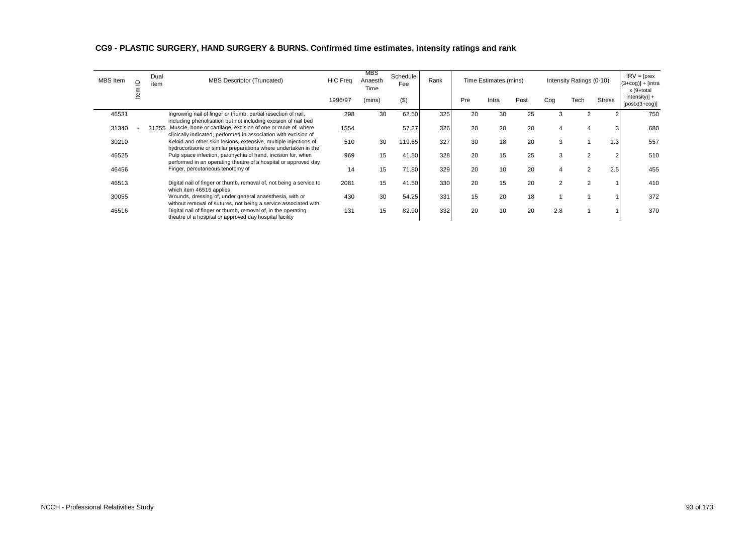| <b>MBS</b> Item | ≏ | Dual<br>item | <b>MBS Descriptor (Truncated)</b>                                                                                                  | <b>HIC Freq</b> | MBS<br>Anaesth<br><b>Time</b> | Schedule<br>Fee | Rank |     | Time Estimates (mins) |      |                | Intensity Ratings (0-10) |               | $IRV = [pres$<br>$(3+cog)] + [intra]$<br>x (9+total<br>$intensity$ + |
|-----------------|---|--------------|------------------------------------------------------------------------------------------------------------------------------------|-----------------|-------------------------------|-----------------|------|-----|-----------------------|------|----------------|--------------------------|---------------|----------------------------------------------------------------------|
|                 |   |              |                                                                                                                                    | 1996/97         | (mins)                        | $($ \$)         |      | Pre | Intra                 | Post | Cog            | Tech                     | <b>Stress</b> | $[postx(3+cog)]$                                                     |
| 46531           |   |              | Ingrowing nail of finger or thumb, partial resection of nail,<br>including phenolisation but not including excision of nail bed    | 298             | 30                            | 62.50           | 325  | 20  | 30                    | 25   | 3              | 2                        |               | 750                                                                  |
| 31340           |   | 31255        | Muscle, bone or cartilage, excision of one or more of, where<br>clinically indicated, performed in association with excision of    | 1554            |                               | 57.27           | 326  | 20  | 20                    | 20   | 4              |                          |               | 680                                                                  |
| 30210           |   |              | Keloid and other skin lesions, extensive, multiple injections of<br>hydrocortisone or similar preparations where undertaken in the | 510             | 30                            | 119.65          | 327  | 30  | 18                    | 20   | 3              |                          | 1.3           | 557                                                                  |
| 46525           |   |              | Pulp space infection, paronychia of hand, incision for, when<br>performed in an operating theatre of a hospital or approved day    | 969             | 15                            | 41.50           | 328  | 20  | 15                    | 25   | 3              |                          |               | 510                                                                  |
| 46456           |   |              | Finger, percutaneous tenotomy of                                                                                                   | 14              | 15                            | 71.80           | 329  | 20  | 10                    | 20   | 4              |                          | 2.5           | 455                                                                  |
| 46513           |   |              | Digital nail of finger or thumb, removal of, not being a service to<br>which item 46516 applies                                    | 2081            | 15                            | 41.50           | 330  | 20  | 15                    | 20   | $\overline{2}$ |                          |               | 410                                                                  |
| 30055           |   |              | Wounds, dressing of, under general anaesthesia, with or<br>without removal of sutures, not being a service associated with         | 430             | 30                            | 54.25           | 331  | 15  | 20                    | 18   |                |                          |               | 372                                                                  |
| 46516           |   |              | Digital nail of finger or thumb, removal of, in the operating<br>theatre of a hospital or approved day hospital facility           | 131             | 15                            | 82.90           | 332  | 20  | 10                    | 20   | 2.8            |                          |               | 370                                                                  |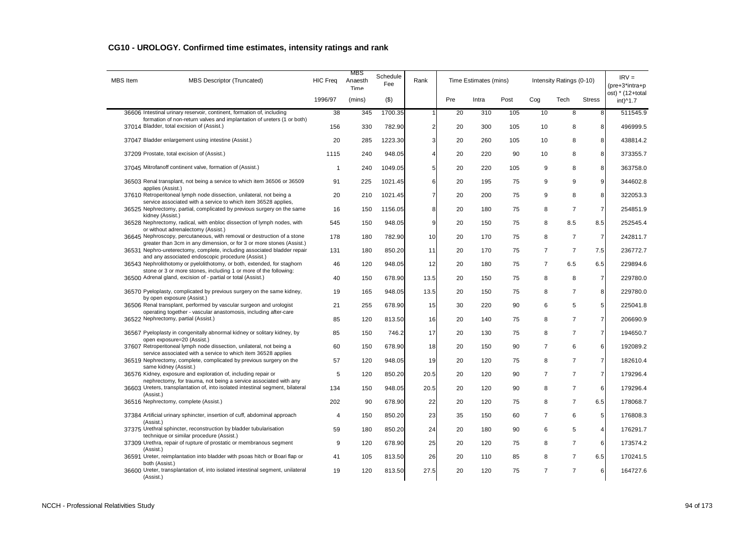| <b>MBS</b> Item | MBS Descriptor (Truncated)                                                                                                                                           | <b>HIC Freq</b> | MBS<br>Anaesth<br>Time | Schedule<br>Fee | Rank           |     | Time Estimates (mins) |      |                | Intensity Ratings (0-10) |                | $IRV =$<br>$(pre+3*intra+p)$ |
|-----------------|----------------------------------------------------------------------------------------------------------------------------------------------------------------------|-----------------|------------------------|-----------------|----------------|-----|-----------------------|------|----------------|--------------------------|----------------|------------------------------|
|                 |                                                                                                                                                                      | 1996/97         | (mins)                 | $($ \$)         |                | Pre | Intra                 | Post | Cog            | Tech                     | <b>Stress</b>  | ost) * (12+total<br>int)^1.7 |
|                 | 36606 Intestinal urinary reservoir, continent, formation of, including                                                                                               | 38              | 345                    | 1700.35         |                | 20  | 310                   | 105  | 10             | 8                        | 8              | 511545.9                     |
|                 | formation of non-return valves and implantation of ureters (1 or both)<br>37014 Bladder, total excision of (Assist.)                                                 | 156             | 330                    | 782.90          | $\overline{2}$ | 20  | 300                   | 105  | 10             | 8                        | 8              | 496999.5                     |
|                 | 37047 Bladder enlargement using intestine (Assist.)                                                                                                                  | 20              | 285                    | 1223.30         | 3              | 20  | 260                   | 105  | 10             | 8                        | 8              | 438814.2                     |
|                 | 37209 Prostate, total excision of (Assist.)                                                                                                                          | 1115            | 240                    | 948.05          | 4              | 20  | 220                   | 90   | 10             | 8                        | 8              | 373355.7                     |
|                 | 37045 Mitrofanoff continent valve, formation of (Assist.)                                                                                                            | $\overline{1}$  | 240                    | 1049.05         | 5              | 20  | 220                   | 105  | 9              | 8                        | 8              | 363758.0                     |
|                 | 36503 Renal transplant, not being a service to which item 36506 or 36509<br>applies (Assist.)                                                                        | 91              | 225                    | 1021.45         | 6              | 20  | 195                   | 75   | 9              | 9                        | 9              | 344602.8                     |
|                 | 37610 Retroperitoneal lymph node dissection, unilateral, not being a<br>service associated with a service to which item 36528 applies,                               | 20              | 210                    | 1021.45         | 7              | 20  | 200                   | 75   | 9              | 8                        | 8              | 322053.3                     |
|                 | 36525 Nephrectomy, partial, complicated by previous surgery on the same<br>kidney (Assist.)                                                                          | 16              | 150                    | 1156.05         | 8              | 20  | 180                   | 75   | 8              | $\overline{7}$           | $\overline{7}$ | 254851.9                     |
|                 | 36528 Nephrectomy, radical, with enbloc dissection of lymph nodes, with<br>or without adrenalectomy (Assist.)                                                        | 545             | 150                    | 948.05          | 9              | 20  | 150                   | 75   | 8              | 8.5                      | 8.5            | 252545.4                     |
|                 | 36645 Nephroscopy, percutaneous, with removal or destruction of a stone<br>greater than 3cm in any dimension, or for 3 or more stones (Assist.)                      | 178             | 180                    | 782.90          | 10             | 20  | 170                   | 75   | 8              | $\overline{7}$           | $\overline{7}$ | 242811.7                     |
|                 | 36531 Nephro-ureterectomy, complete, including associated bladder repair<br>and any associated endoscopic procedure (Assist.)                                        | 131             | 180                    | 850.20          | 11             | 20  | 170                   | 75   | $\overline{7}$ | $\overline{7}$           | 7.5            | 236772.7                     |
|                 | 36543 Nephrolithotomy or pyelolithotomy, or both, extended, for staghorn                                                                                             | 46              | 120                    | 948.05          | 12             | 20  | 180                   | 75   | $\overline{7}$ | 6.5                      | 6.5            | 229894.6                     |
|                 | stone or 3 or more stones, including 1 or more of the following:<br>36500 Adrenal gland, excision of - partial or total (Assist.)                                    | 40              | 150                    | 678.90          | 13.5           | 20  | 150                   | 75   | 8              | 8                        | $\overline{7}$ | 229780.0                     |
|                 | 36570 Pyeloplasty, complicated by previous surgery on the same kidney,                                                                                               | 19              | 165                    | 948.05          | 13.5           | 20  | 150                   | 75   | 8              | $\overline{7}$           | 8              | 229780.0                     |
|                 | by open exposure (Assist.)<br>36506 Renal transplant, performed by vascular surgeon and urologist<br>operating together - vascular anastomosis, including after-care | 21              | 255                    | 678.90          | 15             | 30  | 220                   | 90   | 6              | 5                        | 5              | 225041.8                     |
|                 | 36522 Nephrectomy, partial (Assist.)                                                                                                                                 | 85              | 120                    | 813.50          | 16             | 20  | 140                   | 75   | 8              | $\overline{7}$           | $\overline{7}$ | 206690.9                     |
|                 | 36567 Pyeloplasty in congenitally abnormal kidney or solitary kidney, by<br>open exposure=20 (Assist.)                                                               | 85              | 150                    | 746.2           | 17             | 20  | 130                   | 75   | 8              | $\overline{7}$           | $\overline{7}$ | 194650.7                     |
|                 | 37607 Retroperitoneal lymph node dissection, unilateral, not being a<br>service associated with a service to which item 36528 applies                                | 60              | 150                    | 678.90          | 18             | 20  | 150                   | 90   | $\overline{7}$ | 6                        | 6              | 192089.2                     |
|                 | 36519 Nephrectomy, complete, complicated by previous surgery on the<br>same kidney (Assist.)                                                                         | 57              | 120                    | 948.05          | 19             | 20  | 120                   | 75   | 8              | $\overline{7}$           | $\overline{7}$ | 182610.4                     |
|                 | 36576 Kidney, exposure and exploration of, including repair or<br>nephrectomy, for trauma, not being a service associated with any                                   | 5               | 120                    | 850.20          | 20.5           | 20  | 120                   | 90   | $\overline{7}$ | $\overline{7}$           | $\overline{7}$ | 179296.4                     |
|                 | 36603 Ureters, transplantation of, into isolated intestinal segment, bilateral<br>(Assist.)                                                                          | 134             | 150                    | 948.05          | 20.5           | 20  | 120                   | 90   | 8              | $\overline{7}$           | 6              | 179296.4                     |
|                 | 36516 Nephrectomy, complete (Assist.)                                                                                                                                | 202             | 90                     | 678.90          | 22             | 20  | 120                   | 75   | 8              | $\overline{7}$           | 6.5            | 178068.7                     |
|                 | 37384 Artificial urinary sphincter, insertion of cuff, abdominal approach<br>(Assist.)                                                                               | $\overline{4}$  | 150                    | 850.20          | 23             | 35  | 150                   | 60   | $\overline{7}$ | 6                        | 5              | 176808.3                     |
|                 | 37375 Urethral sphincter, reconstruction by bladder tubularisation<br>technique or similar procedure (Assist.)                                                       | 59              | 180                    | 850.20          | 24             | 20  | 180                   | 90   | 6              | 5                        | $\overline{4}$ | 176291.7                     |
|                 | 37309 Urethra, repair of rupture of prostatic or membranous segment<br>(Assist.)                                                                                     | 9               | 120                    | 678.90          | 25             | 20  | 120                   | 75   | 8              | $\overline{7}$           | 6              | 173574.2                     |
|                 | 36591 Ureter, reimplantation into bladder with psoas hitch or Boari flap or<br>both (Assist.)                                                                        | 41              | 105                    | 813.50          | 26             | 20  | 110                   | 85   | 8              | $\overline{7}$           | 6.5            | 170241.5                     |
|                 | 36600 Ureter, transplantation of, into isolated intestinal segment, unilateral<br>(Assist.)                                                                          | 19              | 120                    | 813.50          | 27.5           | 20  | 120                   | 75   | $\overline{7}$ | $\overline{7}$           | 6              | 164727.6                     |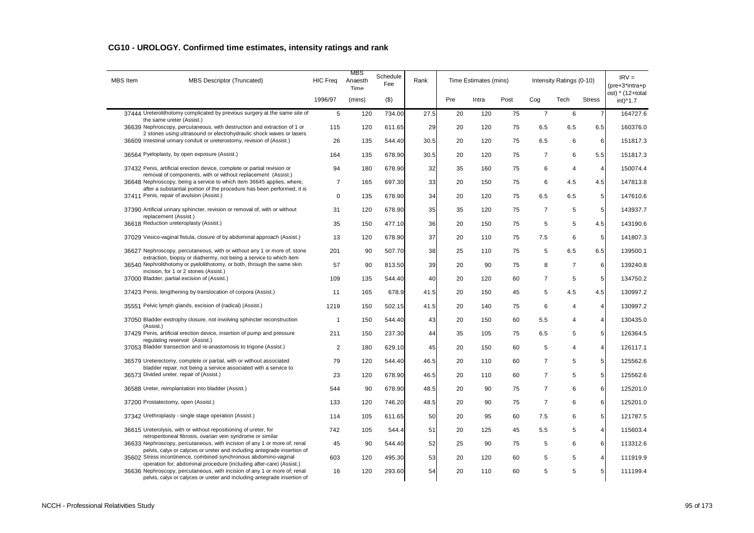| <b>MBS</b> Item | MBS Descriptor (Truncated)                                                                                                                                                                                                  | <b>HIC Freq</b> | MBS<br>Anaesth<br>Time | Schedule<br>Fee | Rank |     | Time Estimates (mins) |      |                | Intensity Ratings (0-10) |                | $IRV =$<br>(pre+3*intra+p    |
|-----------------|-----------------------------------------------------------------------------------------------------------------------------------------------------------------------------------------------------------------------------|-----------------|------------------------|-----------------|------|-----|-----------------------|------|----------------|--------------------------|----------------|------------------------------|
|                 |                                                                                                                                                                                                                             | 1996/97         | (mins)                 | (3)             |      | Pre | Intra                 | Post | Cog            | Tech                     | <b>Stress</b>  | ost) * (12+total<br>int)^1.7 |
|                 | 37444 Ureterolithotomy complicated by previous surgery at the same site of<br>the same ureter (Assist.)                                                                                                                     | 5               | 120                    | 734.00          | 27.5 | 20  | 120                   | 75   | $\overline{7}$ | 6                        | $\overline{7}$ | 164727.6                     |
|                 | 36639 Nephroscopy, percutaneous, with destruction and extraction of 1 or<br>2 stones using ultrasound or electrohydraulic shock waves or lasers                                                                             | 115             | 120                    | 611.65          | 29   | 20  | 120                   | 75   | 6.5            | 6.5                      | 6.5            | 160376.0                     |
|                 | 36609 Intestinal urinary conduit or ureterostomy, revision of (Assist.)                                                                                                                                                     | 26              | 135                    | 544.40          | 30.5 | 20  | 120                   | 75   | 6.5            | 6                        | 6              | 151817.3                     |
|                 | 36564 Pyeloplasty, by open exposure (Assist.)                                                                                                                                                                               | 164             | 135                    | 678.90          | 30.5 | 20  | 120                   | 75   | $\overline{7}$ | 6                        | 5.5            | 151817.3                     |
|                 | 37432 Penis, artificial erection device, complete or partial revision or                                                                                                                                                    | 94              | 180                    | 678.90          | 32   | 35  | 160                   | 75   | 6              | $\overline{4}$           | $\overline{4}$ | 150074.4                     |
|                 | removal of components, with or without replacement (Assist.)<br>36648 Nephroscopy, being a service to which item 36645 applies, where,                                                                                      | $\overline{7}$  | 165                    | 697.30          | 33   | 20  | 150                   | 75   | 6              | 4.5                      | 4.5            | 147813.8                     |
|                 | after a substantial portion of the procedure has been performed, it is<br>37411 Penis, repair of avulsion (Assist.)                                                                                                         | $\mathbf 0$     | 135                    | 678.90          | 34   | 20  | 120                   | 75   | 6.5            | 6.5                      | 5              | 147610.6                     |
|                 | 37390 Artificial urinary sphincter, revision or removal of, with or without                                                                                                                                                 | 31              | 120                    | 678.90          | 35   | 35  | 120                   | 75   | $\overline{7}$ | 5                        | 5              | 143937.7                     |
|                 | replacement (Assist.)<br>36618 Reduction ureteroplasty (Assist.)                                                                                                                                                            | 35              | 150                    | 477.10          | 36   | 20  | 150                   | 75   | 5              | 5                        | 4.5            | 143190.6                     |
|                 | 37029 Vesico-vaginal fistula, closure of by abdominal approach (Assist.)                                                                                                                                                    | 13              | 120                    | 678.90          | 37   | 20  | 110                   | 75   | 7.5            | 6                        | 5 <sub>1</sub> | 141807.3                     |
|                 | 36627 Nephroscopy, percutaneous, with or without any 1 or more of; stone                                                                                                                                                    | 201             | 90                     | 507.70          | 38   | 25  | 110                   | 75   | 5              | 6.5                      | 6.5            | 139500.1                     |
|                 | extraction, biopsy or diathermy, not being a service to which item<br>36540 Nephrolithotomy or pyelolithotomy, or both, through the same skin                                                                               | 57              | 90                     | 813.50          | 39   | 20  | 90                    | 75   | 8              | $\overline{7}$           | 6              | 139240.8                     |
|                 | incision, for 1 or 2 stones (Assist.)<br>37000 Bladder, partial excision of (Assist.)                                                                                                                                       | 109             | 135                    | 544.40          | 40   | 20  | 120                   | 60   | $\overline{7}$ | $\sqrt{5}$               | 5              | 134750.2                     |
|                 |                                                                                                                                                                                                                             |                 |                        |                 |      |     |                       |      |                |                          |                |                              |
|                 | 37423 Penis, lengthening by translocation of corpora (Assist.)                                                                                                                                                              | 11              | 165                    | 678.9           | 41.5 | 20  | 150                   | 45   | 5              | 4.5                      | 4.5            | 130997.2                     |
|                 | 35551 Pelvic lymph glands, excision of (radical) (Assist.)                                                                                                                                                                  | 1219            | 150                    | 502.15          | 41.5 | 20  | 140                   | 75   | 6              | 4                        | 4              | 130997.2                     |
|                 | 37050 Bladder exstrophy closure, not involving sphincter reconstruction<br>(Assist.)                                                                                                                                        | $\mathbf{1}$    | 150                    | 544.40          | 43   | 20  | 150                   | 60   | 5.5            | 4                        | 4              | 130435.0                     |
|                 | 37429 Penis, artificial erection device, insertion of pump and pressure<br>regulating reservoir (Assist.)                                                                                                                   | 211             | 150                    | 237.30          | 44   | 35  | 105                   | 75   | 6.5            | 5                        | 5              | 126364.5                     |
|                 | 37053 Bladder transection and re-anastomosis to trigone (Assist.)                                                                                                                                                           | $\overline{2}$  | 180                    | 629.10          | 45   | 20  | 150                   | 60   | 5              | 4                        | 4              | 126117.1                     |
|                 | 36579 Ureterectomy, complete or partial, with or without associated<br>bladder repair, not being a service associated with a service to                                                                                     | 79              | 120                    | 544.40          | 46.5 | 20  | 110                   | 60   | $\overline{7}$ | 5                        | 5              | 125562.6                     |
|                 | 36573 Divided ureter, repair of (Assist.)                                                                                                                                                                                   | 23              | 120                    | 678.90          | 46.5 | 20  | 110                   | 60   | $\overline{7}$ | 5                        | 5 <sub>5</sub> | 125562.6                     |
|                 | 36588 Ureter, reimplantation into bladder (Assist.)                                                                                                                                                                         | 544             | 90                     | 678.90          | 48.5 | 20  | 90                    | 75   | $\overline{7}$ | 6                        | 6              | 125201.0                     |
|                 | 37200 Prostatectomy, open (Assist.)                                                                                                                                                                                         | 133             | 120                    | 746.20          | 48.5 | 20  | 90                    | 75   | $\overline{7}$ | 6                        | 6              | 125201.0                     |
|                 | 37342 Urethroplasty - single stage operation (Assist.)                                                                                                                                                                      | 114             | 105                    | 611.65          | 50   | 20  | 95                    | 60   | 7.5            | 6                        | 5              | 121787.5                     |
|                 | 36615 Ureterolysis, with or without repositioning of ureter, for                                                                                                                                                            | 742             | 105                    | 544.4           | 51   | 20  | 125                   | 45   | 5.5            | 5                        | $\overline{4}$ | 115603.4                     |
|                 | retroperitoneal fibrosis, ovarian vein syndrome or similar<br>36633 Nephroscopy, percutaneous, with incision of any 1 or more of; renal                                                                                     | 45              | 90                     | 544.40          | 52   | 25  | 90                    | 75   | 5              | 6                        | 6              | 113312.6                     |
|                 | pelvis, calyx or calyces or ureter and including antegrade insertion of<br>35602 Stress incontinence, combined synchronous abdomino-vaginal                                                                                 | 603             | 120                    | 495.30          | 53   | 20  | 120                   | 60   | 5              | 5                        | 4              | 111919.9                     |
|                 | operation for; abdominal procedure (including after-care) (Assist.)<br>36636 Nephroscopy, percutaneous, with incision of any 1 or more of; renal<br>pelvis, calyx or calyces or ureter and including antegrade insertion of | 16              | 120                    | 293.60          | 54   | 20  | 110                   | 60   | 5              | 5                        | 5              | 111199.4                     |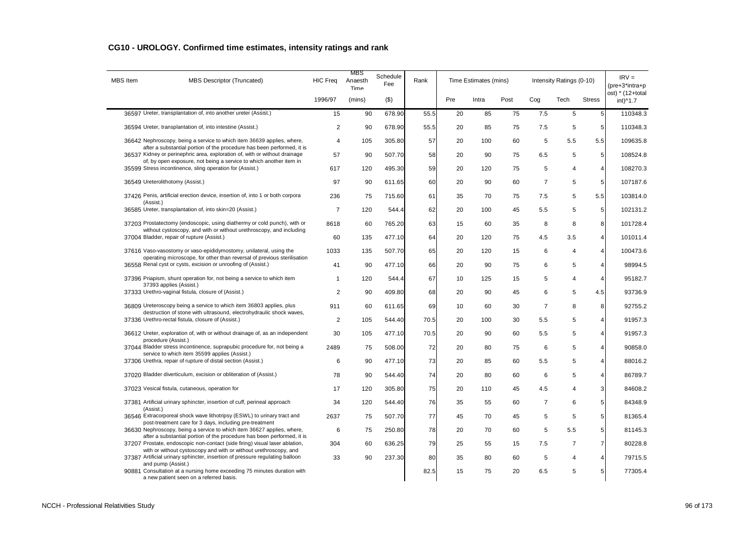| <b>MBS</b> Item | MBS Descriptor (Truncated)                                                                                                                       | <b>HIC Freq</b> | MBS<br>Anaesth<br>Time | Schedule<br>Fee | Rank |     | Time Estimates (mins) |      |                | Intensity Ratings (0-10) |                 | $IRV =$<br>(pre+3*intra+p    |
|-----------------|--------------------------------------------------------------------------------------------------------------------------------------------------|-----------------|------------------------|-----------------|------|-----|-----------------------|------|----------------|--------------------------|-----------------|------------------------------|
|                 |                                                                                                                                                  | 1996/97         | (mins)                 | $($ \$)         |      | Pre | Intra                 | Post | Cog            | Tech                     | <b>Stress</b>   | ost) * (12+total<br>int)^1.7 |
|                 | 36597 Ureter, transplantation of, into another ureter (Assist.)                                                                                  | 15              | 90                     | 678.90          | 55.5 | 20  | 85                    | 75   | 7.5            | 5                        | 5               | 110348.3                     |
|                 | 36594 Ureter, transplantation of, into intestine (Assist.)                                                                                       | $\overline{2}$  | 90                     | 678.90          | 55.5 | 20  | 85                    | 75   | 7.5            | 5                        | 5               | 110348.3                     |
|                 | 36642 Nephroscopy, being a service to which item 36639 applies, where,<br>after a substantial portion of the procedure has been performed, it is | 4               | 105                    | 305.80          | 57   | 20  | 100                   | 60   | 5              | 5.5                      | 5.5             | 109635.8                     |
|                 | 36537 Kidney or perinephric area, exploration of, with or without drainage                                                                       | 57              | 90                     | 507.70          | 58   | 20  | 90                    | 75   | 6.5            | 5                        | $5\overline{)}$ | 108524.8                     |
|                 | of, by open exposure, not being a service to which another item in<br>35599 Stress incontinence, sling operation for (Assist.)                   | 617             | 120                    | 495.30          | 59   | 20  | 120                   | 75   | 5              | 4                        | 4               | 108270.3                     |
|                 | 36549 Ureterolithotomy (Assist.)                                                                                                                 | 97              | 90                     | 611.65          | 60   | 20  | 90                    | 60   | $\overline{7}$ | 5                        | 5 <sup>1</sup>  | 107187.6                     |
|                 | 37426 Penis, artificial erection device, insertion of, into 1 or both corpora<br>(Assist.)                                                       | 236             | 75                     | 715.60          | 61   | 35  | 70                    | 75   | 7.5            | 5                        | 5.5             | 103814.0                     |
|                 | 36585 Ureter, transplantation of, into skin=20 (Assist.)                                                                                         | $\overline{7}$  | 120                    | 544.4           | 62   | 20  | 100                   | 45   | 5.5            | 5                        | $\overline{5}$  | 102131.2                     |
|                 | 37203 Prostatectomy (endoscopic, using diathermy or cold punch), with or<br>without cystoscopy, and with or without urethroscopy, and including  | 8618            | 60                     | 765.20          | 63   | 15  | 60                    | 35   | 8              | 8                        | 8               | 101728.4                     |
|                 | 37004 Bladder, repair of rupture (Assist.)                                                                                                       | 60              | 135                    | 477.10          | 64   | 20  | 120                   | 75   | 4.5            | 3.5                      | $\overline{4}$  | 101011.4                     |
|                 | 37616 Vaso-vasostomy or vaso-epididymostomy, unilateral, using the                                                                               | 1033            | 135                    | 507.70          | 65   | 20  | 120                   | 15   | 6              | $\overline{4}$           | 4               | 100473.6                     |
|                 | operating microscope, for other than reversal of previous sterilisation<br>36558 Renal cyst or cysts, excision or unroofing of (Assist.)         | 41              | 90                     | 477.10          | 66   | 20  | 90                    | 75   | 6              | 5                        | $\overline{4}$  | 98994.5                      |
|                 | 37396 Priapism, shunt operation for, not being a service to which item<br>37393 applies (Assist.)                                                | $\mathbf{1}$    | 120                    | 544.4           | 67   | 10  | 125                   | 15   | 5              | $\overline{4}$           | 4               | 95182.7                      |
|                 | 37333 Urethro-vaginal fistula, closure of (Assist.)                                                                                              | $\overline{2}$  | 90                     | 409.80          | 68   | 20  | 90                    | 45   | 6              | 5                        | 4.5             | 93736.9                      |
|                 | 36809 Ureteroscopy being a service to which item 36803 applies, plus                                                                             | 911             | 60                     | 611.65          | 69   | 10  | 60                    | 30   | $\overline{7}$ | 8                        | 8               | 92755.2                      |
|                 | destruction of stone with ultrasound, electrohydraulic shock waves,<br>37336 Urethro-rectal fistula, closure of (Assist.)                        | $\overline{2}$  | 105                    | 544.40          | 70.5 | 20  | 100                   | 30   | 5.5            | 5                        | $\overline{4}$  | 91957.3                      |
|                 | 36612 Ureter, exploration of, with or without drainage of, as an independent<br>procedure (Assist.)                                              | 30              | 105                    | 477.10          | 70.5 | 20  | 90                    | 60   | 5.5            | 5                        | 4               | 91957.3                      |
|                 | 37044 Bladder stress incontinence, suprapubic procedure for, not being a<br>service to which item 35599 applies (Assist.)                        | 2489            | 75                     | 508.00          | 72   | 20  | 80                    | 75   | 6              | 5                        | 4               | 90858.0                      |
|                 | 37306 Urethra, repair of rupture of distal section (Assist.)                                                                                     | 6               | 90                     | 477.10          | 73   | 20  | 85                    | 60   | 5.5            | 5                        | 4               | 88016.2                      |
|                 | 37020 Bladder diverticulum, excision or obliteration of (Assist.)                                                                                | 78              | 90                     | 544.40          | 74   | 20  | 80                    | 60   | 6              | 5                        | $\overline{4}$  | 86789.7                      |
|                 | 37023 Vesical fistula, cutaneous, operation for                                                                                                  | 17              | 120                    | 305.80          | 75   | 20  | 110                   | 45   | 4.5            | 4                        | 3               | 84608.2                      |
|                 | 37381 Artificial urinary sphincter, insertion of cuff, perineal approach<br>(Assist.)                                                            | 34              | 120                    | 544.40          | 76   | 35  | 55                    | 60   | $\overline{7}$ | 6                        | 5 <sub>l</sub>  | 84348.9                      |
|                 | 36546 Extracorporeal shock wave lithotripsy (ESWL) to urinary tract and<br>post-treatment care for 3 days, including pre-treatment               | 2637            | 75                     | 507.70          | 77   | 45  | 70                    | 45   | 5              | 5                        | 5 <sup>1</sup>  | 81365.4                      |
|                 | 36630 Nephroscopy, being a service to which item 36627 applies, where,<br>after a substantial portion of the procedure has been performed, it is | 6               | 75                     | 250.80          | 78   | 20  | 70                    | 60   | 5              | 5.5                      | 5 <sup>1</sup>  | 81145.3                      |
|                 | 37207 Prostate, endoscopic non-contact (side firing) visual laser ablation,<br>with or without cystoscopy and with or without urethroscopy, and  | 304             | 60                     | 636.25          | 79   | 25  | 55                    | 15   | 7.5            | $\overline{7}$           | $\overline{7}$  | 80228.8                      |
|                 | 37387 Artificial urinary sphincter, insertion of pressure regulating balloon                                                                     | 33              | 90                     | 237.30          | 80   | 35  | 80                    | 60   | 5              | 4                        | $\overline{4}$  | 79715.5                      |
|                 | and pump (Assist.)<br>90881 Consultation at a nursing home exceeding 75 minutes duration with<br>a new patient seen on a referred basis.         |                 |                        |                 | 82.5 | 15  | 75                    | 20   | 6.5            | 5                        | 5 <sup>1</sup>  | 77305.4                      |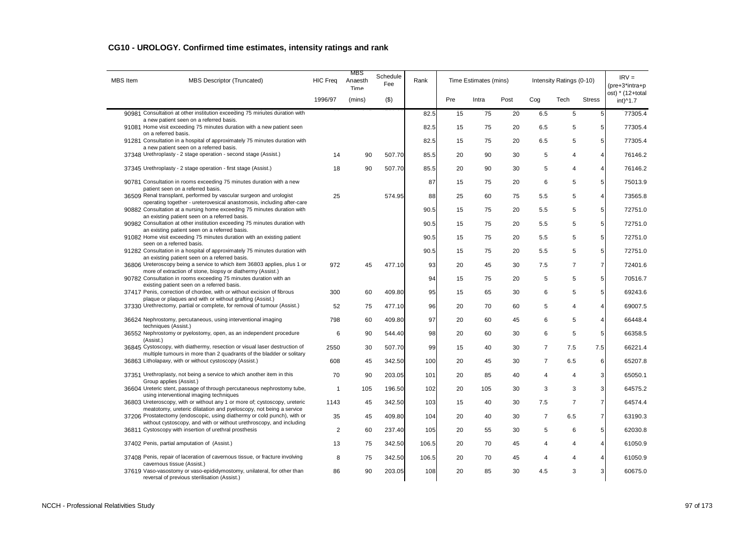| <b>MBS</b> Item | MBS Descriptor (Truncated)                                                                                                                         | <b>HIC Freq</b> | <b>MBS</b><br>Anaesth<br>Time | Schedule<br>Fee | Rank  |     | Time Estimates (mins) |      |                | Intensity Ratings (0-10) |                  | $IRV =$<br>(pre+3*intra+p    |
|-----------------|----------------------------------------------------------------------------------------------------------------------------------------------------|-----------------|-------------------------------|-----------------|-------|-----|-----------------------|------|----------------|--------------------------|------------------|------------------------------|
|                 |                                                                                                                                                    | 1996/97         | (mins)                        | $($ \$)         |       | Pre | Intra                 | Post | Cog            | Tech                     | <b>Stress</b>    | ost) * (12+total<br>int)^1.7 |
|                 | 90981 Consultation at other institution exceeding 75 minutes duration with<br>a new patient seen on a referred basis.                              |                 |                               |                 | 82.5  | 15  | 75                    | 20   | 6.5            | 5                        | $\overline{5}$   | 77305.4                      |
|                 | 91081 Home visit exceeding 75 minutes duration with a new patient seen<br>on a referred basis.                                                     |                 |                               |                 | 82.5  | 15  | 75                    | 20   | 6.5            | 5                        | 5                | 77305.4                      |
|                 | 91281 Consultation in a hospital of approximately 75 minutes duration with                                                                         |                 |                               |                 | 82.5  | 15  | 75                    | 20   | 6.5            | 5                        | 5                | 77305.4                      |
|                 | a new patient seen on a referred basis.<br>37348 Urethroplasty - 2 stage operation - second stage (Assist.)                                        | 14              | 90                            | 507.70          | 85.5  | 20  | 90                    | 30   | 5              | 4                        | $\overline{4}$   | 76146.2                      |
|                 | 37345 Urethroplasty - 2 stage operation - first stage (Assist.)                                                                                    | 18              | 90                            | 507.70          | 85.5  | 20  | 90                    | 30   | 5              | 4                        | $\overline{4}$   | 76146.2                      |
|                 | 90781 Consultation in rooms exceeding 75 minutes duration with a new                                                                               |                 |                               |                 | 87    | 15  | 75                    | 20   | 6              | 5                        | 5                | 75013.9                      |
|                 | patient seen on a referred basis.<br>36509 Renal transplant, performed by vascular surgeon and urologist                                           | 25              |                               | 574.95          | 88    | 25  | 60                    | 75   | 5.5            | 5                        | $\overline{4}$   | 73565.8                      |
|                 | operating together - ureterovesical anastomosis, including after-care<br>90882 Consultation at a nursing home exceeding 75 minutes duration with   |                 |                               |                 | 90.5  | 15  | 75                    | 20   | 5.5            | 5                        | $\,$ 5 $\,$      | 72751.0                      |
|                 | an existing patient seen on a referred basis.<br>90982 Consultation at other institution exceeding 75 minutes duration with                        |                 |                               |                 | 90.5  | 15  | 75                    | 20   | 5.5            | 5                        | 5                | 72751.0                      |
|                 | an existing patient seen on a referred basis.<br>91082 Home visit exceeding 75 minutes duration with an existing patient                           |                 |                               |                 | 90.5  | 15  | 75                    | 20   | 5.5            | 5                        | $\,$ 5 $\,$      | 72751.0                      |
|                 | seen on a referred basis.<br>91282 Consultation in a hospital of approximately 75 minutes duration with                                            |                 |                               |                 | 90.5  | 15  | 75                    | 20   | 5.5            | 5                        | $\sqrt{5}$       | 72751.0                      |
|                 | an existing patient seen on a referred basis.<br>36806 Ureteroscopy being a service to which item 36803 applies, plus 1 or                         | 972             | 45                            | 477.10          | 93    | 20  | 45                    | 30   | 7.5            | $\overline{7}$           | $\boldsymbol{7}$ | 72401.6                      |
|                 | more of extraction of stone, biopsy or diathermy (Assist.)<br>90782 Consultation in rooms exceeding 75 minutes duration with an                    |                 |                               |                 | 94    | 15  | 75                    | 20   | 5              | 5                        | 5                | 70516.7                      |
|                 | existing patient seen on a referred basis.<br>37417 Penis, correction of chordee, with or without excision of fibrous                              | 300             | 60                            | 409.80          | 95    | 15  | 65                    | 30   | 6              | 5                        | 5                | 69243.6                      |
|                 | plaque or plaques and with or without grafting (Assist.)                                                                                           |                 |                               |                 |       |     |                       |      |                |                          |                  |                              |
|                 | 37330 Urethrectomy, partial or complete, for removal of tumour (Assist.)                                                                           | 52              | 75                            | 477.10          | 96    | 20  | 70                    | 60   | 5              | 4                        | $\overline{4}$   | 69007.5                      |
|                 | 36624 Nephrostomy, percutaneous, using interventional imaging<br>techniques (Assist.)                                                              | 798             | 60                            | 409.80          | 97    | 20  | 60                    | 45   | 6              | 5                        | $\overline{4}$   | 66448.4                      |
|                 | 36552 Nephrostomy or pyelostomy, open, as an independent procedure<br>(Assist.)                                                                    | 6               | 90                            | 544.40          | 98    | 20  | 60                    | 30   | 6              | 5                        | 5                | 66358.5                      |
|                 | 36845 Cystoscopy, with diathermy, resection or visual laser destruction of<br>multiple tumours in more than 2 quadrants of the bladder or solitary | 2550            | 30                            | 507.70          | 99    | 15  | 40                    | 30   | $\overline{7}$ | 7.5                      | 7.5              | 66221.4                      |
|                 | 36863 Litholapaxy, with or without cystoscopy (Assist.)                                                                                            | 608             | 45                            | 342.50          | 100   | 20  | 45                    | 30   | $\overline{7}$ | 6.5                      | 6                | 65207.8                      |
|                 | 37351 Urethroplasty, not being a service to which another item in this<br>Group applies (Assist.)                                                  | 70              | 90                            | 203.05          | 101   | 20  | 85                    | 40   | $\overline{4}$ | $\overline{4}$           | $\mathbf{3}$     | 65050.1                      |
|                 | 36604 Ureteric stent, passage of through percutaneous nephrostomy tube,<br>using interventional imaging techniques                                 | $\overline{1}$  | 105                           | 196.50          | 102   | 20  | 105                   | 30   | 3              | 3                        | 3                | 64575.2                      |
|                 | 36803 Ureteroscopy, with or without any 1 or more of; cystoscopy, ureteric<br>meatotomy, ureteric dilatation and pyeloscopy, not being a service   | 1143            | 45                            | 342.50          | 103   | 15  | 40                    | 30   | 7.5            | $\overline{7}$           | $\overline{7}$   | 64574.4                      |
|                 | 37206 Prostatectomy (endoscopic, using diathermy or cold punch), with or<br>without cystoscopy, and with or without urethroscopy, and including    | 35              | 45                            | 409.80          | 104   | 20  | 40                    | 30   | $\overline{7}$ | 6.5                      | $\overline{7}$   | 63190.3                      |
|                 | 36811 Cystoscopy with insertion of urethral prosthesis                                                                                             | 2               | 60                            | 237.40          | 105   | 20  | 55                    | 30   | 5              | 6                        | $\,$ 5 $\,$      | 62030.8                      |
|                 | 37402 Penis, partial amputation of (Assist.)                                                                                                       | 13              | 75                            | 342.50          | 106.5 | 20  | 70                    | 45   | 4              | 4                        | $\overline{4}$   | 61050.9                      |
|                 | 37408 Penis, repair of laceration of cavernous tissue, or fracture involving<br>cavernous tissue (Assist.)                                         | 8               | 75                            | 342.50          | 106.5 | 20  | 70                    | 45   | $\overline{4}$ | 4                        | 4                | 61050.9                      |
|                 | 37619 Vaso-vasostomy or vaso-epididymostomy, unilateral, for other than<br>reversal of previous sterilisation (Assist.)                            | 86              | 90                            | 203.05          | 108   | 20  | 85                    | 30   | 4.5            | 3                        | 3                | 60675.0                      |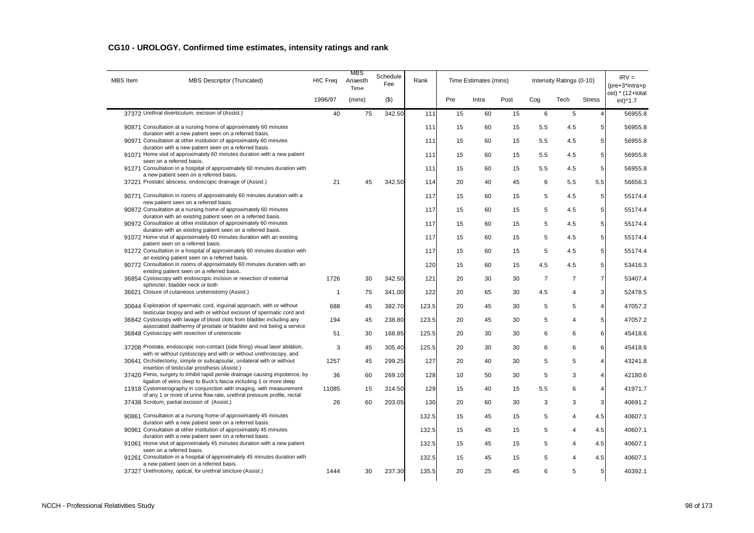| MBS Item | <b>MBS Descriptor (Truncated)</b>                                                                                                               | <b>HIC Freq</b> | MBS<br>Anaesth<br>Time | Schedule<br>Fee | Rank  |     | Time Estimates (mins) |      |                | Intensity Ratings (0-10) |                 | $IRV =$<br>(pre+3*intra+p    |
|----------|-------------------------------------------------------------------------------------------------------------------------------------------------|-----------------|------------------------|-----------------|-------|-----|-----------------------|------|----------------|--------------------------|-----------------|------------------------------|
|          |                                                                                                                                                 | 1996/97         | (mins)                 | $($ \$)         |       | Pre | Intra                 | Post | Cog            | Tech                     | <b>Stress</b>   | ost) * (12+total<br>int)^1.7 |
|          | 37372 Urethral diverticulum, excision of (Assist.)                                                                                              | 40              | 75                     | 342.50          | 111   | 15  | 60                    | 15   | 6              | 5                        | $\overline{4}$  | 56955.8                      |
|          | 90871 Consultation at a nursing home of approximately 60 minutes<br>duration with a new patient seen on a referred basis.                       |                 |                        |                 | 111   | 15  | 60                    | 15   | 5.5            | 4.5                      | 5 <sub>5</sub>  | 56955.8                      |
|          | 90971 Consultation at other institution of approximately 60 minutes<br>duration with a new patient seen on a referred basis.                    |                 |                        |                 | 111   | 15  | 60                    | 15   | 5.5            | 4.5                      | 5               | 56955.8                      |
|          | 91071 Home visit of approximately 60 minutes duration with a new patient<br>seen on a referred basis.                                           |                 |                        |                 | 111   | 15  | 60                    | 15   | 5.5            | 4.5                      | 5 <sub>5</sub>  | 56955.8                      |
|          | 91271 Consultation in a hospital of approximately 60 minutes duration with                                                                      |                 |                        |                 | 111   | 15  | 60                    | 15   | 5.5            | 4.5                      | 5               | 56955.8                      |
|          | a new patient seen on a referred basis.<br>37221 Prostatic abscess, endoscopic drainage of (Assist.)                                            | 21              | 45                     | 342.50          | 114   | 20  | 40                    | 45   | 6              | 5.5                      | 5.5             | 56656.3                      |
|          | 90771 Consultation in rooms of approximately 60 minutes duration with a<br>new patient seen on a referred basis.                                |                 |                        |                 | 117   | 15  | 60                    | 15   | 5              | 4.5                      | $\mathbf 5$     | 55174.4                      |
|          | 90872 Consultation at a nursing home of approximately 60 minutes                                                                                |                 |                        |                 | 117   | 15  | 60                    | 15   | 5              | 4.5                      | 5 <sup>1</sup>  | 55174.4                      |
|          | duration with an existing patient seen on a referred basis.<br>90972 Consultation at other institution of approximately 60 minutes              |                 |                        |                 | 117   | 15  | 60                    | 15   | 5              | 4.5                      | 5               | 55174.4                      |
|          | duration with an existing patient seen on a referred basis.<br>91072 Home visit of approximately 60 minutes duration with an existing           |                 |                        |                 | 117   | 15  | 60                    | 15   | 5              | 4.5                      | $\overline{5}$  | 55174.4                      |
|          | patient seen on a referred basis.<br>91272 Consultation in a hospital of approximately 60 minutes duration with                                 |                 |                        |                 | 117   | 15  | 60                    | 15   | 5              | 4.5                      | 5               | 55174.4                      |
|          | an existing patient seen on a referred basis.<br>90772 Consultation in rooms of approximately 60 minutes duration with an                       |                 |                        |                 | 120   | 15  | 60                    | 15   | 4.5            | 4.5                      | $5\phantom{.0}$ | 53416.3                      |
|          | existing patient seen on a referred basis.<br>36854 Cystoscopy with endoscopic incision or resection of external                                | 1726            | 30                     | 342.50          | 121   | 20  | 30                    | 30   | $\overline{7}$ | $\overline{7}$           | $\overline{7}$  | 53407.4                      |
|          | sphincter, bladder neck or both<br>36621 Closure of cutaneous ureterostomy (Assist.)                                                            | $\mathbf{1}$    | 75                     | 341.00          | 122   | 20  | 65                    | 30   | 4.5            | 4                        | 3               | 52478.5                      |
|          | 30644 Exploration of spermatic cord, inquinal approach, with or without                                                                         | 688             | 45                     | 382.70          | 123.5 | 20  | 45                    | 30   | 5              | 5                        | $\overline{4}$  | 47057.2                      |
|          | testicular biopsy and with or without excision of spermatic cord and<br>36842 Cystoscopy with lavage of blood clots from bladder including any  | 194             | 45                     | 238.80          | 123.5 | 20  | 45                    | 30   | 5              | $\overline{4}$           | 5               | 47057.2                      |
|          | associated diathermy of prostate or bladder and not being a service<br>36848 Cystoscopy with resection of ureterocele                           | 51              | 30                     | 168.85          | 125.5 | 20  | 30                    | 30   | 6              | 6                        | 6               | 45418.6                      |
|          | 37208 Prostate, endoscopic non-contact (side firing) visual laser ablation,                                                                     | 3               | 45                     | 305.40          | 125.5 | 20  | 30                    | 30   | 6              | 6                        | 6               | 45418.6                      |
|          | with or without cystoscopy and with or without urethroscopy, and                                                                                |                 |                        |                 |       |     |                       |      |                |                          |                 |                              |
|          | 30641 Orchidectomy, simple or subcapsular, unilateral with or without<br>insertion of testicular prosthesis (Assist.)                           | 1257            | 45                     | 299.25          | 127   | 20  | 40                    | 30   | 5              | 5                        | $\overline{4}$  | 43241.8                      |
|          | 37420 Penis, surgery to inhibit rapid penile drainage causing impotence, by<br>ligation of veins deep to Buck's fascia including 1 or more deep | 36              | 60                     | 269.10          | 128   | 10  | 50                    | 30   | 5              | 3                        | $\overline{4}$  | 42180.6                      |
|          | 11918 Cystometrography in conjunction with imaging, with measurement<br>of any 1 or more of urine flow rate, urethral pressure profile, rectal  | 11085           | 15                     | 314.50          | 129   | 15  | 40                    | 15   | 5.5            | 6                        | $\overline{4}$  | 41971.7                      |
|          | 37438 Scrotum, partial excision of (Assist.)                                                                                                    | 26              | 60                     | 203.05          | 130   | 20  | 60                    | 30   | 3              | 3                        | 3               | 40691.2                      |
|          | 90861 Consultation at a nursing home of approximately 45 minutes<br>duration with a new patient seen on a referred basis.                       |                 |                        |                 | 132.5 | 15  | 45                    | 15   | 5              | 4                        | 4.5             | 40607.1                      |
|          | 90961 Consultation at other institution of approximately 45 minutes<br>duration with a new patient seen on a referred basis.                    |                 |                        |                 | 132.5 | 15  | 45                    | 15   | 5              | $\overline{4}$           | 4.5             | 40607.1                      |
|          | 91061 Home visit of approximately 45 minutes duration with a new patient                                                                        |                 |                        |                 | 132.5 | 15  | 45                    | 15   | 5              | $\overline{4}$           | 4.5             | 40607.1                      |
|          | seen on a referred basis.<br>91261 Consultation in a hospital of approximately 45 minutes duration with                                         |                 |                        |                 | 132.5 | 15  | 45                    | 15   | 5              | $\overline{\mathbf{4}}$  | 4.5             | 40607.1                      |
|          | a new patient seen on a referred basis.<br>37327 Urethrotomy, optical, for urethral stricture (Assist.)                                         | 1444            | 30                     | 237.30          | 135.5 | 20  | 25                    | 45   | 6              | 5                        | 5               | 40392.1                      |
|          |                                                                                                                                                 |                 |                        |                 |       |     |                       |      |                |                          |                 |                              |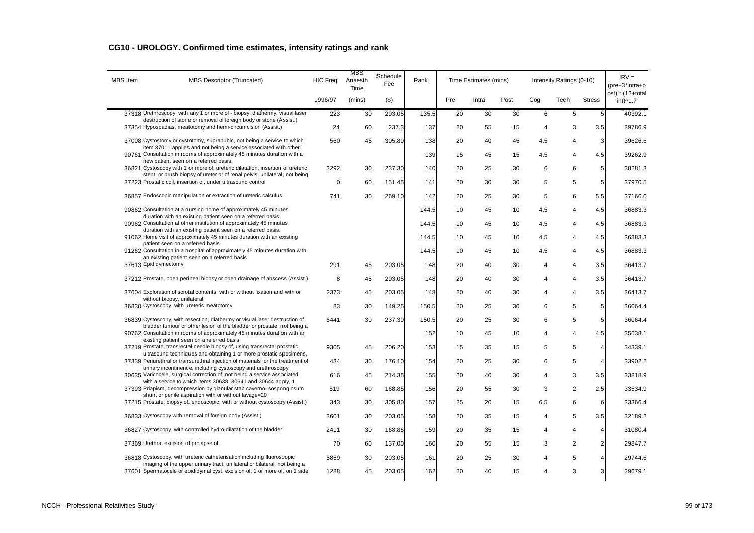| <b>MBS</b> Item | MBS Descriptor (Truncated)                                                                                                                            | <b>HIC Freq</b> | MBS<br>Anaesth<br>Time | Schedule<br>Fee | Rank  |     | Time Estimates (mins) |      |     | Intensity Ratings (0-10) |                | $IRV =$<br>(pre+3*intra+p    |
|-----------------|-------------------------------------------------------------------------------------------------------------------------------------------------------|-----------------|------------------------|-----------------|-------|-----|-----------------------|------|-----|--------------------------|----------------|------------------------------|
|                 |                                                                                                                                                       | 1996/97         | (mins)                 | (3)             |       | Pre | Intra                 | Post | Cog | Tech                     | <b>Stress</b>  | ost) * (12+total<br>int)^1.7 |
|                 | 37318 Urethroscopy, with any 1 or more of - biopsy, diathermy, visual laser<br>destruction of stone or removal of foreign body or stone (Assist.)     | 223             | 30                     | 203.05          | 135.5 | 20  | 30                    | 30   | 6   | 5                        | 5              | 40392.1                      |
|                 | 37354 Hypospadias, meatotomy and hemi-circumcision (Assist.)                                                                                          | 24              | 60                     | 237.3           | 137   | 20  | 55                    | 15   | 4   | 3                        | 3.5            | 39786.9                      |
|                 | 37008 Cystostomy or cystotomy, suprapubic, not being a service to which                                                                               | 560             | 45                     | 305.80          | 138   | 20  | 40                    | 45   | 4.5 | $\overline{4}$           | 3              | 39626.6                      |
|                 | item 37011 applies and not being a service associated with other<br>90761 Consultation in rooms of approximately 45 minutes duration with a           |                 |                        |                 | 139   | 15  | 45                    | 15   | 4.5 | $\overline{4}$           | 4.5            | 39262.9                      |
|                 | new patient seen on a referred basis.<br>36821 Cystoscopy with 1 or more of; ureteric dilatation, insertion of ureteric                               | 3292            | 30                     | 237.30          | 140   | 20  | 25                    | 30   | 6   | 6                        | 5              | 38281.3                      |
|                 | stent, or brush biopsy of ureter or of renal pelvis, unilateral, not being<br>37223 Prostatic coil, insertion of, under ultrasound control            | $\Omega$        | 60                     | 151.45          | 141   | 20  | 30                    | 30   | 5   | 5                        | 5              | 37970.5                      |
|                 | 36857 Endoscopic manipulation or extraction of ureteric calculus                                                                                      | 741             | 30                     | 269.10          | 142   | 20  | 25                    | 30   | 5   | 6                        | 5.5            | 37166.0                      |
|                 | 90862 Consultation at a nursing home of approximately 45 minutes                                                                                      |                 |                        |                 | 144.5 | 10  | 45                    | 10   | 4.5 | $\overline{4}$           | 4.5            | 36883.3                      |
|                 | duration with an existing patient seen on a referred basis.<br>90962 Consultation at other institution of approximately 45 minutes                    |                 |                        |                 | 144.5 | 10  | 45                    | 10   | 4.5 | $\overline{4}$           | 4.5            | 36883.3                      |
|                 | duration with an existing patient seen on a referred basis.<br>91062 Home visit of approximately 45 minutes duration with an existing                 |                 |                        |                 | 144.5 | 10  | 45                    | 10   | 4.5 | $\overline{4}$           | 4.5            | 36883.3                      |
|                 | patient seen on a referred basis.<br>91262 Consultation in a hospital of approximately 45 minutes duration with                                       |                 |                        |                 | 144.5 | 10  | 45                    | 10   | 4.5 | $\overline{4}$           | 4.5            | 36883.3                      |
|                 | an existing patient seen on a referred basis.<br>37613 Epididymectomy                                                                                 | 291             | 45                     | 203.05          | 148   | 20  | 40                    | 30   | 4   | $\overline{4}$           | 3.5            | 36413.7                      |
|                 | 37212 Prostate, open perineal biopsy or open drainage of abscess (Assist.)                                                                            | 8               | 45                     | 203.05          | 148   | 20  | 40                    | 30   | 4   | $\overline{4}$           | 3.5            | 36413.7                      |
|                 | 37604 Exploration of scrotal contents, with or without fixation and with or                                                                           | 2373            | 45                     | 203.05          | 148   | 20  | 40                    | 30   | 4   | $\overline{4}$           | 3.5            | 36413.7                      |
|                 | without biopsy, unilateral<br>36830 Cystoscopy, with ureteric meatotomy                                                                               | 83              | 30                     | 149.25          | 150.5 | 20  | 25                    | 30   | 6   | 5                        | 5              | 36064.4                      |
|                 | 36839 Cystoscopy, with resection, diathermy or visual laser destruction of                                                                            | 6441            | 30                     | 237.30          | 150.5 | 20  | 25                    | 30   | 6   | 5                        | 5              | 36064.4                      |
|                 | bladder tumour or other lesion of the bladder or prostate, not being a<br>90762 Consultation in rooms of approximately 45 minutes duration with an    |                 |                        |                 | 152   | 10  | 45                    | 10   | 4   | 4                        | 4.5            | 35638.1                      |
|                 | existing patient seen on a referred basis.<br>37219 Prostate, transrectal needle biopsy of, using transrectal prostatic                               | 9305            | 45                     | 206.20          | 153   | 15  | 35                    | 15   | 5   | 5                        | $\overline{4}$ | 34339.1                      |
|                 | ultrasound techniques and obtaining 1 or more prostatic specimens,<br>37339 Periurethral or transurethral injection of materials for the treatment of | 434             | 30                     | 176.10          | 154   | 20  | 25                    | 30   | 6   | 5                        | $\overline{4}$ | 33902.2                      |
|                 | urinary incontinence, including cystoscopy and urethroscopy<br>30635 Varicocele, surgical correction of, not being a service associated               | 616             | 45                     | 214.35          | 155   | 20  | 40                    | 30   | 4   | 3                        | 3.5            | 33818.9                      |
|                 | with a service to which items 30638, 30641 and 30644 apply, 1<br>37393 Priapism, decompression by glanular stab caverno-sospongiosum                  | 519             | 60                     | 168.85          | 156   | 20  | 55                    | 30   | 3   | 2                        | 2.5            | 33534.9                      |
|                 | shunt or penile aspiration with or without lavage=20<br>37215 Prostate, biopsy of, endoscopic, with or without cystoscopy (Assist.)                   | 343             | 30                     | 305.80          | 157   | 25  | 20                    | 15   | 6.5 | 6                        | 6              | 33366.4                      |
|                 | 36833 Cystoscopy with removal of foreign body (Assist.)                                                                                               |                 |                        |                 |       |     |                       |      |     | 5                        |                |                              |
|                 |                                                                                                                                                       | 3601            | 30                     | 203.05          | 158   | 20  | 35                    | 15   | 4   |                          | 3.5            | 32189.2                      |
|                 | 36827 Cystoscopy, with controlled hydro-dilatation of the bladder                                                                                     | 2411            | 30                     | 168.85          | 159   | 20  | 35                    | 15   | 4   | $\overline{4}$           | $\overline{4}$ | 31080.4                      |
|                 | 37369 Urethra, excision of prolapse of                                                                                                                | 70              | 60                     | 137.00          | 160   | 20  | 55                    | 15   | 3   | 2                        | 2 <sub>l</sub> | 29847.7                      |
|                 | 36818 Cystoscopy, with ureteric catheterisation including fluoroscopic<br>imaging of the upper urinary tract, unilateral or bilateral, not being a    | 5859            | 30                     | 203.05          | 161   | 20  | 25                    | 30   | 4   | 5                        | 4              | 29744.6                      |
|                 | 37601 Spermatocele or epididymal cyst, excision of, 1 or more of, on 1 side                                                                           | 1288            | 45                     | 203.05          | 162   | 20  | 40                    | 15   | 4   | 3                        | $\mathsf{3}$   | 29679.1                      |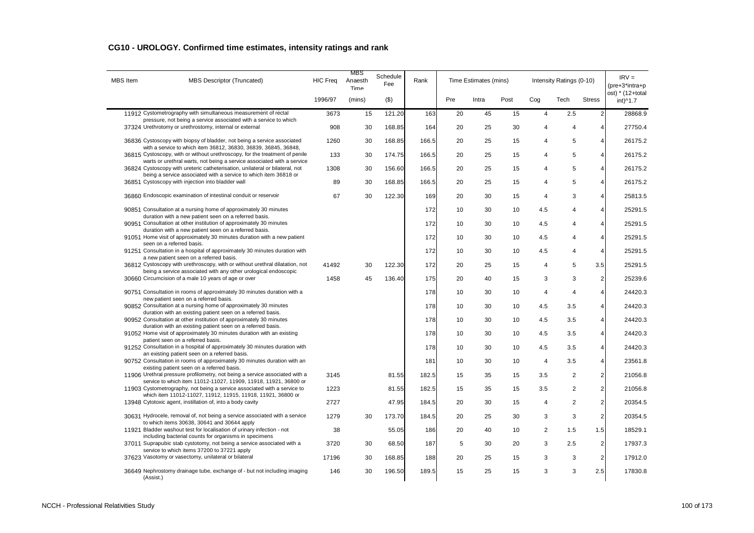| <b>MBS</b> Item | MBS Descriptor (Truncated)                                                                                                                             | <b>HIC Freq</b> | MBS<br>Anaesth<br>Time | Schedule<br>Fee | Rank  |     | Time Estimates (mins) |      |     | Intensity Ratings (0-10) |                | $IRV =$<br>(pre+3*intra+p    |
|-----------------|--------------------------------------------------------------------------------------------------------------------------------------------------------|-----------------|------------------------|-----------------|-------|-----|-----------------------|------|-----|--------------------------|----------------|------------------------------|
|                 |                                                                                                                                                        | 1996/97         | (mins)                 | $($ \$)         |       | Pre | Intra                 | Post | Cog | Tech                     | <b>Stress</b>  | ost) * (12+total<br>int)^1.7 |
|                 | 11912 Cystometrography with simultaneous measurement of rectal<br>pressure, not being a service associated with a service to which                     | 3673            | 15                     | 121.20          | 163   | 20  | 45                    | 15   | 4   | 2.5                      | $\overline{2}$ | 28868.9                      |
|                 | 37324 Urethrotomy or urethrostomy, internal or external                                                                                                | 908             | 30                     | 168.85          | 164   | 20  | 25                    | 30   | 4   | 4                        | 4              | 27750.4                      |
|                 | 36836 Cystoscopy with biopsy of bladder, not being a service associated                                                                                | 1260            | 30                     | 168.85          | 166.5 | 20  | 25                    | 15   | 4   | $\,$ 5 $\,$              | 4              | 26175.2                      |
|                 | with a service to which item 36812, 36830, 36839, 36845, 36848,<br>36815 Cystoscopy, with or without urethroscopy, for the treatment of penile         | 133             | 30                     | 174.75          | 166.5 | 20  | 25                    | 15   | 4   | $\sqrt{5}$               | 4              | 26175.2                      |
|                 | warts or urethral warts, not being a service associated with a service<br>36824 Cystoscopy with ureteric catheterisation, unilateral or bilateral, not | 1308            | 30                     | 156.60          | 166.5 | 20  | 25                    | 15   | 4   | $\sqrt{5}$               | 4              | 26175.2                      |
|                 | being a service associated with a service to which item 36818 or<br>36851 Cystoscopy with injection into bladder wall                                  | 89              | 30                     | 168.85          | 166.5 | 20  | 25                    | 15   | 4   | $\,$ 5 $\,$              | 4              | 26175.2                      |
|                 | 36860 Endoscopic examination of intestinal conduit or reservoir                                                                                        | 67              | 30                     | 122.30          | 169   | 20  | 30                    | 15   | 4   | 3                        | 4              | 25813.5                      |
|                 | 90851 Consultation at a nursing home of approximately 30 minutes                                                                                       |                 |                        |                 | 172   | 10  | 30                    | 10   | 4.5 | 4                        | 4              | 25291.5                      |
|                 | duration with a new patient seen on a referred basis.<br>90951 Consultation at other institution of approximately 30 minutes                           |                 |                        |                 | 172   | 10  | 30                    | 10   | 4.5 | 4                        | 4              | 25291.5                      |
|                 | duration with a new patient seen on a referred basis.<br>91051 Home visit of approximately 30 minutes duration with a new patient                      |                 |                        |                 | 172   | 10  | 30                    | 10   | 4.5 | 4                        | 4              | 25291.5                      |
|                 | seen on a referred basis.<br>91251 Consultation in a hospital of approximately 30 minutes duration with                                                |                 |                        |                 | 172   | 10  | 30                    | 10   | 4.5 | 4                        | 4              | 25291.5                      |
|                 | a new patient seen on a referred basis.<br>36812 Cystoscopy with urethroscopy, with or without urethral dilatation, not                                | 41492           | 30                     | 122.30          | 172   | 20  | 25                    | 15   | 4   | 5                        | 3.5            | 25291.5                      |
|                 | being a service associated with any other urological endoscopic<br>30660 Circumcision of a male 10 years of age or over                                | 1458            | 45                     | 136.40          | 175   | 20  | 40                    | 15   | 3   | 3                        | $\overline{c}$ | 25239.6                      |
|                 | 90751 Consultation in rooms of approximately 30 minutes duration with a                                                                                |                 |                        |                 | 178   | 10  | 30                    | 10   | 4   | $\overline{4}$           | 4              | 24420.3                      |
|                 | new patient seen on a referred basis.<br>90852 Consultation at a nursing home of approximately 30 minutes                                              |                 |                        |                 | 178   | 10  | 30                    | 10   | 4.5 | 3.5                      | 4              | 24420.3                      |
|                 | duration with an existing patient seen on a referred basis.<br>90952 Consultation at other institution of approximately 30 minutes                     |                 |                        |                 | 178   | 10  | 30                    | 10   | 4.5 | 3.5                      | 4              | 24420.3                      |
|                 | duration with an existing patient seen on a referred basis.<br>91052 Home visit of approximately 30 minutes duration with an existing                  |                 |                        |                 | 178   | 10  | 30                    | 10   | 4.5 | 3.5                      | 4              | 24420.3                      |
|                 | patient seen on a referred basis.                                                                                                                      |                 |                        |                 |       |     |                       |      |     |                          |                |                              |
|                 | 91252 Consultation in a hospital of approximately 30 minutes duration with<br>an existing patient seen on a referred basis.                            |                 |                        |                 | 178   | 10  | 30                    | 10   | 4.5 | 3.5                      | 4              | 24420.3                      |
|                 | 90752 Consultation in rooms of approximately 30 minutes duration with an<br>existing patient seen on a referred basis.                                 |                 |                        |                 | 181   | 10  | 30                    | 10   | 4   | 3.5                      | 4              | 23561.8                      |
|                 | 11906 Urethral pressure profilometry, not being a service associated with a<br>service to which item 11012-11027, 11909, 11918, 11921, 36800 or        | 3145            |                        | 81.55           | 182.5 | 15  | 35                    | 15   | 3.5 | 2                        | 2              | 21056.8                      |
|                 | 11903 Cystometrography, not being a service associated with a service to<br>which item 11012-11027, 11912, 11915, 11918, 11921, 36800 or               | 1223            |                        | 81.55           | 182.5 | 15  | 35                    | 15   | 3.5 | 2                        | 2              | 21056.8                      |
|                 | 13948 Cytotoxic agent, instillation of, into a body cavity                                                                                             | 2727            |                        | 47.95           | 184.5 | 20  | 30                    | 15   | 4   | 2                        | 2              | 20354.5                      |
|                 | 30631 Hydrocele, removal of, not being a service associated with a service<br>to which items 30638, 30641 and 30644 apply                              | 1279            | 30                     | 173.70          | 184.5 | 20  | 25                    | 30   | 3   | 3                        | $\overline{2}$ | 20354.5                      |
|                 | 11921 Bladder washout test for localisation of urinary infection - not<br>including bacterial counts for organisms in specimens                        | 38              |                        | 55.05           | 186   | 20  | 40                    | 10   | 2   | 1.5                      | 1.5            | 18529.1                      |
|                 | 37011 Suprapubic stab cystotomy, not being a service associated with a<br>service to which items 37200 to 37221 apply                                  | 3720            | 30                     | 68.50           | 187   | 5   | 30                    | 20   | 3   | 2.5                      | $\overline{2}$ | 17937.3                      |
|                 | 37623 Vasotomy or vasectomy, unilateral or bilateral                                                                                                   | 17196           | 30                     | 168.85          | 188   | 20  | 25                    | 15   | 3   | 3                        | $\overline{2}$ | 17912.0                      |
|                 | 36649 Nephrostomy drainage tube, exchange of - but not including imaging<br>(Assist.)                                                                  | 146             | 30                     | 196.50          | 189.5 | 15  | 25                    | 15   | 3   | 3                        | 2.5            | 17830.8                      |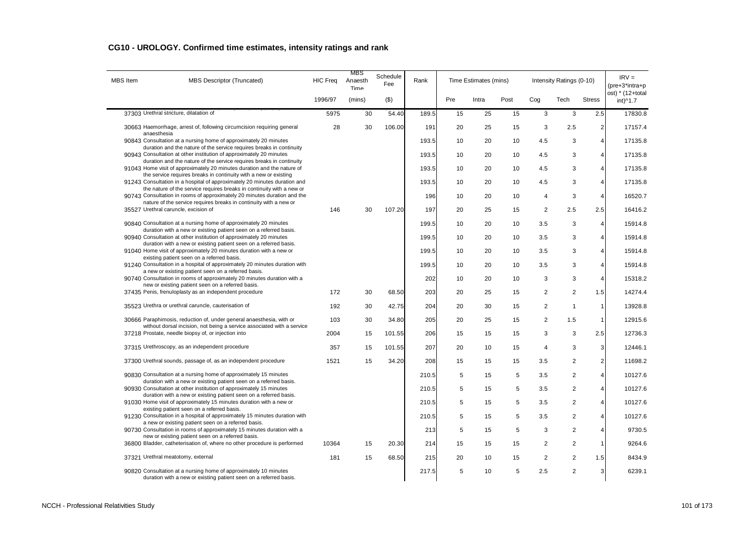| <b>MBS</b> Item | <b>MBS Descriptor (Truncated)</b>                                                                                                                 | <b>HIC Freq</b> | MBS<br>Anaesth<br><b>Time</b> | Schedule<br>Fee | Rank  |     | Time Estimates (mins) |      |                | Intensity Ratings (0-10) |                | $IRV =$<br>$(\text{pre}+3^* \text{intra}+\text{p})$ |
|-----------------|---------------------------------------------------------------------------------------------------------------------------------------------------|-----------------|-------------------------------|-----------------|-------|-----|-----------------------|------|----------------|--------------------------|----------------|-----------------------------------------------------|
|                 |                                                                                                                                                   | 1996/97         | (mins)                        | (3)             |       | Pre | Intra                 | Post | Cog            | Tech                     | <b>Stress</b>  | ost) * (12+total<br>int)^1.7                        |
|                 | 37303 Urethral stricture, dilatation of                                                                                                           | 5975            | 30                            | 54.40           | 189.5 | 15  | 25                    | 15   | 3              | 3                        | 2.5            | 17830.8                                             |
|                 | 30663 Haemorrhage, arrest of, following circumcision requiring general<br>anaesthesia                                                             | 28              | 30                            | 106.00          | 191   | 20  | 25                    | 15   | 3              | 2.5                      | $\overline{2}$ | 17157.4                                             |
|                 | 90843 Consultation at a nursing home of approximately 20 minutes<br>duration and the nature of the service requires breaks in continuity          |                 |                               |                 | 193.5 | 10  | 20                    | 10   | 4.5            | 3                        | $\overline{4}$ | 17135.8                                             |
|                 | 90943 Consultation at other institution of approximately 20 minutes                                                                               |                 |                               |                 | 193.5 | 10  | 20                    | 10   | 4.5            | 3                        | $\overline{4}$ | 17135.8                                             |
|                 | duration and the nature of the service requires breaks in continuity<br>91043 Home visit of approximately 20 minutes duration and the nature of   |                 |                               |                 | 193.5 | 10  | 20                    | 10   | 4.5            | 3                        | $\overline{4}$ | 17135.8                                             |
|                 | the service requires breaks in continuity with a new or existing<br>91243 Consultation in a hospital of approximately 20 minutes duration and     |                 |                               |                 | 193.5 | 10  | 20                    | 10   | 4.5            | 3                        | $\overline{4}$ | 17135.8                                             |
|                 | the nature of the service requires breaks in continuity with a new or<br>90743 Consultation in rooms of approximately 20 minutes duration and the |                 |                               |                 | 196   | 10  | 20                    | 10   | $\overline{4}$ | 3                        | $\overline{4}$ | 16520.7                                             |
|                 | nature of the service requires breaks in continuity with a new or<br>35527 Urethral caruncle, excision of                                         | 146             | 30                            | 107.20          | 197   | 20  | 25                    | 15   | 2              | 2.5                      | 2.5            | 16416.2                                             |
|                 | 90840 Consultation at a nursing home of approximately 20 minutes                                                                                  |                 |                               |                 | 199.5 | 10  | 20                    | 10   | 3.5            | 3                        | $\overline{4}$ | 15914.8                                             |
|                 | duration with a new or existing patient seen on a referred basis.<br>90940 Consultation at other institution of approximately 20 minutes          |                 |                               |                 | 199.5 | 10  | 20                    | 10   | 3.5            | 3                        | $\overline{4}$ | 15914.8                                             |
|                 | duration with a new or existing patient seen on a referred basis.<br>91040 Home visit of approximately 20 minutes duration with a new or          |                 |                               |                 | 199.5 | 10  | 20                    | 10   | 3.5            | 3                        | $\overline{4}$ | 15914.8                                             |
|                 | existing patient seen on a referred basis.<br>91240 Consultation in a hospital of approximately 20 minutes duration with                          |                 |                               |                 | 199.5 | 10  | 20                    | 10   | 3.5            | 3                        | $\overline{4}$ | 15914.8                                             |
|                 | a new or existing patient seen on a referred basis.<br>90740 Consultation in rooms of approximately 20 minutes duration with a                    |                 |                               |                 | 202   | 10  | 20                    | 10   | 3              | 3                        | $\overline{4}$ | 15318.2                                             |
|                 | new or existing patient seen on a referred basis.<br>37435 Penis, frenuloplasty as an independent procedure                                       | 172             | 30                            | 68.50           | 203   | 20  | 25                    | 15   | 2              | $\overline{2}$           | 1.5            | 14274.4                                             |
|                 | 35523 Urethra or urethral caruncle, cauterisation of                                                                                              | 192             | 30                            | 42.75           | 204   | 20  | 30                    | 15   | $\overline{2}$ | $\mathbf{1}$             | $\mathbf{1}$   | 13928.8                                             |
|                 | 30666 Paraphimosis, reduction of, under general anaesthesia, with or                                                                              | 103             | 30                            | 34.80           | 205   | 20  | 25                    | 15   | 2              | 1.5                      | $\mathbf{1}$   | 12915.6                                             |
|                 | without dorsal incision, not being a service associated with a service<br>37218 Prostate, needle biopsy of, or injection into                     | 2004            | 15                            | 101.55          | 206   | 15  | 15                    | 15   | 3              | 3                        | 2.5            | 12736.3                                             |
|                 | 37315 Urethroscopy, as an independent procedure                                                                                                   | 357             | 15                            | 101.55          | 207   | 20  | 10                    | 15   | 4              | 3                        | 3              | 12446.1                                             |
|                 | 37300 Urethral sounds, passage of, as an independent procedure                                                                                    | 1521            | 15                            | 34.20           | 208   | 15  | 15                    | 15   | 3.5            | $\overline{c}$           | $\sqrt{2}$     | 11698.2                                             |
|                 | 90830 Consultation at a nursing home of approximately 15 minutes                                                                                  |                 |                               |                 | 210.5 | 5   | 15                    | 5    | 3.5            | $\overline{2}$           | $\overline{4}$ | 10127.6                                             |
|                 | duration with a new or existing patient seen on a referred basis.<br>90930 Consultation at other institution of approximately 15 minutes          |                 |                               |                 | 210.5 | 5   | 15                    | 5    | 3.5            | $\overline{c}$           | $\overline{4}$ | 10127.6                                             |
|                 | duration with a new or existing patient seen on a referred basis.<br>91030 Home visit of approximately 15 minutes duration with a new or          |                 |                               |                 | 210.5 | 5   | 15                    | 5    | 3.5            | $\overline{2}$           | $\overline{4}$ | 10127.6                                             |
|                 | existing patient seen on a referred basis.<br>91230 Consultation in a hospital of approximately 15 minutes duration with                          |                 |                               |                 | 210.5 | 5   | 15                    | 5    | 3.5            | $\overline{2}$           | $\overline{4}$ | 10127.6                                             |
|                 | a new or existing patient seen on a referred basis.<br>90730 Consultation in rooms of approximately 15 minutes duration with a                    |                 |                               |                 | 213   | 5   | 15                    | 5    | 3              | $\overline{c}$           | $\overline{4}$ | 9730.5                                              |
|                 | new or existing patient seen on a referred basis.<br>36800 Bladder, catheterisation of, where no other procedure is performed                     | 10364           | 15                            | 20.30           | 214   | 15  | 15                    | 15   | 2              | $\overline{c}$           | $\mathbf{1}$   | 9264.6                                              |
|                 | 37321 Urethral meatotomy, external                                                                                                                | 181             | 15                            | 68.50           | 215   | 20  | 10                    | 15   | 2              | $\overline{2}$           | 1.5            | 8434.9                                              |
|                 | 90820 Consultation at a nursing home of approximately 10 minutes<br>duration with a new or existing patient seen on a referred basis.             |                 |                               |                 | 217.5 | 5   | 10                    | 5    | 2.5            | $\overline{2}$           | 3              | 6239.1                                              |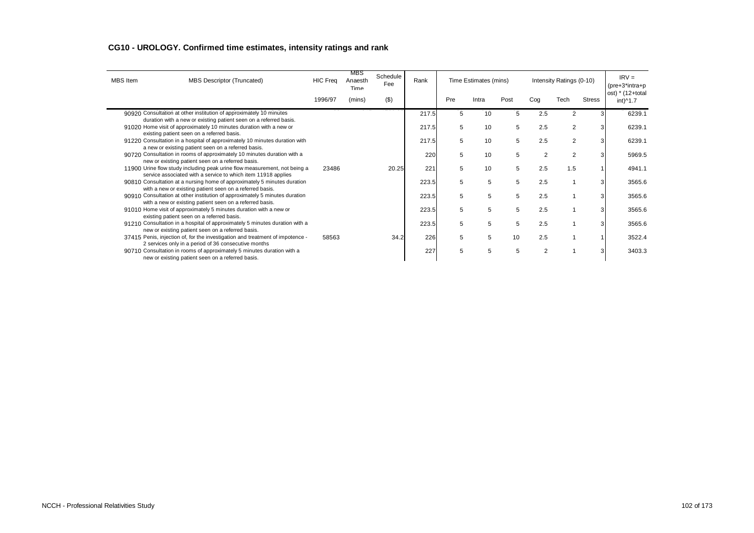| MBS Item | MBS Descriptor (Truncated)                                                                                                                 | <b>HIC Freq</b> | MBS<br>Anaesth<br>Time | Schedule<br>Fee | Rank  |     | Time Estimates (mins) |      |                | Intensity Ratings (0-10) |               | $IRV =$<br>$(\text{pre}+3^* \text{intra}+\text{p})$ |
|----------|--------------------------------------------------------------------------------------------------------------------------------------------|-----------------|------------------------|-----------------|-------|-----|-----------------------|------|----------------|--------------------------|---------------|-----------------------------------------------------|
|          |                                                                                                                                            | 1996/97         | (mins)                 | $($ \$)         |       | Pre | Intra                 | Post | Cog            | Tech                     | <b>Stress</b> | ost) * (12+total<br>int)^1.7                        |
|          | 90920 Consultation at other institution of approximately 10 minutes<br>duration with a new or existing patient seen on a referred basis.   |                 |                        |                 | 217.5 | 5   | 10                    | 5    | 2.5            | $\overline{2}$           |               | 6239.1                                              |
|          | 91020 Home visit of approximately 10 minutes duration with a new or<br>existing patient seen on a referred basis.                          |                 |                        |                 | 217.5 | 5   | 10                    | 5    | 2.5            | 2                        |               | 6239.1                                              |
|          | 91220 Consultation in a hospital of approximately 10 minutes duration with<br>a new or existing patient seen on a referred basis.          |                 |                        |                 | 217.5 | 5   | 10                    | 5    | 2.5            | 2                        | 3             | 6239.1                                              |
|          | 90720 Consultation in rooms of approximately 10 minutes duration with a<br>new or existing patient seen on a referred basis.               |                 |                        |                 | 22C   | 5   | 10                    | 5    | 2              | 2                        | 3             | 5969.5                                              |
|          | 11900 Urine flow study including peak urine flow measurement, not being a<br>service associated with a service to which item 11918 applies | 23486           |                        | 20.25           | 221   | 5   | 10                    | 5    | 2.5            | 1.5                      |               | 4941.1                                              |
|          | 90810 Consultation at a nursing home of approximately 5 minutes duration<br>with a new or existing patient seen on a referred basis.       |                 |                        |                 | 223.5 | 5   | 5                     | 5    | 2.5            |                          | 3             | 3565.6                                              |
|          | 90910 Consultation at other institution of approximately 5 minutes duration<br>with a new or existing patient seen on a referred basis.    |                 |                        |                 | 223.5 | 5   | 5                     | 5    | 2.5            |                          |               | 3565.6                                              |
|          | 91010 Home visit of approximately 5 minutes duration with a new or<br>existing patient seen on a referred basis.                           |                 |                        |                 | 223.5 | 5   | 5                     | 5    | 2.5            |                          | 3             | 3565.6                                              |
|          | 91210 Consultation in a hospital of approximately 5 minutes duration with a<br>new or existing patient seen on a referred basis.           |                 |                        |                 | 223.5 | 5   | 5                     | 5    | 2.5            |                          | 3             | 3565.6                                              |
|          | 37415 Penis, injection of, for the investigation and treatment of impotence -<br>2 services only in a period of 36 consecutive months      | 58563           |                        | 34.2            | 226   | 5   | 5                     | 10   | 2.5            |                          |               | 3522.4                                              |
|          | 90710 Consultation in rooms of approximately 5 minutes duration with a<br>new or existing patient seen on a referred basis.                |                 |                        |                 | 227   | 5   | 5                     | 5    | $\overline{2}$ |                          |               | 3403.3                                              |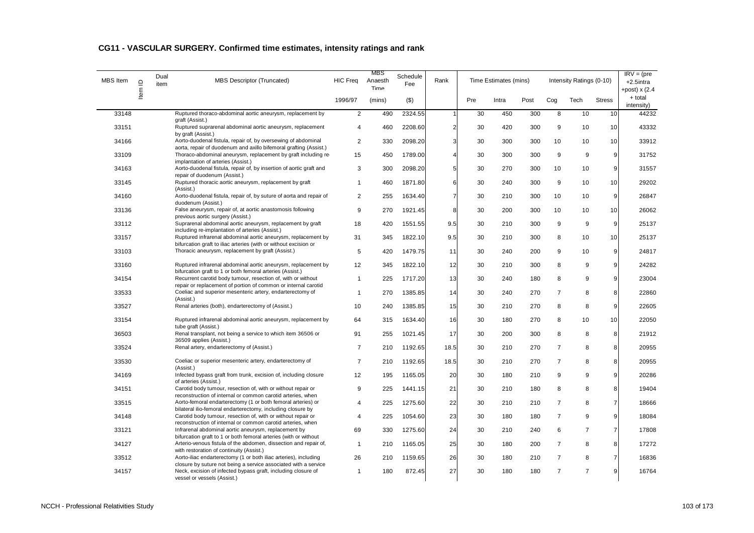| MBS Item | $\mathbf{\underline{o}}$ | Dual<br>item | <b>MBS Descriptor (Truncated)</b>                                                                                                                                         | <b>HIC Freq</b> | MBS<br>Anaesth<br>Time | Schedule<br>Fee | Rank           |     | Time Estimates (mins) |      |                | Intensity Ratings (0-10) |                | $IRV = (pre$<br>+2.5intra<br>+post) $x(2.4)$ |
|----------|--------------------------|--------------|---------------------------------------------------------------------------------------------------------------------------------------------------------------------------|-----------------|------------------------|-----------------|----------------|-----|-----------------------|------|----------------|--------------------------|----------------|----------------------------------------------|
|          | ltem                     |              |                                                                                                                                                                           | 1996/97         | (mins)                 | $($ \$)         |                | Pre | Intra                 | Post | Cog            | Tech                     | <b>Stress</b>  | + total<br>intensity)                        |
| 33148    |                          |              | Ruptured thoraco-abdominal aortic aneurysm, replacement by                                                                                                                | 2               | 490                    | 2324.55         | -1             | 30  | 450                   | 300  | 8              | 10                       | 10             | 44232                                        |
| 33151    |                          |              | graft (Assist.)<br>Ruptured suprarenal abdominal aortic aneurysm, replacement<br>by graft (Assist.)                                                                       | 4               | 460                    | 2208.60         | $\overline{2}$ | 30  | 420                   | 300  | 9              | 10                       | 10             | 43332                                        |
| 34166    |                          |              | Aorto-duodenal fistula, repair of, by oversewing of abdominal                                                                                                             | $\overline{2}$  | 330                    | 2098.20         | 3              | 30  | 300                   | 300  | 10             | 10                       | 10             | 33912                                        |
| 33109    |                          |              | aorta, repair of duodenum and axillo bifemoral grafting (Assist.)<br>Thoraco-abdominal aneurysm, replacement by graft including re-<br>implantation of arteries (Assist.) | 15              | 450                    | 1789.00         | $\overline{A}$ | 30  | 300                   | 300  | 9              | 9                        | 9              | 31752                                        |
| 34163    |                          |              | Aorto-duodenal fistula, repair of, by insertion of aortic graft and<br>repair of duodenum (Assist.)                                                                       | 3               | 300                    | 2098.20         | 5              | 30  | 270                   | 300  | 10             | 10                       | 9              | 31557                                        |
| 33145    |                          |              | Ruptured thoracic aortic aneurysm, replacement by graft<br>(Assist.)                                                                                                      | $\mathbf{1}$    | 460                    | 1871.80         | 6              | 30  | 240                   | 300  | 9              | 10                       | 10             | 29202                                        |
| 34160    |                          |              | Aorto-duodenal fistula, repair of, by suture of aorta and repair of<br>duodenum (Assist.)                                                                                 | $\overline{2}$  | 255                    | 1634.40         | $\overline{7}$ | 30  | 210                   | 300  | 10             | 10                       | $\overline{9}$ | 26847                                        |
| 33136    |                          |              | False aneurysm, repair of, at aortic anastomosis following<br>previous aortic surgery (Assist.)                                                                           | 9               | 270                    | 1921.45         | 8              | 30  | 200                   | 300  | 10             | 10                       | 10             | 26062                                        |
| 33112    |                          |              | Suprarenal abdominal aortic aneurysm, replacement by graft<br>including re-implantation of arteries (Assist.)                                                             | 18              | 420                    | 1551.55         | 9.5            | 30  | 210                   | 300  | 9              | 9                        | 9              | 25137                                        |
| 33157    |                          |              | Ruptured infrarenal abdominal aortic aneurysm, replacement by<br>bifurcation graft to iliac arteries (with or without excision or                                         | 31              | 345                    | 1822.10         | 9.5            | 30  | 210                   | 300  | 8              | 10                       | 10             | 25137                                        |
| 33103    |                          |              | Thoracic aneurysm, replacement by graft (Assist.)                                                                                                                         | 5               | 420                    | 1479.75         | 11             | 30  | 240                   | 200  | 9              | 10                       | $\overline{9}$ | 24817                                        |
| 33160    |                          |              | Ruptured infrarenal abdominal aortic aneurysm, replacement by<br>bifurcation graft to 1 or both femoral arteries (Assist.)                                                | 12              | 345                    | 1822.10         | 12             | 30  | 210                   | 300  | 8              | 9                        | 9              | 24282                                        |
| 34154    |                          |              | Recurrent carotid body tumour, resection of, with or without<br>repair or replacement of portion of common or internal carotid                                            | $\mathbf{1}$    | 225                    | 1717.20         | 13             | 30  | 240                   | 180  | 8              | 9                        | 9              | 23004                                        |
| 33533    |                          |              | Coeliac and superior mesenteric artery, endarterectomy of<br>(Assist.)                                                                                                    | $\mathbf{1}$    | 270                    | 1385.85         | 14             | 30  | 240                   | 270  | $\overline{7}$ | 8                        | 8              | 22860                                        |
| 33527    |                          |              | Renal arteries (both), endarterectomy of (Assist.)                                                                                                                        | 10              | 240                    | 1385.85         | 15             | 30  | 210                   | 270  | 8              | 8                        | 9              | 22605                                        |
| 33154    |                          |              | Ruptured infrarenal abdominal aortic aneurysm, replacement by<br>tube graft (Assist.)                                                                                     | 64              | 315                    | 1634.40         | 16             | 30  | 180                   | 270  | 8              | 10                       | 10             | 22050                                        |
| 36503    |                          |              | Renal transplant, not being a service to which item 36506 or<br>36509 applies (Assist.)                                                                                   | 91              | 255                    | 1021.45         | 17             | 30  | 200                   | 300  | 8              | 8                        | 8              | 21912                                        |
| 33524    |                          |              | Renal artery, endarterectomy of (Assist.)                                                                                                                                 | $\overline{7}$  | 210                    | 1192.65         | 18.5           | 30  | 210                   | 270  | $\overline{7}$ | 8                        | 8              | 20955                                        |
| 33530    |                          |              | Coeliac or superior mesenteric artery, endarterectomy of<br>(Assist.)                                                                                                     | $\overline{7}$  | 210                    | 1192.65         | 18.5           | 30  | 210                   | 270  | $\overline{7}$ | 8                        | 8              | 20955                                        |
| 34169    |                          |              | Infected bypass graft from trunk, excision of, including closure<br>of arteries (Assist.)                                                                                 | 12              | 195                    | 1165.05         | 20             | 30  | 180                   | 210  | 9              | 9                        | $\overline{9}$ | 20286                                        |
| 34151    |                          |              | Carotid body tumour, resection of, with or without repair or<br>reconstruction of internal or common carotid arteries, when                                               | 9               | 225                    | 1441.15         | 21             | 30  | 210                   | 180  | 8              | 8                        | 8              | 19404                                        |
| 33515    |                          |              | Aorto-femoral endarterectomy (1 or both femoral arteries) or<br>bilateral ilio-femoral endarterectomy, including closure by                                               | 4               | 225                    | 1275.60         | 22             | 30  | 210                   | 210  | $\overline{7}$ | 8                        | $\overline{7}$ | 18666                                        |
| 34148    |                          |              | Carotid body tumour, resection of, with or without repair or<br>reconstruction of internal or common carotid arteries, when                                               | 4               | 225                    | 1054.60         | 23             | 30  | 180                   | 180  | $\overline{7}$ | 9                        | 9              | 18084                                        |
| 33121    |                          |              | Infrarenal abdominal aortic aneurysm, replacement by<br>bifurcation graft to 1 or both femoral arteries (with or without                                                  | 69              | 330                    | 1275.60         | 24             | 30  | 210                   | 240  | 6              | $\overline{7}$           | $\overline{7}$ | 17808                                        |
| 34127    |                          |              | Arterio-venous fistula of the abdomen, dissection and repair of,<br>with restoration of continuity (Assist.)                                                              | 1               | 210                    | 1165.05         | 25             | 30  | 180                   | 200  | $\overline{7}$ | 8                        | 8              | 17272                                        |
| 33512    |                          |              | Aorto-iliac endarterectomy (1 or both iliac arteries), including<br>closure by suture not being a service associated with a service                                       | 26              | 210                    | 1159.65         | 26             | 30  | 180                   | 210  | $\overline{7}$ | 8                        | $\overline{7}$ | 16836                                        |
| 34157    |                          |              | Neck, excision of infected bypass graft, including closure of<br>vessel or vessels (Assist.)                                                                              | $\mathbf{1}$    | 180                    | 872.45          | 27             | 30  | 180                   | 180  | $\overline{7}$ | $\overline{7}$           | 9              | 16764                                        |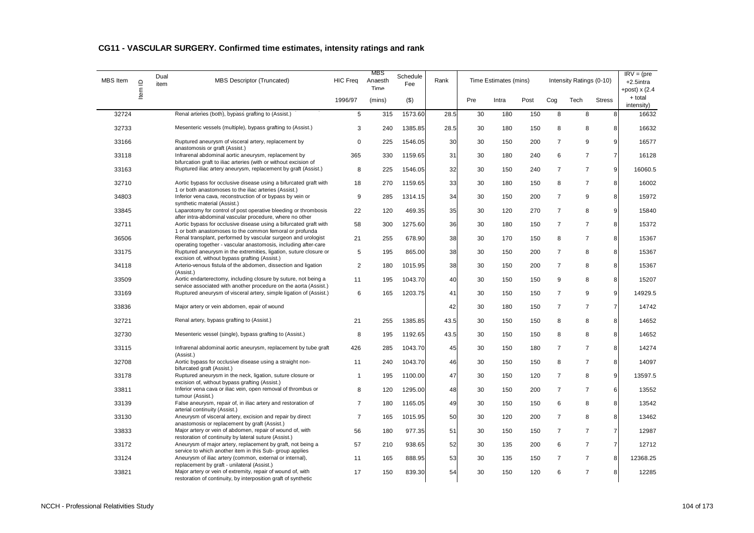| <b>MBS</b> Item | $\mathbf{\underline{\underline{o}}}$ | Dual<br>item | <b>MBS Descriptor (Truncated)</b>                                                                                                                                            | <b>HIC Freq</b> | MBS<br>Anaesth<br>Time | Schedule<br>Fee | Rank |     | Time Estimates (mins) |      |                | Intensity Ratings (0-10) |                | $\overline{\text{IR}}V = (\text{pre})$<br>$+2.5$ intra<br>+post) $x(2.4)$ |
|-----------------|--------------------------------------|--------------|------------------------------------------------------------------------------------------------------------------------------------------------------------------------------|-----------------|------------------------|-----------------|------|-----|-----------------------|------|----------------|--------------------------|----------------|---------------------------------------------------------------------------|
|                 | Item                                 |              |                                                                                                                                                                              | 1996/97         | (mins)                 | $($ \$)         |      | Pre | Intra                 | Post | Cog            | Tech                     | <b>Stress</b>  | + total<br>intensity)                                                     |
| 32724           |                                      |              | Renal arteries (both), bypass grafting to (Assist.)                                                                                                                          | 5               | 315                    | 1573.60         | 28.5 | 30  | 180                   | 150  | 8              | 8                        | 8              | 16632                                                                     |
| 32733           |                                      |              | Mesenteric vessels (multiple), bypass grafting to (Assist.)                                                                                                                  | 3               | 240                    | 1385.85         | 28.5 | 30  | 180                   | 150  | 8              | 8                        | 8              | 16632                                                                     |
| 33166           |                                      |              | Ruptured aneurysm of visceral artery, replacement by<br>anastomosis or graft (Assist.)                                                                                       | $\mathbf 0$     | 225                    | 1546.05         | 30   | 30  | 150                   | 200  | $\overline{7}$ | 9                        | 9              | 16577                                                                     |
| 33118           |                                      |              | Infrarenal abdominal aortic aneurysm, replacement by                                                                                                                         | 365             | 330                    | 1159.65         | 31   | 30  | 180                   | 240  | 6              | $\overline{7}$           | $\overline{7}$ | 16128                                                                     |
| 33163           |                                      |              | bifurcation graft to iliac arteries (with or without excision of<br>Ruptured iliac artery aneurysm, replacement by graft (Assist.)                                           | 8               | 225                    | 1546.05         | 32   | 30  | 150                   | 240  | $\overline{7}$ | $\overline{7}$           | 9              | 16060.5                                                                   |
| 32710           |                                      |              | Aortic bypass for occlusive disease using a bifurcated graft with<br>1 or both anastomoses to the iliac arteries (Assist.)                                                   | 18              | 270                    | 1159.65         | 33   | 30  | 180                   | 150  | 8              | $\overline{7}$           | 8              | 16002                                                                     |
| 34803           |                                      |              | Inferior vena cava, reconstruction of or bypass by vein or<br>synthetic material (Assist.)                                                                                   | 9               | 285                    | 1314.15         | 34   | 30  | 150                   | 200  | $\overline{7}$ | 9                        | 8              | 15972                                                                     |
| 33845           |                                      |              | Laparotomy for control of post operative bleeding or thrombosis<br>after intra-abdominal vascular procedure, where no other                                                  | 22              | 120                    | 469.35          | 35   | 30  | 120                   | 270  | $\overline{7}$ | 8                        | 9              | 15840                                                                     |
| 32711           |                                      |              | Aortic bypass for occlusive disease using a bifurcated graft with<br>1 or both anastomoses to the common femoral or profunda                                                 | 58              | 300                    | 1275.60         | 36   | 30  | 180                   | 150  | $\overline{7}$ | $\overline{7}$           | 8              | 15372                                                                     |
| 36506           |                                      |              | Renal transplant, performed by vascular surgeon and urologist<br>operating together - vascular anastomosis, including after-care                                             | 21              | 255                    | 678.90          | 38   | 30  | 170                   | 150  | 8              | $\overline{7}$           | 8              | 15367                                                                     |
| 33175           |                                      |              | Ruptured aneurysm in the extremities, ligation, suture closure or                                                                                                            | 5               | 195                    | 865.00          | 38   | 30  | 150                   | 200  | $\overline{7}$ | 8                        | 8              | 15367                                                                     |
| 34118           |                                      |              | excision of, without bypass grafting (Assist.)<br>Arterio-venous fistula of the abdomen, dissection and ligation<br>(Assist.)                                                | 2               | 180                    | 1015.95         | 38   | 30  | 150                   | 200  | $\overline{7}$ | 8                        | 8              | 15367                                                                     |
| 33509           |                                      |              | Aortic endarterectomy, including closure by suture, not being a<br>service associated with another procedure on the aorta (Assist.)                                          | 11              | 195                    | 1043.70         | 40   | 30  | 150                   | 150  | 9              | 8                        | 8              | 15207                                                                     |
| 33169           |                                      |              | Ruptured aneurysm of visceral artery, simple ligation of (Assist.)                                                                                                           | 6               | 165                    | 1203.75         | 41   | 30  | 150                   | 150  | $\overline{7}$ | 9                        | 9              | 14929.5                                                                   |
| 33836           |                                      |              | Major artery or vein abdomen, epair of wound                                                                                                                                 |                 |                        |                 | 42   | 30  | 180                   | 150  | $\overline{7}$ | $\overline{7}$           | $\overline{7}$ | 14742                                                                     |
| 32721           |                                      |              | Renal artery, bypass grafting to (Assist.)                                                                                                                                   | 21              | 255                    | 1385.85         | 43.5 | 30  | 150                   | 150  | 8              | 8                        | 8              | 14652                                                                     |
| 32730           |                                      |              | Mesenteric vessel (single), bypass grafting to (Assist.)                                                                                                                     | 8               | 195                    | 1192.65         | 43.5 | 30  | 150                   | 150  | 8              | 8                        | 8              | 14652                                                                     |
| 33115           |                                      |              | Infrarenal abdominal aortic aneurysm, replacement by tube graft<br>(Assist.)                                                                                                 | 426             | 285                    | 1043.70         | 45   | 30  | 150                   | 180  | $\overline{7}$ | $\overline{7}$           | 8              | 14274                                                                     |
| 32708           |                                      |              | Aortic bypass for occlusive disease using a straight non-<br>bifurcated graft (Assist.)                                                                                      | 11              | 240                    | 1043.70         | 46   | 30  | 150                   | 150  | 8              | $\overline{7}$           | 8              | 14097                                                                     |
| 33178           |                                      |              | Ruptured aneurysm in the neck, ligation, suture closure or<br>excision of, without bypass grafting (Assist.)                                                                 | $\mathbf{1}$    | 195                    | 1100.00         | 47   | 30  | 150                   | 120  | $\overline{7}$ | 8                        | 9              | 13597.5                                                                   |
| 33811           |                                      |              | Inferior vena cava or iliac vein, open removal of thrombus or<br>tumour (Assist.)                                                                                            | 8               | 120                    | 1295.00         | 48   | 30  | 150                   | 200  | $\overline{7}$ | $\overline{7}$           | 6              | 13552                                                                     |
| 33139           |                                      |              | False aneurysm, repair of, in iliac artery and restoration of<br>arterial continuity (Assist.)                                                                               | $\overline{7}$  | 180                    | 1165.05         | 49   | 30  | 150                   | 150  | 6              | 8                        | 8              | 13542                                                                     |
| 33130           |                                      |              | Aneurysm of visceral artery, excision and repair by direct<br>anastomosis or replacement by graft (Assist.)                                                                  | $\overline{7}$  | 165                    | 1015.95         | 50   | 30  | 120                   | 200  | $\overline{7}$ | 8                        | 8              | 13462                                                                     |
| 33833           |                                      |              | Major artery or vein of abdomen, repair of wound of, with                                                                                                                    | 56              | 180                    | 977.35          | 51   | 30  | 150                   | 150  | $\overline{7}$ | $\overline{7}$           | $\overline{7}$ | 12987                                                                     |
| 33172           |                                      |              | restoration of continuity by lateral suture (Assist.)<br>Aneurysm of major artery, replacement by graft, not being a                                                         | 57              | 210                    | 938.65          | 52   | 30  | 135                   | 200  | 6              | $\overline{7}$           | $\overline{7}$ | 12712                                                                     |
| 33124           |                                      |              | service to which another item in this Sub- group applies<br>Aneurysm of iliac artery (common, external or internal),                                                         | 11              | 165                    | 888.95          | 53   | 30  | 135                   | 150  | $\overline{7}$ | $\overline{7}$           | 8              | 12368.25                                                                  |
| 33821           |                                      |              | replacement by graft - unilateral (Assist.)<br>Major artery or vein of extremity, repair of wound of, with<br>restoration of continuity, by interposition graft of synthetic | 17              | 150                    | 839.30          | 54   | 30  | 150                   | 120  | 6              | $\overline{7}$           | 8              | 12285                                                                     |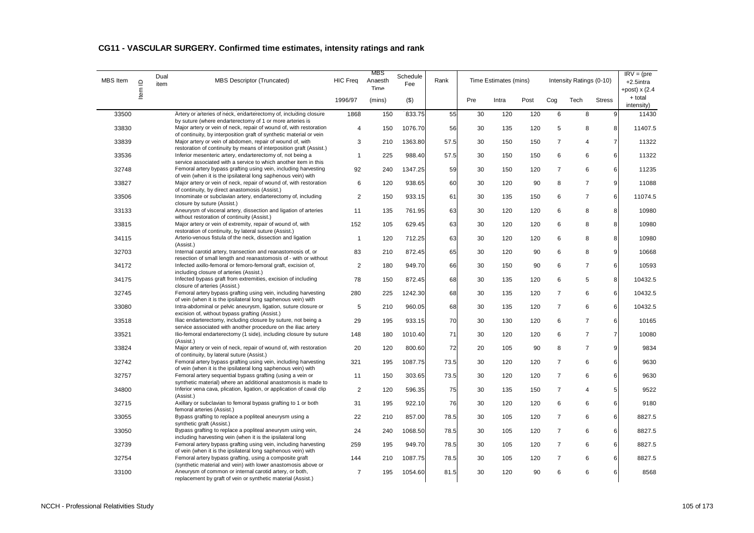| <b>MBS</b> Item | Item ID | Dual<br>item | <b>MBS Descriptor (Truncated)</b>                                                                                                  | <b>HIC Freq</b>         | MBS<br>Schedule<br>Anaesth<br>Fee<br>Time | Rank    |      | Time Estimates (mins) |       |      | Intensity Ratings (0-10) |                | $IRV = (pre$<br>$+2.5$ intra<br>+post) $x(2.4)$ |                       |
|-----------------|---------|--------------|------------------------------------------------------------------------------------------------------------------------------------|-------------------------|-------------------------------------------|---------|------|-----------------------|-------|------|--------------------------|----------------|-------------------------------------------------|-----------------------|
|                 |         |              |                                                                                                                                    | 1996/97                 | (mins)                                    | (3)     |      | Pre                   | Intra | Post | Cog                      | Tech           | <b>Stress</b>                                   | + total<br>intensity) |
| 33500           |         |              | Artery or arteries of neck, endarterectomy of, including closure                                                                   | 1868                    | 150                                       | 833.75  | 55   | 30                    | 120   | 120  | 6                        | 8              | 9                                               | 11430                 |
| 33830           |         |              | by suture (where endarterectomy of 1 or more arteries is<br>Major artery or vein of neck, repair of wound of, with restoration     | $\overline{4}$          | 150                                       | 1076.70 | 56   | 30                    | 135   | 120  | 5                        | 8              | 8                                               | 11407.5               |
|                 |         |              | of continuity, by interposition graft of synthetic material or vein                                                                |                         |                                           |         |      |                       |       |      |                          |                |                                                 |                       |
| 33839           |         |              | Major artery or vein of abdomen, repair of wound of, with                                                                          | 3                       | 210                                       | 1363.80 | 57.5 | 30                    | 150   | 150  | 7                        | 4              | $\overline{7}$                                  | 11322                 |
| 33536           |         |              | restoration of continuity by means of interposition graft (Assist.)<br>Inferior mesenteric artery, endarterectomy of, not being a  | $\mathbf{1}$            | 225                                       | 988.40  | 57.5 | 30                    | 150   | 150  | 6                        | 6              | 6                                               | 11322                 |
|                 |         |              | service associated with a service to which another item in this                                                                    |                         |                                           |         |      |                       |       |      |                          |                |                                                 |                       |
| 32748           |         |              | Femoral artery bypass grafting using vein, including harvesting<br>of vein (when it is the ipsilateral long saphenous vein) with   | 92                      | 240                                       | 1347.25 | 59   | 30                    | 150   | 120  | 7                        | 6              | 6                                               | 11235                 |
| 33827           |         |              | Major artery or vein of neck, repair of wound of, with restoration                                                                 | 6                       | 120                                       | 938.65  | 60   | 30                    | 120   | 90   | 8                        | $\overline{7}$ | 9                                               | 11088                 |
|                 |         |              | of continuity, by direct anastomosis (Assist.)                                                                                     |                         |                                           |         |      |                       |       |      |                          |                |                                                 |                       |
| 33506           |         |              | Innominate or subclavian artery, endarterectomy of, including<br>closure by suture (Assist.)                                       | $\overline{\mathbf{c}}$ | 150                                       | 933.15  | 61   | 30                    | 135   | 150  | 6                        | $\overline{7}$ | 6                                               | 11074.5               |
| 33133           |         |              | Aneurysm of visceral artery, dissection and ligation of arteries                                                                   | 11                      | 135                                       | 761.95  | 63   | 30                    | 120   | 120  | 6                        | 8              | 8                                               | 10980                 |
|                 |         |              | without restoration of continuity (Assist.)                                                                                        |                         |                                           |         |      |                       |       |      |                          |                |                                                 |                       |
| 33815           |         |              | Major artery or vein of extremity, repair of wound of, with<br>restoration of continuity, by lateral suture (Assist.)              | 152                     | 105                                       | 629.45  | 63   | 30                    | 120   | 120  | 6                        | 8              | 8                                               | 10980                 |
| 34115           |         |              | Arterio-venous fistula of the neck, dissection and ligation<br>(Assist.)                                                           | $\mathbf{1}$            | 120                                       | 712.25  | 63   | 30                    | 120   | 120  | 6                        | 8              | 8                                               | 10980                 |
| 32703           |         |              | Internal carotid artery, transection and reanastomosis of, or                                                                      | 83                      | 210                                       | 872.45  | 65   | 30                    | 120   | 90   | 6                        | 8              | 9                                               | 10668                 |
| 34172           |         |              | resection of small length and reanastomosis of - with or without<br>Infected axillo-femoral or femoro-femoral graft, excision of,  | $\overline{\mathbf{c}}$ | 180                                       | 949.70  | 66   | 30                    | 150   | 90   | 6                        | $\overline{7}$ | 6                                               | 10593                 |
|                 |         |              | including closure of arteries (Assist.)                                                                                            |                         |                                           |         |      |                       |       |      |                          |                |                                                 |                       |
| 34175           |         |              | Infected bypass graft from extremities, excision of including<br>closure of arteries (Assist.)                                     | 78                      | 150                                       | 872.45  | 68   | 30                    | 135   | 120  | 6                        | 5              | 8                                               | 10432.5               |
| 32745           |         |              | Femoral artery bypass grafting using vein, including harvesting<br>of vein (when it is the ipsilateral long saphenous vein) with   | 280                     | 225                                       | 1242.30 | 68   | 30                    | 135   | 120  | $\overline{7}$           | 6              | 6                                               | 10432.5               |
| 33080           |         |              | Intra-abdominal or pelvic aneurysm, ligation, suture closure or<br>excision of, without bypass grafting (Assist.)                  | 5                       | 210                                       | 960.05  | 68   | 30                    | 135   | 120  | $\overline{7}$           | 6              | 6                                               | 10432.5               |
| 33518           |         |              | Iliac endarterectomy, including closure by suture, not being a                                                                     | 29                      | 195                                       | 933.15  | 70   | 30                    | 130   | 120  | 6                        | $\overline{7}$ | 6                                               | 10165                 |
| 33521           |         |              | service associated with another procedure on the iliac artery<br>Ilio-femoral endarterectomy (1 side), including closure by suture | 148                     | 180                                       | 1010.40 | 71   | 30                    | 120   | 120  | 6                        | $\overline{7}$ | $\overline{7}$                                  | 10080                 |
| 33824           |         |              | (Assist.)<br>Major artery or vein of neck, repair of wound of, with restoration                                                    | 20                      | 120                                       | 800.60  | 72   | 20                    | 105   | 90   | 8                        | $\overline{7}$ | 9                                               | 9834                  |
|                 |         |              | of continuity, by lateral suture (Assist.)                                                                                         |                         |                                           |         |      |                       |       |      |                          |                |                                                 |                       |
| 32742           |         |              | Femoral artery bypass grafting using vein, including harvesting<br>of vein (when it is the ipsilateral long saphenous vein) with   | 321                     | 195                                       | 1087.75 | 73.5 | 30                    | 120   | 120  | $\overline{7}$           | 6              | 6                                               | 9630                  |
| 32757           |         |              | Femoral artery sequential bypass grafting (using a vein or                                                                         | 11                      | 150                                       | 303.65  | 73.5 | 30                    | 120   | 120  | $\overline{7}$           | 6              | 6                                               | 9630                  |
|                 |         |              | synthetic material) where an additional anastomosis is made to                                                                     |                         |                                           |         |      |                       |       |      |                          |                |                                                 |                       |
| 34800           |         |              | Inferior vena cava, plication, ligation, or application of caval clip<br>(Assist.)                                                 | 2                       | 120                                       | 596.35  | 75   | 30                    | 135   | 150  | $\overline{7}$           | 4              | 5                                               | 9522                  |
| 32715           |         |              | Axillary or subclavian to femoral bypass grafting to 1 or both                                                                     | 31                      | 195                                       | 922.10  | 76   | 30                    | 120   | 120  | 6                        | 6              | 6                                               | 9180                  |
|                 |         |              | femoral arteries (Assist.)                                                                                                         |                         |                                           |         |      |                       |       |      |                          |                |                                                 |                       |
| 33055           |         |              | Bypass grafting to replace a popliteal aneurysm using a<br>synthetic graft (Assist.)                                               | 22                      | 210                                       | 857.00  | 78.5 | 30                    | 105   | 120  | 7                        | 6              | 6                                               | 8827.5                |
| 33050           |         |              | Bypass grafting to replace a popliteal aneurysm using vein,                                                                        | 24                      | 240                                       | 1068.50 | 78.5 | 30                    | 105   | 120  | $\overline{7}$           | 6              | 6                                               | 8827.5                |
|                 |         |              | including harvesting vein (when it is the ipsilateral long                                                                         |                         |                                           |         |      |                       |       |      |                          |                |                                                 |                       |
| 32739           |         |              | Femoral artery bypass grafting using vein, including harvesting<br>of vein (when it is the ipsilateral long saphenous vein) with   | 259                     | 195                                       | 949.70  | 78.5 | 30                    | 105   | 120  | $\boldsymbol{7}$         | 6              | 6                                               | 8827.5                |
| 32754           |         |              | Femoral artery bypass grafting, using a composite graft                                                                            | 144                     | 210                                       | 1087.75 | 78.5 | 30                    | 105   | 120  | $\boldsymbol{7}$         | 6              | 6                                               | 8827.5                |
|                 |         |              | (synthetic material and vein) with lower anastomosis above or                                                                      |                         |                                           |         |      |                       |       |      |                          |                |                                                 |                       |
| 33100           |         |              | Aneurysm of common or internal carotid artery, or both,<br>replacement by graft of vein or synthetic material (Assist.)            | $\overline{7}$          | 195                                       | 1054.60 | 81.5 | 30                    | 120   | 90   | 6                        | 6              | 6                                               | 8568                  |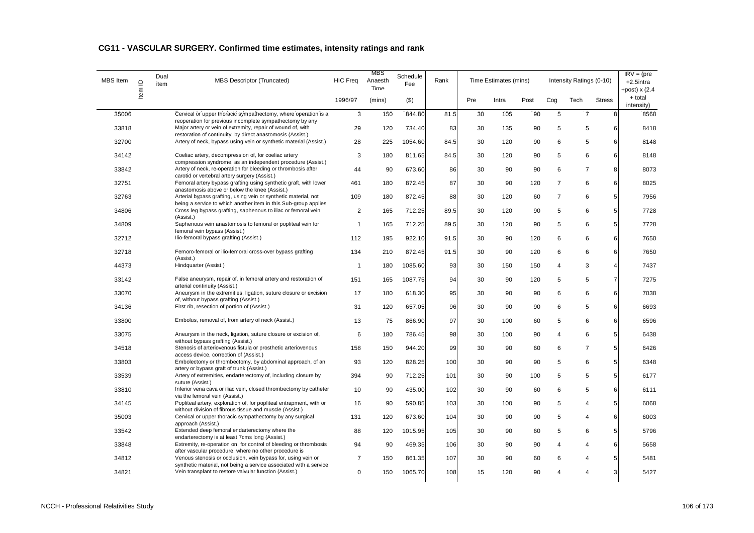| <b>MBS</b> Item | $\supseteq$ | Dual<br>item | <b>MBS Descriptor (Truncated)</b>                                                                                                                                                     | <b>HIC Freq</b> | <b>MBS</b><br>Schedule<br>Anaesth<br>Fee<br>Time | Rank    |      | Time Estimates (mins) |       |      | Intensity Ratings (0-10) | $IRV = (pre$<br>+2.5intra<br>+post) $x(2.4)$ |                |                       |
|-----------------|-------------|--------------|---------------------------------------------------------------------------------------------------------------------------------------------------------------------------------------|-----------------|--------------------------------------------------|---------|------|-----------------------|-------|------|--------------------------|----------------------------------------------|----------------|-----------------------|
|                 | ltem        |              |                                                                                                                                                                                       | 1996/97         | (mins)                                           | $($ \$) |      | Pre                   | Intra | Post | Cog                      | Tech                                         | <b>Stress</b>  | + total<br>intensity) |
| 35006           |             |              | Cervical or upper thoracic sympathectomy, where operation is a                                                                                                                        | 3               | 150                                              | 844.80  | 81.5 | 30                    | 105   | 90   | 5                        | $\overline{7}$                               | 8              | 8568                  |
| 33818           |             |              | reoperation for previous incomplete sympathectomy by any<br>Major artery or vein of extremity, repair of wound of, with<br>restoration of continuity, by direct anastomosis (Assist.) | 29              | 120                                              | 734.40  | 83   | 30                    | 135   | 90   | 5                        | 5                                            | 6              | 8418                  |
| 32700           |             |              | Artery of neck, bypass using vein or synthetic material (Assist.)                                                                                                                     | 28              | 225                                              | 1054.60 | 84.5 | 30                    | 120   | 90   | 6                        | 5                                            | 6              | 8148                  |
| 34142           |             |              | Coeliac artery, decompression of, for coeliac artery<br>compression syndrome, as an independent procedure (Assist.)                                                                   | 3               | 180                                              | 811.65  | 84.5 | 30                    | 120   | 90   | 5                        | 6                                            | 6              | 8148                  |
| 33842           |             |              | Artery of neck, re-operation for bleeding or thrombosis after<br>carotid or vertebral artery surgery (Assist.)                                                                        | 44              | 90                                               | 673.60  | 86   | 30                    | 90    | 90   | 6                        | $\overline{7}$                               | 8              | 8073                  |
| 32751           |             |              | Femoral artery bypass grafting using synthetic graft, with lower<br>anastomosis above or below the knee (Assist.)                                                                     | 461             | 180                                              | 872.45  | 87   | 30                    | 90    | 120  | $\overline{7}$           | 6                                            | 6              | 8025                  |
| 32763           |             |              | Arterial bypass grafting, using vein or synthetic material, not<br>being a service to which another item in this Sub-group applies                                                    | 109             | 180                                              | 872.45  | 88   | 30                    | 120   | 60   | $\overline{7}$           | 6                                            | 5              | 7956                  |
| 34806           |             |              | Cross leg bypass grafting, saphenous to iliac or femoral vein<br>(Assist.)                                                                                                            | $\overline{2}$  | 165                                              | 712.25  | 89.5 | 30                    | 120   | 90   | 5                        | 6                                            | 5              | 7728                  |
| 34809           |             |              | Saphenous vein anastomosis to femoral or popliteal vein for<br>femoral vein bypass (Assist.)                                                                                          | $\mathbf{1}$    | 165                                              | 712.25  | 89.5 | 30                    | 120   | 90   | 5                        | 6                                            | 5              | 7728                  |
| 32712           |             |              | Ilio-femoral bypass grafting (Assist.)                                                                                                                                                | 112             | 195                                              | 922.10  | 91.5 | 30                    | 90    | 120  | 6                        | 6                                            | 6              | 7650                  |
| 32718           |             |              | Femoro-femoral or ilio-femoral cross-over bypass grafting<br>(Assist.)                                                                                                                | 134             | 210                                              | 872.45  | 91.5 | 30                    | 90    | 120  | 6                        | 6                                            | 6              | 7650                  |
| 44373           |             |              | Hindquarter (Assist.)                                                                                                                                                                 | $\mathbf 1$     | 180                                              | 1085.60 | 93   | 30                    | 150   | 150  | 4                        | 3                                            | $\overline{4}$ | 7437                  |
| 33142           |             |              | False aneurysm, repair of, in femoral artery and restoration of<br>arterial continuity (Assist.)                                                                                      | 151             | 165                                              | 1087.75 | 94   | 30                    | 90    | 120  | 5                        | 5                                            | $\overline{7}$ | 7275                  |
| 33070           |             |              | Aneurysm in the extremities, ligation, suture closure or excision<br>of, without bypass grafting (Assist.)                                                                            | 17              | 180                                              | 618.30  | 95   | 30                    | 90    | 90   | 6                        | 6                                            | 6              | 7038                  |
| 34136           |             |              | First rib, resection of portion of (Assist.)                                                                                                                                          | 31              | 120                                              | 657.05  | 96   | 30                    | 90    | 90   | 6                        | 5                                            | 6              | 6693                  |
| 33800           |             |              | Embolus, removal of, from artery of neck (Assist.)                                                                                                                                    | 13              | 75                                               | 866.90  | 97   | 30                    | 100   | 60   | 5                        | 6                                            | 6              | 6596                  |
| 33075           |             |              | Aneurysm in the neck, ligation, suture closure or excision of,<br>without bypass grafting (Assist.)                                                                                   | 6               | 180                                              | 786.45  | 98   | 30                    | 100   | 90   | 4                        | 6                                            | 5              | 6438                  |
| 34518           |             |              | Stenosis of arteriovenous fistula or prosthetic arteriovenous<br>access device, correction of (Assist.)                                                                               | 158             | 150                                              | 944.20  | 99   | 30                    | 90    | 60   | 6                        | $\overline{7}$                               | 5              | 6426                  |
| 33803           |             |              | Embolectomy or thrombectomy, by abdominal approach, of an<br>artery or bypass graft of trunk (Assist.)                                                                                | 93              | 120                                              | 828.25  | 100  | 30                    | 90    | 90   | 5                        | 6                                            | 5              | 6348                  |
| 33539           |             |              | Artery of extremities, endarterectomy of, including closure by<br>suture (Assist.)                                                                                                    | 394             | 90                                               | 712.25  | 101  | 30                    | 90    | 100  | 5                        | 5                                            | 5              | 6177                  |
| 33810           |             |              | Inferior vena cava or iliac vein, closed thrombectomy by catheter<br>via the femoral vein (Assist.)                                                                                   | 10              | 90                                               | 435.00  | 102  | 30                    | 90    | 60   | 6                        | 5                                            | 6              | 6111                  |
| 34145           |             |              | Popliteal artery, exploration of, for popliteal entrapment, with or                                                                                                                   | 16              | 90                                               | 590.85  | 103  | 30                    | 100   | 90   | 5                        | $\overline{4}$                               | 5              | 6068                  |
| 35003           |             |              | without division of fibrous tissue and muscle (Assist.)<br>Cervical or upper thoracic sympathectomy by any surgical                                                                   | 131             | 120                                              | 673.60  | 104  | 30                    | 90    | 90   | 5                        | $\overline{4}$                               | 6              | 6003                  |
| 33542           |             |              | approach (Assist.)<br>Extended deep femoral endarterectomy where the                                                                                                                  | 88              | 120                                              | 1015.95 | 105  | 30                    | 90    | 60   | 5                        | 6                                            | 5              | 5796                  |
| 33848           |             |              | endarterectomy is at least 7cms long (Assist.)<br>Extremity, re-operation on, for control of bleeding or thrombosis                                                                   | 94              | 90                                               | 469.35  | 106  | 30                    | 90    | 90   | $\overline{4}$           | 4                                            | 6              | 5658                  |
| 34812           |             |              | after vascular procedure, where no other procedure is<br>Venous stenosis or occlusion, vein bypass for, using vein or                                                                 | 7               | 150                                              | 861.35  | 107  | 30                    | 90    | 60   | 6                        | 4                                            | 5              | 5481                  |
| 34821           |             |              | synthetic material, not being a service associated with a service<br>Vein transplant to restore valvular function (Assist.)                                                           | 0               | 150                                              | 1065.70 | 108  | 15                    | 120   | 90   | $\Delta$                 | $\overline{\mathbf{A}}$                      | 3              | 5427                  |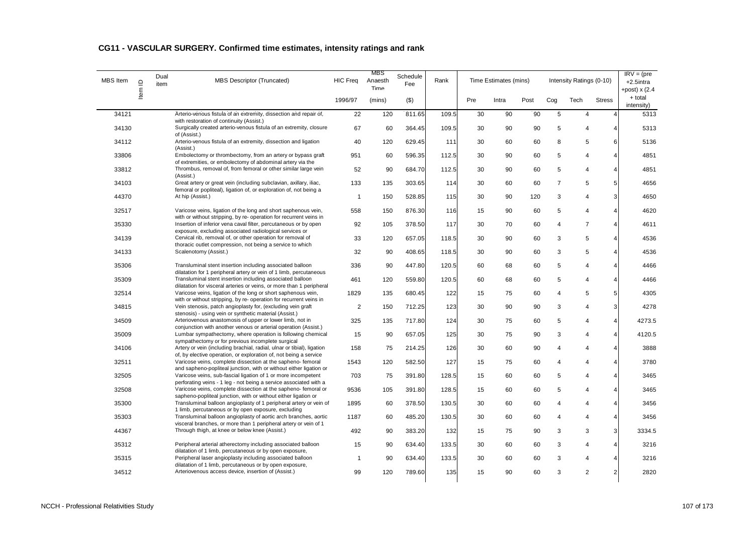| MBS Item | $\mathbf{\underline{o}}$<br>Item | Dual<br>item | <b>MBS Descriptor (Truncated)</b>                                                                                                           | <b>HIC Freq</b> | MBS<br>Schedule<br>Anaesth<br>Fee<br>Time |         | Rank  | Time Estimates (mins) |       |      |                | Intensity Ratings (0-10) | $\overline{\text{IR}}V = (\text{pre})$<br>$+2.5$ intra<br>+post) $x(2.4)$ |                       |
|----------|----------------------------------|--------------|---------------------------------------------------------------------------------------------------------------------------------------------|-----------------|-------------------------------------------|---------|-------|-----------------------|-------|------|----------------|--------------------------|---------------------------------------------------------------------------|-----------------------|
|          |                                  |              |                                                                                                                                             | 1996/97         | (mins)                                    | $($ \$) |       | Pre                   | Intra | Post | Cog            | Tech                     | <b>Stress</b>                                                             | + total<br>intensity) |
| 34121    |                                  |              | Arterio-venous fistula of an extremity, dissection and repair of,                                                                           | 22              | 120                                       | 811.65  | 109.5 | 30                    | 90    | 90   | 5              | $\overline{4}$           | 4                                                                         | 5313                  |
| 34130    |                                  |              | with restoration of continuity (Assist.)<br>Surgically created arterio-venous fistula of an extremity, closure<br>of (Assist.)              | 67              | 60                                        | 364.45  | 109.5 | 30                    | 90    | 90   | 5              | 4                        | 4                                                                         | 5313                  |
| 34112    |                                  |              | Arterio-venous fistula of an extremity, dissection and ligation<br>(Assist.)                                                                | 40              | 120                                       | 629.45  | 111   | 30                    | 60    | 60   | 8              | 5                        | 6                                                                         | 5136                  |
| 33806    |                                  |              | Embolectomy or thrombectomy, from an artery or bypass graft                                                                                 | 951             | 60                                        | 596.35  | 112.5 | 30                    | 90    | 60   | 5              | 4                        | 4                                                                         | 4851                  |
| 33812    |                                  |              | of extremities, or embolectomy of abdominal artery via the<br>Thrombus, removal of, from femoral or other similar large vein<br>(Assist.)   | 52              | 90                                        | 684.70  | 112.5 | 30                    | 90    | 60   | 5              | 4                        | 4                                                                         | 4851                  |
| 34103    |                                  |              | Great artery or great vein (including subclavian, axillary, iliac,<br>femoral or popliteal), ligation of, or exploration of, not being a    | 133             | 135                                       | 303.65  | 114   | 30                    | 60    | 60   | $\overline{7}$ | 5                        | 5 <sup>1</sup>                                                            | 4656                  |
| 44370    |                                  |              | At hip (Assist.)                                                                                                                            | $\mathbf{1}$    | 150                                       | 528.85  | 115   | 30                    | 90    | 120  | 3              | 4                        | 3                                                                         | 4650                  |
| 32517    |                                  |              | Varicose veins, ligation of the long and short saphenous vein,<br>with or without stripping, by re- operation for recurrent veins in        | 558             | 150                                       | 876.30  | 116   | 15                    | 90    | 60   | 5              | 4                        | $\overline{\mathbf{4}}$                                                   | 4620                  |
| 35330    |                                  |              | Insertion of inferior vena caval filter, percutaneous or by open<br>exposure, excluding associated radiological services or                 | 92              | 105                                       | 378.50  | 117   | 30                    | 70    | 60   | 4              | $\overline{7}$           | $\overline{4}$                                                            | 4611                  |
| 34139    |                                  |              | Cervical rib, removal of, or other operation for removal of<br>thoracic outlet compression, not being a service to which                    | 33              | 120                                       | 657.05  | 118.5 | 30                    | 90    | 60   | 3              | 5                        | 4                                                                         | 4536                  |
| 34133    |                                  |              | Scalenotomy (Assist.)                                                                                                                       | 32              | 90                                        | 408.65  | 118.5 | 30                    | 90    | 60   | 3              | 5                        | $\overline{4}$                                                            | 4536                  |
| 35306    |                                  |              | Transluminal stent insertion including associated balloon<br>dilatation for 1 peripheral artery or vein of 1 limb, percutaneous             | 336             | 90                                        | 447.80  | 120.5 | 60                    | 68    | 60   | 5              | 4                        | $\overline{\mathbf{4}}$                                                   | 4466                  |
| 35309    |                                  |              | Transluminal stent insertion including associated balloon<br>dilatation for visceral arteries or veins, or more than 1 peripheral           | 461             | 120                                       | 559.80  | 120.5 | 60                    | 68    | 60   | 5              | 4                        | $\overline{4}$                                                            | 4466                  |
| 32514    |                                  |              | Varicose veins, ligation of the long or short saphenous vein,<br>with or without stripping, by re- operation for recurrent veins in         | 1829            | 135                                       | 680.45  | 122   | 15                    | 75    | 60   | 4              | 5                        | 5                                                                         | 4305                  |
| 34815    |                                  |              | Vein stenosis, patch angioplasty for, (excluding vein graft<br>stenosis) - using vein or synthetic material (Assist.)                       | $\overline{2}$  | 150                                       | 712.25  | 123   | 30                    | 90    | 90   | 3              | 4                        | 3                                                                         | 4278                  |
| 34509    |                                  |              | Arteriovenous anastomosis of upper or lower limb, not in<br>conjunction with another venous or arterial operation (Assist.)                 | 325             | 135                                       | 717.80  | 124   | 30                    | 75    | 60   | 5              | 4                        | $\overline{\mathbf{4}}$                                                   | 4273.5                |
| 35009    |                                  |              | Lumbar sympathectomy, where operation is following chemical<br>sympathectomy or for previous incomplete surgical                            | 15              | 90                                        | 657.05  | 125   | 30                    | 75    | 90   | 3              | 4                        | $\overline{4}$                                                            | 4120.5                |
| 34106    |                                  |              | Artery or vein (including brachial, radial, ulnar or tibial), ligation<br>of, by elective operation, or exploration of, not being a service | 158             | 75                                        | 214.25  | 126   | 30                    | 60    | 90   | 4              | 4                        | 4                                                                         | 3888                  |
| 32511    |                                  |              | Varicose veins, complete dissection at the sapheno- femoral<br>and sapheno-popliteal junction, with or without either ligation or           | 1543            | 120                                       | 582.50  | 127   | 15                    | 75    | 60   | 4              | 4                        | $\overline{4}$                                                            | 3780                  |
| 32505    |                                  |              | Varicose veins, sub-fascial ligation of 1 or more incompetent<br>perforating veins - 1 leg - not being a service associated with a          | 703             | 75                                        | 391.80  | 128.5 | 15                    | 60    | 60   | 5              | 4                        | 4                                                                         | 3465                  |
| 32508    |                                  |              | Varicose veins, complete dissection at the sapheno-femoral or<br>sapheno-popliteal junction, with or without either ligation or             | 9536            | 105                                       | 391.80  | 128.5 | 15                    | 60    | 60   | 5              | 4                        | 4                                                                         | 3465                  |
| 35300    |                                  |              | Transluminal balloon angioplasty of 1 peripheral artery or vein of<br>1 limb, percutaneous or by open exposure, excluding                   | 1895            | 60                                        | 378.50  | 130.5 | 30                    | 60    | 60   | 4              | 4                        | 4                                                                         | 3456                  |
| 35303    |                                  |              | Transluminal balloon angioplasty of aortic arch branches, aortic<br>visceral branches, or more than 1 peripheral artery or vein of 1        | 1187            | 60                                        | 485.20  | 130.5 | 30                    | 60    | 60   | 4              | 4                        | 4                                                                         | 3456                  |
| 44367    |                                  |              | Through thigh, at knee or below knee (Assist.)                                                                                              | 492             | 90                                        | 383.20  | 132   | 15                    | 75    | 90   | 3              | 3                        | $\overline{3}$                                                            | 3334.5                |
| 35312    |                                  |              | Peripheral arterial atherectomy including associated balloon<br>dilatation of 1 limb, percutaneous or by open exposure,                     | 15              | 90                                        | 634.40  | 133.5 | 30                    | 60    | 60   | 3              | 4                        | 4                                                                         | 3216                  |
| 35315    |                                  |              | Peripheral laser angioplasty including associated balloon                                                                                   | $\mathbf{1}$    | 90                                        | 634.40  | 133.5 | 30                    | 60    | 60   | 3              | 4                        | 4                                                                         | 3216                  |
| 34512    |                                  |              | dilatation of 1 limb, percutaneous or by open exposure,<br>Arteriovenous access device, insertion of (Assist.)                              | 99              | 120                                       | 789.60  | 135   | 15                    | 90    | 60   | 3              | $\overline{2}$           | $\overline{2}$                                                            | 2820                  |
|          |                                  |              |                                                                                                                                             |                 |                                           |         |       |                       |       |      |                |                          |                                                                           |                       |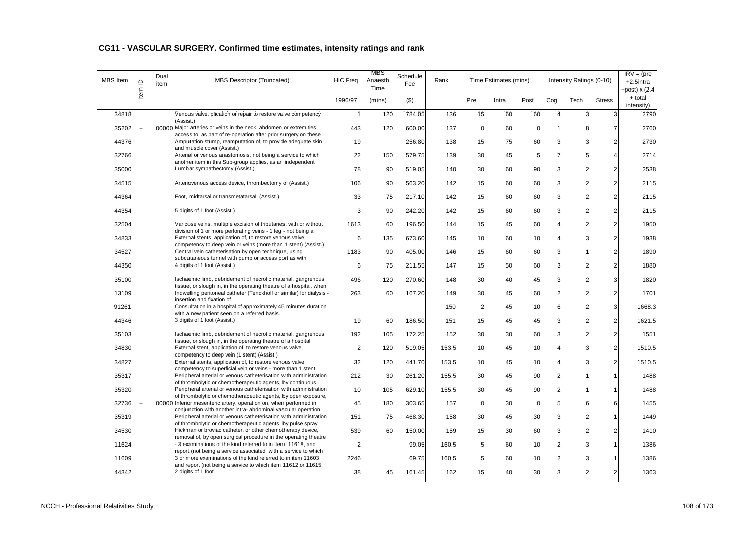| <b>MBS</b> Item | $\supseteq$ | Dual<br>item | <b>MBS Descriptor (Truncated)</b>                                                                                                                                                              | <b>HIC Freq</b> | <b>MBS</b><br>Anaesth<br>Time | Schedule<br>Fee | Rank  |                | Time Estimates (mins) |             |                | Intensity Ratings (0-10) |                | $\overline{\text{IRV}} = (\text{pre})$<br>$+2.5$ intra<br>+post) $x(2.4)$ |
|-----------------|-------------|--------------|------------------------------------------------------------------------------------------------------------------------------------------------------------------------------------------------|-----------------|-------------------------------|-----------------|-------|----------------|-----------------------|-------------|----------------|--------------------------|----------------|---------------------------------------------------------------------------|
|                 | Item        |              |                                                                                                                                                                                                | 1996/97         | (mins)                        | $($ \$)         |       | Pre            | Intra                 | Post        | Cog            | Tech                     | <b>Stress</b>  | + total<br>intensity)                                                     |
| 34818           |             |              | Venous valve, plication or repair to restore valve competency                                                                                                                                  | $\mathbf{1}$    | 120                           | 784.05          | 136   | 15             | 60                    | 60          | $\overline{4}$ | 3                        | 3              | 2790                                                                      |
| 35202           | $\ddot{}$   |              | (Assist.)<br>00000 Major arteries or veins in the neck, abdomen or extremities,                                                                                                                | 443             | 120                           | 600.00          | 137   | $\mathsf 0$    | 60                    | $\mathsf 0$ | $\overline{1}$ | 8                        | $\overline{7}$ | 2760                                                                      |
| 44376           |             |              | access to, as part of re-operation after prior surgery on these<br>Amputation stump, reamputation of, to provide adequate skin                                                                 | 19              |                               | 256.80          | 138   | 15             | 75                    | 60          | 3              | 3                        | $\overline{c}$ | 2730                                                                      |
| 32766           |             |              | and muscle cover (Assist.)<br>Arterial or venous anastomosis, not being a service to which                                                                                                     | 22              | 150                           | 579.75          | 139   | 30             | 45                    | 5           | $\overline{7}$ | 5                        | $\overline{4}$ | 2714                                                                      |
| 35000           |             |              | another item in this Sub-group applies, as an independent<br>Lumbar sympathectomy (Assist.)                                                                                                    | 78              | 90                            | 519.05          | 140   | 30             | 60                    | 90          | 3              | 2                        | $\overline{c}$ | 2538                                                                      |
| 34515           |             |              | Arteriovenous access device, thrombectomy of (Assist.)                                                                                                                                         | 106             | 90                            | 563.20          | 142   | 15             | 60                    | 60          | 3              | 2                        | $\overline{2}$ | 2115                                                                      |
| 44364           |             |              | Foot, midtarsal or transmetatarsal (Assist.)                                                                                                                                                   | 33              | 75                            | 217.10          | 142   | 15             | 60                    | 60          | 3              | 2                        | $\overline{c}$ | 2115                                                                      |
| 44354           |             |              | 5 digits of 1 foot (Assist.)                                                                                                                                                                   | 3               | 90                            | 242.20          | 142   | 15             | 60                    | 60          | 3              | $\overline{c}$           | $\overline{c}$ | 2115                                                                      |
| 32504           |             |              | Varicose veins, multiple excision of tributaries, with or without<br>division of 1 or more perforating veins - 1 leg - not being a                                                             | 1613            | 60                            | 196.50          | 144   | 15             | 45                    | 60          | $\overline{4}$ | 2                        | $\overline{c}$ | 1950                                                                      |
| 34833           |             |              | External stents, application of, to restore venous valve<br>competency to deep vein or veins (more than 1 stent) (Assist.)                                                                     | 6               | 135                           | 673.60          | 145   | 10             | 60                    | 10          | $\overline{4}$ | 3                        | $\overline{c}$ | 1938                                                                      |
| 34527           |             |              | Central vein catheterisation by open technique, using<br>subcutaneous tunnel with pump or access port as with                                                                                  | 1183            | 90                            | 405.00          | 146   | 15             | 60                    | 60          | 3              | $\overline{1}$           | $\overline{c}$ | 1890                                                                      |
| 44350           |             |              | 4 digits of 1 foot (Assist.)                                                                                                                                                                   | 6               | 75                            | 211.55          | 147   | 15             | 50                    | 60          | 3              | $\overline{2}$           | $\overline{2}$ | 1880                                                                      |
| 35100           |             |              | Ischaemic limb, debridement of necrotic material, gangrenous<br>tissue, or slough in, in the operating theatre of a hospital, when                                                             | 496             | 120                           | 270.60          | 148   | 30             | 40                    | 45          | 3              | 2                        | 3              | 1820                                                                      |
| 13109           |             |              | Indwelling peritoneal catheter (Tenckhoff or similar) for dialysis -<br>insertion and fixation of                                                                                              | 263             | 60                            | 167.20          | 149   | 30             | 45                    | 60          | $\overline{2}$ | 2                        | $\overline{c}$ | 1701                                                                      |
| 91261           |             |              | Consultation in a hospital of approximately 45 minutes duration<br>with a new patient seen on a referred basis.                                                                                |                 |                               |                 | 150   | $\overline{2}$ | 45                    | 10          | 6              | $\overline{2}$           | 3              | 1668.3                                                                    |
| 44346           |             |              | 3 digits of 1 foot (Assist.)                                                                                                                                                                   | 19              | 60                            | 186.50          | 151   | 15             | 45                    | 45          | 3              | $\overline{2}$           | $\overline{2}$ | 1621.5                                                                    |
| 35103           |             |              | Ischaemic limb, debridement of necrotic material, gangrenous<br>tissue, or slough in, in the operating theatre of a hospital,                                                                  | 192             | 105                           | 172.25          | 152   | 30             | 30                    | 60          | 3              | $\overline{2}$           | $\overline{c}$ | 1551                                                                      |
| 34830           |             |              | External stent, application of, to restore venous valve<br>competency to deep vein (1 stent) (Assist.)                                                                                         | $\overline{2}$  | 120                           | 519.05          | 153.5 | 10             | 45                    | 10          | $\overline{4}$ | 3                        | $\overline{c}$ | 1510.5                                                                    |
| 34827           |             |              | External stents, application of, to restore venous valve<br>competency to superficial vein or veins - more than 1 stent                                                                        | 32              | 120                           | 441.70          | 153.5 | 10             | 45                    | 10          | 4              | 3                        | $\overline{2}$ | 1510.5                                                                    |
| 35317           |             |              | Peripheral arterial or venous catheterisation with administration<br>of thrombolytic or chemotherapeutic agents, by continuous                                                                 | 212             | 30                            | 261.20          | 155.5 | 30             | 45                    | 90          | $\overline{2}$ | $\overline{1}$           | $\mathbf{1}$   | 1488                                                                      |
| 35320           |             |              | Peripheral arterial or venous catheterisation with administration<br>of thrombolytic or chemotherapeutic agents, by open exposure,                                                             | 10              | 105                           | 629.10          | 155.5 | 30             | 45                    | 90          | $\overline{2}$ | $\mathbf{1}$             | $\mathbf{1}$   | 1488                                                                      |
| 32736           | $+$         |              | 00000 Inferior mesenteric artery, operation on, when performed in<br>conjunction with another intra- abdominal vascular operation                                                              | 45              | 180                           | 303.65          | 157   | $\mathbf 0$    | 30                    | 0           | 5              | 6                        | 6              | 1455                                                                      |
| 35319           |             |              | Peripheral arterial or venous catheterisation with administration<br>of thrombolytic or chemotherapeutic agents, by pulse spray                                                                | 151             | 75                            | 468.30          | 158   | 30             | 45                    | 30          | 3              | $\overline{2}$           | $\mathbf{1}$   | 1449                                                                      |
| 34530           |             |              | Hickman or broviac catheter, or other chemotherapy device,<br>removal of, by open surgical procedure in the operating theatre                                                                  | 539             | 60                            | 150.00          | 159   | 15             | 30                    | 60          | 3              | $\overline{2}$           | $\overline{2}$ | 1410                                                                      |
| 11624           |             |              | - 3 examinations of the kind referred to in item 11618, and                                                                                                                                    | $\overline{2}$  |                               | 99.05           | 160.5 | 5              | 60                    | 10          | $\overline{2}$ | 3                        | $\mathbf{1}$   | 1386                                                                      |
| 11609           |             |              | report (not being a service associated with a service to which<br>3 or more examinations of the kind referred to in item 11603<br>and report (not being a service to which item 11612 or 11615 | 2246            |                               | 69.75           | 160.5 | 5              | 60                    | 10          | $\overline{2}$ | 3                        | $\overline{1}$ | 1386                                                                      |
| 44342           |             |              | 2 digits of 1 foot                                                                                                                                                                             | 38              | 45                            | 161.45          | 162   | 15             | 40                    | 30          | 3              | 2                        | $\overline{2}$ | 1363                                                                      |

## **CG11 - VASCULAR SURGERY. Confirmed time estimates, intensity ratings and rank**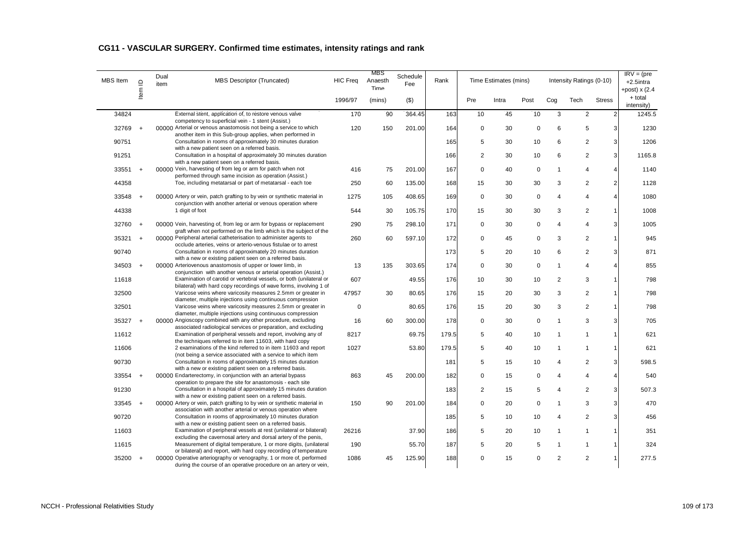## **CG11 - VASCULAR SURGERY. Confirmed time estimates, intensity ratings and rank**

| <b>MBS</b> Item | $\supseteq$ | Dual<br>item | <b>MBS Descriptor (Truncated)</b>                                                                                                                                                                              | <b>HIC Freq</b> | <b>MBS</b><br>Anaesth<br>Time | Schedule<br>Fee | Rank  |                | Time Estimates (mins) |             |                | Intensity Ratings (0-10) |                | $IRV = (pre$<br>+2.5intra<br>+post) $x(2.4)$ |
|-----------------|-------------|--------------|----------------------------------------------------------------------------------------------------------------------------------------------------------------------------------------------------------------|-----------------|-------------------------------|-----------------|-------|----------------|-----------------------|-------------|----------------|--------------------------|----------------|----------------------------------------------|
|                 | ltem        |              |                                                                                                                                                                                                                | 1996/97         | (mins)                        | $($ \$)         |       | Pre            | Intra                 | Post        | Cog            | Tech                     | <b>Stress</b>  | + total<br>intensity)                        |
| 34824           |             |              | External stent, application of, to restore venous valve<br>competency to superficial vein - 1 stent (Assist.)                                                                                                  | 170             | 90                            | 364.45          | 163   | 10             | 45                    | 10          | 3              | $\overline{2}$           | $\overline{2}$ | 1245.5                                       |
| 32769           | $+$         |              | 00000 Arterial or venous anastomosis not being a service to which<br>another item in this Sub-group applies, when performed in                                                                                 | 120             | 150                           | 201.00          | 164   | $\mathbf 0$    | 30                    | 0           | 6              | 5                        | 3              | 1230                                         |
| 90751           |             |              | Consultation in rooms of approximately 30 minutes duration                                                                                                                                                     |                 |                               |                 | 165   | 5              | 30                    | 10          | 6              | 2                        | 3              | 1206                                         |
| 91251           |             |              | with a new patient seen on a referred basis.<br>Consultation in a hospital of approximately 30 minutes duration<br>with a new patient seen on a referred basis.                                                |                 |                               |                 | 166   | $\overline{2}$ | 30                    | 10          | 6              | 2                        | 3              | 1165.8                                       |
| 33551           | $+$         |              | 00000 Vein, harvesting of from leg or arm for patch when not                                                                                                                                                   | 416             | 75                            | 201.00          | 167   | $\Omega$       | 40                    | $\mathbf 0$ | $\overline{1}$ | 4                        | $\overline{4}$ | 1140                                         |
| 44358           |             |              | performed through same incision as operation (Assist.)<br>Toe, including metatarsal or part of metatarsal - each toe                                                                                           | 250             | 60                            | 135.00          | 168   | 15             | 30                    | 30          | 3              | 2                        | $\overline{c}$ | 1128                                         |
| 33548           | $+$         |              | 00000 Artery or vein, patch grafting to by vein or synthetic material in<br>conjunction with another arterial or venous operation where                                                                        | 1275            | 105                           | 408.65          | 169   | $\mathbf 0$    | 30                    | 0           | $\overline{4}$ | 4                        | $\overline{4}$ | 1080                                         |
| 44338           |             |              | 1 digit of foot                                                                                                                                                                                                | 544             | 30                            | 105.75          | 170   | 15             | 30                    | 30          | 3              | 2                        | $\mathbf{1}$   | 1008                                         |
| 32760 +         |             |              | 00000 Vein, harvesting of, from leg or arm for bypass or replacement<br>graft when not performed on the limb which is the subject of the                                                                       | 290             | 75                            | 298.10          | 171   | $\mathbf 0$    | 30                    | $\mathbf 0$ | $\overline{4}$ | 4                        | 3              | 1005                                         |
| 35321           | $+$         |              | 00000 Peripheral arterial catheterisation to administer agents to                                                                                                                                              | 260             | 60                            | 597.10          | 172   | $\mathbf 0$    | 45                    | 0           | 3              | $\overline{2}$           | $\overline{1}$ | 945                                          |
| 90740           |             |              | occlude arteries, veins or arterio-venous fistulae or to arrest<br>Consultation in rooms of approximately 20 minutes duration<br>with a new or existing patient seen on a referred basis.                      |                 |                               |                 | 173   | 5              | 20                    | 10          | 6              | $\overline{2}$           | 3              | 871                                          |
| 34503           | $+$         |              | 00000 Arteriovenous anastomosis of upper or lower limb, in                                                                                                                                                     | 13              | 135                           | 303.65          | 174   | $\Omega$       | 30                    | $\mathbf 0$ | $\overline{1}$ | $\boldsymbol{\Delta}$    | $\overline{4}$ | 855                                          |
| 11618           |             |              | conjunction with another venous or arterial operation (Assist.)<br>Examination of carotid or vertebral vessels, or both (unilateral or                                                                         | 607             |                               | 49.55           | 176   | 10             | 30                    | 10          | $\overline{2}$ | 3                        | $\mathbf{1}$   | 798                                          |
| 32500           |             |              | bilateral) with hard copy recordings of wave forms, involving 1 of<br>Varicose veins where varicosity measures 2.5mm or greater in                                                                             | 47957           | 30                            | 80.65           | 176   | 15             | 20                    | 30          | 3              | 2                        | $\overline{1}$ | 798                                          |
|                 |             |              | diameter, multiple injections using continuous compression<br>Varicose veins where varicosity measures 2.5mm or greater in                                                                                     |                 |                               |                 |       |                |                       |             |                |                          | $\mathbf{1}$   |                                              |
| 32501           |             |              | diameter, multiple injections using continuous compression                                                                                                                                                     | $\mathbf 0$     |                               | 80.65           | 176   | 15             | 20                    | 30          | 3              | 2                        |                | 798                                          |
| 35327           | $+$         |              | 00000 Angioscopy combined with any other procedure, excluding<br>associated radiological services or preparation, and excluding                                                                                | 16              | 60                            | 300.00          | 178   | 0              | 30                    | $\mathbf 0$ | $\overline{1}$ | 3                        | 3              | 705                                          |
| 11612           |             |              | Examination of peripheral vessels and report, involving any of<br>the techniques referred to in item 11603, with hard copy                                                                                     | 8217            |                               | 69.75           | 179.5 | 5              | 40                    | 10          | $\mathbf{1}$   | $\mathbf{1}$             | $\mathbf{1}$   | 621                                          |
| 11606           |             |              | 2 examinations of the kind referred to in item 11603 and report                                                                                                                                                | 1027            |                               | 53.80           | 179.5 | 5              | 40                    | 10          | $\overline{1}$ | $\mathbf{1}$             | $\mathbf{1}$   | 621                                          |
| 90730           |             |              | (not being a service associated with a service to which item<br>Consultation in rooms of approximately 15 minutes duration                                                                                     |                 |                               |                 | 181   | 5              | 15                    | 10          | $\overline{4}$ | 2                        | 3              | 598.5                                        |
| 33554 +         |             |              | with a new or existing patient seen on a referred basis.<br>00000 Endarterectomy, in conjunction with an arterial bypass                                                                                       | 863             | 45                            | 200.00          | 182   | $\Omega$       | 15                    | 0           | $\overline{4}$ | 4                        | $\overline{4}$ | 540                                          |
| 91230           |             |              | operation to prepare the site for anastomosis - each site<br>Consultation in a hospital of approximately 15 minutes duration                                                                                   |                 |                               |                 | 183   | $\overline{2}$ | 15                    | 5           | $\overline{4}$ | $\overline{2}$           | 3              | 507.3                                        |
|                 |             |              | with a new or existing patient seen on a referred basis.                                                                                                                                                       |                 |                               |                 |       |                |                       |             |                |                          |                |                                              |
| 33545           | $+$         |              | 00000 Artery or vein, patch grafting to by vein or synthetic material in<br>association with another arterial or venous operation where                                                                        | 150             | 90                            | 201.00          | 184   | $\Omega$       | 20                    | $\mathbf 0$ | $\overline{1}$ | 3                        | 3              | 470                                          |
| 90720           |             |              | Consultation in rooms of approximately 10 minutes duration<br>with a new or existing patient seen on a referred basis.                                                                                         |                 |                               |                 | 185   | 5              | 10                    | 10          | $\overline{4}$ | 2                        | 3              | 456                                          |
| 11603           |             |              | Examination of peripheral vessels at rest (unilateral or bilateral)                                                                                                                                            | 26216           |                               | 37.90           | 186   | 5              | 20                    | 10          | $\mathbf 1$    | $\mathbf{1}$             | $\overline{1}$ | 351                                          |
| 11615           |             |              | excluding the cavernosal artery and dorsal artery of the penis,<br>Measurement of digital temperature, 1 or more digits, (unilateral                                                                           | 190             |                               | 55.70           | 187   | 5              | 20                    | 5           | $\overline{1}$ | $\mathbf{1}$             | $\mathbf{1}$   | 324                                          |
| 35200           | $+$         |              | or bilateral) and report, with hard copy recording of temperature<br>00000 Operative arteriography or venography, 1 or more of, performed<br>during the course of an operative procedure on an artery or vein, | 1086            | 45                            | 125.90          | 188   | $\Omega$       | 15                    | $\Omega$    | $\overline{2}$ | 2                        | $\overline{1}$ | 277.5                                        |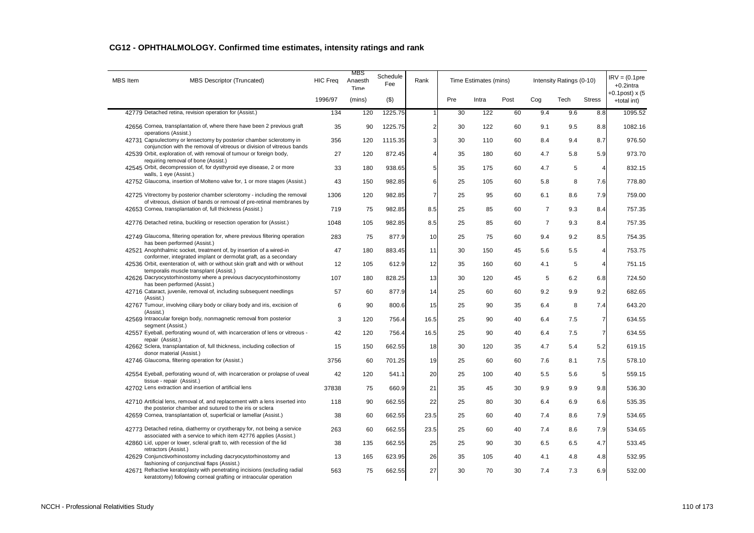| <b>MBS</b> Item | <b>MBS Descriptor (Truncated)</b>                                                                                                                 | <b>HIC Freq</b> | MBS<br>Anaesth<br>Time | Schedule<br>Fee | Rank           |     | Time Estimates (mins) |      |                | Intensity Ratings (0-10) |                | $IRV = (0.1pre$<br>$+0.2$ intra  |
|-----------------|---------------------------------------------------------------------------------------------------------------------------------------------------|-----------------|------------------------|-----------------|----------------|-----|-----------------------|------|----------------|--------------------------|----------------|----------------------------------|
|                 |                                                                                                                                                   | 1996/97         | (mins)                 | $($ \$)         |                | Pre | Intra                 | Post | Cog            | Tech                     | <b>Stress</b>  | $+0.1$ post) x (5<br>+total int) |
|                 | 42779 Detached retina, revision operation for (Assist.)                                                                                           | 134             | 120                    | 1225.75         | 1              | 30  | 122                   | 60   | 9.4            | 9.6                      | 8.8            | 1095.52                          |
|                 | 42656 Cornea, transplantation of, where there have been 2 previous graft<br>operations (Assist.)                                                  | 35              | 90                     | 1225.75         | $\overline{2}$ | 30  | 122                   | 60   | 9.1            | 9.5                      | 8.8            | 1082.16                          |
|                 | 42731 Capsulectomy or lensectomy by posterior chamber sclerotomy in<br>conjunction with the removal of vitreous or division of vitreous bands     | 356             | 120                    | 1115.35         | 3              | 30  | 110                   | 60   | 8.4            | 9.4                      | 8.7            | 976.50                           |
|                 | 42539 Orbit, exploration of, with removal of tumour or foreign body,<br>requiring removal of bone (Assist.)                                       | 27              | 120                    | 872.45          | Δ              | 35  | 180                   | 60   | 4.7            | 5.8                      | 5.9            | 973.70                           |
|                 | 42545 Orbit, decompression of, for dysthyroid eye disease, 2 or more<br>walls, 1 eye (Assist.)                                                    | 33              | 180                    | 938.65          | 5              | 35  | 175                   | 60   | 4.7            | 5                        | $\overline{4}$ | 832.15                           |
|                 | 42752 Glaucoma, insertion of Molteno valve for, 1 or more stages (Assist.)                                                                        | 43              | 150                    | 982.85          | 6              | 25  | 105                   | 60   | 5.8            | 8                        | 7.6            | 778.80                           |
|                 | 42725 Vitrectomy by posterior chamber sclerotomy - including the removal<br>of vitreous, division of bands or removal of pre-retinal membranes by | 1306            | 120                    | 982.85          | $\overline{7}$ | 25  | 95                    | 60   | 6.1            | 8.6                      | 7.9            | 759.00                           |
|                 | 42653 Cornea, transplantation of, full thickness (Assist.)                                                                                        | 719             | 75                     | 982.85          | 8.5            | 25  | 85                    | 60   | $\overline{7}$ | 9.3                      | 8.4            | 757.35                           |
|                 | 42776 Detached retina, buckling or resection operation for (Assist.)                                                                              | 1048            | 105                    | 982.85          | 8.5            | 25  | 85                    | 60   | $\overline{7}$ | 9.3                      | 8.4            | 757.35                           |
|                 | 42749 Glaucoma, filtering operation for, where previous filtering operation<br>has been performed (Assist.)                                       | 283             | 75                     | 877.9           | 10             | 25  | 75                    | 60   | 9.4            | 9.2                      | 8.5            | 754.35                           |
|                 | 42521 Anophthalmic socket, treatment of, by insertion of a wired-in<br>conformer, integrated implant or dermofat graft, as a secondary            | 47              | 180                    | 883.45          | 11             | 30  | 150                   | 45   | 5.6            | 5.5                      | $\overline{4}$ | 753.75                           |
|                 | 42536 Orbit, exenteration of, with or without skin graft and with or without<br>temporalis muscle transplant (Assist.)                            | 12              | 105                    | 612.9           | 12             | 35  | 160                   | 60   | 4.1            | 5                        | $\overline{4}$ | 751.15                           |
|                 | 42626 Dacryocystorhinostomy where a previous dacryocystorhinostomy<br>has been performed (Assist.)                                                | 107             | 180                    | 828.25          | 13             | 30  | 120                   | 45   | 5              | 6.2                      | 6.8            | 724.50                           |
|                 | 42716 Cataract, juvenile, removal of, including subsequent needlings<br>(Assist.)                                                                 | 57              | 60                     | 877.9           | 14             | 25  | 60                    | 60   | 9.2            | 9.9                      | 9.2            | 682.65                           |
|                 | 42767 Tumour, involving ciliary body or ciliary body and iris, excision of<br>(Assist.)                                                           | 6               | 90                     | 800.6           | 15             | 25  | 90                    | 35   | 6.4            | 8                        | 7.4            | 643.20                           |
|                 | 42569 Intraocular foreign body, nonmagnetic removal from posterior<br>segment (Assist.)                                                           | 3               | 120                    | 756.4           | 16.5           | 25  | 90                    | 40   | 6.4            | 7.5                      | $\overline{7}$ | 634.55                           |
|                 | 42557 Eyeball, perforating wound of, with incarceration of lens or vitreous -<br>repair (Assist.)                                                 | 42              | 120                    | 756.4           | 16.5           | 25  | 90                    | 40   | 6.4            | 7.5                      | $\overline{7}$ | 634.55                           |
|                 | 42662 Sclera, transplantation of, full thickness, including collection of<br>donor material (Assist.)                                             | 15              | 150                    | 662.55          | 18             | 30  | 120                   | 35   | 4.7            | 5.4                      | 5.2            | 619.15                           |
|                 | 42746 Glaucoma, filtering operation for (Assist.)                                                                                                 | 3756            | 60                     | 701.25          | 19             | 25  | 60                    | 60   | 7.6            | 8.1                      | 7.5            | 578.10                           |
|                 | 42554 Eyeball, perforating wound of, with incarceration or prolapse of uveal<br>tissue - repair (Assist.)                                         | 42              | 120                    | 541.1           | 20             | 25  | 100                   | 40   | 5.5            | 5.6                      | 5              | 559.15                           |
|                 | 42702 Lens extraction and insertion of artificial lens                                                                                            | 37838           | 75                     | 660.9           | 21             | 35  | 45                    | 30   | 9.9            | 9.9                      | 9.8            | 536.30                           |
|                 | 42710 Artificial lens, removal of, and replacement with a lens inserted into<br>the posterior chamber and sutured to the iris or sclera           | 118             | 90                     | 662.55          | 22             | 25  | 80                    | 30   | 6.4            | 6.9                      | 6.6            | 535.35                           |
|                 | 42659 Cornea, transplantation of, superficial or lamellar (Assist.)                                                                               | 38              | 60                     | 662.55          | 23.5           | 25  | 60                    | 40   | 7.4            | 8.6                      | 7.9            | 534.65                           |
|                 | 42773 Detached retina, diathermy or cryotherapy for, not being a service<br>associated with a service to which item 42776 applies (Assist.)       | 263             | 60                     | 662.55          | 23.5           | 25  | 60                    | 40   | 7.4            | 8.6                      | 7.9            | 534.65                           |
|                 | 42860 Lid, upper or lower, scleral graft to, with recession of the lid<br>retractors (Assist.)                                                    | 38              | 135                    | 662.55          | 25             | 25  | 90                    | 30   | 6.5            | 6.5                      | 4.7            | 533.45                           |
|                 | 42629 Conjunctivorhinostomy including dacryocystorhinostomy and<br>fashioning of conjunctival flaps (Assist.)                                     | 13              | 165                    | 623.95          | 26             | 35  | 105                   | 40   | 4.1            | 4.8                      | 4.8            | 532.95                           |
|                 | 42671 Refractive keratoplasty with penetrating incisions (excluding radial<br>keratotomy) following corneal grafting or intraocular operation     | 563             | 75                     | 662.55          | 27             | 30  | 70                    | 30   | 7.4            | 7.3                      | 6.9            | 532.00                           |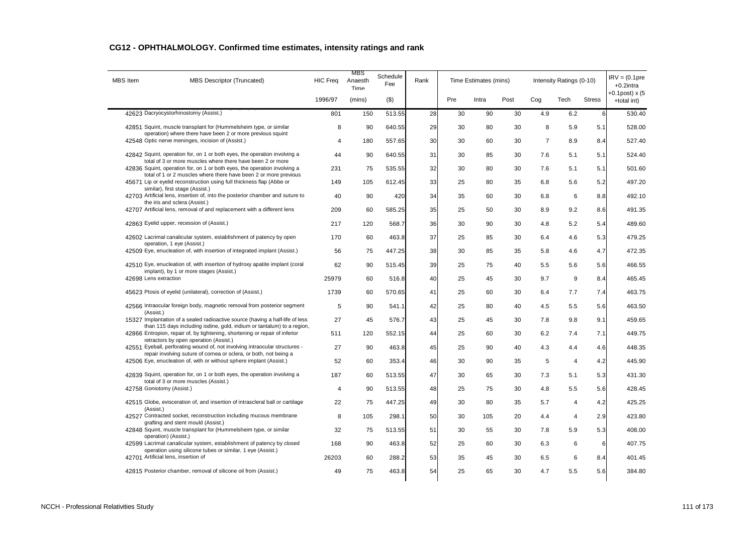| <b>MBS</b> Item       | <b>MBS Descriptor (Truncated)</b>                                                                                                                                                                | <b>HIC Freq</b> | MBS<br>Anaesth<br>Time | Schedule<br>Fee | Rank |     | Time Estimates (mins) |      |                | Intensity Ratings (0-10) |                | $IRV = (0.1pre$<br>$+0.2$ intra  |
|-----------------------|--------------------------------------------------------------------------------------------------------------------------------------------------------------------------------------------------|-----------------|------------------------|-----------------|------|-----|-----------------------|------|----------------|--------------------------|----------------|----------------------------------|
|                       |                                                                                                                                                                                                  | 1996/97         | (mins)                 | $($ \$)         |      | Pre | Intra                 | Post | Cog            | Tech                     | <b>Stress</b>  | $+0.1$ post) x (5<br>+total int) |
|                       | 42623 Dacryocystorhinostomy (Assist.)                                                                                                                                                            | 801             | 150                    | 513.55          | 28   | 30  | 90                    | 30   | 4.9            | 6.2                      | 6              | 530.40                           |
|                       | 42851 Squint, muscle transplant for (Hummelsheim type, or similar<br>operation) where there have been 2 or more previous squint                                                                  | 8               | 90                     | 640.55          | 29   | 30  | 80                    | 30   | 8              | 5.9                      | 5.1            | 528.00                           |
|                       | 42548 Optic nerve meninges, incision of (Assist.)                                                                                                                                                | 4               | 180                    | 557.65          | 30   | 30  | 60                    | 30   | $\overline{7}$ | 8.9                      | 8.4            | 527.40                           |
|                       | 42842 Squint, operation for, on 1 or both eyes, the operation involving a<br>total of 3 or more muscles where there have been 2 or more                                                          | 44              | 90                     | 640.55          | 31   | 30  | 85                    | 30   | 7.6            | 5.1                      | 5.1            | 524.40                           |
|                       | 42836 Squint, operation for, on 1 or both eyes, the operation involving a                                                                                                                        | 231             | 75                     | 535.55          | 32   | 30  | 80                    | 30   | 7.6            | 5.1                      | 5.1            | 501.60                           |
|                       | total of 1 or 2 muscles where there have been 2 or more previous<br>45671 Lip or eyelid reconstruction using full thickness flap (Abbe or<br>similar), first stage (Assist.)                     | 149             | 105                    | 612.45          | 33   | 25  | 80                    | 35   | 6.8            | 5.6                      | 5.2            | 497.20                           |
|                       | 42703 Artificial lens, insertion of, into the posterior chamber and suture to<br>the iris and sclera (Assist.)                                                                                   | 40              | 90                     | 420             | 34   | 35  | 60                    | 30   | 6.8            | 6                        | 8.8            | 492.10                           |
|                       | 42707 Artificial lens, removal of and replacement with a different lens                                                                                                                          | 209             | 60                     | 585.25          | 35   | 25  | 50                    | 30   | 8.9            | 9.2                      | 8.6            | 491.35                           |
|                       | 42863 Eyelid upper, recession of (Assist.)                                                                                                                                                       | 217             | 120                    | 568.7           | 36   | 30  | 90                    | 30   | 4.8            | 5.2                      | 5.4            | 489.60                           |
|                       | 42602 Lacrimal canalicular system, establishment of patency by open<br>operation, 1 eye (Assist.)                                                                                                | 170             | 60                     | 463.8           | 37   | 25  | 85                    | 30   | 6.4            | 4.6                      | 5.3            | 479.25                           |
|                       | 42509 Eye, enucleation of, with insertion of integrated implant (Assist.)                                                                                                                        | 56              | 75                     | 447.25          | 38   | 30  | 85                    | 35   | 5.8            | 4.6                      | 4.7            | 472.35                           |
|                       | 42510 Eye, enucleation of, with insertion of hydroxy apatite implant (coral<br>implant), by 1 or more stages (Assist.)                                                                           | 62              | 90                     | 515.45          | 39   | 25  | 75                    | 40   | 5.5            | 5.6                      | 5.6            | 466.55                           |
| 42698 Lens extraction |                                                                                                                                                                                                  | 25979           | 60                     | 516.8           | 40   | 25  | 45                    | 30   | 9.7            | 9                        | 8.4            | 465.45                           |
|                       | 45623 Ptosis of eyelid (unilateral), correction of (Assist.)                                                                                                                                     | 1739            | 60                     | 570.65          | 41   | 25  | 60                    | 30   | 6.4            | 7.7                      | 7.4            | 463.75                           |
|                       | 42566 Intraocular foreign body, magnetic removal from posterior segment<br>(Assist.)                                                                                                             | 5               | 90                     | 541.1           | 42   | 25  | 80                    | 40   | 4.5            | 5.5                      | 5.6            | 463.50                           |
|                       | 15327 Implantation of a sealed radioactive source (having a half-life of less                                                                                                                    | 27              | 45                     | 576.7           | 43   | 25  | 45                    | 30   | 7.8            | 9.8                      | 9.1            | 459.65                           |
|                       | than 115 days including iodine, gold, iridium or tantalum) to a region,<br>42866 Entropion, repair of, by tightening, shortening or repair of inferior<br>retractors by open operation (Assist.) | 511             | 120                    | 552.15          | 44   | 25  | 60                    | 30   | 6.2            | 7.4                      | 7.1            | 449.75                           |
|                       | 42551 Eyeball, perforating wound of, not involving intraocular structures -                                                                                                                      | 27              | 90                     | 463.8           | 45   | 25  | 90                    | 40   | 4.3            | 4.4                      | 4.6            | 448.35                           |
|                       | repair involving suture of cornea or sclera, or both, not being a<br>42506 Eye, enucleation of, with or without sphere implant (Assist.)                                                         | 52              | 60                     | 353.4           | 46   | 30  | 90                    | 35   | 5              | $\overline{4}$           | 4.2            | 445.90                           |
|                       | 42839 Squint, operation for, on 1 or both eyes, the operation involving a<br>total of 3 or more muscles (Assist.)                                                                                | 187             | 60                     | 513.55          | 47   | 30  | 65                    | 30   | 7.3            | 5.1                      | 5.3            | 431.30                           |
|                       | 42758 Goniotomy (Assist.)                                                                                                                                                                        | 4               | 90                     | 513.55          | 48   | 25  | 75                    | 30   | 4.8            | 5.5                      | 5.6            | 428.45                           |
| (Assist.)             | 42515 Globe, evisceration of, and insertion of intrascleral ball or cartilage                                                                                                                    | 22              | 75                     | 447.25          | 49   | 30  | 80                    | 35   | 5.7            | $\overline{4}$           | 4.2            | 425.25                           |
|                       | 42527 Contracted socket, reconstruction including mucous membrane<br>grafting and stent mould (Assist.)                                                                                          | 8               | 105                    | 298.1           | 50   | 30  | 105                   | 20   | 4.4            | $\overline{4}$           | 2.9            | 423.80                           |
|                       | 42848 Squint, muscle transplant for (Hummelsheim type, or similar<br>operation) (Assist.)                                                                                                        | 32              | 75                     | 513.55          | 51   | 30  | 55                    | 30   | 7.8            | 5.9                      | 5.3            | 408.00                           |
|                       | 42599 Lacrimal canalicular system, establishment of patency by closed<br>operation using silicone tubes or similar, 1 eye (Assist.)                                                              | 168             | 90                     | 463.8           | 52   | 25  | 60                    | 30   | 6.3            | 6                        | $6\phantom{1}$ | 407.75                           |
|                       | 42701 Artificial lens, insertion of                                                                                                                                                              | 26203           | 60                     | 288.2           | 53   | 35  | 45                    | 30   | 6.5            | 6                        | 8.4            | 401.45                           |
|                       | 42815 Posterior chamber, removal of silicone oil from (Assist.)                                                                                                                                  | 49              | 75                     | 463.8           | 54   | 25  | 65                    | 30   | 4.7            | 5.5                      | 5.6            | 384.80                           |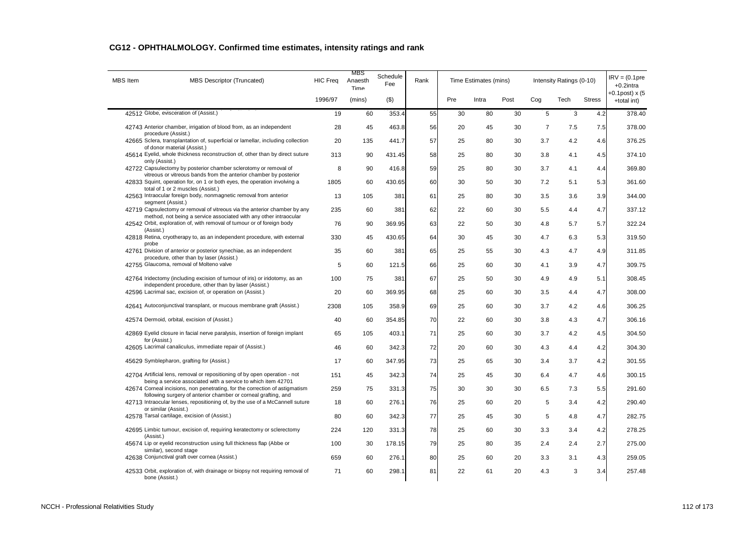| <b>MBS</b> Item | MBS Descriptor (Truncated)                                                                                                                     | <b>HIC Freq</b> | MBS<br>Anaesth<br>Time | Schedule<br>Fee | Rank |     | Time Estimates (mins) |      |                | Intensity Ratings (0-10) |               | $IRV = (0.1pre$<br>$+0.2$ intra  |
|-----------------|------------------------------------------------------------------------------------------------------------------------------------------------|-----------------|------------------------|-----------------|------|-----|-----------------------|------|----------------|--------------------------|---------------|----------------------------------|
|                 |                                                                                                                                                | 1996/97         | (mins)                 | $($ \$)         |      | Pre | Intra                 | Post | Cog            | Tech                     | <b>Stress</b> | $+0.1$ post) x (5<br>+total int) |
|                 | 42512 Globe, evisceration of (Assist.)                                                                                                         | 19              | 60                     | 353.4           | 55   | 30  | 80                    | 30   | 5              | 3                        | 4.2           | 378.40                           |
|                 | 42743 Anterior chamber, irrigation of blood from, as an independent<br>procedure (Assist.)                                                     | 28              | 45                     | 463.8           | 56   | 20  | 45                    | 30   | $\overline{7}$ | 7.5                      | 7.5           | 378.00                           |
|                 | 42665 Sclera, transplantation of, superficial or lamellar, including collection<br>of donor material (Assist.)                                 | 20              | 135                    | 441.7           | 57   | 25  | 80                    | 30   | 3.7            | 4.2                      | 4.6           | 376.25                           |
|                 | 45614 Eyelid, whole thickness reconstruction of, other than by direct suture                                                                   | 313             | 90                     | 431.45          | 58   | 25  | 80                    | 30   | 3.8            | 4.1                      | 4.5           | 374.10                           |
| only (Assist.)  | 42722 Capsulectomy by posterior chamber sclerotomy or removal of<br>vitreous or vitreous bands from the anterior chamber by posterior          | 8               | 90                     | 416.8           | 59   | 25  | 80                    | 30   | 3.7            | 4.1                      | 4.4           | 369.80                           |
|                 | 42833 Squint, operation for, on 1 or both eyes, the operation involving a<br>total of 1 or 2 muscles (Assist.)                                 | 1805            | 60                     | 430.65          | 60   | 30  | 50                    | 30   | 7.2            | 5.1                      | 5.3           | 361.60                           |
|                 | 42563 Intraocular foreign body, nonmagnetic removal from anterior<br>segment (Assist.)                                                         | 13              | 105                    | 381             | 61   | 25  | 80                    | 30   | 3.5            | 3.6                      | 3.9           | 344.00                           |
|                 | 42719 Capsulectomy or removal of vitreous via the anterior chamber by any<br>method, not being a service associated with any other intraocular | 235             | 60                     | 381             | 62   | 22  | 60                    | 30   | 5.5            | 4.4                      | 4.7           | 337.12                           |
| (Assist.)       | 42542 Orbit, exploration of, with removal of tumour or of foreign body                                                                         | 76              | 90                     | 369.95          | 63   | 22  | 50                    | 30   | 4.8            | 5.7                      | 5.7           | 322.24                           |
| probe           | 42818 Retina, cryotherapy to, as an independent procedure, with external                                                                       | 330             | 45                     | 430.65          | 64   | 30  | 45                    | 30   | 4.7            | 6.3                      | 5.3           | 319.50                           |
|                 | 42761 Division of anterior or posterior synechiae, as an independent<br>procedure, other than by laser (Assist.)                               | 35              | 60                     | 381             | 65   | 25  | 55                    | 30   | 4.3            | 4.7                      | 4.9           | 311.85                           |
|                 | 42755 Glaucoma, removal of Molteno valve                                                                                                       | 5               | 60                     | 121.5           | 66   | 25  | 60                    | 30   | 4.1            | 3.9                      | 4.7           | 309.75                           |
|                 | 42764 Iridectomy (including excision of tumour of iris) or iridotomy, as an<br>independent procedure, other than by laser (Assist.)            | 100             | 75                     | 381             | 67   | 25  | 50                    | 30   | 4.9            | 4.9                      | 5.1           | 308.45                           |
|                 | 42596 Lacrimal sac, excision of, or operation on (Assist.)                                                                                     | 20              | 60                     | 369.95          | 68   | 25  | 60                    | 30   | 3.5            | 4.4                      | 4.7           | 308.00                           |
|                 | 42641 Autoconjunctival transplant, or mucous membrane graft (Assist.)                                                                          | 2308            | 105                    | 358.9           | 69   | 25  | 60                    | 30   | 3.7            | 4.2                      | 4.6           | 306.25                           |
|                 | 42574 Dermoid, orbital, excision of (Assist.)                                                                                                  | 40              | 60                     | 354.85          | 70   | 22  | 60                    | 30   | 3.8            | 4.3                      | 4.7           | 306.16                           |
| for (Assist.)   | 42869 Eyelid closure in facial nerve paralysis, insertion of foreign implant                                                                   | 65              | 105                    | 403.1           | 71   | 25  | 60                    | 30   | 3.7            | 4.2                      | 4.5           | 304.50                           |
|                 | 42605 Lacrimal canaliculus, immediate repair of (Assist.)                                                                                      | 46              | 60                     | 342.3           | 72   | 20  | 60                    | 30   | 4.3            | 4.4                      | 4.2           | 304.30                           |
|                 | 45629 Symblepharon, grafting for (Assist.)                                                                                                     | 17              | 60                     | 347.95          | 73   | 25  | 65                    | 30   | 3.4            | 3.7                      | 4.2           | 301.55                           |
|                 | 42704 Artificial lens, removal or repositioning of by open operation - not<br>being a service associated with a service to which item 42701    | 151             | 45                     | 342.3           | 74   | 25  | 45                    | 30   | 6.4            | 4.7                      | 4.6           | 300.15                           |
|                 | 42674 Corneal incisions, non penetrating, for the correction of astigmatism<br>following surgery of anterior chamber or corneal grafting, and  | 259             | 75                     | 331.3           | 75   | 30  | 30                    | 30   | 6.5            | 7.3                      | 5.5           | 291.60                           |
|                 | 42713 Intraocular lenses, repositioning of, by the use of a McCannell suture<br>or similar (Assist.)                                           | 18              | 60                     | 276.1           | 76   | 25  | 60                    | 20   | 5              | 3.4                      | 4.2           | 290.40                           |
|                 | 42578 Tarsal cartilage, excision of (Assist.)                                                                                                  | 80              | 60                     | 342.3           | 77   | 25  | 45                    | 30   | 5              | 4.8                      | 4.7           | 282.75                           |
| (Assist.)       | 42695 Limbic tumour, excision of, requiring keratectomy or sclerectomy                                                                         | 224             | 120                    | 331.3           | 78   | 25  | 60                    | 30   | 3.3            | 3.4                      | 4.2           | 278.25                           |
|                 | 45674 Lip or eyelid reconstruction using full thickness flap (Abbe or<br>similar), second stage                                                | 100             | 30                     | 178.15          | 79   | 25  | 80                    | 35   | 2.4            | 2.4                      | 2.7           | 275.00                           |
|                 | 42638 Conjunctival graft over cornea (Assist.)                                                                                                 | 659             | 60                     | 276.1           | 80   | 25  | 60                    | 20   | 3.3            | 3.1                      | 4.3           | 259.05                           |
| bone (Assist.)  | 42533 Orbit, exploration of, with drainage or biopsy not requiring removal of                                                                  | 71              | 60                     | 298.1           | 81   | 22  | 61                    | 20   | 4.3            | 3                        | 3.4           | 257.48                           |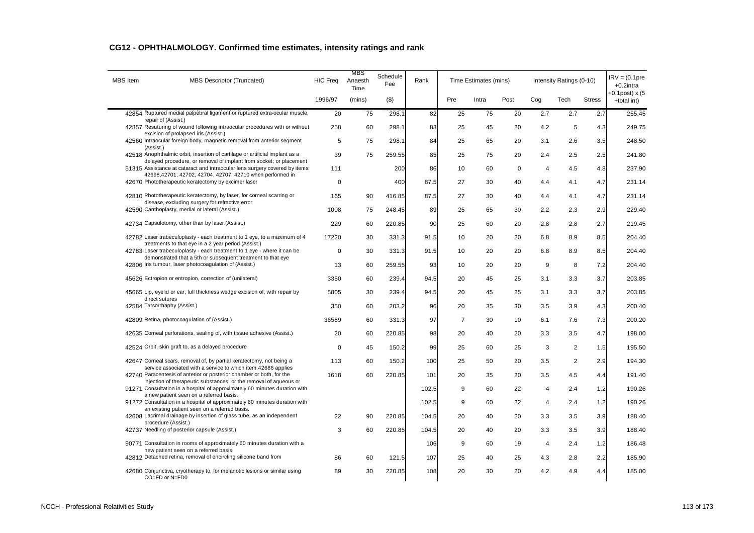| <b>MBS</b> Item | <b>MBS Descriptor (Truncated)</b>                                                                                                                | <b>HIC Freq</b> | MBS<br>Anaesth<br>Time | Schedule<br>Fee | Rank  |                | Time Estimates (mins) |      |                | Intensity Ratings (0-10) |               | $IRV = (0.1pre$<br>$+0.2$ intra  |
|-----------------|--------------------------------------------------------------------------------------------------------------------------------------------------|-----------------|------------------------|-----------------|-------|----------------|-----------------------|------|----------------|--------------------------|---------------|----------------------------------|
|                 |                                                                                                                                                  | 1996/97         | (mins)                 | $($ \$)         |       | Pre            | Intra                 | Post | Cog            | Tech                     | <b>Stress</b> | $+0.1$ post) x (5<br>+total int) |
|                 | 42854 Ruptured medial palpebral ligament or ruptured extra-ocular muscle,<br>repair of (Assist.)                                                 | 20              | 75                     | 298.1           | 82    | 25             | 75                    | 20   | 2.7            | 2.7                      | 2.7           | 255.45                           |
|                 | 42857 Resuturing of wound following intraocular procedures with or without<br>excision of prolapsed iris (Assist.)                               | 258             | 60                     | 298.1           | 83    | 25             | 45                    | 20   | 4.2            | 5                        | 4.3           | 249.75                           |
| (Assist.)       | 42560 Intraocular foreign body, magnetic removal from anterior segment                                                                           | 5               | 75                     | 298.1           | 84    | 25             | 65                    | 20   | 3.1            | 2.6                      | 3.5           | 248.50                           |
|                 | 42518 Anophthalmic orbit, insertion of cartilage or artificial implant as a                                                                      | 39              | 75                     | 259.55          | 85    | 25             | 75                    | 20   | 2.4            | 2.5                      | 2.5           | 241.80                           |
|                 | delayed procedure, or removal of implant from socket; or placement<br>51315 Assistance at cataract and intraocular lens surgery covered by items | 111             |                        | 200             | 86    | 10             | 60                    | 0    | $\overline{4}$ | 4.5                      | 4.8           | 237.90                           |
|                 | 42698,42701, 42702, 42704, 42707, 42710 when performed in<br>42670 Phototherapeutic keratectomy by excimer laser                                 | 0               |                        | 400             | 87.5  | 27             | 30                    | 40   | 4.4            | 4.1                      | 4.7           | 231.14                           |
|                 | 42810 Phototherapeutic keratectomy, by laser, for corneal scarring or                                                                            | 165             | 90                     | 416.85          | 87.5  | 27             | 30                    | 40   | 4.4            | 4.1                      | 4.7           | 231.14                           |
|                 | disease, excluding surgery for refractive error<br>42590 Canthoplasty, medial or lateral (Assist.)                                               | 1008            | 75                     | 248.45          | 89    | 25             | 65                    | 30   | 2.2            | 2.3                      | 2.9           | 229.40                           |
|                 | 42734 Capsulotomy, other than by laser (Assist.)                                                                                                 | 229             | 60                     | 220.85          | 90    | 25             | 60                    | 20   | 2.8            | 2.8                      | 2.7           | 219.45                           |
|                 | 42782 Laser trabeculoplasty - each treatment to 1 eye, to a maximum of 4                                                                         | 17220           | 30                     | 331.3           | 91.5  | 10             | 20                    | 20   | 6.8            | 8.9                      | 8.5           | 204.40                           |
|                 | treatments to that eye in a 2 year period (Assist.)<br>42783 Laser trabeculoplasty - each treatment to 1 eye - where it can be                   | $\mathbf 0$     | 30                     | 331.3           | 91.5  | 10             | 20                    | 20   | 6.8            | 8.9                      | 8.5           | 204.40                           |
|                 | demonstrated that a 5th or subsequent treatment to that eye<br>42806 Iris tumour, laser photocoagulation of (Assist.)                            | 13              | 60                     | 259.55          | 93    | 10             | 20                    | 20   | 9              | 8                        | 7.2           | 204.40                           |
|                 | 45626 Ectropion or entropion, correction of (unilateral)                                                                                         | 3350            | 60                     | 239.4           | 94.5  | 20             | 45                    | 25   | 3.1            | 3.3                      | 3.7           | 203.85                           |
|                 | 45665 Lip, eyelid or ear, full thickness wedge excision of, with repair by                                                                       | 5805            | 30                     | 239.4           | 94.5  | 20             | 45                    | 25   | 3.1            | 3.3                      | 3.7           | 203.85                           |
|                 | direct sutures<br>42584 Tarsorrhaphy (Assist.)                                                                                                   | 350             | 60                     | 203.2           | 96    | 20             | 35                    | 30   | 3.5            | 3.9                      | 4.3           | 200.40                           |
|                 | 42809 Retina, photocoagulation of (Assist.)                                                                                                      | 36589           | 60                     | 331.3           | 97    | $\overline{7}$ | 30                    | 10   | 6.1            | 7.6                      | 7.3           | 200.20                           |
|                 | 42635 Corneal perforations, sealing of, with tissue adhesive (Assist.)                                                                           | 20              | 60                     | 220.85          | 98    | 20             | 40                    | 20   | 3.3            | 3.5                      | 4.7           | 198.00                           |
|                 | 42524 Orbit, skin graft to, as a delayed procedure                                                                                               | $\mathbf 0$     | 45                     | 150.2           | 99    | 25             | 60                    | 25   | 3              | $\overline{2}$           | 1.5           | 195.50                           |
|                 | 42647 Corneal scars, removal of, by partial keratectomy, not being a<br>service associated with a service to which item 42686 applies            | 113             | 60                     | 150.2           | 100   | 25             | 50                    | 20   | 3.5            | $\overline{2}$           | 2.9           | 194.30                           |
|                 | 42740 Paracentesis of anterior or posterior chamber or both, for the                                                                             | 1618            | 60                     | 220.85          | 101   | 20             | 35                    | 20   | 3.5            | 4.5                      | 4.4           | 191.40                           |
|                 | injection of therapeutic substances, or the removal of aqueous or<br>91271 Consultation in a hospital of approximately 60 minutes duration with  |                 |                        |                 | 102.5 | 9              | 60                    | 22   | $\overline{4}$ | 2.4                      | 1.2           | 190.26                           |
|                 | a new patient seen on a referred basis.<br>91272 Consultation in a hospital of approximately 60 minutes duration with                            |                 |                        |                 | 102.5 | 9              | 60                    | 22   | 4              | 2.4                      | 1.2           | 190.26                           |
|                 | an existing patient seen on a referred basis.<br>42608 Lacrimal drainage by insertion of glass tube, as an independent                           | 22              | 90                     | 220.85          | 104.5 | 20             | 40                    | 20   | 3.3            | 3.5                      | 3.9           | 188.40                           |
|                 | procedure (Assist.)<br>42737 Needling of posterior capsule (Assist.)                                                                             | 3               | 60                     | 220.85          | 104.5 | 20             | 40                    | 20   | 3.3            | 3.5                      | 3.9           | 188.40                           |
|                 | 90771 Consultation in rooms of approximately 60 minutes duration with a                                                                          |                 |                        |                 | 106   | 9              | 60                    | 19   | 4              | 2.4                      | 1.2           | 186.48                           |
|                 | new patient seen on a referred basis.<br>42812 Detached retina, removal of encircling silicone band from                                         | 86              | 60                     | 121.5           | 107   | 25             | 40                    | 25   | 4.3            | 2.8                      | 2.2           | 185.90                           |
|                 | 42680 Conjunctiva, cryotherapy to, for melanotic lesions or similar using<br>CO=FD or N=FD0                                                      | 89              | 30                     | 220.85          | 108   | 20             | 30                    | 20   | 4.2            | 4.9                      | 4.4           | 185.00                           |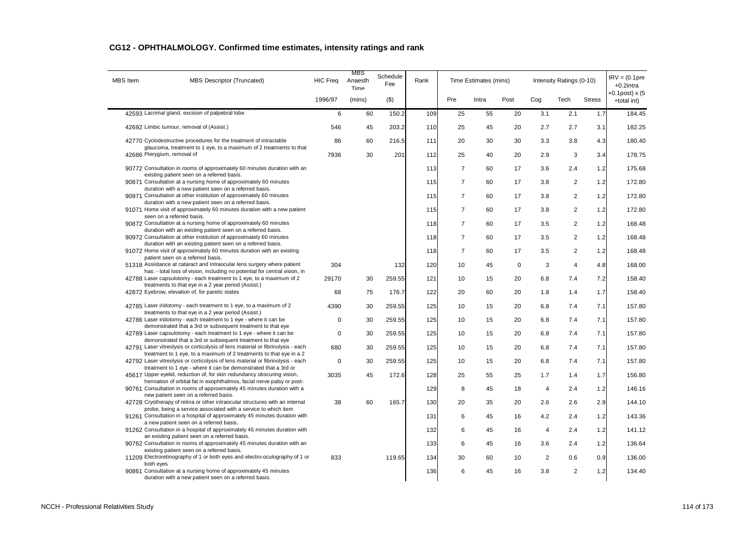| <b>MBS</b> Item | MBS Descriptor (Truncated)                                                                                                                             | <b>HIC Freq</b> | MBS<br>Anaesth<br>Time | Schedule<br>Fee | Rank |                | Time Estimates (mins) |           |                | Intensity Ratings (0-10) |               | $IRV = (0.1pre$<br>$+0.2$ intra  |
|-----------------|--------------------------------------------------------------------------------------------------------------------------------------------------------|-----------------|------------------------|-----------------|------|----------------|-----------------------|-----------|----------------|--------------------------|---------------|----------------------------------|
|                 |                                                                                                                                                        | 1996/97         | (mins)                 | (3)             |      | Pre            | Intra                 | Post      | Cog            | Tech                     | <b>Stress</b> | $+0.1$ post) x (5<br>+total int) |
|                 | 42593 Lacrimal gland, excision of palpebral lobe                                                                                                       | 6               | 60                     | 150.2           | 109  | 25             | 55                    | 20        | 3.1            | 2.1                      | 1.7           | 184.45                           |
|                 | 42692 Limbic tumour, removal of (Assist.)                                                                                                              | 546             | 45                     | 203.2           | 110  | 25             | 45                    | 20        | 2.7            | 2.7                      | 3.1           | 182.25                           |
|                 | 42770 Cyclodestructive procedures for the treatment of intractable<br>glaucoma, treatment to 1 eye, to a maximum of 2 treatments to that               | 86              | 60                     | 216.5           | 111  | 20             | 30                    | 30        | 3.3            | 3.8                      | 4.3           | 180.40                           |
|                 | 42686 Pterygium, removal of                                                                                                                            | 7936            | 30                     | 201             | 112  | 25             | 40                    | 20        | 2.9            | 3                        | 3.4           | 178.75                           |
|                 | 90772 Consultation in rooms of approximately 60 minutes duration with an                                                                               |                 |                        |                 | 113  | $\overline{7}$ | 60                    | 17        | 3.6            | 2.4                      | 1.2           | 175.68                           |
|                 | existing patient seen on a referred basis.<br>90871 Consultation at a nursing home of approximately 60 minutes                                         |                 |                        |                 | 115  | $\overline{7}$ | 60                    | 17        | 3.8            | $\overline{2}$           | 1.2           | 172.80                           |
|                 | duration with a new patient seen on a referred basis.<br>90971 Consultation at other institution of approximately 60 minutes                           |                 |                        |                 | 115  | $\overline{7}$ | 60                    | 17        | 3.8            | $\overline{2}$           | 1.2           | 172.80                           |
|                 | duration with a new patient seen on a referred basis.<br>91071 Home visit of approximately 60 minutes duration with a new patient                      |                 |                        |                 | 115  | $\overline{7}$ | 60                    | 17        | 3.8            | $\overline{c}$           | 1.2           | 172.80                           |
|                 | seen on a referred basis.<br>90872 Consultation at a nursing home of approximately 60 minutes                                                          |                 |                        |                 | 118  | $\overline{7}$ | 60                    | 17        | 3.5            | $\overline{2}$           | 1.2           | 168.48                           |
|                 | duration with an existing patient seen on a referred basis.<br>90972 Consultation at other institution of approximately 60 minutes                     |                 |                        |                 | 118  | $\overline{7}$ | 60                    | 17        | 3.5            | $\overline{2}$           | 1.2           | 168.48                           |
|                 | duration with an existing patient seen on a referred basis.<br>91072 Home visit of approximately 60 minutes duration with an existing                  |                 |                        |                 | 118  | $\overline{7}$ | 60                    | 17        | 3.5            | $\overline{2}$           | 1.2           | 168.48                           |
|                 | patient seen on a referred basis.<br>51318 Assistance at cataract and intraocular lens surgery where patient                                           | 304             |                        | 132             | 120  | 10             | 45                    | $\pmb{0}$ | 3              | $\overline{4}$           | 4.8           | 168.00                           |
|                 | has: - total loss of vision, including no potential for central vision, in<br>42788 Laser capsulotomy - each treatment to 1 eye, to a maximum of 2     | 29170           | 30                     | 259.55          | 121  | 10             | 15                    | 20        | 6.8            | 7.4                      | 7.2           | 158.40                           |
|                 | treatments to that eye in a 2 year period (Assist.)<br>42872 Eyebrow, elevation of, for paretic states                                                 | 68              | 75                     | 176.7           | 122  | 20             | 60                    | 20        | 1.8            | 1.4                      | 1.7           | 158.40                           |
|                 | 42785 Laser iridotomy - each treatment to 1 eye, to a maximum of 2                                                                                     | 4390            | 30                     | 259.55          | 125  | 10             | 15                    | 20        | 6.8            | 7.4                      | 7.1           | 157.80                           |
|                 | treatments to that eye in a 2 year period (Assist.)<br>42786 Laser iridotomy - each treatment to 1 eye - where it can be                               | $\mathbf 0$     | 30                     | 259.55          | 125  | 10             | 15                    | 20        | 6.8            | 7.4                      | 7.1           | 157.80                           |
|                 | demonstrated that a 3rd or subsequent treatment to that eye<br>42789 Laser capsulotomy - each treatment to 1 eye - where it can be                     | $\mathbf 0$     | 30                     | 259.55          | 125  | 10             | 15                    | 20        | 6.8            | 7.4                      | 7.1           | 157.80                           |
|                 | demonstrated that a 3rd or subsequent treatment to that eye                                                                                            |                 |                        |                 |      |                |                       |           |                |                          |               |                                  |
|                 | 42791 Laser vitreolysis or corticolysis of lens material or fibrinolysis - each<br>treatment to 1 eye, to a maximum of 2 treatments to that eye in a 2 | 680             | 30                     | 259.55          | 125  | 10             | 15                    | 20        | 6.8            | 7.4                      | 7.1           | 157.80                           |
|                 | 42792 Laser vitreolysis or corticolysis of lens material or fibrinolysis - each<br>treatment to 1 eye - where it can be demonstrated that a 3rd or     | 0               | 30                     | 259.55          | 125  | 10             | 15                    | 20        | 6.8            | 7.4                      | 7.1           | 157.80                           |
|                 | 45617 Upper eyelid, reduction of, for skin redundancy obscuring vision,<br>herniation of orbital fat in exophthalmos, facial nerve palsy or post-      | 3035            | 45                     | 172.6           | 128  | 25             | 55                    | 25        | 1.7            | 1.4                      | 1.7           | 156.80                           |
|                 | 90761 Consultation in rooms of approximately 45 minutes duration with a<br>new patient seen on a referred basis.                                       |                 |                        |                 | 129  | 8              | 45                    | 18        | $\overline{4}$ | 2.4                      | 1.2           | 146.16                           |
|                 | 42728 Cryotherapy of retina or other intraocular structures with an internal                                                                           | 38              | 60                     | 165.7           | 130  | 20             | 35                    | 20        | 2.6            | 2.6                      | 2.9           | 144.10                           |
|                 | probe, being a service associated with a service to which item<br>91261 Consultation in a hospital of approximately 45 minutes duration with           |                 |                        |                 | 131  | 6              | 45                    | 16        | 4.2            | 2.4                      | 1.2           | 143.36                           |
|                 | a new patient seen on a referred basis.<br>91262 Consultation in a hospital of approximately 45 minutes duration with                                  |                 |                        |                 | 132  | 6              | 45                    | 16        | 4              | 2.4                      | 1.2           | 141.12                           |
|                 | an existing patient seen on a referred basis.<br>90762 Consultation in rooms of approximately 45 minutes duration with an                              |                 |                        |                 | 133  | 6              | 45                    | 16        | 3.6            | 2.4                      | 1.2           | 136.64                           |
|                 | existing patient seen on a referred basis.<br>11209 Electroretinography of 1 or both eyes and electro-oculography of 1 or                              | 833             |                        | 119.65          | 134  | 30             | 60                    | 10        | $\overline{2}$ | 0.6                      | 0.9           | 136.00                           |
|                 | both eyes<br>90861 Consultation at a nursing home of approximately 45 minutes<br>duration with a new patient seen on a referred basis.                 |                 |                        |                 | 136  | 6              | 45                    | 16        | 3.8            | $\overline{2}$           | 1.2           | 134.40                           |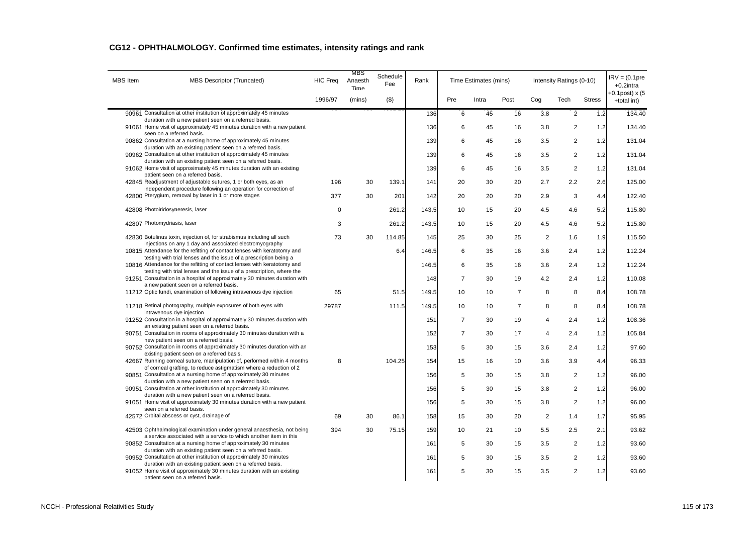| <b>MBS</b> Item | MBS Descriptor (Truncated)                                                                                                                                     | <b>HIC Freq</b> | MBS<br>Anaesth<br>Time | Schedule<br>Fee | Rank  |                | Time Estimates (mins) |                |                | Intensity Ratings (0-10) |               | $IRV = (0.1pre$<br>$+0.2$ intra |
|-----------------|----------------------------------------------------------------------------------------------------------------------------------------------------------------|-----------------|------------------------|-----------------|-------|----------------|-----------------------|----------------|----------------|--------------------------|---------------|---------------------------------|
|                 |                                                                                                                                                                | 1996/97         | (mins)                 | (3)             |       | Pre            | Intra                 | Post           | Cog            | Tech                     | <b>Stress</b> | +0.1post) x (5<br>+total int)   |
|                 | 90961 Consultation at other institution of approximately 45 minutes                                                                                            |                 |                        |                 | 136   | 6              | 45                    | 16             | 3.8            | $\overline{2}$           | 1.2           | 134.40                          |
|                 | duration with a new patient seen on a referred basis.<br>91061 Home visit of approximately 45 minutes duration with a new patient<br>seen on a referred basis. |                 |                        |                 | 136   | 6              | 45                    | 16             | 3.8            | $\overline{2}$           | 1.2           | 134.40                          |
|                 | 90862 Consultation at a nursing home of approximately 45 minutes<br>duration with an existing patient seen on a referred basis.                                |                 |                        |                 | 139   | 6              | 45                    | 16             | 3.5            | $\overline{2}$           | 1.2           | 131.04                          |
|                 | 90962 Consultation at other institution of approximately 45 minutes<br>duration with an existing patient seen on a referred basis.                             |                 |                        |                 | 139   | 6              | 45                    | 16             | 3.5            | $\overline{\mathbf{c}}$  | 1.2           | 131.04                          |
|                 | 91062 Home visit of approximately 45 minutes duration with an existing                                                                                         |                 |                        |                 | 139   | 6              | 45                    | 16             | 3.5            | $\overline{2}$           | 1.2           | 131.04                          |
|                 | patient seen on a referred basis.<br>42845 Readjustment of adjustable sutures, 1 or both eyes, as an                                                           | 196             | 30                     | 139.1           | 141   | 20             | 30                    | 20             | 2.7            | 2.2                      | 2.6           | 125.00                          |
|                 | independent procedure following an operation for correction of<br>42800 Pterygium, removal by laser in 1 or more stages                                        | 377             | 30                     | 201             | 142   | 20             | 20                    | 20             | 2.9            | 3                        | 4.4           | 122.40                          |
|                 | 42808 Photoiridosyneresis, laser                                                                                                                               | $\mathbf 0$     |                        | 261.2           | 143.5 | 10             | 15                    | 20             | 4.5            | 4.6                      | 5.2           | 115.80                          |
|                 | 42807 Photomydriasis, laser                                                                                                                                    | 3               |                        | 261.2           | 143.5 | 10             | 15                    | 20             | 4.5            | 4.6                      | 5.2           | 115.80                          |
|                 | 42830 Botulinus toxin, injection of, for strabismus including all such                                                                                         | 73              | 30                     | 114.85          | 145   | 25             | 30                    | 25             | 2              | 1.6                      | 1.9           | 115.50                          |
|                 | injections on any 1 day and associated electromyography<br>10815 Attendance for the refitting of contact lenses with keratotomy and                            |                 |                        | 6.4             | 146.5 | 6              | 35                    | 16             | 3.6            | 2.4                      | 1.2           | 112.24                          |
|                 | testing with trial lenses and the issue of a prescription being a<br>10816 Attendance for the refitting of contact lenses with keratotomy and                  |                 |                        |                 | 146.5 | 6              | 35                    | 16             | 3.6            | 2.4                      | 1.2           | 112.24                          |
|                 | testing with trial lenses and the issue of a prescription, where the<br>91251 Consultation in a hospital of approximately 30 minutes duration with             |                 |                        |                 | 148   | $\overline{7}$ | 30                    | 19             | 4.2            | 2.4                      | 1.2           | 110.08                          |
|                 | a new patient seen on a referred basis.<br>11212 Optic fundi, examination of following intravenous dye injection                                               | 65              |                        | 51.5            | 149.5 | 10             | 10                    | $\overline{7}$ | 8              | 8                        | 8.4           | 108.78                          |
|                 |                                                                                                                                                                |                 |                        |                 |       |                |                       |                |                |                          |               |                                 |
|                 | 11218 Retinal photography, multiple exposures of both eyes with<br>intravenous dye injection                                                                   | 29787           |                        | 111.5           | 149.5 | 10             | 10                    | $\overline{7}$ | 8              | 8                        | 8.4           | 108.78                          |
|                 | 91252 Consultation in a hospital of approximately 30 minutes duration with<br>an existing patient seen on a referred basis.                                    |                 |                        |                 | 151   | $\overline{7}$ | 30                    | 19             | $\overline{4}$ | 2.4                      | 1.2           | 108.36                          |
|                 | 90751 Consultation in rooms of approximately 30 minutes duration with a<br>new patient seen on a referred basis.                                               |                 |                        |                 | 152   | $\overline{7}$ | 30                    | 17             | $\overline{4}$ | 2.4                      | 1.2           | 105.84                          |
|                 | 90752 Consultation in rooms of approximately 30 minutes duration with an<br>existing patient seen on a referred basis.                                         |                 |                        |                 | 153   | 5              | 30                    | 15             | 3.6            | 2.4                      | 1.2           | 97.60                           |
|                 | 42667 Running corneal suture, manipulation of, performed within 4 months                                                                                       | 8               |                        | 104.25          | 154   | 15             | 16                    | 10             | 3.6            | 3.9                      | 4.4           | 96.33                           |
|                 | of corneal grafting, to reduce astigmatism where a reduction of 2<br>90851 Consultation at a nursing home of approximately 30 minutes                          |                 |                        |                 | 156   | 5              | 30                    | 15             | 3.8            | $\overline{2}$           | 1.2           | 96.00                           |
|                 | duration with a new patient seen on a referred basis.<br>90951 Consultation at other institution of approximately 30 minutes                                   |                 |                        |                 | 156   | 5              | 30                    | 15             | 3.8            | $\overline{c}$           | 1.2           | 96.00                           |
|                 | duration with a new patient seen on a referred basis.<br>91051 Home visit of approximately 30 minutes duration with a new patient                              |                 |                        |                 | 156   | 5              | 30                    | 15             | 3.8            | $\overline{2}$           | 1.2           | 96.00                           |
|                 | seen on a referred basis.<br>42572 Orbital abscess or cyst, drainage of                                                                                        | 69              | 30                     | 86.1            | 158   | 15             | 30                    | 20             | $\overline{2}$ | 1.4                      | 1.7           | 95.95                           |
|                 | 42503 Ophthalmological examination under general anaesthesia, not being                                                                                        | 394             | 30                     | 75.15           | 159   | 10             | 21                    | 10             | 5.5            | 2.5                      | 2.1           | 93.62                           |
|                 | a service associated with a service to which another item in this<br>90852 Consultation at a nursing home of approximately 30 minutes                          |                 |                        |                 |       |                |                       |                |                |                          |               |                                 |
|                 | duration with an existing patient seen on a referred basis.                                                                                                    |                 |                        |                 | 161   | 5              | 30                    | 15             | 3.5            | 2                        | 1.2           | 93.60                           |
|                 | 90952 Consultation at other institution of approximately 30 minutes<br>duration with an existing patient seen on a referred basis.                             |                 |                        |                 | 161   | 5              | 30                    | 15             | 3.5            | $\overline{2}$           | 1.2           | 93.60                           |
|                 | 91052 Home visit of approximately 30 minutes duration with an existing<br>patient seen on a referred basis.                                                    |                 |                        |                 | 161   | 5              | 30                    | 15             | 3.5            | $\overline{2}$           | 1.2           | 93.60                           |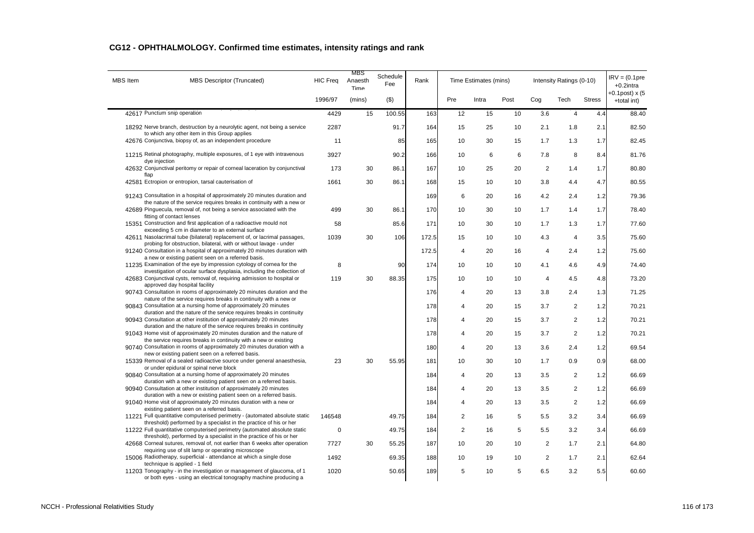| <b>MBS</b> Item              | <b>MBS Descriptor (Truncated)</b>                                                                                                                           | <b>HIC Freq</b> | MBS<br>Anaesth<br>Time | Schedule<br>Fee | Rank  |                | Time Estimates (mins) |      |                | Intensity Ratings (0-10) |               | $IRV = (0.1pre$<br>$+0.2$ intra  |
|------------------------------|-------------------------------------------------------------------------------------------------------------------------------------------------------------|-----------------|------------------------|-----------------|-------|----------------|-----------------------|------|----------------|--------------------------|---------------|----------------------------------|
|                              |                                                                                                                                                             | 1996/97         | (mins)                 | (5)             |       | Pre            | Intra                 | Post | Cog            | Tech                     | <b>Stress</b> | $+0.1$ post) x (5<br>+total int) |
| 42617 Punctum snip operation |                                                                                                                                                             | 4429            | 15                     | 100.55          | 163   | 12             | 15                    | 10   | 3.6            | $\overline{4}$           | 4.4           | 88.40                            |
|                              | 18292 Nerve branch, destruction by a neurolytic agent, not being a service<br>to which any other item in this Group applies                                 | 2287            |                        | 91.7            | 164   | 15             | 25                    | 10   | 2.1            | 1.8                      | 2.1           | 82.50                            |
|                              | 42676 Conjunctiva, biopsy of, as an independent procedure                                                                                                   | 11              |                        | 85              | 165   | 10             | 30                    | 15   | 1.7            | 1.3                      | 1.7           | 82.45                            |
| dye injection                | 11215 Retinal photography, multiple exposures, of 1 eye with intravenous                                                                                    | 3927            |                        | 90.2            | 166   | 10             | 6                     | 6    | 7.8            | 8                        | 8.4           | 81.76                            |
| flap                         | 42632 Conjunctival peritomy or repair of corneal laceration by conjunctival                                                                                 | 173             | 30                     | 86.1            | 167   | 10             | 25                    | 20   | $\overline{2}$ | 1.4                      | 1.7           | 80.80                            |
|                              | 42581 Ectropion or entropion, tarsal cauterisation of                                                                                                       | 1661            | 30                     | 86.1            | 168   | 15             | 10                    | 10   | 3.8            | 4.4                      | 4.7           | 80.55                            |
|                              | 91243 Consultation in a hospital of approximately 20 minutes duration and<br>the nature of the service requires breaks in continuity with a new or          |                 |                        |                 | 169   | 6              | 20                    | 16   | 4.2            | 2.4                      | 1.2           | 79.36                            |
|                              | 42689 Pinguecula, removal of, not being a service associated with the<br>fitting of contact lenses                                                          | 499             | 30                     | 86.1            | 170   | 10             | 30                    | 10   | 1.7            | 1.4                      | 1.7           | 78.40                            |
|                              | 15351 Construction and first application of a radioactive mould not                                                                                         | 58              |                        | 85.6            | 171   | 10             | 30                    | 10   | 1.7            | 1.3                      | 1.7           | 77.60                            |
|                              | exceeding 5 cm in diameter to an external surface<br>42611 Nasolacrimal tube (bilateral) replacement of, or lacrimal passages,                              | 1039            | 30                     | 106             | 172.5 | 15             | 10                    | 10   | 4.3            | $\overline{4}$           | 3.5           | 75.60                            |
|                              | probing for obstruction, bilateral, with or without lavage - under<br>91240 Consultation in a hospital of approximately 20 minutes duration with            |                 |                        |                 | 172.5 | $\overline{4}$ | 20                    | 16   | $\overline{4}$ | 2.4                      | 1.2           | 75.60                            |
|                              | a new or existing patient seen on a referred basis.<br>11235 Examination of the eye by impression cytology of cornea for the                                | 8               |                        | 90              | 174   | 10             | 10                    | 10   | 4.1            | 4.6                      | 4.9           | 74.40                            |
|                              | investigation of ocular surface dysplasia, including the collection of<br>42683 Conjunctival cysts, removal of, requiring admission to hospital or          | 119             | 30                     | 88.35           | 175   | 10             | 10                    | 10   | $\overline{4}$ | 4.5                      | 4.8           | 73.20                            |
|                              | approved day hospital facility<br>90743 Consultation in rooms of approximately 20 minutes duration and the                                                  |                 |                        |                 | 176   | $\overline{4}$ | 20                    | 13   | 3.8            | 2.4                      | 1.3           | 71.25                            |
|                              | nature of the service requires breaks in continuity with a new or<br>90843 Consultation at a nursing home of approximately 20 minutes                       |                 |                        |                 | 178   | 4              | 20                    | 15   | 3.7            | $\overline{2}$           | 1.2           | 70.21                            |
|                              | duration and the nature of the service requires breaks in continuity<br>90943 Consultation at other institution of approximately 20 minutes                 |                 |                        |                 | 178   | 4              | 20                    | 15   | 3.7            | $\overline{2}$           | 1.2           | 70.21                            |
|                              | duration and the nature of the service requires breaks in continuity<br>91043 Home visit of approximately 20 minutes duration and the nature of             |                 |                        |                 | 178   | $\Delta$       | 20                    | 15   | 3.7            | $\overline{c}$           | 1.2           | 70.21                            |
|                              | the service requires breaks in continuity with a new or existing<br>90740 Consultation in rooms of approximately 20 minutes duration with a                 |                 |                        |                 | 180   | $\overline{4}$ | 20                    | 13   | 3.6            | 2.4                      | 1.2           | 69.54                            |
|                              | new or existing patient seen on a referred basis.<br>15339 Removal of a sealed radioactive source under general anaesthesia,                                | 23              | 30                     | 55.95           | 181   | 10             | 30                    | 10   | 1.7            | 0.9                      | 0.9           | 68.00                            |
|                              | or under epidural or spinal nerve block                                                                                                                     |                 |                        |                 |       |                |                       |      |                |                          |               |                                  |
|                              | 90840 Consultation at a nursing home of approximately 20 minutes<br>duration with a new or existing patient seen on a referred basis.                       |                 |                        |                 | 184   | $\overline{4}$ | 20                    | 13   | 3.5            | $\overline{2}$           | 1.2           | 66.69                            |
|                              | 90940 Consultation at other institution of approximately 20 minutes<br>duration with a new or existing patient seen on a referred basis.                    |                 |                        |                 | 184   | 4              | 20                    | 13   | 3.5            | $\overline{2}$           | 1.2           | 66.69                            |
|                              | 91040 Home visit of approximately 20 minutes duration with a new or<br>existing patient seen on a referred basis.                                           |                 |                        |                 | 184   | $\overline{4}$ | 20                    | 13   | 3.5            | $\overline{2}$           | 1.2           | 66.69                            |
|                              | 11221 Full quantitative computerised perimetry - (automated absolute static<br>threshold) performed by a specialist in the practice of his or her           | 146548          |                        | 49.75           | 184   | $\overline{2}$ | 16                    | 5    | 5.5            | 3.2                      | 3.4           | 66.69                            |
|                              | 11222 Full quantitative computerised perimetry (automated absolute static<br>threshold), performed by a specialist in the practice of his or her            | 0               |                        | 49.75           | 184   | $\overline{2}$ | 16                    | 5    | 5.5            | 3.2                      | 3.4           | 66.69                            |
|                              | 42668 Corneal sutures, removal of, not earlier than 6 weeks after operation                                                                                 | 7727            | 30                     | 55.25           | 187   | 10             | 20                    | 10   | 2              | 1.7                      | 2.1           | 64.80                            |
|                              | requiring use of slit lamp or operating microscope<br>15006 Radiotherapy, superficial - attendance at which a single dose<br>technique is applied - 1 field | 1492            |                        | 69.35           | 188   | 10             | 19                    | 10   | $\overline{2}$ | 1.7                      | 2.1           | 62.64                            |
|                              | 11203 Tonography - in the investigation or management of glaucoma, of 1<br>or both eyes - using an electrical tonography machine producing a                | 1020            |                        | 50.65           | 189   | 5              | 10                    | 5    | 6.5            | 3.2                      | 5.5           | 60.60                            |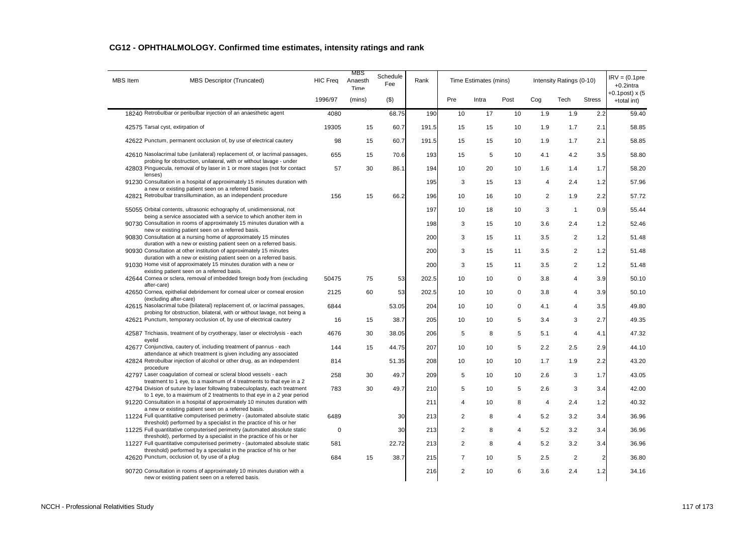| <b>MBS</b> Item | MBS Descriptor (Truncated)                                                                                                                          | <b>HIC Freq</b> | MBS<br>Anaesth<br>Time | Schedule<br>Fee | Rank  |                | Time Estimates (mins) |             |                | Intensity Ratings (0-10) |                | $IRV = (0.1pre$<br>$+0.2$ intra  |
|-----------------|-----------------------------------------------------------------------------------------------------------------------------------------------------|-----------------|------------------------|-----------------|-------|----------------|-----------------------|-------------|----------------|--------------------------|----------------|----------------------------------|
|                 |                                                                                                                                                     | 1996/97         | (mins)                 | $($ \$)         |       | Pre            | Intra                 | Post        | Cog            | Tech                     | <b>Stress</b>  | $+0.1$ post) x (5<br>+total int) |
|                 | 18240 Retrobulbar or peribulbar injection of an anaesthetic agent                                                                                   | 4080            |                        | 68.75           | 190   | 10             | 17                    | 10          | 1.9            | 1.9                      | 2.2            | 59.40                            |
|                 | 42575 Tarsal cyst, extirpation of                                                                                                                   | 19305           | 15                     | 60.7            | 191.5 | 15             | 15                    | 10          | 1.9            | 1.7                      | 2.1            | 58.85                            |
|                 | 42622 Punctum, permanent occlusion of, by use of electrical cautery                                                                                 | 98              | 15                     | 60.7            | 191.5 | 15             | 15                    | 10          | 1.9            | 1.7                      | 2.1            | 58.85                            |
|                 | 42610 Nasolacrimal tube (unilateral) replacement of, or lacrimal passages,<br>probing for obstruction, unilateral, with or without lavage - under   | 655             | 15                     | 70.6            | 193   | 15             | 5                     | 10          | 4.1            | 4.2                      | 3.5            | 58.80                            |
|                 | 42803 Pinguecula, removal of by laser in 1 or more stages (not for contact<br>lenses)                                                               | 57              | 30                     | 86.1            | 194   | 10             | 20                    | 10          | 1.6            | 1.4                      | 1.7            | 58.20                            |
|                 | 91230 Consultation in a hospital of approximately 15 minutes duration with<br>a new or existing patient seen on a referred basis.                   |                 |                        |                 | 195   | 3              | 15                    | 13          | $\overline{4}$ | 2.4                      | 1.2            | 57.96                            |
|                 | 42821 Retrobulbar transillumination, as an independent procedure                                                                                    | 156             | 15                     | 66.2            | 196   | 10             | 16                    | 10          | 2              | 1.9                      | 2.2            | 57.72                            |
|                 | 55055 Orbital contents, ultrasonic echography of, unidimensional, not                                                                               |                 |                        |                 | 197   | 10             | 18                    | 10          | 3              | $\overline{1}$           | 0.9            | 55.44                            |
|                 | being a service associated with a service to which another item in<br>90730 Consultation in rooms of approximately 15 minutes duration with a       |                 |                        |                 | 198   | 3              | 15                    | 10          | 3.6            | 2.4                      | 1.2            | 52.46                            |
|                 | new or existing patient seen on a referred basis.<br>90830 Consultation at a nursing home of approximately 15 minutes                               |                 |                        |                 | 200   | 3              | 15                    | 11          | 3.5            | 2                        | 1.2            | 51.48                            |
|                 | duration with a new or existing patient seen on a referred basis.<br>90930 Consultation at other institution of approximately 15 minutes            |                 |                        |                 | 200   | 3              | 15                    | 11          | 3.5            | $\overline{2}$           | 1.2            | 51.48                            |
|                 | duration with a new or existing patient seen on a referred basis.<br>91030 Home visit of approximately 15 minutes duration with a new or            |                 |                        |                 | 200   | 3              | 15                    | 11          | 3.5            | $\overline{2}$           | 1.2            | 51.48                            |
|                 | existing patient seen on a referred basis.<br>42644 Cornea or sclera, removal of imbedded foreign body from (excluding                              | 50475           | 75                     | 53              | 202.5 | 10             | 10                    | $\mathbf 0$ | 3.8            | 4                        | 3.9            | 50.10                            |
|                 | after-care)<br>42650 Cornea, epithelial debridement for corneal ulcer or corneal erosion                                                            | 2125            | 60                     | 53              | 202.5 | 10             | 10                    | $\mathbf 0$ | 3.8            | 4                        | 3.9            | 50.10                            |
|                 | (excluding after-care)<br>42615 Nasolacrimal tube (bilateral) replacement of, or lacrimal passages,                                                 | 6844            |                        | 53.05           | 204   | 10             | 10                    | 0           | 4.1            | $\overline{4}$           | 3.5            | 49.80                            |
|                 | probing for obstruction, bilateral, with or without lavage, not being a<br>42621 Punctum, temporary occlusion of, by use of electrical cautery      | 16              | 15                     | 38.7            | 205   | 10             | 10                    | 5           | 3.4            | 3                        | 2.7            | 49.35                            |
|                 | 42587 Trichiasis, treatment of by cryotherapy, laser or electrolysis - each                                                                         | 4676            | 30                     | 38.05           | 206   | 5              | 8                     | 5           | 5.1            | $\overline{4}$           | 4.1            | 47.32                            |
|                 | eyelid<br>42677 Conjunctiva, cautery of, including treatment of pannus - each                                                                       | 144             | 15                     | 44.75           | 207   | 10             | 10                    | 5           | 2.2            | 2.5                      | 2.9            | 44.10                            |
|                 | attendance at which treatment is given including any associated<br>42824 Retrobulbar injection of alcohol or other drug, as an independent          | 814             |                        | 51.35           | 208   | 10             | 10                    | 10          | 1.7            | 1.9                      | 2.2            | 43.20                            |
|                 | procedure<br>42797 Laser coagulation of corneal or scleral blood vessels - each                                                                     | 258             | 30                     | 49.7            | 209   | 5              | 10                    | 10          | 2.6            | 3                        | 1.7            | 43.05                            |
|                 | treatment to 1 eye, to a maximum of 4 treatments to that eye in a 2<br>42794 Division of suture by laser following trabeculoplasty, each treatment  | 783             | 30                     | 49.7            | 210   | 5              | 10                    | 5           | 2.6            | 3                        | 3.4            | 42.00                            |
|                 | to 1 eye, to a maximum of 2 treatments to that eye in a 2 year period<br>91220 Consultation in a hospital of approximately 10 minutes duration with |                 |                        |                 | 211   | 4              | 10                    | 8           | 4              | 2.4                      | 1.2            | 40.32                            |
|                 | a new or existing patient seen on a referred basis.<br>11224 Full quantitative computerised perimetry - (automated absolute static                  | 6489            |                        | 30              | 213   | $\overline{2}$ | 8                     | 4           | 5.2            | 3.2                      | 3.4            | 36.96                            |
|                 | threshold) performed by a specialist in the practice of his or her<br>11225 Full quantitative computerised perimetry (automated absolute static     | $\mathbf 0$     |                        | 30              | 213   | 2              | 8                     | 4           | 5.2            | 3.2                      | 3.4            | 36.96                            |
|                 | threshold), performed by a specialist in the practice of his or her<br>11227 Full quantitative computerised perimetry - (automated absolute static  | 581             |                        | 22.72           | 213   | $\overline{2}$ | 8                     | 4           | 5.2            | 3.2                      | 3.4            | 36.96                            |
|                 | threshold) performed by a specialist in the practice of his or her<br>42620 Punctum, occlusion of, by use of a plug                                 | 684             | 15                     | 38.7            | 215   | $\overline{7}$ | 10                    | 5           | 2.5            | $\overline{2}$           | $\overline{2}$ | 36.80                            |
|                 | 90720 Consultation in rooms of approximately 10 minutes duration with a<br>new or existing patient seen on a referred basis.                        |                 |                        |                 | 216   | $\overline{2}$ | 10                    | 6           | 3.6            | 2.4                      | 1.2            | 34.16                            |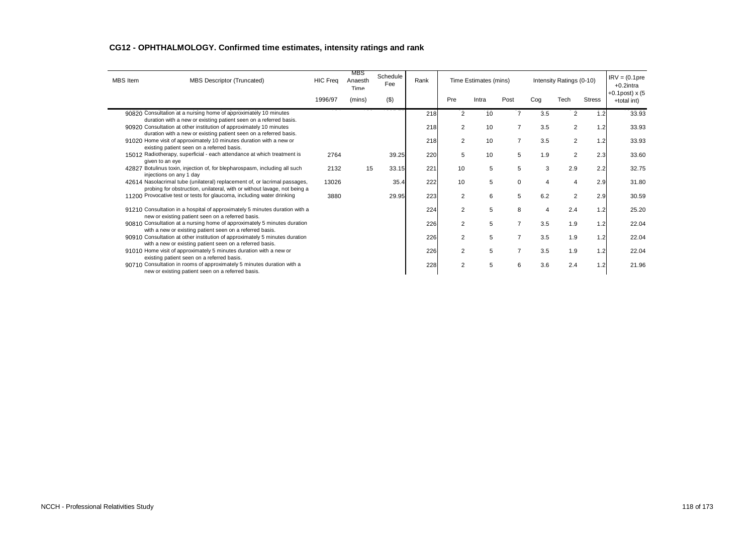| <b>MBS</b> Item | <b>MBS Descriptor (Truncated)</b>                                                                                                                      | <b>HIC Freq</b> | MBS<br>Anaesth<br>Time | Schedule<br>Fee | Rank |                | Time Estimates (mins) |          |     | Intensity Ratings (0-10) |               | $IRV = (0.1pre$<br>$+0.2$ intra<br>$+0.1$ post) x (5 |
|-----------------|--------------------------------------------------------------------------------------------------------------------------------------------------------|-----------------|------------------------|-----------------|------|----------------|-----------------------|----------|-----|--------------------------|---------------|------------------------------------------------------|
|                 |                                                                                                                                                        | 1996/97         | (mins)                 | $($ \$)         |      | Pre            | Intra                 | Post     | Cog | Tech                     | <b>Stress</b> | +total int)                                          |
|                 | 90820 Consultation at a nursing home of approximately 10 minutes<br>duration with a new or existing patient seen on a referred basis.                  |                 |                        |                 | 218  | 2              | 10                    |          | 3.5 | 2                        | 1.2           | 33.93                                                |
|                 | 90920 Consultation at other institution of approximately 10 minutes<br>duration with a new or existing patient seen on a referred basis.               |                 |                        |                 | 218  | 2              | 10                    |          | 3.5 | 2                        | 1.2           | 33.93                                                |
|                 | 91020 Home visit of approximately 10 minutes duration with a new or<br>existing patient seen on a referred basis.                                      |                 |                        |                 | 218  | $\overline{2}$ | 10                    |          | 3.5 | $\overline{2}$           | 1.2           | 33.93                                                |
|                 | 15012 Radiotherapy, superficial - each attendance at which treatment is<br>given to an eye                                                             | 2764            |                        | 39.25           | 220  | 5              | 10                    | 5        | 1.9 | 2                        | 2.3           | 33.60                                                |
|                 | 42827 Botulinus toxin, injection of, for blepharospasm, including all such<br>injections on any 1 day                                                  | 2132            | 15                     | 33.15           | 221  | 10             | 5                     | 5        | 3   | 2.9                      | 2.2           | 32.75                                                |
|                 | 42614 Nasolacrimal tube (unilateral) replacement of, or lacrimal passages,<br>probing for obstruction, unilateral, with or without lavage, not being a | 13026           |                        | 35.4            | 222  | 10             | 5                     | $\Omega$ |     | 4                        | 2.9           | 31.80                                                |
|                 | 11200 Provocative test or tests for glaucoma, including water drinking                                                                                 | 3880            |                        | 29.95           | 223  | $\overline{2}$ | 6                     | 5        | 6.2 | 2                        | 2.9           | 30.59                                                |
|                 | 91210 Consultation in a hospital of approximately 5 minutes duration with a<br>new or existing patient seen on a referred basis.                       |                 |                        |                 | 224  | 2              | 5                     | 8        |     | 2.4                      | 1.2           | 25.20                                                |
|                 | 90810 Consultation at a nursing home of approximately 5 minutes duration<br>with a new or existing patient seen on a referred basis.                   |                 |                        |                 | 226  | 2              | 5                     |          | 3.5 | 1.9                      | 1.2           | 22.04                                                |
|                 | 90910 Consultation at other institution of approximately 5 minutes duration<br>with a new or existing patient seen on a referred basis.                |                 |                        |                 | 226  | 2              | 5                     |          | 3.5 | 1.9                      | 1.2           | 22.04                                                |
|                 | 91010 Home visit of approximately 5 minutes duration with a new or<br>existing patient seen on a referred basis.                                       |                 |                        |                 | 226  | $\overline{2}$ | 5                     |          | 3.5 | 1.9                      | 1.2           | 22.04                                                |
|                 | 90710 Consultation in rooms of approximately 5 minutes duration with a<br>new or existing patient seen on a referred basis.                            |                 |                        |                 | 228  | $\mathfrak{p}$ | 5                     | 6        | 3.6 | 2.4                      | 1.2           | 21.96                                                |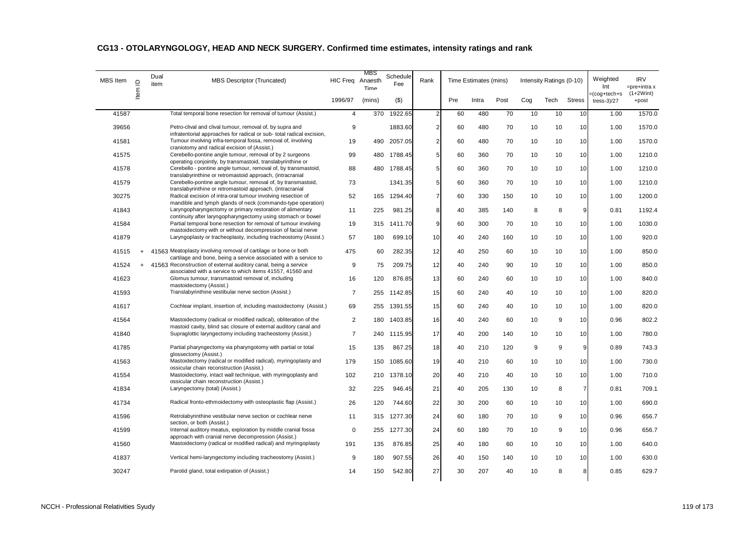| <b>MBS</b> Item | $\supseteq$ | Dual<br>item | <b>MBS Descriptor (Truncated)</b>                                                                                                    | HIC Freq Anaesth | MBS<br>Time | Schedule<br>Fee | Rank           |     | Time Estimates (mins) |      |     | Intensity Ratings (0-10) |                | Weighted<br>Int                  | <b>IRV</b><br>$=$ pre $+$ intra x |
|-----------------|-------------|--------------|--------------------------------------------------------------------------------------------------------------------------------------|------------------|-------------|-----------------|----------------|-----|-----------------------|------|-----|--------------------------|----------------|----------------------------------|-----------------------------------|
|                 | Item        |              |                                                                                                                                      | 1996/97          | (mins)      | $($ \$)         |                | Pre | Intra                 | Post | Cog | Tech                     | <b>Stress</b>  | =(cog+tech+s<br>tress- $3$ $/27$ | $(1+2Wint)$<br>+post              |
| 41587           |             |              | Total temporal bone resection for removal of tumour (Assist.)                                                                        | $\overline{4}$   | 370         | 1922.65         | $\overline{c}$ | 60  | 480                   | 70   | 10  | 10                       | 10             | 1.00                             | 1570.0                            |
| 39656           |             |              | Petro-clival and clival tumour, removal of, by supra and                                                                             | 9                |             | 1883.60         | $\overline{2}$ | 60  | 480                   | 70   | 10  | 10                       | 10             | 1.00                             | 1570.0                            |
| 41581           |             |              | infratentorial approaches for radical or sub-total radical excision,<br>Tumour involving infra-temporal fossa, removal of, involving | 19               |             | 490 2057.05     | $\overline{2}$ | 60  | 480                   | 70   | 10  | 10                       | 10             | 1.00                             | 1570.0                            |
| 41575           |             |              | craniotomy and radical excision of (Assist.)<br>Cerebello-pontine angle tumour, removal of by 2 surgeons                             | 99               | 480         | 1788.45         | 5              | 60  | 360                   | 70   | 10  | 10                       | 10             | 1.00                             | 1210.0                            |
| 41578           |             |              | operating conjointly, by transmastoid, translabyrinthine or<br>Cerebello - pontine angle tumour, removal of, by transmastoid,        | 88               |             | 480 1788.45     | 5              | 60  | 360                   | 70   | 10  | 10                       | 10             | 1.00                             | 1210.0                            |
|                 |             |              | translabyrinthine or retromastoid approach, (intracranial                                                                            |                  |             |                 |                |     |                       |      |     |                          |                |                                  |                                   |
| 41579           |             |              | Cerebello-pontine angle tumour, removal of, by transmastoid,<br>translabyrinthine or retromastoid approach, (intracranial            | 73               |             | 1341.35         | 5              | 60  | 360                   | 70   | 10  | 10                       | 10             | 1.00                             | 1210.0                            |
| 30275           |             |              | Radical excision of intra-oral tumour involving resection of<br>mandible and lymph glands of neck (commando-type operation)          | 52               | 165         | 1294.40         | $\overline{7}$ | 60  | 330                   | 150  | 10  | 10                       | 10             | 1.00                             | 1200.0                            |
| 41843           |             |              | Laryngopharyngectomy or primary restoration of alimentary                                                                            | 11               | 225         | 981.25          | 8              | 40  | 385                   | 140  | 8   | 8                        | 9              | 0.81                             | 1192.4                            |
| 41584           |             |              | continuity after laryngopharyngectomy using stomach or bowel<br>Partial temporal bone resection for removal of tumour involving      | 19               | 315         | 1411.70         | 9              | 60  | 300                   | 70   | 10  | 10                       | 10             | 1.00                             | 1030.0                            |
| 41879           |             |              | mastoidectomy with or without decompression of facial nerve<br>Laryngoplasty or tracheoplasty, including tracheostomy (Assist.)      | 57               | 180         | 699.10          | 10             | 40  | 240                   | 160  | 10  | 10                       | 10             | 1.00                             | 920.0                             |
| 41515           |             |              | 41563 Meatoplasty involving removal of cartilage or bone or both                                                                     | 475              | 60          | 282.35          | 12             | 40  | 250                   | 60   | 10  | 10                       | 10             | 1.00                             | 850.0                             |
|                 | $\ddot{}$   |              | cartilage and bone, being a service associated with a service to                                                                     |                  |             |                 |                |     |                       |      |     |                          |                |                                  |                                   |
| 41524           | $+$         |              | 41563 Reconstruction of external auditory canal, being a service<br>associated with a service to which items 41557, 41560 and        | 9                | 75          | 209.75          | 12             | 40  | 240                   | 90   | 10  | 10                       | 10             | 1.00                             | 850.0                             |
| 41623           |             |              | Glomus tumour, transmastoid removal of, including<br>mastoidectomy (Assist.)                                                         | 16               | 120         | 876.85          | 13             | 60  | 240                   | 60   | 10  | 10                       | 10             | 1.00                             | 840.0                             |
| 41593           |             |              | Translabyrinthine vestibular nerve section (Assist.)                                                                                 | $\overline{7}$   | 255         | 1142.85         | 15             | 60  | 240                   | 40   | 10  | 10                       | 10             | 1.00                             | 820.0                             |
| 41617           |             |              | Cochlear implant, insertion of, including mastoidectomy (Assist.)                                                                    | 69               | 255         | 1391.55         | 15             | 60  | 240                   | 40   | 10  | 10                       | 10             | 1.00                             | 820.0                             |
| 41564           |             |              | Mastoidectomy (radical or modified radical), obliteration of the                                                                     | 2                | 180         | 1403.85         | 16             | 40  | 240                   | 60   | 10  | 9                        | 10             | 0.96                             | 802.2                             |
| 41840           |             |              | mastoid cavity, blind sac closure of external auditory canal and<br>Supraglottic laryngectomy including tracheostomy (Assist.)       | $\overline{7}$   | 240         | 1115.95         | 17             | 40  | 200                   | 140  | 10  | 10                       | 10             | 1.00                             | 780.0                             |
| 41785           |             |              | Partial pharyngectomy via pharyngotomy with partial or total                                                                         | 15               | 135         | 867.25          | 18             | 40  | 210                   | 120  | 9   | 9                        | 9              | 0.89                             | 743.3                             |
| 41563           |             |              | glossectomy (Assist.)<br>Mastoidectomy (radical or modified radical), myringoplasty and                                              | 179              | 150         | 1085.60         | 19             | 40  | 210                   | 60   | 10  | 10                       | 10             | 1.00                             | 730.0                             |
|                 |             |              | ossicular chain reconstruction (Assist.)<br>Mastoidectomy, intact wall technique, with myringoplasty and                             | 102              | 210         | 1378.10         |                |     | 210                   |      |     | 10                       |                | 1.00                             | 710.0                             |
| 41554           |             |              | ossicular chain reconstruction (Assist.)                                                                                             |                  |             |                 | 20             | 40  |                       | 40   | 10  |                          | 10             |                                  |                                   |
| 41834           |             |              | Laryngectomy (total) (Assist.)                                                                                                       | 32               | 225         | 946.45          | 21             | 40  | 205                   | 130  | 10  | 8                        | $\overline{7}$ | 0.81                             | 709.1                             |
| 41734           |             |              | Radical fronto-ethmoidectomy with osteoplastic flap (Assist.)                                                                        | 26               | 120         | 744.60          | 22             | 30  | 200                   | 60   | 10  | 10                       | 10             | 1.00                             | 690.0                             |
| 41596           |             |              | Retrolabyrinthine vestibular nerve section or cochlear nerve<br>section, or both (Assist.)                                           | 11               | 315         | 1277.30         | 24             | 60  | 180                   | 70   | 10  | 9                        | 10             | 0.96                             | 656.7                             |
| 41599           |             |              | Internal auditory meatus, exploration by middle cranial fossa                                                                        | $\pmb{0}$        | 255         | 1277.30         | 24             | 60  | 180                   | 70   | 10  | 9                        | 10             | 0.96                             | 656.7                             |
| 41560           |             |              | approach with cranial nerve decompression (Assist.)<br>Mastoidectomy (radical or modified radical) and myringoplasty                 | 191              | 135         | 876.85          | 25             | 40  | 180                   | 60   | 10  | 10                       | 10             | 1.00                             | 640.0                             |
| 41837           |             |              | Vertical hemi-laryngectomy including tracheostomy (Assist.)                                                                          | 9                | 180         | 907.55          | 26             | 40  | 150                   | 140  | 10  | 10                       | 10             | 1.00                             | 630.0                             |
| 30247           |             |              | Parotid gland, total extirpation of (Assist.)                                                                                        | 14               | 150         | 542.80          | 27             | 30  | 207                   | 40   | 10  | 8                        | 8              | 0.85                             | 629.7                             |
|                 |             |              |                                                                                                                                      |                  |             |                 |                |     |                       |      |     |                          |                |                                  |                                   |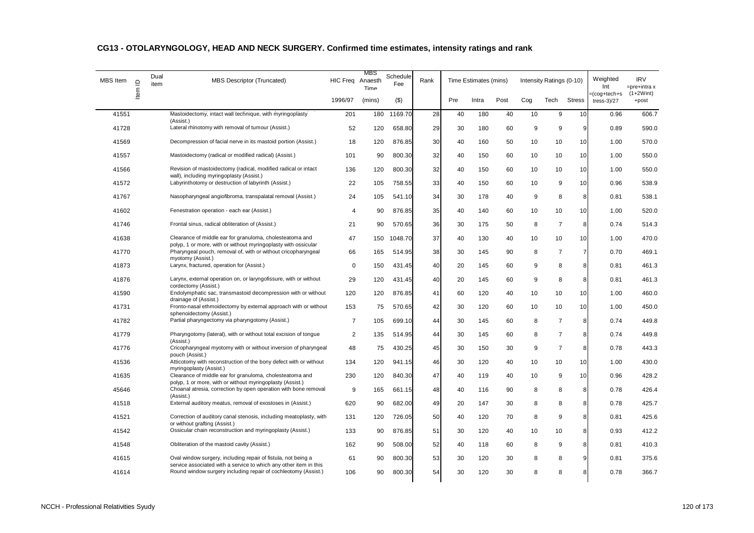| <b>MBS</b> Item | $\supseteq$ | Dual<br>item | <b>MBS Descriptor (Truncated)</b>                                                                                                  | HIC Freq Anaesth | MBS<br>Time | Schedule<br>Fee | Rank |     | Time Estimates (mins) |      |     | Intensity Ratings (0-10) |                | Weighted<br>Int                  | <b>IRV</b><br>$=$ pre+intra x |
|-----------------|-------------|--------------|------------------------------------------------------------------------------------------------------------------------------------|------------------|-------------|-----------------|------|-----|-----------------------|------|-----|--------------------------|----------------|----------------------------------|-------------------------------|
|                 | Item        |              |                                                                                                                                    | 1996/97          | (mins)      | $($ \$)         |      | Pre | Intra                 | Post | Cog | Tech                     | <b>Stress</b>  | =(cog+tech+s<br>tress- $3$ $/27$ | $(1+2Wint)$<br>+post          |
| 41551           |             |              | Mastoidectomy, intact wall technique, with myringoplasty<br>(Assist.)                                                              | 201              | 180         | 1169.70         | 28   | 40  | 180                   | 40   | 10  | 9                        | 10             | 0.96                             | 606.7                         |
| 41728           |             |              | Lateral rhinotomy with removal of tumour (Assist.)                                                                                 | 52               | 120         | 658.80          | 29   | 30  | 180                   | 60   | 9   | 9                        | $\overline{9}$ | 0.89                             | 590.0                         |
| 41569           |             |              | Decompression of facial nerve in its mastoid portion (Assist.)                                                                     | 18               | 120         | 876.85          | 30   | 40  | 160                   | 50   | 10  | 10                       | 10             | 1.00                             | 570.0                         |
| 41557           |             |              | Mastoidectomy (radical or modified radical) (Assist.)                                                                              | 101              | 90          | 800.30          | 32   | 40  | 150                   | 60   | 10  | 10                       | 10             | 1.00                             | 550.0                         |
| 41566           |             |              | Revision of mastoidectomy (radical, modified radical or intact                                                                     | 136              | 120         | 800.30          | 32   | 40  | 150                   | 60   | 10  | 10                       | 10             | 1.00                             | 550.0                         |
| 41572           |             |              | wall), including myringoplasty (Assist.)<br>Labyrinthotomy or destruction of labyrinth (Assist.)                                   | 22               | 105         | 758.55          | 33   | 40  | 150                   | 60   | 10  | 9                        | 10             | 0.96                             | 538.9                         |
| 41767           |             |              | Nasopharyngeal angiofibroma, transpalatal removal (Assist.)                                                                        | 24               | 105         | 541.10          | 34   | 30  | 178                   | 40   | 9   | 8                        | 8              | 0.81                             | 538.1                         |
| 41602           |             |              | Fenestration operation - each ear (Assist.)                                                                                        | 4                | 90          | 876.85          | 35   | 40  | 140                   | 60   | 10  | 10                       | 10             | 1.00                             | 520.0                         |
| 41746           |             |              | Frontal sinus, radical obliteration of (Assist.)                                                                                   | 21               | 90          | 570.65          | 36   | 30  | 175                   | 50   | 8   | $\overline{7}$           | 8              | 0.74                             | 514.3                         |
| 41638           |             |              | Clearance of middle ear for granuloma, cholesteatoma and                                                                           | 47               | 150         | 1048.70         | 37   | 40  | 130                   | 40   | 10  | 10                       | 10             | 1.00                             | 470.0                         |
| 41770           |             |              | polyp, 1 or more, with or without myringoplasty with ossicular<br>Pharyngeal pouch, removal of, with or without cricopharyngeal    | 66               | 165         | 514.95          | 38   | 30  | 145                   | 90   | 8   | $\overline{7}$           | $\overline{7}$ | 0.70                             | 469.1                         |
| 41873           |             |              | myotomy (Assist.)<br>Larynx, fractured, operation for (Assist.)                                                                    | $\mathbf 0$      | 150         | 431.45          | 40   | 20  | 145                   | 60   | 9   | 8                        | 8              | 0.81                             | 461.3                         |
| 41876           |             |              | Larynx, external operation on, or laryngofissure, with or without                                                                  | 29               | 120         | 431.45          | 40   | 20  | 145                   | 60   | 9   | 8                        | 8              | 0.81                             | 461.3                         |
| 41590           |             |              | cordectomy (Assist.)<br>Endolymphatic sac, transmastoid decompression with or without                                              | 120              | 120         | 876.85          | 41   | 60  | 120                   | 40   | 10  | 10                       | 10             | 1.00                             | 460.0                         |
| 41731           |             |              | drainage of (Assist.)<br>Fronto-nasal ethmoidectomy by external approach with or without                                           | 153              | 75          | 570.65          | 42   | 30  | 120                   | 60   | 10  | 10                       | 10             | 1.00                             | 450.0                         |
| 41782           |             |              | sphenoidectomy (Assist.)<br>Partial pharyngectomy via pharyngotomy (Assist.)                                                       | $\overline{7}$   | 105         | 699.10          | 44   | 30  | 145                   | 60   | 8   | $\overline{7}$           | 8              | 0.74                             | 449.8                         |
| 41779           |             |              | Pharyngotomy (lateral), with or without total excision of tongue                                                                   | $\overline{c}$   | 135         | 514.95          | 44   | 30  | 145                   | 60   | 8   | $\overline{7}$           | 8              | 0.74                             | 449.8                         |
| 41776           |             |              | (Assist.)<br>Cricopharyngeal myotomy with or without inversion of pharyngeal                                                       | 48               | 75          | 430.25          | 45   | 30  | 150                   | 30   | 9   | $\overline{7}$           | 8              | 0.78                             | 443.3                         |
| 41536           |             |              | pouch (Assist.)<br>Atticotomy with reconstruction of the bony defect with or without                                               | 134              | 120         | 941.15          | 46   | 30  | 120                   | 40   | 10  | 10                       | 10             | 1.00                             | 430.0                         |
| 41635           |             |              | myringoplasty (Assist.)<br>Clearance of middle ear for granuloma, cholesteatoma and                                                | 230              | 120         | 840.30          | 47   | 40  | 119                   | 40   | 10  | 9                        | 10             | 0.96                             | 428.2                         |
| 45646           |             |              | polyp, 1 or more, with or without myringoplasty (Assist.)<br>Choanal atresia, correction by open operation with bone removal       | 9                | 165         | 661.15          | 48   | 40  | 116                   | 90   | 8   | 8                        | 8              | 0.78                             | 426.4                         |
| 41518           |             |              | (Assist.)<br>External auditory meatus, removal of exostoses in (Assist.)                                                           | 620              | 90          | 682.00          | 49   | 20  | 147                   | 30   | 8   | 8                        | 8              | 0.78                             | 425.7                         |
| 41521           |             |              | Correction of auditory canal stenosis, including meatoplasty, with                                                                 | 131              | 120         | 726.05          | 50   | 40  | 120                   | 70   | 8   | 9                        | 8              | 0.81                             | 425.6                         |
|                 |             |              | or without grafting (Assist.)<br>Ossicular chain reconstruction and myringoplasty (Assist.)                                        |                  |             |                 |      |     |                       |      |     |                          |                |                                  |                               |
| 41542           |             |              |                                                                                                                                    | 133              | 90          | 876.85          | 51   | 30  | 120                   | 40   | 10  | 10                       | 8              | 0.93                             | 412.2                         |
| 41548           |             |              | Obliteration of the mastoid cavity (Assist.)                                                                                       | 162              | 90          | 508.00          | 52   | 40  | 118                   | 60   | 8   | 9                        | 8              | 0.81                             | 410.3                         |
| 41615           |             |              | Oval window surgery, including repair of fistula, not being a<br>service associated with a service to which any other item in this | 61               | 90          | 800.30          | 53   | 30  | 120                   | 30   | 8   | 8                        | 9              | 0.81                             | 375.6                         |
| 41614           |             |              | Round window surgery including repair of cochleotomy (Assist.)                                                                     | 106              | 90          | 800.30          | 54   | 30  | 120                   | 30   | 8   | 8                        | 8              | 0.78                             | 366.7                         |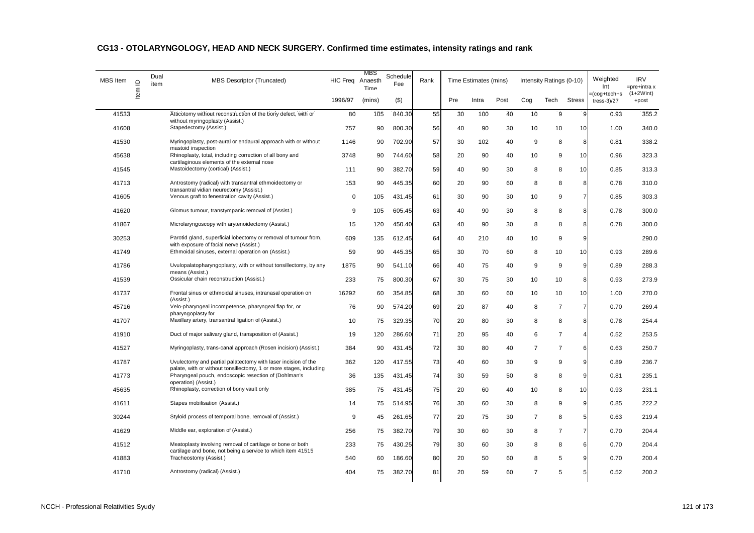| <b>MBS</b> Item | $\supseteq$ | Dual<br>item | <b>MBS Descriptor (Truncated)</b>                                                                                          | HIC Freq Anaesth | MBS<br>Time | Schedule<br>Fee | Rank |     | Time Estimates (mins) |      |                | Intensity Ratings (0-10) |                | Weighted<br>Int                  | <b>IRV</b><br>$=$ pre $+$ intra x |
|-----------------|-------------|--------------|----------------------------------------------------------------------------------------------------------------------------|------------------|-------------|-----------------|------|-----|-----------------------|------|----------------|--------------------------|----------------|----------------------------------|-----------------------------------|
|                 | ltem        |              |                                                                                                                            | 1996/97          | (mins)      | $($ \$)         |      | Pre | Intra                 | Post | Cog            | Tech                     | <b>Stress</b>  | =(cog+tech+s<br>tress- $3$ $/27$ | $(1+2Wint)$<br>+post              |
| 41533           |             |              | Atticotomy without reconstruction of the bony defect, with or                                                              | 80               | 105         | 840.30          | 55   | 30  | 100                   | 40   | 10             | 9                        | 9              | 0.93                             | 355.2                             |
| 41608           |             |              | without myringoplasty (Assist.)<br>Stapedectomy (Assist.)                                                                  | 757              | 90          | 800.30          | 56   | 40  | 90                    | 30   | 10             | 10                       | 10             | 1.00                             | 340.0                             |
| 41530           |             |              | Myringoplasty, post-aural or endaural approach with or without                                                             | 1146             | 90          | 702.90          | 57   | 30  | 102                   | 40   | 9              | 8                        | 8              | 0.81                             | 338.2                             |
| 45638           |             |              | mastoid inspection<br>Rhinoplasty, total, including correction of all bony and                                             | 3748             | 90          | 744.60          | 58   | 20  | 90                    | 40   | 10             | 9                        | 10             | 0.96                             | 323.3                             |
| 41545           |             |              | cartilaginous elements of the external nose<br>Mastoidectomy (cortical) (Assist.)                                          | 111              | 90          | 382.70          | 59   | 40  | 90                    | 30   | 8              | 8                        | 10             | 0.85                             | 313.3                             |
| 41713           |             |              | Antrostomy (radical) with transantral ethmoidectomy or<br>transantral vidian neurectomy (Assist.)                          | 153              | 90          | 445.35          | 60   | 20  | 90                    | 60   | 8              | 8                        | 8              | 0.78                             | 310.0                             |
| 41605           |             |              | Venous graft to fenestration cavity (Assist.)                                                                              | 0                | 105         | 431.45          | 61   | 30  | 90                    | 30   | 10             | 9                        | $\overline{7}$ | 0.85                             | 303.3                             |
| 41620           |             |              | Glomus tumour, transtympanic removal of (Assist.)                                                                          | 9                | 105         | 605.45          | 63   | 40  | 90                    | 30   | 8              | 8                        | 8              | 0.78                             | 300.0                             |
| 41867           |             |              | Microlaryngoscopy with arytenoidectomy (Assist.)                                                                           | 15               | 120         | 450.40          | 63   | 40  | 90                    | 30   | 8              | 8                        | 8              | 0.78                             | 300.0                             |
| 30253           |             |              | Parotid gland, superficial lobectomy or removal of tumour from,                                                            | 609              | 135         | 612.45          | 64   | 40  | 210                   | 40   | 10             | 9                        | 9              |                                  | 290.0                             |
| 41749           |             |              | with exposure of facial nerve (Assist.)<br>Ethmoidal sinuses, external operation on (Assist.)                              | 59               | 90          | 445.35          | 65   | 30  | 70                    | 60   | 8              | 10                       | 10             | 0.93                             | 289.6                             |
| 41786           |             |              | Uvulopalatopharyngoplasty, with or without tonsillectomy, by any<br>means (Assist.)                                        | 1875             | 90          | 541.10          | 66   | 40  | 75                    | 40   | 9              | 9                        | 9              | 0.89                             | 288.3                             |
| 41539           |             |              | Ossicular chain reconstruction (Assist.)                                                                                   | 233              | 75          | 800.30          | 67   | 30  | 75                    | 30   | 10             | 10                       | 8              | 0.93                             | 273.9                             |
| 41737           |             |              | Frontal sinus or ethmoidal sinuses, intranasal operation on<br>(Assist.)                                                   | 16292            | 60          | 354.85          | 68   | 30  | 60                    | 60   | 10             | 10                       | 10             | 1.00                             | 270.0                             |
| 45716           |             |              | Velo-pharyngeal incompetence, pharyngeal flap for, or                                                                      | 76               | 90          | 574.20          | 69   | 20  | 87                    | 40   | 8              | $\overline{7}$           | $\overline{7}$ | 0.70                             | 269.4                             |
| 41707           |             |              | pharyngoplasty for<br>Maxillary artery, transantral ligation of (Assist.)                                                  | 10               | 75          | 329.35          | 70   | 20  | 80                    | 30   | 8              | 8                        | 8              | 0.78                             | 254.4                             |
| 41910           |             |              | Duct of major salivary gland, transposition of (Assist.)                                                                   | 19               | 120         | 286.60          | 71   | 20  | 95                    | 40   | 6              | $\overline{7}$           | 4              | 0.52                             | 253.5                             |
| 41527           |             |              | Myringoplasty, trans-canal approach (Rosen incision) (Assist.)                                                             | 384              | 90          | 431.45          | 72   | 30  | 80                    | 40   | $\overline{7}$ | $\overline{7}$           | 6              | 0.63                             | 250.7                             |
| 41787           |             |              | Uvulectomy and partial palatectomy with laser incision of the                                                              | 362              | 120         | 417.55          | 73   | 40  | 60                    | 30   | 9              | 9                        | 9              | 0.89                             | 236.7                             |
| 41773           |             |              | palate, with or without tonsillectomy, 1 or more stages, including<br>Pharyngeal pouch, endoscopic resection of (Dohlman's | 36               | 135         | 431.45          | 74   | 30  | 59                    | 50   | 8              | 8                        | 9              | 0.81                             | 235.1                             |
| 45635           |             |              | operation) (Assist.)<br>Rhinoplasty, correction of bony vault only                                                         | 385              | 75          | 431.45          | 75   | 20  | 60                    | 40   | 10             | 8                        | 10             | 0.93                             | 231.1                             |
| 41611           |             |              | Stapes mobilisation (Assist.)                                                                                              | 14               | 75          | 514.95          | 76   | 30  | 60                    | 30   | 8              | 9                        | 9              | 0.85                             | 222.2                             |
| 30244           |             |              | Styloid process of temporal bone, removal of (Assist.)                                                                     | 9                | 45          | 261.65          | 77   | 20  | 75                    | 30   | $\overline{7}$ | 8                        | 5              | 0.63                             | 219.4                             |
| 41629           |             |              | Middle ear, exploration of (Assist.)                                                                                       | 256              | 75          | 382.70          | 79   | 30  | 60                    | 30   | 8              | $\overline{7}$           | $\overline{7}$ | 0.70                             | 204.4                             |
| 41512           |             |              | Meatoplasty involving removal of cartilage or bone or both                                                                 | 233              | 75          | 430.25          | 79   | 30  | 60                    | 30   | 8              | 8                        | 6              | 0.70                             | 204.4                             |
| 41883           |             |              | cartilage and bone, not being a service to which item 41515<br>Tracheostomy (Assist.)                                      | 540              | 60          | 186.60          | 80   | 20  | 50                    | 60   | 8              | 5                        | 9              | 0.70                             | 200.4                             |
| 41710           |             |              | Antrostomy (radical) (Assist.)                                                                                             | 404              | 75          | 382.70          | 81   | 20  | 59                    | 60   | $\overline{7}$ | 5                        | 5              | 0.52                             | 200.2                             |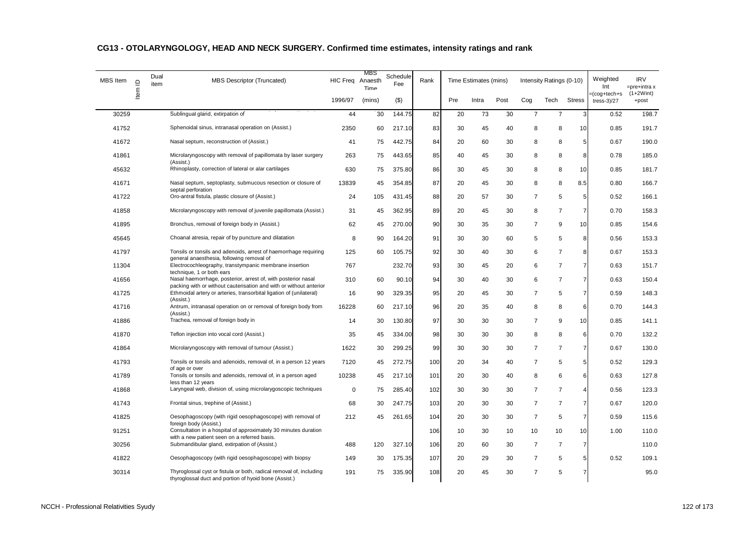| MBS Item | $\supseteq$ | Dual<br>item | MBS Descriptor (Truncated)                                                                                                                | <b>HIC Freq</b> | <b>MBS</b><br>Anaesth<br>Time | Schedule<br>Fee | Rank |     | Time Estimates (mins) |      |                | Intensity Ratings (0-10) |                | Weighted<br>Int                  | <b>IRV</b><br>=pre+intra x |
|----------|-------------|--------------|-------------------------------------------------------------------------------------------------------------------------------------------|-----------------|-------------------------------|-----------------|------|-----|-----------------------|------|----------------|--------------------------|----------------|----------------------------------|----------------------------|
|          | Item        |              |                                                                                                                                           | 1996/97         | (mins)                        | (3)             |      | Pre | Intra                 | Post | Cog            | Tech                     | <b>Stress</b>  | =(cog+tech+s<br>tress- $3$ $/27$ | $(1+2Wint)$<br>+post       |
| 30259    |             |              | Sublingual gland, extirpation of                                                                                                          | 44              | 30                            | 144.75          | 82   | 20  | 73                    | 30   | $\overline{7}$ | $\overline{7}$           | 3              | 0.52                             | 198.7                      |
| 41752    |             |              | Sphenoidal sinus, intranasal operation on (Assist.)                                                                                       | 2350            | 60                            | 217.10          | 83   | 30  | 45                    | 40   | 8              | 8                        | 10             | 0.85                             | 191.7                      |
| 41672    |             |              | Nasal septum, reconstruction of (Assist.)                                                                                                 | 41              | 75                            | 442.75          | 84   | 20  | 60                    | 30   | 8              | 8                        | 5              | 0.67                             | 190.0                      |
| 41861    |             |              | Microlaryngoscopy with removal of papillomata by laser surgery                                                                            | 263             | 75                            | 443.65          | 85   | 40  | 45                    | 30   | 8              | 8                        | 8              | 0.78                             | 185.0                      |
| 45632    |             |              | (Assist.)<br>Rhinoplasty, correction of lateral or alar cartilages                                                                        | 630             | 75                            | 375.80          | 86   | 30  | 45                    | 30   | 8              | 8                        | 10             | 0.85                             | 181.7                      |
| 41671    |             |              | Nasal septum, septoplasty, submucous resection or closure of                                                                              | 13839           | 45                            | 354.85          | 87   | 20  | 45                    | 30   | 8              | 8                        | 8.5            | 0.80                             | 166.7                      |
| 41722    |             |              | septal perforation<br>Oro-antral fistula, plastic closure of (Assist.)                                                                    | 24              | 105                           | 431.45          | 88   | 20  | 57                    | 30   | $\overline{7}$ | 5                        | 5              | 0.52                             | 166.1                      |
| 41858    |             |              | Microlaryngoscopy with removal of juvenile papillomata (Assist.)                                                                          | 31              | 45                            | 362.95          | 89   | 20  | 45                    | 30   | 8              | $\overline{7}$           | 7              | 0.70                             | 158.3                      |
| 41895    |             |              | Bronchus, removal of foreign body in (Assist.)                                                                                            | 62              | 45                            | 270.00          | 90   | 30  | 35                    | 30   | $\overline{7}$ | 9                        | 10             | 0.85                             | 154.6                      |
| 45645    |             |              | Choanal atresia, repair of by puncture and dilatation                                                                                     | 8               | 90                            | 164.20          | 91   | 30  | 30                    | 60   | 5              | 5                        | 8              | 0.56                             | 153.3                      |
| 41797    |             |              | Tonsils or tonsils and adenoids, arrest of haemorrhage requiring                                                                          | 125             | 60                            | 105.75          | 92   | 30  | 40                    | 30   | 6              | $\overline{7}$           | 8              | 0.67                             | 153.3                      |
| 11304    |             |              | general anaesthesia, following removal of<br>Electrocochleography, transtympanic membrane insertion                                       | 767             |                               | 232.70          | 93   | 30  | 45                    | 20   | 6              | $\overline{7}$           | 7              | 0.63                             | 151.7                      |
| 41656    |             |              | technique, 1 or both ears<br>Nasal haemorrhage, posterior, arrest of, with posterior nasal                                                | 310             | 60                            | 90.10           | 94   | 30  | 40                    | 30   | 6              | $\overline{7}$           | 7              | 0.63                             | 150.4                      |
| 41725    |             |              | packing with or without cauterisation and with or without anterior<br>Ethmoidal artery or arteries, transorbital ligation of (unilateral) | 16              | 90                            | 329.35          | 95   | 20  | 45                    | 30   | $\overline{7}$ | 5                        | $\overline{7}$ | 0.59                             | 148.3                      |
| 41716    |             |              | (Assist.)<br>Antrum, intranasal operation on or removal of foreign body from                                                              | 16228           | 60                            | 217.10          | 96   | 20  | 35                    | 40   | 8              | 8                        | 6              | 0.70                             | 144.3                      |
| 41886    |             |              | (Assist.)<br>Trachea, removal of foreign body in                                                                                          | 14              | 30                            | 130.80          | 97   | 30  | 30                    | 30   | 7              | 9                        | 10             | 0.85                             | 141.1                      |
| 41870    |             |              | Teflon injection into vocal cord (Assist.)                                                                                                | 35              | 45                            | 334.00          | 98   | 30  | 30                    | 30   | 8              | 8                        | 6              | 0.70                             | 132.2                      |
| 41864    |             |              | Microlaryngoscopy with removal of tumour (Assist.)                                                                                        | 1622            | 30                            | 299.25          | 99   | 30  | 30                    | 30   | $\overline{7}$ | $\overline{7}$           | $\overline{7}$ | 0.67                             | 130.0                      |
| 41793    |             |              | Tonsils or tonsils and adenoids, removal of, in a person 12 years                                                                         | 7120            | 45                            | 272.75          | 100  | 20  | 34                    | 40   | $\overline{7}$ | 5                        | 5 <sup>1</sup> | 0.52                             | 129.3                      |
| 41789    |             |              | of age or over<br>Tonsils or tonsils and adenoids, removal of, in a person aged                                                           | 10238           | 45                            | 217.10          | 101  | 20  | 30                    | 40   | 8              | 6                        | 6              | 0.63                             | 127.8                      |
| 41868    |             |              | less than 12 years<br>Laryngeal web, division of, using microlarygoscopic techniques                                                      | $\mathbf 0$     | 75                            | 285.40          | 102  | 30  | 30                    | 30   | $\overline{7}$ | $\overline{7}$           | 4              | 0.56                             | 123.3                      |
| 41743    |             |              | Frontal sinus, trephine of (Assist.)                                                                                                      | 68              | 30                            | 247.75          | 103  | 20  | 30                    | 30   | $\overline{7}$ | $\overline{7}$           | $\overline{7}$ | 0.67                             | 120.0                      |
| 41825    |             |              | Oesophagoscopy (with rigid oesophagoscope) with removal of                                                                                | 212             | 45                            | 261.65          | 104  | 20  | 30                    | 30   | $\overline{7}$ | 5                        | $\overline{7}$ | 0.59                             | 115.6                      |
| 91251    |             |              | foreign body (Assist.)<br>Consultation in a hospital of approximately 30 minutes duration                                                 |                 |                               |                 | 106  | 10  | 30                    | 10   | 10             | 10                       | 10             | 1.00                             | 110.0                      |
| 30256    |             |              | with a new patient seen on a referred basis.<br>Submandibular gland, extirpation of (Assist.)                                             | 488             | 120                           | 327.10          | 106  | 20  | 60                    | 30   | $\overline{7}$ | $\overline{7}$           | 7              |                                  | 110.0                      |
| 41822    |             |              | Oesophagoscopy (with rigid oesophagoscope) with biopsy                                                                                    | 149             | 30                            | 175.35          | 107  | 20  | 29                    | 30   | $\overline{7}$ | 5                        | 5              | 0.52                             | 109.1                      |
| 30314    |             |              | Thyroglossal cyst or fistula or both, radical removal of, including<br>thyroglossal duct and portion of hyoid bone (Assist.)              | 191             | 75                            | 335.90          | 108  | 20  | 45                    | 30   | $\overline{7}$ | 5                        | 7              |                                  | 95.0                       |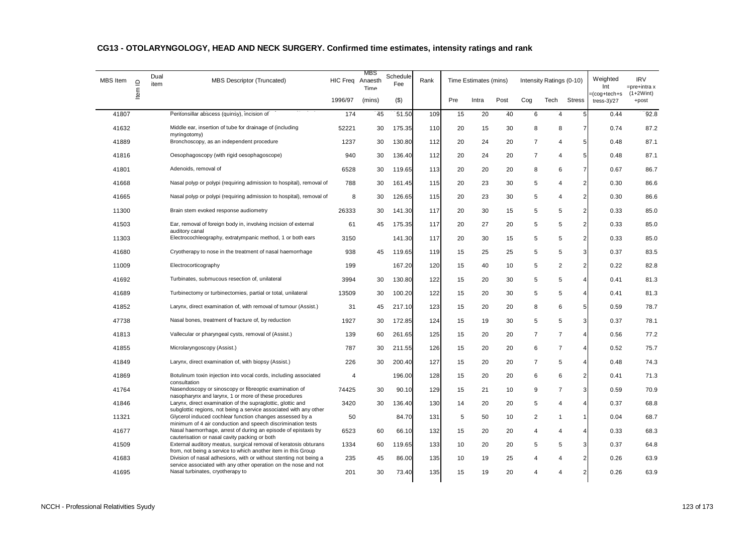| MBS Item | $\supseteq$<br>Item | Dual<br>item | <b>MBS Descriptor (Truncated)</b>                                                                                                    | HIC Freq Anaesth | <b>MBS</b><br>Time | Schedule<br>Fee | Rank |     | Time Estimates (mins) |      |                | Intensity Ratings (0-10) |                | Weighted<br>Int               | <b>IRV</b><br>$=$ pre+intra x |
|----------|---------------------|--------------|--------------------------------------------------------------------------------------------------------------------------------------|------------------|--------------------|-----------------|------|-----|-----------------------|------|----------------|--------------------------|----------------|-------------------------------|-------------------------------|
|          |                     |              |                                                                                                                                      | 1996/97          | (mins)             | $($ \$)         |      | Pre | Intra                 | Post | Cog            | Tech                     | <b>Stress</b>  | =(cog+tech+s<br>$tress-3)/27$ | $(1+2Wint)$<br>+post          |
| 41807    |                     |              | Peritonsillar abscess (quinsy), incision of                                                                                          | 174              | 45                 | 51.50           | 109  | 15  | 20                    | 40   | 6              | $\overline{4}$           | 5              | 0.44                          | 92.8                          |
| 41632    |                     |              | Middle ear, insertion of tube for drainage of (including                                                                             | 52221            | 30                 | 175.35          | 110  | 20  | 15                    | 30   | 8              | 8                        |                | 0.74                          | 87.2                          |
| 41889    |                     |              | myringotomy)<br>Bronchoscopy, as an independent procedure                                                                            | 1237             | 30                 | 130.80          | 112  | 20  | 24                    | 20   | $\overline{7}$ | $\overline{4}$           | 5              | 0.48                          | 87.1                          |
| 41816    |                     |              | Oesophagoscopy (with rigid oesophagoscope)                                                                                           | 940              | 30                 | 136.40          | 112  | 20  | 24                    | 20   | $\overline{7}$ | $\overline{4}$           | 5              | 0.48                          | 87.1                          |
| 41801    |                     |              | Adenoids, removal of                                                                                                                 | 6528             | 30                 | 119.65          | 113  | 20  | 20                    | 20   | 8              | 6                        | 7              | 0.67                          | 86.7                          |
| 41668    |                     |              | Nasal polyp or polypi (requiring admission to hospital), removal of                                                                  | 788              | 30                 | 161.45          | 115  | 20  | 23                    | 30   | 5              | $\overline{4}$           | $\overline{2}$ | 0.30                          | 86.6                          |
| 41665    |                     |              | Nasal polyp or polypi (requiring admission to hospital), removal of                                                                  | 8                | 30                 | 126.65          | 115  | 20  | 23                    | 30   | 5              | $\overline{4}$           | $\overline{2}$ | 0.30                          | 86.6                          |
| 11300    |                     |              | Brain stem evoked response audiometry                                                                                                | 26333            | 30                 | 141.30          | 117  | 20  | 30                    | 15   | 5              | 5                        | 2              | 0.33                          | 85.0                          |
| 41503    |                     |              | Ear, removal of foreign body in, involving incision of external<br>auditory canal                                                    | 61               | 45                 | 175.35          | 117  | 20  | 27                    | 20   | 5              | 5                        | $\overline{2}$ | 0.33                          | 85.0                          |
| 11303    |                     |              | Electrocochleography, extratympanic method, 1 or both ears                                                                           | 3150             |                    | 141.30          | 117  | 20  | 30                    | 15   | 5              | 5                        | $\overline{2}$ | 0.33                          | 85.0                          |
| 41680    |                     |              | Cryotherapy to nose in the treatment of nasal haemorrhage                                                                            | 938              | 45                 | 119.65          | 119  | 15  | 25                    | 25   | 5              | 5                        | 3              | 0.37                          | 83.5                          |
| 11009    |                     |              | Electrocorticography                                                                                                                 | 199              |                    | 167.20          | 120  | 15  | 40                    | 10   | 5              | $\overline{2}$           | 2              | 0.22                          | 82.8                          |
| 41692    |                     |              | Turbinates, submucous resection of, unilateral                                                                                       | 3994             | 30                 | 130.80          | 122  | 15  | 20                    | 30   | 5              | 5                        | 4              | 0.41                          | 81.3                          |
| 41689    |                     |              | Turbinectomy or turbinectomies, partial or total, unilateral                                                                         | 13509            | 30                 | 100.20          | 122  | 15  | 20                    | 30   | 5              | 5                        | 4              | 0.41                          | 81.3                          |
| 41852    |                     |              | Larynx, direct examination of, with removal of tumour (Assist.)                                                                      | 31               | 45                 | 217.10          | 123  | 15  | 20                    | 20   | 8              | 6                        | 5              | 0.59                          | 78.7                          |
| 47738    |                     |              | Nasal bones, treatment of fracture of, by reduction                                                                                  | 1927             | 30                 | 172.85          | 124  | 15  | 19                    | 30   | 5              | 5                        | 3              | 0.37                          | 78.1                          |
| 41813    |                     |              | Vallecular or pharyngeal cysts, removal of (Assist.)                                                                                 | 139              | 60                 | 261.65          | 125  | 15  | 20                    | 20   | $\overline{7}$ | $\overline{7}$           | 4              | 0.56                          | 77.2                          |
| 41855    |                     |              | Microlaryngoscopy (Assist.)                                                                                                          | 787              | 30                 | 211.55          | 126  | 15  | 20                    | 20   | 6              | $\overline{7}$           | 4              | 0.52                          | 75.7                          |
| 41849    |                     |              | Larynx, direct examination of, with biopsy (Assist.)                                                                                 | 226              | 30                 | 200.40          | 127  | 15  | 20                    | 20   | $\overline{7}$ | 5                        | 4              | 0.48                          | 74.3                          |
| 41869    |                     |              | Botulinum toxin injection into vocal cords, including associated<br>consultation                                                     | $\overline{4}$   |                    | 196.00          | 128  | 15  | 20                    | 20   | 6              | 6                        | 2              | 0.41                          | 71.3                          |
| 41764    |                     |              | Nasendoscopy or sinoscopy or fibreoptic examination of<br>nasopharynx and larynx, 1 or more of these procedures                      | 74425            | 30                 | 90.10           | 129  | 15  | 21                    | 10   | 9              | $\overline{7}$           | 3              | 0.59                          | 70.9                          |
| 41846    |                     |              | Larynx, direct examination of the supraglottic, glottic and<br>subglottic regions, not being a service associated with any other     | 3420             | 30                 | 136.40          | 130  | 14  | 20                    | 20   | 5              | $\overline{4}$           | 4              | 0.37                          | 68.8                          |
| 11321    |                     |              | Glycerol induced cochlear function changes assessed by a<br>minimum of 4 air conduction and speech discrimination tests              | 50               |                    | 84.70           | 131  | 5   | 50                    | 10   | $\overline{2}$ | $\mathbf{1}$             |                | 0.04                          | 68.7                          |
| 41677    |                     |              | Nasal haemorrhage, arrest of during an episode of epistaxis by<br>cauterisation or nasal cavity packing or both                      | 6523             | 60                 | 66.10           | 132  | 15  | 20                    | 20   | 4              | $\overline{4}$           |                | 0.33                          | 68.3                          |
| 41509    |                     |              | External auditory meatus, surgical removal of keratosis obturans<br>from, not being a service to which another item in this Group    | 1334             | 60                 | 119.65          | 133  | 10  | 20                    | 20   | 5              | 5                        | 3              | 0.37                          | 64.8                          |
| 41683    |                     |              | Division of nasal adhesions, with or without stenting not being a<br>service associated with any other operation on the nose and not | 235              | 45                 | 86.00           | 135  | 10  | 19                    | 25   | $\overline{4}$ | $\overline{4}$           | $\overline{2}$ | 0.26                          | 63.9                          |
| 41695    |                     |              | Nasal turbinates, cryotherapy to                                                                                                     | 201              | 30                 | 73.40           | 135  | 15  | 19                    | 20   | 4              | $\overline{4}$           | $\mathfrak{p}$ | 0.26                          | 63.9                          |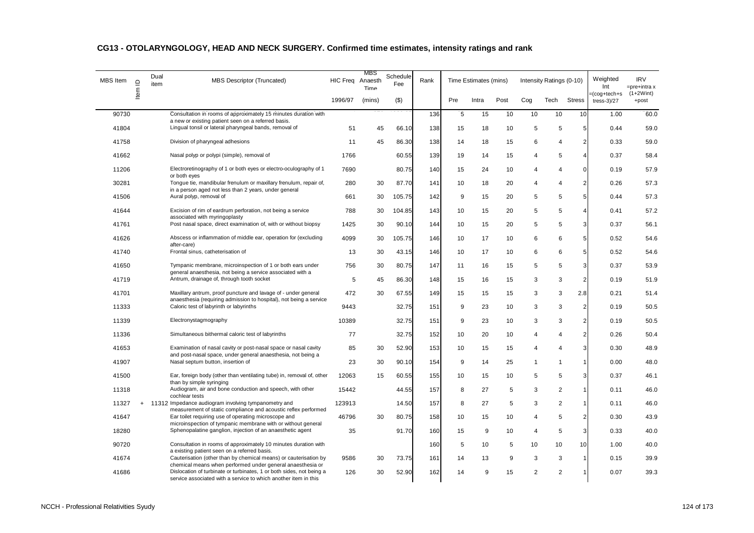| <b>MBS</b> Item | $\supseteq$ | Dual<br>item | <b>MBS Descriptor (Truncated)</b>                                                                                                          | HIC Freq Anaesth | MBS<br>Time | Schedule<br>Fee | Rank |     | Time Estimates (mins) |      |              | Intensity Ratings (0-10) |                         | Weighted<br>Int                  | <b>IRV</b><br>$=$ pre $+$ intra x |
|-----------------|-------------|--------------|--------------------------------------------------------------------------------------------------------------------------------------------|------------------|-------------|-----------------|------|-----|-----------------------|------|--------------|--------------------------|-------------------------|----------------------------------|-----------------------------------|
|                 | Item        |              |                                                                                                                                            | 1996/97          | (mins)      | (3)             |      | Pre | Intra                 | Post | Cog          | Tech                     | <b>Stress</b>           | =(cog+tech+s<br>tress- $3$ $/27$ | $(1+2Wint)$<br>+post              |
| 90730           |             |              | Consultation in rooms of approximately 15 minutes duration with                                                                            |                  |             |                 | 136  | 5   | 15                    | 10   | 10           | 10                       | 10                      | 1.00                             | 60.0                              |
| 41804           |             |              | a new or existing patient seen on a referred basis.<br>Lingual tonsil or lateral pharyngeal bands, removal of                              | 51               | 45          | 66.10           | 138  | 15  | 18                    | 10   | 5            | 5                        | 5                       | 0.44                             | 59.0                              |
| 41758           |             |              | Division of pharyngeal adhesions                                                                                                           | 11               | 45          | 86.30           | 138  | 14  | 18                    | 15   | 6            | $\overline{4}$           | $\overline{2}$          | 0.33                             | 59.0                              |
| 41662           |             |              | Nasal polyp or polypi (simple), removal of                                                                                                 | 1766             |             | 60.55           | 139  | 19  | 14                    | 15   | 4            | 5                        | 4                       | 0.37                             | 58.4                              |
| 11206           |             |              | Electroretinography of 1 or both eyes or electro-oculography of 1                                                                          | 7690             |             | 80.75           | 140  | 15  | 24                    | 10   | 4            | 4                        | $\mathbf 0$             | 0.19                             | 57.9                              |
| 30281           |             |              | or both eyes<br>Tonque tie, mandibular frenulum or maxillary frenulum, repair of,<br>in a person aged not less than 2 years, under general | 280              | 30          | 87.70           | 141  | 10  | 18                    | 20   | 4            | 4                        | $\overline{2}$          | 0.26                             | 57.3                              |
| 41506           |             |              | Aural polyp, removal of                                                                                                                    | 661              | 30          | 105.75          | 142  | 9   | 15                    | 20   | 5            | 5                        | 5                       | 0.44                             | 57.3                              |
| 41644           |             |              | Excision of rim of eardrum perforation, not being a service<br>associated with myringoplasty                                               | 788              | 30          | 104.85          | 143  | 10  | 15                    | 20   | 5            | 5                        | 4                       | 0.41                             | 57.2                              |
| 41761           |             |              | Post nasal space, direct examination of, with or without biopsy                                                                            | 1425             | 30          | 90.10           | 144  | 10  | 15                    | 20   | 5            | 5                        | $\overline{3}$          | 0.37                             | 56.1                              |
| 41626           |             |              | Abscess or inflammation of middle ear, operation for (excluding<br>after-care)                                                             | 4099             | 30          | 105.75          | 146  | 10  | 17                    | 10   | 6            | 6                        | 5 <sup>1</sup>          | 0.52                             | 54.6                              |
| 41740           |             |              | Frontal sinus, catheterisation of                                                                                                          | 13               | 30          | 43.15           | 146  | 10  | 17                    | 10   | 6            | 6                        | 5 <sup>1</sup>          | 0.52                             | 54.6                              |
| 41650           |             |              | Tympanic membrane, microinspection of 1 or both ears under<br>general anaesthesia, not being a service associated with a                   | 756              | 30          | 80.75           | 147  | 11  | 16                    | 15   | 5            | 5                        | 3                       | 0.37                             | 53.9                              |
| 41719           |             |              | Antrum, drainage of, through tooth socket                                                                                                  | 5                | 45          | 86.30           | 148  | 15  | 16                    | 15   | 3            | 3                        | $\overline{2}$          | 0.19                             | 51.9                              |
| 41701           |             |              | Maxillary antrum, proof puncture and lavage of - under general                                                                             | 472              | 30          | 67.55           | 149  | 15  | 15                    | 15   | 3            | 3                        | 2.8                     | 0.21                             | 51.4                              |
| 11333           |             |              | anaesthesia (requiring admission to hospital), not being a service<br>Caloric test of labyrinth or labyrinths                              | 9443             |             | 32.75           | 151  | 9   | 23                    | 10   | 3            | 3                        | $\overline{\mathbf{c}}$ | 0.19                             | 50.5                              |
| 11339           |             |              | Electronystagmography                                                                                                                      | 10389            |             | 32.75           | 151  | 9   | 23                    | 10   | 3            | 3                        | 2                       | 0.19                             | 50.5                              |
| 11336           |             |              | Simultaneous bithermal caloric test of labyrinths                                                                                          | 77               |             | 32.75           | 152  | 10  | 20                    | 10   | 4            | 4                        | $\overline{2}$          | 0.26                             | 50.4                              |
| 41653           |             |              | Examination of nasal cavity or post-nasal space or nasal cavity<br>and post-nasal space, under general anaesthesia, not being a            | 85               | 30          | 52.90           | 153  | 10  | 15                    | 15   | 4            | 4                        | 3                       | 0.30                             | 48.9                              |
| 41907           |             |              | Nasal septum button, insertion of                                                                                                          | 23               | 30          | 90.10           | 154  | 9   | 14                    | 25   | $\mathbf{1}$ | $\overline{1}$           | 1                       | 0.00                             | 48.0                              |
| 41500           |             |              | Ear, foreign body (other than ventilating tube) in, removal of, other<br>than by simple syringing                                          | 12063            | 15          | 60.55           | 155  | 10  | 15                    | 10   | 5            | 5                        | 3                       | 0.37                             | 46.1                              |
| 11318           |             |              | Audiogram, air and bone conduction and speech, with other<br>cochlear tests                                                                | 15442            |             | 44.55           | 157  | 8   | 27                    | 5    | 3            | $\overline{c}$           |                         | 0.11                             | 46.0                              |
| 11327           | $\ddot{}$   |              | 11312 Impedance audiogram involving tympanometry and<br>measurement of static compliance and acoustic reflex performed                     | 123913           |             | 14.50           | 157  | 8   | 27                    | 5    | 3            | 2                        |                         | 0.11                             | 46.0                              |
| 41647           |             |              | Ear toilet requiring use of operating microscope and<br>microinspection of tympanic membrane with or without general                       | 46796            | 30          | 80.75           | 158  | 10  | 15                    | 10   | 4            | 5                        | $\overline{a}$          | 0.30                             | 43.9                              |
| 18280           |             |              | Sphenopalatine ganglion, injection of an anaesthetic agent                                                                                 | 35               |             | 91.70           | 160  | 15  | 9                     | 10   | 4            | 5                        | 3                       | 0.33                             | 40.0                              |
| 90720           |             |              | Consultation in rooms of approximately 10 minutes duration with<br>a existing patient seen on a referred basis.                            |                  |             |                 | 160  | 5   | 10                    | 5    | 10           | 10                       | 10                      | 1.00                             | 40.0                              |
| 41674           |             |              | Cauterisation (other than by chemical means) or cauterisation by<br>chemical means when performed under general anaesthesia or             | 9586             | 30          | 73.75           | 161  | 14  | 13                    | 9    | 3            | 3                        |                         | 0.15                             | 39.9                              |
| 41686           |             |              | Dislocation of turbinate or turbinates, 1 or both sides, not being a<br>service associated with a service to which another item in this    | 126              | 30          | 52.90           | 162  | 14  | 9                     | 15   | 2            | 2                        |                         | 0.07                             | 39.3                              |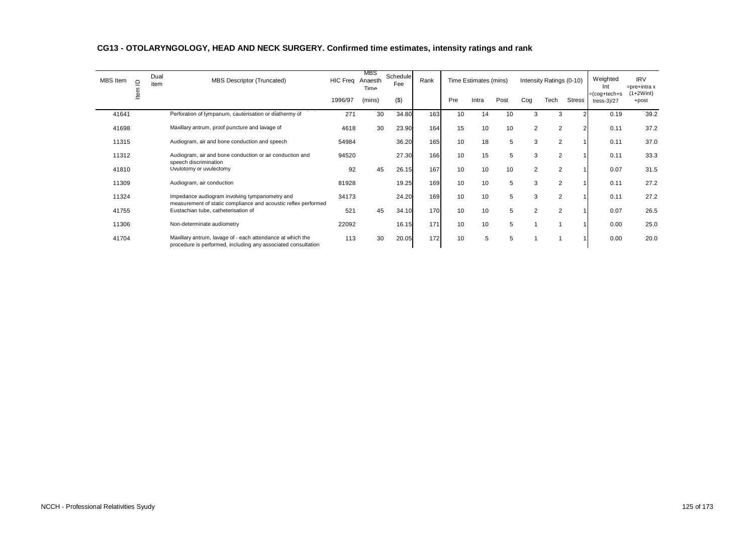| MBS Item | $\Omega$ | Dual<br>item | <b>MBS Descriptor (Truncated)</b>                                                                                           | <b>HIC Freq</b> | MBS<br>Anaesth<br>Time | Schedule<br>Fee | Rank |     | Time Estimates (mins) |      |     | Intensity Ratings (0-10) |        | Weighted<br>Int              | <b>IRV</b><br>$=$ pre+intra x |
|----------|----------|--------------|-----------------------------------------------------------------------------------------------------------------------------|-----------------|------------------------|-----------------|------|-----|-----------------------|------|-----|--------------------------|--------|------------------------------|-------------------------------|
|          |          |              |                                                                                                                             | 1996/97         | (mins)                 | (3)             |      | Pre | Intra                 | Post | Cog | Tech                     | Stress | =(cog+tech+s<br>$tres-3)/27$ | $(1+2With)$<br>+post          |
| 41641    |          |              | Perforation of tympanum, cauterisation or diathermy of                                                                      | 271             | 30                     | 34.80           | 163  | 10  | 14                    | 10   | 3   | 3                        |        | 0.19                         | 39.2                          |
| 41698    |          |              | Maxillary antrum, proof puncture and lavage of                                                                              | 4618            | 30                     | 23.90           | 164  | 15  | 10                    | 10   | 2   | 2                        |        | 0.11                         | 37.2                          |
| 11315    |          |              | Audiogram, air and bone conduction and speech                                                                               | 54984           |                        | 36.20           | 165  | 10  | 18                    | 5    | 3   | 2                        |        | 0.11                         | 37.0                          |
| 11312    |          |              | Audiogram, air and bone conduction or air conduction and<br>speech discrimination                                           | 94520           |                        | 27.30           | 166  | 10  | 15                    | 5    | 3   | $\overline{2}$           |        | 0.11                         | 33.3                          |
| 41810    |          |              | Uvulotomy or uvulectomy                                                                                                     | 92              | 45                     | 26.15           | 167  | 10  | 10                    | 10   | 2   | 2                        |        | 0.07                         | 31.5                          |
| 11309    |          |              | Audiogram, air conduction                                                                                                   | 81928           |                        | 19.25           | 169  | 10  | 10                    | 5    | 3   | $\overline{2}$           |        | 0.11                         | 27.2                          |
| 11324    |          |              | Impedance audiogram involving tympanometry and<br>measurement of static compliance and acoustic reflex performed            | 34173           |                        | 24.20           | 169  | 10  | 10                    | 5    | 3   | 2                        |        | 0.11                         | 27.2                          |
| 41755    |          |              | Eustachian tube, catheterisation of                                                                                         | 521             | 45                     | 34.10           | 170  | 10  | 10                    | 5    | 2   | 2                        |        | 0.07                         | 26.5                          |
| 11306    |          |              | Non-determinate audiometry                                                                                                  | 22092           |                        | 16.15           | 171  | 10  | 10                    | 5    | 1   | 1                        |        | 0.00                         | 25.0                          |
| 41704    |          |              | Maxillary antrum, lavage of - each attendance at which the<br>procedure is performed, including any associated consultation | 113             | 30                     | 20.05           | 172  | 10  | 5                     | 5    |     | 1                        |        | 0.00                         | 20.0                          |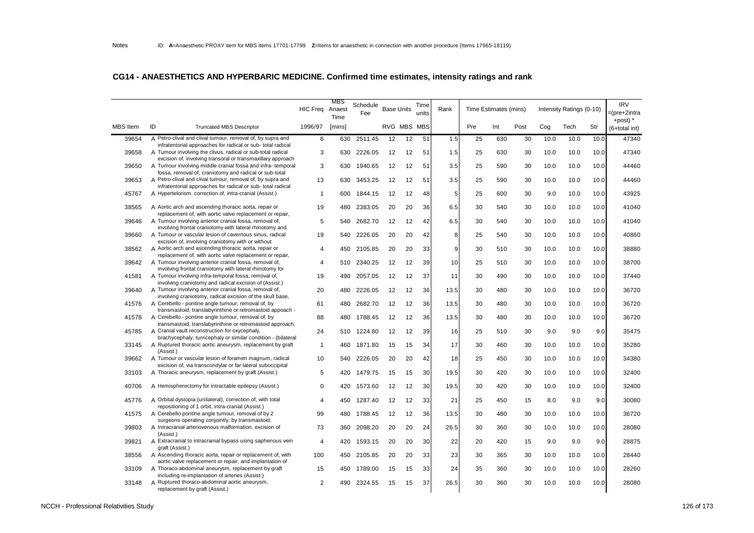|                 |                                                                                                                                                                                          | <b>HIC Freq</b> | MBS<br>Anaest<br>Time | Schedule<br>Fee | <b>Base Units</b> |    | Time<br>units | Rank           |     | Time Estimates (mins) |      |      | Intensity Ratings (0-10) |      | <b>IRV</b><br>pre+2intra    |
|-----------------|------------------------------------------------------------------------------------------------------------------------------------------------------------------------------------------|-----------------|-----------------------|-----------------|-------------------|----|---------------|----------------|-----|-----------------------|------|------|--------------------------|------|-----------------------------|
| <b>MBS</b> Item | ID<br><b>Truncated MBS Descriptor</b>                                                                                                                                                    | 1996/97         | [mins]                |                 | RVG MBS MBS       |    |               |                | Pre | Int                   | Post | Cog  | Tech                     | Str  | +post) $*$<br>(6+total int) |
| 39654           | A Petro-clival and clival tumour, removal of, by supra and                                                                                                                               | 6               | 630                   | 2511.45         | 12                | 12 | 51            | 1.5            | 25  | 630                   | 30   | 10.0 | 10.0                     | 10.0 | 47340                       |
| 39658           | infratentorial approaches for radical or sub-total radical<br>A Tumour involving the clivus, radical or sub-total radical<br>excision of, involving transoral or transmaxillary approach | 3               | 630                   | 2226.05         | 12                | 12 | 51            | 1.5            | 25  | 630                   | 30   | 10.0 | 10.0                     | 10.0 | 47340                       |
| 39650           | A Tumour involving middle cranial fossa and infra-temporal<br>fossa, removal of, craniotomy and radical or sub-total                                                                     | 3               | 630                   | 1940.65         | 12                | 12 | 51            | 3.5            | 25  | 590                   | 30   | 10.0 | 10.0                     | 10.0 | 44460                       |
| 39653           | A Petro-clival and clival tumour, removal of, by supra and<br>infratentorial approaches for radical or sub- total radical                                                                | 13              | 630                   | 3453.25         | 12                | 12 | 51            | 3.5            | 25  | 590                   | 30   | 10.0 | 10.0                     | 10.0 | 44460                       |
| 45767           | A Hypertelorism, correction of, intra-cranial (Assist.)                                                                                                                                  | $\overline{1}$  | 600                   | 1844.15         | 12                | 12 | 48            | 5              | 25  | 600                   | 30   | 9.0  | 10.0                     | 10.0 | 43925                       |
| 38565           | A Aortic arch and ascending thoracic aorta, repair or<br>replacement of, with aortic valve replacement or repair,                                                                        | 19              | 480                   | 2383.05         | 20                | 20 | 36            | 6.5            | 30  | 540                   | 30   | 10.0 | 10.0                     | 10.0 | 41040                       |
| 39646           | A Tumour involving anterior cranial fossa, removal of,<br>involving frontal craniotomy with lateral rhinotomy and                                                                        | 5               | 540                   | 2682.70         | 12                | 12 | 42            | 6.5            | 30  | 540                   | 30   | 10.0 | 10.0                     | 10.0 | 41040                       |
| 39660           | A Tumour or vascular lesion of cavernous sinus, radical<br>excision of, involving craniotomy with or without                                                                             | 19              | 540                   | 2226.05         | 20                | 20 | 42            | 8              | 25  | 540                   | 30   | 10.0 | 10.0                     | 10.0 | 40860                       |
| 38562           | A Aortic arch and ascending thoracic aorta, repair or<br>replacement of, with aortic valve replacement or repair,                                                                        | $\overline{4}$  | 450                   | 2105.85         | 20                | 20 | 33            | $\overline{9}$ | 30  | 510                   | 30   | 10.0 | 10.0                     | 10.0 | 38880                       |
| 39642           | A Tumour involving anterior cranial fossa, removal of,<br>involving frontal craniotomy with lateral rhinotomy for                                                                        | $\overline{4}$  | 510                   | 2340.25         | 12                | 12 | 39            | 10             | 25  | 510                   | 30   | 10.0 | 10.0                     | 10.0 | 38700                       |
| 41581           | A Tumour involving infra-temporal fossa, removal of,<br>involving craniotomy and radical excision of (Assist.)                                                                           | 19              | 490                   | 2057.05         | 12                | 12 | 37            | 11             | 30  | 490                   | 30   | 10.0 | 10.0                     | 10.0 | 37440                       |
| 39640           | A Tumour involving anterior cranial fossa, removal of,<br>involving craniotomy, radical excision of the skull base,                                                                      | 20              | 480                   | 2226.05         | 12                | 12 | 36            | 13.5           | 30  | 480                   | 30   | 10.0 | 10.0                     | 10.0 | 36720                       |
| 41576           | A Cerebello - pontine angle tumour, removal of, by<br>transmastoid, translabyrinthine or retromastoid appoach -                                                                          | 61              | 480                   | 2682.70         | 12                | 12 | 36            | 13.5           | 30  | 480                   | 30   | 10.0 | 10.0                     | 10.0 | 36720                       |
| 41578           | A Cerebello - pontine angle tumour, removal of, by<br>transmastoid, translabyrinthine or retromastoid approach,                                                                          | 88              | 480                   | 1788.45         | 12                | 12 | 36            | 13.5           | 30  | 480                   | 30   | 10.0 | 10.0                     | 10.0 | 36720                       |
| 45785           | A Cranial vault reconstruction for oxycephaly,<br>brachycephaly, turricephaly or similar condition - (bilateral                                                                          | 24              | 510                   | 1224.80         | 12                | 12 | 39            | 16             | 25  | 510                   | 30   | 9.0  | 9.0                      | 9.0  | 35475                       |
| 33145           | A Ruptured thoracic aortic aneurysm, replacement by graft<br>(Assist.)                                                                                                                   | $\overline{1}$  | 460                   | 1871.80         | 15                | 15 | 34            | 17             | 30  | 460                   | 30   | 10.0 | 10.0                     | 10.0 | 35280                       |
| 39662           | A Tumour or vascular lesion of foramen magnum, radical<br>excision of, via transcondylar or far lateral suboccipital                                                                     | 10              | 540                   | 2226.05         | 20                | 20 | 42            | 18             | 25  | 450                   | 30   | 10.0 | 10.0                     | 10.0 | 34380                       |
| 33103           | A Thoracic aneurysm, replacement by graft (Assist.)                                                                                                                                      | 5               | 420                   | 1479.75         | 15                | 15 | 30            | 19.5           | 30  | 420                   | 30   | 10.0 | 10.0                     | 10.0 | 32400                       |
| 40706           | A Hemispherectomy for intractable epilepsy (Assist.)                                                                                                                                     | $\Omega$        | 420                   | 1573.60         | 12                | 12 | 30            | 19.5           | 30  | 420                   | 30   | 10.0 | 10.0                     | 10.0 | 32400                       |
| 45776           | A Orbital dystopia (unilateral), correction of, with total<br>repositioning of 1 orbit, intra-cranial (Assist.)                                                                          | $\overline{4}$  | 450                   | 1287.40         | 12                | 12 | 33            | 21             | 25  | 450                   | 15   | 8.0  | 9.0                      | 9.0  | 30080                       |
| 41575           | A Cerebello-pontine angle tumour, removal of by 2<br>surgeons operating conjointly, by transmastoid,                                                                                     | 99              | 480                   | 1788.45         | 12                | 12 | 36            | 13.5           | 30  | 480                   | 30   | 10.0 | 10.0                     | 10.0 | 36720                       |
| 39803           | A Intracranial arteriovenous malformation, excision of<br>(Assist.)                                                                                                                      | 73              | 360                   | 2098.20         | 20                | 20 | 24            | 26.5           | 30  | 360                   | 30   | 10.0 | 10.0                     | 10.0 | 28080                       |
| 39821           | A Extracranial to intracranial bypass using saphenous vein<br>graft (Assist.)                                                                                                            | $\overline{4}$  | 420                   | 1593.15         | 20                | 20 | 30            | 22             | 20  | 420                   | 15   | 9.0  | 9.0                      | 9.0  | 28875                       |
| 38556           | A Ascending thoracic aorta, repair or replacement of, with<br>aortic valve replacement or repair, and implantation of                                                                    | 100             | 450                   | 2105.85         | 20                | 20 | 33            | 23             | 30  | 365                   | 30   | 10.0 | 10.0                     | 10.0 | 28440                       |
| 33109           | A Thoraco-abdominal aneurysm, replacement by graft<br>including re-implantation of arteries (Assist.)                                                                                    | 15              | 450                   | 1789.00         | 15                | 15 | 33            | 24             | 35  | 360                   | 30   | 10.0 | 10.0                     | 10.0 | 28260                       |
| 33148           | A Ruptured thoraco-abdominal aortic aneurysm,<br>replacement by graft (Assist.)                                                                                                          | 2               | 490                   | 2324.55         | 15                | 15 | 37            | 26.5           | 30  | 360                   | 30   | 10.0 | 10.0                     | 10.0 | 28080                       |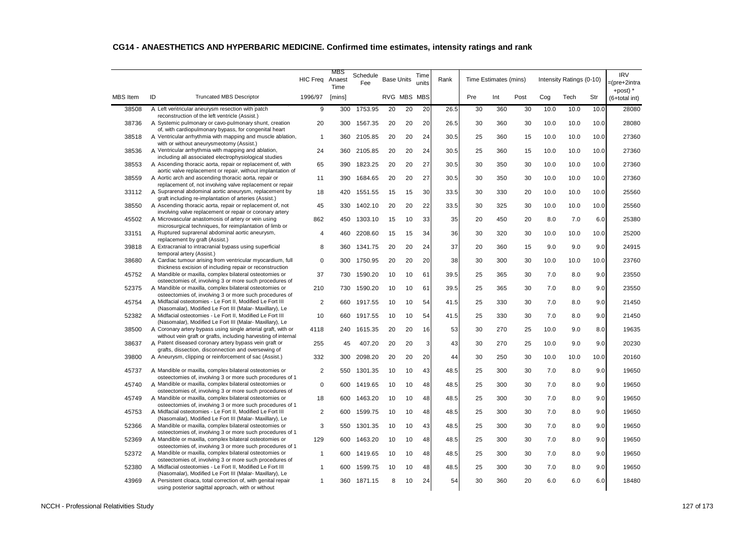|                 |                                                                                                                                 | <b>HIC Freq</b> | MBS<br>Anaest<br>Time | Schedule<br>Fee | <b>Base Units</b> |    | Time<br>units | Rank |     | Time Estimates (mins) |      |      | Intensity Ratings (0-10) |      | <b>IRV</b><br>=(pre+2intra<br>+post) $*$ |
|-----------------|---------------------------------------------------------------------------------------------------------------------------------|-----------------|-----------------------|-----------------|-------------------|----|---------------|------|-----|-----------------------|------|------|--------------------------|------|------------------------------------------|
| <b>MBS</b> Item | ID<br><b>Truncated MBS Descriptor</b>                                                                                           | 1996/97         | [mins]                |                 | RVG MBS MBS       |    |               |      | Pre | Int                   | Post | Cog  | Tech                     | Str  | (6+total int)                            |
| 38508           | A Left ventricular aneurysm resection with patch<br>reconstruction of the left ventricle (Assist.)                              | 9               | 300                   | 1753.95         | 20                | 20 | 20            | 26.5 | 30  | 360                   | 30   | 10.0 | 10.0                     | 10.0 | 28080                                    |
| 38736           | A Systemic pulmonary or cavo-pulmonary shunt, creation                                                                          | 20              | 300                   | 1567.35         | 20                | 20 | 20            | 26.5 | 30  | 360                   | 30   | 10.0 | 10.0                     | 10.0 | 28080                                    |
| 38518           | of, with cardiopulmonary bypass, for congenital heart<br>A Ventricular arrhythmia with mapping and muscle ablation,             | $\mathbf{1}$    | 360                   | 2105.85         | 20                | 20 | 24            | 30.5 | 25  | 360                   | 15   | 10.0 | 10.0                     | 10.0 | 27360                                    |
| 38536           | with or without aneurysmeotomy (Assist.)<br>A Ventricular arrhythmia with mapping and ablation,                                 | 24              | 360                   | 2105.85         | 20                | 20 | 24            | 30.5 | 25  | 360                   | 15   | 10.0 | 10.0                     | 10.0 | 27360                                    |
| 38553           | including all associated electrophysiological studies<br>A Ascending thoracic aorta, repair or replacement of, with             | 65              | 390                   | 1823.25         | 20                | 20 | 27            | 30.5 | 30  | 350                   | 30   | 10.0 | 10.0                     | 10.0 | 27360                                    |
|                 | aortic valve replacement or repair, without implantation of<br>A Aortic arch and ascending thoracic aorta, repair or            |                 |                       |                 |                   |    |               |      |     |                       |      |      |                          |      |                                          |
| 38559           | replacement of, not involving valve replacement or repair                                                                       | 11              | 390                   | 1684.65         | 20                | 20 | 27            | 30.5 | 30  | 350                   | 30   | 10.0 | 10.0                     | 10.0 | 27360                                    |
| 33112           | A Suprarenal abdominal aortic aneurysm, replacement by<br>graft including re-implantation of arteries (Assist.)                 | 18              | 420                   | 1551.55         | 15                | 15 | 30            | 33.5 | 30  | 330                   | 20   | 10.0 | 10.0                     | 10.0 | 25560                                    |
| 38550           | A Ascending thoracic aorta, repair or replacement of, not<br>involving valve replacement or repair or coronary artery           | 45              | 330                   | 1402.10         | 20                | 20 | 22            | 33.5 | 30  | 325                   | 30   | 10.0 | 10.0                     | 10.0 | 25560                                    |
| 45502           | A Microvascular anastomosis of artery or vein using                                                                             | 862             | 450                   | 1303.10         | 15                | 10 | 33            | 35   | 20  | 450                   | 20   | 8.0  | 7.0                      | 6.0  | 25380                                    |
| 33151           | microsurgical techniques, for reimplantation of limb or<br>A Ruptured suprarenal abdominal aortic aneurysm,                     | $\overline{4}$  | 460                   | 2208.60         | 15                | 15 | 34            | 36   | 30  | 320                   | 30   | 10.0 | 10.0                     | 10.0 | 25200                                    |
| 39818           | replacement by graft (Assist.)<br>A Extracranial to intracranial bypass using superficial                                       | 8               | 360                   | 1341.75         | 20                | 20 | 24            | 37   | 20  | 360                   | 15   | 9.0  | 9.0                      | 9.0  | 24915                                    |
| 38680           | temporal artery (Assist.)<br>A Cardiac tumour arising from ventricular myocardium, full                                         | $\mathbf 0$     | 300                   | 1750.95         | 20                | 20 | 20            | 38   | 30  | 300                   | 30   | 10.0 | 10.0                     | 10.0 | 23760                                    |
| 45752           | thickness excision of including repair or reconstruction<br>A Mandible or maxilla, complex bilateral osteotomies or             | 37              | 730                   | 1590.20         | 10                | 10 |               | 39.5 | 25  | 365                   | 30   | 7.0  | 8.0                      | 9.0  | 23550                                    |
|                 | osteectomies of, involving 3 or more such procedures of                                                                         |                 |                       |                 |                   |    | 61            |      |     |                       |      |      |                          |      |                                          |
| 52375           | A Mandible or maxilla, complex bilateral osteotomies or<br>osteectomies of, involving 3 or more such procedures of              | 210             | 730                   | 1590.20         | 10                | 10 | 61            | 39.5 | 25  | 365                   | 30   | 7.0  | 8.0                      | 9.0  | 23550                                    |
| 45754           | A Midfacial osteotomies - Le Fort II, Modified Le Fort III<br>(Nasomalar), Modified Le Fort III (Malar- Maxillary), Le          | 2               | 660                   | 1917.55         | 10                | 10 | 54            | 41.5 | 25  | 330                   | 30   | 7.0  | 8.0                      | 9.0  | 21450                                    |
| 52382           | A Midfacial osteotomies - Le Fort II, Modified Le Fort III<br>(Nasomalar), Modified Le Fort III (Malar- Maxillary), Le          | 10              | 660                   | 1917.55         | 10                | 10 | 54            | 41.5 | 25  | 330                   | 30   | 7.0  | 8.0                      | 9.0  | 21450                                    |
| 38500           | A Coronary artery bypass using single arterial graft, with or<br>without vein graft or grafts, including harvesting of internal | 4118            | 240                   | 1615.35         | 20                | 20 | 16            | 53   | 30  | 270                   | 25   | 10.0 | 9.0                      | 8.0  | 19635                                    |
| 38637           | A Patent diseased coronary artery bypass vein graft or                                                                          | 255             | 45                    | 407.20          | 20                | 20 | 3             | 43   | 30  | 270                   | 25   | 10.0 | 9.0                      | 9.0  | 20230                                    |
| 39800           | grafts, dissection, disconnection and oversewing of<br>A Aneurysm, clipping or reinforcement of sac (Assist.)                   | 332             | 300                   | 2098.20         | 20                | 20 | 20            | 44   | 30  | 250                   | 30   | 10.0 | 10.0                     | 10.0 | 20160                                    |
| 45737           | A Mandible or maxilla, complex bilateral osteotomies or                                                                         | 2               | 550                   | 1301.35         | 10                | 10 | 43            | 48.5 | 25  | 300                   | 30   | 7.0  | 8.0                      | 9.0  | 19650                                    |
| 45740           | osteectomies of, involving 3 or more such procedures of 1<br>A Mandible or maxilla, complex bilateral osteotomies or            | $\mathbf 0$     | 600                   | 1419.65         | 10                | 10 | 48            | 48.5 | 25  | 300                   | 30   | 7.0  | 8.0                      | 9.0  | 19650                                    |
| 45749           | osteectomies of, involving 3 or more such procedures of<br>A Mandible or maxilla, complex bilateral osteotomies or              | 18              | 600                   | 1463.20         | 10                | 10 | 48            | 48.5 | 25  | 300                   | 30   | 7.0  | 8.0                      | 9.0  | 19650                                    |
| 45753           | osteectomies of, involving 3 or more such procedures of 1<br>A Midfacial osteotomies - Le Fort II, Modified Le Fort III         | 2               | 600                   | 1599.75         | 10                | 10 | 48            | 48.5 | 25  | 300                   | 30   | 7.0  | 8.0                      | 9.0  | 19650                                    |
| 52366           | (Nasomalar), Modified Le Fort III (Malar- Maxillary), Le<br>A Mandible or maxilla, complex bilateral osteotomies or             | 3               | 550                   | 1301.35         | 10                | 10 | 43            | 48.5 | 25  | 300                   | 30   | 7.0  | 8.0                      | 9.0  | 19650                                    |
|                 | osteectomies of, involving 3 or more such procedures of 1                                                                       |                 |                       |                 |                   |    |               |      |     |                       |      |      |                          |      |                                          |
| 52369           | A Mandible or maxilla, complex bilateral osteotomies or<br>osteectomies of, involving 3 or more such procedures of 1            | 129             | 600                   | 1463.20         | 10                | 10 | 48            | 48.5 | 25  | 300                   | 30   | 7.0  | 8.0                      | 9.0  | 19650                                    |
| 52372           | A Mandible or maxilla, complex bilateral osteotomies or<br>osteectomies of, involving 3 or more such procedures of              | $\mathbf{1}$    | 600                   | 1419.65         | 10                | 10 | 48            | 48.5 | 25  | 300                   | 30   | 7.0  | 8.0                      | 9.0  | 19650                                    |
| 52380           | A Midfacial osteotomies - Le Fort II, Modified Le Fort III<br>(Nasomalar), Modified Le Fort III (Malar- Maxillary), Le          | $\mathbf{1}$    | 600                   | 1599.75         | 10                | 10 | 48            | 48.5 | 25  | 300                   | 30   | 7.0  | 8.0                      | 9.0  | 19650                                    |
| 43969           | A Persistent cloaca, total correction of, with genital repair<br>using posterior sagittal approach, with or without             | $\mathbf{1}$    | 360                   | 1871.15         | 8                 | 10 | 24            | 54   | 30  | 360                   | 20   | 6.0  | 6.0                      | 6.0  | 18480                                    |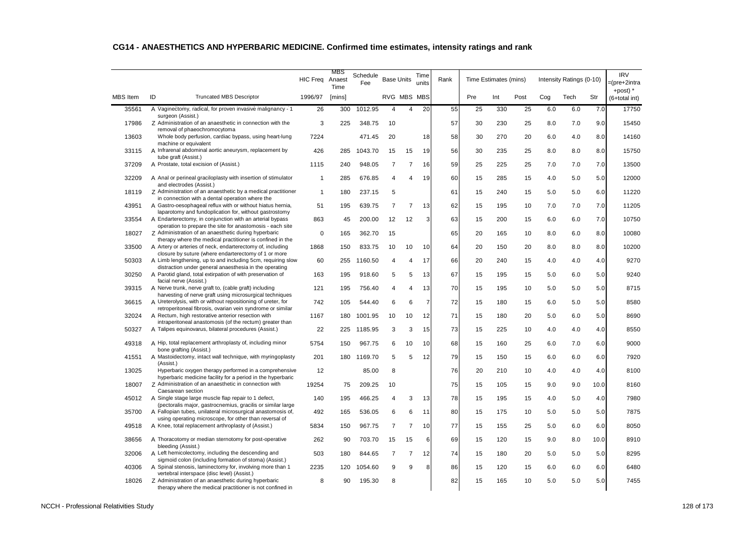|                 |                                                                                                                            |                 | MBS            |                 |                |                   |                |      |     |                       |      |     |                          |      |                                          |
|-----------------|----------------------------------------------------------------------------------------------------------------------------|-----------------|----------------|-----------------|----------------|-------------------|----------------|------|-----|-----------------------|------|-----|--------------------------|------|------------------------------------------|
|                 |                                                                                                                            | <b>HIC Freg</b> | Anaest<br>Time | Schedule<br>Fee |                | <b>Base Units</b> | Time<br>units  | Rank |     | Time Estimates (mins) |      |     | Intensity Ratings (0-10) |      | <b>IRV</b><br>=(pre+2intra<br>+post) $*$ |
| <b>MBS</b> Item | ID<br><b>Truncated MBS Descriptor</b>                                                                                      | 1996/97         | [mins]         |                 |                | RVG MBS MBS       |                |      | Pre | Int                   | Post | Cog | Tech                     | Str  | (6+total int)                            |
| 35561           | A Vaginectomy, radical, for proven invasive malignancy - 1<br>surgeon (Assist.)                                            | 26              | 300            | 1012.95         | 4              | 4                 | 20             | 55   | 25  | 330                   | 25   | 6.0 | 6.0                      | 7.0  | 17750                                    |
| 17986           | Z Administration of an anaesthetic in connection with the<br>removal of phaeochromocytoma                                  | 3               | 225            | 348.75          | 10             |                   |                | 57   | 30  | 230                   | 25   | 8.0 | 7.0                      | 9.0  | 15450                                    |
| 13603           | Whole body perfusion, cardiac bypass, using heart-lung<br>machine or equivalent                                            | 7224            |                | 471.45          | 20             |                   | 18             | 58   | 30  | 270                   | 20   | 6.0 | 4.0                      | 8.0  | 14160                                    |
| 33115           | A Infrarenal abdominal aortic aneurysm, replacement by<br>tube graft (Assist.)                                             | 426             | 285            | 1043.70         | 15             | 15                | 19             | 56   | 30  | 235                   | 25   | 8.0 | 8.0                      | 8.0  | 15750                                    |
| 37209           | A Prostate, total excision of (Assist.)                                                                                    | 1115            | 240            | 948.05          | $\overline{7}$ | $\overline{7}$    | 16             | 59   | 25  | 225                   | 25   | 7.0 | 7.0                      | 7.0  | 13500                                    |
| 32209           | A Anal or perineal graciloplasty with insertion of stimulator<br>and electrodes (Assist.)                                  | $\mathbf{1}$    | 285            | 676.85          | 4              | $\overline{4}$    | 19             | 60   | 15  | 285                   | 15   | 4.0 | 5.0                      | 5.0  | 12000                                    |
| 18119           | Z Administration of an anaesthetic by a medical practitioner<br>in connection with a dental operation where the            | $\mathbf{1}$    | 180            | 237.15          | 5              |                   |                | 61   | 15  | 240                   | 15   | 5.0 | 5.0                      | 6.0  | 11220                                    |
| 43951           | A Gastro-oesophageal reflux with or without hiatus hernia,<br>laparotomy and fundoplication for, without gastrostomy       | 51              | 195            | 639.75          | $\overline{7}$ | $\overline{7}$    | 13             | 62   | 15  | 195                   | 10   | 7.0 | 7.0                      | 7.0  | 11205                                    |
| 33554           | A Endarterectomy, in conjunction with an arterial bypass<br>operation to prepare the site for anastomosis - each site      | 863             | 45             | 200.00          | 12             | 12                | 3              | 63   | 15  | 200                   | 15   | 6.0 | 6.0                      | 7.0  | 10750                                    |
| 18027           | Z Administration of an anaesthetic during hyperbaric<br>therapy where the medical practitioner is confined in the          | $\mathbf 0$     | 165            | 362.70          | 15             |                   |                | 65   | 20  | 165                   | 10   | 8.0 | 6.0                      | 8.0  | 10080                                    |
| 33500           | A Artery or arteries of neck, endarterectomy of, including<br>closure by suture (where endarterectomy of 1 or more         | 1868            | 150            | 833.75          | 10             | 10                | 10             | 64   | 20  | 150                   | 20   | 8.0 | 8.0                      | 8.0  | 10200                                    |
| 50303           | A Limb lengthening, up to and including 5cm, requiring slow<br>distraction under general anaesthesia in the operating      | 60              | 255            | 1160.50         | 4              | 4                 | 17             | 66   | 20  | 240                   | 15   | 4.0 | 4.0                      | 4.0  | 9270                                     |
| 30250           | A Parotid gland, total extirpation of with preservation of<br>facial nerve (Assist.)                                       | 163             | 195            | 918.60          | 5              | 5                 | 13             | 67   | 15  | 195                   | 15   | 5.0 | 6.0                      | 5.0  | 9240                                     |
| 39315           | A Nerve trunk, nerve graft to, (cable graft) including<br>harvesting of nerve graft using microsurgical techniques         | 121             | 195            | 756.40          | 4              | 4                 | 13             | 70   | 15  | 195                   | 10   | 5.0 | 5.0                      | 5.0  | 8715                                     |
| 36615           | A Ureterolysis, with or without repositioning of ureter, for<br>retroperitoneal fibrosis, ovarian vein syndrome or similar | 742             | 105            | 544.40          | 6              | 6                 | $\overline{7}$ | 72   | 15  | 180                   | 15   | 6.0 | 5.0                      | 5.0  | 8580                                     |
| 32024           | A Rectum, high restorative anterior resection with<br>intraperitoneal anastomosis (of the rectum) greater than             | 1167            | 180            | 1001.95         | 10             | 10                | 12             | 71   | 15  | 180                   | 20   | 5.0 | 6.0                      | 5.0  | 8690                                     |
| 50327           | A Talipes equinovarus, bilateral procedures (Assist.)                                                                      | 22              | 225            | 1185.95         | 3              | 3                 | 15             | 73   | 15  | 225                   | 10   | 4.0 | 4.0                      | 4.0  | 8550                                     |
| 49318           | A Hip, total replacement arthroplasty of, including minor<br>bone grafting (Assist.)                                       | 5754            | 150            | 967.75          | 6              | 10                | 10             | 68   | 15  | 160                   | 25   | 6.0 | 7.0                      | 6.0  | 9000                                     |
| 41551           | A Mastoidectomy, intact wall technique, with myringoplasty<br>(Assist.)                                                    | 201             |                | 180 1169.70     | 5              | 5                 | 12             | 79   | 15  | 150                   | 15   | 6.0 | 6.0                      | 6.0  | 7920                                     |
| 13025           | Hyperbaric oxygen therapy performed in a comprehensive<br>hyperbaric medicine facility for a period in the hyperbaric      | 12              |                | 85.00           | 8              |                   |                | 76   | 20  | 210                   | 10   | 4.0 | 4.0                      | 4.0  | 8100                                     |
| 18007           | Z Administration of an anaesthetic in connection with<br>Caesarean section                                                 | 19254           | 75             | 209.25          | 10             |                   |                | 75   | 15  | 105                   | 15   | 9.0 | 9.0                      | 10.0 | 8160                                     |
| 45012           | A Single stage large muscle flap repair to 1 defect,<br>(pectoralis major, gastrocnemius, gracilis or similar large        | 140             | 195            | 466.25          | 4              | 3                 | 13             | 78   | 15  | 195                   | 15   | 4.0 | 5.0                      | 4.0  | 7980                                     |
| 35700           | A Fallopian tubes, unilateral microsurgical anastomosis of,<br>using operating microscope, for other than reversal of      | 492             | 165            | 536.05          | 6              | 6                 | 11             | 80   | 15  | 175                   | 10   | 5.0 | 5.0                      | 5.0  | 7875                                     |
| 49518           | A Knee, total replacement arthroplasty of (Assist.)                                                                        | 5834            | 150            | 967.75          | $\overline{7}$ | $\overline{7}$    | 10             | 77   | 15  | 155                   | 25   | 5.0 | 6.0                      | 6.0  | 8050                                     |
| 38656           | A Thoracotomy or median sternotomy for post-operative<br>bleeding (Assist.)                                                | 262             | 90             | 703.70          | 15             | 15                | 6              | 69   | 15  | 120                   | 15   | 9.0 | 8.0                      | 10.0 | 8910                                     |
| 32006           | A Left hemicolectomy, including the descending and<br>sigmoid colon (including formation of stoma) (Assist.)               | 503             | 180            | 844.65          | $\overline{7}$ | $\overline{7}$    | 12             | 74   | 15  | 180                   | 20   | 5.0 | 5.0                      | 5.0  | 8295                                     |
| 40306           | A Spinal stenosis, laminectomy for, involving more than 1<br>vertebral interspace (disc level) (Assist.)                   | 2235            | 120            | 1054.60         | 9              | 9                 | 8              | 86   | 15  | 120                   | 15   | 6.0 | 6.0                      | 6.0  | 6480                                     |
| 18026           | Z Administration of an anaesthetic during hyperbaric<br>therapy where the medical practitioner is not confined in          | 8               | 90             | 195.30          | 8              |                   |                | 82   | 15  | 165                   | 10   | 5.0 | 5.0                      | 5.0  | 7455                                     |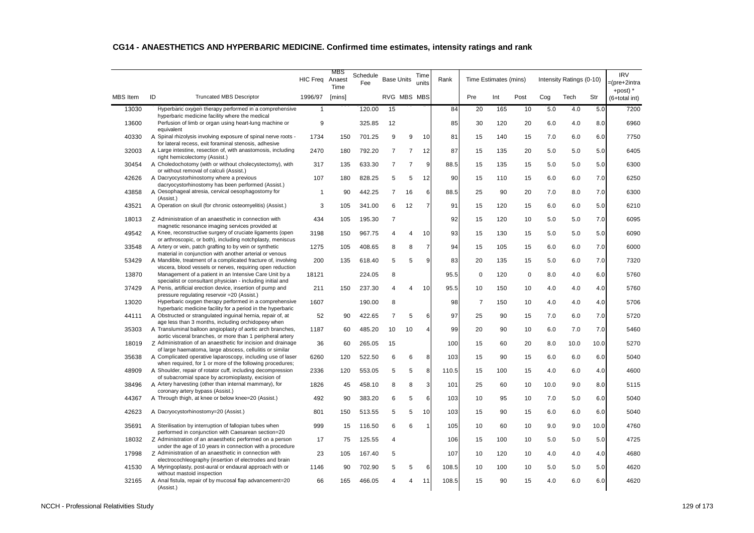|                 |                                                                                                                             | <b>HIC Freq</b> | MBS<br>Anaest<br>Time | Schedule<br>Fee | <b>Base Units</b> |                | Time<br>units  | Rank  |                | Time Estimates (mins) |             |      | Intensity Ratings (0-10) |      | <b>IRV</b><br>=(pre+2intra  |
|-----------------|-----------------------------------------------------------------------------------------------------------------------------|-----------------|-----------------------|-----------------|-------------------|----------------|----------------|-------|----------------|-----------------------|-------------|------|--------------------------|------|-----------------------------|
| <b>MBS</b> Item | ID<br><b>Truncated MBS Descriptor</b>                                                                                       | 1996/97         | [mins]                |                 |                   | RVG MBS MBS    |                |       | Pre            | Int                   | Post        | Cog  | Tech                     | Str  | +post) $*$<br>(6+total int) |
| 13030           | Hyperbaric oxygen therapy performed in a comprehensive                                                                      | $\mathbf{1}$    |                       | 120.00          | 15                |                |                | 84    | 20             | 165                   | 10          | 5.0  | 4.0                      | 5.0  | 7200                        |
| 13600           | hyperbaric medicine facility where the medical<br>Perfusion of limb or organ using heart-lung machine or<br>equivalent      | 9               |                       | 325.85          | 12                |                |                | 85    | 30             | 120                   | 20          | 6.0  | 4.0                      | 8.0  | 6960                        |
| 40330           | A Spinal rhizolysis involving exposure of spinal nerve roots -<br>for lateral recess, exit foraminal stenosis, adhesive     | 1734            | 150                   | 701.25          | 9                 | 9              | 10             | 81    | 15             | 140                   | 15          | 7.0  | 6.0                      | 6.0  | 7750                        |
| 32003           | A Large intestine, resection of, with anastomosis, including<br>right hemicolectomy (Assist.)                               | 2470            | 180                   | 792.20          | $\overline{7}$    | $\overline{7}$ | 12             | 87    | 15             | 135                   | 20          | 5.0  | 5.0                      | 5.0  | 6405                        |
| 30454           | A Choledochotomy (with or without cholecystectomy), with<br>or without removal of calculi (Assist.)                         | 317             | 135                   | 633.30          | $\overline{7}$    | $\overline{7}$ | 9              | 88.5  | 15             | 135                   | 15          | 5.0  | 5.0                      | 5.0  | 6300                        |
| 42626           | A Dacryocystorhinostomy where a previous<br>dacryocystorhinostomy has been performed (Assist.)                              | 107             | 180                   | 828.25          | 5                 | 5              | 12             | 90    | 15             | 110                   | 15          | 6.0  | 6.0                      | 7.0  | 6250                        |
| 43858           | A Oesophageal atresia, cervical oesophagostomy for<br>(Assist.)                                                             | $\mathbf{1}$    | 90                    | 442.25          | $\overline{7}$    | 16             | 6              | 88.5  | 25             | 90                    | 20          | 7.0  | 8.0                      | 7.0  | 6300                        |
| 43521           | A Operation on skull (for chronic osteomyelitis) (Assist.)                                                                  | 3               | 105                   | 341.00          | 6                 | 12             | $\overline{7}$ | 91    | 15             | 120                   | 15          | 6.0  | 6.0                      | 5.0  | 6210                        |
| 18013           | Z Administration of an anaesthetic in connection with<br>magnetic resonance imaging services provided at                    | 434             | 105                   | 195.30          | $\overline{7}$    |                |                | 92    | 15             | 120                   | 10          | 5.0  | 5.0                      | 7.0  | 6095                        |
| 49542           | A Knee, reconstructive surgery of cruciate ligaments (open<br>or arthroscopic, or both), including notchplasty, meniscus    | 3198            | 150                   | 967.75          | 4                 | $\overline{4}$ | 10             | 93    | 15             | 130                   | 15          | 5.0  | 5.0                      | 5.0  | 6090                        |
| 33548           | A Artery or vein, patch grafting to by vein or synthetic<br>material in conjunction with another arterial or venous         | 1275            | 105                   | 408.65          | 8                 | 8              | $\overline{7}$ | 94    | 15             | 105                   | 15          | 6.0  | 6.0                      | 7.0  | 6000                        |
| 53429           | A Mandible, treatment of a complicated fracture of, involving<br>viscera, blood vessels or nerves, requiring open reduction | 200             | 135                   | 618.40          | 5                 | 5              | 9              | 83    | 20             | 135                   | 15          | 5.0  | 6.0                      | 7.0  | 7320                        |
| 13870           | Management of a patient in an Intensive Care Unit by a<br>specialist or consultant physician - including initial and        | 18121           |                       | 224.05          | 8                 |                |                | 95.5  | $\mathbf 0$    | 120                   | $\mathbf 0$ | 8.0  | 4.0                      | 6.0  | 5760                        |
| 37429           | A Penis, artificial erection device, insertion of pump and<br>pressure regulating reservoir = 20 (Assist.)                  | 211             | 150                   | 237.30          | 4                 | 4              | 10             | 95.5  | 10             | 150                   | 10          | 4.0  | 4.0                      | 4.0  | 5760                        |
| 13020           | Hyperbaric oxygen therapy performed in a comprehensive<br>hyperbaric medicine facility for a period in the hyperbaric       | 1607            |                       | 190.00          | 8                 |                |                | 98    | $\overline{7}$ | 150                   | 10          | 4.0  | 4.0                      | 4.0  | 5706                        |
| 44111           | A Obstructed or strangulated inguinal hernia, repair of, at<br>age less than 3 months, including orchidopexy when           | 52              | 90                    | 422.65          | $\overline{7}$    | 5              | 6              | 97    | 25             | 90                    | 15          | 7.0  | 6.0                      | 7.0  | 5720                        |
| 35303           | A Transluminal balloon angioplasty of aortic arch branches,<br>aortic visceral branches, or more than 1 peripheral artery   | 1187            | 60                    | 485.20          | 10                | 10             | $\overline{4}$ | 99    | 20             | 90                    | 10          | 6.0  | 7.0                      | 7.0  | 5460                        |
| 18019           | Z Administration of an anaesthetic for incision and drainage<br>of large haematoma, large abscess, cellulitis or similar    | 36              | 60                    | 265.05          | 15                |                |                | 100   | 15             | 60                    | 20          | 8.0  | 10.0                     | 10.0 | 5270                        |
| 35638           | A Complicated operative laparoscopy, including use of laser<br>when required, for 1 or more of the following procedures;    | 6260            | 120                   | 522.50          | 6                 | 6              | 8              | 103   | 15             | 90                    | 15          | 6.0  | 6.0                      | 6.0  | 5040                        |
| 48909           | A Shoulder, repair of rotator cuff, including decompression<br>of subacromial space by acromioplasty, excision of           | 2336            | 120                   | 553.05          | 5                 | 5              | 8              | 110.5 | 15             | 100                   | 15          | 4.0  | 6.0                      | 4.0  | 4600                        |
| 38496           | A Artery harvesting (other than internal mammary), for<br>coronary artery bypass (Assist.)                                  | 1826            | 45                    | 458.10          | 8                 | 8              | 3              | 101   | 25             | 60                    | 10          | 10.0 | 9.0                      | 8.0  | 5115                        |
| 44367           | A Through thigh, at knee or below knee=20 (Assist.)                                                                         | 492             | 90                    | 383.20          | 6                 | 5              | 6              | 103   | 10             | 95                    | 10          | 7.0  | 5.0                      | 6.0  | 5040                        |
| 42623           | A Dacryocystorhinostomy=20 (Assist.)                                                                                        | 801             | 150                   | 513.55          | 5                 | 5              | 10             | 103   | 15             | 90                    | 15          | 6.0  | 6.0                      | 6.0  | 5040                        |
| 35691           | A Sterilisation by interruption of fallopian tubes when<br>performed in conjunction with Caesarean section=20               | 999             | 15                    | 116.50          | 6                 | 6              | $\overline{1}$ | 105   | 10             | 60                    | 10          | 9.0  | 9.0                      | 10.0 | 4760                        |
| 18032           | Z Administration of an anaesthetic performed on a person<br>under the age of 10 years in connection with a procedure        | 17              | 75                    | 125.55          | 4                 |                |                | 106   | 15             | 100                   | 10          | 5.0  | 5.0                      | 5.0  | 4725                        |
| 17998           | Z Administration of an anaesthetic in connection with<br>electrocochleography (insertion of electrodes and brain            | 23              | 105                   | 167.40          | 5                 |                |                | 107   | 10             | 120                   | 10          | 4.0  | 4.0                      | 4.0  | 4680                        |
| 41530           | A Myringoplasty, post-aural or endaural approach with or<br>without mastoid inspection                                      | 1146            | 90                    | 702.90          | 5                 | 5              | 6              | 108.5 | 10             | 100                   | 10          | 5.0  | 5.0                      | 5.0  | 4620                        |
| 32165           | A Anal fistula, repair of by mucosal flap advancement=20<br>(Assist.)                                                       | 66              | 165                   | 466.05          | 4                 | 4              | 11             | 108.5 | 15             | 90                    | 15          | 4.0  | 6.0                      | 6.0  | 4620                        |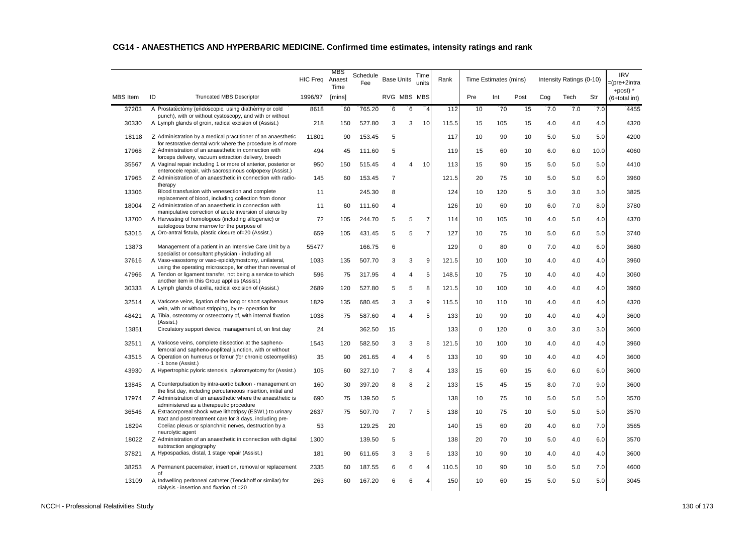|                 |                                                                                                                                                                             | <b>HIC Freg</b> | MBS<br>Anaest  | Schedule<br>Fee | <b>Base Units</b> |                | Time<br>units  | Rank  |             | Time Estimates (mins) |             |     | Intensity Ratings (0-10) |      | <b>IRV</b><br>=(pre+2intra  |
|-----------------|-----------------------------------------------------------------------------------------------------------------------------------------------------------------------------|-----------------|----------------|-----------------|-------------------|----------------|----------------|-------|-------------|-----------------------|-------------|-----|--------------------------|------|-----------------------------|
| <b>MBS</b> Item | ID<br><b>Truncated MBS Descriptor</b>                                                                                                                                       | 1996/97         | Time<br>[mins] |                 | RVG MBS MBS       |                |                |       | Pre         | Int                   | Post        | Cog | Tech                     | Str  | +post) $*$<br>(6+total int) |
| 37203           | A Prostatectomy (endoscopic, using diathermy or cold                                                                                                                        | 8618            | 60             | 765.20          | 6                 | 6              | $\overline{4}$ | 112   | 10          | 70                    | 15          | 7.0 | 7.0                      | 7.0  | 4455                        |
| 30330           | punch), with or without cystoscopy, and with or without<br>A Lymph glands of groin, radical excision of (Assist.)                                                           | 218             | 150            | 527.80          | 3                 | 3              | 10             | 115.5 | 15          | 105                   | 15          | 4.0 | 4.0                      | 4.0  | 4320                        |
| 18118           | Z Administration by a medical practitioner of an anaesthetic                                                                                                                | 11801           | 90             | 153.45          | 5                 |                |                | 117   | 10          | 90                    | 10          | 5.0 | 5.0                      | 5.0  | 4200                        |
| 17968           | for restorative dental work where the procedure is of more<br>Z Administration of an anaesthetic in connection with<br>forceps delivery, vacuum extraction delivery, breech | 494             | 45             | 111.60          | 5                 |                |                | 119   | 15          | 60                    | 10          | 6.0 | 6.0                      | 10.0 | 4060                        |
| 35567           | A Vaginal repair including 1 or more of anterior, posterior or<br>enterocele repair, with sacrospinous colpopexy (Assist.)                                                  | 950             | 150            | 515.45          | 4                 | 4              | 10             | 113   | 15          | 90                    | 15          | 5.0 | 5.0                      | 5.0  | 4410                        |
| 17965           | Z Administration of an anaesthetic in connection with radio-<br>therapy                                                                                                     | 145             | 60             | 153.45          | $\overline{7}$    |                |                | 121.5 | 20          | 75                    | 10          | 5.0 | 5.0                      | 6.0  | 3960                        |
| 13306           | Blood transfusion with venesection and complete<br>replacement of blood, including collection from donor                                                                    | 11              |                | 245.30          | 8                 |                |                | 124   | 10          | 120                   | 5           | 3.0 | 3.0                      | 3.0  | 3825                        |
| 18004           | Z Administration of an anaesthetic in connection with<br>manipulative correction of acute inversion of uterus by                                                            | 11              | 60             | 111.60          | 4                 |                |                | 126   | 10          | 60                    | 10          | 6.0 | 7.0                      | 8.0  | 3780                        |
| 13700           | A Harvesting of homologous (including allogeneic) or<br>autologous bone marrow for the purpose of                                                                           | 72              | 105            | 244.70          | 5                 | 5              | $\overline{7}$ | 114   | 10          | 105                   | 10          | 4.0 | 5.0                      | 4.0  | 4370                        |
| 53015           | A Oro-antral fistula, plastic closure of=20 (Assist.)                                                                                                                       | 659             | 105            | 431.45          | 5                 | 5              | $\overline{7}$ | 127   | 10          | 75                    | 10          | 5.0 | 6.0                      | 5.0  | 3740                        |
| 13873           | Management of a patient in an Intensive Care Unit by a<br>specialist or consultant physician - including all                                                                | 55477           |                | 166.75          | 6                 |                |                | 129   | $\mathbf 0$ | 80                    | $\mathbf 0$ | 7.0 | 4.0                      | 6.0  | 3680                        |
| 37616           | A Vaso-vasostomy or vaso-epididymostomy, unilateral,<br>using the operating microscope, for other than reversal of                                                          | 1033            | 135            | 507.70          | 3                 | 3              | 9              | 121.5 | 10          | 100                   | 10          | 4.0 | 4.0                      | 4.0  | 3960                        |
| 47966           | A Tendon or ligament transfer, not being a service to which<br>another item in this Group applies (Assist.)                                                                 | 596             | 75             | 317.95          | 4                 | 4              | 5              | 148.5 | 10          | 75                    | 10          | 4.0 | 4.0                      | 4.0  | 3060                        |
| 30333           | A Lymph glands of axilla, radical excision of (Assist.)                                                                                                                     | 2689            | 120            | 527.80          | 5                 | 5              | 8              | 121.5 | 10          | 100                   | 10          | 4.0 | 4.0                      | 4.0  | 3960                        |
| 32514           | A Varicose veins, ligation of the long or short saphenous<br>vein, with or without stripping, by re-operation for                                                           | 1829            | 135            | 680.45          | 3                 | 3              | 9              | 115.5 | 10          | 110                   | 10          | 4.0 | 4.0                      | 4.0  | 4320                        |
| 48421           | A Tibia, osteotomy or osteectomy of, with internal fixation<br>(Assist.)                                                                                                    | 1038            | 75             | 587.60          | 4                 | $\overline{4}$ | 5              | 133   | 10          | 90                    | 10          | 4.0 | 4.0                      | 4.0  | 3600                        |
| 13851           | Circulatory support device, management of, on first day                                                                                                                     | 24              |                | 362.50          | 15                |                |                | 133   | $\mathbf 0$ | 120                   | $\mathbf 0$ | 3.0 | 3.0                      | 3.0  | 3600                        |
| 32511           | A Varicose veins, complete dissection at the sapheno-<br>femoral and sapheno-popliteal junction, with or without                                                            | 1543            | 120            | 582.50          | 3                 | 3              | 8              | 121.5 | 10          | 100                   | 10          | 4.0 | 4.0                      | 4.0  | 3960                        |
| 43515           | A Operation on humerus or femur (for chronic osteomyelitis)<br>- 1 bone (Assist.)                                                                                           | 35              | 90             | 261.65          | 4                 | $\overline{4}$ | 6              | 133   | 10          | 90                    | 10          | 4.0 | 4.0                      | 4.0  | 3600                        |
| 43930           | A Hypertrophic pyloric stenosis, pyloromyotomy for (Assist.)                                                                                                                | 105             | 60             | 327.10          | $\overline{7}$    | 8              | $\overline{4}$ | 133   | 15          | 60                    | 15          | 6.0 | 6.0                      | 6.0  | 3600                        |
| 13845           | A Counterpulsation by intra-aortic balloon - management on<br>the first day, including percutaneous insertion, initial and                                                  | 160             | 30             | 397.20          | 8                 | 8              | $\overline{2}$ | 133   | 15          | 45                    | 15          | 8.0 | 7.0                      | 9.0  | 3600                        |
| 17974           | Z Administration of an anaesthetic where the anaesthetic is<br>administered as a therapeutic procedure                                                                      | 690             | 75             | 139.50          | 5                 |                |                | 138   | 10          | 75                    | 10          | 5.0 | 5.0                      | 5.0  | 3570                        |
| 36546           | A Extracorporeal shock wave lithotripsy (ESWL) to urinary<br>tract and post-treatment care for 3 days, including pre-                                                       | 2637            | 75             | 507.70          | $\overline{7}$    | $\overline{7}$ | 5              | 138   | 10          | 75                    | 10          | 5.0 | 5.0                      | 5.0  | 3570                        |
| 18294           | Coeliac plexus or splanchnic nerves, destruction by a<br>neurolytic agent                                                                                                   | 53              |                | 129.25          | 20                |                |                | 140   | 15          | 60                    | 20          | 4.0 | 6.0                      | 7.0  | 3565                        |
| 18022           | Z Administration of an anaesthetic in connection with digital<br>subtraction angiography                                                                                    | 1300            |                | 139.50          | 5                 |                |                | 138   | 20          | 70                    | 10          | 5.0 | 4.0                      | 6.0  | 3570                        |
| 37821           | A Hypospadias, distal, 1 stage repair (Assist.)                                                                                                                             | 181             | 90             | 611.65          | 3                 | 3              | 6              | 133   | 10          | 90                    | 10          | 4.0 | 4.0                      | 4.0  | 3600                        |
| 38253           | A Permanent pacemaker, insertion, removal or replacement<br>of                                                                                                              | 2335            | 60             | 187.55          | 6                 | 6              | $\overline{4}$ | 110.5 | 10          | 90                    | 10          | 5.0 | 5.0                      | 7.0  | 4600                        |
| 13109           | A Indwelling peritoneal catheter (Tenckhoff or similar) for<br>dialysis - insertion and fixation of =20                                                                     | 263             | 60             | 167.20          | 6                 | 6              | $\overline{4}$ | 150   | 10          | 60                    | 15          | 5.0 | 5.0                      | 5.0  | 3045                        |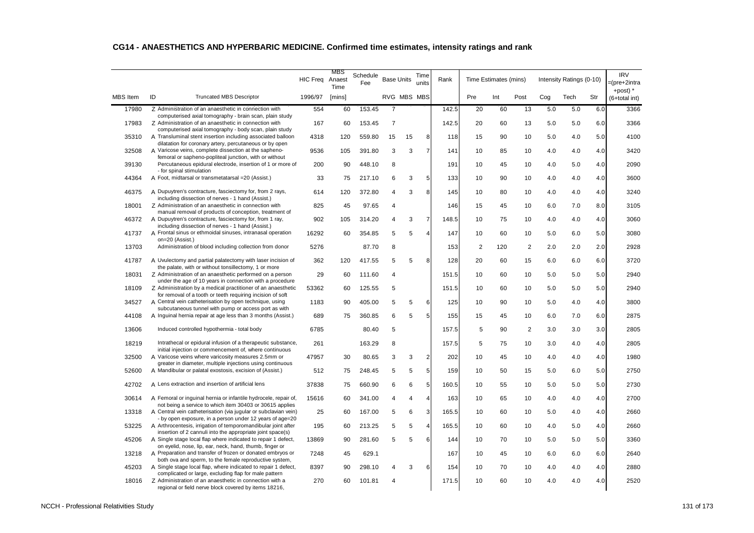|                 |                                                                                                                                                                            |                 | MBS            |                 |                   |             |                |       |                |                       |                |     |                          |     | <b>IRV</b>                 |
|-----------------|----------------------------------------------------------------------------------------------------------------------------------------------------------------------------|-----------------|----------------|-----------------|-------------------|-------------|----------------|-------|----------------|-----------------------|----------------|-----|--------------------------|-----|----------------------------|
|                 |                                                                                                                                                                            | <b>HIC Freg</b> | Anaest<br>Time | Schedule<br>Fee | <b>Base Units</b> |             | Time<br>units  | Rank  |                | Time Estimates (mins) |                |     | Intensity Ratings (0-10) |     | =(pre+2intra<br>+post) $*$ |
| <b>MBS</b> Item | ID<br><b>Truncated MBS Descriptor</b>                                                                                                                                      | 1996/97         | [mins]         |                 |                   | RVG MBS MBS |                |       | Pre            | Int                   | Post           | Cog | Tech                     | Str | (6+total int)              |
| 17980           | Z Administration of an anaesthetic in connection with                                                                                                                      | 554             | 60             | 153.45          | $\overline{7}$    |             |                | 142.5 | 20             | 60                    | 13             | 5.0 | 5.0                      | 6.0 | 3366                       |
| 17983           | computerised axial tomography - brain scan, plain study<br>Z Administration of an anaesthetic in connection with<br>computerised axial tomography - body scan, plain study | 167             | 60             | 153.45          | $\overline{7}$    |             |                | 142.5 | 20             | 60                    | 13             | 5.0 | 5.0                      | 6.0 | 3366                       |
| 35310           | A Transluminal stent insertion including associated balloon<br>dilatation for coronary artery, percutaneous or by open                                                     | 4318            | 120            | 559.80          | 15                | 15          | 8              | 118   | 15             | 90                    | 10             | 5.0 | 4.0                      | 5.0 | 4100                       |
| 32508           | A Varicose veins, complete dissection at the sapheno-<br>femoral or sapheno-popliteal junction, with or without                                                            | 9536            | 105            | 391.80          | 3                 | 3           | $\overline{7}$ | 141   | 10             | 85                    | 10             | 4.0 | 4.0                      | 4.0 | 3420                       |
| 39130           | Percutaneous epidural electrode, insertion of 1 or more of<br>- for spinal stimulation                                                                                     | 200             | 90             | 448.10          | 8                 |             |                | 191   | 10             | 45                    | 10             | 4.0 | 5.0                      | 4.0 | 2090                       |
| 44364           | A Foot, midtarsal or transmetatarsal = 20 (Assist.)                                                                                                                        | 33              | 75             | 217.10          | 6                 | 3           | 5              | 133   | 10             | 90                    | 10             | 4.0 | 4.0                      | 4.0 | 3600                       |
| 46375           | A Dupuytren's contracture, fasciectomy for, from 2 rays,<br>including dissection of nerves - 1 hand (Assist.)                                                              | 614             | 120            | 372.80          | 4                 | 3           | 8              | 145   | 10             | 80                    | 10             | 4.0 | 4.0                      | 4.0 | 3240                       |
| 18001           | Z Administration of an anaesthetic in connection with<br>manual removal of products of conception, treatment of                                                            | 825             | 45             | 97.65           | 4                 |             |                | 146   | 15             | 45                    | 10             | 6.0 | 7.0                      | 8.0 | 3105                       |
| 46372           | A Dupuytren's contracture, fasciectomy for, from 1 ray,<br>including dissection of nerves - 1 hand (Assist.)                                                               | 902             | 105            | 314.20          | 4                 | 3           | $\overline{7}$ | 148.5 | 10             | 75                    | 10             | 4.0 | 4.0                      | 4.0 | 3060                       |
| 41737           | A Frontal sinus or ethmoidal sinuses, intranasal operation<br>on=20 (Assist.)                                                                                              | 16292           | 60             | 354.85          | 5                 | 5           | $\overline{4}$ | 147   | 10             | 60                    | 10             | 5.0 | 6.0                      | 5.0 | 3080                       |
| 13703           | Administration of blood including collection from donor                                                                                                                    | 5276            |                | 87.70           | 8                 |             |                | 153   | $\overline{2}$ | 120                   | 2              | 2.0 | 2.0                      | 2.0 | 2928                       |
| 41787           | A Uvulectomy and partial palatectomy with laser incision of<br>the palate, with or without tonsillectomy, 1 or more                                                        | 362             | 120            | 417.55          | 5                 | 5           | 8              | 128   | 20             | 60                    | 15             | 6.0 | 6.0                      | 6.0 | 3720                       |
| 18031           | Z Administration of an anaesthetic performed on a person<br>under the age of 10 years in connection with a procedure                                                       | 29              | 60             | 111.60          | 4                 |             |                | 151.5 | 10             | 60                    | 10             | 5.0 | 5.0                      | 5.0 | 2940                       |
| 18109           | Z Administration by a medical practitioner of an anaesthetic<br>for removal of a tooth or teeth requiring incision of soft                                                 | 53362           | 60             | 125.55          | 5                 |             |                | 151.5 | 10             | 60                    | 10             | 5.0 | 5.0                      | 5.0 | 2940                       |
| 34527           | A Central vein catheterisation by open technique, using<br>subcutaneous tunnel with pump or access port as with                                                            | 1183            | 90             | 405.00          | 5                 | 5           | 6              | 125   | 10             | 90                    | 10             | 5.0 | 4.0                      | 4.0 | 3800                       |
| 44108           | A Inguinal hernia repair at age less than 3 months (Assist.)                                                                                                               | 689             | 75             | 360.85          | 6                 | 5           | 5              | 155   | 15             | 45                    | 10             | 6.0 | 7.0                      | 6.0 | 2875                       |
| 13606           | Induced controlled hypothermia - total body                                                                                                                                | 6785            |                | 80.40           | 5                 |             |                | 157.5 | 5              | 90                    | $\overline{2}$ | 3.0 | 3.0                      | 3.0 | 2805                       |
| 18219           | Intrathecal or epidural infusion of a therapeutic substance,<br>initial injection or commencement of, where continuous                                                     | 261             |                | 163.29          | 8                 |             |                | 157.5 | 5              | 75                    | 10             | 3.0 | 4.0                      | 4.0 | 2805                       |
| 32500           | A Varicose veins where varicosity measures 2.5mm or<br>greater in diameter, multiple injections using continuous                                                           | 47957           | 30             | 80.65           | 3                 | 3           | $\overline{2}$ | 202   | 10             | 45                    | 10             | 4.0 | 4.0                      | 4.0 | 1980                       |
| 52600           | A Mandibular or palatal exostosis, excision of (Assist.)                                                                                                                   | 512             | 75             | 248.45          | 5                 | 5           | 5              | 159   | 10             | 50                    | 15             | 5.0 | 6.0                      | 5.0 | 2750                       |
| 42702           | A Lens extraction and insertion of artificial lens                                                                                                                         | 37838           | 75             | 660.90          | 6                 | 6           | 5              | 160.5 | 10             | 55                    | 10             | 5.0 | 5.0                      | 5.0 | 2730                       |
| 30614           | A Femoral or inguinal hernia or infantile hydrocele, repair of,<br>not being a service to which item 30403 or 30615 applies                                                | 15616           | 60             | 341.00          | 4                 | 4           | $\overline{4}$ | 163   | 10             | 65                    | 10             | 4.0 | 4.0                      | 4.0 | 2700                       |
| 13318           | A Central vein catheterisation (via jugular or subclavian vein)<br>- by open exposure, in a person under 12 years of age=20                                                | 25              | 60             | 167.00          | 5                 | 6           | 3              | 165.5 | 10             | 60                    | 10             | 5.0 | 4.0                      | 4.0 | 2660                       |
| 53225           | A Arthrocentesis, irrigation of temporomandibular joint after<br>insertion of 2 cannuli into the appropriate joint space(s)                                                | 195             | 60             | 213.25          | 5                 | 5           | $\overline{4}$ | 165.5 | 10             | 60                    | 10             | 4.0 | 5.0                      | 4.0 | 2660                       |
| 45206           | A Single stage local flap where indicated to repair 1 defect,<br>on eyelid, nose, lip, ear, neck, hand, thumb, finger or                                                   | 13869           | 90             | 281.60          | 5                 | 5           | 6              | 144   | 10             | 70                    | 10             | 5.0 | 5.0                      | 5.0 | 3360                       |
| 13218           | A Preparation and transfer of frozen or donated embryos or<br>both ova and sperm, to the female reproductive system,                                                       | 7248            | 45             | 629.1           |                   |             |                | 167   | 10             | 45                    | 10             | 6.0 | 6.0                      | 6.0 | 2640                       |
| 45203           | A Single stage local flap, where indicated to repair 1 defect,<br>complicated or large, excluding flap for male pattern                                                    | 8397            | 90             | 298.10          |                   | 3           | 6              | 154   | 10             | 70                    | 10             | 4.0 | 4.0                      | 4.0 | 2880                       |
| 18016           | Z Administration of an anaesthetic in connection with a<br>regional or field nerve block covered by items 18216,                                                           | 270             | 60             | 101.81          | 4                 |             |                | 171.5 | 10             | 60                    | 10             | 4.0 | 4.0                      | 4.0 | 2520                       |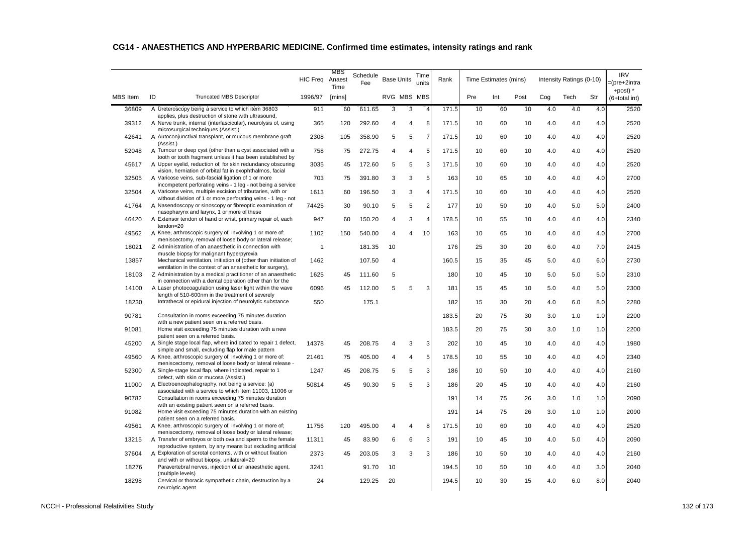|                 |                                                                                                                            | <b>HIC Freq</b> | MBS<br>Anaest<br>Time | Schedule<br>Fee | <b>Base Units</b> |   | Time<br>units  | Rank  |     | Time Estimates (mins) |      |     | Intensity Ratings (0-10) |     | <b>IRV</b><br>=(pre+2intra<br>+post) $*$ |
|-----------------|----------------------------------------------------------------------------------------------------------------------------|-----------------|-----------------------|-----------------|-------------------|---|----------------|-------|-----|-----------------------|------|-----|--------------------------|-----|------------------------------------------|
| <b>MBS</b> Item | ID<br><b>Truncated MBS Descriptor</b>                                                                                      | 1996/97         | [mins]                |                 | RVG MBS MBS       |   |                |       | Pre | Int                   | Post | Cog | Tech                     | Str | (6+total int)                            |
| 36809           | A Ureteroscopy being a service to which item 36803<br>applies, plus destruction of stone with ultrasound,                  | 911             | 60                    | 611.65          | 3                 | 3 | $\overline{4}$ | 171.5 | 10  | 60                    | 10   | 4.0 | 4.0                      | 4.0 | 2520                                     |
| 39312           | A Nerve trunk, internal (interfascicular), neurolysis of, using<br>microsurgical techniques (Assist.)                      | 365             | 120                   | 292.60          | 4                 | 4 | 8              | 171.5 | 10  | 60                    | 10   | 4.0 | 4.0                      | 4.0 | 2520                                     |
| 42641           | A Autoconjunctival transplant, or mucous membrane graft<br>(Assist.)                                                       | 2308            | 105                   | 358.90          | 5                 | 5 | $\overline{7}$ | 171.5 | 10  | 60                    | 10   | 4.0 | 4.0                      | 4.0 | 2520                                     |
| 52048           | A Tumour or deep cyst (other than a cyst associated with a<br>tooth or tooth fragment unless it has been established by    | 758             | 75                    | 272.75          | 4                 | 4 | 5              | 171.5 | 10  | 60                    | 10   | 4.0 | 4.0                      | 4.0 | 2520                                     |
| 45617           | A Upper eyelid, reduction of, for skin redundancy obscuring<br>vision, herniation of orbital fat in exophthalmos, facial   | 3035            | 45                    | 172.60          | 5                 | 5 | 3              | 171.5 | 10  | 60                    | 10   | 4.0 | 4.0                      | 4.0 | 2520                                     |
| 32505           | A Varicose veins, sub-fascial ligation of 1 or more                                                                        | 703             | 75                    | 391.80          | 3                 | 3 | 5              | 163   | 10  | 65                    | 10   | 4.0 | 4.0                      | 4.0 | 2700                                     |
| 32504           | incompetent perforating veins - 1 leg - not being a service<br>A Varicose veins, multiple excision of tributaries, with or | 1613            | 60                    | 196.50          | 3                 | 3 | $\overline{4}$ | 171.5 | 10  | 60                    | 10   | 4.0 | 4.0                      | 4.0 | 2520                                     |
| 41764           | without division of 1 or more perforating veins - 1 leg - not<br>A Nasendoscopy or sinoscopy or fibreoptic examination of  | 74425           | 30                    | 90.10           | 5                 | 5 | $\overline{2}$ | 177   | 10  | 50                    | 10   | 4.0 | 5.0                      | 5.0 | 2400                                     |
| 46420           | nasopharynx and larynx, 1 or more of these<br>A Extensor tendon of hand or wrist, primary repair of, each                  | 947             | 60                    | 150.20          | $\overline{4}$    | 3 | $\overline{4}$ | 178.5 | 10  | 55                    | 10   | 4.0 | 4.0                      | 4.0 | 2340                                     |
| 49562           | tendon=20<br>A Knee, arthroscopic surgery of, involving 1 or more of:                                                      | 1102            | 150                   | 540.00          | 4                 | Δ | 10             | 163   | 10  | 65                    | 10   | 4.0 | 4.0                      | 4.0 | 2700                                     |
| 18021           | meniscectomy, removal of loose body or lateral release;<br>Z Administration of an anaesthetic in connection with           | $\mathbf{1}$    |                       | 181.35          | 10                |   |                | 176   | 25  | 30                    | 20   | 6.0 | 4.0                      | 7.0 | 2415                                     |
| 13857           | muscle biopsy for malignant hyperpyrexia<br>Mechanical ventilation, initiation of (other than initiation of                | 1462            |                       | 107.50          | 4                 |   |                | 160.5 | 15  | 35                    | 45   | 5.0 | 4.0                      | 6.0 | 2730                                     |
| 18103           | ventilation in the context of an anaesthetic for surgery),<br>Z Administration by a medical practitioner of an anaesthetic | 1625            | 45                    | 111.60          | 5                 |   |                | 180   | 10  | 45                    | 10   | 5.0 | 5.0                      | 5.0 | 2310                                     |
| 14100           | in connection with a dental operation other than for the<br>A Laser photocoagulation using laser light within the wave     | 6096            | 45                    | 112.00          | 5                 | 5 | 3              | 181   | 15  | 45                    | 10   | 5.0 | 4.0                      | 5.0 | 2300                                     |
| 18230           | length of 510-600nm in the treatment of severely<br>Intrathecal or epidural injection of neurolytic substance              | 550             |                       | 175.1           |                   |   |                | 182   | 15  | 30                    | 20   | 4.0 | 6.0                      | 8.0 | 2280                                     |
| 90781           | Consultation in rooms exceeding 75 minutes duration                                                                        |                 |                       |                 |                   |   |                | 183.5 | 20  | 75                    | 30   | 3.0 | 1.0                      | 1.0 | 2200                                     |
| 91081           | with a new patient seen on a referred basis.<br>Home visit exceeding 75 minutes duration with a new                        |                 |                       |                 |                   |   |                | 183.5 | 20  | 75                    | 30   | 3.0 | 1.0                      | 1.0 | 2200                                     |
| 45200           | patient seen on a referred basis.<br>A Single stage local flap, where indicated to repair 1 defect,                        | 14378           | 45                    | 208.75          | 4                 | 3 | 3              | 202   | 10  | 45                    | 10   | 4.0 | 4.0                      | 4.0 | 1980                                     |
| 49560           | simple and small, excluding flap for male pattern<br>A Knee, arthroscopic surgery of, involving 1 or more of:              | 21461           | 75                    | 405.00          | 4                 | 4 | 5              | 178.5 | 10  | 55                    | 10   | 4.0 | 4.0                      | 4.0 | 2340                                     |
| 52300           | meniscectomy, removal of loose body or lateral release -<br>A Single-stage local flap, where indicated, repair to 1        | 1247            | 45                    | 208.75          | 5                 | 5 | 3              | 186   | 10  | 50                    | 10   | 4.0 | 4.0                      | 4.0 | 2160                                     |
| 11000           | defect, with skin or mucosa (Assist.)<br>A Electroencephalography, not being a service: (a)                                | 50814           | 45                    | 90.30           | 5                 | 5 | 3              | 186   | 20  | 45                    | 10   | 4.0 | 4.0                      | 4.0 | 2160                                     |
| 90782           | associated with a service to which item 11003, 11006 or<br>Consultation in rooms exceeding 75 minutes duration             |                 |                       |                 |                   |   |                | 191   | 14  | 75                    | 26   | 3.0 | 1.0                      | 1.0 | 2090                                     |
| 91082           | with an existing patient seen on a referred basis.<br>Home visit exceeding 75 minutes duration with an existing            |                 |                       |                 |                   |   |                | 191   | 14  | 75                    | 26   | 3.0 | 1.0                      | 1.0 | 2090                                     |
| 49561           | patient seen on a referred basis.<br>A Knee, arthroscopic surgery of, involving 1 or more of;                              | 11756           | 120                   | 495.00          | 4                 | 4 | 8              | 171.5 | 10  | 60                    | 10   | 4.0 | 4.0                      | 4.0 | 2520                                     |
| 13215           | meniscectomy, removal of loose body or lateral release;<br>A Transfer of embryos or both ova and sperm to the female       | 11311           | 45                    | 83.90           | 6                 | 6 | 3              | 191   | 10  | 45                    | 10   | 4.0 | 5.0                      | 4.0 | 2090                                     |
| 37604           | reproductive system, by any means but excluding artificial<br>A Exploration of scrotal contents, with or without fixation  |                 | 45                    |                 | 3                 | 3 | 3              | 186   |     | 50                    |      |     | 4.0                      |     | 2160                                     |
|                 | and with or without biopsy, unilateral=20                                                                                  | 2373            |                       | 203.05          |                   |   |                |       | 10  |                       | 10   | 4.0 |                          | 4.0 |                                          |
| 18276           | Paravertebral nerves, injection of an anaesthetic agent,<br>(multiple levels)                                              | 3241            |                       | 91.70           | 10                |   |                | 194.5 | 10  | 50                    | 10   | 4.0 | 4.0                      | 3.0 | 2040                                     |
| 18298           | Cervical or thoracic sympathetic chain, destruction by a<br>neurolytic agent                                               | 24              |                       | 129.25          | 20                |   |                | 194.5 | 10  | 30                    | 15   | 4.0 | 6.0                      | 8.0 | 2040                                     |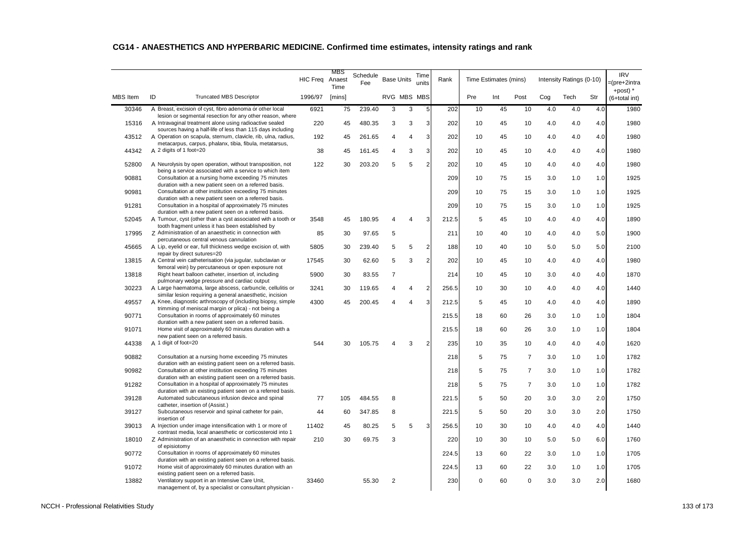| ID<br>RVG MBS MBS<br><b>MBS</b> Item<br>1996/97<br>Pre<br>Int<br>Post<br>Cog<br>Tech<br>Str<br><b>Truncated MBS Descriptor</b><br>[mins]<br>5<br>30346<br>A Breast, excision of cyst, fibro adenoma or other local<br>6921<br>239.40<br>3<br>10<br>45<br>10<br>4.0<br>4.0<br>4.0<br>75<br>3<br>202<br>lesion or segmental resection for any other reason, where<br>A Intravaginal treatment alone using radioactive sealed<br>3<br>4.0<br>15316<br>220<br>45<br>480.35<br>3<br>3<br>202<br>10<br>45<br>10<br>4.0<br>4.0<br>sources having a half-life of less than 115 days including<br>A Operation on scapula, sternum, clavicle, rib, ulna, radius,<br>3<br>202<br>4.0<br>43512<br>192<br>45<br>261.65<br>10<br>45<br>10<br>4.0<br>4.0<br>4<br>4<br>metacarpus, carpus, phalanx, tibia, fibula, metatarsus,<br>44342<br>A 2 digits of 1 foot=20<br>3<br>202<br>10<br>4.0<br>4.0<br>38<br>45<br>161.45<br>3<br>45<br>10<br>4.0<br>4<br>$\overline{2}$<br>202<br>52800<br>A Neurolysis by open operation, without transposition, not<br>122<br>30<br>203.20<br>5<br>10<br>45<br>10<br>4.0<br>4.0<br>4.0<br>5<br>being a service associated with a service to which item<br>90881<br>Consultation at a nursing home exceeding 75 minutes<br>209<br>75<br>3.0<br>1.0<br>10<br>15<br>1.0<br>duration with a new patient seen on a referred basis.<br>90981<br>Consultation at other institution exceeding 75 minutes<br>209<br>10<br>75<br>15<br>3.0<br>1.0<br>1.0<br>duration with a new patient seen on a referred basis.<br>91281<br>Consultation in a hospital of approximately 75 minutes<br>75<br>15<br>1.0<br>209<br>10<br>3.0<br>1.0<br>duration with a new patient seen on a referred basis.<br>A Tumour, cyst (other than a cyst associated with a tooth or<br>3<br>52045<br>3548<br>45<br>180.95<br>212.5<br>5<br>45<br>10<br>4.0<br>4.0<br>4.0<br>4<br>Δ<br>tooth fragment unless it has been established by<br>Z Administration of an anaesthetic in connection with<br>5.0<br>17995<br>85<br>30<br>97.65<br>5<br>211<br>10<br>40<br>10<br>4.0<br>4.0<br>percutaneous central venous cannulation<br>A Lip, eyelid or ear, full thickness wedge excision of, with<br>$\overline{2}$<br>45665<br>5805<br>30<br>239.40<br>5<br>5<br>188<br>10<br>40<br>5.0<br>5.0<br>5.0<br>10<br>repair by direct sutures=20<br>A Central vein catheterisation (via jugular, subclavian or<br>$\overline{2}$<br>202<br>4.0<br>13815<br>17545<br>30<br>62.60<br>5<br>3<br>10<br>45<br>10<br>4.0<br>4.0<br>femoral vein) by percutaneous or open exposure not<br>Right heart balloon catheter, insertion of, including<br>13818<br>5900<br>$\overline{7}$<br>4.0<br>30<br>83.55<br>214<br>10<br>45<br>10<br>3.0<br>4.0<br>pulmonary wedge pressure and cardiac output | <b>IRV</b><br>=(pre+2intra<br>+post) $*$ |
|--------------------------------------------------------------------------------------------------------------------------------------------------------------------------------------------------------------------------------------------------------------------------------------------------------------------------------------------------------------------------------------------------------------------------------------------------------------------------------------------------------------------------------------------------------------------------------------------------------------------------------------------------------------------------------------------------------------------------------------------------------------------------------------------------------------------------------------------------------------------------------------------------------------------------------------------------------------------------------------------------------------------------------------------------------------------------------------------------------------------------------------------------------------------------------------------------------------------------------------------------------------------------------------------------------------------------------------------------------------------------------------------------------------------------------------------------------------------------------------------------------------------------------------------------------------------------------------------------------------------------------------------------------------------------------------------------------------------------------------------------------------------------------------------------------------------------------------------------------------------------------------------------------------------------------------------------------------------------------------------------------------------------------------------------------------------------------------------------------------------------------------------------------------------------------------------------------------------------------------------------------------------------------------------------------------------------------------------------------------------------------------------------------------------------------------------------------------------------------------------------------------------------------------------------------------------------------------------------------------------------------------------------------------------------------------------------------------------------------------------------------------|------------------------------------------|
|                                                                                                                                                                                                                                                                                                                                                                                                                                                                                                                                                                                                                                                                                                                                                                                                                                                                                                                                                                                                                                                                                                                                                                                                                                                                                                                                                                                                                                                                                                                                                                                                                                                                                                                                                                                                                                                                                                                                                                                                                                                                                                                                                                                                                                                                                                                                                                                                                                                                                                                                                                                                                                                                                                                                                              | (6+total int)                            |
|                                                                                                                                                                                                                                                                                                                                                                                                                                                                                                                                                                                                                                                                                                                                                                                                                                                                                                                                                                                                                                                                                                                                                                                                                                                                                                                                                                                                                                                                                                                                                                                                                                                                                                                                                                                                                                                                                                                                                                                                                                                                                                                                                                                                                                                                                                                                                                                                                                                                                                                                                                                                                                                                                                                                                              | 1980                                     |
|                                                                                                                                                                                                                                                                                                                                                                                                                                                                                                                                                                                                                                                                                                                                                                                                                                                                                                                                                                                                                                                                                                                                                                                                                                                                                                                                                                                                                                                                                                                                                                                                                                                                                                                                                                                                                                                                                                                                                                                                                                                                                                                                                                                                                                                                                                                                                                                                                                                                                                                                                                                                                                                                                                                                                              | 1980                                     |
|                                                                                                                                                                                                                                                                                                                                                                                                                                                                                                                                                                                                                                                                                                                                                                                                                                                                                                                                                                                                                                                                                                                                                                                                                                                                                                                                                                                                                                                                                                                                                                                                                                                                                                                                                                                                                                                                                                                                                                                                                                                                                                                                                                                                                                                                                                                                                                                                                                                                                                                                                                                                                                                                                                                                                              | 1980                                     |
|                                                                                                                                                                                                                                                                                                                                                                                                                                                                                                                                                                                                                                                                                                                                                                                                                                                                                                                                                                                                                                                                                                                                                                                                                                                                                                                                                                                                                                                                                                                                                                                                                                                                                                                                                                                                                                                                                                                                                                                                                                                                                                                                                                                                                                                                                                                                                                                                                                                                                                                                                                                                                                                                                                                                                              | 1980                                     |
|                                                                                                                                                                                                                                                                                                                                                                                                                                                                                                                                                                                                                                                                                                                                                                                                                                                                                                                                                                                                                                                                                                                                                                                                                                                                                                                                                                                                                                                                                                                                                                                                                                                                                                                                                                                                                                                                                                                                                                                                                                                                                                                                                                                                                                                                                                                                                                                                                                                                                                                                                                                                                                                                                                                                                              | 1980                                     |
|                                                                                                                                                                                                                                                                                                                                                                                                                                                                                                                                                                                                                                                                                                                                                                                                                                                                                                                                                                                                                                                                                                                                                                                                                                                                                                                                                                                                                                                                                                                                                                                                                                                                                                                                                                                                                                                                                                                                                                                                                                                                                                                                                                                                                                                                                                                                                                                                                                                                                                                                                                                                                                                                                                                                                              | 1925                                     |
|                                                                                                                                                                                                                                                                                                                                                                                                                                                                                                                                                                                                                                                                                                                                                                                                                                                                                                                                                                                                                                                                                                                                                                                                                                                                                                                                                                                                                                                                                                                                                                                                                                                                                                                                                                                                                                                                                                                                                                                                                                                                                                                                                                                                                                                                                                                                                                                                                                                                                                                                                                                                                                                                                                                                                              | 1925                                     |
|                                                                                                                                                                                                                                                                                                                                                                                                                                                                                                                                                                                                                                                                                                                                                                                                                                                                                                                                                                                                                                                                                                                                                                                                                                                                                                                                                                                                                                                                                                                                                                                                                                                                                                                                                                                                                                                                                                                                                                                                                                                                                                                                                                                                                                                                                                                                                                                                                                                                                                                                                                                                                                                                                                                                                              | 1925                                     |
|                                                                                                                                                                                                                                                                                                                                                                                                                                                                                                                                                                                                                                                                                                                                                                                                                                                                                                                                                                                                                                                                                                                                                                                                                                                                                                                                                                                                                                                                                                                                                                                                                                                                                                                                                                                                                                                                                                                                                                                                                                                                                                                                                                                                                                                                                                                                                                                                                                                                                                                                                                                                                                                                                                                                                              | 1890                                     |
|                                                                                                                                                                                                                                                                                                                                                                                                                                                                                                                                                                                                                                                                                                                                                                                                                                                                                                                                                                                                                                                                                                                                                                                                                                                                                                                                                                                                                                                                                                                                                                                                                                                                                                                                                                                                                                                                                                                                                                                                                                                                                                                                                                                                                                                                                                                                                                                                                                                                                                                                                                                                                                                                                                                                                              | 1900                                     |
|                                                                                                                                                                                                                                                                                                                                                                                                                                                                                                                                                                                                                                                                                                                                                                                                                                                                                                                                                                                                                                                                                                                                                                                                                                                                                                                                                                                                                                                                                                                                                                                                                                                                                                                                                                                                                                                                                                                                                                                                                                                                                                                                                                                                                                                                                                                                                                                                                                                                                                                                                                                                                                                                                                                                                              | 2100                                     |
|                                                                                                                                                                                                                                                                                                                                                                                                                                                                                                                                                                                                                                                                                                                                                                                                                                                                                                                                                                                                                                                                                                                                                                                                                                                                                                                                                                                                                                                                                                                                                                                                                                                                                                                                                                                                                                                                                                                                                                                                                                                                                                                                                                                                                                                                                                                                                                                                                                                                                                                                                                                                                                                                                                                                                              | 1980                                     |
|                                                                                                                                                                                                                                                                                                                                                                                                                                                                                                                                                                                                                                                                                                                                                                                                                                                                                                                                                                                                                                                                                                                                                                                                                                                                                                                                                                                                                                                                                                                                                                                                                                                                                                                                                                                                                                                                                                                                                                                                                                                                                                                                                                                                                                                                                                                                                                                                                                                                                                                                                                                                                                                                                                                                                              | 1870                                     |
| 30223<br>A Large haematoma, large abscess, carbuncle, cellulitis or<br>3241<br>$\overline{2}$<br>4.0<br>30<br>119.65<br>256.5<br>10<br>30<br>10<br>4.0<br>4.0<br>4<br>4                                                                                                                                                                                                                                                                                                                                                                                                                                                                                                                                                                                                                                                                                                                                                                                                                                                                                                                                                                                                                                                                                                                                                                                                                                                                                                                                                                                                                                                                                                                                                                                                                                                                                                                                                                                                                                                                                                                                                                                                                                                                                                                                                                                                                                                                                                                                                                                                                                                                                                                                                                                      | 1440                                     |
| similar lesion requiring a general anaesthetic, incision<br>3<br>A Knee, diagnostic arthroscopy of (including biopsy, simple<br>49557<br>4300<br>200.45<br>212.5<br>5<br>45<br>10<br>4.0<br>4.0<br>4.0<br>45<br>Δ                                                                                                                                                                                                                                                                                                                                                                                                                                                                                                                                                                                                                                                                                                                                                                                                                                                                                                                                                                                                                                                                                                                                                                                                                                                                                                                                                                                                                                                                                                                                                                                                                                                                                                                                                                                                                                                                                                                                                                                                                                                                                                                                                                                                                                                                                                                                                                                                                                                                                                                                            | 1890                                     |
| trimming of meniscal margin or plica) - not being a<br>90771<br>Consultation in rooms of approximately 60 minutes<br>215.5<br>60<br>26<br>3.0<br>1.0<br>1.0<br>18                                                                                                                                                                                                                                                                                                                                                                                                                                                                                                                                                                                                                                                                                                                                                                                                                                                                                                                                                                                                                                                                                                                                                                                                                                                                                                                                                                                                                                                                                                                                                                                                                                                                                                                                                                                                                                                                                                                                                                                                                                                                                                                                                                                                                                                                                                                                                                                                                                                                                                                                                                                            | 1804                                     |
| duration with a new patient seen on a referred basis.<br>Home visit of approximately 60 minutes duration with a<br>91071<br>215.5<br>18<br>60<br>26<br>3.0<br>1.0<br>1.0                                                                                                                                                                                                                                                                                                                                                                                                                                                                                                                                                                                                                                                                                                                                                                                                                                                                                                                                                                                                                                                                                                                                                                                                                                                                                                                                                                                                                                                                                                                                                                                                                                                                                                                                                                                                                                                                                                                                                                                                                                                                                                                                                                                                                                                                                                                                                                                                                                                                                                                                                                                     | 1804                                     |
| new patient seen on a referred basis.<br>A 1 digit of foot=20<br>544<br>$\overline{2}$<br>44338<br>30<br>105.75<br>3<br>235<br>10<br>35<br>10<br>4.0<br>4.0<br>4.0                                                                                                                                                                                                                                                                                                                                                                                                                                                                                                                                                                                                                                                                                                                                                                                                                                                                                                                                                                                                                                                                                                                                                                                                                                                                                                                                                                                                                                                                                                                                                                                                                                                                                                                                                                                                                                                                                                                                                                                                                                                                                                                                                                                                                                                                                                                                                                                                                                                                                                                                                                                           | 1620                                     |
| Consultation at a nursing home exceeding 75 minutes<br>90882<br>218<br>5<br>75<br>$\overline{7}$<br>1.0<br>1.0<br>3.0                                                                                                                                                                                                                                                                                                                                                                                                                                                                                                                                                                                                                                                                                                                                                                                                                                                                                                                                                                                                                                                                                                                                                                                                                                                                                                                                                                                                                                                                                                                                                                                                                                                                                                                                                                                                                                                                                                                                                                                                                                                                                                                                                                                                                                                                                                                                                                                                                                                                                                                                                                                                                                        | 1782                                     |
| duration with an existing patient seen on a referred basis.<br>90982<br>Consultation at other institution exceeding 75 minutes<br>5<br>$\overline{7}$<br>218<br>75<br>3.0<br>1.0<br>1.0                                                                                                                                                                                                                                                                                                                                                                                                                                                                                                                                                                                                                                                                                                                                                                                                                                                                                                                                                                                                                                                                                                                                                                                                                                                                                                                                                                                                                                                                                                                                                                                                                                                                                                                                                                                                                                                                                                                                                                                                                                                                                                                                                                                                                                                                                                                                                                                                                                                                                                                                                                      | 1782                                     |
| duration with an existing patient seen on a referred basis.<br>Consultation in a hospital of approximately 75 minutes<br>91282<br>5<br>75<br>$\overline{7}$<br>218<br>3.0<br>1.0<br>1.0                                                                                                                                                                                                                                                                                                                                                                                                                                                                                                                                                                                                                                                                                                                                                                                                                                                                                                                                                                                                                                                                                                                                                                                                                                                                                                                                                                                                                                                                                                                                                                                                                                                                                                                                                                                                                                                                                                                                                                                                                                                                                                                                                                                                                                                                                                                                                                                                                                                                                                                                                                      | 1782                                     |
| duration with an existing patient seen on a referred basis.<br>39128<br>Automated subcutaneous infusion device and spinal<br>5<br>50<br>20<br>3.0<br>2.0<br>77<br>105<br>484.55<br>8<br>221.5<br>3.0                                                                                                                                                                                                                                                                                                                                                                                                                                                                                                                                                                                                                                                                                                                                                                                                                                                                                                                                                                                                                                                                                                                                                                                                                                                                                                                                                                                                                                                                                                                                                                                                                                                                                                                                                                                                                                                                                                                                                                                                                                                                                                                                                                                                                                                                                                                                                                                                                                                                                                                                                         | 1750                                     |
| catheter, insertion of (Assist.)<br>39127<br>Subcutaneous reservoir and spinal catheter for pain,<br>347.85<br>5<br>20<br>3.0<br>3.0<br>44<br>60<br>8<br>221.5<br>50<br>2.0                                                                                                                                                                                                                                                                                                                                                                                                                                                                                                                                                                                                                                                                                                                                                                                                                                                                                                                                                                                                                                                                                                                                                                                                                                                                                                                                                                                                                                                                                                                                                                                                                                                                                                                                                                                                                                                                                                                                                                                                                                                                                                                                                                                                                                                                                                                                                                                                                                                                                                                                                                                  | 1750                                     |
| insertion of<br>A Injection under image intensification with 1 or more of<br>39013<br>11402<br>80.25<br>3<br>256.5<br>10<br>30<br>10<br>4.0<br>4.0<br>4.0<br>45<br>5<br>5                                                                                                                                                                                                                                                                                                                                                                                                                                                                                                                                                                                                                                                                                                                                                                                                                                                                                                                                                                                                                                                                                                                                                                                                                                                                                                                                                                                                                                                                                                                                                                                                                                                                                                                                                                                                                                                                                                                                                                                                                                                                                                                                                                                                                                                                                                                                                                                                                                                                                                                                                                                    | 1440                                     |
| contrast media, local anaesthetic or corticosteroid into 1<br>18010<br>Z Administration of an anaesthetic in connection with repair<br>210<br>30<br>69.75<br>3<br>220<br>10<br>30<br>10<br>5.0<br>6.0<br>5.0                                                                                                                                                                                                                                                                                                                                                                                                                                                                                                                                                                                                                                                                                                                                                                                                                                                                                                                                                                                                                                                                                                                                                                                                                                                                                                                                                                                                                                                                                                                                                                                                                                                                                                                                                                                                                                                                                                                                                                                                                                                                                                                                                                                                                                                                                                                                                                                                                                                                                                                                                 | 1760                                     |
| of episiotomy<br>90772<br>Consultation in rooms of approximately 60 minutes<br>224.5<br>60<br>22<br>3.0<br>1.0<br>1.0<br>13                                                                                                                                                                                                                                                                                                                                                                                                                                                                                                                                                                                                                                                                                                                                                                                                                                                                                                                                                                                                                                                                                                                                                                                                                                                                                                                                                                                                                                                                                                                                                                                                                                                                                                                                                                                                                                                                                                                                                                                                                                                                                                                                                                                                                                                                                                                                                                                                                                                                                                                                                                                                                                  | 1705                                     |
| duration with an existing patient seen on a referred basis.<br>Home visit of approximately 60 minutes duration with an<br>91072<br>224.5<br>22<br>13<br>60<br>3.0<br>1.0<br>1.0                                                                                                                                                                                                                                                                                                                                                                                                                                                                                                                                                                                                                                                                                                                                                                                                                                                                                                                                                                                                                                                                                                                                                                                                                                                                                                                                                                                                                                                                                                                                                                                                                                                                                                                                                                                                                                                                                                                                                                                                                                                                                                                                                                                                                                                                                                                                                                                                                                                                                                                                                                              | 1705                                     |
| existing patient seen on a referred basis.<br>13882<br>Ventilatory support in an Intensive Care Unit,<br>33460<br>55.30<br>230<br>0<br>60<br>$\mathbf 0$<br>3.0<br>3.0<br>2.0<br>2<br>management of, by a specialist or consultant physician -                                                                                                                                                                                                                                                                                                                                                                                                                                                                                                                                                                                                                                                                                                                                                                                                                                                                                                                                                                                                                                                                                                                                                                                                                                                                                                                                                                                                                                                                                                                                                                                                                                                                                                                                                                                                                                                                                                                                                                                                                                                                                                                                                                                                                                                                                                                                                                                                                                                                                                               | 1680                                     |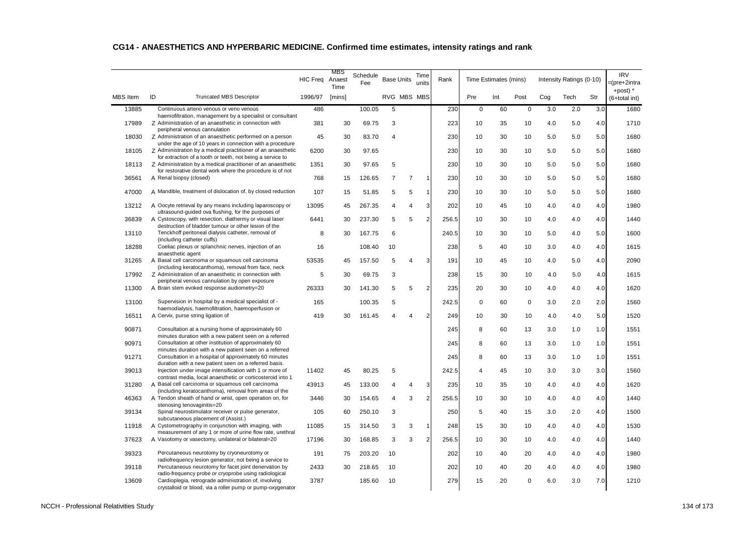|                 |                                                                                                                            | <b>HIC Freq</b> | MBS<br>Anaest<br>Time | Schedule<br>Fee | <b>Base Units</b> |                | Time<br>units  | Rank  |         | Time Estimates (mins) |             |     | Intensity Ratings (0-10) |     | <b>IRV</b><br>=(pre+2intra<br>+post) $*$ |
|-----------------|----------------------------------------------------------------------------------------------------------------------------|-----------------|-----------------------|-----------------|-------------------|----------------|----------------|-------|---------|-----------------------|-------------|-----|--------------------------|-----|------------------------------------------|
| <b>MBS</b> Item | ID<br><b>Truncated MBS Descriptor</b>                                                                                      | 1996/97         | [mins]                |                 | RVG MBS MBS       |                |                |       | Pre     | Int                   | Post        | Cog | Tech                     | Str | (6+total int)                            |
| 13885           | Continuous arterio venous or veno venous<br>haemofiltration, management by a specialist or consultant                      | 486             |                       | 100.05          | 5                 |                |                | 230   | $\bf 0$ | 60                    | $\mathsf 0$ | 3.0 | 2.0                      | 3.0 | 1680                                     |
| 17989           | Z Administration of an anaesthetic in connection with<br>peripheral venous cannulation                                     | 381             | 30                    | 69.75           | 3                 |                |                | 223   | 10      | 35                    | 10          | 4.0 | 5.0                      | 4.0 | 1710                                     |
| 18030           | Z Administration of an anaesthetic performed on a person                                                                   | 45              | 30                    | 83.70           | 4                 |                |                | 230   | 10      | 30                    | 10          | 5.0 | 5.0                      | 5.0 | 1680                                     |
| 18105           | under the age of 10 years in connection with a procedure<br>Z Administration by a medical practitioner of an anaesthetic   | 6200            | 30                    | 97.65           |                   |                |                | 230   | 10      | 30                    | 10          | 5.0 | 5.0                      | 5.0 | 1680                                     |
| 18113           | for extraction of a tooth or teeth, not being a service to<br>Z Administration by a medical practitioner of an anaesthetic | 1351            | 30                    | 97.65           | 5                 |                |                | 230   | 10      | 30                    | 10          | 5.0 | 5.0                      | 5.0 | 1680                                     |
| 36561           | for restorative dental work where the procedure is of not<br>A Renal biopsy (closed)                                       | 768             | 15                    | 126.65          | $\overline{7}$    | $\overline{7}$ | $\mathbf{1}$   | 230   | 10      | 30                    | 10          | 5.0 | 5.0                      | 5.0 | 1680                                     |
| 47000           | A Mandible, treatment of dislocation of, by closed reduction                                                               | 107             | 15                    | 51.85           | 5                 | 5              | $\overline{1}$ | 230   | 10      | 30                    | 10          | 5.0 | 5.0                      | 5.0 | 1680                                     |
| 13212           | A Oocyte retrieval by any means including laparoscopy or                                                                   | 13095           | 45                    | 267.35          | 4                 | 4              | 3              | 202   | 10      | 45                    | 10          | 4.0 | 4.0                      | 4.0 | 1980                                     |
| 36839           | ultrasound-guided ova flushing, for the purposes of<br>A Cystoscopy, with resection, diathermy or visual laser             | 6441            | 30                    | 237.30          | 5                 | 5              | $\overline{2}$ | 256.5 | 10      | 30                    | 10          | 4.0 | 4.0                      | 4.0 | 1440                                     |
| 13110           | destruction of bladder tumour or other lesion of the<br>Tenckhoff peritoneal dialysis catheter, removal of                 | 8               | 30                    | 167.75          | 6                 |                |                | 240.5 | 10      | 30                    | 10          | 5.0 | 4.0                      | 5.0 | 1600                                     |
| 18288           | (including catheter cuffs)<br>Coeliac plexus or splanchnic nerves, injection of an                                         | 16              |                       | 108.40          | 10                |                |                | 238   | 5       | 40                    | 10          | 3.0 | 4.0                      | 4.0 | 1615                                     |
| 31265           | anaesthetic agent<br>A Basal cell carcinoma or squamous cell carcinoma                                                     | 53535           | 45                    | 157.50          | 5                 | 4              | 3              | 191   | 10      | 45                    | 10          | 4.0 | 5.0                      | 4.0 | 2090                                     |
| 17992           | (including keratocanthoma), removal from face, neck<br>Z Administration of an anaesthetic in connection with               | 5               | 30                    | 69.75           | 3                 |                |                | 238   | 15      | 30                    | 10          | 4.0 | 5.0                      | 4.0 | 1615                                     |
| 11300           | peripheral venous cannulation by open exposure<br>A Brain stem evoked response audiometry=20                               | 26333           | 30                    | 141.30          | 5                 | 5              | $\overline{2}$ | 235   | 20      | 30                    | 10          | 4.0 | 4.0                      | 4.0 | 1620                                     |
| 13100           | Supervision in hospital by a medical specialist of -                                                                       | 165             |                       | 100.35          | 5                 |                |                | 242.5 | 0       | 60                    | 0           | 3.0 | 2.0                      | 2.0 | 1560                                     |
| 16511           | haemodialysis, haemofiltration, haemoperfusion or<br>A Cervix, purse string ligation of                                    | 419             | 30                    | 161.45          | 4                 | Δ              | $\overline{2}$ | 249   | 10      | 30                    | 10          | 4.0 | 4.0                      | 5.0 | 1520                                     |
| 90871           | Consultation at a nursing home of approximately 60                                                                         |                 |                       |                 |                   |                |                | 245   | 8       | 60                    | 13          | 3.0 | 1.0                      | 1.0 | 1551                                     |
| 90971           | minutes duration with a new patient seen on a referred<br>Consultation at other institution of approximately 60            |                 |                       |                 |                   |                |                | 245   | 8       | 60                    | 13          | 3.0 | 1.0                      | 1.0 | 1551                                     |
| 91271           | minutes duration with a new patient seen on a referred<br>Consultation in a hospital of approximately 60 minutes           |                 |                       |                 |                   |                |                | 245   | 8       | 60                    | 13          | 3.0 | 1.0                      | 1.0 | 1551                                     |
| 39013           | duration with a new patient seen on a referred basis.<br>Injection under image intensification with 1 or more of           | 11402           | 45                    | 80.25           | 5                 |                |                | 242.5 | 4       | 45                    | 10          | 3.0 | 3.0                      | 3.0 | 1560                                     |
| 31280           | contrast media, local anaesthetic or corticosteroid into 1<br>A Basal cell carcinoma or squamous cell carcinoma            | 43913           | 45                    | 133.00          | 4                 | 4              | 3              | 235   | 10      | 35                    | 10          | 4.0 | 4.0                      | 4.0 | 1620                                     |
| 46363           | (including keratocanthoma), removal from areas of the<br>A Tendon sheath of hand or wrist, open operation on, for          | 3446            | 30                    | 154.65          | 4                 | 3              | $\overline{2}$ | 256.5 | 10      | 30                    | 10          | 4.0 | 4.0                      | 4.0 | 1440                                     |
| 39134           | stenosing tenovaginitis=20<br>Spinal neurostimulator receiver or pulse generator,                                          | 105             | 60                    | 250.10          | 3                 |                |                | 250   | 5       | 40                    | 15          | 3.0 | 2.0                      | 4.0 | 1500                                     |
| 11918           | subcutaneous placement of (Assist.)<br>A Cystometrography in conjunction with imaging, with                                | 11085           | 15                    | 314.50          | 3                 | 3              | $\mathbf{1}$   | 248   | 15      | 30                    | 10          | 4.0 | 4.0                      | 4.0 | 1530                                     |
| 37623           | measurement of any 1 or more of urine flow rate, urethral<br>A Vasotomy or vasectomy, unilateral or bilateral=20           | 17196           | 30                    | 168.85          | 3                 | 3              | $\overline{2}$ | 256.5 | 10      | 30                    | 10          | 4.0 | 4.0                      | 4.0 | 1440                                     |
|                 |                                                                                                                            |                 |                       |                 |                   |                |                |       |         |                       |             |     |                          |     |                                          |
| 39323           | Percutaneous neurotomy by cryoneurotomy or<br>radiofrequency lesion generator, not being a service to                      | 191             | 75                    | 203.20          | 10                |                |                | 202   | 10      | 40                    | 20          | 4.0 | 4.0                      | 4.0 | 1980                                     |
| 39118           | Percutaneous neurotomy for facet joint denervation by<br>radio-frequency probe or cryoprobe using radiological             | 2433            | 30                    | 218.65          | 10                |                |                | 202   | 10      | 40                    | 20          | 4.0 | 4.0                      | 4.0 | 1980                                     |
| 13609           | Cardioplegia, retrograde administration of, involving<br>crystalloid or blood, via a roller pump or pump-oxygenator        | 3787            |                       | 185.60          | 10                |                |                | 279   | 15      | 20                    | $\mathbf 0$ | 6.0 | 3.0                      | 7.0 | 1210                                     |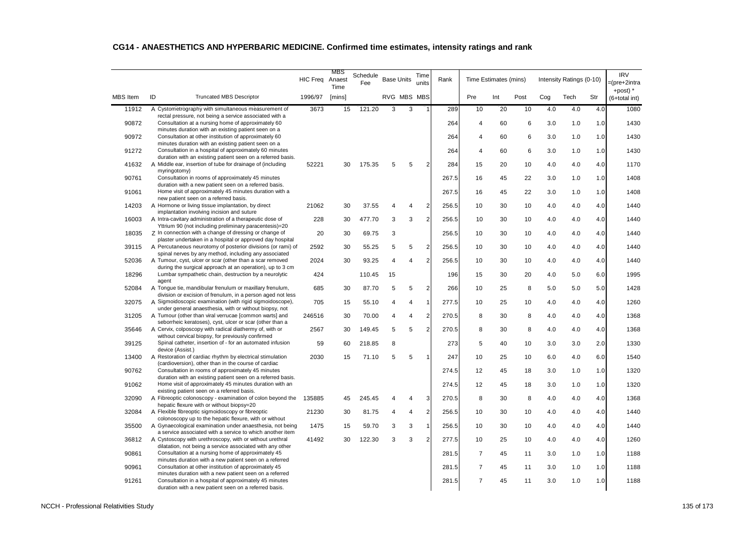|                 |                                                                                                                                                                     | <b>HIC Freq</b> | MBS<br>Anaest<br>Time | Schedule<br>Fee | <b>Base Units</b> |   | Time<br>units           | Rank  |                | Time Estimates (mins) |      |     | Intensity Ratings (0-10) |     | <b>IRV</b><br>=(pre+2intra<br>+post) $*$ |
|-----------------|---------------------------------------------------------------------------------------------------------------------------------------------------------------------|-----------------|-----------------------|-----------------|-------------------|---|-------------------------|-------|----------------|-----------------------|------|-----|--------------------------|-----|------------------------------------------|
| <b>MBS</b> Item | ID<br><b>Truncated MBS Descriptor</b>                                                                                                                               | 1996/97         | [mins]                |                 | RVG MBS MBS       |   |                         |       | Pre            | Int                   | Post | Cog | Tech                     | Str | (6+total int)                            |
| 11912           | A Cystometrography with simultaneous measurement of                                                                                                                 | 3673            | 15                    | 121.20          | 3                 | 3 |                         | 289   | 10             | 20                    | 10   | 4.0 | 4.0                      | 4.0 | 1080                                     |
| 90872           | rectal pressure, not being a service associated with a<br>Consultation at a nursing home of approximately 60<br>minutes duration with an existing patient seen on a |                 |                       |                 |                   |   |                         | 264   | 4              | 60                    | 6    | 3.0 | 1.0                      | 1.0 | 1430                                     |
| 90972           | Consultation at other institution of approximately 60<br>minutes duration with an existing patient seen on a                                                        |                 |                       |                 |                   |   |                         | 264   | 4              | 60                    | 6    | 3.0 | 1.0                      | 1.0 | 1430                                     |
| 91272           | Consultation in a hospital of approximately 60 minutes                                                                                                              |                 |                       |                 |                   |   |                         | 264   | 4              | 60                    | 6    | 3.0 | 1.0                      | 1.0 | 1430                                     |
| 41632           | duration with an existing patient seen on a referred basis.<br>A Middle ear, insertion of tube for drainage of (including                                           | 52221           | 30                    | 175.35          | 5                 | 5 | $\overline{2}$          | 284   | 15             | 20                    | 10   | 4.0 | 4.0                      | 4.0 | 1170                                     |
| 90761           | myringotomy)<br>Consultation in rooms of approximately 45 minutes                                                                                                   |                 |                       |                 |                   |   |                         | 267.5 | 16             | 45                    | 22   | 3.0 | 1.0                      | 1.0 | 1408                                     |
| 91061           | duration with a new patient seen on a referred basis.<br>Home visit of approximately 45 minutes duration with a                                                     |                 |                       |                 |                   |   |                         | 267.5 | 16             | 45                    | 22   | 3.0 | 1.0                      | 1.0 | 1408                                     |
| 14203           | new patient seen on a referred basis.<br>A Hormone or living tissue implantation, by direct                                                                         | 21062           | 30                    | 37.55           | 4                 | 4 | $\overline{2}$          | 256.5 | 10             | 30                    | 10   | 4.0 | 4.0                      | 4.0 | 1440                                     |
| 16003           | implantation involving incision and suture<br>A Intra-cavitary administration of a therapeutic dose of                                                              | 228             | 30                    | 477.70          | 3                 | 3 | $\overline{2}$          | 256.5 | 10             | 30                    | 10   | 4.0 | 4.0                      | 4.0 | 1440                                     |
| 18035           | Yttrium 90 (not including preliminary paracentesis)=20<br>Z In connection with a change of dressing or change of                                                    | 20              | 30                    | 69.75           | 3                 |   |                         | 256.5 | 10             | 30                    | 10   | 4.0 | 4.0                      | 4.0 | 1440                                     |
| 39115           | plaster undertaken in a hospital or approved day hospital<br>A Percutaneous neurotomy of posterior divisions (or rami) of                                           | 2592            | 30                    | 55.25           | 5                 | 5 | $\overline{2}$          | 256.5 | 10             | 30                    | 10   | 4.0 | 4.0                      | 4.0 | 1440                                     |
| 52036           | spinal nerves by any method, including any associated<br>A Tumour, cyst, ulcer or scar (other than a scar removed                                                   | 2024            | 30                    | 93.25           | 4                 | 4 | $\overline{2}$          | 256.5 | 10             | 30                    | 10   | 4.0 | 4.0                      | 4.0 | 1440                                     |
| 18296           | during the surgical approach at an operation), up to 3 cm<br>Lumbar sympathetic chain, destruction by a neurolytic                                                  | 424             |                       | 110.45          | 15                |   |                         | 196   | 15             | 30                    | 20   | 4.0 | 5.0                      | 6.0 | 1995                                     |
| 52084           | agent<br>A Tongue tie, mandibular frenulum or maxillary frenulum,                                                                                                   | 685             | 30                    | 87.70           | 5                 | 5 | $\overline{2}$          | 266   | 10             | 25                    | 8    | 5.0 | 5.0                      | 5.0 | 1428                                     |
| 32075           | division or excision of frenulum, in a person aged not less<br>A Sigmoidoscopic examination (with rigid sigmoidoscope),                                             | 705             | 15                    | 55.10           | 4                 | 4 | $\overline{\mathbf{1}}$ | 277.5 | 10             | 25                    | 10   | 4.0 | 4.0                      | 4.0 | 1260                                     |
| 31205           | under general anaesthesia, with or without biopsy, not<br>A Tumour (other than viral verrucae [common warts] and                                                    | 246516          | 30                    | 70.00           | 4                 | 4 | $\overline{2}$          | 270.5 | 8              | 30                    | 8    | 4.0 | 4.0                      | 4.0 | 1368                                     |
| 35646           | seborrheic keratoses), cyst, ulcer or scar (other than a<br>A Cervix, colposcopy with radical diathermy of, with or                                                 | 2567            | 30                    | 149.45          | 5                 | 5 | $\overline{2}$          | 270.5 | 8              | 30                    | 8    | 4.0 | 4.0                      | 4.0 | 1368                                     |
| 39125           | without cervical biopsy, for previously confirmed<br>Spinal catheter, insertion of - for an automated infusion                                                      | 59              | 60                    | 218.85          | 8                 |   |                         | 273   | 5              | 40                    | 10   | 3.0 | 3.0                      | 2.0 | 1330                                     |
| 13400           | device (Assist.)<br>A Restoration of cardiac rhythm by electrical stimulation                                                                                       | 2030            | 15                    | 71.10           | 5                 | 5 | $\overline{\mathbf{1}}$ | 247   | 10             | 25                    | 10   | 6.0 | 4.0                      | 6.0 | 1540                                     |
| 90762           | (cardioversion), other than in the course of cardiac<br>Consultation in rooms of approximately 45 minutes                                                           |                 |                       |                 |                   |   |                         | 274.5 | 12             | 45                    | 18   | 3.0 | 1.0                      | 1.0 | 1320                                     |
| 91062           | duration with an existing patient seen on a referred basis.<br>Home visit of approximately 45 minutes duration with an                                              |                 |                       |                 |                   |   |                         | 274.5 | 12             | 45                    | 18   | 3.0 | 1.0                      | 1.0 | 1320                                     |
| 32090           | existing patient seen on a referred basis.<br>A Fibreoptic colonoscopy - examination of colon beyond the                                                            | 135885          | 45                    | 245.45          | 4                 | 4 | 3                       | 270.5 | 8              | 30                    | 8    | 4.0 | 4.0                      | 4.0 | 1368                                     |
| 32084           | hepatic flexure with or without biopsy=20<br>A Flexible fibreoptic sigmoidoscopy or fibreoptic                                                                      | 21230           | 30                    | 81.75           | 4                 | 4 | $\overline{2}$          | 256.5 | 10             | 30                    | 10   | 4.0 | 4.0                      | 4.0 | 1440                                     |
| 35500           | colonoscopy up to the hepatic flexure, with or without<br>A Gynaecological examination under anaesthesia, not being                                                 | 1475            | 15                    | 59.70           | 3                 | 3 | $\mathbf{1}$            | 256.5 | 10             | 30                    | 10   | 4.0 | 4.0                      | 4.0 | 1440                                     |
| 36812           | a service associated with a service to which another item<br>A Cystoscopy with urethroscopy, with or without urethral                                               | 41492           | 30                    | 122.30          | 3                 | 3 | $\overline{2}$          | 277.5 | 10             | 25                    | 10   | 4.0 | 4.0                      | 4.0 | 1260                                     |
| 90861           | dilatation, not being a service associated with any other<br>Consultation at a nursing home of approximately 45                                                     |                 |                       |                 |                   |   |                         | 281.5 | $\overline{7}$ | 45                    | 11   | 3.0 | 1.0                      | 1.0 | 1188                                     |
| 90961           | minutes duration with a new patient seen on a referred<br>Consultation at other institution of approximately 45                                                     |                 |                       |                 |                   |   |                         | 281.5 | $\overline{7}$ | 45                    | 11   | 3.0 | 1.0                      | 1.0 | 1188                                     |
| 91261           | minutes duration with a new patient seen on a referred<br>Consultation in a hospital of approximately 45 minutes                                                    |                 |                       |                 |                   |   |                         | 281.5 | $\overline{7}$ | 45                    | 11   | 3.0 | 1.0                      | 1.0 | 1188                                     |
|                 | duration with a new patient seen on a referred basis.                                                                                                               |                 |                       |                 |                   |   |                         |       |                |                       |      |     |                          |     |                                          |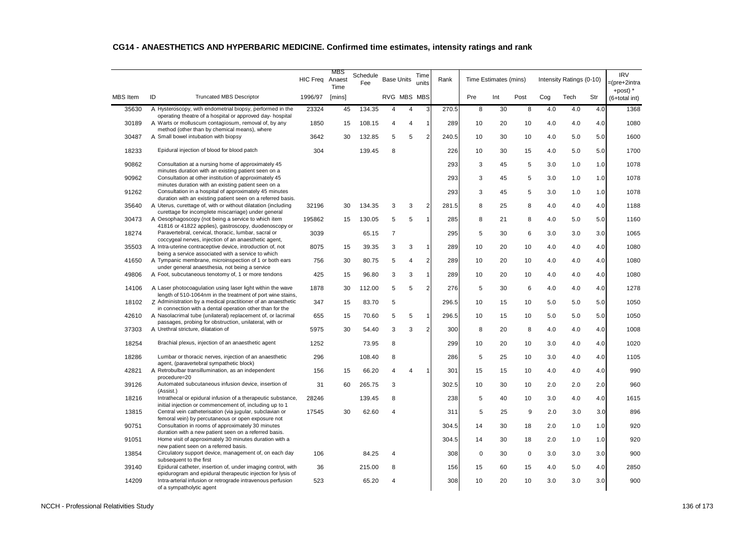|                 |                                                                                                                                                        | <b>HIC Freq</b> | MBS<br>Anaest<br>Time | Schedule<br>Fee | <b>Base Units</b> |                | Time<br>units  | Rank  |     | Time Estimates (mins) |             |     | Intensity Ratings (0-10) |     | <b>IRV</b><br>=(pre+2intra<br>+post) $*$ |
|-----------------|--------------------------------------------------------------------------------------------------------------------------------------------------------|-----------------|-----------------------|-----------------|-------------------|----------------|----------------|-------|-----|-----------------------|-------------|-----|--------------------------|-----|------------------------------------------|
| <b>MBS</b> Item | ID<br><b>Truncated MBS Descriptor</b>                                                                                                                  | 1996/97         | [mins]                |                 | RVG MBS MBS       |                |                |       | Pre | Int                   | Post        | Cog | Tech                     | Str | (6+total int)                            |
| 35630           | A Hysteroscopy, with endometrial biopsy, performed in the<br>operating theatre of a hospital or approved day- hospital                                 | 23324           | 45                    | 134.35          | 4                 | 4              | 3              | 270.5 | 8   | 30                    | 8           | 4.0 | 4.0                      | 4.0 | 1368                                     |
| 30189           | A Warts or molluscum contagiosum, removal of, by any<br>method (other than by chemical means), where                                                   | 1850            | 15                    | 108.15          | 4                 | $\overline{4}$ | $\overline{1}$ | 289   | 10  | 20                    | 10          | 4.0 | 4.0                      | 4.0 | 1080                                     |
| 30487           | A Small bowel intubation with biopsy                                                                                                                   | 3642            | 30                    | 132.85          | 5                 | 5              | $\overline{2}$ | 240.5 | 10  | 30                    | 10          | 4.0 | 5.0                      | 5.0 | 1600                                     |
| 18233           | Epidural injection of blood for blood patch                                                                                                            | 304             |                       | 139.45          | 8                 |                |                | 226   | 10  | 30                    | 15          | 4.0 | 5.0                      | 5.0 | 1700                                     |
| 90862           | Consultation at a nursing home of approximately 45                                                                                                     |                 |                       |                 |                   |                |                | 293   | 3   | 45                    | 5           | 3.0 | 1.0                      | 1.0 | 1078                                     |
| 90962           | minutes duration with an existing patient seen on a<br>Consultation at other institution of approximately 45                                           |                 |                       |                 |                   |                |                | 293   | 3   | 45                    | 5           | 3.0 | 1.0                      | 1.0 | 1078                                     |
| 91262           | minutes duration with an existing patient seen on a<br>Consultation in a hospital of approximately 45 minutes                                          |                 |                       |                 |                   |                |                | 293   | 3   | 45                    | 5           | 3.0 | 1.0                      | 1.0 | 1078                                     |
| 35640           | duration with an existing patient seen on a referred basis.<br>A Uterus, curettage of, with or without dilatation (including                           | 32196           | 30                    | 134.35          | 3                 | 3              | $\overline{2}$ | 281.5 | 8   | 25                    | 8           | 4.0 | 4.0                      | 4.0 | 1188                                     |
| 30473           | curettage for incomplete miscarriage) under general<br>A Oesophagoscopy (not being a service to which item                                             | 195862          | 15                    | 130.05          | 5                 | 5              | $\mathbf{1}$   | 285   | 8   | 21                    | 8           | 4.0 | 5.0                      | 5.0 | 1160                                     |
| 18274           | 41816 or 41822 applies), gastroscopy, duodenoscopy or<br>Paravertebral, cervical, thoracic, lumbar, sacral or                                          | 3039            |                       | 65.15           | 7                 |                |                | 295   | 5   | 30                    | 6           | 3.0 | 3.0                      | 3.0 | 1065                                     |
| 35503           | coccygeal nerves, injection of an anaesthetic agent,<br>A Intra-uterine contraceptive device, introduction of, not                                     | 8075            | 15                    | 39.35           | 3                 | 3              | $\overline{1}$ | 289   | 10  | 20                    | 10          | 4.0 | 4.0                      | 4.0 | 1080                                     |
| 41650           | being a service associated with a service to which<br>A Tympanic membrane, microinspection of 1 or both ears                                           | 756             | 30                    | 80.75           | 5                 | 4              | $\overline{2}$ | 289   | 10  | 20                    | 10          | 4.0 | 4.0                      | 4.0 | 1080                                     |
| 49806           | under general anaesthesia, not being a service<br>A Foot, subcutaneous tenotomy of, 1 or more tendons                                                  | 425             | 15                    | 96.80           | 3                 | 3              | $\mathbf{1}$   | 289   | 10  | 20                    | 10          | 4.0 | 4.0                      | 4.0 | 1080                                     |
| 14106           | A Laser photocoagulation using laser light within the wave                                                                                             | 1878            | 30                    | 112.00          | 5                 | 5              | $\overline{2}$ | 276   | 5   | 30                    | 6           | 4.0 | 4.0                      | 4.0 | 1278                                     |
|                 | length of 510-1064nm in the treatment of port wine stains,<br>Z Administration by a medical practitioner of an anaesthetic                             |                 |                       |                 |                   |                |                |       |     |                       |             |     |                          |     |                                          |
| 18102           | in connection with a dental operation other than for the                                                                                               | 347             | 15                    | 83.70           | 5                 |                |                | 296.5 | 10  | 15                    | 10          | 5.0 | 5.0                      | 5.0 | 1050                                     |
| 42610           | A Nasolacrimal tube (unilateral) replacement of, or lacrimal<br>passages, probing for obstruction, unilateral, with or                                 | 655             | 15                    | 70.60           | 5                 | 5              | $\mathbf{1}$   | 296.5 | 10  | 15                    | 10          | 5.0 | 5.0                      | 5.0 | 1050                                     |
| 37303           | A Urethral stricture, dilatation of                                                                                                                    | 5975            | 30                    | 54.40           | 3                 | 3              | $\overline{2}$ | 300   | 8   | 20                    | 8           | 4.0 | 4.0                      | 4.0 | 1008                                     |
| 18254           | Brachial plexus, injection of an anaesthetic agent                                                                                                     | 1252            |                       | 73.95           | 8                 |                |                | 299   | 10  | 20                    | 10          | 3.0 | 4.0                      | 4.0 | 1020                                     |
| 18286           | Lumbar or thoracic nerves, injection of an anaesthetic<br>agent, (paravertebral sympathetic block)                                                     | 296             |                       | 108.40          | 8                 |                |                | 286   | 5   | 25                    | 10          | 3.0 | 4.0                      | 4.0 | 1105                                     |
| 42821           | A Retrobulbar transillumination, as an independent<br>procedure=20                                                                                     | 156             | 15                    | 66.20           | 4                 | 4              | $\mathbf{1}$   | 301   | 15  | 15                    | 10          | 4.0 | 4.0                      | 4.0 | 990                                      |
| 39126           | Automated subcutaneous infusion device, insertion of<br>(Assist.)                                                                                      | 31              | 60                    | 265.75          | 3                 |                |                | 302.5 | 10  | 30                    | 10          | 2.0 | 2.0                      | 2.0 | 960                                      |
| 18216           | Intrathecal or epidural infusion of a therapeutic substance,<br>initial injection or commencement of, including up to 1                                | 28246           |                       | 139.45          | 8                 |                |                | 238   | 5   | 40                    | 10          | 3.0 | 4.0                      | 4.0 | 1615                                     |
| 13815           | Central vein catheterisation (via jugular, subclavian or<br>femoral vein) by percutaneous or open exposure not                                         | 17545           | 30                    | 62.60           | 4                 |                |                | 311   | 5   | 25                    | 9           | 2.0 | 3.0                      | 3.0 | 896                                      |
| 90751           | Consultation in rooms of approximately 30 minutes<br>duration with a new patient seen on a referred basis.                                             |                 |                       |                 |                   |                |                | 304.5 | 14  | 30                    | 18          | 2.0 | 1.0                      | 1.0 | 920                                      |
| 91051           | Home visit of approximately 30 minutes duration with a<br>new patient seen on a referred basis.                                                        |                 |                       |                 |                   |                |                | 304.5 | 14  | 30                    | 18          | 2.0 | 1.0                      | 1.0 | 920                                      |
| 13854           | Circulatory support device, management of, on each day                                                                                                 | 106             |                       | 84.25           | Δ                 |                |                | 308   | 0   | 30                    | $\mathbf 0$ | 3.0 | 3.0                      | 3.0 | 900                                      |
| 39140           | subsequent to the first<br>Epidural catheter, insertion of, under imaging control, with                                                                | 36              |                       | 215.00          | 8                 |                |                | 156   | 15  | 60                    | 15          | 4.0 | 5.0                      | 4.0 | 2850                                     |
| 14209           | epidurogram and epidural therapeutic injection for lysis of<br>Intra-arterial infusion or retrograde intravenous perfusion<br>of a sympatholytic agent | 523             |                       | 65.20           | 4                 |                |                | 308   | 10  | 20                    | 10          | 3.0 | 3.0                      | 3.0 | 900                                      |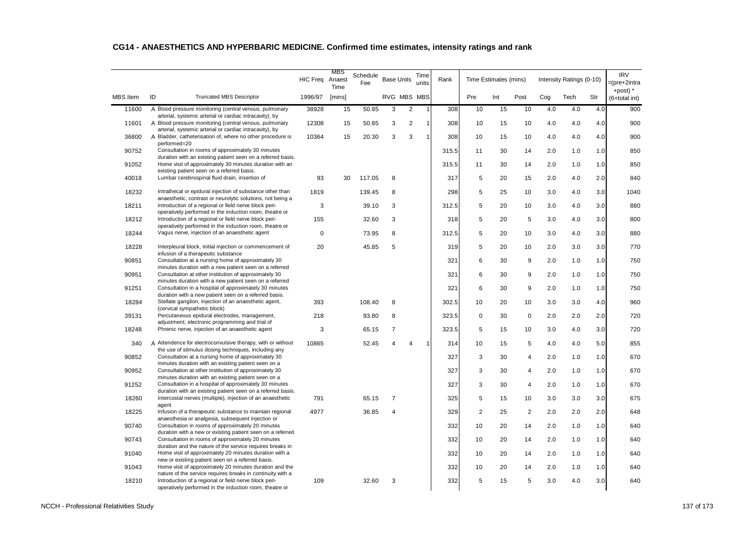|                 |                                                                                                                        | <b>HIC Freq</b> | MBS<br>Anaest<br>Time | Schedule<br>Fee | <b>Base Units</b> |                | Time<br>units  | Rank  |                | Time Estimates (mins) |                |     | Intensity Ratings (0-10) |     | <b>IRV</b><br>=(pre+2intra<br>+post) $*$ |
|-----------------|------------------------------------------------------------------------------------------------------------------------|-----------------|-----------------------|-----------------|-------------------|----------------|----------------|-------|----------------|-----------------------|----------------|-----|--------------------------|-----|------------------------------------------|
| <b>MBS</b> Item | ID<br><b>Truncated MBS Descriptor</b>                                                                                  | 1996/97         | [mins]                |                 | RVG MBS MBS       |                |                |       | Pre            | Int                   | Post           | Cog | Tech                     | Str | (6+total int)                            |
| 11600           | A Blood pressure monitoring (central venous, pulmonary<br>arterial, systemic arterial or cardiac intracavity), by      | 38928           | 15                    | 50.85           | 3                 | $\overline{2}$ | $\overline{1}$ | 308   | 10             | 15                    | 10             | 4.0 | 4.0                      | 4.0 | 900                                      |
| 11601           | A Blood pressure monitoring (central venous, pulmonary<br>arterial, systemic arterial or cardiac intracavity), by      | 12308           | 15                    | 50.85           | 3                 | $\overline{2}$ | $\overline{1}$ | 308   | 10             | 15                    | 10             | 4.0 | 4.0                      | 4.0 | 900                                      |
| 36800           | A Bladder, catheterisation of, where no other procedure is                                                             | 10364           | 15                    | 20.30           | 3                 | 3              | $\overline{1}$ | 308   | 10             | 15                    | 10             | 4.0 | 4.0                      | 4.0 | 900                                      |
| 90752           | performed=20<br>Consultation in rooms of approximately 30 minutes                                                      |                 |                       |                 |                   |                |                | 315.5 | 11             | 30                    | 14             | 2.0 | 1.0                      | 1.0 | 850                                      |
| 91052           | duration with an existing patient seen on a referred basis.<br>Home visit of approximately 30 minutes duration with an |                 |                       |                 |                   |                |                | 315.5 | 11             | 30                    | 14             | 2.0 | 1.0                      | 1.0 | 850                                      |
| 40018           | existing patient seen on a referred basis.<br>Lumbar cerebrospinal fluid drain, insertion of                           | 93              | 30                    | 117.05          | 8                 |                |                | 317   | 5              | 20                    | 15             | 2.0 | 4.0                      | 2.0 | 840                                      |
| 18232           | Intrathecal or epidural injection of substance other than                                                              | 1819            |                       | 139.45          | 8                 |                |                | 298   | 5              | 25                    | 10             | 3.0 | 4.0                      | 3.0 | 1040                                     |
| 18211           | anaesthetic, contrast or neurolytic solutions, not being a<br>Introduction of a regional or field nerve block peri-    | 3               |                       | 39.10           | 3                 |                |                | 312.5 | 5              | 20                    | 10             | 3.0 | 4.0                      | 3.0 | 880                                      |
| 18212           | operatively performed in the induction room, theatre or<br>Introduction of a regional or field nerve block peri-       | 155             |                       | 32.60           | 3                 |                |                | 318   | 5              | 20                    | 5              | 3.0 | 4.0                      | 3.0 | 800                                      |
| 18244           | operatively performed in the induction room, theatre or<br>Vagus nerve, injection of an anaesthetic agent              | $\Omega$        |                       | 73.95           | 8                 |                |                | 312.5 | 5              | 20                    | 10             | 3.0 | 4.0                      | 3.0 | 880                                      |
| 18228           | Interpleural block, initial injection or commencement of                                                               | 20              |                       | 45.85           | 5                 |                |                | 319   | 5              | 20                    | 10             | 2.0 | 3.0                      | 3.0 | 770                                      |
| 90851           | infusion of a therapeutic substance<br>Consultation at a nursing home of approximately 30                              |                 |                       |                 |                   |                |                | 321   | 6              | 30                    | 9              | 2.0 | 1.0                      | 1.0 | 750                                      |
| 90951           | minutes duration with a new patient seen on a referred<br>Consultation at other institution of approximately 30        |                 |                       |                 |                   |                |                | 321   | 6              | 30                    | 9              | 2.0 | 1.0                      | 1.0 | 750                                      |
| 91251           | minutes duration with a new patient seen on a referred<br>Consultation in a hospital of approximately 30 minutes       |                 |                       |                 |                   |                |                | 321   | 6              | 30                    | 9              | 2.0 | 1.0                      | 1.0 | 750                                      |
|                 | duration with a new patient seen on a referred basis.                                                                  |                 |                       |                 |                   |                |                |       |                |                       |                |     |                          |     |                                          |
| 18284           | Stellate ganglion, injection of an anaesthetic agent,<br>(cervical sympathetic block)                                  | 393             |                       | 108.40          | 8                 |                |                | 302.5 | 10             | 20                    | 10             | 3.0 | 3.0                      | 4.0 | 960                                      |
| 39131           | Percutaneous epidural electrodes, management,<br>adjustment, electronic programming and trial of                       | 218             |                       | 93.80           | 8                 |                |                | 323.5 | 0              | 30                    | $\mathbf 0$    | 2.0 | 2.0                      | 2.0 | 720                                      |
| 18248           | Phrenic nerve, injection of an anaesthetic agent                                                                       | 3               |                       | 65.15           | $\overline{7}$    |                |                | 323.5 | 5              | 15                    | 10             | 3.0 | 4.0                      | 3.0 | 720                                      |
| 340             | A Attendence for electroconvulsive therapy, with or without<br>the use of stimulus dosing techniques, including any    | 10865           |                       | 52.45           | 4                 | $\overline{4}$ | $\mathbf{1}$   | 314   | 10             | 15                    | 5              | 4.0 | 4.0                      | 5.0 | 855                                      |
| 90852           | Consultation at a nursing home of approximately 30<br>minutes duration with an existing patient seen on a              |                 |                       |                 |                   |                |                | 327   | 3              | 30                    | $\overline{4}$ | 2.0 | 1.0                      | 1.0 | 670                                      |
| 90952           | Consultation at other institution of approximately 30<br>minutes duration with an existing patient seen on a           |                 |                       |                 |                   |                |                | 327   | 3              | 30                    | 4              | 2.0 | 1.0                      | 1.0 | 670                                      |
| 91252           | Consultation in a hospital of approximately 30 minutes<br>duration with an existing patient seen on a referred basis.  |                 |                       |                 |                   |                |                | 327   | 3              | 30                    | $\overline{4}$ | 2.0 | 1.0                      | 1.0 | 670                                      |
| 18260           | Intercostal nerves (multiple), injection of an anaesthetic<br>agent                                                    | 791             |                       | 65.15           | 7                 |                |                | 325   | 5              | 15                    | 10             | 3.0 | 3.0                      | 3.0 | 675                                      |
| 18225           | Infusion of a therapeutic substance to maintain regional<br>anaesthesia or analgesia, subsequent injection or          | 4977            |                       | 36.85           | 4                 |                |                | 329   | $\overline{2}$ | 25                    | $\overline{2}$ | 2.0 | 2.0                      | 2.0 | 648                                      |
| 90740           | Consultation in rooms of approximately 20 minutes                                                                      |                 |                       |                 |                   |                |                | 332   | 10             | 20                    | 14             | 2.0 | 1.0                      | 1.0 | 640                                      |
| 90743           | duration with a new or existing patient seen on a referred<br>Consultation in rooms of approximately 20 minutes        |                 |                       |                 |                   |                |                | 332   | 10             | 20                    | 14             | 2.0 | 1.0                      | 1.0 | 640                                      |
| 91040           | duration and the nature of the service requires breaks in<br>Home visit of approximately 20 minutes duration with a    |                 |                       |                 |                   |                |                | 332   | 10             | 20                    | 14             | 2.0 | 1.0                      | 1.0 | 640                                      |
| 91043           | new or existing patient seen on a referred basis.<br>Home visit of approximately 20 minutes duration and the           |                 |                       |                 |                   |                |                | 332   | 10             | 20                    | 14             | 2.0 | 1.0                      | 1.0 | 640                                      |
| 18210           | nature of the service requires breaks in continuity with a<br>Introduction of a regional or field nerve block peri-    | 109             |                       | 32.60           | 3                 |                |                | 332   | 5              | 15                    | 5              | 3.0 | 4.0                      | 3.0 | 640                                      |
|                 | operatively performed in the induction room, theatre or                                                                |                 |                       |                 |                   |                |                |       |                |                       |                |     |                          |     |                                          |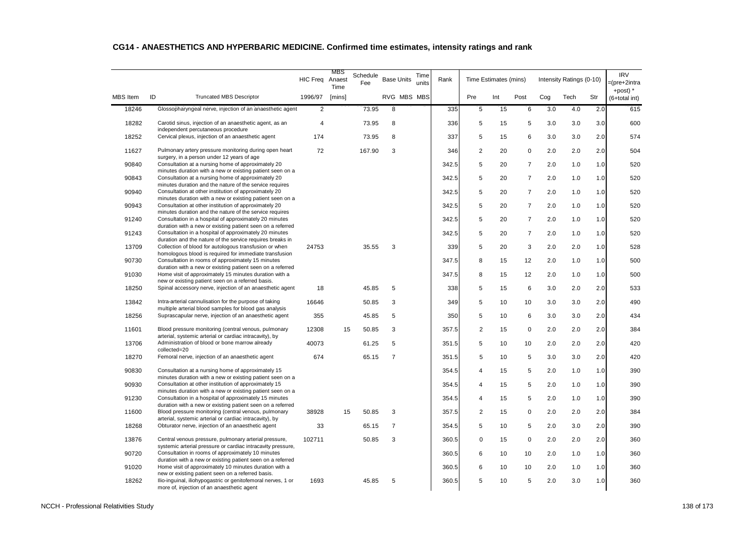|                 |                                                                                                                      | <b>HIC Freq</b> | MBS<br>Anaest<br>Time | Schedule<br>Fee | <b>Base Units</b> | Time<br>units | Rank  |                | Time Estimates (mins) |                |     | Intensity Ratings (0-10) |     | <b>IRV</b><br>=(pre+2intra<br>+post) $*$ |
|-----------------|----------------------------------------------------------------------------------------------------------------------|-----------------|-----------------------|-----------------|-------------------|---------------|-------|----------------|-----------------------|----------------|-----|--------------------------|-----|------------------------------------------|
| <b>MBS</b> Item | ID<br><b>Truncated MBS Descriptor</b>                                                                                | 1996/97         | [mins]                |                 | RVG MBS MBS       |               |       | Pre            | Int                   | Post           | Cog | Tech                     | Str | (6+total int)                            |
| 18246           | Glossopharyngeal nerve, injection of an anaesthetic agent                                                            | 2               |                       | 73.95           | 8                 |               | 335   | 5              | 15                    | 6              | 3.0 | 4.0                      | 2.0 | 615                                      |
| 18282           | Carotid sinus, injection of an anaesthetic agent, as an<br>independent percutaneous procedure                        | $\overline{4}$  |                       | 73.95           | 8                 |               | 336   | 5              | 15                    | 5              | 3.0 | 3.0                      | 3.0 | 600                                      |
| 18252           | Cervical plexus, injection of an anaesthetic agent                                                                   | 174             |                       | 73.95           | 8                 |               | 337   | 5              | 15                    | 6              | 3.0 | 3.0                      | 2.0 | 574                                      |
| 11627           | Pulmonary artery pressure monitoring during open heart                                                               | 72              |                       | 167.90          | 3                 |               | 346   | $\overline{2}$ | 20                    | 0              | 2.0 | 2.0                      | 2.0 | 504                                      |
| 90840           | surgery, in a person under 12 years of age<br>Consultation at a nursing home of approximately 20                     |                 |                       |                 |                   |               | 342.5 | 5              | 20                    | $\overline{7}$ | 2.0 | 1.0                      | 1.0 | 520                                      |
| 90843           | minutes duration with a new or existing patient seen on a<br>Consultation at a nursing home of approximately 20      |                 |                       |                 |                   |               | 342.5 | 5              | 20                    | $\overline{7}$ | 2.0 | 1.0                      | 1.0 | 520                                      |
| 90940           | minutes duration and the nature of the service requires<br>Consultation at other institution of approximately 20     |                 |                       |                 |                   |               | 342.5 | 5              | 20                    | $\overline{7}$ | 2.0 | 1.0                      | 1.0 | 520                                      |
| 90943           | minutes duration with a new or existing patient seen on a<br>Consultation at other institution of approximately 20   |                 |                       |                 |                   |               | 342.5 | 5              | 20                    | $\overline{7}$ | 2.0 | 1.0                      | 1.0 | 520                                      |
| 91240           | minutes duration and the nature of the service requires<br>Consultation in a hospital of approximately 20 minutes    |                 |                       |                 |                   |               | 342.5 | 5              | 20                    | $\overline{7}$ | 2.0 | 1.0                      | 1.0 | 520                                      |
| 91243           | duration with a new or existing patient seen on a referred<br>Consultation in a hospital of approximately 20 minutes |                 |                       |                 |                   |               | 342.5 | 5              | 20                    | 7              | 2.0 | 1.0                      | 1.0 | 520                                      |
| 13709           | duration and the nature of the service requires breaks in<br>Collection of blood for autologous transfusion or when  | 24753           |                       | 35.55           | 3                 |               | 339   | 5              | 20                    | 3              | 2.0 | 2.0                      | 1.0 | 528                                      |
| 90730           | homologous blood is required for immediate transfusion<br>Consultation in rooms of approximately 15 minutes          |                 |                       |                 |                   |               | 347.5 | 8              | 15                    | 12             | 2.0 | 1.0                      | 1.0 | 500                                      |
| 91030           | duration with a new or existing patient seen on a referred<br>Home visit of approximately 15 minutes duration with a |                 |                       |                 |                   |               | 347.5 | 8              | 15                    | 12             | 2.0 | 1.0                      | 1.0 | 500                                      |
| 18250           | new or existing patient seen on a referred basis.<br>Spinal accessory nerve, injection of an anaesthetic agent       | 18              |                       | 45.85           | 5                 |               | 338   | 5              | 15                    | 6              | 3.0 | 2.0                      | 2.0 | 533                                      |
| 13842           | Intra-arterial cannulisation for the purpose of taking                                                               | 16646           |                       | 50.85           | 3                 |               | 349   | 5              | 10                    | 10             | 3.0 | 3.0                      | 2.0 | 490                                      |
| 18256           | multiple arterial blood samples for blood gas analysis<br>Suprascapular nerve, injection of an anaesthetic agent     | 355             |                       | 45.85           | 5                 |               | 350   | 5              | 10                    | 6              | 3.0 | 3.0                      | 2.0 | 434                                      |
| 11601           | Blood pressure monitoring (central venous, pulmonary                                                                 | 12308           | 15                    | 50.85           | 3                 |               | 357.5 | $\overline{2}$ | 15                    | $\mathbf 0$    | 2.0 | 2.0                      | 2.0 | 384                                      |
| 13706           | arterial, systemic arterial or cardiac intracavity), by<br>Administration of blood or bone marrow already            | 40073           |                       | 61.25           | 5                 |               | 351.5 | 5              | 10                    | 10             | 2.0 | 2.0                      | 2.0 | 420                                      |
| 18270           | collected=20<br>Femoral nerve, injection of an anaesthetic agent                                                     | 674             |                       | 65.15           | $\overline{7}$    |               | 351.5 | 5              | 10                    | 5              | 3.0 | 3.0                      | 2.0 | 420                                      |
| 90830           | Consultation at a nursing home of approximately 15                                                                   |                 |                       |                 |                   |               | 354.5 | 4              | 15                    | 5              | 2.0 | 1.0                      | 1.0 | 390                                      |
| 90930           | minutes duration with a new or existing patient seen on a<br>Consultation at other institution of approximately 15   |                 |                       |                 |                   |               | 354.5 | 4              | 15                    | 5              | 2.0 | 1.0                      | 1.0 | 390                                      |
| 91230           | minutes duration with a new or existing patient seen on a<br>Consultation in a hospital of approximately 15 minutes  |                 |                       |                 |                   |               | 354.5 | 4              | 15                    | 5              | 2.0 | 1.0                      | 1.0 | 390                                      |
| 11600           | duration with a new or existing patient seen on a referred<br>Blood pressure monitoring (central venous, pulmonary   | 38928           | 15                    | 50.85           | 3                 |               | 357.5 | $\overline{2}$ | 15                    | 0              | 2.0 | 2.0                      | 2.0 | 384                                      |
| 18268           | arterial, systemic arterial or cardiac intracavity), by<br>Obturator nerve, injection of an anaesthetic agent        | 33              |                       | 65.15           | $\overline{7}$    |               | 354.5 | 5              | 10                    | 5              | 2.0 | 3.0                      | 2.0 | 390                                      |
|                 |                                                                                                                      |                 |                       |                 |                   |               |       |                |                       |                |     |                          |     |                                          |
| 13876           | Central venous pressure, pulmonary arterial pressure,<br>systemic arterial pressure or cardiac intracavity pressure, | 102711          |                       | 50.85           | 3                 |               | 360.5 | 0              | 15                    | 0              | 2.0 | 2.0                      | 2.0 | 360                                      |
| 90720           | Consultation in rooms of approximately 10 minutes<br>duration with a new or existing patient seen on a referred      |                 |                       |                 |                   |               | 360.5 | 6              | 10                    | 10             | 2.0 | 1.0                      | 1.0 | 360                                      |
| 91020           | Home visit of approximately 10 minutes duration with a<br>new or existing patient seen on a referred basis.          |                 |                       |                 |                   |               | 360.5 | 6              | 10                    | 10             | 2.0 | 1.0                      | 1.0 | 360                                      |
| 18262           | Ilio-inguinal, iliohypogastric or genitofemoral nerves, 1 or<br>more of, injection of an anaesthetic agent           | 1693            |                       | 45.85           | 5                 |               | 360.5 | 5              | 10                    | 5              | 2.0 | 3.0                      | 1.0 | 360                                      |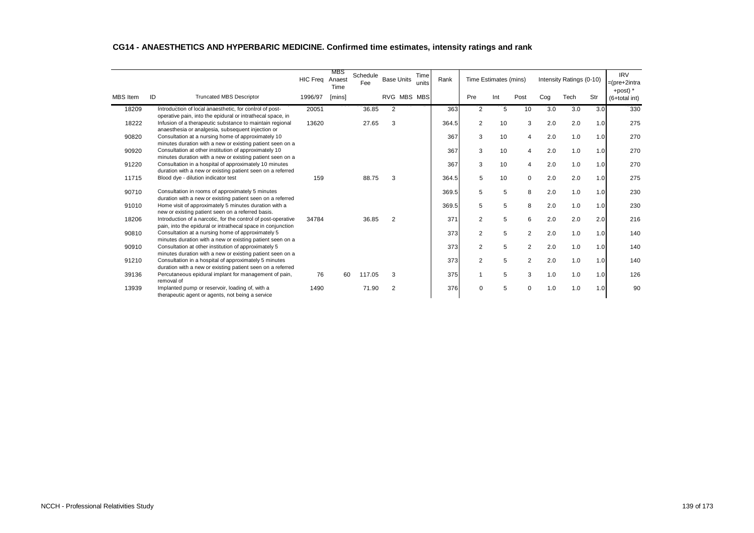|                 |    |                                                                                                                       | <b>HIC Freq</b> | MBS<br>Anaest<br>Time | Schedule<br>Fee | <b>Base Units</b> | Time<br>units  | Rank  |                | Time Estimates (mins) |                |     | Intensity Ratings (0-10) |     | <b>IRV</b><br>$=$ (pre+2intra |
|-----------------|----|-----------------------------------------------------------------------------------------------------------------------|-----------------|-----------------------|-----------------|-------------------|----------------|-------|----------------|-----------------------|----------------|-----|--------------------------|-----|-------------------------------|
| <b>MBS</b> Item | ID | <b>Truncated MBS Descriptor</b>                                                                                       | 1996/97         | [mins]                |                 | RVG               | <b>MBS MBS</b> |       | Pre            | Int                   | Post           | Cog | Tech                     | Str | +post) $*$<br>(6+total int)   |
| 18209           |    | Introduction of local anaesthetic, for control of post-<br>operative pain, into the epidural or intrathecal space, in | 20051           |                       | 36.85           | 2                 |                | 363   | $\overline{2}$ | 5                     | 10             | 3.0 | 3.0                      | 3.0 | 330                           |
| 18222           |    | Infusion of a therapeutic substance to maintain regional<br>anaesthesia or analgesia, subsequent injection or         | 13620           |                       | 27.65           | 3                 |                | 364.5 | $\overline{2}$ | 10                    | 3              | 2.0 | 2.0                      | 1.0 | 275                           |
| 90820           |    | Consultation at a nursing home of approximately 10<br>minutes duration with a new or existing patient seen on a       |                 |                       |                 |                   |                | 367   | 3              | 10                    | $\overline{4}$ | 2.0 | 1.0                      | 1.0 | 270                           |
| 90920           |    | Consultation at other institution of approximately 10<br>minutes duration with a new or existing patient seen on a    |                 |                       |                 |                   |                | 367   | 3              | 10                    | 4              | 2.0 | 1.0                      | 1.0 | 270                           |
| 91220           |    | Consultation in a hospital of approximately 10 minutes                                                                |                 |                       |                 |                   |                | 367   | 3              | 10                    | 4              | 2.0 | 1.0                      | 1.0 | 270                           |
| 11715           |    | duration with a new or existing patient seen on a referred<br>Blood dye - dilution indicator test                     | 159             |                       | 88.75           | 3                 |                | 364.5 | 5              | 10                    | $\mathbf 0$    | 2.0 | 2.0                      | 1.0 | 275                           |
| 90710           |    | Consultation in rooms of approximately 5 minutes                                                                      |                 |                       |                 |                   |                | 369.5 | 5              | 5                     | 8              | 2.0 | 1.0                      | 1.0 | 230                           |
| 91010           |    | duration with a new or existing patient seen on a referred<br>Home visit of approximately 5 minutes duration with a   |                 |                       |                 |                   |                | 369.5 | 5              | 5                     | 8              | 2.0 | 1.0                      | 1.0 | 230                           |
| 18206           |    | new or existing patient seen on a referred basis.<br>Introduction of a narcotic, for the control of post-operative    | 34784           |                       | 36.85           | 2                 |                | 371   | $\overline{c}$ | 5                     | 6              | 2.0 | 2.0                      | 2.0 | 216                           |
| 90810           |    | pain, into the epidural or intrathecal space in conjunction<br>Consultation at a nursing home of approximately 5      |                 |                       |                 |                   |                | 373   | 2              | 5                     | 2              | 2.0 | 1.0                      | 1.0 | 140                           |
| 90910           |    | minutes duration with a new or existing patient seen on a<br>Consultation at other institution of approximately 5     |                 |                       |                 |                   |                | 373   | 2              | 5                     | 2              | 2.0 | 1.0                      | 1.0 | 140                           |
| 91210           |    | minutes duration with a new or existing patient seen on a<br>Consultation in a hospital of approximately 5 minutes    |                 |                       |                 |                   |                | 373   | $\overline{2}$ | 5                     | $\overline{2}$ | 2.0 | 1.0                      | 1.0 | 140                           |
| 39136           |    | duration with a new or existing patient seen on a referred<br>Percutaneous epidural implant for management of pain,   | 76              | 60                    | 117.05          | 3                 |                | 375   | 1              | 5                     | 3              | 1.0 | 1.0                      | 1.0 | 126                           |
| 13939           |    | removal of<br>Implanted pump or reservoir, loading of, with a<br>therapeutic agent or agents, not being a service     | 1490            |                       | 71.90           | 2                 |                | 376   | $\mathbf 0$    | 5                     | $\Omega$       | 1.0 | 1.0                      | 1.0 | 90                            |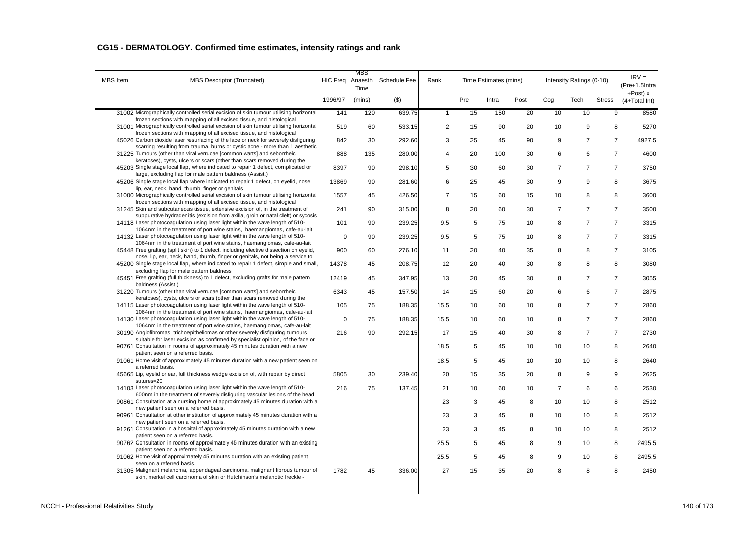| MBS Item | MBS Descriptor (Truncated)                                                                                                                                                                                                            |             | MBS<br>Time | HIC Freq Anaesth Schedule Fee | Rank                    |     | Time Estimates (mins) |      |                | Intensity Ratings (0-10) |                | $IRV =$<br>(Pre+1.5Intra        |
|----------|---------------------------------------------------------------------------------------------------------------------------------------------------------------------------------------------------------------------------------------|-------------|-------------|-------------------------------|-------------------------|-----|-----------------------|------|----------------|--------------------------|----------------|---------------------------------|
|          |                                                                                                                                                                                                                                       | 1996/97     | (mins)      | (3)                           |                         | Pre | Intra                 | Post | Cog            | Tech                     | <b>Stress</b>  | $+$ Post $) x$<br>(4+Total Int) |
|          | 31002 Micrographically controlled serial excision of skin tumour utilising horizontal                                                                                                                                                 | 141         | 120         | 639.75                        | 1                       | 15  | 150                   | 20   | 10             | 10                       | 9              | 8580                            |
|          | frozen sections with mapping of all excised tissue, and histological<br>31001 Micrographically controlled serial excision of skin tumour utilising horizontal<br>frozen sections with mapping of all excised tissue, and histological | 519         | 60          | 533.15                        | $\overline{2}$          | 15  | 90                    | 20   | 10             | 9                        | 8              | 5270                            |
|          | 45026 Carbon dioxide laser resurfacing of the face or neck for severely disfiguring<br>scarring resulting from trauma, burns or cystic acne - more than 1 aesthetic                                                                   | 842         | 30          | 292.60                        | $\overline{\mathbf{3}}$ | 25  | 45                    | 90   | 9              | $\overline{7}$           | $\overline{7}$ | 4927.5                          |
|          | 31225 Tumours (other than viral verrucae [common warts] and seborrheic<br>keratoses), cysts, ulcers or scars (other than scars removed during the                                                                                     | 888         | 135         | 280.00                        | $\overline{4}$          | 20  | 100                   | 30   | 6              | 6                        | $\overline{7}$ | 4600                            |
|          | 45203 Single stage local flap, where indicated to repair 1 defect, complicated or<br>large, excluding flap for male pattern baldness (Assist.)                                                                                        | 8397        | 90          | 298.10                        | 5 <sub>l</sub>          | 30  | 60                    | 30   | $\overline{7}$ | $\overline{7}$           | $\overline{7}$ | 3750                            |
|          | 45206 Single stage local flap where indicated to repair 1 defect, on eyelid, nose,<br>lip, ear, neck, hand, thumb, finger or genitals                                                                                                 | 13869       | 90          | 281.60                        | $6 \mid$                | 25  | 45                    | 30   | 9              | 9                        | 8              | 3675                            |
|          | 31000 Micrographically controlled serial excision of skin tumour utilising horizontal<br>frozen sections with mapping of all excised tissue, and histological                                                                         | 1557        | 45          | 426.50                        | $\overline{7}$          | 15  | 60                    | 15   | 10             | 8                        | 8              | 3600                            |
|          | 31245 Skin and subcutaneous tissue, extensive excision of, in the treatment of<br>suppurative hydradenitis (excision from axilla, groin or natal cleft) or sycosis                                                                    | 241         | 90          | 315.00                        | 8                       | 20  | 60                    | 30   | $\overline{7}$ | $\overline{7}$           | $\overline{7}$ | 3500                            |
|          | 14118 Laser photocoagulation using laser light within the wave length of 510-                                                                                                                                                         | 101         | 90          | 239.25                        | 9.5                     | 5   | 75                    | 10   | 8              | $\overline{7}$           | $\overline{7}$ | 3315                            |
|          | 1064nm in the treatment of port wine stains, haemangiomas, cafe-au-lait<br>14132 Laser photocoagulation using laser light within the wave length of 510-                                                                              | $\mathbf 0$ | 90          | 239.25                        | 9.5                     | 5   | 75                    | 10   | 8              | $\overline{7}$           | $\overline{7}$ | 3315                            |
|          | 1064nm in the treatment of port wine stains, haemangiomas, cafe-au-lait<br>45448 Free grafting (split skin) to 1 defect, including elective dissection on eyelid,                                                                     | 900         | 60          | 276.10                        | 11                      | 20  | 40                    | 35   | 8              | 8                        | $\overline{7}$ | 3105                            |
|          | nose, lip, ear, neck, hand, thumb, finger or genitals, not being a service to<br>45200 Single stage local flap, where indicated to repair 1 defect, simple and small,                                                                 | 14378       | 45          | 208.75                        | 12                      | 20  | 40                    | 30   | 8              | 8                        | 8              | 3080                            |
|          | excluding flap for male pattern baldness<br>45451 Free grafting (full thickness) to 1 defect, excluding grafts for male pattern                                                                                                       | 12419       | 45          | 347.95                        | 13                      | 20  | 45                    | 30   | 8              | $\overline{7}$           | $\overline{7}$ | 3055                            |
|          | baldness (Assist.)<br>31220 Tumours (other than viral verrucae [common warts] and seborrheic                                                                                                                                          | 6343        | 45          | 157.50                        | 14                      | 15  | 60                    | 20   | 6              | 6                        | $\overline{7}$ | 2875                            |
|          | keratoses), cysts, ulcers or scars (other than scars removed during the<br>14115 Laser photocoagulation using laser light within the wave length of 510-                                                                              | 105         | 75          | 188.35                        | 15.5                    | 10  | 60                    | 10   | 8              | $\overline{7}$           | $\overline{7}$ | 2860                            |
|          | 1064nm in the treatment of port wine stains, haemangiomas, cafe-au-lait<br>14130 Laser photocoagulation using laser light within the wave length of 510-                                                                              | $\mathbf 0$ | 75          | 188.35                        | 15.5                    | 10  | 60                    | 10   | 8              | $\overline{7}$           | $\overline{7}$ | 2860                            |
|          | 1064nm in the treatment of port wine stains, haemangiomas, cafe-au-lait<br>30190 Angiofibromas, trichoepitheliomas or other severely disfiguring tumours                                                                              | 216         | 90          | 292.15                        | 17                      | 15  | 40                    | 30   | 8              | $\overline{7}$           | $\overline{7}$ | 2730                            |
|          | suitable for laser excision as confirmed by specialist opinion, of the face or<br>90761 Consultation in rooms of approximately 45 minutes duration with a new                                                                         |             |             |                               | 18.5                    | 5   | 45                    | 10   | 10             | 10                       | 8              | 2640                            |
|          | patient seen on a referred basis.<br>91061 Home visit of approximately 45 minutes duration with a new patient seen on                                                                                                                 |             |             |                               | 18.5                    | 5   | 45                    | 10   | 10             | 10                       | 8              | 2640                            |
|          | a referred basis.<br>45665 Lip, eyelid or ear, full thickness wedge excision of, with repair by direct                                                                                                                                | 5805        | 30          | 239.40                        | 20                      | 15  | 35                    | 20   | 8              | 9                        | 9              | 2625                            |
|          | sutures=20<br>14103 Laser photocoagulation using laser light within the wave length of 510-                                                                                                                                           | 216         | 75          | 137.45                        | 21                      | 10  | 60                    | 10   | $\overline{7}$ | 6                        | 6              | 2530                            |
|          | 600nm in the treatment of severely disfiguring vascular lesions of the head<br>90861 Consultation at a nursing home of approximately 45 minutes duration with a                                                                       |             |             |                               | 23                      | 3   | 45                    | 8    | 10             | 10                       | 8              | 2512                            |
|          | new patient seen on a referred basis.<br>90961 Consultation at other institution of approximately 45 minutes duration with a                                                                                                          |             |             |                               | 23                      | 3   | 45                    | 8    | 10             | 10                       | 8              | 2512                            |
|          | new patient seen on a referred basis.<br>91261 Consultation in a hospital of approximately 45 minutes duration with a new                                                                                                             |             |             |                               | 23                      | 3   | 45                    | 8    | 10             | 10                       | 8              | 2512                            |
|          | patient seen on a referred basis.<br>90762 Consultation in rooms of approximately 45 minutes duration with an existing                                                                                                                |             |             |                               | 25.5                    | 5   | 45                    | 8    | 9              | 10                       | 8              | 2495.5                          |
|          | patient seen on a referred basis.<br>91062 Home visit of approximately 45 minutes duration with an existing patient                                                                                                                   |             |             |                               | 25.5                    | 5   | 45                    | 8    | 9              | 10                       | 8              | 2495.5                          |
|          | seen on a referred basis.<br>31305 Malignant melanoma, appendageal carcinoma, malignant fibrous tumour of                                                                                                                             | 1782        | 45          | 336.00                        | 27                      | 15  | 35                    | 20   | 8              | 8                        | 8              | 2450                            |
|          | skin, merkel cell carcinoma of skin or Hutchinson's melanotic freckle -                                                                                                                                                               |             |             |                               |                         |     |                       |      |                |                          |                |                                 |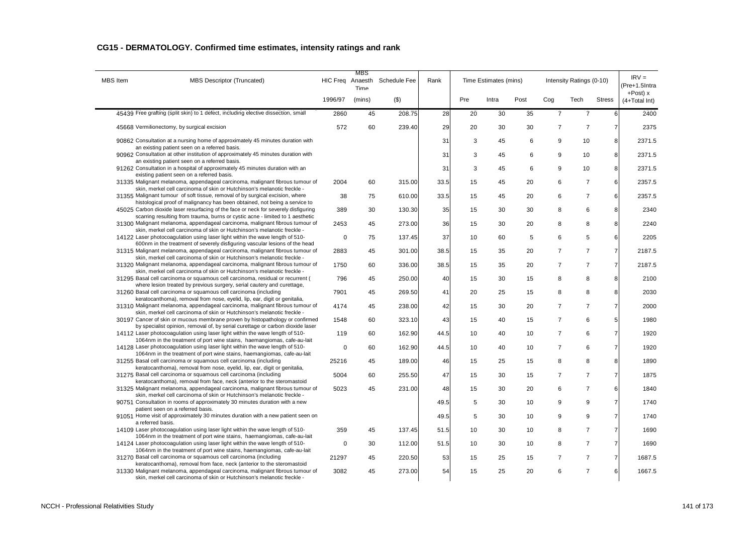| <b>MBS</b> Item   | <b>MBS Descriptor (Truncated)</b>                                                                                                                                 | HIC Freq Anaesth | MBS<br><b>Time</b> | <b>Schedule Fee</b> | Rank |     | Time Estimates (mins) |      |                | Intensity Ratings (0-10) |                | $IRV =$<br>(Pre+1.5Intra        |
|-------------------|-------------------------------------------------------------------------------------------------------------------------------------------------------------------|------------------|--------------------|---------------------|------|-----|-----------------------|------|----------------|--------------------------|----------------|---------------------------------|
|                   |                                                                                                                                                                   | 1996/97          | (mins)             | $($ \$)             |      | Pre | Intra                 | Post | Cog            | Tech                     | <b>Stress</b>  | $+$ Post $) x$<br>(4+Total Int) |
|                   | 45439 Free grafting (split skin) to 1 defect, including elective dissection, small                                                                                | 2860             | 45                 | 208.75              | 28   | 20  | 30                    | 35   | $\overline{7}$ | $\overline{7}$           | 6              | 2400                            |
|                   | 45668 Vermilionectomy, by surgical excision                                                                                                                       | 572              | 60                 | 239.40              | 29   | 20  | 30                    | 30   | $\overline{7}$ | $\overline{7}$           | $\overline{7}$ | 2375                            |
|                   | 90862 Consultation at a nursing home of approximately 45 minutes duration with<br>an existing patient seen on a referred basis.                                   |                  |                    |                     | 31   | 3   | 45                    | 6    | 9              | 10                       | 8              | 2371.5                          |
|                   | 90962 Consultation at other institution of approximately 45 minutes duration with                                                                                 |                  |                    |                     | 31   | 3   | 45                    | 6    | 9              | 10                       | 8              | 2371.5                          |
|                   | an existing patient seen on a referred basis.<br>91262 Consultation in a hospital of approximately 45 minutes duration with an                                    |                  |                    |                     | 31   | 3   | 45                    | 6    | 9              | 10                       | 8              | 2371.5                          |
|                   | existing patient seen on a referred basis.<br>31335 Malignant melanoma, appendageal carcinoma, malignant fibrous tumour of                                        | 2004             | 60                 | 315.00              | 33.5 | 15  | 45                    | 20   | 6              | $\overline{7}$           | 6              | 2357.5                          |
|                   | skin, merkel cell carcinoma of skin or Hutchinson's melanotic freckle -<br>31355 Malignant tumour of soft tissue, removal of by surgical excision, where          | 38               | 75                 | 610.00              | 33.5 | 15  | 45                    | 20   | 6              | $\overline{7}$           | 6              | 2357.5                          |
|                   | histological proof of malignancy has been obtained, not being a service to<br>45025 Carbon dioxide laser resurfacing of the face or neck for severely disfiguring | 389              | 30                 | 130.30              | 35   | 15  | 30                    | 30   | 8              | 6                        | 8              | 2340                            |
|                   | scarring resulting from trauma, burns or cystic acne - limited to 1 aesthetic<br>31300 Malignant melanoma, appendageal carcinoma, malignant fibrous tumour of     | 2453             | 45                 | 273.00              | 36   | 15  | 30                    | 20   | 8              | 8                        | 8              | 2240                            |
|                   | skin, merkel cell carcinoma of skin or Hutchinson's melanotic freckle -<br>14122 Laser photocoagulation using laser light within the wave length of 510-          | 0                | 75                 | 137.45              | 37   | 10  | 60                    | 5    | 6              | 5                        | 6              | 2205                            |
|                   | 600nm in the treatment of severely disfiguring vascular lesions of the head<br>31315 Malignant melanoma, appendageal carcinoma, malignant fibrous tumour of       | 2883             | 45                 | 301.00              | 38.5 | 15  | 35                    | 20   | $\overline{7}$ | $\overline{7}$           | $\overline{7}$ | 2187.5                          |
|                   | skin, merkel cell carcinoma of skin or Hutchinson's melanotic freckle -<br>31320 Malignant melanoma, appendageal carcinoma, malignant fibrous tumour of           | 1750             | 60                 | 336.00              | 38.5 | 15  | 35                    | 20   | $\overline{7}$ | $\overline{7}$           | $\overline{7}$ | 2187.5                          |
|                   | skin, merkel cell carcinoma of skin or Hutchinson's melanotic freckle -<br>31295 Basal cell carcinoma or squamous cell carcinoma, residual or recurrent (         | 796              | 45                 | 250.00              | 40   | 15  | 30                    | 15   | 8              | 8                        | 8              | 2100                            |
|                   | where lesion treated by previous surgery, serial cautery and curettage,<br>31260 Basal cell carcinoma or squamous cell carcinoma (including                       | 7901             | 45                 | 269.50              | 41   | 20  | 25                    | 15   | 8              | 8                        | 8              | 2030                            |
|                   | keratocanthoma), removal from nose, eyelid, lip, ear, digit or genitalia,<br>31310 Malignant melanoma, appendageal carcinoma, malignant fibrous tumour of         | 4174             | 45                 | 238.00              | 42   | 15  | 30                    | 20   | $\overline{7}$ | $\overline{7}$           | $\overline{7}$ | 2000                            |
|                   | skin, merkel cell carcinoma of skin or Hutchinson's melanotic freckle -<br>30197 Cancer of skin or mucous membrane proven by histopathology or confirmed          | 1548             | 60                 | 323.10              | 43   | 15  | 40                    | 15   | $\overline{7}$ | 6                        | 5              | 1980                            |
|                   | by specialist opinion, removal of, by serial curettage or carbon dioxide laser<br>14112 Laser photocoagulation using laser light within the wave length of 510-   | 119              | 60                 | 162.90              | 44.5 | 10  | 40                    | 10   | $\overline{7}$ | 6                        | $\overline{7}$ | 1920                            |
|                   | 1064nm in the treatment of port wine stains, haemangiomas, cafe-au-lait<br>14128 Laser photocoagulation using laser light within the wave length of 510-          | $\mathbf 0$      |                    |                     |      |     |                       |      | $\overline{7}$ | 6                        | $\overline{7}$ |                                 |
|                   | 1064nm in the treatment of port wine stains, haemangiomas, cafe-au-lait                                                                                           |                  | 60                 | 162.90              | 44.5 | 10  | 40                    | 10   |                |                          |                | 1920                            |
|                   | 31255 Basal cell carcinoma or squamous cell carcinoma (including<br>keratocanthoma), removal from nose, eyelid, lip, ear, digit or genitalia,                     | 25216            | 45                 | 189.00              | 46   | 15  | 25                    | 15   | 8              | 8                        | 8              | 1890                            |
|                   | 31275 Basal cell carcinoma or squamous cell carcinoma (including<br>keratocanthoma), removal from face, neck (anterior to the steromastoid                        | 5004             | 60                 | 255.50              | 47   | 15  | 30                    | 15   | $\overline{7}$ | $\overline{7}$           | $\overline{7}$ | 1875                            |
|                   | 31325 Malignant melanoma, appendageal carcinoma, malignant fibrous tumour of<br>skin, merkel cell carcinoma of skin or Hutchinson's melanotic freckle -           | 5023             | 45                 | 231.00              | 48   | 15  | 30                    | 20   | 6              | $\overline{7}$           | 6              | 1840                            |
|                   | 90751 Consultation in rooms of approximately 30 minutes duration with a new<br>patient seen on a referred basis.                                                  |                  |                    |                     | 49.5 | 5   | 30                    | 10   | 9              | 9                        | $\overline{7}$ | 1740                            |
| a referred basis. | 91051 Home visit of approximately 30 minutes duration with a new patient seen on                                                                                  |                  |                    |                     | 49.5 | 5   | 30                    | 10   | 9              | 9                        | $\overline{7}$ | 1740                            |
|                   | 14109 Laser photocoagulation using laser light within the wave length of 510-<br>1064nm in the treatment of port wine stains, haemangiomas, cafe-au-lait          | 359              | 45                 | 137.45              | 51.5 | 10  | 30                    | 10   | 8              | $\overline{7}$           | $\overline{7}$ | 1690                            |
|                   | 14124 Laser photocoagulation using laser light within the wave length of 510-<br>1064nm in the treatment of port wine stains, haemangiomas, cafe-au-lait          | $\mathbf 0$      | 30                 | 112.00              | 51.5 | 10  | 30                    | 10   | 8              | $\overline{7}$           | $\overline{7}$ | 1690                            |
|                   | 31270 Basal cell carcinoma or squamous cell carcinoma (including<br>keratocanthoma), removal from face, neck (anterior to the steromastoid                        | 21297            | 45                 | 220.50              | 53   | 15  | 25                    | 15   | $\overline{7}$ | $\overline{7}$           | $\overline{7}$ | 1687.5                          |
|                   | 31330 Malignant melanoma, appendageal carcinoma, malignant fibrous tumour of<br>skin, merkel cell carcinoma of skin or Hutchinson's melanotic freckle -           | 3082             | 45                 | 273.00              | 54   | 15  | 25                    | 20   | 6              | $\overline{7}$           | 6              | 1667.5                          |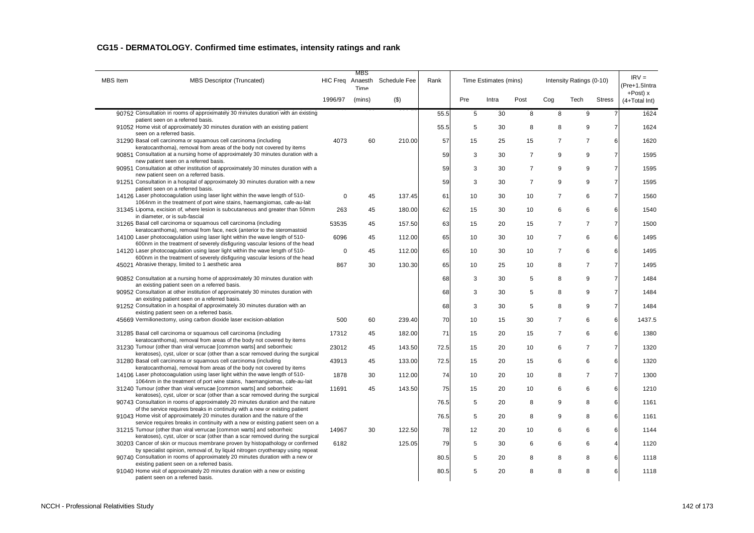| <b>MBS</b> Item | <b>MBS Descriptor (Truncated)</b>                                                                                                                                 | HIC Freq Anaesth | MBS<br>Time | Schedule Fee | Rank |     | Time Estimates (mins) |                |                | Intensity Ratings (0-10) |                 | $IRV =$<br>(Pre+1.5Intra        |
|-----------------|-------------------------------------------------------------------------------------------------------------------------------------------------------------------|------------------|-------------|--------------|------|-----|-----------------------|----------------|----------------|--------------------------|-----------------|---------------------------------|
|                 |                                                                                                                                                                   | 1996/97          | (mins)      | $(\$)$       |      | Pre | Intra                 | Post           | Cog            | Tech                     | <b>Stress</b>   | $+$ Post $) x$<br>(4+Total Int) |
|                 | 90752 Consultation in rooms of approximately 30 minutes duration with an existing                                                                                 |                  |             |              | 55.5 | 5   | 30                    | 8              | 8              | 9                        | $\overline{7}$  | 1624                            |
|                 | patient seen on a referred basis.<br>91052 Home visit of approximately 30 minutes duration with an existing patient<br>seen on a referred basis.                  |                  |             |              | 55.5 | 5   | 30                    | 8              | 8              | 9                        | $\overline{7}$  | 1624                            |
|                 | 31290 Basal cell carcinoma or squamous cell carcinoma (including<br>keratocanthoma), removal from areas of the body not covered by items                          | 4073             | 60          | 210.00       | 57   | 15  | 25                    | 15             | $\overline{7}$ | $\overline{7}$           | 6               | 1620                            |
|                 | 90851 Consultation at a nursing home of approximately 30 minutes duration with a                                                                                  |                  |             |              | 59   | 3   | 30                    | $\overline{7}$ | 9              | 9                        | $\overline{7}$  | 1595                            |
|                 | new patient seen on a referred basis.<br>90951 Consultation at other institution of approximately 30 minutes duration with a                                      |                  |             |              | 59   | 3   | 30                    | $\overline{7}$ | 9              | 9                        | $\overline{7}$  | 1595                            |
|                 | new patient seen on a referred basis.<br>91251 Consultation in a hospital of approximately 30 minutes duration with a new<br>patient seen on a referred basis.    |                  |             |              | 59   | 3   | 30                    | $\overline{7}$ | 9              | 9                        | $\overline{7}$  | 1595                            |
|                 | 14126 Laser photocoagulation using laser light within the wave length of 510-<br>1064nm in the treatment of port wine stains, haemangiomas, cafe-au-lait          | $\mathbf 0$      | 45          | 137.45       | 61   | 10  | 30                    | 10             | $\overline{7}$ | 6                        | $\overline{7}$  | 1560                            |
|                 | 31345 Lipoma, excision of, where lesion is subcutaneous and greater than 50mm                                                                                     | 263              | 45          | 180.00       | 62   | 15  | 30                    | 10             | 6              | 6                        | 6               | 1540                            |
|                 | in diameter, or is sub-fascial<br>31265 Basal cell carcinoma or squamous cell carcinoma (including                                                                | 53535            | 45          | 157.50       | 63   | 15  | 20                    | 15             | $\overline{7}$ | $\overline{7}$           | $\overline{7}$  | 1500                            |
|                 | keratocanthoma), removal from face, neck (anterior to the steromastoid<br>14100 Laser photocoagulation using laser light within the wave length of 510-           | 6096             | 45          | 112.00       | 65   | 10  | 30                    | 10             | $\overline{7}$ | 6                        | 6               | 1495                            |
|                 | 600nm in the treatment of severely disfiguring vascular lesions of the head<br>14120 Laser photocoagulation using laser light within the wave length of 510-      | $\mathbf 0$      | 45          | 112.00       | 65   | 10  | 30                    | 10             | $\overline{7}$ | 6                        | 6               | 1495                            |
|                 | 600nm in the treatment of severely disfiguring vascular lesions of the head<br>45021 Abrasive therapy, limited to 1 aesthetic area                                | 867              | 30          | 130.30       | 65   | 10  | 25                    | 10             | 8              | $\overline{7}$           | $\overline{7}$  | 1495                            |
|                 | 90852 Consultation at a nursing home of approximately 30 minutes duration with                                                                                    |                  |             |              | 68   | 3   | 30                    | 5              | 8              | 9                        | $\overline{7}$  | 1484                            |
|                 | an existing patient seen on a referred basis.<br>90952 Consultation at other institution of approximately 30 minutes duration with                                |                  |             |              | 68   | 3   | 30                    | 5              | 8              | 9                        | $\overline{7}$  | 1484                            |
|                 | an existing patient seen on a referred basis.<br>91252 Consultation in a hospital of approximately 30 minutes duration with an                                    |                  |             |              | 68   | 3   | 30                    | 5              | 8              | 9                        | $\overline{7}$  | 1484                            |
|                 | existing patient seen on a referred basis.<br>45669 Vermilionectomy, using carbon dioxide laser excision-ablation                                                 | 500              | 60          | 239.40       | 70   | 10  | 15                    | 30             | $\overline{7}$ | 6                        | 6               | 1437.5                          |
|                 | 31285 Basal cell carcinoma or squamous cell carcinoma (including                                                                                                  | 17312            | 45          | 182.00       | 71   | 15  | 20                    | 15             | $\overline{7}$ | 6                        | 6               | 1380                            |
|                 | keratocanthoma), removal from areas of the body not covered by items<br>31230 Tumour (other than viral verrucae [common warts] and seborrheic                     | 23012            | 45          | 143.50       | 72.5 | 15  | 20                    | 10             | 6              | $\overline{7}$           | $\overline{7}$  | 1320                            |
|                 | keratoses), cyst, ulcer or scar (other than a scar removed during the surgical<br>31280 Basal cell carcinoma or squamous cell carcinoma (including                | 43913            | 45          | 133.00       | 72.5 | 15  | 20                    | 15             | 6              | 6                        | 6               | 1320                            |
|                 | keratocanthoma), removal from areas of the body not covered by items<br>14106 Laser photocoagulation using laser light within the wave length of 510-             | 1878             | 30          | 112.00       | 74   | 10  | 20                    | 10             | 8              | $\overline{7}$           | $\overline{7}$  | 1300                            |
|                 | 1064nm in the treatment of port wine stains, haemangiomas, cafe-au-lait<br>31240 Tumour (other than viral verrucae [common warts] and seborrheic                  | 11691            | 45          | 143.50       | 75   | 15  | 20                    | 10             | 6              | 6                        | $6\phantom{1}6$ | 1210                            |
|                 | keratoses), cyst, ulcer or scar (other than a scar removed during the surgical<br>90743 Consultation in rooms of approximately 20 minutes duration and the nature |                  |             |              | 76.5 | 5   | 20                    | 8              | 9              | 8                        | 6               | 1161                            |
|                 | of the service requires breaks in continuity with a new or existing patient<br>91043 Home visit of approximately 20 minutes duration and the nature of the        |                  |             |              | 76.5 | 5   | 20                    | 8              | 9              | 8                        | 6               | 1161                            |
|                 | service requires breaks in continuity with a new or existing patient seen on a<br>31215 Tumour (other than viral verrucae [common warts] and seborrheic           | 14967            | 30          | 122.50       | 78   | 12  | 20                    | 10             | 6              | 6                        | 6               | 1144                            |
|                 | keratoses), cyst, ulcer or scar (other than a scar removed during the surgical<br>30203 Cancer of skin or mucous membrane proven by histopathology or confirmed   | 6182             |             | 125.05       | 79   | 5   | 30                    | 6              | 6              | 6                        | $\overline{4}$  | 1120                            |
|                 | by specialist opinion, removal of, by liquid nitrogen cryotherapy using repeat<br>90740 Consultation in rooms of approximately 20 minutes duration with a new or  |                  |             |              | 80.5 | 5   | 20                    | 8              | 8              | 8                        | 6               | 1118                            |
|                 | existing patient seen on a referred basis.<br>91040 Home visit of approximately 20 minutes duration with a new or existing<br>patient seen on a referred basis.   |                  |             |              | 80.5 | 5   | 20                    | 8              | 8              | 8                        | 6               | 1118                            |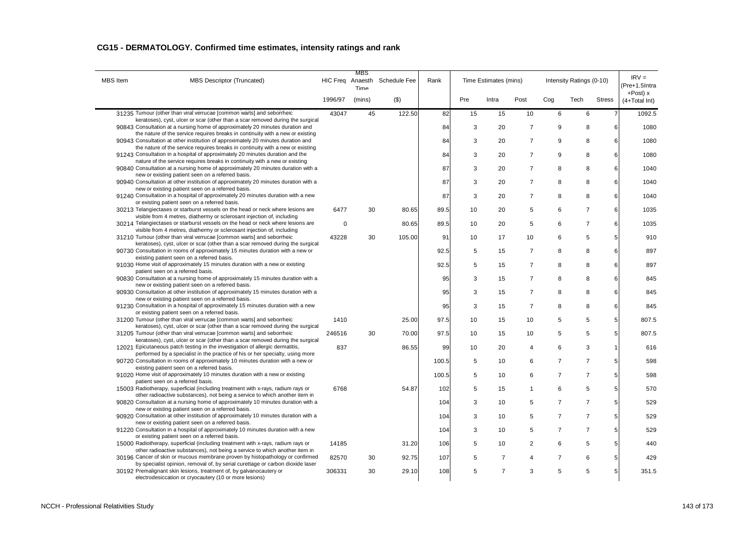| <b>MBS</b> Item                                                       | MBS Descriptor (Truncated)                                                                                                                                                                                                                        | MBS<br>HIC Freq Anaesth<br>Time |        | Schedule Fee | Rank  | Time Estimates (mins) |                |                | Intensity Ratings (0-10) |                |               | $IRV =$<br>(Pre+1.5Intra     |
|-----------------------------------------------------------------------|---------------------------------------------------------------------------------------------------------------------------------------------------------------------------------------------------------------------------------------------------|---------------------------------|--------|--------------|-------|-----------------------|----------------|----------------|--------------------------|----------------|---------------|------------------------------|
|                                                                       |                                                                                                                                                                                                                                                   | 1996/97                         | (mins) | $($ \$)      |       | Pre                   | Intra          | Post           | Cog                      | Tech           | <b>Stress</b> | $+Post$ ) x<br>(4+Total Int) |
| 31235 Tumour (other than viral verrucae [common warts] and seborrheic |                                                                                                                                                                                                                                                   | 43047                           | 45     | 122.50       | 82    | 15                    | 15             | 10             | 6                        | 6              |               | 1092.5                       |
|                                                                       | keratoses), cyst, ulcer or scar (other than a scar removed during the surgical<br>90843 Consultation at a nursing home of approximately 20 minutes duration and<br>the nature of the service requires breaks in continuity with a new or existing |                                 |        |              | 84    | 3                     | 20             | $\overline{7}$ | 9                        | 8              | 6             | 1080                         |
|                                                                       | 90943 Consultation at other institution of approximately 20 minutes duration and<br>the nature of the service requires breaks in continuity with a new or existing                                                                                |                                 |        |              | 84    | 3                     | 20             | $\overline{7}$ | 9                        | 8              | 6             | 1080                         |
|                                                                       | 91243 Consultation in a hospital of approximately 20 minutes duration and the                                                                                                                                                                     |                                 |        |              | 84    | 3                     | 20             | $\overline{7}$ | 9                        | 8              | 6             | 1080                         |
|                                                                       | nature of the service requires breaks in continuity with a new or existing<br>90840 Consultation at a nursing home of approximately 20 minutes duration with a<br>new or existing patient seen on a referred basis.                               |                                 |        |              | 87    | 3                     | 20             | $\overline{7}$ | 8                        | 8              | 6             | 1040                         |
|                                                                       | 90940 Consultation at other institution of approximately 20 minutes duration with a                                                                                                                                                               |                                 |        |              | 87    | 3                     | 20             | $\overline{7}$ | 8                        | 8              | 6             | 1040                         |
|                                                                       | new or existing patient seen on a referred basis.<br>91240 Consultation in a hospital of approximately 20 minutes duration with a new                                                                                                             |                                 |        |              | 87    | 3                     | 20             | $\overline{7}$ | 8                        | 8              | 6             | 1040                         |
|                                                                       | or existing patient seen on a referred basis.<br>30213 Telangiectases or starburst vessels on the head or neck where lesions are                                                                                                                  | 6477                            | 30     | 80.65        | 89.5  | 10                    | 20             | 5              | 6                        | $\overline{7}$ | 6             | 1035                         |
|                                                                       | visible from 4 metres, diathermy or sclerosant injection of, including<br>30214 Telangiectases or starburst vessels on the head or neck where lesions are                                                                                         | $\mathbf 0$                     |        | 80.65        | 89.5  | 10                    | 20             | 5              | 6                        | $\overline{7}$ | 6             | 1035                         |
|                                                                       | visible from 4 metres, diathermy or sclerosant injection of, including<br>31210 Tumour (other than viral verrucae [common warts] and seborrheic                                                                                                   | 43228                           | 30     | 105.00       | 91    | 10                    | 17             | 10             | 6                        | 5              | 5             | 910                          |
|                                                                       | keratoses), cyst, ulcer or scar (other than a scar removed during the surgical<br>90730 Consultation in rooms of approximately 15 minutes duration with a new or                                                                                  |                                 |        |              | 92.5  | 5                     | 15             | $\overline{7}$ | 8                        | 8              | 6             | 897                          |
|                                                                       | existing patient seen on a referred basis.<br>91030 Home visit of approximately 15 minutes duration with a new or existing                                                                                                                        |                                 |        |              | 92.5  | 5                     | 15             | $\overline{7}$ | 8                        | 8              | 6             | 897                          |
|                                                                       | patient seen on a referred basis.<br>90830 Consultation at a nursing home of approximately 15 minutes duration with a                                                                                                                             |                                 |        |              | 95    | 3                     | 15             | $\overline{7}$ | 8                        | 8              | 6             | 845                          |
|                                                                       | new or existing patient seen on a referred basis.<br>90930 Consultation at other institution of approximately 15 minutes duration with a                                                                                                          |                                 |        |              | 95    | 3                     | 15             | $\overline{7}$ | 8                        | 8              | 6             | 845                          |
|                                                                       | new or existing patient seen on a referred basis.<br>91230 Consultation in a hospital of approximately 15 minutes duration with a new                                                                                                             |                                 |        |              | 95    | 3                     | 15             | $\overline{7}$ | 8                        | 8              | 6             | 845                          |
|                                                                       | or existing patient seen on a referred basis.<br>31200 Tumour (other than viral verrucae [common warts] and seborrheic                                                                                                                            | 1410                            |        | 25.00        | 97.5  | 10                    | 15             | 10             | 5                        | 5              | 5             | 807.5                        |
|                                                                       | keratoses), cyst, ulcer or scar (other than a scar removed during the surgical<br>31205 Tumour (other than viral verrucae [common warts] and seborrheic                                                                                           | 246516                          | 30     | 70.00        | 97.5  | 10                    | 15             | 10             | 5                        | 5              | 5             | 807.5                        |
|                                                                       | keratoses), cyst, ulcer or scar (other than a scar removed during the surgical<br>12021 Epicutaneous patch testing in the investigation of allergic dermatitis,                                                                                   | 837                             |        | 86.55        | 99    | 10                    | 20             | $\overline{4}$ | 6                        | 3              | $\mathbf{1}$  | 616                          |
|                                                                       | performed by a specialist in the practice of his or her specialty, using more<br>90720 Consultation in rooms of approximately 10 minutes duration with a new or                                                                                   |                                 |        |              | 100.5 | 5                     | 10             | 6              | $\overline{7}$           | $\overline{7}$ | 5             | 598                          |
|                                                                       | existing patient seen on a referred basis.<br>91020 Home visit of approximately 10 minutes duration with a new or existing                                                                                                                        |                                 |        |              | 100.5 | 5                     | 10             | 6              | $\overline{7}$           | $\overline{7}$ | 5             | 598                          |
|                                                                       | patient seen on a referred basis.                                                                                                                                                                                                                 |                                 |        |              |       |                       |                |                |                          |                |               |                              |
|                                                                       | 15003 Radiotherapy, superficial (including treatment with x-rays, radium rays or<br>other radioactive substances), not being a service to which another item in                                                                                   | 6768                            |        | 54.87        | 102   | 5                     | 15             | 1              | 6                        | 5              | 5             | 570                          |
|                                                                       | 90820 Consultation at a nursing home of approximately 10 minutes duration with a<br>new or existing patient seen on a referred basis.                                                                                                             |                                 |        |              | 104   | 3                     | 10             | 5              | $\overline{7}$           | $\overline{7}$ | 5             | 529                          |
|                                                                       | 90920 Consultation at other institution of approximately 10 minutes duration with a<br>new or existing patient seen on a referred basis.                                                                                                          |                                 |        |              | 104   | 3                     | 10             | 5              | $\overline{7}$           | $\overline{7}$ | 5             | 529                          |
|                                                                       | 91220 Consultation in a hospital of approximately 10 minutes duration with a new<br>or existing patient seen on a referred basis.                                                                                                                 |                                 |        |              | 104   | 3                     | 10             | 5              | $\overline{7}$           | $\overline{7}$ | 5             | 529                          |
|                                                                       | 15000 Radiotherapy, superficial (including treatment with x-rays, radium rays or<br>other radioactive substances), not being a service to which another item in                                                                                   | 14185                           |        | 31.20        | 106   | 5                     | 10             | $\overline{2}$ | 6                        | 5              | 5             | 440                          |
|                                                                       | 30196 Cancer of skin or mucous membrane proven by histopathology or confirmed<br>by specialist opinion, removal of, by serial curettage or carbon dioxide laser                                                                                   | 82570                           | 30     | 92.75        | 107   | 5                     | $\overline{7}$ | 4              | 7                        | 6              | 5             | 429                          |
|                                                                       | 30192 Premalignant skin lesions, treatment of, by galvanocautery or<br>electrodesiccation or cryocautery (10 or more lesions)                                                                                                                     | 306331                          | 30     | 29.10        | 108   | 5                     | $\overline{7}$ | 3              | 5                        | 5              | 5             | 351.5                        |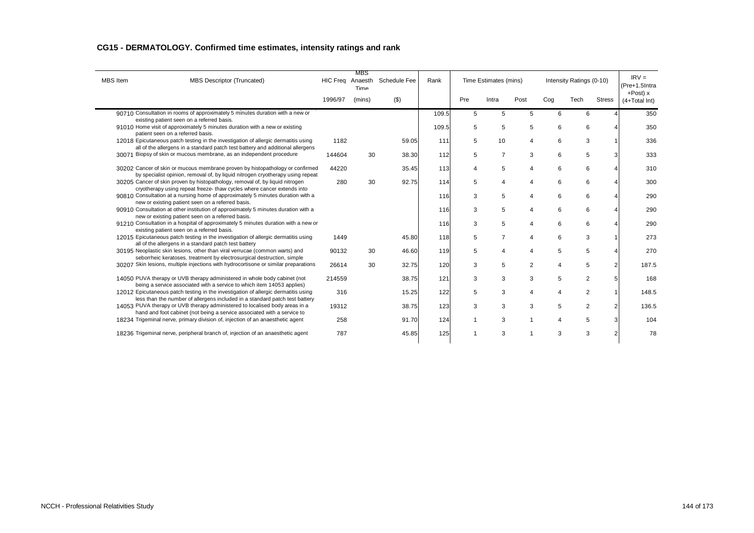|                 |                                                                                                                                                                      |                  | MBS    |              |       |     |                       |                |     |                          |               |                                 |
|-----------------|----------------------------------------------------------------------------------------------------------------------------------------------------------------------|------------------|--------|--------------|-------|-----|-----------------------|----------------|-----|--------------------------|---------------|---------------------------------|
| <b>MBS</b> Item | <b>MBS Descriptor (Truncated)</b>                                                                                                                                    | HIC Freq Anaesth | Time   | Schedule Fee | Rank  |     | Time Estimates (mins) |                |     | Intensity Ratings (0-10) |               | $IRV =$<br>(Pre+1.5Intra        |
|                 |                                                                                                                                                                      | 1996/97          | (mins) | $($ \$)      |       | Pre | Intra                 | Post           | Cog | Tech                     | <b>Stress</b> | $+$ Post $) x$<br>(4+Total Int) |
|                 | 90710 Consultation in rooms of approximately 5 minutes duration with a new or<br>existing patient seen on a referred basis.                                          |                  |        |              | 109.5 | 5   | 5                     | 5              | 6   | 6                        |               | 350                             |
|                 | 91010 Home visit of approximately 5 minutes duration with a new or existing<br>patient seen on a referred basis.                                                     |                  |        |              | 109.5 | 5   | 5                     | 5              | 6   | 6                        |               | 350                             |
|                 | 12018 Epicutaneous patch testing in the investigation of allergic dermatitis using<br>all of the allergens in a standard patch test battery and additional allergens | 1182             |        | 59.05        | 111   | 5   | 10                    | 4              | 6   | 3                        |               | 336                             |
|                 | 30071 Biopsy of skin or mucous membrane, as an independent procedure                                                                                                 | 144604           | 30     | 38.30        | 112   | 5   | $\overline{7}$        | 3              | 6   | 5                        | 3             | 333                             |
|                 | 30202 Cancer of skin or mucous membrane proven by histopathology or confirmed                                                                                        | 44220            |        | 35.45        | 113   | 4   | 5                     | 4              | 6   | 6                        |               | 310                             |
|                 | by specialist opinion, removal of, by liquid nitrogen cryotherapy using repeat<br>30205 Cancer of skin proven by histopathology, removal of, by liquid nitrogen      | 280              | 30     | 92.75        | 114   | 5   | 4                     | 4              | 6   | 6                        |               | 300                             |
|                 | cryotherapy using repeat freeze- thaw cycles where cancer extends into<br>90810 Consultation at a nursing home of approximately 5 minutes duration with a            |                  |        |              | 116   | 3   | 5                     | 4              | 6   | 6                        |               | 290                             |
|                 | new or existing patient seen on a referred basis.<br>90910 Consultation at other institution of approximately 5 minutes duration with a                              |                  |        |              | 116   | 3   | 5                     | 4              | 6   | 6                        |               | 290                             |
|                 | new or existing patient seen on a referred basis.<br>91210 Consultation in a hospital of approximately 5 minutes duration with a new or                              |                  |        |              | 116   | 3   | 5                     | 4              | 6   | 6                        |               | 290                             |
|                 | existing patient seen on a referred basis.<br>12015 Epicutaneous patch testing in the investigation of allergic dermatitis using                                     | 1449             |        | 45.80        | 118   | 5   | $\overline{7}$        | 4              | 6   | 3                        |               | 273                             |
|                 | all of the allergens in a standard patch test battery<br>30195 Neoplastic skin lesions, other than viral verrucae (common warts) and                                 | 90132            | 30     | 46.60        | 119   | 5   | 4                     | 4              | 5   | 5                        |               | 270                             |
|                 | seborrheic keratoses, treatment by electrosurgical destruction, simple<br>30207 Skin lesions, multiple injections with hydrocortisone or similar preparations        | 26614            | 30     | 32.75        | 120   | 3   | 5                     | $\overline{2}$ | Δ   | 5                        | 2             | 187.5                           |
|                 | 14050 PUVA therapy or UVB therapy administered in whole body cabinet (not                                                                                            | 214559           |        | 38.75        | 121   | 3   | 3                     | 3              | 5   | 2                        | 5             | 168                             |
|                 | being a service associated with a service to which item 14053 applies)<br>12012 Epicutaneous patch testing in the investigation of allergic dermatitis using         | 316              |        | 15.25        | 122   | 5   | 3                     | 4              | Δ   | 2                        |               | 148.5                           |
|                 | less than the number of allergens included in a standard patch test battery<br>14053 PUVA therapy or UVB therapy administered to localised body areas in a           | 19312            |        | 38.75        | 123   | 3   | 3                     | 3              | 5   | 2                        | 2             | 136.5                           |
|                 | hand and foot cabinet (not being a service associated with a service to<br>18234 Trigeminal nerve, primary division of, injection of an anaesthetic agent            | 258              |        | 91.70        | 124   | 1   | 3                     | $\overline{1}$ | 4   | 5                        |               | 104                             |
|                 |                                                                                                                                                                      |                  |        |              |       |     |                       |                |     |                          |               |                                 |
|                 | 18236 Trigeminal nerve, peripheral branch of, injection of an anaesthetic agent                                                                                      | 787              |        | 45.85        | 125   | 1   | 3                     |                | 3   | 3                        | 2             | 78                              |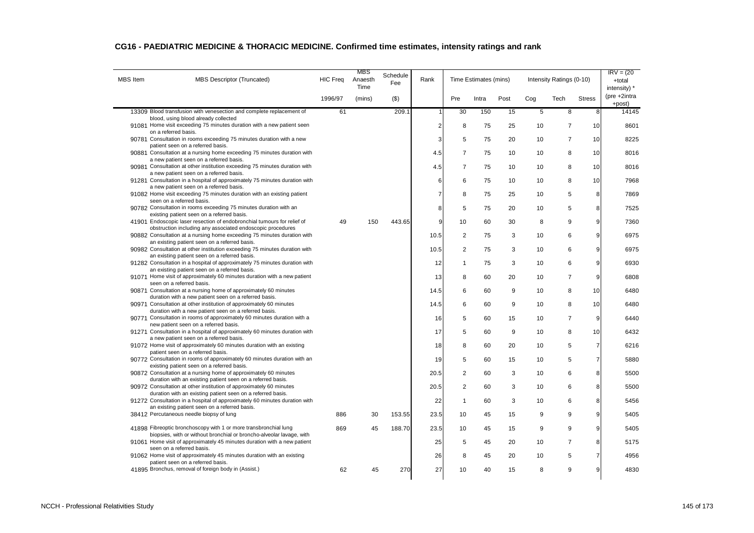| <b>MBS</b> Item | <b>MBS Descriptor (Truncated)</b>                                                                                                                                             | <b>HIC Freq</b> | MBS<br>Anaesth<br>Time | Schedule<br>Fee | Rank           |                | Time Estimates (mins) |      |     | Intensity Ratings (0-10) |                | $IRV = (20)$<br>+total<br>intensity) * |
|-----------------|-------------------------------------------------------------------------------------------------------------------------------------------------------------------------------|-----------------|------------------------|-----------------|----------------|----------------|-----------------------|------|-----|--------------------------|----------------|----------------------------------------|
|                 |                                                                                                                                                                               | 1996/97         | (mins)                 | $($ \$)         |                | Pre            | Intra                 | Post | Cog | Tech                     | <b>Stress</b>  | (pre +2intra<br>+post)                 |
|                 | 13309 Blood transfusion with venesection and complete replacement of                                                                                                          | 61              |                        | 209.1           | 1              | 30             | 150                   | 15   | 5   | 8                        | 8              | 14145                                  |
|                 | blood, using blood already collected<br>91081 Home visit exceeding 75 minutes duration with a new patient seen                                                                |                 |                        |                 | $\overline{c}$ | 8              | 75                    | 25   | 10  | $\overline{7}$           | 10             | 8601                                   |
|                 | on a referred basis.<br>90781 Consultation in rooms exceeding 75 minutes duration with a new                                                                                  |                 |                        |                 | 3              | 5              | 75                    | 20   | 10  | $\overline{7}$           | 10             | 8225                                   |
|                 | patient seen on a referred basis.<br>90881 Consultation at a nursing home exceeding 75 minutes duration with                                                                  |                 |                        |                 | 4.5            | $\overline{7}$ | 75                    | 10   | 10  | 8                        | 10             | 8016                                   |
|                 | a new patient seen on a referred basis.<br>90981 Consultation at other institution exceeding 75 minutes duration with                                                         |                 |                        |                 | 4.5            | $\overline{7}$ | 75                    | 10   | 10  | 8                        | 10             | 8016                                   |
|                 | a new patient seen on a referred basis.<br>91281 Consultation in a hospital of approximately 75 minutes duration with                                                         |                 |                        |                 | 6              | 6              | 75                    | 10   | 10  | 8                        | 10             | 7968                                   |
|                 | a new patient seen on a referred basis.<br>91082 Home visit exceeding 75 minutes duration with an existing patient                                                            |                 |                        |                 | $\overline{7}$ | 8              | 75                    | 25   | 10  | 5                        | 8              | 7869                                   |
|                 | seen on a referred basis.<br>90782 Consultation in rooms exceeding 75 minutes duration with an                                                                                |                 |                        |                 | 8              | 5              | 75                    | 20   | 10  | 5                        | 8              | 7525                                   |
|                 | existing patient seen on a referred basis.<br>41901 Endoscopic laser resection of endobronchial tumours for relief of                                                         | 49              | 150                    | 443.65          | 9              | 10             | 60                    | 30   | 8   | 9                        | 9              | 7360                                   |
|                 | obstruction including any associated endoscopic procedures<br>90882 Consultation at a nursing home exceeding 75 minutes duration with                                         |                 |                        |                 | 10.5           | $\overline{2}$ | 75                    | 3    | 10  | 6                        | 9              | 6975                                   |
|                 | an existing patient seen on a referred basis.<br>90982 Consultation at other institution exceeding 75 minutes duration with                                                   |                 |                        |                 | 10.5           | $\overline{2}$ | 75                    | 3    | 10  | 6                        | 9              | 6975                                   |
|                 | an existing patient seen on a referred basis.<br>91282 Consultation in a hospital of approximately 75 minutes duration with                                                   |                 |                        |                 | 12             | 1              | 75                    | 3    | 10  | 6                        | 9              | 6930                                   |
|                 | an existing patient seen on a referred basis.<br>91071 Home visit of approximately 60 minutes duration with a new patient                                                     |                 |                        |                 | 13             | 8              | 60                    | 20   | 10  | $\overline{7}$           | 9              | 6808                                   |
|                 | seen on a referred basis.<br>90871 Consultation at a nursing home of approximately 60 minutes                                                                                 |                 |                        |                 | 14.5           | 6              | 60                    | 9    | 10  | 8                        | 10             | 6480                                   |
|                 | duration with a new patient seen on a referred basis.<br>90971 Consultation at other institution of approximately 60 minutes                                                  |                 |                        |                 | 14.5           | 6              | 60                    | 9    | 10  | 8                        | 10             | 6480                                   |
|                 | duration with a new patient seen on a referred basis.<br>90771 Consultation in rooms of approximately 60 minutes duration with a                                              |                 |                        |                 | 16             | 5              | 60                    | 15   | 10  | $\overline{7}$           | 9              | 6440                                   |
|                 | new patient seen on a referred basis.<br>91271 Consultation in a hospital of approximately 60 minutes duration with                                                           |                 |                        |                 | 17             | 5              | 60                    | 9    | 10  | 8                        | 10             | 6432                                   |
|                 | a new patient seen on a referred basis.<br>91072 Home visit of approximately 60 minutes duration with an existing                                                             |                 |                        |                 | 18             | 8              | 60                    | 20   | 10  | 5                        | $\overline{7}$ | 6216                                   |
|                 | patient seen on a referred basis.<br>90772 Consultation in rooms of approximately 60 minutes duration with an                                                                 |                 |                        |                 | 19             | 5              | 60                    | 15   | 10  | 5                        | $\overline{7}$ | 5880                                   |
|                 | existing patient seen on a referred basis.<br>90872 Consultation at a nursing home of approximately 60 minutes<br>duration with an existing patient seen on a referred basis. |                 |                        |                 | 20.5           | $\overline{2}$ | 60                    | 3    | 10  | 6                        | 8              | 5500                                   |
|                 | 90972 Consultation at other institution of approximately 60 minutes<br>duration with an existing patient seen on a referred basis.                                            |                 |                        |                 | 20.5           | $\overline{2}$ | 60                    | 3    | 10  | 6                        | 8              | 5500                                   |
|                 | 91272 Consultation in a hospital of approximately 60 minutes duration with<br>an existing patient seen on a referred basis.                                                   |                 |                        |                 | 22             | 1              | 60                    | 3    | 10  | 6                        | 8              | 5456                                   |
|                 | 38412 Percutaneous needle biopsy of lung                                                                                                                                      | 886             | 30                     | 153.55          | 23.5           | 10             | 45                    | 15   | 9   | 9                        | 9              | 5405                                   |
|                 | 41898 Fibreoptic bronchoscopy with 1 or more transbronchial lung<br>biopsies, with or without bronchial or broncho-alveolar lavage, with                                      | 869             | 45                     | 188.70          | 23.5           | 10             | 45                    | 15   | 9   | 9                        | 9              | 5405                                   |
|                 | 91061 Home visit of approximately 45 minutes duration with a new patient<br>seen on a referred basis.                                                                         |                 |                        |                 | 25             | 5              | 45                    | 20   | 10  | $\overline{7}$           | 8              | 5175                                   |
|                 | 91062 Home visit of approximately 45 minutes duration with an existing<br>patient seen on a referred basis.                                                                   |                 |                        |                 | 26             | 8              | 45                    | 20   | 10  | 5                        | $\overline{7}$ | 4956                                   |
|                 | 41895 Bronchus, removal of foreign body in (Assist.)                                                                                                                          | 62              | 45                     | 270             | 27             | 10             | 40                    | 15   | 8   | 9                        | 9              | 4830                                   |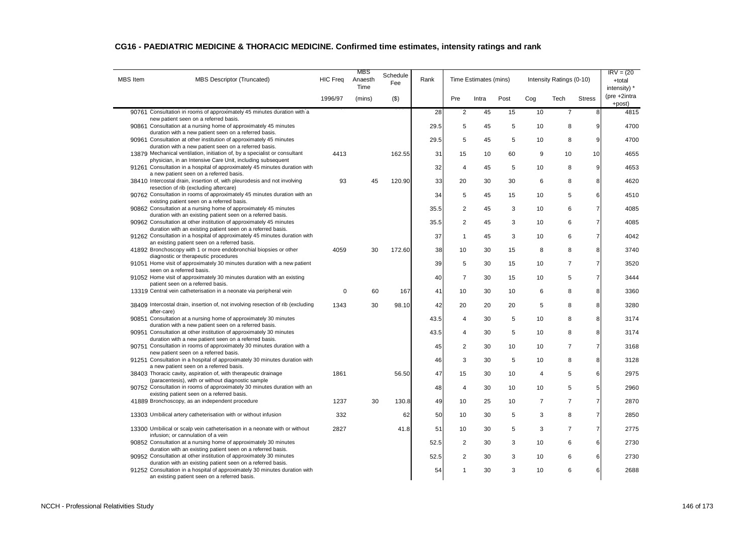| <b>MBS</b> Item | MBS Descriptor (Truncated)                                                                                                                | <b>HIC Freg</b> | MBS<br>Anaesth<br>Time | Schedule<br>Fee | Rank |                | Time Estimates (mins) |      |                | Intensity Ratings (0-10) |                | $IRV = (20$<br>+total<br>intensity) * |
|-----------------|-------------------------------------------------------------------------------------------------------------------------------------------|-----------------|------------------------|-----------------|------|----------------|-----------------------|------|----------------|--------------------------|----------------|---------------------------------------|
|                 |                                                                                                                                           | 1996/97         | (mins)                 | $($ \$)         |      | Pre            | Intra                 | Post | Cog            | Tech                     | <b>Stress</b>  | $(\text{pre} + 2)$ intra<br>+post)    |
|                 | 90761 Consultation in rooms of approximately 45 minutes duration with a                                                                   |                 |                        |                 | 28   | $\overline{2}$ | 45                    | 15   | 10             | $\overline{7}$           | 8              | 4815                                  |
|                 | new patient seen on a referred basis.<br>90861 Consultation at a nursing home of approximately 45 minutes                                 |                 |                        |                 | 29.5 | 5              | 45                    | 5    | 10             | 8                        | 9              | 4700                                  |
|                 | duration with a new patient seen on a referred basis.                                                                                     |                 |                        |                 |      |                |                       |      |                |                          |                |                                       |
|                 | 90961 Consultation at other institution of approximately 45 minutes<br>duration with a new patient seen on a referred basis.              |                 |                        |                 | 29.5 | 5              | 45                    | 5    | 10             | 8                        | 9              | 4700                                  |
|                 | 13879 Mechanical ventilation, initiation of, by a specialist or consultant                                                                | 4413            |                        | 162.55          | 31   | 15             | 10                    | 60   | 9              | 10                       | 10             | 4655                                  |
|                 | physician, in an Intensive Care Unit, including subsequent<br>91261 Consultation in a hospital of approximately 45 minutes duration with  |                 |                        |                 | 32   | 4              | 45                    | 5    | 10             | 8                        | 9              | 4653                                  |
|                 | a new patient seen on a referred basis.                                                                                                   |                 |                        |                 |      |                |                       |      |                |                          |                |                                       |
|                 | 38410 Intercostal drain, insertion of, with pleurodesis and not involving<br>resection of rib (excluding aftercare)                       | 93              | 45                     | 120.90          | 33   | 20             | 30                    | 30   | 6              | 8                        | 8              | 4620                                  |
|                 | 90762 Consultation in rooms of approximately 45 minutes duration with an                                                                  |                 |                        |                 | 34   | 5              | 45                    | 15   | 10             | 5                        | 6              | 4510                                  |
|                 | existing patient seen on a referred basis.                                                                                                |                 |                        |                 |      |                |                       |      |                |                          |                |                                       |
|                 | 90862 Consultation at a nursing home of approximately 45 minutes<br>duration with an existing patient seen on a referred basis.           |                 |                        |                 | 35.5 | $\overline{2}$ | 45                    | 3    | 10             | 6                        | $\overline{7}$ | 4085                                  |
|                 | 90962 Consultation at other institution of approximately 45 minutes                                                                       |                 |                        |                 | 35.5 | $\overline{2}$ | 45                    | 3    | 10             | 6                        | $\overline{7}$ | 4085                                  |
|                 | duration with an existing patient seen on a referred basis.<br>91262 Consultation in a hospital of approximately 45 minutes duration with |                 |                        |                 | 37   | 1              | 45                    | 3    | 10             | 6                        | $\overline{7}$ | 4042                                  |
|                 | an existing patient seen on a referred basis.                                                                                             |                 |                        |                 |      |                |                       |      |                |                          |                |                                       |
|                 | 41892 Bronchoscopy with 1 or more endobronchial biopsies or other                                                                         | 4059            | 30                     | 172.60          | 38   | 10             | 30                    | 15   | 8              | 8                        | 8              | 3740                                  |
|                 | diagnostic or therapeutic procedures<br>91051 Home visit of approximately 30 minutes duration with a new patient                          |                 |                        |                 | 39   | 5              | 30                    | 15   | 10             | $\overline{7}$           | $\overline{7}$ | 3520                                  |
|                 | seen on a referred basis.                                                                                                                 |                 |                        |                 |      |                |                       |      |                |                          |                |                                       |
|                 | 91052 Home visit of approximately 30 minutes duration with an existing<br>patient seen on a referred basis.                               |                 |                        |                 | 40   | $\overline{7}$ | 30                    | 15   | 10             | 5                        | $\overline{7}$ | 3444                                  |
|                 | 13319 Central vein catheterisation in a neonate via peripheral vein                                                                       | $\Omega$        | 60                     | 167             | 41   | 10             | 30                    | 10   | 6              | 8                        | 8              | 3360                                  |
|                 | 38409 Intercostal drain, insertion of, not involving resection of rib (excluding<br>after-care)                                           | 1343            | 30                     | 98.10           | 42   | 20             | 20                    | 20   | 5              | 8                        | 8              | 3280                                  |
|                 | 90851 Consultation at a nursing home of approximately 30 minutes                                                                          |                 |                        |                 | 43.5 | 4              | 30                    | 5    | 10             | 8                        | 8              | 3174                                  |
|                 | duration with a new patient seen on a referred basis.<br>90951 Consultation at other institution of approximately 30 minutes              |                 |                        |                 | 43.5 | 4              | 30                    | 5    | 10             | 8                        | 8              | 3174                                  |
|                 | duration with a new patient seen on a referred basis.                                                                                     |                 |                        |                 |      |                |                       |      |                |                          |                |                                       |
|                 | 90751 Consultation in rooms of approximately 30 minutes duration with a<br>new patient seen on a referred basis.                          |                 |                        |                 | 45   | $\overline{2}$ | 30                    | 10   | 10             | $\overline{7}$           | $\overline{7}$ | 3168                                  |
|                 | 91251 Consultation in a hospital of approximately 30 minutes duration with                                                                |                 |                        |                 | 46   | 3              | 30                    | 5    | 10             | 8                        | 8              | 3128                                  |
|                 | a new patient seen on a referred basis.<br>38403 Thoracic cavity, aspiration of, with therapeutic drainage                                | 1861            |                        | 56.50           | 47   | 15             | 30                    | 10   | $\overline{4}$ | 5                        | 6              | 2975                                  |
|                 | (paracentesis), with or without diagnostic sample                                                                                         |                 |                        |                 |      |                |                       |      |                |                          |                |                                       |
|                 | 90752 Consultation in rooms of approximately 30 minutes duration with an<br>existing patient seen on a referred basis.                    |                 |                        |                 | 48   | 4              | 30                    | 10   | 10             | 5                        | 5              | 2960                                  |
|                 | 41889 Bronchoscopy, as an independent procedure                                                                                           | 1237            | 30                     | 130.8           | 49   | 10             | 25                    | 10   | $\overline{7}$ | $\overline{7}$           | $\overline{7}$ | 2870                                  |
|                 |                                                                                                                                           |                 |                        |                 |      |                |                       |      |                |                          |                |                                       |
|                 | 13303 Umbilical artery catheterisation with or without infusion                                                                           | 332             |                        | 62              | 50   | 10             | 30                    | 5    | 3              | 8                        | $\overline{7}$ | 2850                                  |
|                 | 13300 Umbilical or scalp vein catheterisation in a neonate with or without                                                                | 2827            |                        | 41.8            | 51   | 10             | 30                    | 5    | 3              | $\overline{7}$           | $\overline{7}$ | 2775                                  |
|                 | infusion; or cannulation of a vein<br>90852 Consultation at a nursing home of approximately 30 minutes                                    |                 |                        |                 | 52.5 | $\overline{2}$ | 30                    | 3    | 10             | 6                        | 6              | 2730                                  |
|                 | duration with an existing patient seen on a referred basis.                                                                               |                 |                        |                 |      |                |                       |      |                |                          |                |                                       |
|                 | 90952 Consultation at other institution of approximately 30 minutes<br>duration with an existing patient seen on a referred basis.        |                 |                        |                 | 52.5 | $\overline{2}$ | 30                    | 3    | 10             | 6                        | 6              | 2730                                  |
|                 | 91252 Consultation in a hospital of approximately 30 minutes duration with<br>an existing patient seen on a referred basis.               |                 |                        |                 | 54   | 1              | 30                    | 3    | 10             | 6                        | 6              | 2688                                  |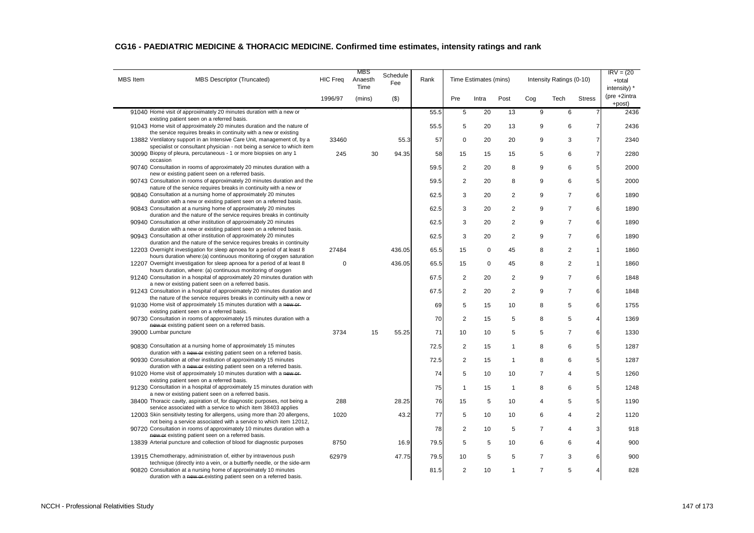| <b>MBS</b> Item | <b>MBS Descriptor (Truncated)</b>                                                                                                                                                                                | <b>HIC Freq</b> | MBS<br>Anaesth<br>Time | Schedule<br>Fee | Rank |                | Time Estimates (mins) |              |                | Intensity Ratings (0-10) |                | $IRV = (20$<br>+total<br>intensity) * |
|-----------------|------------------------------------------------------------------------------------------------------------------------------------------------------------------------------------------------------------------|-----------------|------------------------|-----------------|------|----------------|-----------------------|--------------|----------------|--------------------------|----------------|---------------------------------------|
|                 |                                                                                                                                                                                                                  | 1996/97         | (mins)                 | $($ \$)         |      | Pre            | Intra                 | Post         | Cog            | Tech                     | <b>Stress</b>  | $(\text{pre} + 2)$ intra<br>+post)    |
|                 | 91040 Home visit of approximately 20 minutes duration with a new or                                                                                                                                              |                 |                        |                 | 55.5 | 5              | 20                    | 13           | 9              | 6                        | $\overline{7}$ | 2436                                  |
|                 | existing patient seen on a referred basis.<br>91043 Home visit of approximately 20 minutes duration and the nature of                                                                                            |                 |                        |                 | 55.5 | 5              | 20                    | 13           | 9              | 6                        | $\overline{7}$ | 2436                                  |
|                 | the service requires breaks in continuity with a new or existing<br>13882 Ventilatory support in an Intensive Care Unit, management of, by a                                                                     | 33460           |                        | 55.3            | 57   | $\mathbf 0$    | 20                    | 20           | 9              | 3                        | $\overline{7}$ | 2340                                  |
|                 | specialist or consultant physician - not being a service to which item<br>30090 Biopsy of pleura, percutaneous - 1 or more biopsies on any 1                                                                     | 245             | 30                     | 94.35           | 58   | 15             | 15                    | 15           | 5              | 6                        | $\overline{7}$ | 2280                                  |
|                 | occasion<br>90740 Consultation in rooms of approximately 20 minutes duration with a                                                                                                                              |                 |                        |                 | 59.5 | $\overline{2}$ | 20                    | 8            | 9              | 6                        | 5              | 2000                                  |
|                 | new or existing patient seen on a referred basis.<br>90743 Consultation in rooms of approximately 20 minutes duration and the                                                                                    |                 |                        |                 | 59.5 | $\overline{2}$ | 20                    | 8            | 9              | 6                        | 5              | 2000                                  |
|                 | nature of the service requires breaks in continuity with a new or<br>90840 Consultation at a nursing home of approximately 20 minutes                                                                            |                 |                        |                 | 62.5 | 3              | 20                    | 2            | 9              | $\overline{7}$           | 6              | 1890                                  |
|                 | duration with a new or existing patient seen on a referred basis.                                                                                                                                                |                 |                        |                 |      |                |                       |              |                |                          |                |                                       |
|                 | 90843 Consultation at a nursing home of approximately 20 minutes<br>duration and the nature of the service requires breaks in continuity                                                                         |                 |                        |                 | 62.5 | 3              | 20                    | 2            | 9              | $\overline{7}$           | 6              | 1890                                  |
|                 | 90940 Consultation at other institution of approximately 20 minutes<br>duration with a new or existing patient seen on a referred basis.                                                                         |                 |                        |                 | 62.5 | 3              | 20                    | 2            | 9              | $\overline{7}$           | 6              | 1890                                  |
|                 | 90943 Consultation at other institution of approximately 20 minutes<br>duration and the nature of the service requires breaks in continuity                                                                      |                 |                        |                 | 62.5 | 3              | 20                    | 2            | 9              | $\overline{7}$           | 6              | 1890                                  |
|                 | 12203 Overnight investigation for sleep apnoea for a period of at least 8<br>hours duration where: (a) continuous monitoring of oxygen saturation                                                                | 27484           |                        | 436.05          | 65.5 | 15             | $\mathbf 0$           | 45           | 8              | 2                        | $\mathbf{1}$   | 1860                                  |
|                 | 12207 Overnight investigation for sleep apnoea for a period of at least 8                                                                                                                                        | $\Omega$        |                        | 436.05          | 65.5 | 15             | $\mathbf 0$           | 45           | 8              | 2                        | $\mathbf{1}$   | 1860                                  |
|                 | hours duration, where: (a) continuous monitoring of oxygen<br>91240 Consultation in a hospital of approximately 20 minutes duration with                                                                         |                 |                        |                 | 67.5 | $\overline{2}$ | 20                    | 2            | 9              | $\overline{7}$           | 6              | 1848                                  |
|                 | a new or existing patient seen on a referred basis.<br>91243 Consultation in a hospital of approximately 20 minutes duration and                                                                                 |                 |                        |                 | 67.5 | $\overline{2}$ | 20                    | 2            | 9              | $\overline{7}$           | 6              | 1848                                  |
|                 | the nature of the service requires breaks in continuity with a new or<br>91030 Home visit of approximately 15 minutes duration with a new-or-                                                                    |                 |                        |                 | 69   | 5              | 15                    | 10           | 8              | $\sqrt{5}$               | 6              | 1755                                  |
|                 | existing patient seen on a referred basis.<br>90730 Consultation in rooms of approximately 15 minutes duration with a                                                                                            |                 |                        |                 | 70   | $\overline{2}$ | 15                    | 5            | 8              | 5                        | $\overline{4}$ | 1369                                  |
|                 | new or existing patient seen on a referred basis.                                                                                                                                                                |                 |                        |                 |      |                |                       |              |                |                          |                |                                       |
|                 | 39000 Lumbar puncture                                                                                                                                                                                            | 3734            | 15                     | 55.25           | 71   | 10             | 10                    | 5            | 5              | $\overline{7}$           | 6              | 1330                                  |
|                 | 90830 Consultation at a nursing home of approximately 15 minutes<br>duration with a new or existing patient seen on a referred basis.                                                                            |                 |                        |                 | 72.5 | $\overline{2}$ | 15                    | $\mathbf{1}$ | 8              | 6                        | 5              | 1287                                  |
|                 | 90930 Consultation at other institution of approximately 15 minutes<br>duration with a new or existing patient seen on a referred basis.                                                                         |                 |                        |                 | 72.5 | $\overline{2}$ | 15                    | $\mathbf{1}$ | 8              | 6                        | 5              | 1287                                  |
|                 | 91020 Home visit of approximately 10 minutes duration with a new or-<br>existing patient seen on a referred basis.                                                                                               |                 |                        |                 | 74   | 5              | 10                    | 10           | $\overline{7}$ | $\overline{4}$           | 5              | 1260                                  |
|                 | 91230 Consultation in a hospital of approximately 15 minutes duration with<br>a new or existing patient seen on a referred basis.                                                                                |                 |                        |                 | 75   | -1             | 15                    | $\mathbf{1}$ | 8              | 6                        | 5              | 1248                                  |
|                 | 38400 Thoracic cavity, aspiration of, for diagnostic purposes, not being a<br>service associated with a service to which item 38403 applies                                                                      | 288             |                        | 28.25           | 76   | 15             | 5                     | 10           | $\overline{4}$ | 5                        | 5              | 1190                                  |
|                 | 12003 Skin sensitivity testing for allergens, using more than 20 allergens,                                                                                                                                      | 1020            |                        | 43.2            | 77   | 5              | 10                    | 10           | 6              | $\overline{4}$           | $\overline{c}$ | 1120                                  |
|                 | not being a service associated with a service to which item 12012,<br>90720 Consultation in rooms of approximately 10 minutes duration with a                                                                    |                 |                        |                 | 78   | $\overline{2}$ | 10                    | 5            | $\overline{7}$ | $\overline{4}$           | 3              | 918                                   |
|                 | new or existing patient seen on a referred basis.<br>13839 Arterial puncture and collection of blood for diagnostic purposes                                                                                     | 8750            |                        | 16.9            | 79.5 | 5              | 5                     | 10           | 6              | 6                        | $\overline{4}$ | 900                                   |
|                 | 13915 Chemotherapy, administration of, either by intravenous push                                                                                                                                                | 62979           |                        | 47.75           | 79.5 | 10             | 5                     | 5            | $\overline{7}$ | 3                        | 6              | 900                                   |
|                 | technique (directly into a vein, or a butterfly needle, or the side-arm<br>90820 Consultation at a nursing home of approximately 10 minutes<br>duration with a new or existing patient seen on a referred basis. |                 |                        |                 | 81.5 | $\overline{2}$ | 10                    | $\mathbf{1}$ | $\overline{7}$ | $\overline{5}$           | $\overline{4}$ | 828                                   |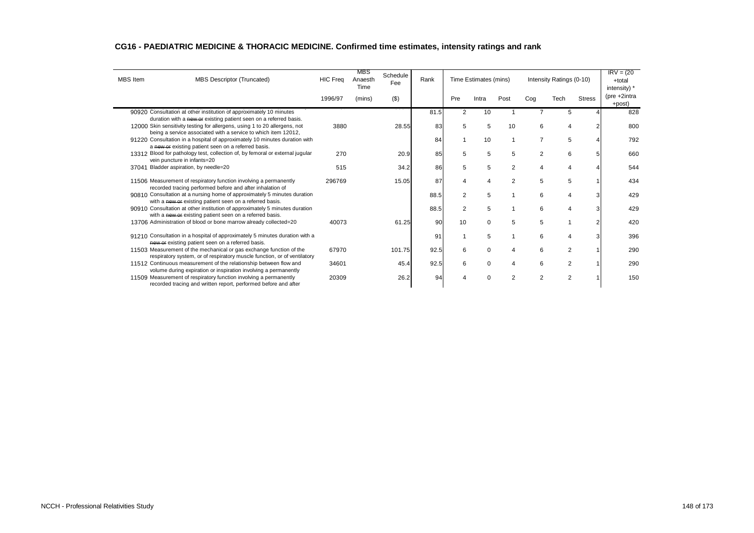| <b>MBS</b> Item | <b>MBS Descriptor (Truncated)</b>                                                                                                                                                                                 | <b>HIC Freq</b> | MBS<br>Anaesth<br>Time | Schedule<br>Fee | Rank |                | Time Estimates (mins) |                |                | Intensity Ratings (0-10) |               | $IRV = (20$<br>+total<br>intensity) * |
|-----------------|-------------------------------------------------------------------------------------------------------------------------------------------------------------------------------------------------------------------|-----------------|------------------------|-----------------|------|----------------|-----------------------|----------------|----------------|--------------------------|---------------|---------------------------------------|
|                 |                                                                                                                                                                                                                   | 1996/97         | (mins)                 | $($ \$)         |      | Pre            | Intra                 | Post           | Cog            | Tech                     | <b>Stress</b> | (pre +2intra<br>+post)                |
|                 | 90920 Consultation at other institution of approximately 10 minutes                                                                                                                                               |                 |                        |                 | 81.5 | $\overline{2}$ | 10                    |                |                |                          |               | 828                                   |
|                 | duration with a new or existing patient seen on a referred basis.<br>12000 Skin sensitivity testing for allergens, using 1 to 20 allergens, not<br>being a service associated with a service to which item 12012, | 3880            |                        | 28.55           | 83   | 5              | 5                     | 10             | 6              | 4                        |               | 800                                   |
|                 | 91220 Consultation in a hospital of approximately 10 minutes duration with<br>a new or existing patient seen on a referred basis.                                                                                 |                 |                        |                 | 84   |                | 10                    |                | $\overline{7}$ | 5                        |               | 792                                   |
|                 | 13312 Blood for pathology test, collection of, by femoral or external jugular<br>vein puncture in infants=20                                                                                                      | 270             |                        | 20.9            | 85   | 5              | 5                     | 5              | $\overline{2}$ | 6                        |               | 660                                   |
|                 | 37041 Bladder aspiration, by needle=20                                                                                                                                                                            | 515             |                        | 34.2            | 86   | 5              | 5                     | 2              | $\overline{4}$ | $\overline{4}$           |               | 544                                   |
|                 | 11506 Measurement of respiratory function involving a permanently<br>recorded tracing performed before and after inhalation of                                                                                    | 296769          |                        | 15.05           | 87   | $\overline{4}$ | 4                     | $\overline{2}$ | 5              | 5                        |               | 434                                   |
|                 | 90810 Consultation at a nursing home of approximately 5 minutes duration<br>with a new or existing patient seen on a referred basis.                                                                              |                 |                        |                 | 88.5 | $\overline{2}$ | 5                     |                | 6              | 4                        |               | 429                                   |
|                 | 90910 Consultation at other institution of approximately 5 minutes duration<br>with a new or existing patient seen on a referred basis.                                                                           |                 |                        |                 | 88.5 | $\overline{2}$ | 5                     |                | 6              | 4                        | 3             | 429                                   |
|                 | 13706 Administration of blood or bone marrow already collected=20                                                                                                                                                 | 40073           |                        | 61.25           | 90   | 10             | $\Omega$              | 5              | 5              |                          |               | 420                                   |
|                 | 91210 Consultation in a hospital of approximately 5 minutes duration with a<br>new or existing patient seen on a referred basis.                                                                                  |                 |                        |                 | 91   |                | 5                     |                | 6              | Δ                        |               | 396                                   |
|                 | 11503 Measurement of the mechanical or gas exchange function of the<br>respiratory system, or of respiratory muscle function, or of ventilatory                                                                   | 67970           |                        | 101.75          | 92.5 | 6              | $\Omega$              | $\overline{4}$ | 6              | $\overline{2}$           |               | 290                                   |
|                 | 11512 Continuous measurement of the relationship between flow and<br>volume during expiration or inspiration involving a permanently                                                                              | 34601           |                        | 45.4            | 92.5 | 6              | $\Omega$              | $\overline{4}$ | 6              | $\overline{2}$           |               | 290                                   |
|                 | 11509 Measurement of respiratory function involving a permanently<br>recorded tracing and written report, performed before and after                                                                              | 20309           |                        | 26.2            | 94   |                | C                     | $\overline{2}$ | $\overline{2}$ | $\overline{2}$           |               | 150                                   |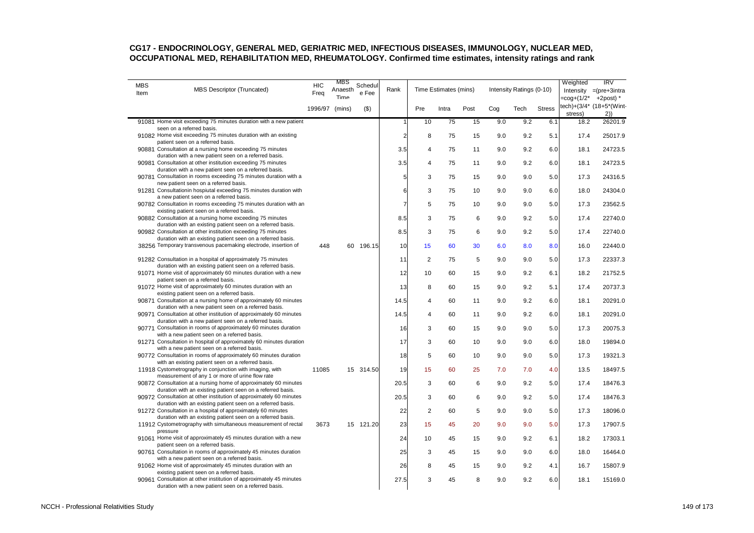| <b>MBS</b> |                                                                                                                                                                            | <b>HIC</b>     | MBS             | Schedul   |                |                         |                       |      |     |                          |               | Weighted   | IRV                                         |
|------------|----------------------------------------------------------------------------------------------------------------------------------------------------------------------------|----------------|-----------------|-----------|----------------|-------------------------|-----------------------|------|-----|--------------------------|---------------|------------|---------------------------------------------|
| Item       | MBS Descriptor (Truncated)                                                                                                                                                 | Freq           | Anaesth<br>Time | e Fee     | Rank           |                         | Time Estimates (mins) |      |     | Intensity Ratings (0-10) |               | =cog+(1/2* | Intensity $=(pre+3intra)$<br>$+2$ post $)*$ |
|            |                                                                                                                                                                            | 1996/97 (mins) |                 | $($ \$)   |                | Pre                     | Intra                 | Post | Cog | Tech                     | <b>Stress</b> |            | tech)+(3/4* (18+5*(Wint-                    |
|            |                                                                                                                                                                            |                |                 |           |                |                         |                       |      |     |                          |               | stress)    | 2)                                          |
|            | 91081 Home visit exceeding 75 minutes duration with a new patient<br>seen on a referred basis.                                                                             |                |                 |           | 1              | 10                      | 75                    | 15   | 9.0 | 9.2                      | 6.1           | 18.2       | 26201.9                                     |
|            | 91082 Home visit exceeding 75 minutes duration with an existing<br>patient seen on a referred basis.                                                                       |                |                 |           | $\overline{a}$ | 8                       | 75                    | 15   | 9.0 | 9.2                      | 5.1           | 17.4       | 25017.9                                     |
|            | 90881 Consultation at a nursing home exceeding 75 minutes<br>duration with a new patient seen on a referred basis.                                                         |                |                 |           | 3.5            | $\overline{4}$          | 75                    | 11   | 9.0 | 9.2                      | 6.0           | 18.1       | 24723.5                                     |
|            | 90981 Consultation at other institution exceeding 75 minutes<br>duration with a new patient seen on a referred basis.                                                      |                |                 |           | 3.5            | $\overline{\mathbf{4}}$ | 75                    | 11   | 9.0 | 9.2                      | 6.0           | 18.1       | 24723.5                                     |
|            | 90781 Consultation in rooms exceeding 75 minutes duration with a<br>new patient seen on a referred basis.                                                                  |                |                 |           | 5              | 3                       | 75                    | 15   | 9.0 | 9.0                      | 5.0           | 17.3       | 24316.5                                     |
|            | 91281 Consultationin hospiutal exceeding 75 minutes duration with<br>a new patient seen on a referred basis.                                                               |                |                 |           | 6              | 3                       | 75                    | 10   | 9.0 | 9.0                      | 6.0           | 18.0       | 24304.0                                     |
|            | 90782 Consultation in rooms exceeding 75 minutes duration with an<br>existing patient seen on a referred basis.                                                            |                |                 |           | $\overline{7}$ | 5                       | 75                    | 10   | 9.0 | 9.0                      | 5.0           | 17.3       | 23562.5                                     |
|            | 90882 Consultation at a nursing home exceeding 75 minutes<br>duration with an existing patient seen on a referred basis.                                                   |                |                 |           | 8.5            | 3                       | 75                    | 6    | 9.0 | 9.2                      | 5.0           | 17.4       | 22740.0                                     |
|            | 90982 Consultation at other institution exceeding 75 minutes<br>duration with an existing patient seen on a referred basis.                                                |                |                 |           | 8.5            | 3                       | 75                    | 6    | 9.0 | 9.2                      | 5.0           | 17.4       | 22740.0                                     |
|            | 38256 Temporary transvenous pacemaking electrode, insertion of                                                                                                             | 448            | 60              | 196.15    | 10             | 15                      | 60                    | 30   | 6.0 | 8.0                      | 8.0           | 16.0       | 22440.0                                     |
|            | 91282 Consultation in a hospital of approximately 75 minutes<br>duration with an existing patient seen on a referred basis.                                                |                |                 |           | 11             | 2                       | 75                    | 5    | 9.0 | 9.0                      | 5.0           | 17.3       | 22337.3                                     |
|            | 91071 Home visit of approximately 60 minutes duration with a new<br>patient seen on a referred basis.                                                                      |                |                 |           | 12             | 10                      | 60                    | 15   | 9.0 | 9.2                      | 6.1           | 18.2       | 21752.5                                     |
|            | 91072 Home visit of approximately 60 minutes duration with an<br>existing patient seen on a referred basis.                                                                |                |                 |           | 13             | 8                       | 60                    | 15   | 9.0 | 9.2                      | 5.1           | 17.4       | 20737.3                                     |
|            | 90871 Consultation at a nursing home of approximately 60 minutes<br>duration with a new patient seen on a referred basis.                                                  |                |                 |           | 14.5           | $\overline{4}$          | 60                    | 11   | 9.0 | 9.2                      | 6.0           | 18.1       | 20291.0                                     |
|            | 90971 Consultation at other institution of approximately 60 minutes<br>duration with a new patient seen on a referred basis.                                               |                |                 |           | 14.5           | $\overline{4}$          | 60                    | 11   | 9.0 | 9.2                      | 6.0           | 18.1       | 20291.0                                     |
|            | 90771 Consultation in rooms of approximately 60 minutes duration<br>with a new patient seen on a referred basis.                                                           |                |                 |           | 16             | 3                       | 60                    | 15   | 9.0 | 9.0                      | 5.0           | 17.3       | 20075.3                                     |
|            | 91271 Consultation in hospital of approximately 60 minutes duration<br>with a new patient seen on a referred basis.                                                        |                |                 |           | 17             | 3                       | 60                    | 10   | 9.0 | 9.0                      | 6.0           | 18.0       | 19894.0                                     |
|            | 90772 Consultation in rooms of approximately 60 minutes duration<br>with an existing patient seen on a referred basis.                                                     |                |                 |           | 18             | 5                       | 60                    | 10   | 9.0 | 9.0                      | 5.0           | 17.3       | 19321.3                                     |
|            | 11918 Cystometrography in conjunction with imaging, with<br>measurement of any 1 or more of urine flow rate                                                                | 11085          |                 | 15 314.50 | 19             | 15                      | 60                    | 25   | 7.0 | 7.0                      | 4.0           | 13.5       | 18497.5                                     |
|            | 90872 Consultation at a nursing home of approximately 60 minutes<br>duration with an existing patient seen on a referred basis.                                            |                |                 |           | 20.5           | 3                       | 60                    | 6    | 9.0 | 9.2                      | 5.0           | 17.4       | 18476.3                                     |
|            | 90972 Consultation at other institution of approximately 60 minutes<br>duration with an existing patient seen on a referred basis.                                         |                |                 |           | 20.5           | 3                       | 60                    | 6    | 9.0 | 9.2                      | 5.0           | 17.4       | 18476.3                                     |
|            | 91272 Consultation in a hospital of approximately 60 minutes<br>duration with an existing patient seen on a referred basis.                                                |                |                 |           | 22             | 2                       | 60                    | 5    | 9.0 | 9.0                      | 5.0           | 17.3       | 18096.0                                     |
|            | 11912 Cystometrography with simultaneous measurement of rectal<br>pressure                                                                                                 | 3673           |                 | 15 121.20 | 23             | 15                      | 45                    | 20   | 9.0 | 9.0                      | 5.0           | 17.3       | 17907.5                                     |
|            | 91061 Home visit of approximately 45 minutes duration with a new                                                                                                           |                |                 |           | 24             | 10                      | 45                    | 15   | 9.0 | 9.2                      | 6.1           | 18.2       | 17303.1                                     |
|            | patient seen on a referred basis.<br>90761 Consultation in rooms of approximately 45 minutes duration                                                                      |                |                 |           | 25             | 3                       | 45                    | 15   | 9.0 | 9.0                      | 6.0           | 18.0       | 16464.0                                     |
|            | with a new patient seen on a referred basis.<br>91062 Home visit of approximately 45 minutes duration with an                                                              |                |                 |           | 26             | 8                       | 45                    | 15   | 9.0 | 9.2                      | 4.1           | 16.7       | 15807.9                                     |
|            | existing patient seen on a referred basis.<br>90961 Consultation at other institution of approximately 45 minutes<br>duration with a new patient seen on a referred basis. |                |                 |           | 27.5           | 3                       | 45                    | 8    | 9.0 | 9.2                      | 6.0           | 18.1       | 15169.0                                     |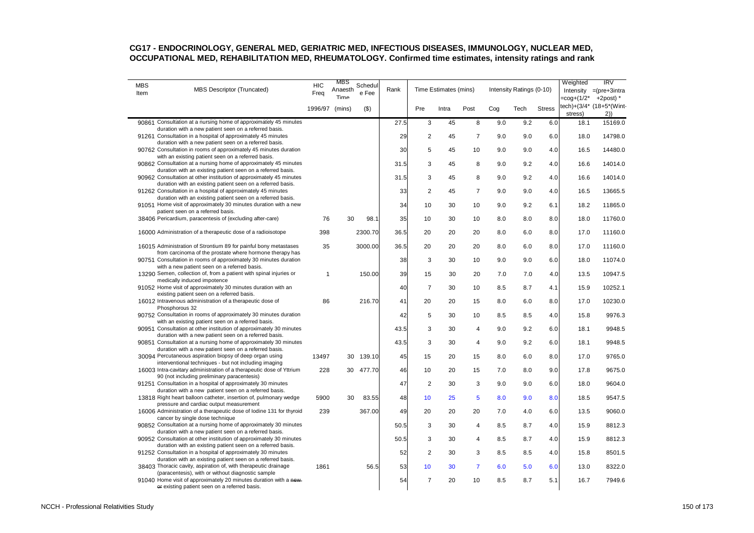| <b>MBS</b><br>Item | MBS Descriptor (Truncated)                                                                                                                                                     | <b>HIC</b><br>Freq | MBS<br>Anaesth<br>Time | Schedul<br>e Fee | Rank |                | Time Estimates (mins) |                         |     | Intensity Ratings (0-10) |               | Weighted<br>=cog+(1/2* | IRV<br>Intensity $=(pre+3intra)$<br>$+2$ post) $*$ |
|--------------------|--------------------------------------------------------------------------------------------------------------------------------------------------------------------------------|--------------------|------------------------|------------------|------|----------------|-----------------------|-------------------------|-----|--------------------------|---------------|------------------------|----------------------------------------------------|
|                    |                                                                                                                                                                                | 1996/97 (mins)     |                        | $($ \$)          |      | Pre            | Intra                 | Post                    | Cog | Tech                     | <b>Stress</b> | stress)                | tech)+(3/4* (18+5*(Wint-<br>2)                     |
|                    | 90861 Consultation at a nursing home of approximately 45 minutes                                                                                                               |                    |                        |                  | 27.5 | 3              | $\overline{45}$       | $\overline{8}$          | 9.0 | $9.\overline{2}$         | 6.0           | 18.1                   | 15169.0                                            |
|                    | duration with a new patient seen on a referred basis.<br>91261 Consultation in a hospital of approximately 45 minutes<br>duration with a new patient seen on a referred basis. |                    |                        |                  | 29   | $\overline{2}$ | 45                    | $\overline{7}$          | 9.0 | 9.0                      | 6.0           | 18.0                   | 14798.0                                            |
|                    | 90762 Consultation in rooms of approximately 45 minutes duration<br>with an existing patient seen on a referred basis.                                                         |                    |                        |                  | 30   | 5              | 45                    | 10                      | 9.0 | 9.0                      | 4.0           | 16.5                   | 14480.0                                            |
|                    | 90862 Consultation at a nursing home of approximately 45 minutes<br>duration with an existing patient seen on a referred basis.                                                |                    |                        |                  | 31.5 | 3              | 45                    | 8                       | 9.0 | 9.2                      | 4.0           | 16.6                   | 14014.0                                            |
|                    | 90962 Consultation at other institution of approximately 45 minutes<br>duration with an existing patient seen on a referred basis.                                             |                    |                        |                  | 31.5 | 3              | 45                    | 8                       | 9.0 | 9.2                      | 4.0           | 16.6                   | 14014.0                                            |
|                    | 91262 Consultation in a hospital of approximately 45 minutes                                                                                                                   |                    |                        |                  | 33   | 2              | 45                    | $\overline{7}$          | 9.0 | 9.0                      | 4.0           | 16.5                   | 13665.5                                            |
|                    | duration with an existing patient seen on a referred basis.<br>91051 Home visit of approximately 30 minutes duration with a new<br>patient seen on a referred basis.           |                    |                        |                  | 34   | 10             | 30                    | 10                      | 9.0 | 9.2                      | 6.1           | 18.2                   | 11865.0                                            |
|                    | 38406 Pericardium, paracentesis of (excluding after-care)                                                                                                                      | 76                 | 30                     | 98.1             | 35   | 10             | 30                    | 10                      | 8.0 | 8.0                      | 8.0           | 18.0                   | 11760.0                                            |
|                    | 16000 Administration of a therapeutic dose of a radioisotope                                                                                                                   | 398                |                        | 2300.70          | 36.5 | 20             | 20                    | 20                      | 8.0 | 6.0                      | 8.0           | 17.0                   | 11160.0                                            |
|                    | 16015 Administration of Strontium 89 for painful bony metastases<br>from carcinoma of the prostate where hormone therapy has                                                   | 35                 |                        | 3000.00          | 36.5 | 20             | 20                    | 20                      | 8.0 | 6.0                      | 8.0           | 17.0                   | 11160.0                                            |
|                    | 90751 Consultation in rooms of approximately 30 minutes duration<br>with a new patient seen on a referred basis.                                                               |                    |                        |                  | 38   | 3              | 30                    | 10                      | 9.0 | 9.0                      | 6.0           | 18.0                   | 11074.0                                            |
|                    | 13290 Semen, collection of, from a patient with spinal injuries or<br>medically induced impotence                                                                              | 1                  |                        | 150.00           | 39   | 15             | 30                    | 20                      | 7.0 | 7.0                      | 4.0           | 13.5                   | 10947.5                                            |
|                    | 91052 Home visit of approximately 30 minutes duration with an<br>existing patient seen on a referred basis.                                                                    |                    |                        |                  | 40   | $\overline{7}$ | 30                    | 10                      | 8.5 | 8.7                      | 4.1           | 15.9                   | 10252.1                                            |
|                    | 16012 Intravenous administration of a therapeutic dose of<br>Phosphorous 32                                                                                                    | 86                 |                        | 216.70           | 41   | 20             | 20                    | 15                      | 8.0 | 6.0                      | 8.0           | 17.0                   | 10230.0                                            |
|                    | 90752 Consultation in rooms of approximately 30 minutes duration<br>with an existing patient seen on a referred basis.                                                         |                    |                        |                  | 42   | 5              | 30                    | 10                      | 8.5 | 8.5                      | 4.0           | 15.8                   | 9976.3                                             |
|                    | 90951 Consultation at other institution of approximately 30 minutes<br>duration with a new patient seen on a referred basis.                                                   |                    |                        |                  | 43.5 | 3              | 30                    | $\overline{\mathbf{4}}$ | 9.0 | 9.2                      | 6.0           | 18.1                   | 9948.5                                             |
|                    | 90851 Consultation at a nursing home of approximately 30 minutes<br>duration with a new patient seen on a referred basis.                                                      |                    |                        |                  | 43.5 | 3              | 30                    | $\overline{4}$          | 9.0 | 9.2                      | 6.0           | 18.1                   | 9948.5                                             |
|                    | 30094 Percutaneous aspiration biopsy of deep organ using<br>interventional techniques - but not including imaging                                                              | 13497              | 30                     | 139.10           | 45   | 15             | 20                    | 15                      | 8.0 | 6.0                      | 8.0           | 17.0                   | 9765.0                                             |
|                    | 16003 Intra-cavitary administration of a therapeutic dose of Yttrium<br>90 (not including preliminary paracentesis)                                                            | 228                | 30                     | 477.70           | 46   | 10             | 20                    | 15                      | 7.0 | 8.0                      | 9.0           | 17.8                   | 9675.0                                             |
|                    | 91251 Consultation in a hospital of approximately 30 minutes<br>duration with a new patient seen on a referred basis.                                                          |                    |                        |                  | 47   | $\overline{2}$ | 30                    | 3                       | 9.0 | 9.0                      | 6.0           | 18.0                   | 9604.0                                             |
|                    | 13818 Right heart balloon catheter, insertion of, pulmonary wedge<br>pressure and cardiac output measurement                                                                   | 5900               | 30                     | 83.55            | 48   | 10             | 25                    | 5                       | 8.0 | 9.0                      | 8.0           | 18.5                   | 9547.5                                             |
|                    | 16006 Administration of a therapeutic dose of lodine 131 for thyroid<br>cancer by single dose technique                                                                        | 239                |                        | 367.00           | 49   | 20             | 20                    | 20                      | 7.0 | 4.0                      | 6.0           | 13.5                   | 9060.0                                             |
|                    | 90852 Consultation at a nursing home of approximately 30 minutes<br>duration with a new patient seen on a referred basis.                                                      |                    |                        |                  | 50.5 | 3              | 30                    | 4                       | 8.5 | 8.7                      | 4.0           | 15.9                   | 8812.3                                             |
|                    | 90952 Consultation at other institution of approximately 30 minutes                                                                                                            |                    |                        |                  | 50.5 | 3              | 30                    | 4                       | 8.5 | 8.7                      | 4.0           | 15.9                   | 8812.3                                             |
|                    | duration with an existing patient seen on a referred basis.<br>91252 Consultation in a hospital of approximately 30 minutes                                                    |                    |                        |                  | 52   | $\overline{2}$ | 30                    | 3                       | 8.5 | 8.5                      | 4.0           | 15.8                   | 8501.5                                             |
|                    | duration with an existing patient seen on a referred basis.<br>38403 Thoracic cavity, aspiration of, with therapeutic drainage                                                 | 1861               |                        | 56.5             | 53   | 10             | 30                    | $\overline{7}$          | 6.0 | 5.0                      | 6.0           | 13.0                   | 8322.0                                             |
|                    | (paracentesis), with or without diagnostic sample<br>91040 Home visit of approximately 20 minutes duration with a new-<br>or existing patient seen on a referred basis.        |                    |                        |                  | 54   | $\overline{7}$ | 20                    | 10                      | 8.5 | 8.7                      | 5.1           | 16.7                   | 7949.6                                             |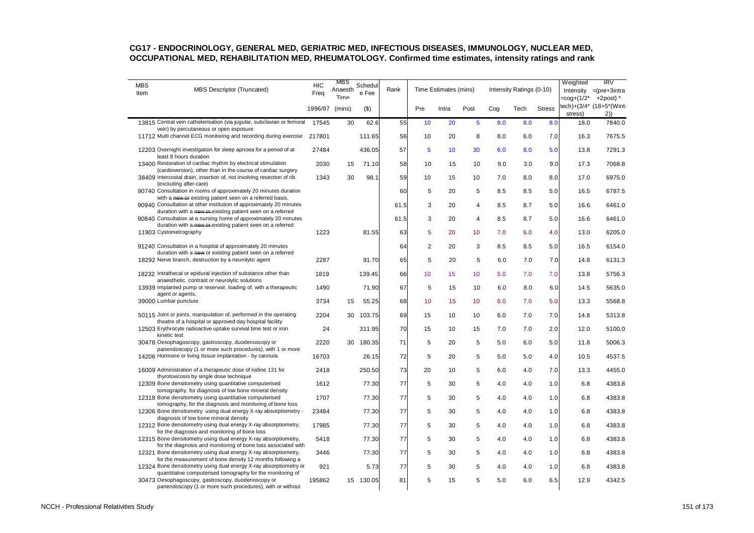| <b>MBS</b><br>Item | MBS Descriptor (Truncated)                                                                                                                                                                   | <b>HIC</b><br>Freq | MBS<br>Anaesth<br>Time | Schedul<br>e Fee | Rank |                | Time Estimates (mins) |             |                   | Intensity Ratings (0-10) |               | Weighted<br>=coq+(1/2* | IRV<br>Intensity =(pre+3intra<br>$+2$ post) $*$ |
|--------------------|----------------------------------------------------------------------------------------------------------------------------------------------------------------------------------------------|--------------------|------------------------|------------------|------|----------------|-----------------------|-------------|-------------------|--------------------------|---------------|------------------------|-------------------------------------------------|
|                    |                                                                                                                                                                                              | 1996/97 (mins)     |                        | $($ \$)          |      | Pre            | Intra                 | Post        | Cog               | Tech                     | <b>Stress</b> | stress)                | tech)+(3/4* (18+5*(Wint-<br>2)                  |
|                    | 13815 Central vein catheterisation (via jugular, subclavian or femoral<br>vein) by percutaneous or open exposure                                                                             | 17545              | 30                     | 62.6             | 55   | 10             | $\overline{20}$       | 5           | $\bar{8}.\bar{0}$ | $\bar{8}.\bar{0}$        | 8.0           | 18.0                   | 7840.0                                          |
|                    | 11712 Multi channel ECG monitoring and recording during exercise 217801                                                                                                                      |                    |                        | 111.65           | 56   | 10             | 20                    | 8           | 8.0               | 6.0                      | 7.0           | 16.3                   | 7675.5                                          |
|                    | 12203 Overnight investigation for sleep apnoea for a period of at<br>least 8 hours duration                                                                                                  | 27484              |                        | 436.05           | 57   | 5              | 10                    | 30          | 6.0               | 8.0                      | 5.0           | 13.8                   | 7291.3                                          |
|                    | 13400 Restoration of cardiac rhythm by electrical stimulation                                                                                                                                | 2030               | 15                     | 71.10            | 58   | 10             | 15                    | 10          | 9.0               | 3.0                      | 9.0           | 17.3                   | 7068.8                                          |
|                    | (cardioversion), other than in the course of cardiac surgery<br>38409 Intercostal drain, insertion of, not involving resection of rib<br>(excluding after-care)                              | 1343               | 30                     | 98.1             | 59   | 10             | 15                    | 10          | 7.0               | 8.0                      | 8.0           | 17.0                   | 6975.0                                          |
|                    | 90740 Consultation in rooms of approximately 20 minutes duration                                                                                                                             |                    |                        |                  | 60   | 5              | 20                    | 5           | 8.5               | 8.5                      | 5.0           | 16.5                   | 6787.5                                          |
|                    | with a new or existing patient seen on a referred basis.<br>90940 Consultation at other institution of approximately 20 minutes                                                              |                    |                        |                  | 61.5 | 3              | 20                    | 4           | 8.5               | 8.7                      | 5.0           | 16.6                   | 6461.0                                          |
|                    | duration with a new or existing patient seen on a referred<br>90840 Consultation at a nursing home of approximately 20 minutes<br>duration with a new or existing patient seen on a referred |                    |                        |                  | 61.5 | 3              | 20                    | 4           | 8.5               | 8.7                      | 5.0           | 16.6                   | 6461.0                                          |
|                    | 11903 Cystometrography                                                                                                                                                                       | 1223               |                        | 81.55            | 63   | 5              | 20                    | 10          | 7.0               | 6.0                      | 4.0           | 13.0                   | 6205.0                                          |
|                    | 91240 Consultation in a hospital of approximately 20 minutes<br>duration with a new or existing patient seen on a referred                                                                   |                    |                        |                  | 64   | $\overline{c}$ | 20                    | 3           | 8.5               | 8.5                      | 5.0           | 16.5                   | 6154.0                                          |
|                    | 18292 Nerve branch, destruction by a neurolytic agent                                                                                                                                        | 2287               |                        | 91.70            | 65   | 5              | 20                    | 5           | 6.0               | 7.0                      | 7.0           | 14.8                   | 6131.3                                          |
|                    | 18232 Intrathecal or epidural injection of substance other than<br>anaesthetic, contrast or neurolytic solutions                                                                             | 1819               |                        | 139.45           | 66   | 10             | 15                    | 10          | 5.0               | 7.0                      | 7.0           | 13.8                   | 5756.3                                          |
|                    | 13939 Implanted pump or reservoir, loading of, with a therapeutic<br>agent or agents,                                                                                                        | 1490               |                        | 71.90            | 67   | 5              | 15                    | 10          | 6.0               | 8.0                      | 6.0           | 14.5                   | 5635.0                                          |
|                    | 39000 Lumbar puncture                                                                                                                                                                        | 3734               | 15                     | 55.25            | 68   | 10             | 15                    | 10          | 6.0               | 7.0                      | 5.0           | 13.3                   | 5568.8                                          |
|                    | 50115 Joint or joints, manipulation of, performed in the operating<br>theatre of a hospital or approved day hospital facility                                                                | 2204               | 30                     | 103.75           | 69   | 15             | 10                    | 10          | 6.0               | 7.0                      | 7.0           | 14.8                   | 5313.8                                          |
|                    | 12503 Erythrocyte radioactive uptake survival time test or iron<br>kinetic test                                                                                                              | 24                 |                        | 311.95           | 70   | 15             | 10                    | 15          | 7.0               | 7.0                      | 2.0           | 12.0                   | 5100.0                                          |
|                    | 30478 Oesophagoscopy, gastroscopy, duodenoscopy or<br>panendoscopy (1 or more such procedures), with 1 or more                                                                               | 2220               | 30                     | 180.35           | 71   | 5              | 20                    | 5           | 5.0               | 6.0                      | 5.0           | 11.8                   | 5006.3                                          |
|                    | 14206 Hormone or living tissue implantation - by cannula                                                                                                                                     | 16703              |                        | 26.15            | 72   | 5              | 20                    | 5           | 5.0               | 5.0                      | 4.0           | 10.5                   | 4537.5                                          |
|                    | 16009 Administration of a therapeutic dose of lodine 131 for<br>thyrotoxicosis by single dose technique                                                                                      | 2418               |                        | 250.50           | 73   | 20             | 10                    | 5           | 6.0               | 4.0                      | 7.0           | 13.3                   | 4455.0                                          |
|                    | 12309 Bone densitometry using quantitative computerised<br>tomography, for diagnosis of low bone mineral density                                                                             | 1612               |                        | 77.30            | 77   | 5              | 30                    | 5           | 4.0               | 4.0                      | 1.0           | 6.8                    | 4383.8                                          |
|                    | 12318 Bone densitometry using quantitative computerised<br>tomography, for the diagnosis and monitoring of bone loss                                                                         | 1707               |                        | 77.30            | 77   | 5              | 30                    | $\mathbf 5$ | 4.0               | 4.0                      | 1.0           | 6.8                    | 4383.8                                          |
|                    | 12306 Bone densitometry using dual energy X-ray absorptiometry -<br>diagnosis of low bone mineral density                                                                                    | 23484              |                        | 77.30            | 77   | 5              | 30                    | 5           | 4.0               | 4.0                      | 1.0           | 6.8                    | 4383.8                                          |
|                    | 12312 Bone densitometry using dual energy X-ray absorptiometry,<br>for the diagnosis and monitoring of bone loss                                                                             | 17985              |                        | 77.30            | 77   | 5              | 30                    | 5           | 4.0               | 4.0                      | 1.0           | 6.8                    | 4383.8                                          |
|                    | 12315 Bone densitometry using dual energy X-ray absorptiometry,<br>for the diagnosis and monitoring of bone loss associated with                                                             | 5418               |                        | 77.30            | 77   | 5              | 30                    | 5           | 4.0               | 4.0                      | 1.0           | 6.8                    | 4383.8                                          |
|                    | 12321 Bone densitometry using dual energy X-ray absorptiometry,                                                                                                                              | 3446               |                        | 77.30            | 77   | 5              | 30                    | 5           | 4.0               | 4.0                      | 1.0           | 6.8                    | 4383.8                                          |
|                    | for the measurement of bone density 12 months following a<br>12324 Bone densitometry using dual energy X-ray absorptiometry or<br>quantitative computerised tomography for the monitoring of | 921                |                        | 5.73             | 77   | 5              | 30                    | 5           | 4.0               | 4.0                      | 1.0           | 6.8                    | 4383.8                                          |
|                    | 30473 Oesophagoscopy, gastroscopy, duodenoscopy or<br>panendoscopy (1 or more such procedures), with or without                                                                              | 195862             |                        | 15 130.05        | 81   | 5              | 15                    | 5           | 5.0               | 6.0                      | 6.5           | 12.9                   | 4342.5                                          |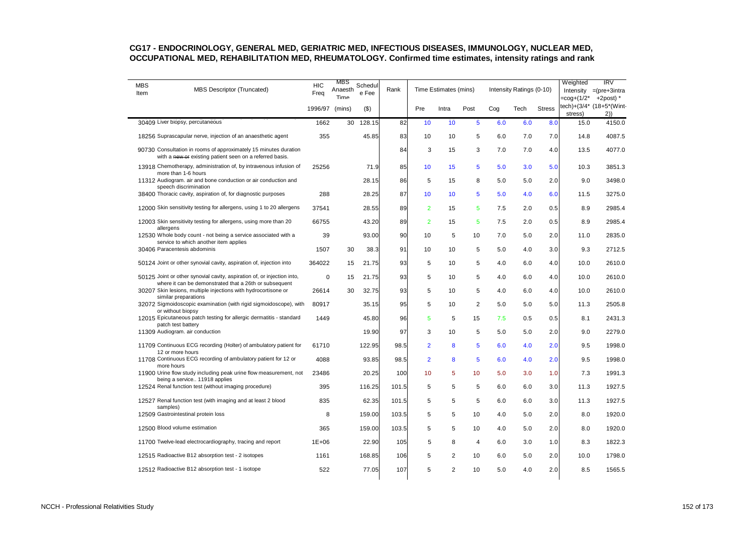| <b>MBS</b><br>Item | <b>MBS Descriptor (Truncated)</b>                                                                                                 | <b>HIC</b><br>Freq | MBS<br>Anaesth<br>Time | Schedul<br>e Fee | Rank  |                | Time Estimates (mins) |                |     | Intensity Ratings (0-10) |                  | Weighted | IRV<br>Intensity =(pre+3intra<br>$=$ cog+(1/2* +2post) * |
|--------------------|-----------------------------------------------------------------------------------------------------------------------------------|--------------------|------------------------|------------------|-------|----------------|-----------------------|----------------|-----|--------------------------|------------------|----------|----------------------------------------------------------|
|                    |                                                                                                                                   | 1996/97            | (mins)                 | $($ \$)          |       | Pre            | Intra                 | Post           | Cog | Tech                     | <b>Stress</b>    | stress)  | tech)+(3/4* (18+5*(Wint-<br>2)                           |
|                    | 30409 Liver biopsy, percutaneous                                                                                                  | 1662               | 30                     | 128.15           | 82    | 10             | $\overline{10}$       | $\overline{5}$ | 6.0 | 6.0                      | $\overline{8.0}$ | 15.0     | 4150.0                                                   |
|                    | 18256 Suprascapular nerve, injection of an anaesthetic agent                                                                      | 355                |                        | 45.85            | 83    | 10             | 10                    | 5              | 6.0 | 7.0                      | 7.0              | 14.8     | 4087.5                                                   |
|                    | 90730 Consultation in rooms of approximately 15 minutes duration<br>with a new or existing patient seen on a referred basis.      |                    |                        |                  | 84    | 3              | 15                    | 3              | 7.0 | 7.0                      | 4.0              | 13.5     | 4077.0                                                   |
|                    | 13918 Chemotherapy, administration of, by intravenous infusion of<br>more than 1-6 hours                                          | 25256              |                        | 71.9             | 85    | 10             | 15                    | 5              | 5.0 | 3.0                      | 5.0              | 10.3     | 3851.3                                                   |
|                    | 11312 Audiogram. air and bone conduction or air conduction and<br>speech discrimination                                           |                    |                        | 28.15            | 86    | 5              | 15                    | 8              | 5.0 | 5.0                      | 2.0              | 9.0      | 3498.0                                                   |
|                    | 38400 Thoracic cavity, aspiration of, for diagnostic purposes                                                                     | 288                |                        | 28.25            | 87    | 10             | 10                    | 5              | 5.0 | 4.0                      | 6.0              | 11.5     | 3275.0                                                   |
|                    | 12000 Skin sensitivity testing for allergens, using 1 to 20 allergens                                                             | 37541              |                        | 28.55            | 89    | $\overline{2}$ | 15                    | 5              | 7.5 | 2.0                      | 0.5              | 8.9      | 2985.4                                                   |
|                    | 12003 Skin sensitivity testing for allergens, using more than 20<br>allergens                                                     | 66755              |                        | 43.20            | 89    | $\overline{2}$ | 15                    | 5              | 7.5 | 2.0                      | 0.5              | 8.9      | 2985.4                                                   |
|                    | 12530 Whole body count - not being a service associated with a<br>service to which another item applies                           | 39                 |                        | 93.00            | 90    | 10             | 5                     | 10             | 7.0 | 5.0                      | 2.0              | 11.0     | 2835.0                                                   |
|                    | 30406 Paracentesis abdominis                                                                                                      | 1507               | 30                     | 38.3             | 91    | 10             | 10                    | 5              | 5.0 | 4.0                      | 3.0              | 9.3      | 2712.5                                                   |
|                    | 50124 Joint or other synovial cavity, aspiration of, injection into                                                               | 364022             | 15                     | 21.75            | 93    | 5              | 10                    | 5              | 4.0 | 6.0                      | 4.0              | 10.0     | 2610.0                                                   |
|                    | 50125 Joint or other synovial cavity, aspiration of, or injection into,<br>where it can be demonstrated that a 26th or subsequent | $\mathbf 0$        | 15                     | 21.75            | 93    | 5              | 10                    | 5              | 4.0 | 6.0                      | 4.0              | 10.0     | 2610.0                                                   |
|                    | 30207 Skin lesions, multiple injections with hydrocortisone or<br>similar preparations                                            | 26614              | 30                     | 32.75            | 93    | 5              | 10                    | 5              | 4.0 | 6.0                      | 4.0              | 10.0     | 2610.0                                                   |
|                    | 32072 Sigmoidoscopic examination (with rigid sigmoidoscope), with                                                                 | 80917              |                        | 35.15            | 95    | 5              | 10                    | 2              | 5.0 | 5.0                      | 5.0              | 11.3     | 2505.8                                                   |
|                    | or without biopsy<br>12015 Epicutaneous patch testing for allergic dermatitis - standard<br>patch test battery                    | 1449               |                        | 45.80            | 96    | 5              | 5                     | 15             | 7.5 | 0.5                      | 0.5              | 8.1      | 2431.3                                                   |
|                    | 11309 Audiogram. air conduction                                                                                                   |                    |                        | 19.90            | 97    | 3              | 10                    | 5              | 5.0 | 5.0                      | 2.0              | 9.0      | 2279.0                                                   |
|                    | 11709 Continuous ECG recording (Holter) of ambulatory patient for<br>12 or more hours                                             | 61710              |                        | 122.95           | 98.5  | $\overline{2}$ | 8                     | 5              | 6.0 | 4.0                      | 2.0              | 9.5      | 1998.0                                                   |
|                    | 11708 Continuous ECG recording of ambulatory patient for 12 or<br>more hours                                                      | 4088               |                        | 93.85            | 98.5  | $\overline{2}$ | 8                     | 5              | 6.0 | 4.0                      | 2.0              | 9.5      | 1998.0                                                   |
|                    | 11900 Urine flow study including peak urine flow measurement, not<br>being a service 11918 applies                                | 23486              |                        | 20.25            | 100   | 10             | 5                     | 10             | 5.0 | 3.0                      | 1.0              | 7.3      | 1991.3                                                   |
|                    | 12524 Renal function test (without imaging procedure)                                                                             | 395                |                        | 116.25           | 101.5 | 5              | 5                     | 5              | 6.0 | 6.0                      | 3.0              | 11.3     | 1927.5                                                   |
|                    | 12527 Renal function test (with imaging and at least 2 blood<br>samples)                                                          | 835                |                        | 62.35            | 101.5 | 5              | 5                     | 5              | 6.0 | 6.0                      | 3.0              | 11.3     | 1927.5                                                   |
|                    | 12509 Gastrointestinal protein loss                                                                                               | 8                  |                        | 159.00           | 103.5 | 5              | 5                     | 10             | 4.0 | 5.0                      | 2.0              | 8.0      | 1920.0                                                   |
|                    | 12500 Blood volume estimation                                                                                                     | 365                |                        | 159.00           | 103.5 | 5              | 5                     | 10             | 4.0 | 5.0                      | 2.0              | 8.0      | 1920.0                                                   |
|                    | 11700 Twelve-lead electrocardiography, tracing and report                                                                         | $1E + 06$          |                        | 22.90            | 105   | 5              | 8                     | 4              | 6.0 | 3.0                      | 1.0              | 8.3      | 1822.3                                                   |
|                    | 12515 Radioactive B12 absorption test - 2 isotopes                                                                                | 1161               |                        | 168.85           | 106   | 5              | $\overline{2}$        | 10             | 6.0 | 5.0                      | 2.0              | 10.0     | 1798.0                                                   |
|                    | 12512 Radioactive B12 absorption test - 1 isotope                                                                                 | 522                |                        | 77.05            | 107   | 5              | $\overline{2}$        | 10             | 5.0 | 4.0                      | 2.0              | 8.5      | 1565.5                                                   |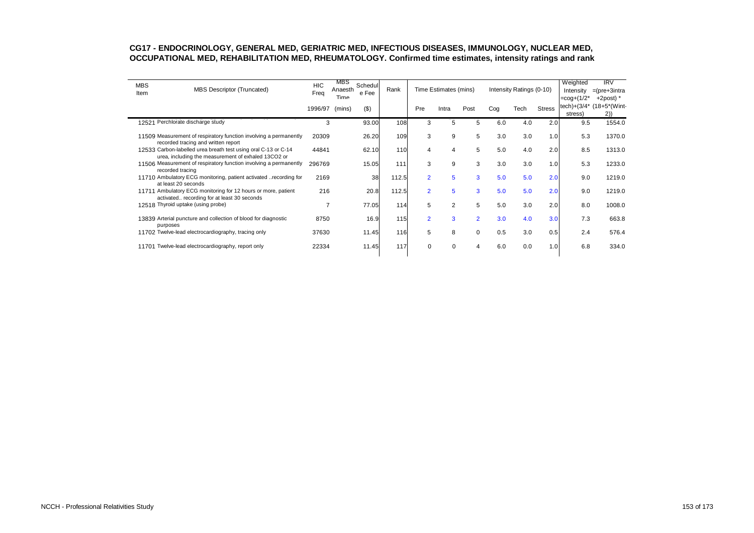| <b>MBS</b><br>Item | <b>MBS Descriptor (Truncated)</b>                                                                                     | <b>HIC</b><br>Freq | MBS<br>Anaesth<br>Time | Schedul<br>e Fee | Rank  |                | Time Estimates (mins) |                |     | Intensity Ratings (0-10)    |               | Weighted<br>Intensity<br>$=$ cog+ $(1/2^*)$ | IRV<br>$=$ (pre+3intra<br>$+2$ post) $*$ |
|--------------------|-----------------------------------------------------------------------------------------------------------------------|--------------------|------------------------|------------------|-------|----------------|-----------------------|----------------|-----|-----------------------------|---------------|---------------------------------------------|------------------------------------------|
|                    |                                                                                                                       | 1996/97            | (mins)                 | (3)              |       | Pre            | Intra                 | Post           | Cog | Tech                        | <b>Stress</b> | tech)+(3/4*<br>stress)                      | $(18+5^*(Wint$<br>2)                     |
|                    | 12521 Perchlorate discharge study                                                                                     | 3                  |                        | 93.00            | 108   | 3              | 5                     | 5              | 6.0 | $\overline{4}.\overline{0}$ | 2.0           | 9.5                                         | 1554.0                                   |
|                    | 11509 Measurement of respiratory function involving a permanently<br>recorded tracing and written report              | 20309              |                        | 26.20            | 109   | 3              | 9                     | 5              | 3.0 | 3.0                         | 1.0           | 5.3                                         | 1370.0                                   |
|                    | 12533 Carbon-labelled urea breath test using oral C-13 or C-14<br>urea, including the measurement of exhaled 13CO2 or | 44841              |                        | 62.10            | 110   | 4              | $\overline{4}$        | 5              | 5.0 | 4.0                         | 2.0           | 8.5                                         | 1313.0                                   |
|                    | 11506 Measurement of respiratory function involving a permanently<br>recorded tracing                                 | 296769             |                        | 15.05            | 111   | 3              | 9                     | 3              | 3.0 | 3.0                         | 1.0           | 5.3                                         | 1233.0                                   |
|                    | 11710 Ambulatory ECG monitoring, patient activated recording for<br>at least 20 seconds                               | 2169               |                        | 38               | 112.5 | $\overline{2}$ | 5                     | 3              | 5.0 | 5.0                         | 2.0           | 9.0                                         | 1219.0                                   |
|                    | 11711 Ambulatory ECG monitoring for 12 hours or more, patient<br>activated recording for at least 30 seconds          | 216                |                        | 20.8             | 112.5 | $\overline{2}$ | 5                     | 3              | 5.0 | 5.0                         | 2.0           | 9.0                                         | 1219.0                                   |
|                    | 12518 Thyroid uptake (using probe)                                                                                    | 7                  |                        | 77.05            | 114   | 5              | $\overline{2}$        | 5              | 5.0 | 3.0                         | 2.0           | 8.0                                         | 1008.0                                   |
| purposes           | 13839 Arterial puncture and collection of blood for diagnostic                                                        | 8750               |                        | 16.9             | 115   | $\overline{2}$ | $\overline{3}$        | $\overline{2}$ | 3.0 | 4.0                         | 3.0           | 7.3                                         | 663.8                                    |
|                    | 11702 Twelve-lead electrocardiography, tracing only                                                                   | 37630              |                        | 11.45            | 116   | 5              | 8                     | $\mathbf 0$    | 0.5 | 3.0                         | 0.5           | 2.4                                         | 576.4                                    |
|                    | 11701 Twelve-lead electrocardiography, report only                                                                    | 22334              |                        | 11.45            | 117   | $\Omega$       | $\Omega$              | 4              | 6.0 | 0.0                         | 1.0           | 6.8                                         | 334.0                                    |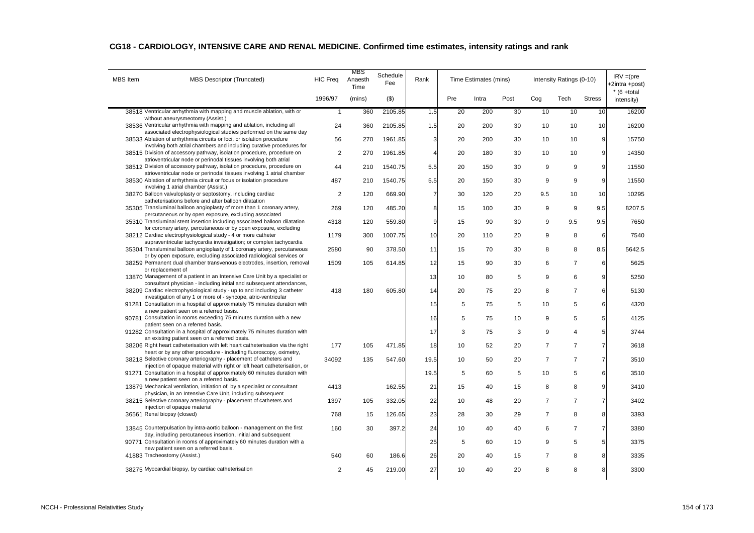| <b>MBS</b> Item | MBS Descriptor (Truncated)                                                                                                                      | <b>HIC Freq</b> | MBS<br>Anaesth<br>Time | Schedule<br>Fee | Rank           |     | Time Estimates (mins) |      |                | Intensity Ratings (0-10) |                  | $IRV = (pre$<br>E2intra +post) |
|-----------------|-------------------------------------------------------------------------------------------------------------------------------------------------|-----------------|------------------------|-----------------|----------------|-----|-----------------------|------|----------------|--------------------------|------------------|--------------------------------|
|                 |                                                                                                                                                 | 1996/97         | (mins)                 | $($ \$)         |                | Pre | Intra                 | Post | Cog            | Tech                     | <b>Stress</b>    | $*$ (6 +total<br>intensity)    |
|                 | 38518 Ventricular arrhythmia with mapping and muscle ablation, with or                                                                          | $\mathbf{1}$    | 360                    | 2105.85         | 1.5            | 20  | 200                   | 30   | 10             | 10                       | 10               | 16200                          |
|                 | without aneurysmeotomy (Assist.)<br>38536 Ventricular arrhythmia with mapping and ablation, including all                                       | 24              | 360                    | 2105.85         | 1.5            | 20  | 200                   | 30   | 10             | 10                       | 10               | 16200                          |
|                 | associated electrophysiological studies performed on the same day<br>38533 Ablation of arrhythmia circuits or foci, or isolation procedure      | 56              | 270                    | 1961.85         | 3              | 20  | 200                   | 30   | 10             | 10                       | 9                | 15750                          |
|                 | involving both atrial chambers and including curative procedures for                                                                            |                 |                        |                 |                |     |                       |      |                |                          |                  |                                |
|                 | 38515 Division of accessory pathway, isolation procedure, procedure on<br>atrioventricular node or perinodal tissues involving both atrial      | $\overline{2}$  | 270                    | 1961.85         | $\overline{4}$ | 20  | 180                   | 30   | 10             | 10                       | 9                | 14350                          |
|                 | 38512 Division of accessory pathway, isolation procedure, procedure on                                                                          | 44              | 210                    | 1540.75         | 5.5            | 20  | 150                   | 30   | 9              | 9                        | 9                | 11550                          |
|                 | atrioventricular node or perinodal tissues involving 1 atrial chamber<br>38530 Ablation of arrhythmia circuit or focus or isolation procedure   | 487             | 210                    | 1540.75         | 5.5            | 20  | 150                   | 30   | 9              | 9                        | 9                | 11550                          |
|                 | involving 1 atrial chamber (Assist.)                                                                                                            |                 |                        |                 |                |     |                       |      |                |                          |                  |                                |
|                 | 38270 Balloon valvuloplasty or septostomy, including cardiac<br>catheterisations before and after balloon dilatation                            | 2               | 120                    | 669.90          | $\overline{7}$ | 30  | 120                   | 20   | 9.5            | 10                       | 10               | 10295                          |
|                 | 35305 Transluminal balloon angioplasty of more than 1 coronary artery,<br>percutaneous or by open exposure, excluding associated                | 269             | 120                    | 485.20          | 8              | 15  | 100                   | 30   | 9              | 9                        | 9.5              | 8207.5                         |
|                 | 35310 Transluminal stent insertion including associated balloon dilatation                                                                      | 4318            | 120                    | 559.80          | 9              | 15  | 90                    | 30   | 9              | 9.5                      | 9.5              | 7650                           |
|                 | for coronary artery, percutaneous or by open exposure, excluding<br>38212 Cardiac electrophysiological study - 4 or more catheter               | 1179            | 300                    | 1007.75         | 10             | 20  | 110                   | 20   | 9              | 8                        | 6                | 7540                           |
|                 | supraventricular tachycardia investigation; or complex tachycardia                                                                              |                 |                        |                 |                |     |                       |      |                |                          |                  |                                |
|                 | 35304 Transluminal balloon angioplasty of 1 coronary artery, percutaneous<br>or by open exposure, excluding associated radiological services or | 2580            | 90                     | 378.50          | 11             | 15  | 70                    | 30   | 8              | 8                        | 8.5              | 5642.5                         |
|                 | 38259 Permanent dual chamber transvenous electrodes, insertion, removal                                                                         | 1509            | 105                    | 614.85          | 12             | 15  | 90                    | 30   | 6              | $\overline{7}$           | $6 \overline{6}$ | 5625                           |
|                 | or replacement of<br>13870 Management of a patient in an Intensive Care Unit by a specialist or                                                 |                 |                        |                 | 13             | 10  | 80                    | 5    | 9              | 6                        | 9                | 5250                           |
|                 | consultant physician - including initial and subsequent attendances,                                                                            |                 |                        |                 |                |     |                       |      |                |                          |                  |                                |
|                 | 38209 Cardiac electrophysiological study - up to and including 3 catheter<br>investigation of any 1 or more of - syncope, atrio-ventricular     | 418             | 180                    | 605.80          | 14             | 20  | 75                    | 20   | 8              | $\overline{7}$           | 6                | 5130                           |
|                 | 91281 Consultation in a hospital of approximately 75 minutes duration with                                                                      |                 |                        |                 | 15             | 5   | 75                    | 5    | 10             | 5                        | 6                | 4320                           |
|                 | a new patient seen on a referred basis.<br>90781 Consultation in rooms exceeding 75 minutes duration with a new                                 |                 |                        |                 | 16             | 5   | 75                    | 10   | 9              | 5                        | 5                | 4125                           |
|                 | patient seen on a referred basis.                                                                                                               |                 |                        |                 |                |     |                       |      |                |                          |                  |                                |
|                 | 91282 Consultation in a hospital of approximately 75 minutes duration with<br>an existing patient seen on a referred basis.                     |                 |                        |                 | 17             | 3   | 75                    | 3    | 9              | $\overline{4}$           | $5\phantom{.0}$  | 3744                           |
|                 | 38206 Right heart catheterisation with left heart catheterisation via the right                                                                 | 177             | 105                    | 471.85          | 18             | 10  | 52                    | 20   | $\overline{7}$ | $\overline{7}$           | $\overline{7}$   | 3618                           |
|                 | heart or by any other procedure - including fluoroscopy, oximetry,<br>38218 Selective coronary arteriography - placement of catheters and       | 34092           | 135                    | 547.60          | 19.5           | 10  | 50                    | 20   | $\overline{7}$ | $\overline{7}$           | $\overline{7}$   | 3510                           |
|                 | injection of opaque material with right or left heart catheterisation, or                                                                       |                 |                        |                 |                |     |                       |      |                |                          |                  |                                |
|                 | 91271 Consultation in a hospital of approximately 60 minutes duration with<br>a new patient seen on a referred basis.                           |                 |                        |                 | 19.5           | 5   | 60                    | 5    | 10             | 5                        | 6                | 3510                           |
|                 | 13879 Mechanical ventilation, initiation of, by a specialist or consultant                                                                      | 4413            |                        | 162.55          | 21             | 15  | 40                    | 15   | 8              | 8                        | 9                | 3410                           |
|                 | physician, in an Intensive Care Unit, including subsequent<br>38215 Selective coronary arteriography - placement of catheters and               | 1397            | 105                    | 332.05          | 22             | 10  | 48                    | 20   | $\overline{7}$ | $\overline{7}$           | $\overline{7}$   | 3402                           |
|                 | injection of opaque material                                                                                                                    |                 |                        |                 |                |     |                       |      |                |                          |                  |                                |
|                 | 36561 Renal biopsy (closed)                                                                                                                     | 768             | 15                     | 126.65          | 23             | 28  | 30                    | 29   | $\overline{7}$ | 8                        | 8                | 3393                           |
|                 | 13845 Counterpulsation by intra-aortic balloon - management on the first                                                                        | 160             | 30                     | 397.2           | 24             | 10  | 40                    | 40   | 6              | $\overline{7}$           | $\overline{7}$   | 3380                           |
|                 | day, including percutaneous insertion, initial and subsequent<br>90771 Consultation in rooms of approximately 60 minutes duration with a        |                 |                        |                 | 25             | 5   | 60                    | 10   | 9              | 5                        | 5 <sub>5</sub>   | 3375                           |
|                 | new patient seen on a referred basis.                                                                                                           |                 |                        |                 |                |     |                       |      |                |                          |                  |                                |
|                 | 41883 Tracheostomy (Assist.)                                                                                                                    | 540             | 60                     | 186.6           | 26             | 20  | 40                    | 15   | $\overline{7}$ | 8                        | 8                | 3335                           |
|                 | 38275 Myocardial biopsy, by cardiac catheterisation                                                                                             | $\overline{2}$  | 45                     | 219.00          | 27             | 10  | 40                    | 20   | 8              | 8                        | 8                | 3300                           |
|                 |                                                                                                                                                 |                 |                        |                 |                |     |                       |      |                |                          |                  |                                |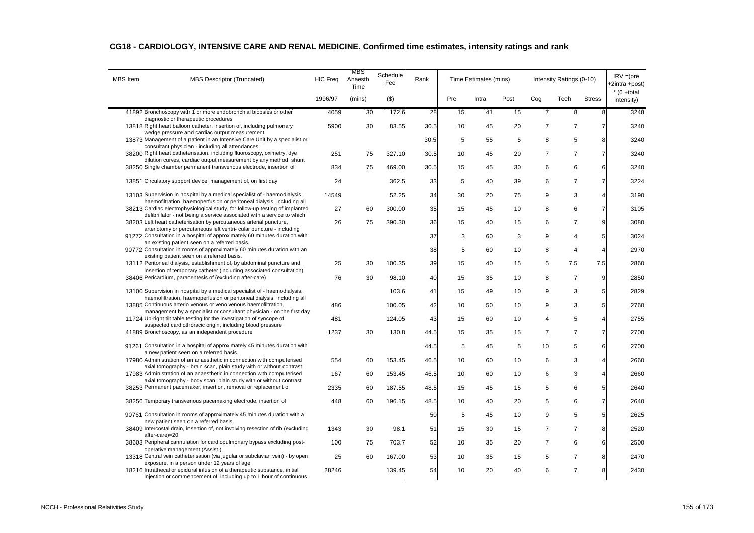| <b>MBS</b> Item | <b>MBS Descriptor (Truncated)</b>                                                                                                                                                               | <b>HIC Freq</b> | MBS<br>Anaesth<br>Time | Schedule<br>Fee | Rank |     | Time Estimates (mins) |      |                | Intensity Ratings (0-10) |                 | $IRV = (pre$<br>-2intra +post) |
|-----------------|-------------------------------------------------------------------------------------------------------------------------------------------------------------------------------------------------|-----------------|------------------------|-----------------|------|-----|-----------------------|------|----------------|--------------------------|-----------------|--------------------------------|
|                 |                                                                                                                                                                                                 | 1996/97         | (mins)                 | $($ \$)         |      | Pre | Intra                 | Post | Cog            | Tech                     | <b>Stress</b>   | $*$ (6 +total<br>intensity)    |
|                 | 41892 Bronchoscopy with 1 or more endobronchial biopsies or other<br>diagnostic or therapeutic procedures                                                                                       | 4059            | 30                     | 172.6           | 28   | 15  | 41                    | 15   | $\overline{7}$ | 8                        | 8               | 3248                           |
|                 | 13818 Right heart balloon catheter, insertion of, including pulmonary                                                                                                                           | 5900            | 30                     | 83.55           | 30.5 | 10  | 45                    | 20   | $\overline{7}$ | $\overline{7}$           | $\overline{7}$  | 3240                           |
|                 | wedge pressure and cardiac output measurement<br>13873 Management of a patient in an Intensive Care Unit by a specialist or                                                                     |                 |                        |                 | 30.5 | 5   | 55                    | 5    | 8              | 5                        | 8               | 3240                           |
|                 | consultant physician - including all attendances,<br>38200 Right heart catheterisation, including fluoroscopy, oximetry, dye                                                                    | 251             | 75                     | 327.10          | 30.5 | 10  | 45                    | 20   | $\overline{7}$ | $\overline{7}$           | $\overline{7}$  | 3240                           |
|                 | dilution curves, cardiac output measurement by any method, shunt<br>38250 Single chamber permanent transvenous electrode, insertion of                                                          | 834             | 75                     | 469.00          | 30.5 | 15  | 45                    | 30   | 6              | 6                        | 6               | 3240                           |
|                 | 13851 Circulatory support device, management of, on first day                                                                                                                                   | 24              |                        | 362.5           | 33   | 5   | 40                    | 39   | 6              | $\overline{7}$           | $\overline{7}$  | 3224                           |
|                 | 13103 Supervision in hospital by a medical specialist of - haemodialysis,                                                                                                                       | 14549           |                        | 52.25           | 34   | 30  | 20                    | 75   | 9              | 3                        | $\overline{4}$  | 3190                           |
|                 | haemofiltration, haemoperfusion or peritoneal dialysis, including all                                                                                                                           |                 |                        |                 |      |     |                       |      |                |                          |                 |                                |
|                 | 38213 Cardiac electrophysiological study, for follow-up testing of implanted<br>defibrillator - not being a service associated with a service to which                                          | 27              | 60                     | 300.00          | 35   | 15  | 45                    | 10   | 8              | 6                        | $\overline{7}$  | 3105                           |
|                 | 38203 Left heart catheterisation by percutaneous arterial puncture,<br>arteriotomy or percutaneous left ventri- cular puncture - including                                                      | 26              | 75                     | 390.30          | 36   | 15  | 40                    | 15   | 6              | $\overline{7}$           | 9               | 3080                           |
|                 | 91272 Consultation in a hospital of approximately 60 minutes duration with<br>an existing patient seen on a referred basis.                                                                     |                 |                        |                 | 37   | 3   | 60                    | 3    | 9              | 4                        | 5               | 3024                           |
|                 | 90772 Consultation in rooms of approximately 60 minutes duration with an<br>existing patient seen on a referred basis.                                                                          |                 |                        |                 | 38   | 5   | 60                    | 10   | 8              | $\overline{4}$           | $\overline{4}$  | 2970                           |
|                 | 13112 Peritoneal dialysis, establishment of, by abdominal puncture and                                                                                                                          | 25              | 30                     | 100.35          | 39   | 15  | 40                    | 15   | 5              | 7.5                      | 7.5             | 2860                           |
|                 | insertion of temporary catheter (including associated consultation)<br>38406 Pericardium, paracentesis of (excluding after-care)                                                                | 76              | 30                     | 98.10           | 40   | 15  | 35                    | 10   | 8              | $\overline{7}$           | 9               | 2850                           |
|                 | 13100 Supervision in hospital by a medical specialist of - haemodialysis,                                                                                                                       |                 |                        | 103.6           | 41   | 15  | 49                    | 10   | 9              | 3                        | 5               | 2829                           |
|                 | haemofiltration, haemoperfusion or peritoneal dialysis, including all<br>13885 Continuous arterio venous or veno venous haemofiltration,                                                        | 486             |                        | 100.05          | 42   | 10  | 50                    | 10   | 9              | 3                        | 5               | 2760                           |
|                 | management by a specialist or consultant physician - on the first day<br>11724 Up-right tilt table testing for the investigation of syncope of                                                  | 481             |                        | 124.05          | 43   | 15  | 60                    | 10   | 4              | 5                        | $\overline{4}$  | 2755                           |
|                 | suspected cardiothoracic origin, including blood pressure<br>41889 Bronchoscopy, as an independent procedure                                                                                    | 1237            | 30                     | 130.8           | 44.5 | 15  | 35                    | 15   | $\overline{7}$ | $\overline{7}$           | $\overline{7}$  | 2700                           |
|                 |                                                                                                                                                                                                 |                 |                        |                 |      |     |                       |      |                |                          |                 |                                |
|                 | 91261 Consultation in a hospital of approximately 45 minutes duration with<br>a new patient seen on a referred basis.                                                                           |                 |                        |                 | 44.5 | 5   | 45                    | 5    | 10             | 5                        | 6               | 2700                           |
|                 | 17980 Administration of an anaesthetic in connection with computerised<br>axial tomography - brain scan, plain study with or without contrast                                                   | 554             | 60                     | 153.45          | 46.5 | 10  | 60                    | 10   | 6              | 3                        | 4               | 2660                           |
|                 | 17983 Administration of an anaesthetic in connection with computerised<br>axial tomography - body scan, plain study with or without contrast                                                    | 167             | 60                     | 153.45          | 46.5 | 10  | 60                    | 10   | 6              | 3                        | $\overline{4}$  | 2660                           |
|                 | 38253 Permanent pacemaker, insertion, removal or replacement of                                                                                                                                 | 2335            | 60                     | 187.55          | 48.5 | 15  | 45                    | 15   | 5              | 6                        | 5               | 2640                           |
|                 | 38256 Temporary transvenous pacemaking electrode, insertion of                                                                                                                                  | 448             | 60                     | 196.15          | 48.5 | 10  | 40                    | 20   | 5              | 6                        | $\overline{7}$  | 2640                           |
|                 | 90761 Consultation in rooms of approximately 45 minutes duration with a<br>new patient seen on a referred basis.                                                                                |                 |                        |                 | 50   | 5   | 45                    | 10   | 9              | 5                        | $5\overline{)}$ | 2625                           |
|                 | 38409 Intercostal drain, insertion of, not involving resection of rib (excluding<br>after-care)=20                                                                                              | 1343            | 30                     | 98.1            | 51   | 15  | 30                    | 15   | $\overline{7}$ | $\overline{7}$           | 8               | 2520                           |
|                 | 38603 Peripheral cannulation for cardiopulmonary bypass excluding post-                                                                                                                         | 100             | 75                     | 703.7           | 52   | 10  | 35                    | 20   | $\overline{7}$ | 6                        | 6               | 2500                           |
|                 | operative management (Assist.)<br>13318 Central vein catheterisation (via jugular or subclavian vein) - by open                                                                                 | 25              | 60                     | 167.00          | 53   | 10  | 35                    | 15   | 5              | $\overline{7}$           | 8               | 2470                           |
|                 | exposure, in a person under 12 years of age<br>18216 Intrathecal or epidural infusion of a therapeutic substance, initial<br>injection or commencement of, including up to 1 hour of continuous | 28246           |                        | 139.45          | 54   | 10  | 20                    | 40   | 6              | $\overline{7}$           | 8               | 2430                           |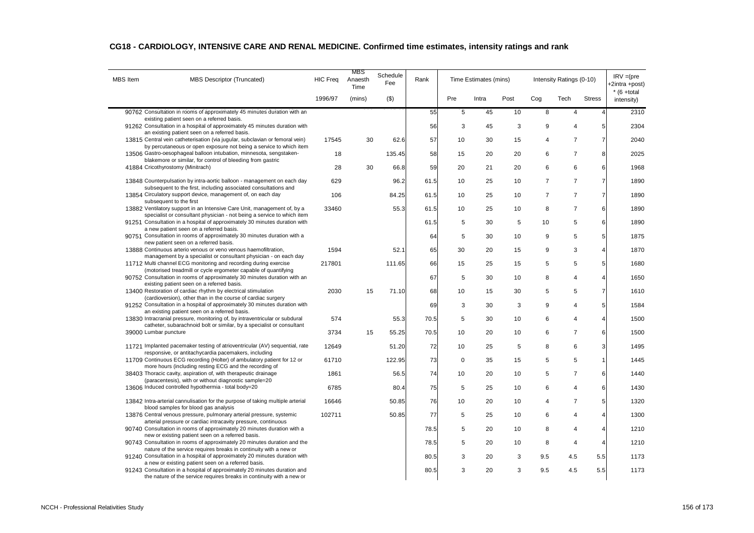| <b>MBS</b> Item | MBS Descriptor (Truncated)                                                                                                                                                                                | <b>HIC Freq</b> | MBS<br>Anaesth<br>Time | Schedule<br>Fee | Rank |             | Time Estimates (mins) |      |                | Intensity Ratings (0-10) |                         | $IRV = (pre$<br>+2intra +post) |
|-----------------|-----------------------------------------------------------------------------------------------------------------------------------------------------------------------------------------------------------|-----------------|------------------------|-----------------|------|-------------|-----------------------|------|----------------|--------------------------|-------------------------|--------------------------------|
|                 |                                                                                                                                                                                                           | 1996/97         | (mins)                 | $($ \$)         |      | Pre         | Intra                 | Post | Cog            | Tech                     | <b>Stress</b>           | $*$ (6 +total<br>intensity)    |
|                 | 90762 Consultation in rooms of approximately 45 minutes duration with an<br>existing patient seen on a referred basis.                                                                                    |                 |                        |                 | 55   | 5           | 45                    | 10   | 8              | $\overline{4}$           | $\overline{4}$          | 2310                           |
|                 | 91262 Consultation in a hospital of approximately 45 minutes duration with                                                                                                                                |                 |                        |                 | 56   | 3           | 45                    | 3    | 9              | 4                        | 5                       | 2304                           |
|                 | an existing patient seen on a referred basis.<br>13815 Central vein catheterisation (via jugular, subclavian or femoral vein)                                                                             | 17545           | 30                     | 62.6            | 57   | 10          | 30                    | 15   | 4              | $\overline{7}$           | $\overline{7}$          | 2040                           |
|                 | by percutaneous or open exposure not being a service to which item<br>13506 Gastro-oesophageal balloon intubation, minnesota, sengstaken-                                                                 | 18              |                        | 135.45          | 58   | 15          | 20                    | 20   | 6              | $\overline{7}$           | 8                       | 2025                           |
|                 | blakemore or similar, for control of bleeding from gastric<br>41884 Cricothyrostomy (Minitrach)                                                                                                           | 28              | 30                     | 66.8            | 59   | 20          | 21                    | 20   | 6              | 6                        | 6                       | 1968                           |
|                 | 13848 Counterpulsation by intra-aortic balloon - management on each day                                                                                                                                   | 629             |                        | 96.2            | 61.5 | 10          | 25                    | 10   | $\overline{7}$ | $\overline{7}$           | $\overline{7}$          | 1890                           |
|                 | subsequent to the first, including associated consultations and                                                                                                                                           |                 |                        |                 |      |             |                       |      |                |                          |                         |                                |
|                 | 13854 Circulatory support device, management of, on each day<br>subsequent to the first                                                                                                                   | 106             |                        | 84.25           | 61.5 | 10          | 25                    | 10   | $\overline{7}$ | $\overline{7}$           | $\overline{7}$          | 1890                           |
|                 | 13882 Ventilatory support in an Intensive Care Unit, management of, by a<br>specialist or consultant physician - not being a service to which item                                                        | 33460           |                        | 55.3            | 61.5 | 10          | 25                    | 10   | 8              | $\overline{7}$           | 6                       | 1890                           |
|                 | 91251 Consultation in a hospital of approximately 30 minutes duration with<br>a new patient seen on a referred basis.                                                                                     |                 |                        |                 | 61.5 | 5           | 30                    | 5    | 10             | 5                        | 6                       | 1890                           |
|                 | 90751 Consultation in rooms of approximately 30 minutes duration with a                                                                                                                                   |                 |                        |                 | 64   | 5           | 30                    | 10   | 9              | 5                        | 5                       | 1875                           |
|                 | new patient seen on a referred basis.<br>13888 Continuous arterio venous or veno venous haemofiltration,                                                                                                  | 1594            |                        | 52.1            | 65   | 30          | 20                    | 15   | 9              | 3                        | $\overline{a}$          | 1870                           |
|                 | management by a specialist or consultant physician - on each day<br>11712 Multi channel ECG monitoring and recording during exercise                                                                      | 217801          |                        | 111.65          | 66   | 15          | 25                    | 15   | 5              | 5                        | 5                       | 1680                           |
|                 | (motorised treadmill or cycle ergometer capable of quantifying<br>90752 Consultation in rooms of approximately 30 minutes duration with an                                                                |                 |                        |                 | 67   | 5           | 30                    | 10   | 8              | 4                        | $\overline{4}$          | 1650                           |
|                 | existing patient seen on a referred basis.<br>13400 Restoration of cardiac rhythm by electrical stimulation                                                                                               | 2030            | 15                     | 71.10           |      |             |                       |      | 5              | 5                        | $\overline{7}$          | 1610                           |
|                 | (cardioversion), other than in the course of cardiac surgery                                                                                                                                              |                 |                        |                 | 68   | 10          | 15                    | 30   |                |                          |                         |                                |
|                 | 91252 Consultation in a hospital of approximately 30 minutes duration with<br>an existing patient seen on a referred basis.                                                                               |                 |                        |                 | 69   | 3           | 30                    | 3    | 9              | 4                        | 5                       | 1584                           |
|                 | 13830 Intracranial pressure, monitoring of, by intraventricular or subdural<br>catheter, subarachnoid bolt or similar, by a specialist or consultant                                                      | 574             |                        | 55.3            | 70.5 | 5           | 30                    | 10   | 6              | 4                        | 4                       | 1500                           |
|                 | 39000 Lumbar puncture                                                                                                                                                                                     | 3734            | 15                     | 55.25           | 70.5 | 10          | 20                    | 10   | 6              | $\overline{7}$           | 6                       | 1500                           |
|                 | 11721 Implanted pacemaker testing of atrioventricular (AV) sequential, rate                                                                                                                               | 12649           |                        | 51.20           | 72   | 10          | 25                    | 5    | 8              | 6                        | 3                       | 1495                           |
|                 | responsive, or antitachycardia pacemakers, including<br>11709 Continuous ECG recording (Holter) of ambulatory patient for 12 or                                                                           | 61710           |                        | 122.95          | 73   | $\mathbf 0$ | 35                    | 15   | 5              | 5                        | $\overline{\mathbf{1}}$ | 1445                           |
|                 | more hours (including resting ECG and the recording of<br>38403 Thoracic cavity, aspiration of, with therapeutic drainage                                                                                 | 1861            |                        | 56.5            | 74   | 10          | 20                    | 10   | 5              | $\overline{7}$           | 6                       | 1440                           |
|                 | (paracentesis), with or without diagnostic sample=20<br>13606 Induced controlled hypothermia - total body=20                                                                                              | 6785            |                        | 80.4            | 75   | 5           | 25                    | 10   | 6              | 4                        | 6                       | 1430                           |
|                 | 13842 Intra-arterial cannulisation for the purpose of taking multiple arterial                                                                                                                            | 16646           |                        | 50.85           | 76   | 10          | 20                    | 10   | 4              | $\overline{7}$           | 5                       | 1320                           |
|                 | blood samples for blood gas analysis                                                                                                                                                                      |                 |                        |                 |      |             |                       |      |                |                          |                         |                                |
|                 | 13876 Central venous pressure, pulmonary arterial pressure, systemic<br>arterial pressure or cardiac intracavity pressure, continuous                                                                     | 102711          |                        | 50.85           | 77   | 5           | 25                    | 10   | 6              | 4                        | $\overline{a}$          | 1300                           |
|                 | 90740 Consultation in rooms of approximately 20 minutes duration with a<br>new or existing patient seen on a referred basis.                                                                              |                 |                        |                 | 78.5 | 5           | 20                    | 10   | 8              | 4                        | 4                       | 1210                           |
|                 | 90743 Consultation in rooms of approximately 20 minutes duration and the<br>nature of the service requires breaks in continuity with a new or                                                             |                 |                        |                 | 78.5 | 5           | 20                    | 10   | 8              | 4                        | $\overline{4}$          | 1210                           |
|                 | 91240 Consultation in a hospital of approximately 20 minutes duration with                                                                                                                                |                 |                        |                 | 80.5 | 3           | 20                    | 3    | 9.5            | 4.5                      | 5.5                     | 1173                           |
|                 | a new or existing patient seen on a referred basis.<br>91243 Consultation in a hospital of approximately 20 minutes duration and<br>the nature of the service requires breaks in continuity with a new or |                 |                        |                 | 80.5 | 3           | 20                    | 3    | 9.5            | 4.5                      | 5.5                     | 1173                           |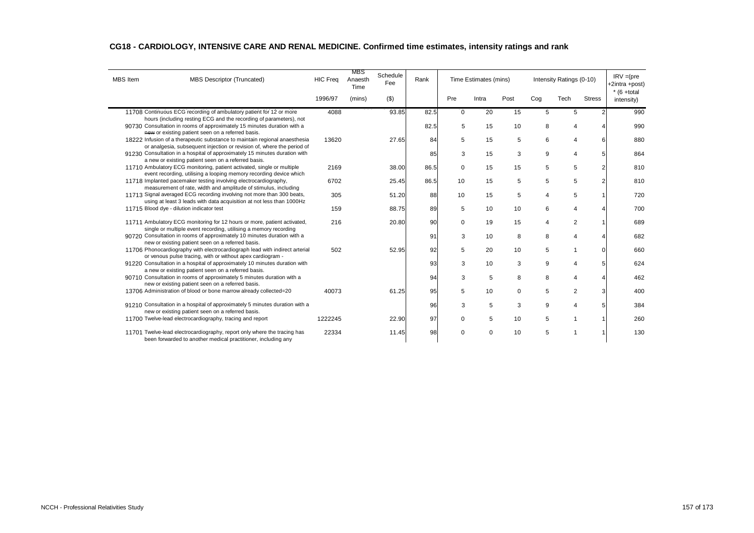| <b>MBS</b> Item | <b>MBS Descriptor (Truncated)</b>                                                                                                                    | <b>HIC Freq</b> | MBS<br>Anaesth<br>Time | Schedule<br>Fee | Rank |             | Time Estimates (mins) |          |     | Intensity Ratings (0-10) |                | $IRV = (pre$<br>+2intra +post)<br>$*$ (6 +total |
|-----------------|------------------------------------------------------------------------------------------------------------------------------------------------------|-----------------|------------------------|-----------------|------|-------------|-----------------------|----------|-----|--------------------------|----------------|-------------------------------------------------|
|                 |                                                                                                                                                      | 1996/97         | (mins)                 | $($ \$)         |      | Pre         | Intra                 | Post     | Cog | Tech                     | <b>Stress</b>  | intensity)                                      |
|                 | 11708 Continuous ECG recording of ambulatory patient for 12 or more<br>hours (including resting ECG and the recording of parameters), not            | 4088            |                        | 93.85           | 82.5 | $\mathbf 0$ | 20                    | 15       | 5   | 5                        |                | 990                                             |
|                 | 90730 Consultation in rooms of approximately 15 minutes duration with a<br>new or existing patient seen on a referred basis.                         |                 |                        |                 | 82.5 | 5           | 15                    | 10       | 8   | 4                        |                | 990                                             |
|                 | 18222 Infusion of a therapeutic substance to maintain regional anaesthesia<br>or analgesia, subsequent injection or revision of, where the period of | 13620           |                        | 27.65           | 84   | 5           | 15                    | 5        | 6   | 4                        | 6              | 880                                             |
|                 | 91230 Consultation in a hospital of approximately 15 minutes duration with<br>a new or existing patient seen on a referred basis.                    |                 |                        |                 | 85   | 3           | 15                    | 3        | 9   | 4                        | 5              | 864                                             |
|                 | 11710 Ambulatory ECG monitoring, patient activated, single or multiple<br>event recording, utilising a looping memory recording device which         | 2169            |                        | 38.00           | 86.5 | $\mathbf 0$ | 15                    | 15       | 5   | 5                        | $\overline{2}$ | 810                                             |
|                 | 11718 Implanted pacemaker testing involving electrocardiography,<br>measurement of rate, width and amplitude of stimulus, including                  | 6702            |                        | 25.45           | 86.5 | 10          | 15                    | 5        | 5   | 5                        | 2              | 810                                             |
|                 | 11713 Signal averaged ECG recording involving not more than 300 beats,<br>using at least 3 leads with data acquisition at not less than 1000Hz       | 305             |                        | 51.20           | 88   | 10          | 15                    | 5        | 4   | 5                        |                | 720                                             |
|                 | 11715 Blood dye - dilution indicator test                                                                                                            | 159             |                        | 88.75           | 89   | 5           | 10                    | 10       | 6   | 4                        |                | 700                                             |
|                 | 11711 Ambulatory ECG monitoring for 12 hours or more, patient activated,<br>single or multiple event recording, utilising a memory recording         | 216             |                        | 20.80           | 90   | $\Omega$    | 19                    | 15       | 4   | 2                        |                | 689                                             |
|                 | 90720 Consultation in rooms of approximately 10 minutes duration with a<br>new or existing patient seen on a referred basis.                         |                 |                        |                 | 91   | 3           | 10                    | 8        | 8   | 4                        |                | 682                                             |
|                 | 11706 Phonocardiography with electrocardiograph lead with indirect arterial<br>or venous pulse tracing, with or without apex cardiogram -            | 502             |                        | 52.95           | 92   | 5           | 20                    | 10       | 5   |                          | $\Omega$       | 660                                             |
|                 | 91220 Consultation in a hospital of approximately 10 minutes duration with<br>a new or existing patient seen on a referred basis.                    |                 |                        |                 | 93   | 3           | 10                    | 3        | 9   | Δ                        | 5              | 624                                             |
|                 | 90710 Consultation in rooms of approximately 5 minutes duration with a<br>new or existing patient seen on a referred basis.                          |                 |                        |                 | 94   | 3           | 5                     | 8        | 8   | 4                        |                | 462                                             |
|                 | 13706 Administration of blood or bone marrow already collected=20                                                                                    | 40073           |                        | 61.25           | 95   | 5           | 10                    | $\Omega$ | 5   | $\overline{2}$           | 3              | 400                                             |
|                 | 91210 Consultation in a hospital of approximately 5 minutes duration with a<br>new or existing patient seen on a referred basis.                     |                 |                        |                 | 96   | 3           | 5                     | 3        | 9   | 4                        | 5              | 384                                             |
|                 | 11700 Twelve-lead electrocardiography, tracing and report                                                                                            | 1222245         |                        | 22.90           | 97   | $\mathbf 0$ | 5                     | 10       | 5   |                          |                | 260                                             |
|                 | 11701 Twelve-lead electrocardiography, report only where the tracing has<br>been forwarded to another medical practitioner, including any            | 22334           |                        | 11.45           | 98   | $\Omega$    | $\Omega$              | 10       | 5   |                          |                | 130                                             |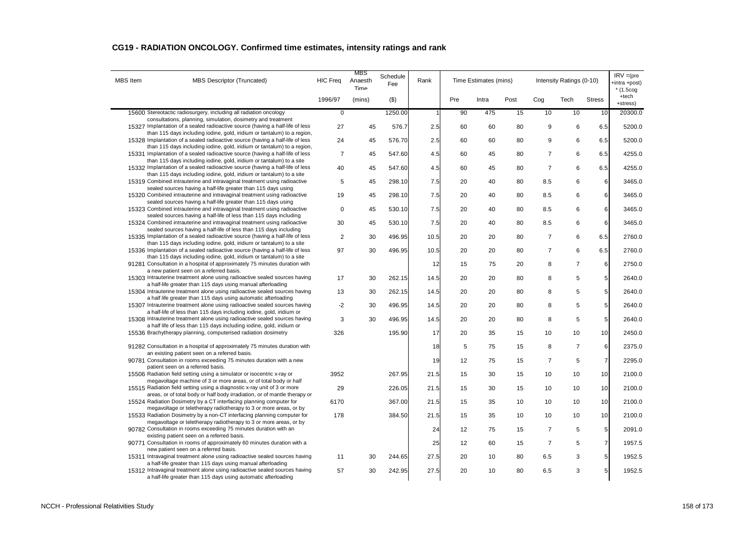| <b>MBS</b> Item | <b>MBS Descriptor (Truncated)</b>                                                                                                                        | <b>HIC Freq</b> | MBS<br>Anaesth<br>Time | Schedule<br>Fee | Rank |     | Time Estimates (mins) |      |                | Intensity Ratings (0-10) |                 | $IRV = (pre$<br>+intra +post)<br>$*$ (1.5cog |
|-----------------|----------------------------------------------------------------------------------------------------------------------------------------------------------|-----------------|------------------------|-----------------|------|-----|-----------------------|------|----------------|--------------------------|-----------------|----------------------------------------------|
|                 |                                                                                                                                                          | 1996/97         | (mins)                 | $($ \$)         |      | Pre | Intra                 | Post | Cog            | Tech                     | <b>Stress</b>   | +tech<br>+stress)                            |
|                 | 15600 Stereotactic radiosurgery, including all radiation oncology<br>consultations, planning, simulation, dosimetry and treatment                        | $\mathsf 0$     |                        | 1250.00         |      | 90  | 475                   | 15   | 10             | 10                       | 10              | 20300.0                                      |
|                 | 15327 Implantation of a sealed radioactive source (having a half-life of less<br>than 115 days including iodine, gold, iridium or tantalum) to a region, | 27              | 45                     | 576.7           | 2.5  | 60  | 60                    | 80   | 9              | 6                        | 6.5             | 5200.0                                       |
|                 | 15328 Implantation of a sealed radioactive source (having a half-life of less                                                                            | 24              | 45                     | 576.70          | 2.5  | 60  | 60                    | 80   | 9              | 6                        | 6.5             | 5200.0                                       |
|                 | than 115 days including iodine, gold, iridium or tantalum) to a region,<br>15331 Implantation of a sealed radioactive source (having a half-life of less | $\overline{7}$  | 45                     | 547.60          | 4.5  | 60  | 45                    | 80   | $\overline{7}$ | 6                        | 6.5             | 4255.0                                       |
|                 | than 115 days including iodine, gold, iridium or tantalum) to a site<br>15332 Implantation of a sealed radioactive source (having a half-life of less    | 40              | 45                     | 547.60          | 4.5  | 60  | 45                    | 80   | $\overline{7}$ | 6                        | 6.5             | 4255.0                                       |
|                 | than 115 days including iodine, gold, iridium or tantalum) to a site<br>15319 Combined intrauterine and intravaginal treatment using radioactive         | 5               | 45                     | 298.10          | 7.5  | 20  | 40                    | 80   | 8.5            | 6                        | 6               | 3465.0                                       |
|                 | sealed sources having a half-life greater than 115 days using<br>15320 Combined intrauterine and intravaginal treatment using radioactive                | 19              | 45                     | 298.10          | 7.5  | 20  | 40                    | 80   | 8.5            | 6                        | 6               | 3465.0                                       |
|                 | sealed sources having a half-life greater than 115 days using<br>15323 Combined intrauterine and intravaginal treatment using radioactive                | $\mathbf 0$     | 45                     | 530.10          | 7.5  | 20  | 40                    | 80   | 8.5            | 6                        | 6               | 3465.0                                       |
|                 | sealed sources having a half-life of less than 115 days including<br>15324 Combined intrauterine and intravaginal treatment using radioactive            | 30              | 45                     | 530.10          | 7.5  | 20  | 40                    | 80   | 8.5            | 6                        | 6               | 3465.0                                       |
|                 | sealed sources having a half-life of less than 115 days including<br>15335 Implantation of a sealed radioactive source (having a half-life of less       | $\overline{2}$  | 30                     | 496.95          | 10.5 | 20  | 20                    | 80   | $\overline{7}$ | 6                        | 6.5             | 2760.0                                       |
|                 | than 115 days including iodine, gold, iridium or tantalum) to a site<br>15336 Implantation of a sealed radioactive source (having a half-life of less    | 97              | 30                     | 496.95          | 10.5 | 20  | 20                    | 80   | $\overline{7}$ | 6                        | 6.5             | 2760.0                                       |
|                 | than 115 days including iodine, gold, iridium or tantalum) to a site<br>91281 Consultation in a hospital of approximately 75 minutes duration with       |                 |                        |                 | 12   | 15  | 75                    | 20   | 8              | $\overline{7}$           | 6               | 2750.0                                       |
|                 | a new patient seen on a referred basis.                                                                                                                  |                 |                        |                 |      |     |                       |      |                | 5                        |                 |                                              |
|                 | 15303 Intrauterine treatment alone using radioactive sealed sources having<br>a half-life greater than 115 days using manual afterloading                | 17              | 30                     | 262.15          | 14.5 | 20  | 20                    | 80   | 8              |                          | 5               | 2640.0                                       |
|                 | 15304 Intrauterine treatment alone using radioactive sealed sources having<br>a half life greater than 115 days using automatic afterloading             | 13              | 30                     | 262.15          | 14.5 | 20  | 20                    | 80   | 8              | 5                        | 5               | 2640.0                                       |
|                 | 15307 Intrauterine treatment alone using radioactive sealed sources having<br>a half-life of less than 115 days including iodine, gold, iridium or       | $-2$            | 30                     | 496.95          | 14.5 | 20  | 20                    | 80   | 8              | 5                        | 5               | 2640.0                                       |
|                 | 15308 Intrauterine treatment alone using radioactive sealed sources having<br>a half life of less than 115 days including iodine, gold, iridium or       | 3               | 30                     | 496.95          | 14.5 | 20  | 20                    | 80   | 8              | 5                        | 5               | 2640.0                                       |
|                 | 15536 Brachytherapy planning, computerised radiation dosimetry                                                                                           | 326             |                        | 195.90          | 17   | 20  | 35                    | 15   | 10             | 10                       | 10              | 2450.0                                       |
|                 | 91282 Consultation in a hospital of approximately 75 minutes duration with<br>an existing patient seen on a referred basis.                              |                 |                        |                 | 18   | 5   | 75                    | 15   | 8              | $\overline{7}$           | 6               | 2375.0                                       |
|                 | 90781 Consultation in rooms exceeding 75 minutes duration with a new<br>patient seen on a referred basis.                                                |                 |                        |                 | 19   | 12  | 75                    | 15   | $\overline{7}$ | $\sqrt{5}$               | $\overline{7}$  | 2295.0                                       |
|                 | 15506 Radiation field setting using a simulator or isocentric x-ray or                                                                                   | 3952            |                        | 267.95          | 21.5 | 15  | 30                    | 15   | 10             | 10                       | 10              | 2100.0                                       |
|                 | megavoltage machine of 3 or more areas, or of total body or half<br>15515 Radiation field setting using a diagnostic x-ray unit of 3 or more             | 29              |                        | 226.05          | 21.5 | 15  | 30                    | 15   | 10             | 10                       | 10              | 2100.0                                       |
|                 | areas, or of total body or half body irradiation, or of mantle therapy or<br>15524 Radiation Dosimetry by a CT interfacing planning computer for         | 6170            |                        | 367.00          | 21.5 | 15  | 35                    | 10   | 10             | 10                       | 10              | 2100.0                                       |
|                 | megavoltage or teletherapy radiotherapy to 3 or more areas, or by<br>15533 Radiation Dosimetry by a non-CT interfacing planning computer for             | 178             |                        | 384.50          | 21.5 | 15  | 35                    | 10   | 10             | 10                       | 10              | 2100.0                                       |
|                 | megavoltage or teletherapy radiotherapy to 3 or more areas, or by<br>90782 Consultation in rooms exceeding 75 minutes duration with an                   |                 |                        |                 | 24   | 12  | 75                    | 15   | $\overline{7}$ | 5                        | 5               | 2091.0                                       |
|                 | existing patient seen on a referred basis.<br>90771 Consultation in rooms of approximately 60 minutes duration with a                                    |                 |                        |                 | 25   | 12  | 60                    | 15   | $\overline{7}$ | 5                        | $\overline{7}$  | 1957.5                                       |
|                 | new patient seen on a referred basis.<br>15311 Intravaginal treatment alone using radioactive sealed sources having                                      | 11              | 30                     | 244.65          | 27.5 | 20  | 10                    | 80   | 6.5            | 3                        | $5\overline{)}$ | 1952.5                                       |
|                 | a half-life greater than 115 days using manual afterloading<br>15312 Intravaginal treatment alone using radioactive sealed sources having                | 57              | 30                     | 242.95          | 27.5 | 20  | 10                    | 80   | 6.5            | 3                        | 5 <sub>5</sub>  | 1952.5                                       |
|                 | a half-life greater than 115 days using automatic afterloading                                                                                           |                 |                        |                 |      |     |                       |      |                |                          |                 |                                              |

# **CG19 - RADIATION ONCOLOGY. Confirmed time estimates, intensity ratings and rank**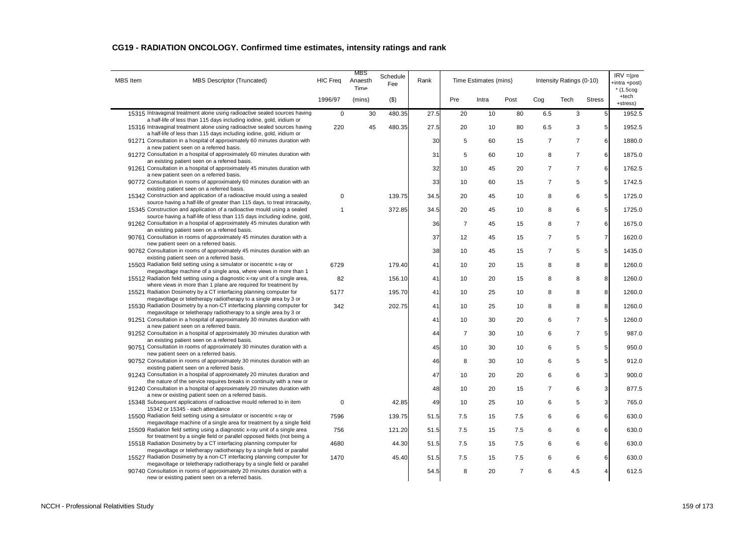| CG19 - RADIATION ONCOLOGY. Confirmed time estimates, intensity ratings and rank |  |  |
|---------------------------------------------------------------------------------|--|--|
|---------------------------------------------------------------------------------|--|--|

| <b>MBS</b> Item | <b>MBS Descriptor (Truncated)</b>                                                                                                                                                                                          | <b>HIC Freq</b> | MBS<br>Anaesth<br>Time | Schedule<br>Fee | Rank |                | Time Estimates (mins) |                |                | Intensity Ratings (0-10) |                 | $IRV = (pre$<br>+intra +post)<br>$*(1.5cog$ |
|-----------------|----------------------------------------------------------------------------------------------------------------------------------------------------------------------------------------------------------------------------|-----------------|------------------------|-----------------|------|----------------|-----------------------|----------------|----------------|--------------------------|-----------------|---------------------------------------------|
|                 |                                                                                                                                                                                                                            | 1996/97         | (mins)                 | (3)             |      | Pre            | Intra                 | Post           | Cog            | Tech                     | <b>Stress</b>   | +tech<br>+stress)                           |
|                 | 15315 Intravaginal treatment alone using radioactive sealed sources having                                                                                                                                                 | $\mathbf 0$     | 30                     | 480.35          | 27.5 | 20             | 10                    | 80             | 6.5            | 3                        | $5\phantom{.0}$ | 1952.5                                      |
|                 | a half-life of less than 115 days including iodine, gold, iridium or<br>15316 Intravaginal treatment alone using radioactive sealed sources having<br>a half-life of less than 115 days including iodine, gold, iridium or | 220             | 45                     | 480.35          | 27.5 | 20             | 10                    | 80             | 6.5            | 3                        | $5\phantom{.0}$ | 1952.5                                      |
|                 | 91271 Consultation in a hospital of approximately 60 minutes duration with<br>a new patient seen on a referred basis.                                                                                                      |                 |                        |                 | 30   | 5              | 60                    | 15             | $\overline{7}$ | $\overline{7}$           | 6               | 1880.0                                      |
|                 | 91272 Consultation in a hospital of approximately 60 minutes duration with                                                                                                                                                 |                 |                        |                 | 31   | 5              | 60                    | 10             | 8              | $\overline{7}$           | 6               | 1875.0                                      |
|                 | an existing patient seen on a referred basis.<br>91261 Consultation in a hospital of approximately 45 minutes duration with<br>a new patient seen on a referred basis.                                                     |                 |                        |                 | 32   | 10             | 45                    | 20             | $\overline{7}$ | $\overline{7}$           | 6               | 1762.5                                      |
|                 | 90772 Consultation in rooms of approximately 60 minutes duration with an                                                                                                                                                   |                 |                        |                 | 33   | 10             | 60                    | 15             | $\overline{7}$ | 5                        | $\sqrt{5}$      | 1742.5                                      |
|                 | existing patient seen on a referred basis.<br>15342 Construction and application of a radioactive mould using a sealed<br>source having a half-life of greater than 115 days, to treat intracavity,                        | $\mathbf 0$     |                        | 139.75          | 34.5 | 20             | 45                    | 10             | 8              | 6                        | 5               | 1725.0                                      |
|                 | 15345 Construction and application of a radioactive mould using a sealed                                                                                                                                                   | 1               |                        | 372.85          | 34.5 | 20             | 45                    | 10             | 8              | 6                        | $\sqrt{5}$      | 1725.0                                      |
|                 | source having a half-life of less than 115 days including iodine, gold,<br>91262 Consultation in a hospital of approximately 45 minutes duration with                                                                      |                 |                        |                 | 36   | $\overline{7}$ | 45                    | 15             | 8              | $\overline{7}$           | 6               | 1675.0                                      |
|                 | an existing patient seen on a referred basis.<br>90761 Consultation in rooms of approximately 45 minutes duration with a                                                                                                   |                 |                        |                 | 37   | 12             | 45                    | 15             | $\overline{7}$ | 5                        | $\overline{7}$  | 1620.0                                      |
|                 | new patient seen on a referred basis.<br>90762 Consultation in rooms of approximately 45 minutes duration with an                                                                                                          |                 |                        |                 | 38   | 10             | 45                    | 15             | $\overline{7}$ | 5                        | 5               | 1435.0                                      |
|                 | existing patient seen on a referred basis.<br>15503 Radiation field setting using a simulator or isocentric x-ray or                                                                                                       | 6729            |                        | 179.40          | 41   | 10             | 20                    | 15             | 8              | 8                        | 8               | 1260.0                                      |
|                 | megavoltage machine of a single area, where views in more than 1<br>15512 Radiation field setting using a diagnostic x-ray unit of a single area,                                                                          | 82              |                        | 156.10          | 41   | 10             | 20                    | 15             | 8              | 8                        | 8               | 1260.0                                      |
|                 | where views in more than 1 plane are required for treatment by<br>15521 Radiation Dosimetry by a CT interfacing planning computer for                                                                                      | 5177            |                        | 195.70          | 41   | 10             | 25                    | 10             | 8              | 8                        | 8               | 1260.0                                      |
|                 | megavoltage or teletherapy radiotherapy to a single area by 3 or<br>15530 Radiation Dosimetry by a non-CT interfacing planning computer for                                                                                | 342             |                        | 202.75          | 41   | 10             | 25                    | 10             | 8              | 8                        | 8               | 1260.0                                      |
|                 | megavoltage or teletherapy radiotherapy to a single area by 3 or<br>91251 Consultation in a hospital of approximately 30 minutes duration with                                                                             |                 |                        |                 | 41   | 10             | 30                    | 20             | 6              | $\overline{7}$           | 5               | 1260.0                                      |
|                 | a new patient seen on a referred basis.<br>91252 Consultation in a hospital of approximately 30 minutes duration with                                                                                                      |                 |                        |                 | 44   | $\overline{7}$ | 30                    | 10             | 6              | $\overline{7}$           | $\sqrt{5}$      | 987.0                                       |
|                 | an existing patient seen on a referred basis.<br>90751 Consultation in rooms of approximately 30 minutes duration with a                                                                                                   |                 |                        |                 | 45   | 10             | 30                    | 10             | 6              | 5                        | $5\overline{)}$ | 950.0                                       |
|                 | new patient seen on a referred basis.<br>90752 Consultation in rooms of approximately 30 minutes duration with an                                                                                                          |                 |                        |                 | 46   | 8              | 30                    | 10             | 6              | 5                        | $5\overline{)}$ | 912.0                                       |
|                 | existing patient seen on a referred basis.<br>91243 Consultation in a hospital of approximately 20 minutes duration and                                                                                                    |                 |                        |                 | 47   | 10             | 20                    | 20             | 6              | 6                        | 3               | 900.0                                       |
|                 | the nature of the service requires breaks in continuity with a new or<br>91240 Consultation in a hospital of approximately 20 minutes duration with                                                                        |                 |                        |                 | 48   | 10             | 20                    | 15             | $\overline{7}$ | 6                        | 3               | 877.5                                       |
|                 | a new or existing patient seen on a referred basis.<br>15348 Subsequent applications of radioactive mould referred to in item                                                                                              | $\mathbf 0$     |                        | 42.85           | 49   | 10             | 25                    | 10             | 6              | 5                        | $\mathbf{3}$    | 765.0                                       |
|                 | 15342 or 15345 - each attendance<br>15500 Radiation field setting using a simulator or isocentric x-ray or<br>megavoltage machine of a single area for treatment by a single field                                         | 7596            |                        | 139.75          | 51.5 | 7.5            | 15                    | 7.5            | 6              | 6                        | 6               | 630.0                                       |
|                 | 15509 Radiation field setting using a diagnostic x-ray unit of a single area<br>for treatment by a single field or parallel opposed fields (not being a                                                                    | 756             |                        | 121.20          | 51.5 | 7.5            | 15                    | 7.5            | 6              | 6                        | 6               | 630.0                                       |
|                 | 15518 Radiation Dosimetry by a CT interfacing planning computer for<br>megavoltage or teletherapy radiotherapy by a single field or parallel                                                                               | 4680            |                        | 44.30           | 51.5 | 7.5            | 15                    | 7.5            | 6              | 6                        | 6               | 630.0                                       |
|                 | 15527 Radiation Dosimetry by a non-CT interfacing planning computer for<br>megavoltage or teletherapy radiotherapy by a single field or parallel                                                                           | 1470            |                        | 45.40           | 51.5 | 7.5            | 15                    | 7.5            | 6              | 6                        | 6               | 630.0                                       |
|                 | 90740 Consultation in rooms of approximately 20 minutes duration with a<br>new or existing patient seen on a referred basis.                                                                                               |                 |                        |                 | 54.5 | 8              | 20                    | $\overline{7}$ | 6              | 4.5                      | $\overline{4}$  | 612.5                                       |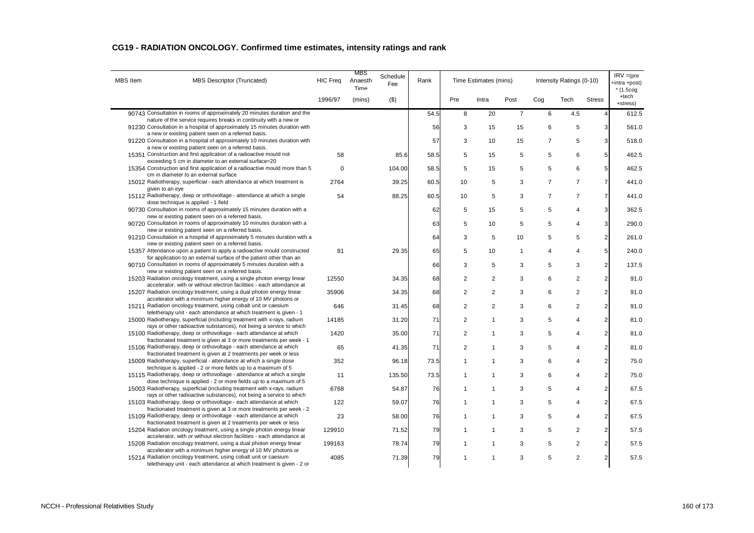| CG19 - RADIATION ONCOLOGY. Confirmed time estimates, intensity ratings and rank |  |  |
|---------------------------------------------------------------------------------|--|--|
|---------------------------------------------------------------------------------|--|--|

| <b>MBS</b> Item | <b>MBS Descriptor (Truncated)</b>                                                                                                                                                                         | <b>HIC Freq</b> | <b>MBS</b><br>Anaesth<br>Time | Schedule<br>Fee | Rank |                | Time Estimates (mins) |                |                | Intensity Ratings (0-10) |                 | $IRV = (pre$<br>+intra +post)<br>$*$ (1.5cog |
|-----------------|-----------------------------------------------------------------------------------------------------------------------------------------------------------------------------------------------------------|-----------------|-------------------------------|-----------------|------|----------------|-----------------------|----------------|----------------|--------------------------|-----------------|----------------------------------------------|
|                 |                                                                                                                                                                                                           | 1996/97         | (mins)                        | $($ \$)         |      | Pre            | Intra                 | Post           | Cog            | Tech                     | <b>Stress</b>   | +tech<br>+stress)                            |
|                 | 90743 Consultation in rooms of approximately 20 minutes duration and the<br>nature of the service requires breaks in continuity with a new or                                                             |                 |                               |                 | 54.5 | 8              | 20                    | $\overline{7}$ | 6              | 4.5                      | $\overline{4}$  | 612.5                                        |
|                 | 91230 Consultation in a hospital of approximately 15 minutes duration with<br>a new or existing patient seen on a referred basis.                                                                         |                 |                               |                 | 56   | 3              | 15                    | 15             | 6              | 5                        | 3               | 561.0                                        |
|                 | 91220 Consultation in a hospital of approximately 10 minutes duration with<br>a new or existing patient seen on a referred basis.                                                                         |                 |                               |                 | 57   | 3              | 10                    | 15             | $\overline{7}$ | 5                        | $\overline{3}$  | 518.0                                        |
|                 | 15351 Construction and first application of a radioactive mould not<br>exceeding 5 cm in diameter to an external surface=20                                                                               | 58              |                               | 85.6            | 58.5 | 5              | 15                    | 5              | 5              | 6                        | $5\overline{)}$ | 462.5                                        |
|                 | 15354 Construction and first application of a radioactive mould more than 5<br>cm in diameter to an external surface                                                                                      | $\mathbf 0$     |                               | 104.00          | 58.5 | 5              | 15                    | 5              | 5              | 6                        | $5\phantom{.0}$ | 462.5                                        |
|                 | 15012 Radiotherapy, superficial - each attendance at which treatment is<br>given to an eye                                                                                                                | 2764            |                               | 39.25           | 60.5 | 10             | 5                     | 3              | $\overline{7}$ | $\overline{7}$           | $\overline{7}$  | 441.0                                        |
|                 | 15112 Radiotherapy, deep or orthovoltage - attendance at which a single<br>dose technique is applied - 1 field                                                                                            | 54              |                               | 88.25           | 60.5 | 10             | 5                     | 3              | $\overline{7}$ | $\overline{7}$           | $\overline{7}$  | 441.0                                        |
|                 | 90730 Consultation in rooms of approximately 15 minutes duration with a                                                                                                                                   |                 |                               |                 | 62   | 5              | 15                    | 5              | 5              | $\overline{4}$           | 3               | 362.5                                        |
|                 | new or existing patient seen on a referred basis.<br>90720 Consultation in rooms of approximately 10 minutes duration with a                                                                              |                 |                               |                 | 63   | 5              | 10                    | 5              | 5              | $\overline{4}$           | $\overline{3}$  | 290.0                                        |
|                 | new or existing patient seen on a referred basis.<br>91210 Consultation in a hospital of approximately 5 minutes duration with a                                                                          |                 |                               |                 | 64   | 3              | 5                     | 10             | 5              | 5                        | $\overline{2}$  | 261.0                                        |
|                 | new or existing patient seen on a referred basis.<br>15357 Attendance upon a patient to apply a radioactive mould constructed                                                                             | 81              |                               | 29.35           | 65   | 5              | 10                    | 1              | 4              | $\overline{4}$           | $5\overline{)}$ | 240.0                                        |
|                 | for application to an external surface of the patient other than an<br>90710 Consultation in rooms of approximately 5 minutes duration with a                                                             |                 |                               |                 | 66   | 3              | 5                     | 3              | 5              | 3                        | $\overline{2}$  | 137.5                                        |
|                 | new or existing patient seen on a referred basis.<br>15203 Radiation oncology treatment, using a single photon energy linear                                                                              | 12550           |                               | 34.35           | 68   | $\overline{2}$ | $\overline{2}$        | 3              | 6              | 2                        | $\overline{2}$  | 91.0                                         |
|                 | accelerator, with or without electron facilities - each attendance at<br>15207 Radiation oncology treatment, using a dual photon energy linear                                                            | 35906           |                               | 34.35           | 68   | $\overline{2}$ | $\overline{c}$        | 3              | 6              | 2                        | $\overline{2}$  | 91.0                                         |
|                 | accelerator with a minimum higher energy of 10 MV photons or<br>15211 Radiation oncology treatment, using cobalt unit or caesium                                                                          | 646             |                               | 31.45           | 68   | $\overline{2}$ | $\sqrt{2}$            | 3              | 6              | $\overline{2}$           | $\overline{a}$  | 91.0                                         |
|                 | teletherapy unit - each attendance at which treatment is given - 1<br>15000 Radiotherapy, superficial (including treatment with x-rays, radium                                                            | 14185           |                               | 31.20           | 71   | $\overline{2}$ | $\mathbf{1}$          | 3              | 5              | $\overline{4}$           | $\overline{2}$  | 81.0                                         |
|                 | rays or other radioactive substances), not being a service to which<br>15100 Radiotherapy, deep or orthovoltage - each attendance at which                                                                | 1420            |                               | 35.00           | 71   | $\overline{2}$ | 1                     | 3              | 5              | $\overline{4}$           | $\overline{2}$  | 81.0                                         |
|                 | fractionated treatment is given at 3 or more treatments per week - 1<br>15106 Radiotherapy, deep or orthovoltage - each attendance at which                                                               | 65              |                               | 41.35           | 71   | $\overline{2}$ | $\mathbf{1}$          | 3              | 5              | $\overline{4}$           | $\overline{2}$  | 81.0                                         |
|                 | fractionated treatment is given at 2 treatments per week or less<br>15009 Radiotherapy, superficial - attendance at which a single dose                                                                   | 352             |                               | 96.18           | 73.5 | $\mathbf{1}$   | $\mathbf{1}$          | 3              | 6              | $\overline{4}$           | $\overline{2}$  | 75.0                                         |
|                 | technique is applied - 2 or more fields up to a maximum of 5<br>15115 Radiotherapy, deep or orthovoltage - attendance at which a single                                                                   | 11              |                               | 135.50          | 73.5 | $\mathbf{1}$   | $\mathbf{1}$          | 3              | 6              | $\overline{4}$           | $\overline{2}$  | 75.0                                         |
|                 | dose technique is applied - 2 or more fields up to a maximum of 5<br>15003 Radiotherapy, superficial (including treatment with x-rays, radium                                                             | 6768            |                               | 54.87           | 76   | $\mathbf{1}$   | $\mathbf{1}$          | 3              | 5              | $\overline{4}$           | $\overline{2}$  | 67.5                                         |
|                 | rays or other radioactive substances), not being a service to which<br>15103 Radiotherapy, deep or orthovoltage - each attendance at which                                                                | 122             |                               | 59.07           | 76   | $\mathbf{1}$   | $\mathbf{1}$          | 3              | 5              | $\overline{4}$           | $\overline{2}$  | 67.5                                         |
|                 | fractionated treatment is given at 3 or more treatments per week - 2<br>15109 Radiotherapy, deep or orthovoltage - each attendance at which                                                               | 23              |                               | 58.00           | 76   | $\mathbf{1}$   | 1                     | 3              | 5              | $\overline{4}$           | $\overline{2}$  | 67.5                                         |
|                 | fractionated treatment is given at 2 treatments per week or less<br>15204 Radiation oncology treatment, using a single photon energy linear                                                               | 129910          |                               | 71.52           | 79   | 1              | $\mathbf 1$           | 3              | 5              | $\overline{2}$           | $\overline{a}$  | 57.5                                         |
|                 | accelerator, with or without electron facilities - each attendance at<br>15208 Radiation oncology treatment, using a dual photon energy linear                                                            | 199163          |                               | 78.74           | 79   | $\mathbf{1}$   | 1                     | 3              | 5              | $\overline{2}$           | $\overline{2}$  | 57.5                                         |
|                 | accelerator with a minimum higher energy of 10 MV photons or<br>15214 Radiation oncology treatment, using cobalt unit or caesium<br>teletherapy unit - each attendance at which treatment is given - 2 or | 4085            |                               | 71.39           | 79   | $\mathbf{1}$   | $\mathbf{1}$          | 3              | 5              | 2                        | $\overline{2}$  | 57.5                                         |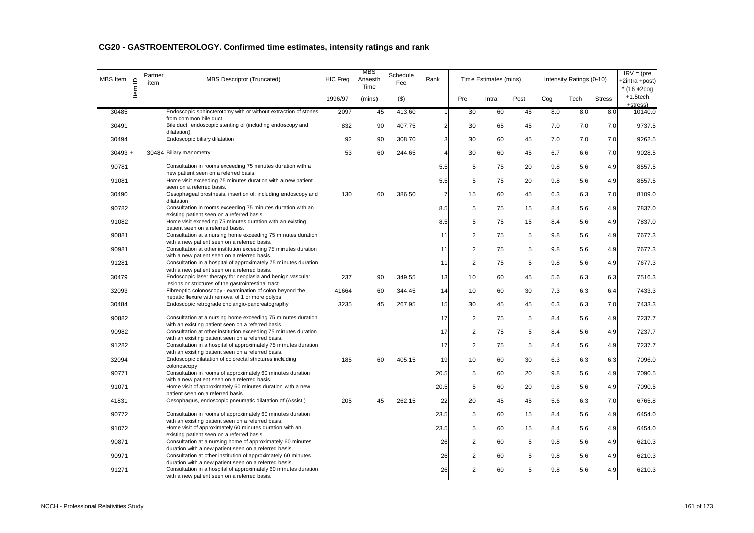| MBS Item  | $\mathbf{r}$ | Partner<br>item | MBS Descriptor (Truncated)                                                                                                                                               | <b>HIC Freq</b> | MBS<br>Anaesth<br>Time | Schedule<br>Fee | Rank           |                | Time Estimates (mins) |      |     | Intensity Ratings (0-10) |               | $IRV = (pre$<br>+2intra +post)<br>$*$ (16 +2cog |
|-----------|--------------|-----------------|--------------------------------------------------------------------------------------------------------------------------------------------------------------------------|-----------------|------------------------|-----------------|----------------|----------------|-----------------------|------|-----|--------------------------|---------------|-------------------------------------------------|
|           | ltem         |                 |                                                                                                                                                                          | 1996/97         | (mins)                 | $($ \$)         |                | Pre            | Intra                 | Post | Cog | Tech                     | <b>Stress</b> | $+1.5$ tech<br>+stress)                         |
| 30485     |              |                 | Endoscopic sphincterotomy with or without extraction of stones<br>from common bile duct                                                                                  | 2097            | 45                     | 413.60          | 1              | 30             | 60                    | 45   | 8.0 | 8.0                      | 8.0           | 10140.0                                         |
| 30491     |              |                 | Bile duct, endoscopic stenting of (including endoscopy and<br>dilatation)                                                                                                | 832             | 90                     | 407.75          | $\overline{a}$ | 30             | 65                    | 45   | 7.0 | 7.0                      | 7.0           | 9737.5                                          |
| 30494     |              |                 | Endoscopic biliary dilatation                                                                                                                                            | 92              | 90                     | 308.70          | 3              | 30             | 60                    | 45   | 7.0 | 7.0                      | 7.0           | 9262.5                                          |
| $30493 +$ |              |                 | 30484 Biliary manometry                                                                                                                                                  | 53              | 60                     | 244.65          | $\overline{4}$ | 30             | 60                    | 45   | 6.7 | 6.6                      | 7.0           | 9028.5                                          |
| 90781     |              |                 | Consultation in rooms exceeding 75 minutes duration with a<br>new patient seen on a referred basis.                                                                      |                 |                        |                 | 5.5            | 5              | 75                    | 20   | 9.8 | 5.6                      | 4.9           | 8557.5                                          |
| 91081     |              |                 | Home visit exceeding 75 minutes duration with a new patient<br>seen on a referred basis.                                                                                 |                 |                        |                 | 5.5            | 5              | 75                    | 20   | 9.8 | 5.6                      | 4.9           | 8557.5                                          |
| 30490     |              |                 | Oesophageal prosthesis, insertion of, including endoscopy and<br>dilatation                                                                                              | 130             | 60                     | 386.50          | $\overline{7}$ | 15             | 60                    | 45   | 6.3 | 6.3                      | 7.0           | 8109.0                                          |
| 90782     |              |                 | Consultation in rooms exceeding 75 minutes duration with an<br>existing patient seen on a referred basis.                                                                |                 |                        |                 | 8.5            | 5              | 75                    | 15   | 8.4 | 5.6                      | 4.9           | 7837.0                                          |
| 91082     |              |                 | Home visit exceeding 75 minutes duration with an existing<br>patient seen on a referred basis.                                                                           |                 |                        |                 | 8.5            | 5              | 75                    | 15   | 8.4 | 5.6                      | 4.9           | 7837.0                                          |
| 90881     |              |                 | Consultation at a nursing home exceeding 75 minutes duration<br>with a new patient seen on a referred basis.                                                             |                 |                        |                 | 11             | $\overline{2}$ | 75                    | 5    | 9.8 | 5.6                      | 4.9           | 7677.3                                          |
| 90981     |              |                 | Consultation at other institution exceeding 75 minutes duration<br>with a new patient seen on a referred basis.                                                          |                 |                        |                 | 11             | 2              | 75                    | 5    | 9.8 | 5.6                      | 4.9           | 7677.3                                          |
| 91281     |              |                 | Consultation in a hospital of approximately 75 minutes duration<br>with a new patient seen on a referred basis.                                                          |                 |                        |                 | 11             | 2              | 75                    | 5    | 9.8 | 5.6                      | 4.9           | 7677.3                                          |
| 30479     |              |                 | Endoscopic laser therapy for neoplasia and benign vascular                                                                                                               | 237             | 90                     | 349.55          | 13             | 10             | 60                    | 45   | 5.6 | 6.3                      | 6.3           | 7516.3                                          |
| 32093     |              |                 | lesions or strictures of the gastrointestinal tract<br>Fibreoptic colonoscopy - examination of colon beyond the                                                          | 41664           | 60                     | 344.45          | 14             | 10             | 60                    | 30   | 7.3 | 6.3                      | 6.4           | 7433.3                                          |
| 30484     |              |                 | hepatic flexure with removal of 1 or more polyps<br>Endoscopic retrograde cholangio-pancreatography                                                                      | 3235            | 45                     | 267.95          | 15             | 30             | 45                    | 45   | 6.3 | 6.3                      | 7.0           | 7433.3                                          |
| 90882     |              |                 | Consultation at a nursing home exceeding 75 minutes duration<br>with an existing patient seen on a referred basis.                                                       |                 |                        |                 | 17             | 2              | 75                    | 5    | 8.4 | 5.6                      | 4.9           | 7237.7                                          |
| 90982     |              |                 | Consultation at other institution exceeding 75 minutes duration<br>with an existing patient seen on a referred basis.                                                    |                 |                        |                 | 17             | $\overline{2}$ | 75                    | 5    | 8.4 | 5.6                      | 4.9           | 7237.7                                          |
| 91282     |              |                 | Consultation in a hospital of approximately 75 minutes duration<br>with an existing patient seen on a referred basis.                                                    |                 |                        |                 | 17             | $\sqrt{2}$     | 75                    | 5    | 8.4 | 5.6                      | 4.9           | 7237.7                                          |
| 32094     |              |                 | Endoscopic dilatation of colorectal strictures including<br>colonoscopy                                                                                                  | 185             | 60                     | 405.15          | 19             | 10             | 60                    | 30   | 6.3 | 6.3                      | 6.3           | 7096.0                                          |
| 90771     |              |                 | Consultation in rooms of approximately 60 minutes duration<br>with a new patient seen on a referred basis.                                                               |                 |                        |                 | 20.5           | 5              | 60                    | 20   | 9.8 | 5.6                      | 4.9           | 7090.5                                          |
| 91071     |              |                 | Home visit of approximately 60 minutes duration with a new<br>patient seen on a referred basis.                                                                          |                 |                        |                 | 20.5           | 5              | 60                    | 20   | 9.8 | 5.6                      | 4.9           | 7090.5                                          |
| 41831     |              |                 | Oesophagus, endoscopic pneumatic dilatation of (Assist.)                                                                                                                 | 205             | 45                     | 262.15          | 22             | 20             | 45                    | 45   | 5.6 | 6.3                      | 7.0           | 6765.8                                          |
| 90772     |              |                 | Consultation in rooms of approximately 60 minutes duration<br>with an existing patient seen on a referred basis.                                                         |                 |                        |                 | 23.5           | 5              | 60                    | 15   | 8.4 | 5.6                      | 4.9           | 6454.0                                          |
| 91072     |              |                 | Home visit of approximately 60 minutes duration with an                                                                                                                  |                 |                        |                 | 23.5           | 5              | 60                    | 15   | 8.4 | 5.6                      | 4.9           | 6454.0                                          |
| 90871     |              |                 | existing patient seen on a referred basis.<br>Consultation at a nursing home of approximately 60 minutes                                                                 |                 |                        |                 | 26             | $\overline{2}$ | 60                    | 5    | 9.8 | 5.6                      | 4.9           | 6210.3                                          |
| 90971     |              |                 | duration with a new patient seen on a referred basis.<br>Consultation at other institution of approximately 60 minutes                                                   |                 |                        |                 | 26             | $\overline{2}$ | 60                    | 5    | 9.8 | 5.6                      | 4.9           | 6210.3                                          |
| 91271     |              |                 | duration with a new patient seen on a referred basis.<br>Consultation in a hospital of approximately 60 minutes duration<br>with a new patient seen on a referred basis. |                 |                        |                 | 26             | $\overline{2}$ | 60                    | 5    | 9.8 | 5.6                      | 4.9           | 6210.3                                          |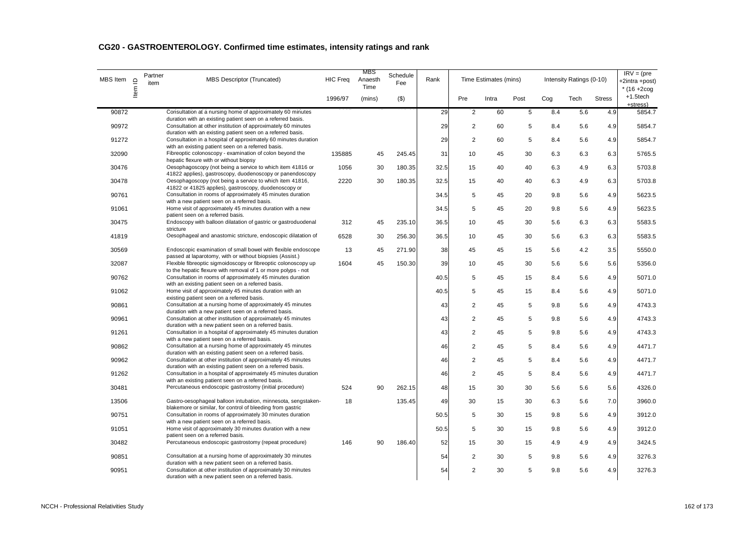| MBS Item | $\mathbf{\underline{o}}$<br>Item | Partner<br>item | <b>MBS Descriptor (Truncated)</b>                                                                                                                                                           | <b>HIC Freq</b> | MBS<br>Anaesth<br>Time | Schedule<br>Fee | Rank |                | Time Estimates (mins) |      |     | Intensity Ratings (0-10) |               | $IRV = (pre$<br>+2intra +post)<br>$*(16 + 2cog$ |
|----------|----------------------------------|-----------------|---------------------------------------------------------------------------------------------------------------------------------------------------------------------------------------------|-----------------|------------------------|-----------------|------|----------------|-----------------------|------|-----|--------------------------|---------------|-------------------------------------------------|
|          |                                  |                 |                                                                                                                                                                                             | 1996/97         | (mins)                 | $($ \$          |      | Pre            | Intra                 | Post | Cog | Tech                     | <b>Stress</b> | $+1.5$ tech<br>+stress)                         |
| 90872    |                                  |                 | Consultation at a nursing home of approximately 60 minutes                                                                                                                                  |                 |                        |                 | 29   | $\overline{c}$ | 60                    | 5    | 8.4 | 5.6                      | 4.9           | 5854.7                                          |
| 90972    |                                  |                 | duration with an existing patient seen on a referred basis.<br>Consultation at other institution of approximately 60 minutes<br>duration with an existing patient seen on a referred basis. |                 |                        |                 | 29   | $\overline{c}$ | 60                    | 5    | 8.4 | 5.6                      | 4.9           | 5854.7                                          |
| 91272    |                                  |                 | Consultation in a hospital of approximately 60 minutes duration<br>with an existing patient seen on a referred basis.                                                                       |                 |                        |                 | 29   | $\overline{c}$ | 60                    | 5    | 8.4 | 5.6                      | 4.9           | 5854.7                                          |
| 32090    |                                  |                 | Fibreoptic colonoscopy - examination of colon beyond the<br>hepatic flexure with or without biopsy                                                                                          | 135885          | 45                     | 245.45          | 31   | 10             | 45                    | 30   | 6.3 | 6.3                      | 6.3           | 5765.5                                          |
| 30476    |                                  |                 | Oesophagoscopy (not being a service to which item 41816 or<br>41822 applies), gastroscopy, duodenoscopy or panendoscopy                                                                     | 1056            | 30                     | 180.35          | 32.5 | 15             | 40                    | 40   | 6.3 | 4.9                      | 6.3           | 5703.8                                          |
| 30478    |                                  |                 | Oesophagoscopy (not being a service to which item 41816,<br>41822 or 41825 applies), gastroscopy, duodenoscopy or                                                                           | 2220            | 30                     | 180.35          | 32.5 | 15             | 40                    | 40   | 6.3 | 4.9                      | 6.3           | 5703.8                                          |
| 90761    |                                  |                 | Consultation in rooms of approximately 45 minutes duration<br>with a new patient seen on a referred basis.                                                                                  |                 |                        |                 | 34.5 | 5              | 45                    | 20   | 9.8 | 5.6                      | 4.9           | 5623.5                                          |
| 91061    |                                  |                 | Home visit of approximately 45 minutes duration with a new<br>patient seen on a referred basis.                                                                                             |                 |                        |                 | 34.5 | 5              | 45                    | 20   | 9.8 | 5.6                      | 4.9           | 5623.5                                          |
| 30475    |                                  |                 | Endoscopy with balloon dilatation of gastric or gastroduodenal<br>stricture                                                                                                                 | 312             | 45                     | 235.10          | 36.5 | 10             | 45                    | 30   | 5.6 | 6.3                      | 6.3           | 5583.5                                          |
| 41819    |                                  |                 | Oesophageal and anastomic stricture, endoscopic dilatation of                                                                                                                               | 6528            | 30                     | 256.30          | 36.5 | 10             | 45                    | 30   | 5.6 | 6.3                      | 6.3           | 5583.5                                          |
| 30569    |                                  |                 | Endoscopic examination of small bowel with flexible endoscope<br>passed at laparotomy, with or without biopsies (Assist.)                                                                   | 13              | 45                     | 271.90          | 38   | 45             | 45                    | 15   | 5.6 | 4.2                      | 3.5           | 5550.0                                          |
| 32087    |                                  |                 | Flexible fibreoptic sigmoidoscopy or fibreoptic colonoscopy up<br>to the hepatic flexure with removal of 1 or more polyps - not                                                             | 1604            | 45                     | 150.30          | 39   | 10             | 45                    | 30   | 5.6 | 5.6                      | 5.6           | 5356.0                                          |
| 90762    |                                  |                 | Consultation in rooms of approximately 45 minutes duration<br>with an existing patient seen on a referred basis.                                                                            |                 |                        |                 | 40.5 | 5              | 45                    | 15   | 8.4 | 5.6                      | 4.9           | 5071.0                                          |
| 91062    |                                  |                 | Home visit of approximately 45 minutes duration with an<br>existing patient seen on a referred basis.                                                                                       |                 |                        |                 | 40.5 | 5              | 45                    | 15   | 8.4 | 5.6                      | 4.9           | 5071.0                                          |
| 90861    |                                  |                 | Consultation at a nursing home of approximately 45 minutes<br>duration with a new patient seen on a referred basis.                                                                         |                 |                        |                 | 43   | $\overline{c}$ | 45                    | 5    | 9.8 | 5.6                      | 4.9           | 4743.3                                          |
| 90961    |                                  |                 | Consultation at other institution of approximately 45 minutes<br>duration with a new patient seen on a referred basis.                                                                      |                 |                        |                 | 43   | $\overline{2}$ | 45                    | 5    | 9.8 | 5.6                      | 4.9           | 4743.3                                          |
| 91261    |                                  |                 | Consultation in a hospital of approximately 45 minutes duration<br>with a new patient seen on a referred basis.                                                                             |                 |                        |                 | 43   | $\overline{c}$ | 45                    | 5    | 9.8 | 5.6                      | 4.9           | 4743.3                                          |
| 90862    |                                  |                 | Consultation at a nursing home of approximately 45 minutes<br>duration with an existing patient seen on a referred basis.                                                                   |                 |                        |                 | 46   | $\overline{c}$ | 45                    | 5    | 8.4 | 5.6                      | 4.9           | 4471.7                                          |
| 90962    |                                  |                 | Consultation at other institution of approximately 45 minutes<br>duration with an existing patient seen on a referred basis.                                                                |                 |                        |                 | 46   | $\overline{2}$ | 45                    | 5    | 8.4 | 5.6                      | 4.9           | 4471.7                                          |
| 91262    |                                  |                 | Consultation in a hospital of approximately 45 minutes duration<br>with an existing patient seen on a referred basis.                                                                       |                 |                        |                 | 46   | $\overline{c}$ | 45                    | 5    | 8.4 | 5.6                      | 4.9           | 4471.7                                          |
| 30481    |                                  |                 | Percutaneous endoscopic gastrostomy (initial procedure)                                                                                                                                     | 524             | 90                     | 262.15          | 48   | 15             | 30                    | 30   | 5.6 | 5.6                      | 5.6           | 4326.0                                          |
| 13506    |                                  |                 | Gastro-oesophageal balloon intubation, minnesota, sengstaken-<br>blakemore or similar, for control of bleeding from gastric                                                                 | 18              |                        | 135.45          | 49   | 30             | 15                    | 30   | 6.3 | 5.6                      | 7.0           | 3960.0                                          |
| 90751    |                                  |                 | Consultation in rooms of approximately 30 minutes duration<br>with a new patient seen on a referred basis.                                                                                  |                 |                        |                 | 50.5 | 5              | 30                    | 15   | 9.8 | 5.6                      | 4.9           | 3912.0                                          |
| 91051    |                                  |                 | Home visit of approximately 30 minutes duration with a new<br>patient seen on a referred basis.                                                                                             |                 |                        |                 | 50.5 | 5              | 30                    | 15   | 9.8 | 5.6                      | 4.9           | 3912.0                                          |
| 30482    |                                  |                 | Percutaneous endoscopic gastrostomy (repeat procedure)                                                                                                                                      | 146             | 90                     | 186.40          | 52   | 15             | 30                    | 15   | 4.9 | 4.9                      | 4.9           | 3424.5                                          |
| 90851    |                                  |                 | Consultation at a nursing home of approximately 30 minutes<br>duration with a new patient seen on a referred basis.                                                                         |                 |                        |                 | 54   | $\overline{c}$ | 30                    | 5    | 9.8 | 5.6                      | 4.9           | 3276.3                                          |
| 90951    |                                  |                 | Consultation at other institution of approximately 30 minutes<br>duration with a new patient seen on a referred basis.                                                                      |                 |                        |                 | 54   | $\overline{2}$ | 30                    | 5    | 9.8 | 5.6                      | 4.9           | 3276.3                                          |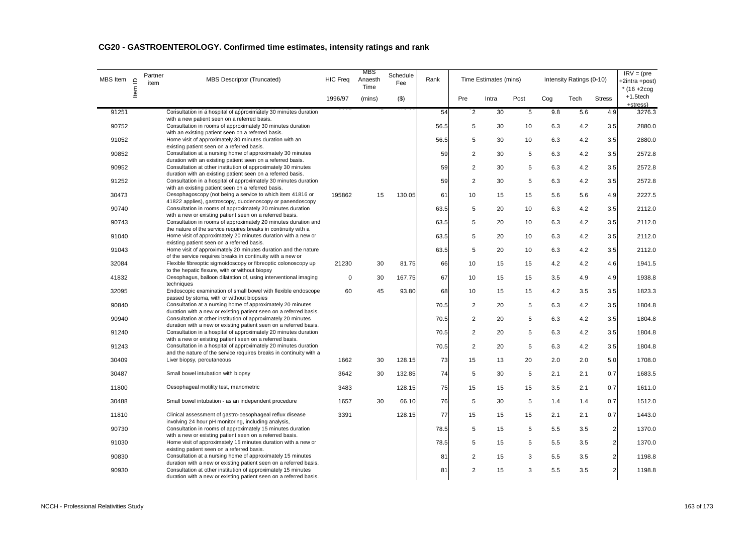| MBS Item | $\mathbf{\underline{o}}$ | Partner<br>item | <b>MBS Descriptor (Truncated)</b>                                                                                                                                                                       | <b>HIC Freq</b> | MBS<br>Anaesth<br>Time | Schedule<br>Fee | Rank |                | Time Estimates (mins) |             |     | Intensity Ratings (0-10) |                | $IRV = (pre$<br>+2intra +post)<br>$*$ (16 +2coq |
|----------|--------------------------|-----------------|---------------------------------------------------------------------------------------------------------------------------------------------------------------------------------------------------------|-----------------|------------------------|-----------------|------|----------------|-----------------------|-------------|-----|--------------------------|----------------|-------------------------------------------------|
|          | ltem                     |                 |                                                                                                                                                                                                         | 1996/97         | (mins)                 | $($ \$)         |      | Pre            | Intra                 | Post        | Coq | Tech                     | <b>Stress</b>  | +1.5tech<br>+stress)                            |
| 91251    |                          |                 | Consultation in a hospital of approximately 30 minutes duration<br>with a new patient seen on a referred basis.                                                                                         |                 |                        |                 | 54   | $\overline{2}$ | 30                    | $\,$ 5 $\,$ | 9.8 | 5.6                      | 4.9            | 3276.3                                          |
| 90752    |                          |                 | Consultation in rooms of approximately 30 minutes duration                                                                                                                                              |                 |                        |                 | 56.5 | 5              | 30                    | 10          | 6.3 | 4.2                      | 3.5            | 2880.0                                          |
| 91052    |                          |                 | with an existing patient seen on a referred basis.<br>Home visit of approximately 30 minutes duration with an                                                                                           |                 |                        |                 | 56.5 | 5              | 30                    | 10          | 6.3 | 4.2                      | 3.5            | 2880.0                                          |
| 90852    |                          |                 | existing patient seen on a referred basis.<br>Consultation at a nursing home of approximately 30 minutes                                                                                                |                 |                        |                 | 59   | 2              | 30                    | 5           | 6.3 | 4.2                      | 3.5            | 2572.8                                          |
| 90952    |                          |                 | duration with an existing patient seen on a referred basis.<br>Consultation at other institution of approximately 30 minutes                                                                            |                 |                        |                 | 59   | 2              | 30                    | 5           | 6.3 | 4.2                      | 3.5            | 2572.8                                          |
| 91252    |                          |                 | duration with an existing patient seen on a referred basis.<br>Consultation in a hospital of approximately 30 minutes duration                                                                          |                 |                        |                 | 59   | 2              | 30                    | 5           | 6.3 | 4.2                      | 3.5            | 2572.8                                          |
| 30473    |                          |                 | with an existing patient seen on a referred basis.<br>Oesophagoscopy (not being a service to which item 41816 or                                                                                        | 195862          | 15                     | 130.05          | 61   | 10             | 15                    | 15          | 5.6 | 5.6                      | 4.9            | 2227.5                                          |
| 90740    |                          |                 | 41822 applies), gastroscopy, duodenoscopy or panendoscopy<br>Consultation in rooms of approximately 20 minutes duration                                                                                 |                 |                        |                 | 63.5 | 5              | 20                    | 10          | 6.3 | 4.2                      | 3.5            | 2112.0                                          |
| 90743    |                          |                 | with a new or existing patient seen on a referred basis.<br>Consultation in rooms of approximately 20 minutes duration and                                                                              |                 |                        |                 | 63.5 | 5              | 20                    | 10          | 6.3 | 4.2                      | 3.5            | 2112.0                                          |
| 91040    |                          |                 | the nature of the service requires breaks in continuity with a<br>Home visit of approximately 20 minutes duration with a new or                                                                         |                 |                        |                 | 63.5 | 5              | 20                    | 10          | 6.3 | 4.2                      | 3.5            | 2112.0                                          |
| 91043    |                          |                 | existing patient seen on a referred basis.<br>Home visit of approximately 20 minutes duration and the nature                                                                                            |                 |                        |                 | 63.5 | 5              | 20                    | 10          | 6.3 | 4.2                      | 3.5            | 2112.0                                          |
| 32084    |                          |                 | of the service requires breaks in continuity with a new or<br>Flexible fibreoptic sigmoidoscopy or fibreoptic colonoscopy up                                                                            | 21230           | 30                     | 81.75           | 66   | 10             | 15                    | 15          | 4.2 | 4.2                      |                | 1941.5                                          |
|          |                          |                 | to the hepatic flexure, with or without biopsy                                                                                                                                                          |                 |                        |                 |      |                |                       |             |     |                          | 4.6            |                                                 |
| 41832    |                          |                 | Oesophagus, balloon dilatation of, using interventional imaging<br>techniques                                                                                                                           | $\mathbf 0$     | 30                     | 167.75          | 67   | 10             | 15                    | 15          | 3.5 | 4.9                      | 4.9            | 1938.8                                          |
| 32095    |                          |                 | Endoscopic examination of small bowel with flexible endoscope<br>passed by stoma, with or without biopsies                                                                                              | 60              | 45                     | 93.80           | 68   | 10             | 15                    | 15          | 4.2 | 3.5                      | 3.5            | 1823.3                                          |
| 90840    |                          |                 | Consultation at a nursing home of approximately 20 minutes<br>duration with a new or existing patient seen on a referred basis.                                                                         |                 |                        |                 | 70.5 | 2              | 20                    | 5           | 6.3 | 4.2                      | 3.5            | 1804.8                                          |
| 90940    |                          |                 | Consultation at other institution of approximately 20 minutes<br>duration with a new or existing patient seen on a referred basis.                                                                      |                 |                        |                 | 70.5 | 2              | 20                    | 5           | 6.3 | 4.2                      | 3.5            | 1804.8                                          |
| 91240    |                          |                 | Consultation in a hospital of approximately 20 minutes duration<br>with a new or existing patient seen on a referred basis.                                                                             |                 |                        |                 | 70.5 | 2              | 20                    | 5           | 6.3 | 4.2                      | 3.5            | 1804.8                                          |
| 91243    |                          |                 | Consultation in a hospital of approximately 20 minutes duration<br>and the nature of the service requires breaks in continuity with a                                                                   |                 |                        |                 | 70.5 | 2              | 20                    | 5           | 6.3 | 4.2                      | 3.5            | 1804.8                                          |
| 30409    |                          |                 | Liver biopsy, percutaneous                                                                                                                                                                              | 1662            | 30                     | 128.15          | 73   | 15             | 13                    | 20          | 2.0 | 2.0                      | 5.0            | 1708.0                                          |
| 30487    |                          |                 | Small bowel intubation with biopsy                                                                                                                                                                      | 3642            | 30                     | 132.85          | 74   | 5              | 30                    | 5           | 2.1 | 2.1                      | 0.7            | 1683.5                                          |
| 11800    |                          |                 | Oesophageal motility test, manometric                                                                                                                                                                   | 3483            |                        | 128.15          | 75   | 15             | 15                    | 15          | 3.5 | 2.1                      | 0.7            | 1611.0                                          |
| 30488    |                          |                 | Small bowel intubation - as an independent procedure                                                                                                                                                    | 1657            | 30                     | 66.10           | 76   | 5              | 30                    | 5           | 1.4 | 1.4                      | 0.7            | 1512.0                                          |
| 11810    |                          |                 | Clinical assessment of gastro-oesophageal reflux disease                                                                                                                                                | 3391            |                        | 128.15          | 77   | 15             | 15                    | 15          | 2.1 | 2.1                      | 0.7            | 1443.0                                          |
| 90730    |                          |                 | involving 24 hour pH monitoring, including analysis,<br>Consultation in rooms of approximately 15 minutes duration                                                                                      |                 |                        |                 | 78.5 | 5              | 15                    | 5           | 5.5 | 3.5                      | $\overline{2}$ | 1370.0                                          |
| 91030    |                          |                 | with a new or existing patient seen on a referred basis.<br>Home visit of approximately 15 minutes duration with a new or                                                                               |                 |                        |                 | 78.5 | 5              | 15                    | 5           | 5.5 | 3.5                      | $\overline{2}$ | 1370.0                                          |
| 90830    |                          |                 | existing patient seen on a referred basis.<br>Consultation at a nursing home of approximately 15 minutes                                                                                                |                 |                        |                 | 81   | 2              | 15                    | 3           | 5.5 | 3.5                      | $\overline{2}$ | 1198.8                                          |
| 90930    |                          |                 | duration with a new or existing patient seen on a referred basis.<br>Consultation at other institution of approximately 15 minutes<br>duration with a new or existing patient seen on a referred basis. |                 |                        |                 | 81   | $\overline{2}$ | 15                    | 3           | 5.5 | 3.5                      | 2 <sub>1</sub> | 1198.8                                          |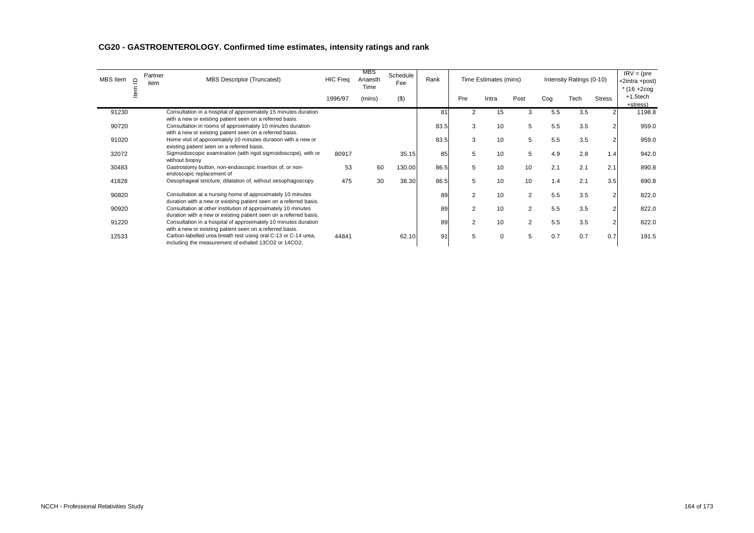| MBS Item $\subseteq$<br>ltem |  | Partner<br>item | MBS Descriptor (Truncated)                                                                                                         | <b>HIC Freq</b> | <b>MBS</b><br>Anaesth<br>Time | Schedule<br>Fee | Rank |                | Time Estimates (mins) |                |     | Intensity Ratings (0-10) |                | $IRV = (pre$<br>+2intra +post)<br>$*(16 + 200)$ |
|------------------------------|--|-----------------|------------------------------------------------------------------------------------------------------------------------------------|-----------------|-------------------------------|-----------------|------|----------------|-----------------------|----------------|-----|--------------------------|----------------|-------------------------------------------------|
|                              |  |                 |                                                                                                                                    | 1996/97         | (mins)                        | $($ \$)         |      | Pre            | Intra                 | Post           | Cog | Tech                     | <b>Stress</b>  | +1.5tech<br>+stress)                            |
| 91230                        |  |                 | Consultation in a hospital of approximately 15 minutes duration<br>with a new or existing patient seen on a referred basis.        |                 |                               |                 | 81   | $\overline{2}$ | 15                    | 3              | 5.5 | 3.5                      |                | 1198.8                                          |
| 90720                        |  |                 | Consultation in rooms of approximately 10 minutes duration<br>with a new or existing patient seen on a referred basis.             |                 |                               |                 | 83.5 | 3              | 10                    | 5              | 5.5 | 3.5                      |                | 959.0                                           |
| 91020                        |  |                 | Home visit of approximately 10 minutes duration with a new or<br>existing patient seen on a referred basis.                        |                 |                               |                 | 83.5 | 3              | 10                    | 5              | 5.5 | 3.5                      | $\overline{2}$ | 959.0                                           |
| 32072                        |  |                 | Sigmoidoscopic examination (with rigid sigmoidoscope), with or<br>without biopsy                                                   | 80917           |                               | 35.15           | 85   | 5              | 10                    | 5              | 4.9 | 2.8                      | 1.4            | 942.0                                           |
| 30483                        |  |                 | Gastrostomy button, non-endoscopic insertion of, or non-<br>endoscopic replacement of                                              | 53              | 60                            | 130.00          | 86.5 | 5              | 10                    | 10             | 2.1 | 2.1                      | 2.1            | 890.8                                           |
| 41828                        |  |                 | Oesophageal stricture, dilatation of, without oesophagoscopy                                                                       | 475             | 30                            | 38.30           | 86.5 | 5              | 10                    | 10             | 1.4 | 2.1                      | 3.5            | 890.8                                           |
| 90820                        |  |                 | Consultation at a nursing home of approximately 10 minutes<br>duration with a new or existing patient seen on a referred basis.    |                 |                               |                 | 89   | 2              | 10                    | $\overline{2}$ | 5.5 | 3.5                      | $\overline{2}$ | 822.0                                           |
| 90920                        |  |                 | Consultation at other institution of approximately 10 minutes<br>duration with a new or existing patient seen on a referred basis. |                 |                               |                 | 89   | 2              | 10                    | $\overline{2}$ | 5.5 | 3.5                      | $\overline{2}$ | 822.0                                           |
| 91220                        |  |                 | Consultation in a hospital of approximately 10 minutes duration<br>with a new or existing patient seen on a referred basis.        |                 |                               |                 | 89   | 2              | 10                    | 2              | 5.5 | 3.5                      | $\overline{2}$ | 822.0                                           |
| 12533                        |  |                 | Carbon-labelled urea breath test using oral C-13 or C-14 urea,                                                                     | 44841           |                               | 62.10           | 91   | 5              | 0                     | 5              | 0.7 | 0.7                      | 0.7            | 191.5                                           |

including the measurement of exhaled 13CO2 or 14CO2,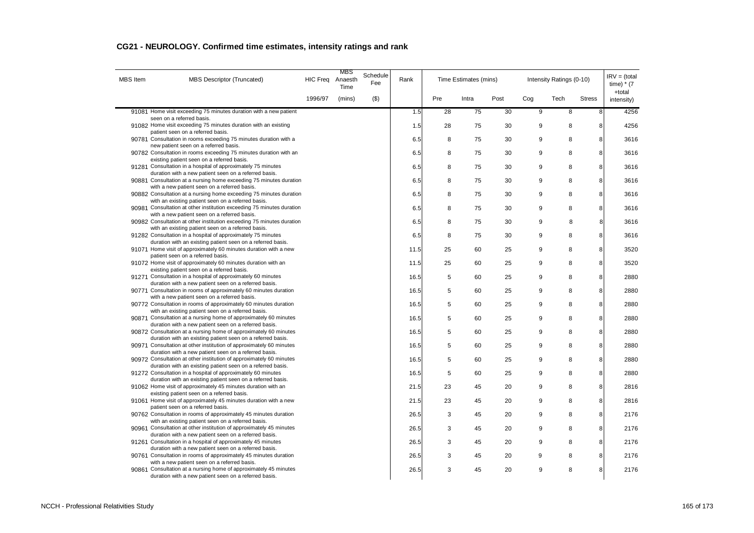| <b>MBS</b> Item | <b>MBS Descriptor (Truncated)</b>                                                                                                  | <b>HIC Freq</b> | MBS<br>Anaesth<br>Time | Schedule<br>Fee | Rank |     | Time Estimates (mins) |      |                | Intensity Ratings (0-10) |               | $IRV = (total)$<br>time) $*$ (7<br>+total |
|-----------------|------------------------------------------------------------------------------------------------------------------------------------|-----------------|------------------------|-----------------|------|-----|-----------------------|------|----------------|--------------------------|---------------|-------------------------------------------|
|                 |                                                                                                                                    | 1996/97         | (mins)                 | (3)             |      | Pre | Intra                 | Post | Cog            | Tech                     | <b>Stress</b> | intensity)                                |
|                 | 91081 Home visit exceeding 75 minutes duration with a new patient                                                                  |                 |                        |                 | 1.5  | 28  | $\overline{75}$       | 30   | $\overline{9}$ | $\overline{8}$           | 8             | 4256                                      |
|                 | seen on a referred basis.<br>91082 Home visit exceeding 75 minutes duration with an existing                                       |                 |                        |                 | 1.5  | 28  | 75                    | 30   | 9              | 8                        | 8             | 4256                                      |
|                 | patient seen on a referred basis.                                                                                                  |                 |                        |                 |      |     |                       |      |                |                          |               |                                           |
|                 | 90781 Consultation in rooms exceeding 75 minutes duration with a<br>new patient seen on a referred basis.                          |                 |                        |                 | 6.5  | 8   | 75                    | 30   | 9              | 8                        | 8             | 3616                                      |
|                 | 90782 Consultation in rooms exceeding 75 minutes duration with an                                                                  |                 |                        |                 | 6.5  | 8   | 75                    | 30   | 9              | 8                        | 8             | 3616                                      |
|                 | existing patient seen on a referred basis.                                                                                         |                 |                        |                 |      |     |                       |      |                |                          |               |                                           |
|                 | 91281 Consultation in a hospital of approximately 75 minutes<br>duration with a new patient seen on a referred basis.              |                 |                        |                 | 6.5  | 8   | 75                    | 30   | 9              | 8                        | 8             | 3616                                      |
|                 | 90881 Consultation at a nursing home exceeding 75 minutes duration                                                                 |                 |                        |                 | 6.5  | 8   | 75                    | 30   | 9              | 8                        | 8             | 3616                                      |
|                 | with a new patient seen on a referred basis.                                                                                       |                 |                        |                 |      |     |                       |      |                |                          |               |                                           |
|                 | 90882 Consultation at a nursing home exceeding 75 minutes duration<br>with an existing patient seen on a referred basis.           |                 |                        |                 | 6.5  | 8   | 75                    | 30   | 9              | 8                        | 8             | 3616                                      |
|                 | 90981 Consultation at other institution exceeding 75 minutes duration                                                              |                 |                        |                 | 6.5  | 8   | 75                    | 30   | 9              | 8                        | 8             | 3616                                      |
|                 | with a new patient seen on a referred basis.<br>90982 Consultation at other institution exceeding 75 minutes duration              |                 |                        |                 | 6.5  | 8   | 75                    | 30   | 9              | 8                        | 8             | 3616                                      |
|                 | with an existing patient seen on a referred basis.                                                                                 |                 |                        |                 |      |     |                       |      |                |                          |               |                                           |
|                 | 91282 Consultation in a hospital of approximately 75 minutes                                                                       |                 |                        |                 | 6.5  | 8   | 75                    | 30   | 9              | 8                        | 8             | 3616                                      |
|                 | duration with an existing patient seen on a referred basis.<br>91071 Home visit of approximately 60 minutes duration with a new    |                 |                        |                 | 11.5 | 25  | 60                    | 25   | 9              | 8                        | 8             | 3520                                      |
|                 | patient seen on a referred basis.                                                                                                  |                 |                        |                 |      |     |                       |      |                |                          |               |                                           |
|                 | 91072 Home visit of approximately 60 minutes duration with an                                                                      |                 |                        |                 | 11.5 | 25  | 60                    | 25   | 9              | 8                        | 8             | 3520                                      |
|                 | existing patient seen on a referred basis.<br>91271 Consultation in a hospital of approximately 60 minutes                         |                 |                        |                 | 16.5 | 5   | 60                    | 25   | 9              | 8                        | 8             | 2880                                      |
|                 | duration with a new patient seen on a referred basis.                                                                              |                 |                        |                 |      |     |                       |      |                |                          |               |                                           |
|                 | 90771 Consultation in rooms of approximately 60 minutes duration                                                                   |                 |                        |                 | 16.5 | 5   | 60                    | 25   | 9              | 8                        | 8             | 2880                                      |
|                 | with a new patient seen on a referred basis.                                                                                       |                 |                        |                 |      |     |                       |      |                |                          |               |                                           |
|                 | 90772 Consultation in rooms of approximately 60 minutes duration<br>with an existing patient seen on a referred basis.             |                 |                        |                 | 16.5 | 5   | 60                    | 25   | 9              | 8                        | 8             | 2880                                      |
|                 | 90871 Consultation at a nursing home of approximately 60 minutes                                                                   |                 |                        |                 | 16.5 | 5   | 60                    | 25   | 9              | 8                        | 8             | 2880                                      |
|                 | duration with a new patient seen on a referred basis.                                                                              |                 |                        |                 |      |     |                       |      |                |                          |               |                                           |
|                 | 90872 Consultation at a nursing home of approximately 60 minutes<br>duration with an existing patient seen on a referred basis.    |                 |                        |                 | 16.5 | 5   | 60                    | 25   | 9              | 8                        | 8             | 2880                                      |
|                 | 90971 Consultation at other institution of approximately 60 minutes                                                                |                 |                        |                 | 16.5 | 5   | 60                    | 25   | 9              | 8                        | 8             | 2880                                      |
|                 | duration with a new patient seen on a referred basis.                                                                              |                 |                        |                 |      |     |                       |      |                |                          |               |                                           |
|                 | 90972 Consultation at other institution of approximately 60 minutes<br>duration with an existing patient seen on a referred basis. |                 |                        |                 | 16.5 | 5   | 60                    | 25   | 9              | 8                        | 8             | 2880                                      |
|                 | 91272 Consultation in a hospital of approximately 60 minutes                                                                       |                 |                        |                 | 16.5 | 5   | 60                    | 25   | 9              | 8                        | 8             | 2880                                      |
|                 | duration with an existing patient seen on a referred basis.                                                                        |                 |                        |                 |      |     |                       |      |                |                          |               |                                           |
|                 | 91062 Home visit of approximately 45 minutes duration with an<br>existing patient seen on a referred basis.                        |                 |                        |                 | 21.5 | 23  | 45                    | 20   | 9              | 8                        | 8             | 2816                                      |
|                 | 91061 Home visit of approximately 45 minutes duration with a new                                                                   |                 |                        |                 | 21.5 | 23  | 45                    | 20   | 9              | 8                        | 8             | 2816                                      |
|                 | patient seen on a referred basis.                                                                                                  |                 |                        |                 |      |     |                       |      |                |                          |               |                                           |
|                 | 90762 Consultation in rooms of approximately 45 minutes duration                                                                   |                 |                        |                 | 26.5 | 3   | 45                    | 20   | 9              | 8                        | 8             | 2176                                      |
|                 | with an existing patient seen on a referred basis.<br>90961 Consultation at other institution of approximately 45 minutes          |                 |                        |                 | 26.5 | 3   | 45                    | 20   | 9              | 8                        | 8             | 2176                                      |
|                 | duration with a new patient seen on a referred basis.                                                                              |                 |                        |                 |      |     |                       |      |                |                          |               |                                           |
|                 | 91261 Consultation in a hospital of approximately 45 minutes                                                                       |                 |                        |                 | 26.5 | 3   | 45                    | 20   | 9              | 8                        | 8             | 2176                                      |
|                 | duration with a new patient seen on a referred basis.<br>90761 Consultation in rooms of approximately 45 minutes duration          |                 |                        |                 | 26.5 | 3   | 45                    | 20   | 9              | 8                        | 8             | 2176                                      |
|                 | with a new patient seen on a referred basis.                                                                                       |                 |                        |                 |      |     |                       |      |                |                          |               |                                           |
|                 | 90861 Consultation at a nursing home of approximately 45 minutes<br>duration with a new patient seen on a referred basis.          |                 |                        |                 | 26.5 | 3   | 45                    | 20   | 9              | 8                        | 8             | 2176                                      |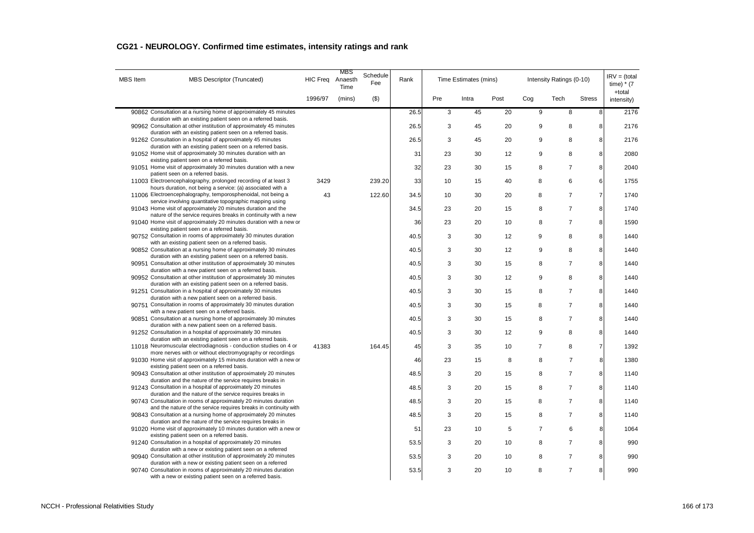| <b>MBS</b> Item | MBS Descriptor (Truncated)                                                                                                         | <b>HIC Freq</b> | MBS<br>Anaesth<br>Time | Schedule<br>Fee | Rank |     | Time Estimates (mins) |      |                | Intensity Ratings (0-10) |                | $IRV = (total)$<br>time) $*$ (7<br>+total |
|-----------------|------------------------------------------------------------------------------------------------------------------------------------|-----------------|------------------------|-----------------|------|-----|-----------------------|------|----------------|--------------------------|----------------|-------------------------------------------|
|                 |                                                                                                                                    | 1996/97         | (mins)                 | $($ \$)         |      | Pre | Intra                 | Post | Cog            | Tech                     | <b>Stress</b>  | intensity)                                |
|                 | 90862 Consultation at a nursing home of approximately 45 minutes                                                                   |                 |                        |                 | 26.5 | 3   | 45                    | 20   | $9$            | 8                        | $\bf 8$        | 2176                                      |
|                 | duration with an existing patient seen on a referred basis.<br>90962 Consultation at other institution of approximately 45 minutes |                 |                        |                 | 26.5 | 3   | 45                    | 20   | 9              | 8                        | 8              | 2176                                      |
|                 | duration with an existing patient seen on a referred basis.                                                                        |                 |                        |                 |      |     |                       |      |                |                          |                |                                           |
|                 | 91262 Consultation in a hospital of approximately 45 minutes<br>duration with an existing patient seen on a referred basis.        |                 |                        |                 | 26.5 | 3   | 45                    | 20   | 9              | 8                        | 8              | 2176                                      |
|                 | 91052 Home visit of approximately 30 minutes duration with an                                                                      |                 |                        |                 | 31   | 23  | 30                    | 12   | 9              | 8                        | 8              | 2080                                      |
|                 | existing patient seen on a referred basis.<br>91051 Home visit of approximately 30 minutes duration with a new                     |                 |                        |                 | 32   | 23  | 30                    | 15   | 8              | $\overline{7}$           | 8              | 2040                                      |
|                 | patient seen on a referred basis.                                                                                                  |                 |                        |                 |      |     |                       |      |                |                          |                |                                           |
|                 | 11003 Electroencephalography, prolonged recording of at least 3<br>hours duration, not being a service: (a) associated with a      | 3429            |                        | 239.20          | 33   | 10  | 15                    | 40   | 8              | 6                        | 6              | 1755                                      |
|                 | 11006 Electroencephalography, temporosphenoidal, not being a                                                                       | 43              |                        | 122.60          | 34.5 | 10  | 30                    | 20   | 8              | $\overline{7}$           | $\overline{7}$ | 1740                                      |
|                 | service involving quantitative topographic mapping using                                                                           |                 |                        |                 |      |     |                       |      |                |                          |                |                                           |
|                 | 91043 Home visit of approximately 20 minutes duration and the<br>nature of the service requires breaks in continuity with a new    |                 |                        |                 | 34.5 | 23  | 20                    | 15   | 8              | $\overline{7}$           | 8              | 1740                                      |
|                 | 91040 Home visit of approximately 20 minutes duration with a new or                                                                |                 |                        |                 | 36   | 23  | 20                    | 10   | 8              | $\overline{7}$           | 8              | 1590                                      |
|                 | existing patient seen on a referred basis.<br>90752 Consultation in rooms of approximately 30 minutes duration                     |                 |                        |                 | 40.5 | 3   | 30                    | 12   | 9              | 8                        | 8              | 1440                                      |
|                 | with an existing patient seen on a referred basis.                                                                                 |                 |                        |                 |      |     |                       |      |                |                          |                |                                           |
|                 | 90852 Consultation at a nursing home of approximately 30 minutes                                                                   |                 |                        |                 | 40.5 | 3   | 30                    | 12   | 9              | 8                        | 8              | 1440                                      |
|                 | duration with an existing patient seen on a referred basis.<br>90951 Consultation at other institution of approximately 30 minutes |                 |                        |                 | 40.5 | 3   | 30                    | 15   | 8              | $\overline{7}$           | 8              | 1440                                      |
|                 | duration with a new patient seen on a referred basis.                                                                              |                 |                        |                 |      |     |                       |      |                |                          |                |                                           |
|                 | 90952 Consultation at other institution of approximately 30 minutes<br>duration with an existing patient seen on a referred basis. |                 |                        |                 | 40.5 | 3   | 30                    | 12   | 9              | 8                        | 8              | 1440                                      |
|                 | 91251 Consultation in a hospital of approximately 30 minutes                                                                       |                 |                        |                 | 40.5 | 3   | 30                    | 15   | 8              | $\overline{7}$           | 8              | 1440                                      |
|                 | duration with a new patient seen on a referred basis.<br>90751 Consultation in rooms of approximately 30 minutes duration          |                 |                        |                 | 40.5 | 3   | 30                    | 15   | 8              | $\overline{7}$           | 8              | 1440                                      |
|                 | with a new patient seen on a referred basis.                                                                                       |                 |                        |                 |      |     |                       |      |                |                          |                |                                           |
|                 | 90851 Consultation at a nursing home of approximately 30 minutes<br>duration with a new patient seen on a referred basis.          |                 |                        |                 | 40.5 | 3   | 30                    | 15   | 8              | $\overline{7}$           | 8              | 1440                                      |
|                 | 91252 Consultation in a hospital of approximately 30 minutes                                                                       |                 |                        |                 | 40.5 | 3   | 30                    | 12   | 9              | 8                        | 8              | 1440                                      |
|                 | duration with an existing patient seen on a referred basis.                                                                        |                 |                        |                 |      |     |                       |      |                |                          |                |                                           |
|                 | 11018 Neuromuscular electrodiagnosis - conduction studies on 4 or<br>more nerves with or without electromyography or recordings    | 41383           |                        | 164.45          | 45   | 3   | 35                    | 10   | $\overline{7}$ | 8                        | $\overline{7}$ | 1392                                      |
|                 | 91030 Home visit of approximately 15 minutes duration with a new or                                                                |                 |                        |                 | 46   | 23  | 15                    | 8    | 8              | $\overline{7}$           | 8              | 1380                                      |
|                 | existing patient seen on a referred basis.<br>90943 Consultation at other institution of approximately 20 minutes                  |                 |                        |                 | 48.5 | 3   | 20                    | 15   | 8              | $\overline{7}$           | 8              | 1140                                      |
|                 | duration and the nature of the service requires breaks in                                                                          |                 |                        |                 |      |     |                       |      |                |                          |                |                                           |
|                 | 91243 Consultation in a hospital of approximately 20 minutes<br>duration and the nature of the service requires breaks in          |                 |                        |                 | 48.5 | 3   | 20                    | 15   | 8              | $\overline{7}$           | 8              | 1140                                      |
|                 | 90743 Consultation in rooms of approximately 20 minutes duration                                                                   |                 |                        |                 | 48.5 | 3   | 20                    | 15   | 8              | $\overline{7}$           | 8              | 1140                                      |
|                 | and the nature of the service requires breaks in continuity with                                                                   |                 |                        |                 |      |     |                       |      |                |                          |                |                                           |
|                 | 90843 Consultation at a nursing home of approximately 20 minutes<br>duration and the nature of the service requires breaks in      |                 |                        |                 | 48.5 | 3   | 20                    | 15   | 8              | $\overline{7}$           | 8              | 1140                                      |
|                 | 91020 Home visit of approximately 10 minutes duration with a new or                                                                |                 |                        |                 | 51   | 23  | 10                    | 5    | $\overline{7}$ | 6                        | 8              | 1064                                      |
|                 | existing patient seen on a referred basis.<br>91240 Consultation in a hospital of approximately 20 minutes                         |                 |                        |                 | 53.5 | 3   | 20                    | 10   | 8              | $\overline{7}$           | 8              | 990                                       |
|                 | duration with a new or existing patient seen on a referred                                                                         |                 |                        |                 |      |     |                       |      |                |                          |                |                                           |
|                 | 90940 Consultation at other institution of approximately 20 minutes<br>duration with a new or existing patient seen on a referred  |                 |                        |                 | 53.5 | 3   | 20                    | 10   | 8              | $\overline{7}$           | 8              | 990                                       |
|                 | 90740 Consultation in rooms of approximately 20 minutes duration<br>with a new or existing patient seen on a referred basis.       |                 |                        |                 | 53.5 | 3   | 20                    | 10   | 8              | $\overline{7}$           | 8              | 990                                       |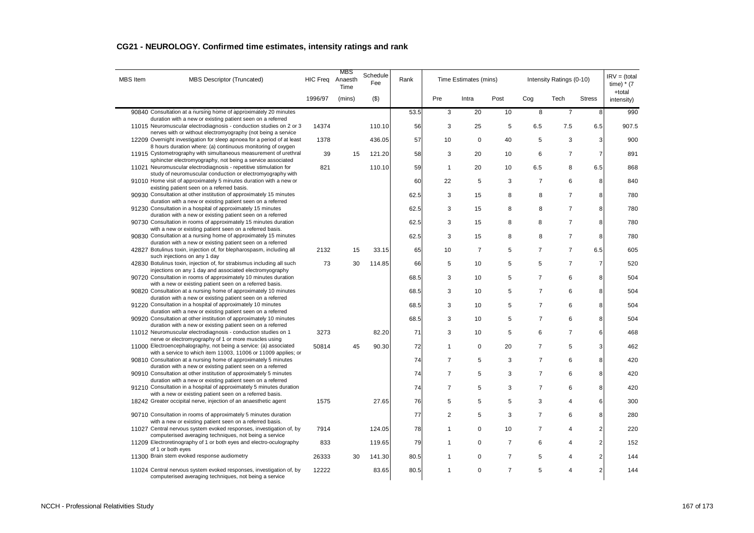| <b>MBS</b> Item | <b>MBS Descriptor (Truncated)</b>                                                                                                 | <b>HIC Freg</b> | MBS<br>Anaesth<br>Time | Schedule<br>Fee | Rank |                | Time Estimates (mins) |                |                | Intensity Ratings (0-10) |                | $IRV = (total)$<br>time) $*$ (7 |
|-----------------|-----------------------------------------------------------------------------------------------------------------------------------|-----------------|------------------------|-----------------|------|----------------|-----------------------|----------------|----------------|--------------------------|----------------|---------------------------------|
|                 |                                                                                                                                   | 1996/97         | (mins)                 | (3)             |      | Pre            | Intra                 | Post           | Cog            | Tech                     | <b>Stress</b>  | +total<br>intensity)            |
|                 | 90840 Consultation at a nursing home of approximately 20 minutes                                                                  |                 |                        |                 | 53.5 | 3              | 20                    | 10             | 8              | $\overline{7}$           | 8              | 990                             |
|                 | duration with a new or existing patient seen on a referred<br>11015 Neuromuscular electrodiagnosis - conduction studies on 2 or 3 |                 |                        |                 |      |                |                       |                |                |                          |                |                                 |
|                 | nerves with or without electromyography (not being a service                                                                      | 14374           |                        | 110.10          | 56   | 3              | 25                    | 5              | 6.5            | 7.5                      | 6.5            | 907.5                           |
|                 | 12209 Overnight investigation for sleep apnoea for a period of at least                                                           | 1378            |                        | 436.05          | 57   | 10             | $\mathbf 0$           | 40             | 5              | 3                        | 3              | 900                             |
|                 | 8 hours duration where: (a) continuous monitoring of oxygen                                                                       |                 |                        |                 |      |                |                       |                |                |                          |                |                                 |
|                 | 11915 Cystometrography with simultaneous measurement of urethral<br>sphincter electromyography, not being a service associated    | 39              | 15                     | 121.20          | 58   | 3              | 20                    | 10             | 6              | $\overline{7}$           | $\overline{7}$ | 891                             |
|                 | 11021 Neuromuscular electrodiagnosis - repetitive stimulation for                                                                 | 821             |                        | 110.10          | 59   | $\overline{1}$ | 20                    | 10             | 6.5            | 8                        | 6.5            | 868                             |
|                 | study of neuromuscular conduction or electromyography with                                                                        |                 |                        |                 |      |                |                       |                |                |                          |                |                                 |
|                 | 91010 Home visit of approximately 5 minutes duration with a new or                                                                |                 |                        |                 | 60   | 22             | 5                     | 3              | $\overline{7}$ | 6                        | 8              | 840                             |
|                 | existing patient seen on a referred basis.<br>90930 Consultation at other institution of approximately 15 minutes                 |                 |                        |                 | 62.5 | 3              | 15                    | 8              | 8              | $\overline{7}$           | 8              | 780                             |
|                 | duration with a new or existing patient seen on a referred                                                                        |                 |                        |                 |      |                |                       |                |                |                          |                |                                 |
|                 | 91230 Consultation in a hospital of approximately 15 minutes                                                                      |                 |                        |                 | 62.5 | 3              | 15                    | 8              | 8              | $\overline{7}$           | 8              | 780                             |
|                 | duration with a new or existing patient seen on a referred                                                                        |                 |                        |                 |      |                |                       |                |                |                          |                |                                 |
|                 | 90730 Consultation in rooms of approximately 15 minutes duration<br>with a new or existing patient seen on a referred basis.      |                 |                        |                 | 62.5 | 3              | 15                    | 8              | 8              | $\overline{7}$           | 8              | 780                             |
|                 | 90830 Consultation at a nursing home of approximately 15 minutes                                                                  |                 |                        |                 | 62.5 | 3              | 15                    | 8              | 8              | $\overline{7}$           | 8              | 780                             |
|                 | duration with a new or existing patient seen on a referred                                                                        |                 |                        |                 |      |                |                       |                |                |                          |                |                                 |
|                 | 42827 Botulinus toxin, injection of, for blepharospasm, including all                                                             | 2132            | 15                     | 33.15           | 65   | 10             | $\overline{7}$        | 5              | $\overline{7}$ | $\overline{7}$           | 6.5            | 605                             |
|                 | such injections on any 1 day<br>42830 Botulinus toxin, injection of, for strabismus including all such                            | 73              | 30                     |                 |      | 5              |                       | 5              | 5              | $\overline{7}$           | $\overline{7}$ | 520                             |
|                 | injections on any 1 day and associated electromyography                                                                           |                 |                        | 114.85          | 66   |                | 10                    |                |                |                          |                |                                 |
|                 | 90720 Consultation in rooms of approximately 10 minutes duration                                                                  |                 |                        |                 | 68.5 | 3              | 10                    | 5              | $\overline{7}$ | 6                        | 8              | 504                             |
|                 | with a new or existing patient seen on a referred basis.                                                                          |                 |                        |                 |      |                |                       |                |                |                          |                |                                 |
|                 | 90820 Consultation at a nursing home of approximately 10 minutes<br>duration with a new or existing patient seen on a referred    |                 |                        |                 | 68.5 | 3              | 10                    | 5              | $\overline{7}$ | 6                        | 8              | 504                             |
|                 | 91220 Consultation in a hospital of approximately 10 minutes                                                                      |                 |                        |                 | 68.5 | 3              | 10                    | 5              | $\overline{7}$ | 6                        | 8              | 504                             |
|                 | duration with a new or existing patient seen on a referred                                                                        |                 |                        |                 |      |                |                       |                |                |                          |                |                                 |
|                 | 90920 Consultation at other institution of approximately 10 minutes                                                               |                 |                        |                 | 68.5 | 3              | 10                    | 5              | $\overline{7}$ | 6                        | 8              | 504                             |
|                 | duration with a new or existing patient seen on a referred<br>11012 Neuromuscular electrodiagnosis - conduction studies on 1      |                 |                        |                 |      |                |                       |                |                | $\overline{7}$           |                |                                 |
|                 | nerve or electromyography of 1 or more muscles using                                                                              | 3273            |                        | 82.20           | 71   | 3              | 10                    | 5              | 6              |                          | 6              | 468                             |
|                 | 11000 Electroencephalography, not being a service: (a) associated                                                                 | 50814           | 45                     | 90.30           | 72   | $\mathbf{1}$   | 0                     | 20             | $\overline{7}$ | 5                        | 3              | 462                             |
|                 | with a service to which item 11003, 11006 or 11009 applies; or                                                                    |                 |                        |                 |      |                |                       |                |                |                          |                |                                 |
|                 | 90810 Consultation at a nursing home of approximately 5 minutes                                                                   |                 |                        |                 | 74   | 7              | 5                     | 3              | $\overline{7}$ | 6                        | 8              | 420                             |
|                 | duration with a new or existing patient seen on a referred<br>90910 Consultation at other institution of approximately 5 minutes  |                 |                        |                 | 74   | 7              | 5                     | 3              | $\overline{7}$ | 6                        | 8              | 420                             |
|                 | duration with a new or existing patient seen on a referred                                                                        |                 |                        |                 |      |                |                       |                |                |                          |                |                                 |
|                 | 91210 Consultation in a hospital of approximately 5 minutes duration                                                              |                 |                        |                 | 74   | 7              | 5                     | 3              | $\overline{7}$ | 6                        | 8              | 420                             |
|                 | with a new or existing patient seen on a referred basis.                                                                          |                 |                        |                 |      |                |                       |                |                |                          |                |                                 |
|                 | 18242 Greater occipital nerve, injection of an anaesthetic agent                                                                  | 1575            |                        | 27.65           | 76   | 5              | 5                     | 5              | 3              | 4                        | 6              | 300                             |
|                 | 90710 Consultation in rooms of approximately 5 minutes duration                                                                   |                 |                        |                 | 77   | $\overline{2}$ | 5                     | 3              | $\overline{7}$ | 6                        | 8              | 280                             |
|                 | with a new or existing patient seen on a referred basis.                                                                          |                 |                        |                 |      |                |                       |                |                |                          |                |                                 |
|                 | 11027 Central nervous system evoked responses, investigation of, by<br>computerised averaging techniques, not being a service     | 7914            |                        | 124.05          | 78   | 1              | $\mathbf 0$           | 10             | $\overline{7}$ | 4                        | $\overline{2}$ | 220                             |
|                 | 11209 Electroretinography of 1 or both eyes and electro-oculography                                                               | 833             |                        | 119.65          | 79   | 1              | $\mathbf 0$           | $\overline{7}$ | 6              | 4                        | $\overline{2}$ | 152                             |
|                 | of 1 or both eyes                                                                                                                 |                 |                        |                 |      |                |                       |                |                |                          |                |                                 |
|                 | 11300 Brain stem evoked response audiometry                                                                                       | 26333           | 30                     | 141.30          | 80.5 | 1              | $\mathbf 0$           | $\overline{7}$ | 5              | 4                        | $\overline{2}$ | 144                             |
|                 | 11024 Central nervous system evoked responses, investigation of, by<br>computerised averaging techniques, not being a service     | 12222           |                        | 83.65           | 80.5 | 1              | $\mathbf 0$           | $\overline{7}$ | 5              | 4                        | $\overline{2}$ | 144                             |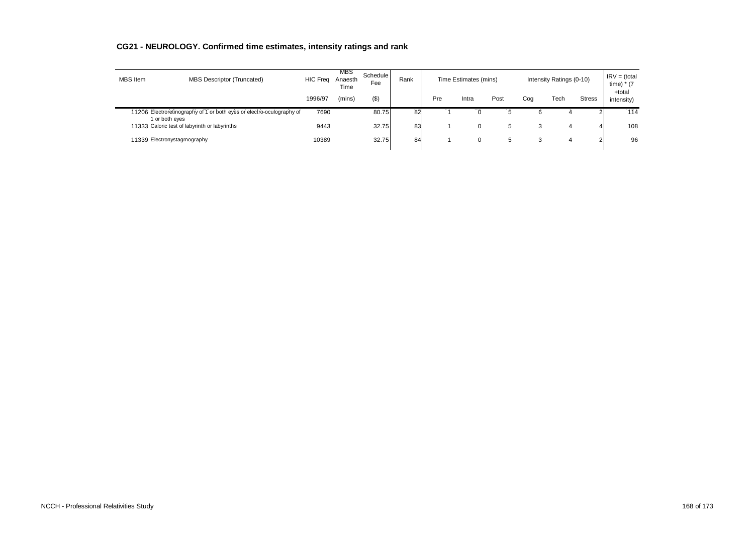| <b>MBS</b> Item             | <b>MBS Descriptor (Truncated)</b>                                     | <b>HIC Freg</b> | <b>MBS</b><br>Anaesth<br>Time | Schedule<br>Fee | Rank |     | Time Estimates (mins) |              | Intensity Ratings (0-10) | $IRV = (total)$<br>time) $*$ (7<br>+total |               |            |
|-----------------------------|-----------------------------------------------------------------------|-----------------|-------------------------------|-----------------|------|-----|-----------------------|--------------|--------------------------|-------------------------------------------|---------------|------------|
|                             |                                                                       | 1996/97         | (mins)                        | $($ \$)         |      | Pre | Intra                 | Post         | Coa                      | Tech                                      | <b>Stress</b> | intensity) |
| 1 or both eyes              | 11206 Electroretinography of 1 or both eyes or electro-oculography of | 7690            |                               | 80.75           | 82   |     |                       | $\mathbf{p}$ | 6                        |                                           |               | 114        |
|                             | 11333 Caloric test of labyrinth or labyrinths                         | 9443            |                               | 32.75           | 83   |     |                       | 5            | ◠<br>o                   |                                           |               | 108        |
| 11339 Electronystagmography |                                                                       | 10389           |                               | 32.75           | 84   |     |                       | 5            | ◠<br>J                   |                                           |               | 96         |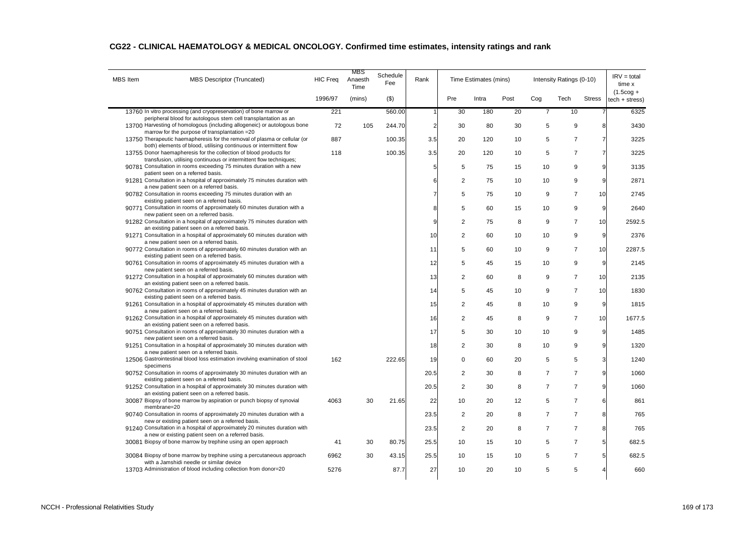| <b>MBS</b> Item | MBS Descriptor (Truncated)                                                                                                                      | <b>HIC Freq</b> | MBS<br>Anaesth<br>Time | Schedule<br>Fee | Rank           |                | Time Estimates (mins) |      |                | Intensity Ratings (0-10) |                 | $IRV = total$<br>time x               |
|-----------------|-------------------------------------------------------------------------------------------------------------------------------------------------|-----------------|------------------------|-----------------|----------------|----------------|-----------------------|------|----------------|--------------------------|-----------------|---------------------------------------|
|                 |                                                                                                                                                 | 1996/97         | (mins)                 | (3)             |                | Pre            | Intra                 | Post | Cog            | Tech                     | <b>Stress</b>   | $(1.5 \text{cog} +$<br>tech + stress) |
|                 | 13760 In vitro processing (and cryopreservation) of bone marrow or                                                                              | 221             |                        | 560.00          |                | 30             | 180                   | 20   | $\overline{7}$ | 10                       |                 | 6325                                  |
|                 | peripheral blood for autologous stem cell transplantation as an<br>13700 Harvesting of homologous (including allogeneic) or autologous bone     | 72              | 105                    | 244.70          | $\overline{2}$ | 30             | 80                    | 30   | 5              | 9                        | 8               | 3430                                  |
|                 | marrow for the purpose of transplantation =20                                                                                                   |                 |                        |                 |                |                |                       |      |                |                          |                 |                                       |
|                 | 13750 Therapeutic haemapheresis for the removal of plasma or cellular (or<br>both) elements of blood, utilising continuous or intermittent flow | 887             |                        | 100.35          | 3.5            | 20             | 120                   | 10   | 5              | $\overline{7}$           | $\overline{7}$  | 3225                                  |
|                 | 13755 Donor haemapheresis for the collection of blood products for                                                                              | 118             |                        | 100.35          | 3.5            | 20             | 120                   | 10   | 5              | $\overline{7}$           | $\overline{7}$  | 3225                                  |
|                 | transfusion, utilising continuous or intermittent flow techniques;<br>90781 Consultation in rooms exceeding 75 minutes duration with a new      |                 |                        |                 | 5              | 5              | 75                    | 15   | 10             | 9                        | 9               | 3135                                  |
|                 | patient seen on a referred basis.                                                                                                               |                 |                        |                 |                |                |                       |      |                |                          |                 |                                       |
|                 | 91281 Consultation in a hospital of approximately 75 minutes duration with                                                                      |                 |                        |                 | 6              | $\overline{2}$ | 75                    | 10   | 10             | 9                        | 9               | 2871                                  |
|                 | a new patient seen on a referred basis.<br>90782 Consultation in rooms exceeding 75 minutes duration with an                                    |                 |                        |                 |                | 5              | 75                    | 10   | 9              | $\overline{7}$           | 10 <sup>1</sup> | 2745                                  |
|                 | existing patient seen on a referred basis.                                                                                                      |                 |                        |                 |                |                |                       |      |                |                          |                 |                                       |
|                 | 90771 Consultation in rooms of approximately 60 minutes duration with a<br>new patient seen on a referred basis.                                |                 |                        |                 | 8              | 5              | 60                    | 15   | 10             | 9                        | 9               | 2640                                  |
|                 | 91282 Consultation in a hospital of approximately 75 minutes duration with                                                                      |                 |                        |                 | 9              | $\overline{2}$ | 75                    | 8    | 9              | $\overline{7}$           | 10 <sup>1</sup> | 2592.5                                |
|                 | an existing patient seen on a referred basis.                                                                                                   |                 |                        |                 |                |                |                       |      |                |                          |                 |                                       |
|                 | 91271 Consultation in a hospital of approximately 60 minutes duration with<br>a new patient seen on a referred basis.                           |                 |                        |                 | 10             | $\overline{2}$ | 60                    | 10   | 10             | 9                        | 9               | 2376                                  |
|                 | 90772 Consultation in rooms of approximately 60 minutes duration with an                                                                        |                 |                        |                 | 11             | 5              | 60                    | 10   | 9              | $\overline{7}$           | 10              | 2287.5                                |
|                 | existing patient seen on a referred basis.<br>90761 Consultation in rooms of approximately 45 minutes duration with a                           |                 |                        |                 | 12             | 5              | 45                    | 15   | 10             | 9                        | 9               | 2145                                  |
|                 | new patient seen on a referred basis.                                                                                                           |                 |                        |                 |                |                |                       |      |                |                          |                 |                                       |
|                 | 91272 Consultation in a hospital of approximately 60 minutes duration with                                                                      |                 |                        |                 | 13             | $\overline{2}$ | 60                    | 8    | 9              | $\overline{7}$           | 10              | 2135                                  |
|                 | an existing patient seen on a referred basis.<br>90762 Consultation in rooms of approximately 45 minutes duration with an                       |                 |                        |                 | 14             | 5              | 45                    | 10   | 9              | $\overline{7}$           | 10              | 1830                                  |
|                 | existing patient seen on a referred basis.                                                                                                      |                 |                        |                 |                |                |                       |      |                |                          |                 |                                       |
|                 | 91261 Consultation in a hospital of approximately 45 minutes duration with<br>a new patient seen on a referred basis.                           |                 |                        |                 | 15             | $\overline{2}$ | 45                    | 8    | 10             | 9                        | 9               | 1815                                  |
|                 | 91262 Consultation in a hospital of approximately 45 minutes duration with                                                                      |                 |                        |                 | 16             | $\overline{2}$ | 45                    | 8    | 9              | $\overline{7}$           | 10              | 1677.5                                |
|                 | an existing patient seen on a referred basis.                                                                                                   |                 |                        |                 |                |                |                       |      |                |                          |                 |                                       |
|                 | 90751 Consultation in rooms of approximately 30 minutes duration with a<br>new patient seen on a referred basis.                                |                 |                        |                 | 17             | 5              | 30                    | 10   | 10             | 9                        | 9               | 1485                                  |
|                 | 91251 Consultation in a hospital of approximately 30 minutes duration with                                                                      |                 |                        |                 | 18             | $\overline{2}$ | 30                    | 8    | 10             | 9                        | 9               | 1320                                  |
|                 | a new patient seen on a referred basis.<br>12506 Gastrointestinal blood loss estimation involving examination of stool                          | 162             |                        | 222.65          | 19             | $\mathbf 0$    | 60                    | 20   | 5              | 5                        | $\overline{3}$  | 1240                                  |
|                 | specimens                                                                                                                                       |                 |                        |                 |                |                |                       |      |                |                          |                 |                                       |
|                 | 90752 Consultation in rooms of approximately 30 minutes duration with an<br>existing patient seen on a referred basis.                          |                 |                        |                 | 20.5           | $\overline{2}$ | 30                    | 8    | $\overline{7}$ | $\overline{7}$           | 9               | 1060                                  |
|                 | 91252 Consultation in a hospital of approximately 30 minutes duration with                                                                      |                 |                        |                 | 20.5           | $\overline{2}$ | 30                    | 8    | $\overline{7}$ | $\overline{7}$           | 9               | 1060                                  |
|                 | an existing patient seen on a referred basis.                                                                                                   |                 |                        |                 |                |                |                       |      |                |                          |                 |                                       |
|                 | 30087 Biopsy of bone marrow by aspiration or punch biopsy of synovial<br>membrane=20                                                            | 4063            | 30                     | 21.65           | 22             | 10             | 20                    | 12   | 5              | $\overline{7}$           | 6               | 861                                   |
|                 | 90740 Consultation in rooms of approximately 20 minutes duration with a<br>new or existing patient seen on a referred basis.                    |                 |                        |                 | 23.5           | $\overline{2}$ | 20                    | 8    | $\overline{7}$ | $\overline{7}$           | 8               | 765                                   |
|                 | 91240 Consultation in a hospital of approximately 20 minutes duration with                                                                      |                 |                        |                 | 23.5           | $\overline{2}$ | 20                    | 8    | $\overline{7}$ | $\overline{7}$           | 8               | 765                                   |
|                 | a new or existing patient seen on a referred basis.                                                                                             |                 |                        |                 |                |                |                       |      |                |                          |                 |                                       |
|                 | 30081 Biopsy of bone marrow by trephine using an open approach                                                                                  | 41              | 30                     | 80.75           | 25.5           | 10             | 15                    | 10   | 5              | $\overline{7}$           | 5 <sub>5</sub>  | 682.5                                 |
|                 | 30084 Biopsy of bone marrow by trephine using a percutaneous approach                                                                           | 6962            | 30                     | 43.15           | 25.5           | 10             | 15                    | 10   | 5              | $\overline{7}$           | 5               | 682.5                                 |
|                 | with a Jamshidi needle or similar device<br>13703 Administration of blood including collection from donor=20                                    | 5276            |                        | 87.7            | 27             | 10             | 20                    | 10   | 5              | 5                        |                 | 660                                   |
|                 |                                                                                                                                                 |                 |                        |                 |                |                |                       |      |                |                          |                 |                                       |

### **CG22 - CLINICAL HAEMATOLOGY & MEDICAL ONCOLOGY. Confirmed time estimates, intensity ratings and rank**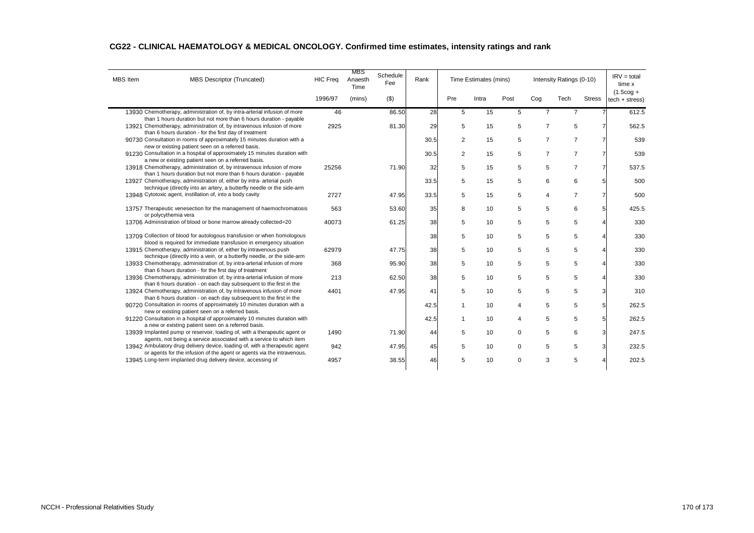| <b>MBS</b> Item | MBS Descriptor (Truncated)                                                                                                                        | <b>HIC Freq</b> | MBS<br>Anaesth<br>Time | Schedule<br>Fee | Rank |                | Time Estimates (mins) |                |                | $IRV = total$<br>Intensity Ratings (0-10)<br>time x |               |                                |
|-----------------|---------------------------------------------------------------------------------------------------------------------------------------------------|-----------------|------------------------|-----------------|------|----------------|-----------------------|----------------|----------------|-----------------------------------------------------|---------------|--------------------------------|
|                 |                                                                                                                                                   | 1996/97         | (mins)                 | $($ \$)         |      | Pre            | Intra                 | Post           | Cog            | Tech                                                | <b>Stress</b> | $(1.5$ cog +<br>tech + stress) |
|                 | 13930 Chemotherapy, administration of, by intra-arterial infusion of more                                                                         | 46              |                        | 86.50           | 28   | 5              | 15                    | 5              | $\overline{7}$ | $\overline{7}$                                      |               | 612.5                          |
|                 | than 1 hours duration but not more than 6 hours duration - payable<br>13921 Chemotherapy, administration of, by intravenous infusion of more      | 2925            |                        | 81.30           | 29   | 5              | 15                    | 5              | $\overline{7}$ | 5                                                   |               | 562.5                          |
|                 | than 6 hours duration - for the first day of treatment                                                                                            |                 |                        |                 |      |                |                       |                |                |                                                     |               |                                |
|                 | 90730 Consultation in rooms of approximately 15 minutes duration with a<br>new or existing patient seen on a referred basis.                      |                 |                        |                 | 30.5 | 2              | 15                    | 5              | $\overline{7}$ | $\overline{7}$                                      |               | 539                            |
|                 | 91230 Consultation in a hospital of approximately 15 minutes duration with                                                                        |                 |                        |                 | 30.5 | $\overline{2}$ | 15                    | 5              | $\overline{7}$ | $\overline{7}$                                      |               | 539                            |
|                 | a new or existing patient seen on a referred basis.                                                                                               |                 |                        |                 |      |                |                       |                |                |                                                     |               |                                |
|                 | 13918 Chemotherapy, administration of, by intravenous infusion of more<br>than 1 hours duration but not more than 6 hours duration - payable      | 25256           |                        | 71.90           | 32   | 5              | 15                    | 5              | 5              | $\overline{7}$                                      |               | 537.5                          |
|                 | 13927 Chemotherapy, administration of, either by intra- arterial push                                                                             |                 |                        |                 | 33.5 | 5              | 15                    | 5              | 6              | 6                                                   |               | 500                            |
|                 | technique (directly into an artery, a butterfly needle or the side-arm                                                                            |                 |                        |                 |      |                |                       |                |                |                                                     |               |                                |
|                 | 13948 Cytotoxic agent, instillation of, into a body cavity                                                                                        | 2727            |                        | 47.95           | 33.5 | 5              | 15                    | 5              | 4              | $\overline{7}$                                      |               | 500                            |
|                 | 13757 Therapeutic venesection for the management of haemochromatosis                                                                              | 563             |                        | 53.60           | 35   | 8              | 10                    | 5              | 5              | 6                                                   | 5             | 425.5                          |
|                 | or polycythemia vera<br>13706 Administration of blood or bone marrow already collected=20                                                         | 40073           |                        | 61.25           | 38   | 5              | 10                    | 5              | 5              | 5                                                   |               | 330                            |
|                 |                                                                                                                                                   |                 |                        |                 |      |                |                       |                |                |                                                     |               |                                |
|                 | 13709 Collection of blood for autologous transfusion or when homologous                                                                           |                 |                        |                 | 38   | 5              | 10                    | 5              | 5              | 5                                                   |               | 330                            |
|                 | blood is required for immediate transfusion in emergency situation<br>13915 Chemotherapy, administration of, either by intravenous push           | 62979           |                        | 47.75           | 38   | 5              | 10                    | 5              | 5              | 5                                                   |               | 330                            |
|                 | technique (directly into a vein, or a butterfly needle, or the side-arm                                                                           |                 |                        |                 |      |                |                       |                |                |                                                     |               |                                |
|                 | 13933 Chemotherapy, administration of, by intra-arterial infusion of more                                                                         | 368             |                        | 95.90           | 38   | 5              | 10                    | 5              | 5              | 5                                                   |               | 330                            |
|                 | than 6 hours duration - for the first day of treatment<br>13936 Chemotherapy, administration of, by intra-arterial infusion of more               | 213             |                        | 62.50           | 38   | 5              | 10                    | 5              | 5              | 5                                                   |               | 330                            |
|                 | than 6 hours duration - on each day subsequent to the first in the                                                                                |                 |                        |                 |      |                |                       |                |                |                                                     |               |                                |
|                 | 13924 Chemotherapy, administration of, by intravenous infusion of more<br>than 6 hours duration - on each day subsequent to the first in the      | 4401            |                        | 47.95           | 41   | 5              | 10                    | 5              | 5              | 5                                                   |               | 310                            |
|                 | 90720 Consultation in rooms of approximately 10 minutes duration with a<br>new or existing patient seen on a referred basis.                      |                 |                        |                 | 42.5 | $\mathbf{1}$   | 10                    | $\overline{4}$ | 5              | 5                                                   | 5             | 262.5                          |
|                 | 91220 Consultation in a hospital of approximately 10 minutes duration with<br>a new or existing patient seen on a referred basis.                 |                 |                        |                 | 42.5 | 1              | 10                    | $\overline{4}$ | 5              | 5                                                   | 5             | 262.5                          |
|                 | 13939 Implanted pump or reservoir, loading of, with a therapeutic agent or<br>agents, not being a service associated with a service to which item | 1490            |                        | 71.90           | 44   | 5              | 10                    | $\mathbf 0$    | 5              | 6                                                   |               | 247.5                          |
|                 | 13942 Ambulatory drug delivery device, loading of, with a therapeutic agent                                                                       | 942             |                        | 47.95           | 45   | 5              | 10                    | $\mathbf 0$    | 5              | 5                                                   | 3             | 232.5                          |
|                 | or agents for the infusion of the agent or agents via the intravenous,                                                                            |                 |                        |                 |      |                |                       |                |                |                                                     |               |                                |
|                 | 13945 Long-term implanted drug delivery device, accessing of                                                                                      | 4957            |                        | 38.55           | 46   | 5              | 10                    | 0              | 3              | 5                                                   |               | 202.5                          |

## **CG22 - CLINICAL HAEMATOLOGY & MEDICAL ONCOLOGY. Confirmed time estimates, intensity ratings and rank**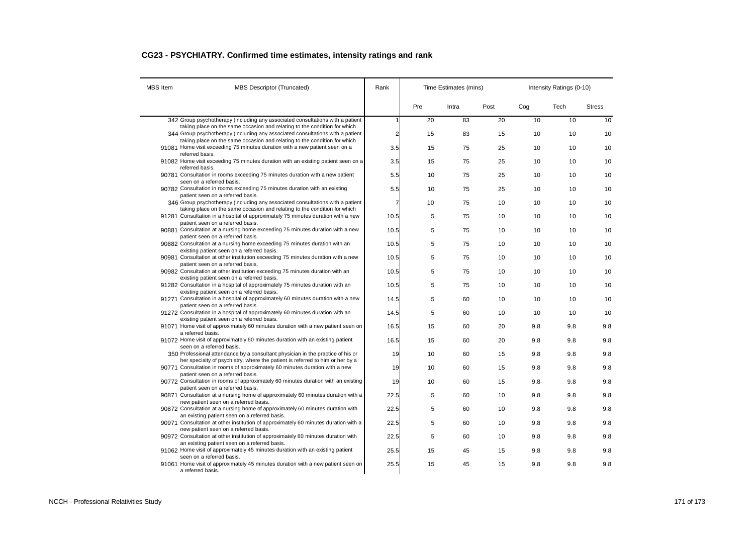## **CG23 - PSYCHIATRY. Confirmed time estimates, intensity ratings and rank**

| <b>MBS</b> Item | <b>MBS Descriptor (Truncated)</b>                                                                                                                                | Rank           |     | Time Estimates (mins) |      | Intensity Ratings (0-10) |      |               |  |
|-----------------|------------------------------------------------------------------------------------------------------------------------------------------------------------------|----------------|-----|-----------------------|------|--------------------------|------|---------------|--|
|                 |                                                                                                                                                                  |                | Pre | Intra                 | Post | Cog                      | Tech | <b>Stress</b> |  |
|                 | 342 Group psychotherapy (including any associated consultations with a patient                                                                                   | 1              | 20  | 83                    | 20   | 10                       | 10   | 10            |  |
|                 | taking place on the same occasion and relating to the condition for which<br>344 Group psychotherapy (including any associated consultations with a patient      | $\overline{a}$ | 15  | 83                    | 15   | 10                       | 10   | 10            |  |
|                 | taking place on the same occasion and relating to the condition for which<br>91081 Home visit exceeding 75 minutes duration with a new patient seen on a         | 3.5            | 15  | 75                    | 25   | 10                       | 10   | 10            |  |
|                 | referred basis.<br>91082 Home visit exceeding 75 minutes duration with an existing patient seen on a                                                             | 3.5            | 15  | 75                    | 25   | 10                       | 10   | 10            |  |
|                 | referred basis.<br>90781 Consultation in rooms exceeding 75 minutes duration with a new patient<br>seen on a referred basis.                                     | 5.5            | 10  | 75                    | 25   | 10                       | 10   | 10            |  |
|                 | 90782 Consultation in rooms exceeding 75 minutes duration with an existing<br>patient seen on a referred basis.                                                  | 5.5            | 10  | 75                    | 25   | 10                       | 10   | 10            |  |
|                 | 346 Group psychotherapy (including any associated consultations with a patient<br>taking place on the same occasion and relating to the condition for which      | $\overline{7}$ | 10  | 75                    | 10   | 10                       | 10   | 10            |  |
|                 | 91281 Consultation in a hospital of approximately 75 minutes duration with a new<br>patient seen on a referred basis.                                            | 10.5           | 5   | 75                    | 10   | 10                       | 10   | 10            |  |
|                 | 90881 Consultation at a nursing home exceeding 75 minutes duration with a new<br>patient seen on a referred basis.                                               | 10.5           | 5   | 75                    | 10   | 10                       | 10   | 10            |  |
|                 | 90882 Consultation at a nursing home exceeding 75 minutes duration with an<br>existing patient seen on a referred basis.                                         | 10.5           | 5   | 75                    | 10   | 10                       | 10   | 10            |  |
|                 | 90981 Consultation at other institution exceeding 75 minutes duration with a new<br>patient seen on a referred basis.                                            | 10.5           | 5   | 75                    | 10   | 10                       | 10   | 10            |  |
|                 | 90982 Consultation at other institution exceeding 75 minutes duration with an<br>existing patient seen on a referred basis.                                      | 10.5           | 5   | 75                    | 10   | 10                       | 10   | 10            |  |
|                 | 91282 Consultation in a hospital of approximately 75 minutes duration with an<br>existing patient seen on a referred basis.                                      | 10.5           | 5   | 75                    | 10   | 10                       | 10   | 10            |  |
|                 | 91271 Consultation in a hospital of approximately 60 minutes duration with a new<br>patient seen on a referred basis.                                            | 14.5           | 5   | 60                    | 10   | 10                       | 10   | 10            |  |
|                 | 91272 Consultation in a hospital of approximately 60 minutes duration with an<br>existing patient seen on a referred basis.                                      | 14.5           | 5   | 60                    | 10   | 10                       | 10   | 10            |  |
|                 | 91071 Home visit of approximately 60 minutes duration with a new patient seen on<br>a referred basis.                                                            | 16.5           | 15  | 60                    | 20   | 9.8                      | 9.8  | 9.8           |  |
|                 | 91072 Home visit of approximately 60 minutes duration with an existing patient<br>seen on a referred basis.                                                      | 16.5           | 15  | 60                    | 20   | 9.8                      | 9.8  | 9.8           |  |
|                 | 350 Professional attendance by a consultant physician in the practice of his or<br>her specialty of psychiatry, where the patient is referred to him or her by a | 19             | 10  | 60                    | 15   | 9.8                      | 9.8  | 9.8           |  |
|                 | 90771 Consultation in rooms of approximately 60 minutes duration with a new<br>patient seen on a referred basis.                                                 | 19             | 10  | 60                    | 15   | 9.8                      | 9.8  | 9.8           |  |
|                 | 90772 Consultation in rooms of approximately 60 minutes duration with an existing<br>patient seen on a referred basis.                                           | 19             | 10  | 60                    | 15   | 9.8                      | 9.8  | 9.8           |  |
|                 | 90871 Consultation at a nursing home of approximately 60 minutes duration with a<br>new patient seen on a referred basis.                                        | 22.5           | 5   | 60                    | 10   | 9.8                      | 9.8  | 9.8           |  |
|                 | 90872 Consultation at a nursing home of approximately 60 minutes duration with<br>an existing patient seen on a referred basis.                                  | 22.5           | 5   | 60                    | 10   | 9.8                      | 9.8  | 9.8           |  |
|                 | 90971 Consultation at other institution of approximately 60 minutes duration with a<br>new patient seen on a referred basis.                                     | 22.5           | 5   | 60                    | 10   | 9.8                      | 9.8  | 9.8           |  |
|                 | 90972 Consultation at other institution of approximately 60 minutes duration with<br>an existing patient seen on a referred basis.                               | 22.5           | 5   | 60                    | 10   | 9.8                      | 9.8  | 9.8           |  |
|                 | 91062 Home visit of approximately 45 minutes duration with an existing patient<br>seen on a referred basis.                                                      | 25.5           | 15  | 45                    | 15   | 9.8                      | 9.8  | 9.8           |  |
|                 | 91061 Home visit of approximately 45 minutes duration with a new patient seen on<br>a referred basis.                                                            | 25.5           | 15  | 45                    | 15   | 9.8                      | 9.8  | 9.8           |  |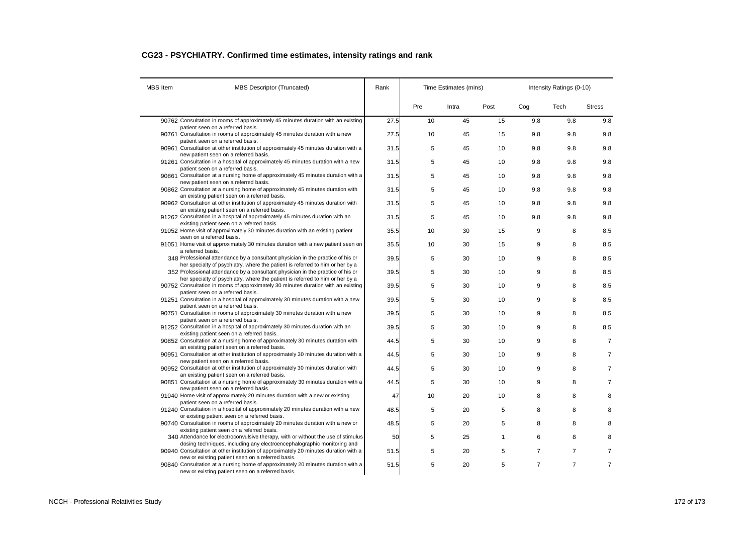## **CG23 - PSYCHIATRY. Confirmed time estimates, intensity ratings and rank**

| <b>MBS</b> Item | <b>MBS Descriptor (Truncated)</b>                                                                                                                                 | Rank |     | Time Estimates (mins) |      | Intensity Ratings (0-10) |                |                |  |
|-----------------|-------------------------------------------------------------------------------------------------------------------------------------------------------------------|------|-----|-----------------------|------|--------------------------|----------------|----------------|--|
|                 |                                                                                                                                                                   |      | Pre | Intra                 | Post | Cog                      | Tech           | <b>Stress</b>  |  |
|                 | 90762 Consultation in rooms of approximately 45 minutes duration with an existing                                                                                 | 27.5 | 10  | 45                    | 15   | 9.8                      | 9.8            | 9.8            |  |
|                 | patient seen on a referred basis.<br>90761 Consultation in rooms of approximately 45 minutes duration with a new                                                  | 27.5 | 10  | 45                    | 15   | 9.8                      | 9.8            | 9.8            |  |
|                 | patient seen on a referred basis.<br>90961 Consultation at other institution of approximately 45 minutes duration with a<br>new patient seen on a referred basis. | 31.5 | 5   | 45                    | 10   | 9.8                      | 9.8            | 9.8            |  |
|                 | 91261 Consultation in a hospital of approximately 45 minutes duration with a new<br>patient seen on a referred basis.                                             | 31.5 | 5   | 45                    | 10   | 9.8                      | 9.8            | 9.8            |  |
|                 | 90861 Consultation at a nursing home of approximately 45 minutes duration with a<br>new patient seen on a referred basis.                                         | 31.5 | 5   | 45                    | 10   | 9.8                      | 9.8            | 9.8            |  |
|                 | 90862 Consultation at a nursing home of approximately 45 minutes duration with<br>an existing patient seen on a referred basis.                                   | 31.5 | 5   | 45                    | 10   | 9.8                      | 9.8            | 9.8            |  |
|                 | 90962 Consultation at other institution of approximately 45 minutes duration with<br>an existing patient seen on a referred basis.                                | 31.5 | 5   | 45                    | 10   | 9.8                      | 9.8            | 9.8            |  |
|                 | 91262 Consultation in a hospital of approximately 45 minutes duration with an<br>existing patient seen on a referred basis.                                       | 31.5 | 5   | 45                    | 10   | 9.8                      | 9.8            | 9.8            |  |
|                 | 91052 Home visit of approximately 30 minutes duration with an existing patient<br>seen on a referred basis.                                                       | 35.5 | 10  | 30                    | 15   | 9                        | 8              | 8.5            |  |
|                 | 91051 Home visit of approximately 30 minutes duration with a new patient seen on<br>a referred basis.                                                             | 35.5 | 10  | 30                    | 15   | 9                        | 8              | 8.5            |  |
|                 | 348 Professional attendance by a consultant physician in the practice of his or<br>her specialty of psychiatry, where the patient is referred to him or her by a  | 39.5 | 5   | 30                    | 10   | 9                        | 8              | 8.5            |  |
|                 | 352 Professional attendance by a consultant physician in the practice of his or<br>her specialty of psychiatry, where the patient is referred to him or her by a  | 39.5 | 5   | 30                    | 10   | 9                        | 8              | 8.5            |  |
|                 | 90752 Consultation in rooms of approximately 30 minutes duration with an existing<br>patient seen on a referred basis.                                            | 39.5 | 5   | 30                    | 10   | 9                        | 8              | 8.5            |  |
|                 | 91251 Consultation in a hospital of approximately 30 minutes duration with a new<br>patient seen on a referred basis.                                             | 39.5 | 5   | 30                    | 10   | 9                        | 8              | 8.5            |  |
|                 | 90751 Consultation in rooms of approximately 30 minutes duration with a new<br>patient seen on a referred basis.                                                  | 39.5 | 5   | 30                    | 10   | 9                        | 8              | 8.5            |  |
|                 | 91252 Consultation in a hospital of approximately 30 minutes duration with an<br>existing patient seen on a referred basis.                                       | 39.5 | 5   | 30                    | 10   | 9                        | 8              | 8.5            |  |
|                 | 90852 Consultation at a nursing home of approximately 30 minutes duration with<br>an existing patient seen on a referred basis.                                   | 44.5 | 5   | 30                    | 10   | 9                        | 8              | $\overline{7}$ |  |
|                 | 90951 Consultation at other institution of approximately 30 minutes duration with a<br>new patient seen on a referred basis.                                      | 44.5 | 5   | 30                    | 10   | 9                        | 8              | $\overline{7}$ |  |
|                 | 90952 Consultation at other institution of approximately 30 minutes duration with<br>an existing patient seen on a referred basis.                                | 44.5 | 5   | 30                    | 10   | 9                        | 8              | $\overline{7}$ |  |
|                 | 90851 Consultation at a nursing home of approximately 30 minutes duration with a<br>new patient seen on a referred basis.                                         | 44.5 | 5   | 30                    | 10   | 9                        | 8              | $\overline{7}$ |  |
|                 | 91040 Home visit of approximately 20 minutes duration with a new or existing<br>patient seen on a referred basis.                                                 | 47   | 10  | 20                    | 10   | 8                        | 8              |                |  |
|                 | 91240 Consultation in a hospital of approximately 20 minutes duration with a new<br>or existing patient seen on a referred basis.                                 | 48.5 | 5   | 20                    | 5    | 8                        | 8              |                |  |
|                 | 90740 Consultation in rooms of approximately 20 minutes duration with a new or<br>existing patient seen on a referred basis.                                      | 48.5 | 5   | 20                    | 5    | 8                        | 8              |                |  |
|                 | 340 Attendance for electroconvulsive therapy, with or without the use of stimulus<br>dosing techniques, including any electroencephalographic monitoring and      | 50   | 5   | 25                    | 1    | 6                        | 8              |                |  |
|                 | 90940 Consultation at other institution of approximately 20 minutes duration with a<br>new or existing patient seen on a referred basis.                          | 51.5 | 5   | 20                    | 5    | $\overline{7}$           | $\overline{7}$ | $\overline{7}$ |  |
|                 | 90840 Consultation at a nursing home of approximately 20 minutes duration with a<br>new or existing patient seen on a referred basis.                             | 51.5 | 5   | 20                    | 5    | $\overline{7}$           | $\overline{7}$ | $\overline{7}$ |  |